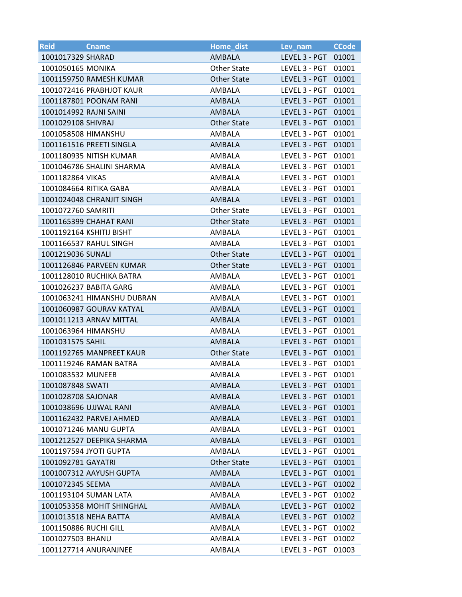| <b>Reid</b>            | <b>Cname</b>                    | Home_dist          | Lev_nam             | <b>CCode</b> |
|------------------------|---------------------------------|--------------------|---------------------|--------------|
| 1001017329 SHARAD      |                                 | AMBALA             | LEVEL 3 - PGT 01001 |              |
| 1001050165 MONIKA      |                                 | Other State        | LEVEL 3 - PGT 01001 |              |
|                        | 1001159750 RAMESH KUMAR         | Other State        | LEVEL 3 - PGT 01001 |              |
|                        | 1001072416 PRABHJOT KAUR        | AMBALA             | LEVEL 3 - PGT 01001 |              |
|                        | 1001187801 POONAM RANI          | AMBALA             | LEVEL 3 - PGT 01001 |              |
| 1001014992 RAJNI SAINI |                                 | AMBALA             | LEVEL 3 - PGT 01001 |              |
| 1001029108 SHIVRAJ     |                                 | Other State        | LEVEL 3 - PGT 01001 |              |
| 1001058508 HIMANSHU    |                                 | AMBALA             | LEVEL 3 - PGT 01001 |              |
|                        | 1001161516 PREETI SINGLA        | AMBALA             | LEVEL 3 - PGT 01001 |              |
|                        | 1001180935 NITISH KUMAR         | AMBALA             | LEVEL 3 - PGT 01001 |              |
|                        | 1001046786 SHALINI SHARMA       | AMBALA             | LEVEL 3 - PGT 01001 |              |
| 1001182864 VIKAS       |                                 | AMBALA             | LEVEL 3 - PGT 01001 |              |
|                        | 1001084664 RITIKA GABA          | AMBALA             | LEVEL 3 - PGT 01001 |              |
|                        | 1001024048 CHRANJIT SINGH       | AMBALA             | LEVEL 3 - PGT 01001 |              |
| 1001072760 SAMRITI     |                                 | Other State        | LEVEL 3 - PGT 01001 |              |
|                        | 1001165399 CHAHAT RANI          | <b>Other State</b> | LEVEL 3 - PGT 01001 |              |
|                        | 1001192164 KSHITIJ BISHT        | AMBALA             | LEVEL 3 - PGT 01001 |              |
|                        | 1001166537 RAHUL SINGH          | AMBALA             | LEVEL 3 - PGT 01001 |              |
| 1001219036 SUNALI      |                                 | Other State        | LEVEL 3 - PGT 01001 |              |
|                        | 1001126846 PARVEEN KUMAR        | Other State        | LEVEL 3 - PGT 01001 |              |
|                        | 1001128010 RUCHIKA BATRA        | AMBALA             | LEVEL 3 - PGT 01001 |              |
|                        | 1001026237 BABITA GARG          | AMBALA             | LEVEL 3 - PGT 01001 |              |
|                        | 1001063241 HIMANSHU DUBRAN      | AMBALA             | LEVEL 3 - PGT 01001 |              |
|                        | 1001060987 GOURAV KATYAL        | AMBALA             | LEVEL 3 - PGT 01001 |              |
|                        | 1001011213 ARNAV MITTAL         | AMBALA             | LEVEL 3 - PGT 01001 |              |
| 1001063964 HIMANSHU    |                                 | AMBALA             | LEVEL 3 - PGT 01001 |              |
| 1001031575 SAHIL       |                                 | AMBALA             | LEVEL 3 - PGT 01001 |              |
|                        | <b>1001192765 MANPREET KAUR</b> | <b>Other State</b> | LEVEL 3 - PGT 01001 |              |
|                        | 1001119246 RAMAN BATRA          | AMBALA             | LEVEL 3 - PGT 01001 |              |
| 1001083532 MUNEEB      |                                 | AMBALA             | LEVEL 3 - PGT 01001 |              |
| 1001087848 SWATI       |                                 | AMBALA             | LEVEL 3 - PGT 01001 |              |
| 1001028708 SAJONAR     |                                 | AMBALA             | LEVEL 3 - PGT 01001 |              |
|                        | 1001038696 UJJWAL RANI          | AMBALA             | LEVEL 3 - PGT 01001 |              |
|                        | 1001162432 PARVEJ AHMED         | AMBALA             | LEVEL 3 - PGT       | 01001        |
|                        | 1001071246 MANU GUPTA           | AMBALA             | LEVEL 3 - PGT 01001 |              |
|                        | 1001212527 DEEPIKA SHARMA       | AMBALA             | LEVEL 3 - PGT 01001 |              |
|                        | 1001197594 JYOTI GUPTA          | AMBALA             | LEVEL 3 - PGT 01001 |              |
| 1001092781 GAYATRI     |                                 | <b>Other State</b> | LEVEL 3 - PGT       | 01001        |
|                        | 1001007312 AAYUSH GUPTA         | AMBALA             | LEVEL 3 - PGT       | 01001        |
| 1001072345 SEEMA       |                                 | AMBALA             | LEVEL 3 - PGT 01002 |              |
|                        | 1001193104 SUMAN LATA           | AMBALA             | LEVEL 3 - PGT 01002 |              |
|                        | 1001053358 MOHIT SHINGHAL       | AMBALA             | LEVEL 3 - PGT 01002 |              |
| 1001013518 NEHA BATTA  |                                 | AMBALA             | LEVEL 3 - PGT       | 01002        |
| 1001150886 RUCHI GILL  |                                 | AMBALA             | LEVEL 3 - PGT 01002 |              |
| 1001027503 BHANU       |                                 | AMBALA             | LEVEL 3 - PGT 01002 |              |
|                        | 1001127714 ANURANJNEE           | AMBALA             | LEVEL 3 - PGT 01003 |              |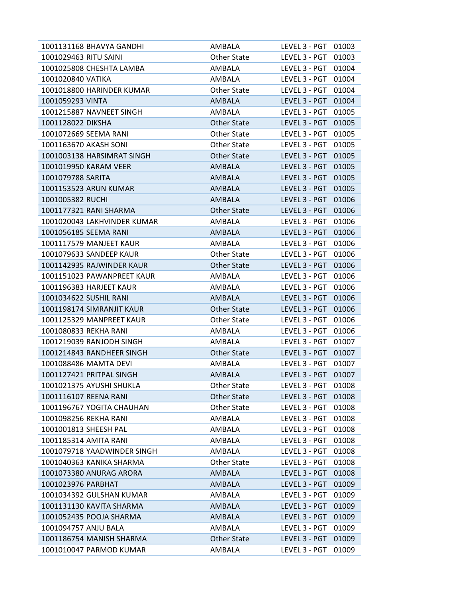| 1001131168 BHAVYA GANDHI    | AMBALA             | LEVEL 3 - PGT 01003 |       |
|-----------------------------|--------------------|---------------------|-------|
| 1001029463 RITU SAINI       | Other State        | LEVEL 3 - PGT 01003 |       |
| 1001025808 CHESHTA LAMBA    | AMBALA             | LEVEL 3 - PGT 01004 |       |
| 1001020840 VATIKA           | AMBALA             | LEVEL 3 - PGT 01004 |       |
| 1001018800 HARINDER KUMAR   | Other State        | LEVEL 3 - PGT 01004 |       |
| 1001059293 VINTA            | AMBALA             | LEVEL 3 - PGT 01004 |       |
| 1001215887 NAVNEET SINGH    | AMBALA             | LEVEL 3 - PGT 01005 |       |
| 1001128022 DIKSHA           | Other State        | LEVEL 3 - PGT 01005 |       |
| 1001072669 SEEMA RANI       | Other State        | LEVEL 3 - PGT 01005 |       |
| 1001163670 AKASH SONI       | Other State        | LEVEL 3 - PGT 01005 |       |
| 1001003138 HARSIMRAT SINGH  | Other State        | LEVEL 3 - PGT 01005 |       |
| 1001019950 KARAM VEER       | AMBALA             | LEVEL 3 - PGT 01005 |       |
| 1001079788 SARITA           | AMBALA             | LEVEL 3 - PGT 01005 |       |
| 1001153523 ARUN KUMAR       | AMBALA             | LEVEL 3 - PGT 01005 |       |
| 1001005382 RUCHI            | AMBALA             | LEVEL 3 - PGT 01006 |       |
| 1001177321 RANI SHARMA      | Other State        | LEVEL 3 - PGT 01006 |       |
| 1001020043 LAKHVINDER KUMAR | AMBALA             | LEVEL 3 - PGT 01006 |       |
| 1001056185 SEEMA RANI       | AMBALA             | LEVEL 3 - PGT 01006 |       |
| 1001117579 MANJEET KAUR     | AMBALA             | LEVEL 3 - PGT 01006 |       |
| 1001079633 SANDEEP KAUR     | Other State        | LEVEL 3 - PGT 01006 |       |
| 1001142935 RAJWINDER KAUR   | Other State        | LEVEL 3 - PGT 01006 |       |
| 1001151023 PAWANPREET KAUR  | AMBALA             | LEVEL 3 - PGT 01006 |       |
| 1001196383 HARJEET KAUR     | AMBALA             | LEVEL 3 - PGT 01006 |       |
| 1001034622 SUSHIL RANI      | AMBALA             | LEVEL 3 - PGT 01006 |       |
| 1001198174 SIMRANJIT KAUR   | Other State        | LEVEL 3 - PGT 01006 |       |
| 1001125329 MANPREET KAUR    | Other State        | LEVEL 3 - PGT 01006 |       |
| 1001080833 REKHA RANI       | AMBALA             | LEVEL 3 - PGT 01006 |       |
| 1001219039 RANJODH SINGH    | AMBALA             | LEVEL 3 - PGT 01007 |       |
| 1001214843 RANDHEER SINGH   | Other State        | LEVEL 3 - PGT 01007 |       |
| 1001088486 MAMTA DEVI       | AMBALA             | LEVEL 3 - PGT 01007 |       |
| 1001127421 PRITPAL SINGH    | AMBALA             | LEVEL 3 - PGT 01007 |       |
| 1001021375 AYUSHI SHUKLA    | <b>Other State</b> | LEVEL 3 - PGT       | 01008 |
| 1001116107 REENA RANI       | <b>Other State</b> | LEVEL 3 - PGT       | 01008 |
| 1001196767 YOGITA CHAUHAN   | <b>Other State</b> | LEVEL 3 - PGT       | 01008 |
| 1001098256 REKHA RANI       | AMBALA             | LEVEL 3 - PGT       | 01008 |
| 1001001813 SHEESH PAL       | AMBALA             | LEVEL 3 - PGT       | 01008 |
| 1001185314 AMITA RANI       | AMBALA             | LEVEL 3 - PGT       | 01008 |
| 1001079718 YAADWINDER SINGH | AMBALA             | LEVEL 3 - PGT       | 01008 |
| 1001040363 KANIKA SHARMA    | <b>Other State</b> | LEVEL 3 - PGT       | 01008 |
| 1001073380 ANURAG ARORA     | AMBALA             | LEVEL 3 - PGT       | 01008 |
| 1001023976 PARBHAT          | AMBALA             | LEVEL 3 - PGT       | 01009 |
| 1001034392 GULSHAN KUMAR    | AMBALA             | LEVEL 3 - PGT       | 01009 |
| 1001131130 KAVITA SHARMA    | AMBALA             | LEVEL 3 - PGT       | 01009 |
| 1001052435 POOJA SHARMA     | AMBALA             | LEVEL 3 - PGT       | 01009 |
| 1001094757 ANJU BALA        | AMBALA             | LEVEL 3 - PGT       | 01009 |
| 1001186754 MANISH SHARMA    | <b>Other State</b> | LEVEL 3 - PGT       | 01009 |
| 1001010047 PARMOD KUMAR     | AMBALA             | LEVEL 3 - PGT       | 01009 |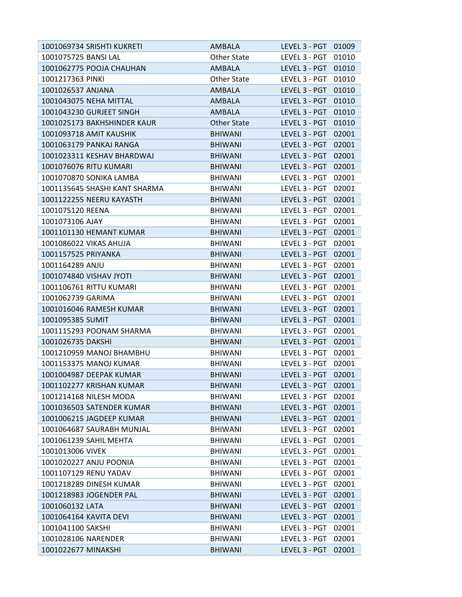| 1001069734 SRISHTI KUKRETI    | AMBALA         | LEVEL 3 - PGT 01009 |       |
|-------------------------------|----------------|---------------------|-------|
| 1001075725 BANSI LAL          | Other State    | LEVEL 3 - PGT 01010 |       |
| 1001062775 POOJA CHAUHAN      | AMBALA         | LEVEL 3 - PGT 01010 |       |
| 1001217363 PINKI              | Other State    | LEVEL 3 - PGT 01010 |       |
| 1001026537 ANJANA             | AMBALA         | LEVEL 3 - PGT 01010 |       |
| 1001043075 NEHA MITTAL        | AMBALA         | LEVEL 3 - PGT 01010 |       |
| 1001043230 GURJEET SINGH      | AMBALA         | LEVEL 3 - PGT 01010 |       |
| 1001025173 BAKHSHINDER KAUR   | Other State    | LEVEL 3 - PGT 01010 |       |
| 1001093718 AMIT KAUSHIK       | <b>BHIWANI</b> | LEVEL 3 - PGT 02001 |       |
| 1001063179 PANKAJ RANGA       | BHIWANI        | LEVEL 3 - PGT 02001 |       |
| 1001023311 KESHAV BHARDWAJ    | BHIWANI        | LEVEL 3 - PGT 02001 |       |
| 1001076076 RITU KUMARI        | <b>BHIWANI</b> | LEVEL 3 - PGT 02001 |       |
| 1001070870 SONIKA LAMBA       | BHIWANI        | LEVEL 3 - PGT 02001 |       |
| 1001135645 SHASHI KANT SHARMA | <b>BHIWANI</b> | LEVEL 3 - PGT 02001 |       |
| 1001122255 NEERU KAYASTH      | <b>BHIWANI</b> | LEVEL 3 - PGT 02001 |       |
| 1001075120 REENA              | BHIWANI        | LEVEL 3 - PGT 02001 |       |
| 1001073106 AJAY               | <b>BHIWANI</b> | LEVEL 3 - PGT 02001 |       |
| 1001101130 HEMANT KUMAR       | <b>BHIWANI</b> | LEVEL 3 - PGT 02001 |       |
| 1001086022 VIKAS AHUJA        | <b>BHIWANI</b> | LEVEL 3 - PGT 02001 |       |
| 1001157525 PRIYANKA           | <b>BHIWANI</b> | LEVEL 3 - PGT 02001 |       |
| 1001164289 ANJU               | BHIWANI        | LEVEL 3 - PGT 02001 |       |
| 1001074840 VISHAV JYOTI       | <b>BHIWANI</b> | LEVEL 3 - PGT 02001 |       |
| 1001106761 RITTU KUMARI       | <b>BHIWANI</b> | LEVEL 3 - PGT 02001 |       |
| 1001062739 GARIMA             | BHIWANI        | LEVEL 3 - PGT 02001 |       |
| 1001016046 RAMESH KUMAR       | <b>BHIWANI</b> | LEVEL 3 - PGT 02001 |       |
| 1001095385 SUMIT              | <b>BHIWANI</b> | LEVEL 3 - PGT 02001 |       |
| 1001115293 POONAM SHARMA      | <b>BHIWANI</b> | LEVEL 3 - PGT 02001 |       |
| 1001026735 DAKSHI             | <b>BHIWANI</b> | LEVEL 3 - PGT 02001 |       |
| 1001210959 MANOJ BHAMBHU      | <b>BHIWANI</b> | LEVEL 3 - PGT 02001 |       |
| 1001153375 MANOJ KUMAR        | BHIWANI        | LEVEL 3 - PGT 02001 |       |
| 1001004987 DEEPAK KUMAR       | <b>BHIWANI</b> | LEVEL 3 - PGT 02001 |       |
| 1001102277 KRISHAN KUMAR      | <b>BHIWANI</b> | LEVEL 3 - PGT       | 02001 |
| 1001214168 NILESH MODA        | <b>BHIWANI</b> | LEVEL 3 - PGT       | 02001 |
| 1001036503 SATENDER KUMAR     | <b>BHIWANI</b> | LEVEL 3 - PGT       | 02001 |
| 1001006215 JAGDEEP KUMAR      | <b>BHIWANI</b> | LEVEL 3 - PGT       | 02001 |
| 1001064687 SAURABH MUNJAL     | <b>BHIWANI</b> | LEVEL 3 - PGT       | 02001 |
| 1001061239 SAHIL MEHTA        | <b>BHIWANI</b> | LEVEL 3 - PGT       | 02001 |
| 1001013006 VIVEK              | <b>BHIWANI</b> | LEVEL 3 - PGT       | 02001 |
| 1001020227 ANJU POONIA        | <b>BHIWANI</b> | LEVEL 3 - PGT       | 02001 |
| 1001107129 RENU YADAV         | <b>BHIWANI</b> | LEVEL 3 - PGT       | 02001 |
| 1001218289 DINESH KUMAR       | <b>BHIWANI</b> | LEVEL 3 - PGT       | 02001 |
| 1001218983 JOGENDER PAL       | <b>BHIWANI</b> | LEVEL 3 - PGT       | 02001 |
| 1001060132 LATA               | <b>BHIWANI</b> | LEVEL 3 - PGT       | 02001 |
| 1001064164 KAVITA DEVI        | <b>BHIWANI</b> | LEVEL 3 - PGT       | 02001 |
| 1001041100 SAKSHI             | <b>BHIWANI</b> | LEVEL 3 - PGT       | 02001 |
| 1001028106 NARENDER           | <b>BHIWANI</b> | LEVEL 3 - PGT       | 02001 |
| 1001022677 MINAKSHI           | <b>BHIWANI</b> | LEVEL 3 - PGT       | 02001 |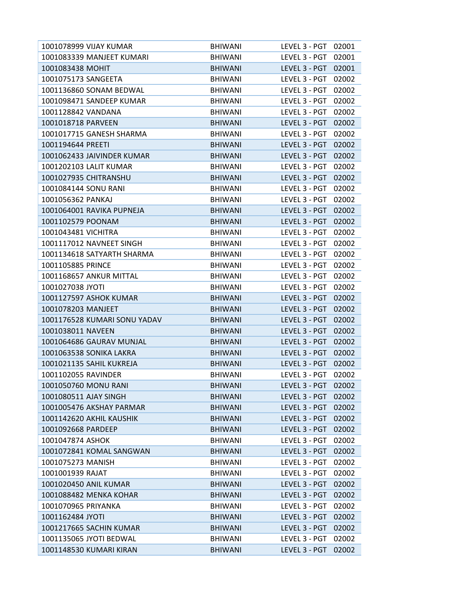| 1001078999 VIJAY KUMAR       | BHIWANI        | LEVEL 3 - PGT 02001    |
|------------------------------|----------------|------------------------|
| 1001083339 MANJEET KUMARI    | BHIWANI        | LEVEL 3 - PGT 02001    |
| 1001083438 MOHIT             | <b>BHIWANI</b> | LEVEL 3 - PGT 02001    |
| 1001075173 SANGEETA          | <b>BHIWANI</b> | LEVEL 3 - PGT 02002    |
| 1001136860 SONAM BEDWAL      | <b>BHIWANI</b> | LEVEL 3 - PGT 02002    |
| 1001098471 SANDEEP KUMAR     | <b>BHIWANI</b> | LEVEL 3 - PGT 02002    |
| 1001128842 VANDANA           | <b>BHIWANI</b> | LEVEL 3 - PGT 02002    |
| 1001018718 PARVEEN           | <b>BHIWANI</b> | LEVEL 3 - PGT 02002    |
| 1001017715 GANESH SHARMA     | <b>BHIWANI</b> | LEVEL 3 - PGT 02002    |
| 1001194644 PREETI            | <b>BHIWANI</b> | LEVEL 3 - PGT 02002    |
| 1001062433 JAIVINDER KUMAR   | BHIWANI        | LEVEL 3 - PGT 02002    |
| 1001202103 LALIT KUMAR       | <b>BHIWANI</b> | LEVEL 3 - PGT 02002    |
| 1001027935 CHITRANSHU        | <b>BHIWANI</b> | LEVEL 3 - PGT 02002    |
| 1001084144 SONU RANI         | <b>BHIWANI</b> | LEVEL 3 - PGT 02002    |
| 1001056362 PANKAJ            | <b>BHIWANI</b> | LEVEL 3 - PGT 02002    |
| 1001064001 RAVIKA PUPNEJA    | <b>BHIWANI</b> | LEVEL 3 - PGT 02002    |
| 1001102579 POONAM            | <b>BHIWANI</b> | LEVEL 3 - PGT 02002    |
| 1001043481 VICHITRA          | BHIWANI        | LEVEL 3 - PGT 02002    |
| 1001117012 NAVNEET SINGH     | BHIWANI        | LEVEL 3 - PGT 02002    |
| 1001134618 SATYARTH SHARMA   | BHIWANI        | LEVEL 3 - PGT 02002    |
| 1001105885 PRINCE            | <b>BHIWANI</b> | LEVEL 3 - PGT 02002    |
| 1001168657 ANKUR MITTAL      | <b>BHIWANI</b> | LEVEL 3 - PGT 02002    |
| 1001027038 JYOTI             | BHIWANI        | LEVEL 3 - PGT 02002    |
| 1001127597 ASHOK KUMAR       | <b>BHIWANI</b> | LEVEL 3 - PGT 02002    |
| 1001078203 MANJEET           | BHIWANI        | LEVEL 3 - PGT 02002    |
| 1001176528 KUMARI SONU YADAV | <b>BHIWANI</b> | LEVEL 3 - PGT 02002    |
| 1001038011 NAVEEN            | <b>BHIWANI</b> | LEVEL 3 - PGT 02002    |
| 1001064686 GAURAV MUNJAL     | <b>BHIWANI</b> | LEVEL 3 - PGT 02002    |
| 1001063538 SONIKA LAKRA      | <b>BHIWANI</b> | LEVEL 3 - PGT 02002    |
| 1001021135 SAHIL KUKREJA     | BHIWANI        | LEVEL 3 - PGT 02002    |
| 1001102055 RAVINDER          | <b>BHIWANI</b> | LEVEL 3 - PGT 02002    |
| 1001050760 MONU RANI         | <b>BHIWANI</b> | LEVEL 3 - PGT 02002    |
| 1001080511 AJAY SINGH        | <b>BHIWANI</b> | LEVEL 3 - PGT<br>02002 |
| 1001005476 AKSHAY PARMAR     | <b>BHIWANI</b> | 02002<br>LEVEL 3 - PGT |
| 1001142620 AKHIL KAUSHIK     | <b>BHIWANI</b> | LEVEL 3 - PGT<br>02002 |
| 1001092668 PARDEEP           | <b>BHIWANI</b> | LEVEL 3 - PGT<br>02002 |
| 1001047874 ASHOK             | <b>BHIWANI</b> | LEVEL 3 - PGT<br>02002 |
| 1001072841 KOMAL SANGWAN     | <b>BHIWANI</b> | 02002<br>LEVEL 3 - PGT |
| 1001075273 MANISH            | BHIWANI        | LEVEL 3 - PGT<br>02002 |
| 1001001939 RAJAT             | <b>BHIWANI</b> | LEVEL 3 - PGT<br>02002 |
| 1001020450 ANIL KUMAR        | <b>BHIWANI</b> | LEVEL 3 - PGT<br>02002 |
| 1001088482 MENKA KOHAR       | <b>BHIWANI</b> | LEVEL 3 - PGT<br>02002 |
| 1001070965 PRIYANKA          | <b>BHIWANI</b> | LEVEL 3 - PGT<br>02002 |
| 1001162484 JYOTI             | <b>BHIWANI</b> | LEVEL 3 - PGT<br>02002 |
| 1001217665 SACHIN KUMAR      | <b>BHIWANI</b> | LEVEL 3 - PGT<br>02002 |
| 1001135065 JYOTI BEDWAL      | <b>BHIWANI</b> | LEVEL 3 - PGT<br>02002 |
| 1001148530 KUMARI KIRAN      | <b>BHIWANI</b> | 02002<br>LEVEL 3 - PGT |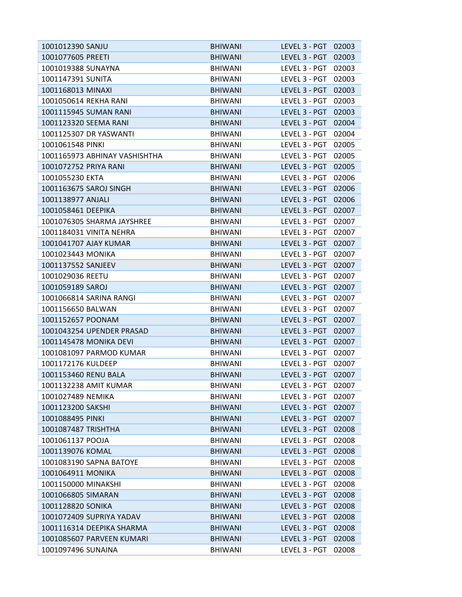| 1001012390 SANJU              | <b>BHIWANI</b> | LEVEL 3 - PGT 02003    |
|-------------------------------|----------------|------------------------|
| 1001077605 PREETI             | <b>BHIWANI</b> | LEVEL 3 - PGT 02003    |
| 1001019388 SUNAYNA            | <b>BHIWANI</b> | LEVEL 3 - PGT 02003    |
| 1001147391 SUNITA             | <b>BHIWANI</b> | LEVEL 3 - PGT<br>02003 |
| 1001168013 MINAXI             | <b>BHIWANI</b> | LEVEL 3 - PGT 02003    |
| 1001050614 REKHA RANI         | <b>BHIWANI</b> | LEVEL 3 - PGT 02003    |
| 1001115945 SUMAN RANI         | <b>BHIWANI</b> | LEVEL 3 - PGT 02003    |
| 1001123320 SEEMA RANI         | <b>BHIWANI</b> | LEVEL 3 - PGT 02004    |
| 1001125307 DR YASWANTI        | <b>BHIWANI</b> | LEVEL 3 - PGT 02004    |
| 1001061548 PINKI              | <b>BHIWANI</b> | LEVEL 3 - PGT 02005    |
| 1001165973 ABHINAY VASHISHTHA | <b>BHIWANI</b> | LEVEL 3 - PGT 02005    |
| 1001072752 PRIYA RANI         | <b>BHIWANI</b> | LEVEL 3 - PGT 02005    |
| 1001055230 EKTA               | <b>BHIWANI</b> | LEVEL 3 - PGT 02006    |
| 1001163675 SAROJ SINGH        | <b>BHIWANI</b> | LEVEL 3 - PGT 02006    |
| 1001138977 ANJALI             | <b>BHIWANI</b> | LEVEL 3 - PGT 02006    |
| 1001058461 DEEPIKA            | <b>BHIWANI</b> | LEVEL 3 - PGT<br>02007 |
| 1001076305 SHARMA JAYSHREE    | <b>BHIWANI</b> | LEVEL 3 - PGT 02007    |
| 1001184031 VINITA NEHRA       | <b>BHIWANI</b> | LEVEL 3 - PGT<br>02007 |
| 1001041707 AJAY KUMAR         | <b>BHIWANI</b> | LEVEL 3 - PGT 02007    |
| 1001023443 MONIKA             | <b>BHIWANI</b> | LEVEL 3 - PGT 02007    |
| 1001137552 SANJEEV            | <b>BHIWANI</b> | LEVEL 3 - PGT 02007    |
| 1001029036 REETU              | <b>BHIWANI</b> | LEVEL 3 - PGT 02007    |
| 1001059189 SAROJ              | <b>BHIWANI</b> | LEVEL 3 - PGT<br>02007 |
| 1001066814 SARINA RANGI       | <b>BHIWANI</b> | LEVEL 3 - PGT 02007    |
| 1001156650 BALWAN             | <b>BHIWANI</b> | LEVEL 3 - PGT 02007    |
| 1001152657 POONAM             | <b>BHIWANI</b> | LEVEL 3 - PGT 02007    |
| 1001043254 UPENDER PRASAD     | <b>BHIWANI</b> | LEVEL 3 - PGT<br>02007 |
| 1001145478 MONIKA DEVI        | <b>BHIWANI</b> | LEVEL 3 - PGT<br>02007 |
| 1001081097 PARMOD KUMAR       | <b>BHIWANI</b> | LEVEL 3 - PGT 02007    |
| 1001172176 KULDEEP            | <b>BHIWANI</b> | LEVEL 3 - PGT 02007    |
| 1001153460 RENU BALA          | <b>BHIWANI</b> | LEVEL 3 - PGT 02007    |
| 1001132238 AMIT KUMAR         | <b>BHIWANI</b> | LEVEL 3 - PGT<br>02007 |
| 1001027489 NEMIKA             | <b>BHIWANI</b> | LEVEL 3 - PGT<br>02007 |
| 1001123200 SAKSHI             | <b>BHIWANI</b> | 02007<br>LEVEL 3 - PGT |
| 1001088495 PINKI              | <b>BHIWANI</b> | LEVEL 3 - PGT<br>02007 |
| 1001087487 TRISHTHA           | <b>BHIWANI</b> | LEVEL 3 - PGT<br>02008 |
| 1001061137 POOJA              | <b>BHIWANI</b> | 02008<br>LEVEL 3 - PGT |
| 1001139076 KOMAL              | <b>BHIWANI</b> | LEVEL 3 - PGT<br>02008 |
| 1001083190 SAPNA BATOYE       | <b>BHIWANI</b> | LEVEL 3 - PGT<br>02008 |
| 1001064911 MONIKA             | <b>BHIWANI</b> | LEVEL 3 - PGT<br>02008 |
| 1001150000 MINAKSHI           | <b>BHIWANI</b> | LEVEL 3 - PGT<br>02008 |
| 1001066805 SIMARAN            | <b>BHIWANI</b> | LEVEL 3 - PGT<br>02008 |
| 1001128820 SONIKA             | <b>BHIWANI</b> | LEVEL 3 - PGT<br>02008 |
| 1001072409 SUPRIYA YADAV      | <b>BHIWANI</b> | LEVEL 3 - PGT<br>02008 |
| 1001116314 DEEPIKA SHARMA     | <b>BHIWANI</b> | LEVEL 3 - PGT<br>02008 |
| 1001085607 PARVEEN KUMARI     | <b>BHIWANI</b> | 02008<br>LEVEL 3 - PGT |
| 1001097496 SUNAINA            | <b>BHIWANI</b> | LEVEL 3 - PGT<br>02008 |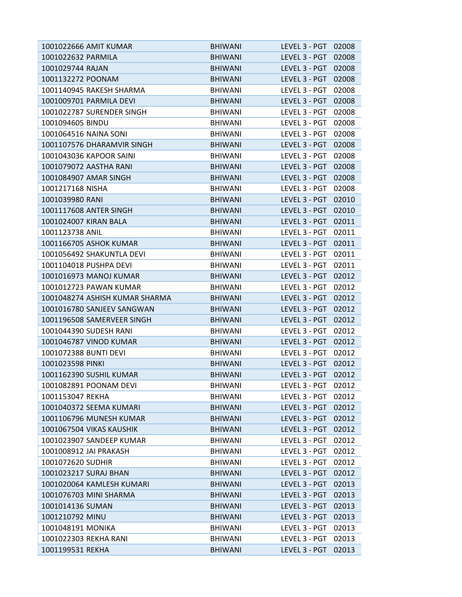| 1001022666 AMIT KUMAR          | <b>BHIWANI</b> | LEVEL 3 - PGT 02008    |
|--------------------------------|----------------|------------------------|
| 1001022632 PARMILA             | <b>BHIWANI</b> | LEVEL 3 - PGT 02008    |
| 1001029744 RAJAN               | <b>BHIWANI</b> | LEVEL 3 - PGT 02008    |
| 1001132272 POONAM              | <b>BHIWANI</b> | LEVEL 3 - PGT<br>02008 |
| 1001140945 RAKESH SHARMA       | <b>BHIWANI</b> | LEVEL 3 - PGT 02008    |
| 1001009701 PARMILA DEVI        | <b>BHIWANI</b> | LEVEL 3 - PGT 02008    |
| 1001022787 SURENDER SINGH      | <b>BHIWANI</b> | LEVEL 3 - PGT 02008    |
| 1001094605 BINDU               | <b>BHIWANI</b> | LEVEL 3 - PGT 02008    |
| 1001064516 NAINA SONI          | <b>BHIWANI</b> | LEVEL 3 - PGT<br>02008 |
| 1001107576 DHARAMVIR SINGH     | <b>BHIWANI</b> | LEVEL 3 - PGT 02008    |
| 1001043036 KAPOOR SAINI        | <b>BHIWANI</b> | LEVEL 3 - PGT 02008    |
| 1001079072 AASTHA RANI         | <b>BHIWANI</b> | LEVEL 3 - PGT 02008    |
| 1001084907 AMAR SINGH          | <b>BHIWANI</b> | LEVEL 3 - PGT 02008    |
| 1001217168 NISHA               | <b>BHIWANI</b> | LEVEL 3 - PGT 02008    |
| 1001039980 RANI                | <b>BHIWANI</b> | LEVEL 3 - PGT 02010    |
| 1001117608 ANTER SINGH         | <b>BHIWANI</b> | LEVEL 3 - PGT 02010    |
| 1001024007 KIRAN BALA          | <b>BHIWANI</b> | LEVEL 3 - PGT 02011    |
| 1001123738 ANIL                | <b>BHIWANI</b> | LEVEL 3 - PGT 02011    |
| 1001166705 ASHOK KUMAR         | <b>BHIWANI</b> | LEVEL 3 - PGT 02011    |
| 1001056492 SHAKUNTLA DEVI      | <b>BHIWANI</b> | LEVEL 3 - PGT 02011    |
| 1001104018 PUSHPA DEVI         | <b>BHIWANI</b> | LEVEL 3 - PGT 02011    |
| 1001016973 MANOJ KUMAR         | <b>BHIWANI</b> | LEVEL 3 - PGT 02012    |
| 1001012723 PAWAN KUMAR         | <b>BHIWANI</b> | LEVEL 3 - PGT 02012    |
| 1001048274 ASHISH KUMAR SHARMA | <b>BHIWANI</b> | LEVEL 3 - PGT 02012    |
| 1001016780 SANJEEV SANGWAN     | <b>BHIWANI</b> | LEVEL 3 - PGT 02012    |
| 1001196508 SAMERVEER SINGH     | <b>BHIWANI</b> | LEVEL 3 - PGT 02012    |
| 1001044390 SUDESH RANI         | <b>BHIWANI</b> | LEVEL 3 - PGT 02012    |
| 1001046787 VINOD KUMAR         | <b>BHIWANI</b> | LEVEL 3 - PGT 02012    |
| 1001072388 BUNTI DEVI          | <b>BHIWANI</b> | LEVEL 3 - PGT 02012    |
| 1001023598 PINKI               | <b>BHIWANI</b> | LEVEL 3 - PGT 02012    |
| 1001162390 SUSHIL KUMAR        | <b>BHIWANI</b> | LEVEL 3 - PGT 02012    |
| 1001082891 POONAM DEVI         | <b>BHIWANI</b> | LEVEL 3 - PGT<br>02012 |
| 1001153047 REKHA               | <b>BHIWANI</b> | LEVEL 3 - PGT<br>02012 |
| 1001040372 SEEMA KUMARI        | <b>BHIWANI</b> | LEVEL 3 - PGT<br>02012 |
| 1001106796 MUNESH KUMAR        | <b>BHIWANI</b> | LEVEL 3 - PGT<br>02012 |
| 1001067504 VIKAS KAUSHIK       | <b>BHIWANI</b> | LEVEL 3 - PGT<br>02012 |
| 1001023907 SANDEEP KUMAR       | BHIWANI        | LEVEL 3 - PGT<br>02012 |
| 1001008912 JAI PRAKASH         | <b>BHIWANI</b> | 02012<br>LEVEL 3 - PGT |
| 1001072620 SUDHIR              | <b>BHIWANI</b> | LEVEL 3 - PGT<br>02012 |
| 1001023217 SURAJ BHAN          | <b>BHIWANI</b> | LEVEL 3 - PGT<br>02012 |
| 1001020064 KAMLESH KUMARI      | <b>BHIWANI</b> | LEVEL 3 - PGT<br>02013 |
| 1001076703 MINI SHARMA         | <b>BHIWANI</b> | LEVEL 3 - PGT<br>02013 |
| 1001014136 SUMAN               | <b>BHIWANI</b> | 02013<br>LEVEL 3 - PGT |
| 1001210792 MINU                | <b>BHIWANI</b> | LEVEL 3 - PGT<br>02013 |
| 1001048191 MONIKA              | <b>BHIWANI</b> | 02013<br>LEVEL 3 - PGT |
| 1001022303 REKHA RANI          | <b>BHIWANI</b> | LEVEL 3 - PGT 02013    |
| 1001199531 REKHA               | <b>BHIWANI</b> | LEVEL 3 - PGT<br>02013 |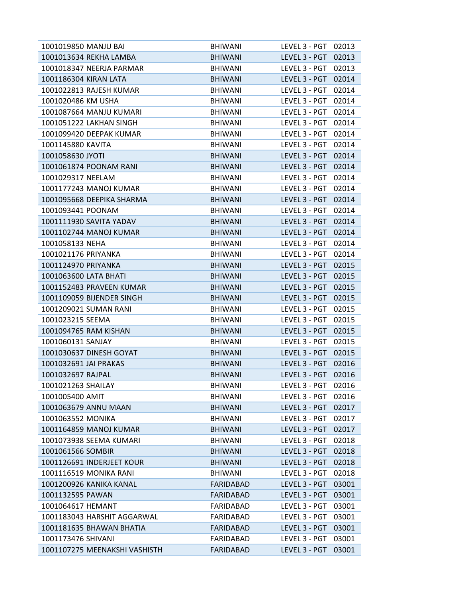| 1001019850 MANJU BAI          | <b>BHIWANI</b> | LEVEL 3 - PGT 02013    |
|-------------------------------|----------------|------------------------|
| 1001013634 REKHA LAMBA        | <b>BHIWANI</b> | LEVEL 3 - PGT 02013    |
| 1001018347 NEERJA PARMAR      | <b>BHIWANI</b> | LEVEL 3 - PGT 02013    |
| 1001186304 KIRAN LATA         | <b>BHIWANI</b> | LEVEL 3 - PGT 02014    |
| 1001022813 RAJESH KUMAR       | <b>BHIWANI</b> | LEVEL 3 - PGT 02014    |
| 1001020486 KM USHA            | <b>BHIWANI</b> | LEVEL 3 - PGT 02014    |
| 1001087664 MANJU KUMARI       | <b>BHIWANI</b> | LEVEL 3 - PGT 02014    |
| 1001051222 LAKHAN SINGH       | <b>BHIWANI</b> | LEVEL 3 - PGT 02014    |
| 1001099420 DEEPAK KUMAR       | <b>BHIWANI</b> | LEVEL 3 - PGT 02014    |
| 1001145880 KAVITA             | <b>BHIWANI</b> | LEVEL 3 - PGT 02014    |
| 1001058630 JYOTI              | <b>BHIWANI</b> | LEVEL 3 - PGT 02014    |
| 1001061874 POONAM RANI        | <b>BHIWANI</b> | LEVEL 3 - PGT 02014    |
| 1001029317 NEELAM             | <b>BHIWANI</b> | LEVEL 3 - PGT 02014    |
| 1001177243 MANOJ KUMAR        | <b>BHIWANI</b> | LEVEL 3 - PGT 02014    |
| 1001095668 DEEPIKA SHARMA     | <b>BHIWANI</b> | LEVEL 3 - PGT 02014    |
| 1001093441 POONAM             | <b>BHIWANI</b> | LEVEL 3 - PGT 02014    |
| 1001111930 SAVITA YADAV       | <b>BHIWANI</b> | LEVEL 3 - PGT 02014    |
| 1001102744 MANOJ KUMAR        | <b>BHIWANI</b> | LEVEL 3 - PGT 02014    |
| 1001058133 NEHA               | <b>BHIWANI</b> | LEVEL 3 - PGT 02014    |
| 1001021176 PRIYANKA           | BHIWANI        | LEVEL 3 - PGT 02014    |
| 1001124970 PRIYANKA           | <b>BHIWANI</b> | LEVEL 3 - PGT 02015    |
| 1001063600 LATA BHATI         | <b>BHIWANI</b> | LEVEL 3 - PGT 02015    |
| 1001152483 PRAVEEN KUMAR      | <b>BHIWANI</b> | LEVEL 3 - PGT 02015    |
| 1001109059 BIJENDER SINGH     | <b>BHIWANI</b> | LEVEL 3 - PGT 02015    |
| 1001209021 SUMAN RANI         | BHIWANI        | LEVEL 3 - PGT 02015    |
| 1001023215 SEEMA              | <b>BHIWANI</b> | LEVEL 3 - PGT 02015    |
| 1001094765 RAM KISHAN         | <b>BHIWANI</b> | LEVEL 3 - PGT 02015    |
| 1001060131 SANJAY             | <b>BHIWANI</b> | LEVEL 3 - PGT 02015    |
| 1001030637 DINESH GOYAT       | <b>BHIWANI</b> | LEVEL 3 - PGT 02015    |
| 1001032691 JAI PRAKAS         | <b>BHIWANI</b> | LEVEL 3 - PGT 02016    |
| 1001032697 RAJPAL             | <b>BHIWANI</b> | LEVEL 3 - PGT 02016    |
| 1001021263 SHAILAY            | <b>BHIWANI</b> | LEVEL 3 - PGT 02016    |
| 1001005400 AMIT               | <b>BHIWANI</b> | 02016<br>LEVEL 3 - PGT |
| 1001063679 ANNU MAAN          | <b>BHIWANI</b> | LEVEL 3 - PGT<br>02017 |
| 1001063552 MONIKA             | BHIWANI        | LEVEL 3 - PGT<br>02017 |
| 1001164859 MANOJ KUMAR        | <b>BHIWANI</b> | LEVEL 3 - PGT<br>02017 |
| 1001073938 SEEMA KUMARI       | <b>BHIWANI</b> | LEVEL 3 - PGT<br>02018 |
| 1001061566 SOMBIR             | <b>BHIWANI</b> | 02018<br>LEVEL 3 - PGT |
| 1001126691 INDERJEET KOUR     | <b>BHIWANI</b> | LEVEL 3 - PGT<br>02018 |
| 1001116519 MONIKA RANI        | <b>BHIWANI</b> | LEVEL 3 - PGT<br>02018 |
| 1001200926 KANIKA KANAL       | FARIDABAD      | LEVEL 3 - PGT<br>03001 |
| 1001132595 PAWAN              | FARIDABAD      | LEVEL 3 - PGT<br>03001 |
| 1001064617 HEMANT             | FARIDABAD      | LEVEL 3 - PGT<br>03001 |
| 1001183043 HARSHIT AGGARWAL   | FARIDABAD      | 03001<br>LEVEL 3 - PGT |
| 1001181635 BHAWAN BHATIA      | FARIDABAD      | LEVEL 3 - PGT<br>03001 |
| 1001173476 SHIVANI            | FARIDABAD      | LEVEL 3 - PGT<br>03001 |
| 1001107275 MEENAKSHI VASHISTH | FARIDABAD      | 03001<br>LEVEL 3 - PGT |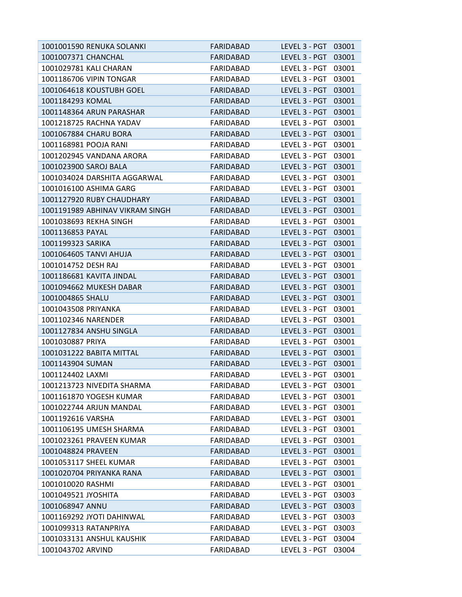| 1001001590 RENUKA SOLANKI NAMA DALAM SOLA | FARIDABAD        | LEVEL 3 - PGT 03001           |                |
|-------------------------------------------|------------------|-------------------------------|----------------|
| 1001007371 CHANCHAL                       | FARIDABAD        | LEVEL 3 - PGT 03001           |                |
| 1001029781 KALI CHARAN                    | FARIDABAD        | LEVEL 3 - PGT 03001           |                |
| 1001186706 VIPIN TONGAR                   | FARIDABAD        | LEVEL 3 - PGT 03001           |                |
| 1001064618 KOUSTUBH GOEL                  | <b>FARIDABAD</b> | LEVEL 3 - PGT 03001           |                |
| 1001184293 KOMAL                          | <b>FARIDABAD</b> | LEVEL 3 - PGT 03001           |                |
| 1001148364 ARUN PARASHAR                  | <b>FARIDABAD</b> | LEVEL 3 - PGT 03001           |                |
| 1001218725 RACHNA YADAV                   | FARIDABAD        | LEVEL 3 - PGT 03001           |                |
| 1001067884 CHARU BORA                     | FARIDABAD        | LEVEL 3 - PGT 03001           |                |
| 1001168981 POOJA RANI                     | FARIDABAD        | LEVEL 3 - PGT 03001           |                |
| 1001202945 VANDANA ARORA                  | FARIDABAD        | LEVEL 3 - PGT 03001           |                |
| 1001023900 SAROJ BALA                     | FARIDABAD        | LEVEL 3 - PGT 03001           |                |
| 1001034024 DARSHITA AGGARWAL              | FARIDABAD        | LEVEL 3 - PGT 03001           |                |
| 1001016100 ASHIMA GARG                    | FARIDABAD        | LEVEL 3 - PGT 03001           |                |
| 1001127920 RUBY CHAUDHARY                 | <b>FARIDABAD</b> | LEVEL 3 - PGT 03001           |                |
| 1001191989 ABHINAV VIKRAM SINGH           | <b>FARIDABAD</b> | LEVEL 3 - PGT 03001           |                |
| 1001038693 REKHA SINGH                    | FARIDABAD        | LEVEL 3 - PGT 03001           |                |
| 1001136853 PAYAL                          | <b>FARIDABAD</b> | LEVEL 3 - PGT 03001           |                |
| 1001199323 SARIKA                         | <b>FARIDABAD</b> | LEVEL 3 - PGT 03001           |                |
| 1001064605 TANVI AHUJA                    |                  | FARIDABAD LEVEL 3 - PGT 03001 |                |
| 1001014752 DESH RAJ                       | FARIDABAD        | LEVEL 3 - PGT 03001           |                |
| 1001186681 KAVITA JINDAL                  | FARIDABAD        | LEVEL 3 - PGT 03001           |                |
| 1001094662 MUKESH DABAR                   | <b>FARIDABAD</b> | LEVEL 3 - PGT 03001           |                |
| 1001004865 SHALU                          | FARIDABAD        | LEVEL 3 - PGT 03001           |                |
| 1001043508 PRIYANKA                       | FARIDABAD        | LEVEL 3 - PGT 03001           |                |
| 1001102346 NARENDER                       | FARIDABAD        | LEVEL 3 - PGT 03001           |                |
| 1001127834 ANSHU SINGLA                   | <b>FARIDABAD</b> | LEVEL 3 - PGT 03001           |                |
| 1001030887 PRIYA                          | FARIDABAD        | LEVEL 3 - PGT 03001           |                |
| 1001031222 BABITA MITTAL                  | FARIDABAD        | LEVEL 3 - PGT 03001           |                |
| 1001143904 SUMAN                          | <b>FARIDABAD</b> | LEVEL 3 - PGT 03001           |                |
| 1001124402 LAXMI                          | FARIDABAD        | LEVEL 3 - PGT 03001           |                |
| 1001213723 NIVEDITA SHARMA                | FARIDABAD        | LEVEL 3 - PGT                 | 03001          |
| 1001161870 YOGESH KUMAR                   | FARIDABAD        | LEVEL 3 - PGT                 | 03001          |
| 1001022744 ARJUN MANDAL                   | FARIDABAD        | LEVEL 3 - PGT                 | 03001          |
| 1001192616 VARSHA                         | FARIDABAD        | LEVEL 3 - PGT                 | 03001          |
| 1001106195 UMESH SHARMA                   | FARIDABAD        | LEVEL 3 - PGT                 | 03001          |
| 1001023261 PRAVEEN KUMAR                  | FARIDABAD        | LEVEL 3 - PGT                 | 03001          |
| 1001048824 PRAVEEN                        | FARIDABAD        | LEVEL 3 - PGT                 | 03001          |
| 1001053117 SHEEL KUMAR                    | FARIDABAD        | LEVEL 3 - PGT                 | 03001          |
| 1001020704 PRIYANKA RANA                  | <b>FARIDABAD</b> | LEVEL 3 - PGT                 | 03001          |
| 1001010020 RASHMI                         | FARIDABAD        | LEVEL 3 - PGT                 | 03001          |
| 1001049521 JYOSHITA                       | FARIDABAD        | LEVEL 3 - PGT                 | 03003          |
| 1001068947 ANNU                           | <b>FARIDABAD</b> | LEVEL 3 - PGT                 | 03003          |
| 1001169292 JYOTI DAHINWAL                 | FARIDABAD        | LEVEL 3 - PGT                 | 03003          |
| 1001099313 RATANPRIYA                     | FARIDABAD        | LEVEL 3 - PGT                 | 03003<br>03004 |
| 1001033131 ANSHUL KAUSHIK                 | FARIDABAD        | LEVEL 3 - PGT                 |                |
| 1001043702 ARVIND                         | FARIDABAD        | LEVEL 3 - PGT                 | 03004          |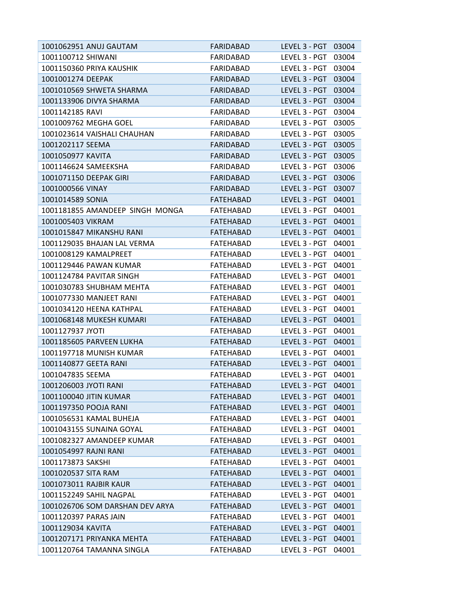| 1001062951 ANUJ GAUTAM          | FARIDABAD        | LEVEL 3 - PGT 03004 |       |
|---------------------------------|------------------|---------------------|-------|
| 1001100712 SHIWANI              | FARIDABAD        | LEVEL 3 - PGT 03004 |       |
| 1001150360 PRIYA KAUSHIK        | FARIDABAD        | LEVEL 3 - PGT 03004 |       |
| 1001001274 DEEPAK               | FARIDABAD        | LEVEL 3 - PGT 03004 |       |
| 1001010569 SHWETA SHARMA        | FARIDABAD        | LEVEL 3 - PGT 03004 |       |
| 1001133906 DIVYA SHARMA         | <b>FARIDABAD</b> | LEVEL 3 - PGT 03004 |       |
| 1001142185 RAVI                 | FARIDABAD        | LEVEL 3 - PGT 03004 |       |
| 1001009762 MEGHA GOEL           | FARIDABAD        | LEVEL 3 - PGT 03005 |       |
| 1001023614 VAISHALI CHAUHAN     | FARIDABAD        | LEVEL 3 - PGT 03005 |       |
| 1001202117 SEEMA                | FARIDABAD        | LEVEL 3 - PGT 03005 |       |
| 1001050977 KAVITA               | <b>FARIDABAD</b> | LEVEL 3 - PGT 03005 |       |
| 1001146624 SAMEEKSHA            | FARIDABAD        | LEVEL 3 - PGT 03006 |       |
| 1001071150 DEEPAK GIRI          | <b>FARIDABAD</b> | LEVEL 3 - PGT 03006 |       |
| 1001000566 VINAY                | FARIDABAD        | LEVEL 3 - PGT 03007 |       |
| 1001014589 SONIA                | FATEHABAD        | LEVEL 3 - PGT 04001 |       |
| 1001181855 AMANDEEP SINGH MONGA | FATEHABAD        | LEVEL 3 - PGT 04001 |       |
| 1001005403 VIKRAM               | FATEHABAD        | LEVEL 3 - PGT 04001 |       |
| 1001015847 MIKANSHU RANI        | FATEHABAD        | LEVEL 3 - PGT 04001 |       |
| 1001129035 BHAJAN LAL VERMA     | FATEHABAD        | LEVEL 3 - PGT 04001 |       |
| 1001008129 KAMALPREET           | FATEHABAD        | LEVEL 3 - PGT 04001 |       |
| 1001129446 PAWAN KUMAR          | FATEHABAD        | LEVEL 3 - PGT 04001 |       |
| 1001124784 PAVITAR SINGH        | FATEHABAD        | LEVEL 3 - PGT 04001 |       |
| 1001030783 SHUBHAM MEHTA        | FATEHABAD        | LEVEL 3 - PGT 04001 |       |
| 1001077330 MANJEET RANI         | FATEHABAD        | LEVEL 3 - PGT 04001 |       |
| 1001034120 HEENA KATHPAL        | FATEHABAD        | LEVEL 3 - PGT 04001 |       |
| 1001068148 MUKESH KUMARI        | FATEHABAD        | LEVEL 3 - PGT 04001 |       |
| 1001127937 JYOTI                | FATEHABAD        | LEVEL 3 - PGT 04001 |       |
| 1001185605 PARVEEN LUKHA        | FATEHABAD        | LEVEL 3 - PGT 04001 |       |
| 1001197718 MUNISH KUMAR         | FATEHABAD        | LEVEL 3 - PGT 04001 |       |
| 1001140877 GEETA RANI           | FATEHABAD        | LEVEL 3 - PGT 04001 |       |
| 1001047835 SEEMA                | FATEHABAD        | LEVEL 3 - PGT 04001 |       |
| 1001206003 JYOTI RANI           | FATEHABAD        | LEVEL 3 - PGT       | 04001 |
| 1001100040 JITIN KUMAR          | FATEHABAD        | LEVEL 3 - PGT       | 04001 |
| 1001197350 POOJA RANI           | FATEHABAD        | LEVEL 3 - PGT       | 04001 |
| 1001056531 KAMAL BUHEJA         | FATEHABAD        | LEVEL 3 - PGT       | 04001 |
| 1001043155 SUNAINA GOYAL        | FATEHABAD        | LEVEL 3 - PGT       | 04001 |
| 1001082327 AMANDEEP KUMAR       | FATEHABAD        | LEVEL 3 - PGT       | 04001 |
| 1001054997 RAJNI RANI           | FATEHABAD        | LEVEL 3 - PGT       | 04001 |
| 1001173873 SAKSHI               | FATEHABAD        | LEVEL 3 - PGT       | 04001 |
| 1001020537 SITA RAM             | FATEHABAD        | LEVEL 3 - PGT       | 04001 |
| 1001073011 RAJBIR KAUR          | FATEHABAD        | LEVEL 3 - PGT       | 04001 |
| 1001152249 SAHIL NAGPAL         | FATEHABAD        | LEVEL 3 - PGT       | 04001 |
| 1001026706 SOM DARSHAN DEV ARYA | FATEHABAD        | LEVEL 3 - PGT       | 04001 |
| 1001120397 PARAS JAIN           | FATEHABAD        | LEVEL 3 - PGT       | 04001 |
| 1001129034 KAVITA               | FATEHABAD        | LEVEL 3 - PGT       | 04001 |
| 1001207171 PRIYANKA MEHTA       | FATEHABAD        | LEVEL 3 - PGT       | 04001 |
| 1001120764 TAMANNA SINGLA       | FATEHABAD        | LEVEL 3 - PGT       | 04001 |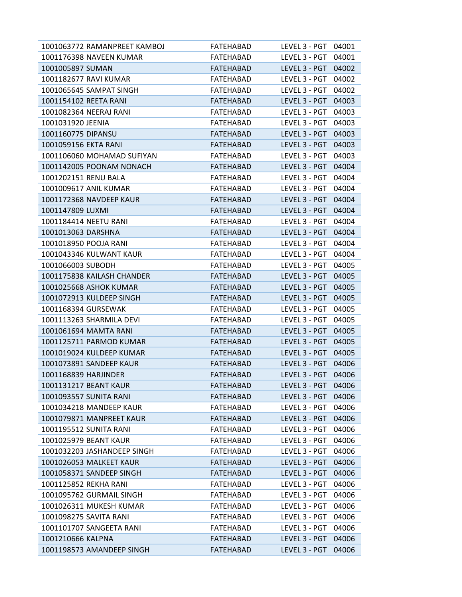| 1001063772 RAMANPREET KAMBOJ | FATEHABAD        | LEVEL 3 - PGT 04001    |
|------------------------------|------------------|------------------------|
| 1001176398 NAVEEN KUMAR      | FATEHABAD        | LEVEL 3 - PGT 04001    |
| 1001005897 SUMAN             | FATEHABAD        | LEVEL 3 - PGT 04002    |
| 1001182677 RAVI KUMAR        | FATEHABAD        | LEVEL 3 - PGT 04002    |
| 1001065645 SAMPAT SINGH      | FATEHABAD        | LEVEL 3 - PGT 04002    |
| 1001154102 REETA RANI        | FATEHABAD        | LEVEL 3 - PGT 04003    |
| 1001082364 NEERAJ RANI       | FATEHABAD        | LEVEL 3 - PGT 04003    |
| 1001031920 JEENIA            | FATEHABAD        | LEVEL 3 - PGT 04003    |
| 1001160775 DIPANSU           | FATEHABAD        | LEVEL 3 - PGT 04003    |
| 1001059156 EKTA RANI         | FATEHABAD        | LEVEL 3 - PGT 04003    |
| 1001106060 MOHAMAD SUFIYAN   | FATEHABAD        | LEVEL 3 - PGT 04003    |
| 1001142005 POONAM NONACH     | FATEHABAD        | LEVEL 3 - PGT 04004    |
| 1001202151 RENU BALA         | FATEHABAD        | LEVEL 3 - PGT 04004    |
| 1001009617 ANIL KUMAR        | FATEHABAD        | LEVEL 3 - PGT 04004    |
| 1001172368 NAVDEEP KAUR      | FATEHABAD        | LEVEL 3 - PGT 04004    |
| 1001147809 LUXMI             | FATEHABAD        | LEVEL 3 - PGT 04004    |
| 1001184414 NEETU RANI        | FATEHABAD        | LEVEL 3 - PGT 04004    |
| 1001013063 DARSHNA           | FATEHABAD        | LEVEL 3 - PGT 04004    |
| 1001018950 POOJA RANI        | FATEHABAD        | LEVEL 3 - PGT 04004    |
| 1001043346 KULWANT KAUR      | FATEHABAD        | LEVEL 3 - PGT 04004    |
| 1001066003 SUBODH            | FATEHABAD        | LEVEL 3 - PGT 04005    |
| 1001175838 KAILASH CHANDER   | FATEHABAD        | LEVEL 3 - PGT 04005    |
| 1001025668 ASHOK KUMAR       | FATEHABAD        | LEVEL 3 - PGT 04005    |
| 1001072913 KULDEEP SINGH     | FATEHABAD        | LEVEL 3 - PGT 04005    |
| 1001168394 GURSEWAK          | FATEHABAD        | LEVEL 3 - PGT 04005    |
| 1001113263 SHARMILA DEVI     | FATEHABAD        | LEVEL 3 - PGT 04005    |
| 1001061694 MAMTA RANI        | FATEHABAD        | LEVEL 3 - PGT 04005    |
| 1001125711 PARMOD KUMAR      | FATEHABAD        | LEVEL 3 - PGT 04005    |
| 1001019024 KULDEEP KUMAR     | FATEHABAD        | LEVEL 3 - PGT 04005    |
| 1001073891 SANDEEP KAUR      | FATEHABAD        | LEVEL 3 - PGT 04006    |
| 1001168839 HARJINDER         | FATEHABAD        | LEVEL 3 - PGT 04006    |
| 1001131217 BEANT KAUR        | FATEHABAD        | 04006<br>LEVEL 3 - PGT |
| 1001093557 SUNITA RANI       | <b>FATEHABAD</b> | 04006<br>LEVEL 3 - PGT |
| 1001034218 MANDEEP KAUR      | FATEHABAD        | LEVEL 3 - PGT<br>04006 |
| 1001079871 MANPREET KAUR     | FATEHABAD        | LEVEL 3 - PGT<br>04006 |
| 1001195512 SUNITA RANI       | FATEHABAD        | LEVEL 3 - PGT<br>04006 |
| 1001025979 BEANT KAUR        | FATEHABAD        | 04006<br>LEVEL 3 - PGT |
| 1001032203 JASHANDEEP SINGH  | FATEHABAD        | 04006<br>LEVEL 3 - PGT |
| 1001026053 MALKEET KAUR      | FATEHABAD        | LEVEL 3 - PGT<br>04006 |
| 1001058371 SANDEEP SINGH     | <b>FATEHABAD</b> | LEVEL 3 - PGT<br>04006 |
| 1001125852 REKHA RANI        | FATEHABAD        | LEVEL 3 - PGT<br>04006 |
| 1001095762 GURMAIL SINGH     | FATEHABAD        | LEVEL 3 - PGT<br>04006 |
| 1001026311 MUKESH KUMAR      | FATEHABAD        | 04006<br>LEVEL 3 - PGT |
| 1001098275 SAVITA RANI       | FATEHABAD        | LEVEL 3 - PGT<br>04006 |
| 1001101707 SANGEETA RANI     | FATEHABAD        | LEVEL 3 - PGT<br>04006 |
| 1001210666 KALPNA            | FATEHABAD        | LEVEL 3 - PGT<br>04006 |
| 1001198573 AMANDEEP SINGH    | FATEHABAD        | LEVEL 3 - PGT<br>04006 |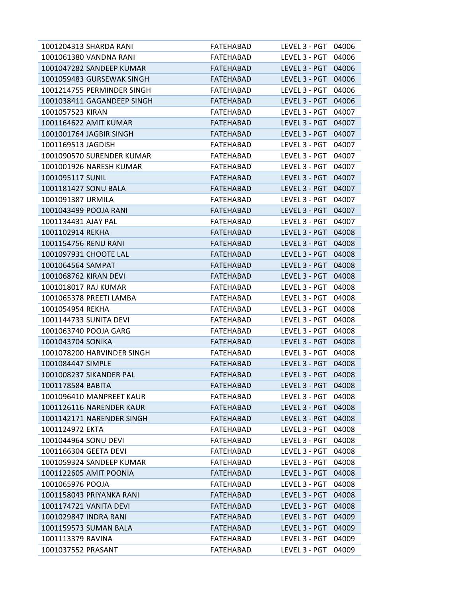| 1001204313 SHARDA RANI     | FATEHABAD        | LEVEL 3 - PGT 04006    |
|----------------------------|------------------|------------------------|
| 1001061380 VANDNA RANI     | FATEHABAD        | LEVEL 3 - PGT 04006    |
| 1001047282 SANDEEP KUMAR   | FATEHABAD        | LEVEL 3 - PGT 04006    |
| 1001059483 GURSEWAK SINGH  | FATEHABAD        | LEVEL 3 - PGT 04006    |
| 1001214755 PERMINDER SINGH | FATEHABAD        | LEVEL 3 - PGT 04006    |
| 1001038411 GAGANDEEP SINGH | FATEHABAD        | LEVEL 3 - PGT 04006    |
| 1001057523 KIRAN           | FATEHABAD        | LEVEL 3 - PGT 04007    |
| 1001164622 AMIT KUMAR      | FATEHABAD        | LEVEL 3 - PGT 04007    |
| 1001001764 JAGBIR SINGH    | FATEHABAD        | LEVEL 3 - PGT 04007    |
| 1001169513 JAGDISH         | FATEHABAD        | LEVEL 3 - PGT 04007    |
| 1001090570 SURENDER KUMAR  | FATEHABAD        | LEVEL 3 - PGT 04007    |
| 1001001926 NARESH KUMAR    | FATEHABAD        | LEVEL 3 - PGT 04007    |
| 1001095117 SUNIL           | FATEHABAD        | LEVEL 3 - PGT 04007    |
| 1001181427 SONU BALA       | FATEHABAD        | LEVEL 3 - PGT 04007    |
| 1001091387 URMILA          | FATEHABAD        | LEVEL 3 - PGT 04007    |
| 1001043499 POOJA RANI      | FATEHABAD        | LEVEL 3 - PGT 04007    |
| 1001134431 AJAY PAL        | FATEHABAD        | LEVEL 3 - PGT 04007    |
| 1001102914 REKHA           | FATEHABAD        | LEVEL 3 - PGT 04008    |
| 1001154756 RENU RANI       | FATEHABAD        | LEVEL 3 - PGT 04008    |
| 1001097931 CHOOTE LAL      | FATEHABAD        | LEVEL 3 - PGT 04008    |
| 1001064564 SAMPAT          | FATEHABAD        | LEVEL 3 - PGT 04008    |
| 1001068762 KIRAN DEVI      | FATEHABAD        | LEVEL 3 - PGT 04008    |
| 1001018017 RAJ KUMAR       | FATEHABAD        | LEVEL 3 - PGT 04008    |
| 1001065378 PREETI LAMBA    | FATEHABAD        | LEVEL 3 - PGT 04008    |
| 1001054954 REKHA           | FATEHABAD        | LEVEL 3 - PGT 04008    |
| 1001144733 SUNITA DEVI     | FATEHABAD        | LEVEL 3 - PGT 04008    |
| 1001063740 POOJA GARG      | FATEHABAD        | LEVEL 3 - PGT 04008    |
| 1001043704 SONIKA          | FATEHABAD        | LEVEL 3 - PGT 04008    |
| 1001078200 HARVINDER SINGH | FATEHABAD        | LEVEL 3 - PGT 04008    |
| 1001084447 SIMPLE          | <b>FATEHABAD</b> | LEVEL 3 - PGT 04008    |
| 1001008237 SIKANDER PAL    | FATEHABAD        | LEVEL 3 - PGT 04008    |
| 1001178584 BABITA          | FATEHABAD        | LEVEL 3 - PGT<br>04008 |
| 1001096410 MANPREET KAUR   | FATEHABAD        | 04008<br>LEVEL 3 - PGT |
| 1001126116 NARENDER KAUR   | FATEHABAD        | LEVEL 3 - PGT<br>04008 |
| 1001142171 NARENDER SINGH  | FATEHABAD        | LEVEL 3 - PGT<br>04008 |
| 1001124972 EKTA            | FATEHABAD        | LEVEL 3 - PGT<br>04008 |
| 1001044964 SONU DEVI       | FATEHABAD        | 04008<br>LEVEL 3 - PGT |
| 1001166304 GEETA DEVI      | FATEHABAD        | 04008<br>LEVEL 3 - PGT |
| 1001059324 SANDEEP KUMAR   | FATEHABAD        | LEVEL 3 - PGT<br>04008 |
| 1001122605 AMIT POONIA     | FATEHABAD        | LEVEL 3 - PGT<br>04008 |
| 1001065976 POOJA           | FATEHABAD        | LEVEL 3 - PGT<br>04008 |
| 1001158043 PRIYANKA RANI   | FATEHABAD        | LEVEL 3 - PGT<br>04008 |
| 1001174721 VANITA DEVI     | FATEHABAD        | LEVEL 3 - PGT<br>04008 |
| 1001029847 INDRA RANI      | FATEHABAD        | LEVEL 3 - PGT<br>04009 |
| 1001159573 SUMAN BALA      | FATEHABAD        | LEVEL 3 - PGT<br>04009 |
| 1001113379 RAVINA          | FATEHABAD        | 04009<br>LEVEL 3 - PGT |
| 1001037552 PRASANT         | FATEHABAD        | LEVEL 3 - PGT<br>04009 |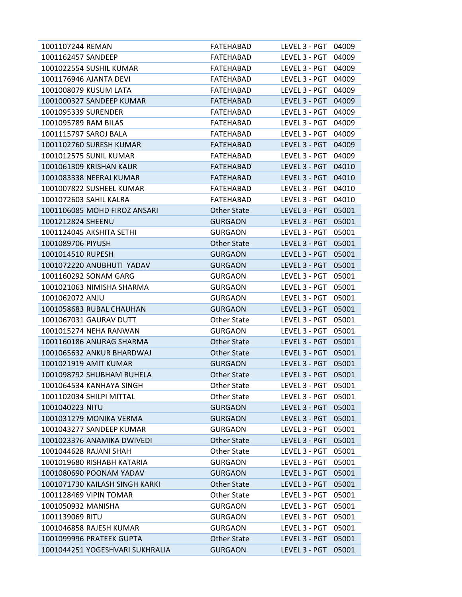| 1001107244 REMAN                | FATEHABAD          | LEVEL 3 - PGT 04009    |
|---------------------------------|--------------------|------------------------|
| 1001162457 SANDEEP              | FATEHABAD          | LEVEL 3 - PGT 04009    |
| 1001022554 SUSHIL KUMAR         | FATEHABAD          | LEVEL 3 - PGT 04009    |
| 1001176946 AJANTA DEVI          | FATEHABAD          | LEVEL 3 - PGT 04009    |
| 1001008079 KUSUM LATA           | FATEHABAD          | LEVEL 3 - PGT 04009    |
| 1001000327 SANDEEP KUMAR        | FATEHABAD          | LEVEL 3 - PGT 04009    |
| 1001095339 SURENDER             | FATEHABAD          | LEVEL 3 - PGT 04009    |
| 1001095789 RAM BILAS            | FATEHABAD          | LEVEL 3 - PGT 04009    |
| 1001115797 SAROJ BALA           | FATEHABAD          | LEVEL 3 - PGT 04009    |
| 1001102760 SURESH KUMAR         | FATEHABAD          | LEVEL 3 - PGT 04009    |
| 1001012575 SUNIL KUMAR          | FATEHABAD          | LEVEL 3 - PGT 04009    |
| 1001061309 KRISHAN KAUR         | FATEHABAD          | LEVEL 3 - PGT 04010    |
| 1001083338 NEERAJ KUMAR         | FATEHABAD          | LEVEL 3 - PGT 04010    |
| 1001007822 SUSHEEL KUMAR        | FATEHABAD          | LEVEL 3 - PGT 04010    |
| 1001072603 SAHIL KALRA          | FATEHABAD          | LEVEL 3 - PGT 04010    |
| 1001106085 MOHD FIROZ ANSARI    | Other State        | LEVEL 3 - PGT 05001    |
| 1001212824 SHEENU               | <b>GURGAON</b>     | LEVEL 3 - PGT 05001    |
| 1001124045 AKSHITA SETHI        | GURGAON            | LEVEL 3 - PGT 05001    |
| 1001089706 PIYUSH               | Other State        | LEVEL 3 - PGT 05001    |
| 1001014510 RUPESH               | <b>GURGAON</b>     | LEVEL 3 - PGT 05001    |
| 1001072220 ANUBHUTI YADAV       | <b>GURGAON</b>     | LEVEL 3 - PGT 05001    |
| 1001160292 SONAM GARG           | <b>GURGAON</b>     | LEVEL 3 - PGT 05001    |
| 1001021063 NIMISHA SHARMA       | <b>GURGAON</b>     | LEVEL 3 - PGT 05001    |
| 1001062072 ANJU                 | <b>GURGAON</b>     | LEVEL 3 - PGT 05001    |
| 1001058683 RUBAL CHAUHAN        | <b>GURGAON</b>     | LEVEL 3 - PGT 05001    |
| 1001067031 GAURAV DUTT          | Other State        | LEVEL 3 - PGT 05001    |
| 1001015274 NEHA RANWAN          | <b>GURGAON</b>     | LEVEL 3 - PGT 05001    |
| 1001160186 ANURAG SHARMA        | Other State        | LEVEL 3 - PGT 05001    |
| 1001065632 ANKUR BHARDWAJ       | Other State        | LEVEL 3 - PGT 05001    |
| 1001021919 AMIT KUMAR           | GURGAON            | LEVEL 3 - PGT 05001    |
| 1001098792 SHUBHAM RUHELA       | <b>Other State</b> | LEVEL 3 - PGT 05001    |
| 1001064534 KANHAYA SINGH        | <b>Other State</b> | LEVEL 3 - PGT<br>05001 |
| 1001102034 SHILPI MITTAL        | <b>Other State</b> | LEVEL 3 - PGT<br>05001 |
| 1001040223 NITU                 | <b>GURGAON</b>     | LEVEL 3 - PGT<br>05001 |
| 1001031279 MONIKA VERMA         | <b>GURGAON</b>     | 05001<br>LEVEL 3 - PGT |
| 1001043277 SANDEEP KUMAR        | <b>GURGAON</b>     | LEVEL 3 - PGT<br>05001 |
| 1001023376 ANAMIKA DWIVEDI      | <b>Other State</b> | 05001<br>LEVEL 3 - PGT |
| 1001044628 RAJANI SHAH          | <b>Other State</b> | LEVEL 3 - PGT<br>05001 |
| 1001019680 RISHABH KATARIA      | <b>GURGAON</b>     | LEVEL 3 - PGT<br>05001 |
| 1001080690 POONAM YADAV         | <b>GURGAON</b>     | LEVEL 3 - PGT<br>05001 |
| 1001071730 KAILASH SINGH KARKI  | <b>Other State</b> | LEVEL 3 - PGT<br>05001 |
| 1001128469 VIPIN TOMAR          | <b>Other State</b> | LEVEL 3 - PGT<br>05001 |
| 1001050932 MANISHA              | <b>GURGAON</b>     | LEVEL 3 - PGT<br>05001 |
| 1001139069 RITU                 | <b>GURGAON</b>     | LEVEL 3 - PGT<br>05001 |
| 1001046858 RAJESH KUMAR         | <b>GURGAON</b>     | LEVEL 3 - PGT<br>05001 |
| 1001099996 PRATEEK GUPTA        | <b>Other State</b> | 05001<br>LEVEL 3 - PGT |
| 1001044251 YOGESHVARI SUKHRALIA | <b>GURGAON</b>     | LEVEL 3 - PGT<br>05001 |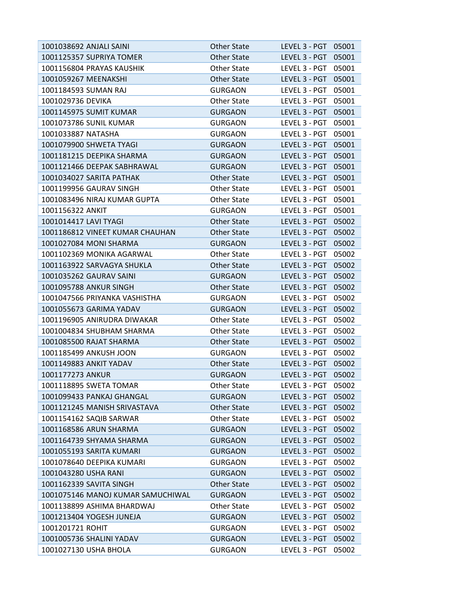| 1001038692 ANJALI SAINI           | <b>Other State</b> | LEVEL 3 - PGT 05001 |       |
|-----------------------------------|--------------------|---------------------|-------|
| 1001125357 SUPRIYA TOMER          | Other State        | LEVEL 3 - PGT 05001 |       |
| 1001156804 PRAYAS KAUSHIK         | Other State        | LEVEL 3 - PGT 05001 |       |
| 1001059267 MEENAKSHI              | Other State        | LEVEL 3 - PGT 05001 |       |
| 1001184593 SUMAN RAJ              | <b>GURGAON</b>     | LEVEL 3 - PGT 05001 |       |
| 1001029736 DEVIKA                 | Other State        | LEVEL 3 - PGT 05001 |       |
| 1001145975 SUMIT KUMAR            | <b>GURGAON</b>     | LEVEL 3 - PGT 05001 |       |
| 1001073786 SUNIL KUMAR            | <b>GURGAON</b>     | LEVEL 3 - PGT 05001 |       |
| 1001033887 NATASHA                | <b>GURGAON</b>     | LEVEL 3 - PGT 05001 |       |
| 1001079900 SHWETA TYAGI           | <b>GURGAON</b>     | LEVEL 3 - PGT 05001 |       |
| 1001181215 DEEPIKA SHARMA         | <b>GURGAON</b>     | LEVEL 3 - PGT 05001 |       |
| 1001121466 DEEPAK SABHRAWAL       | <b>GURGAON</b>     | LEVEL 3 - PGT 05001 |       |
| 1001034027 SARITA PATHAK          | Other State        | LEVEL 3 - PGT 05001 |       |
| 1001199956 GAURAV SINGH           | Other State        | LEVEL 3 - PGT 05001 |       |
| 1001083496 NIRAJ KUMAR GUPTA      | Other State        | LEVEL 3 - PGT 05001 |       |
| 1001156322 ANKIT                  | <b>GURGAON</b>     | LEVEL 3 - PGT 05001 |       |
| 1001014417 LAVI TYAGI             | Other State        | LEVEL 3 - PGT 05002 |       |
| 1001186812 VINEET KUMAR CHAUHAN   | Other State        | LEVEL 3 - PGT 05002 |       |
| 1001027084 MONI SHARMA            | <b>GURGAON</b>     | LEVEL 3 - PGT 05002 |       |
| 1001102369 MONIKA AGARWAL         | Other State        | LEVEL 3 - PGT 05002 |       |
| 1001163922 SARVAGYA SHUKLA        | Other State        | LEVEL 3 - PGT 05002 |       |
| 1001035262 GAURAV SAINI           | <b>GURGAON</b>     | LEVEL 3 - PGT 05002 |       |
| 1001095788 ANKUR SINGH            | Other State        | LEVEL 3 - PGT 05002 |       |
| 1001047566 PRIYANKA VASHISTHA     | GURGAON            | LEVEL 3 - PGT 05002 |       |
| 1001055673 GARIMA YADAV           | <b>GURGAON</b>     | LEVEL 3 - PGT 05002 |       |
| 1001196905 ANIRUDRA DIWAKAR       | Other State        | LEVEL 3 - PGT 05002 |       |
| 1001004834 SHUBHAM SHARMA         | Other State        | LEVEL 3 - PGT 05002 |       |
| 1001085500 RAJAT SHARMA           | Other State        | LEVEL 3 - PGT 05002 |       |
| 1001185499 ANKUSH JOON            | <b>GURGAON</b>     | LEVEL 3 - PGT 05002 |       |
| 1001149883 ANKIT YADAV            | Other State        | LEVEL 3 - PGT 05002 |       |
| 1001177273 ANKUR                  | <b>GURGAON</b>     | LEVEL 3 - PGT 05002 |       |
| 1001118895 SWETA TOMAR            | <b>Other State</b> | LEVEL 3 - PGT       | 05002 |
| 1001099433 PANKAJ GHANGAL         | <b>GURGAON</b>     | LEVEL 3 - PGT       | 05002 |
| 1001121245 MANISH SRIVASTAVA      | <b>Other State</b> | LEVEL 3 - PGT       | 05002 |
| 1001154162 SAQIB SARWAR           | <b>Other State</b> | LEVEL 3 - PGT       | 05002 |
| 1001168586 ARUN SHARMA            | <b>GURGAON</b>     | LEVEL 3 - PGT       | 05002 |
| 1001164739 SHYAMA SHARMA          | <b>GURGAON</b>     | LEVEL 3 - PGT       | 05002 |
| 1001055193 SARITA KUMARI          | <b>GURGAON</b>     | LEVEL 3 - PGT       | 05002 |
| 1001078640 DEEPIKA KUMARI         | <b>GURGAON</b>     | LEVEL 3 - PGT       | 05002 |
| 1001043280 USHA RANI              | <b>GURGAON</b>     | LEVEL 3 - PGT       | 05002 |
| 1001162339 SAVITA SINGH           | <b>Other State</b> | LEVEL 3 - PGT       | 05002 |
| 1001075146 MANOJ KUMAR SAMUCHIWAL | <b>GURGAON</b>     | LEVEL 3 - PGT       | 05002 |
| 1001138899 ASHIMA BHARDWAJ        | <b>Other State</b> | LEVEL 3 - PGT       | 05002 |
| 1001213404 YOGESH JUNEJA          | <b>GURGAON</b>     | LEVEL 3 - PGT       | 05002 |
| 1001201721 ROHIT                  | <b>GURGAON</b>     | LEVEL 3 - PGT       | 05002 |
| 1001005736 SHALINI YADAV          | <b>GURGAON</b>     | LEVEL 3 - PGT       | 05002 |
| 1001027130 USHA BHOLA             | <b>GURGAON</b>     | LEVEL 3 - PGT 05002 |       |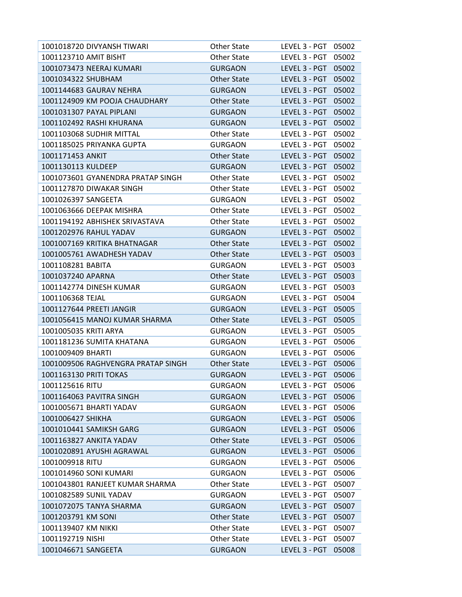| 1001018720 DIVYANSH TIWARI         | <b>Other State</b> | LEVEL 3 - PGT 05002 |       |
|------------------------------------|--------------------|---------------------|-------|
| 1001123710 AMIT BISHT              | Other State        | LEVEL 3 - PGT 05002 |       |
| 1001073473 NEERAJ KUMARI           | <b>GURGAON</b>     | LEVEL 3 - PGT 05002 |       |
| 1001034322 SHUBHAM                 | Other State        | LEVEL 3 - PGT 05002 |       |
| 1001144683 GAURAV NEHRA            | <b>GURGAON</b>     | LEVEL 3 - PGT 05002 |       |
| 1001124909 KM POOJA CHAUDHARY      | Other State        | LEVEL 3 - PGT 05002 |       |
| 1001031307 PAYAL PIPLANI           | GURGAON            | LEVEL 3 - PGT 05002 |       |
| 1001102492 RASHI KHURANA           | GURGAON            | LEVEL 3 - PGT 05002 |       |
| 1001103068 SUDHIR MITTAL           | Other State        | LEVEL 3 - PGT 05002 |       |
| 1001185025 PRIYANKA GUPTA          | GURGAON            | LEVEL 3 - PGT 05002 |       |
| 1001171453 ANKIT                   | Other State        | LEVEL 3 - PGT 05002 |       |
| 1001130113 KULDEEP                 | <b>GURGAON</b>     | LEVEL 3 - PGT 05002 |       |
| 1001073601 GYANENDRA PRATAP SINGH  | Other State        | LEVEL 3 - PGT 05002 |       |
| 1001127870 DIWAKAR SINGH           | Other State        | LEVEL 3 - PGT 05002 |       |
| 1001026397 SANGEETA                | <b>GURGAON</b>     | LEVEL 3 - PGT 05002 |       |
| 1001063666 DEEPAK MISHRA           | Other State        | LEVEL 3 - PGT 05002 |       |
| 1001194192 ABHISHEK SRIVASTAVA     | Other State        | LEVEL 3 - PGT 05002 |       |
| 1001202976 RAHUL YADAV             | GURGAON            | LEVEL 3 - PGT 05002 |       |
| 1001007169 KRITIKA BHATNAGAR       | Other State        | LEVEL 3 - PGT 05002 |       |
| 1001005761 AWADHESH YADAV          | Other State        | LEVEL 3 - PGT 05003 |       |
| 1001108281 BABITA                  | GURGAON            | LEVEL 3 - PGT 05003 |       |
| 1001037240 APARNA                  | Other State        | LEVEL 3 - PGT 05003 |       |
| 1001142774 DINESH KUMAR            | <b>GURGAON</b>     | LEVEL 3 - PGT 05003 |       |
| 1001106368 TEJAL                   | <b>GURGAON</b>     | LEVEL 3 - PGT 05004 |       |
| 1001127644 PREETI JANGIR           | <b>GURGAON</b>     | LEVEL 3 - PGT 05005 |       |
| 1001056415 MANOJ KUMAR SHARMA      | Other State        | LEVEL 3 - PGT 05005 |       |
| 1001005035 KRITI ARYA              | <b>GURGAON</b>     | LEVEL 3 - PGT 05005 |       |
| 1001181236 SUMITA KHATANA          | <b>GURGAON</b>     | LEVEL 3 - PGT 05006 |       |
| 1001009409 BHARTI                  | <b>GURGAON</b>     | LEVEL 3 - PGT 05006 |       |
| 1001009506 RAGHVENGRA PRATAP SINGH | Other State        | LEVEL 3 - PGT 05006 |       |
| 1001163130 PRITI TOKAS             | <b>GURGAON</b>     | LEVEL 3 - PGT 05006 |       |
| 1001125616 RITU                    | <b>GURGAON</b>     | LEVEL 3 - PGT       | 05006 |
| 1001164063 PAVITRA SINGH           | <b>GURGAON</b>     | LEVEL 3 - PGT       | 05006 |
| 1001005671 BHARTI YADAV            | <b>GURGAON</b>     | LEVEL 3 - PGT       | 05006 |
| 1001006427 SHIKHA                  | <b>GURGAON</b>     | LEVEL 3 - PGT       | 05006 |
| 1001010441 SAMIKSH GARG            | <b>GURGAON</b>     | LEVEL 3 - PGT       | 05006 |
| 1001163827 ANKITA YADAV            | <b>Other State</b> | LEVEL 3 - PGT       | 05006 |
| 1001020891 AYUSHI AGRAWAL          | <b>GURGAON</b>     | LEVEL 3 - PGT       | 05006 |
| 1001009918 RITU                    | <b>GURGAON</b>     | LEVEL 3 - PGT       | 05006 |
| 1001014960 SONI KUMARI             | <b>GURGAON</b>     | LEVEL 3 - PGT       | 05006 |
| 1001043801 RANJEET KUMAR SHARMA    | <b>Other State</b> | LEVEL 3 - PGT       | 05007 |
| 1001082589 SUNIL YADAV             | <b>GURGAON</b>     | LEVEL 3 - PGT       | 05007 |
| 1001072075 TANYA SHARMA            | <b>GURGAON</b>     | LEVEL 3 - PGT       | 05007 |
| 1001203791 KM SONI                 | <b>Other State</b> | LEVEL 3 - PGT       | 05007 |
| 1001139407 KM NIKKI                | <b>Other State</b> | LEVEL 3 - PGT       | 05007 |
| 1001192719 NISHI                   | <b>Other State</b> | LEVEL 3 - PGT       | 05007 |
| 1001046671 SANGEETA                | <b>GURGAON</b>     | LEVEL 3 - PGT       | 05008 |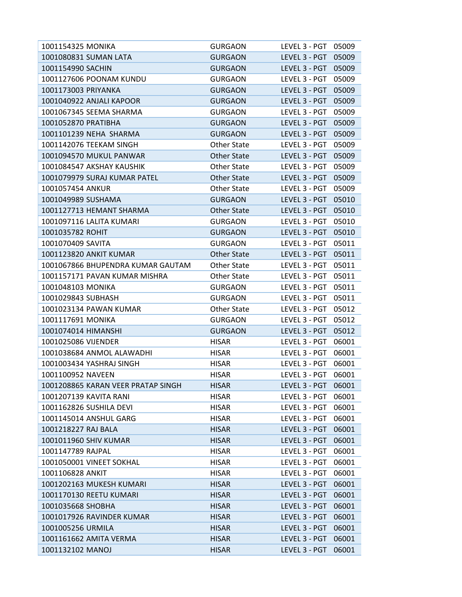| 1001154325 MONIKA                  | <b>GURGAON</b> | LEVEL 3 - PGT 05009 |       |
|------------------------------------|----------------|---------------------|-------|
| 1001080831 SUMAN LATA              | <b>GURGAON</b> | LEVEL 3 - PGT 05009 |       |
| 1001154990 SACHIN                  | <b>GURGAON</b> | LEVEL 3 - PGT 05009 |       |
| 1001127606 POONAM KUNDU            | <b>GURGAON</b> | LEVEL 3 - PGT 05009 |       |
| 1001173003 PRIYANKA                | <b>GURGAON</b> | LEVEL 3 - PGT 05009 |       |
| 1001040922 ANJALI KAPOOR           | <b>GURGAON</b> | LEVEL 3 - PGT 05009 |       |
| 1001067345 SEEMA SHARMA            | <b>GURGAON</b> | LEVEL 3 - PGT 05009 |       |
| 1001052870 PRATIBHA                | <b>GURGAON</b> | LEVEL 3 - PGT 05009 |       |
| 1001101239 NEHA SHARMA             | <b>GURGAON</b> | LEVEL 3 - PGT 05009 |       |
| 1001142076 TEEKAM SINGH            | Other State    | LEVEL 3 - PGT 05009 |       |
| 1001094570 MUKUL PANWAR            | Other State    | LEVEL 3 - PGT 05009 |       |
| 1001084547 AKSHAY KAUSHIK          | Other State    | LEVEL 3 - PGT 05009 |       |
| 1001079979 SURAJ KUMAR PATEL       | Other State    | LEVEL 3 - PGT 05009 |       |
| 1001057454 ANKUR                   | Other State    | LEVEL 3 - PGT 05009 |       |
| 1001049989 SUSHAMA                 | <b>GURGAON</b> | LEVEL 3 - PGT 05010 |       |
| 1001127713 HEMANT SHARMA           | Other State    | LEVEL 3 - PGT 05010 |       |
| 1001097116 LALITA KUMARI           | <b>GURGAON</b> | LEVEL 3 - PGT 05010 |       |
| 1001035782 ROHIT                   | <b>GURGAON</b> | LEVEL 3 - PGT 05010 |       |
| 1001070409 SAVITA                  | <b>GURGAON</b> | LEVEL 3 - PGT 05011 |       |
| 1001123820 ANKIT KUMAR             | Other State    | LEVEL 3 - PGT 05011 |       |
| 1001067866 BHUPENDRA KUMAR GAUTAM  | Other State    | LEVEL 3 - PGT 05011 |       |
| 1001157171 PAVAN KUMAR MISHRA      | Other State    | LEVEL 3 - PGT 05011 |       |
| 1001048103 MONIKA                  | <b>GURGAON</b> | LEVEL 3 - PGT 05011 |       |
| 1001029843 SUBHASH                 | <b>GURGAON</b> | LEVEL 3 - PGT 05011 |       |
| 1001023134 PAWAN KUMAR             | Other State    | LEVEL 3 - PGT 05012 |       |
| 1001117691 MONIKA                  | <b>GURGAON</b> | LEVEL 3 - PGT 05012 |       |
| 1001074014 HIMANSHI                | <b>GURGAON</b> | LEVEL 3 - PGT 05012 |       |
| 1001025086 VIJENDER                | <b>HISAR</b>   | LEVEL 3 - PGT 06001 |       |
| 1001038684 ANMOL ALAWADHI          | <b>HISAR</b>   | LEVEL 3 - PGT 06001 |       |
| 1001003434 YASHRAJ SINGH           | <b>HISAR</b>   | LEVEL 3 - PGT 06001 |       |
| 1001100952 NAVEEN                  | <b>HISAR</b>   | LEVEL 3 - PGT 06001 |       |
| 1001208865 KARAN VEER PRATAP SINGH | <b>HISAR</b>   | LEVEL 3 - PGT       | 06001 |
| 1001207139 KAVITA RANI             | <b>HISAR</b>   | LEVEL 3 - PGT       | 06001 |
| 1001162826 SUSHILA DEVI            | <b>HISAR</b>   | LEVEL 3 - PGT       | 06001 |
| 1001145014 ANSHUL GARG             | <b>HISAR</b>   | LEVEL 3 - PGT       | 06001 |
| 1001218227 RAJ BALA                | <b>HISAR</b>   | LEVEL 3 - PGT       | 06001 |
| 1001011960 SHIV KUMAR              | <b>HISAR</b>   | LEVEL 3 - PGT       | 06001 |
| 1001147789 RAJPAL                  | <b>HISAR</b>   | LEVEL 3 - PGT       | 06001 |
| 1001050001 VINEET SOKHAL           | <b>HISAR</b>   | LEVEL 3 - PGT       | 06001 |
| 1001106828 ANKIT                   | <b>HISAR</b>   | LEVEL 3 - PGT       | 06001 |
| 1001202163 MUKESH KUMARI           | <b>HISAR</b>   | LEVEL 3 - PGT       | 06001 |
| 1001170130 REETU KUMARI            | <b>HISAR</b>   | LEVEL 3 - PGT       | 06001 |
| 1001035668 SHOBHA                  | <b>HISAR</b>   | LEVEL 3 - PGT       | 06001 |
| 1001017926 RAVINDER KUMAR          | <b>HISAR</b>   | LEVEL 3 - PGT       | 06001 |
| 1001005256 URMILA                  | <b>HISAR</b>   | LEVEL 3 - PGT       | 06001 |
| 1001161662 AMITA VERMA             | <b>HISAR</b>   | LEVEL 3 - PGT       | 06001 |
| 1001132102 MANOJ                   | <b>HISAR</b>   | LEVEL 3 - PGT       | 06001 |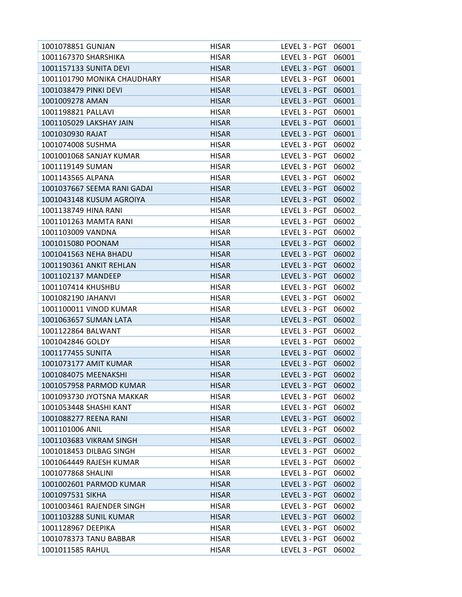| 1001078851 GUNJAN           | <b>HISAR</b> | LEVEL 3 - PGT 06001    |
|-----------------------------|--------------|------------------------|
| 1001167370 SHARSHIKA        | <b>HISAR</b> | LEVEL 3 - PGT 06001    |
| 1001157133 SUNITA DEVI      | <b>HISAR</b> | LEVEL 3 - PGT<br>06001 |
| 1001101790 MONIKA CHAUDHARY | <b>HISAR</b> | LEVEL 3 - PGT<br>06001 |
| 1001038479 PINKI DEVI       | <b>HISAR</b> | LEVEL 3 - PGT 06001    |
| 1001009278 AMAN             | <b>HISAR</b> | LEVEL 3 - PGT<br>06001 |
| 1001198821 PALLAVI          | <b>HISAR</b> | LEVEL 3 - PGT 06001    |
| 1001105029 LAKSHAY JAIN     | <b>HISAR</b> | LEVEL 3 - PGT<br>06001 |
| 1001030930 RAJAT            | <b>HISAR</b> | LEVEL 3 - PGT<br>06001 |
| 1001074008 SUSHMA           | <b>HISAR</b> | LEVEL 3 - PGT 06002    |
| 1001001068 SANJAY KUMAR     | <b>HISAR</b> | LEVEL 3 - PGT<br>06002 |
| 1001119149 SUMAN            | <b>HISAR</b> | LEVEL 3 - PGT 06002    |
| 1001143565 ALPANA           | <b>HISAR</b> | LEVEL 3 - PGT<br>06002 |
| 1001037667 SEEMA RANI GADAI | <b>HISAR</b> | LEVEL 3 - PGT<br>06002 |
| 1001043148 KUSUM AGROIYA    | <b>HISAR</b> | LEVEL 3 - PGT<br>06002 |
| 1001138749 HINA RANI        | <b>HISAR</b> | LEVEL 3 - PGT<br>06002 |
| 1001101263 MAMTA RANI       | <b>HISAR</b> | LEVEL 3 - PGT 06002    |
| 1001103009 VANDNA           | <b>HISAR</b> | LEVEL 3 - PGT<br>06002 |
| 1001015080 POONAM           | <b>HISAR</b> | LEVEL 3 - PGT<br>06002 |
| 1001041563 NEHA BHADU       | <b>HISAR</b> | LEVEL 3 - PGT<br>06002 |
| 1001190361 ANKIT REHLAN     | <b>HISAR</b> | 06002<br>LEVEL 3 - PGT |
| 1001102137 MANDEEP          | <b>HISAR</b> | LEVEL 3 - PGT<br>06002 |
| 1001107414 KHUSHBU          | <b>HISAR</b> | LEVEL 3 - PGT<br>06002 |
| 1001082190 JAHANVI          | <b>HISAR</b> | LEVEL 3 - PGT 06002    |
| 1001100011 VINOD KUMAR      | <b>HISAR</b> | LEVEL 3 - PGT<br>06002 |
| 1001063657 SUMAN LATA       | <b>HISAR</b> | LEVEL 3 - PGT<br>06002 |
| 1001122864 BALWANT          | <b>HISAR</b> | LEVEL 3 - PGT<br>06002 |
| 1001042846 GOLDY            | <b>HISAR</b> | LEVEL 3 - PGT<br>06002 |
| 1001177455 SUNITA           | <b>HISAR</b> | LEVEL 3 - PGT 06002    |
| 1001073177 AMIT KUMAR       | <b>HISAR</b> | LEVEL 3 - PGT 06002    |
| 1001084075 MEENAKSHI        | <b>HISAR</b> | LEVEL 3 - PGT 06002    |
| 1001057958 PARMOD KUMAR     | <b>HISAR</b> | LEVEL 3 - PGT<br>06002 |
| 1001093730 JYOTSNA MAKKAR   | <b>HISAR</b> | 06002<br>LEVEL 3 - PGT |
| 1001053448 SHASHI KANT      | <b>HISAR</b> | LEVEL 3 - PGT<br>06002 |
| 1001088277 REENA RANI       | <b>HISAR</b> | LEVEL 3 - PGT<br>06002 |
| 1001101006 ANIL             | <b>HISAR</b> | LEVEL 3 - PGT<br>06002 |
| 1001103683 VIKRAM SINGH     | <b>HISAR</b> | LEVEL 3 - PGT<br>06002 |
| 1001018453 DILBAG SINGH     | <b>HISAR</b> | 06002<br>LEVEL 3 - PGT |
| 1001064449 RAJESH KUMAR     | <b>HISAR</b> | LEVEL 3 - PGT<br>06002 |
| 1001077868 SHALINI          | <b>HISAR</b> | LEVEL 3 - PGT<br>06002 |
| 1001002601 PARMOD KUMAR     | <b>HISAR</b> | LEVEL 3 - PGT<br>06002 |
| 1001097531 SIKHA            | <b>HISAR</b> | 06002<br>LEVEL 3 - PGT |
| 1001003461 RAJENDER SINGH   | <b>HISAR</b> | LEVEL 3 - PGT<br>06002 |
| 1001103288 SUNIL KUMAR      | <b>HISAR</b> | LEVEL 3 - PGT<br>06002 |
| 1001128967 DEEPIKA          | <b>HISAR</b> | LEVEL 3 - PGT<br>06002 |
| 1001078373 TANU BABBAR      | <b>HISAR</b> | 06002<br>LEVEL 3 - PGT |
| 1001011585 RAHUL            | <b>HISAR</b> | LEVEL 3 - PGT<br>06002 |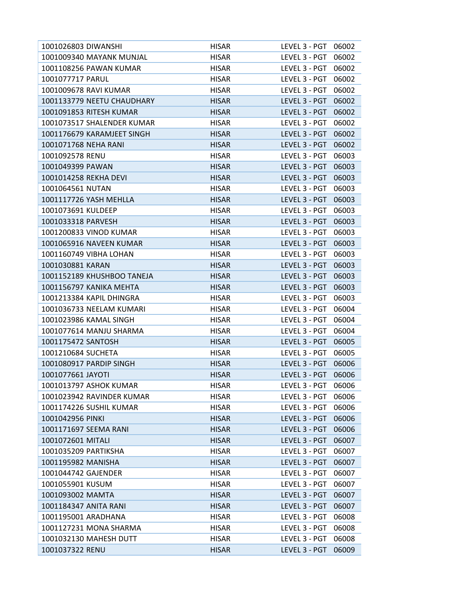| 1001026803 DIWANSHI        | <b>HISAR</b> | LEVEL 3 - PGT<br>06002 |
|----------------------------|--------------|------------------------|
| 1001009340 MAYANK MUNJAL   | <b>HISAR</b> | LEVEL 3 - PGT 06002    |
| 1001108256 PAWAN KUMAR     | <b>HISAR</b> | LEVEL 3 - PGT 06002    |
| 1001077717 PARUL           | <b>HISAR</b> | LEVEL 3 - PGT<br>06002 |
| 1001009678 RAVI KUMAR      | <b>HISAR</b> | LEVEL 3 - PGT 06002    |
| 1001133779 NEETU CHAUDHARY | <b>HISAR</b> | LEVEL 3 - PGT 06002    |
| 1001091853 RITESH KUMAR    | <b>HISAR</b> | LEVEL 3 - PGT 06002    |
| 1001073517 SHALENDER KUMAR | <b>HISAR</b> | LEVEL 3 - PGT<br>06002 |
| 1001176679 KARAMJEET SINGH | <b>HISAR</b> | LEVEL 3 - PGT<br>06002 |
| 1001071768 NEHA RANI       | <b>HISAR</b> | LEVEL 3 - PGT<br>06002 |
| 1001092578 RENU            | <b>HISAR</b> | LEVEL 3 - PGT<br>06003 |
| 1001049399 PAWAN           | <b>HISAR</b> | LEVEL 3 - PGT<br>06003 |
| 1001014258 REKHA DEVI      | <b>HISAR</b> | LEVEL 3 - PGT<br>06003 |
| 1001064561 NUTAN           | <b>HISAR</b> | LEVEL 3 - PGT<br>06003 |
| 1001117726 YASH MEHLLA     | <b>HISAR</b> | LEVEL 3 - PGT<br>06003 |
| 1001073691 KULDEEP         | <b>HISAR</b> | LEVEL 3 - PGT<br>06003 |
| 1001033318 PARVESH         | <b>HISAR</b> | LEVEL 3 - PGT 06003    |
| 1001200833 VINOD KUMAR     | <b>HISAR</b> | LEVEL 3 - PGT<br>06003 |
| 1001065916 NAVEEN KUMAR    | <b>HISAR</b> | LEVEL 3 - PGT<br>06003 |
| 1001160749 VIBHA LOHAN     | <b>HISAR</b> | LEVEL 3 - PGT<br>06003 |
| 1001030881 KARAN           | <b>HISAR</b> | LEVEL 3 - PGT<br>06003 |
| 1001152189 KHUSHBOO TANEJA | <b>HISAR</b> | LEVEL 3 - PGT<br>06003 |
| 1001156797 KANIKA MEHTA    | <b>HISAR</b> | LEVEL 3 - PGT<br>06003 |
| 1001213384 KAPIL DHINGRA   | <b>HISAR</b> | LEVEL 3 - PGT<br>06003 |
| 1001036733 NEELAM KUMARI   | <b>HISAR</b> | LEVEL 3 - PGT<br>06004 |
| 1001023986 KAMAL SINGH     | <b>HISAR</b> | LEVEL 3 - PGT<br>06004 |
| 1001077614 MANJU SHARMA    | <b>HISAR</b> | LEVEL 3 - PGT<br>06004 |
| 1001175472 SANTOSH         | <b>HISAR</b> | LEVEL 3 - PGT<br>06005 |
| 1001210684 SUCHETA         | <b>HISAR</b> | LEVEL 3 - PGT 06005    |
| 1001080917 PARDIP SINGH    | <b>HISAR</b> | LEVEL 3 - PGT 06006    |
| 1001077661 JAYOTI          | <b>HISAR</b> | LEVEL 3 - PGT 06006    |
| 1001013797 ASHOK KUMAR     | <b>HISAR</b> | LEVEL 3 - PGT<br>06006 |
| 1001023942 RAVINDER KUMAR  | <b>HISAR</b> | LEVEL 3 - PGT<br>06006 |
| 1001174226 SUSHIL KUMAR    | <b>HISAR</b> | 06006<br>LEVEL 3 - PGT |
| 1001042956 PINKI           | <b>HISAR</b> | LEVEL 3 - PGT<br>06006 |
| 1001171697 SEEMA RANI      | <b>HISAR</b> | LEVEL 3 - PGT<br>06006 |
| 1001072601 MITALI          | <b>HISAR</b> | LEVEL 3 - PGT<br>06007 |
| 1001035209 PARTIKSHA       | <b>HISAR</b> | 06007<br>LEVEL 3 - PGT |
| 1001195982 MANISHA         | <b>HISAR</b> | 06007<br>LEVEL 3 - PGT |
| 1001044742 GAJENDER        | <b>HISAR</b> | LEVEL 3 - PGT<br>06007 |
| 1001055901 KUSUM           | <b>HISAR</b> | LEVEL 3 - PGT<br>06007 |
| 1001093002 MAMTA           | <b>HISAR</b> | 06007<br>LEVEL 3 - PGT |
| 1001184347 ANITA RANI      | <b>HISAR</b> | LEVEL 3 - PGT<br>06007 |
| 1001195001 ARADHANA        | <b>HISAR</b> | LEVEL 3 - PGT<br>06008 |
| 1001127231 MONA SHARMA     | <b>HISAR</b> | LEVEL 3 - PGT<br>06008 |
| 1001032130 MAHESH DUTT     | <b>HISAR</b> | LEVEL 3 - PGT<br>06008 |
| 1001037322 RENU            | <b>HISAR</b> | LEVEL 3 - PGT<br>06009 |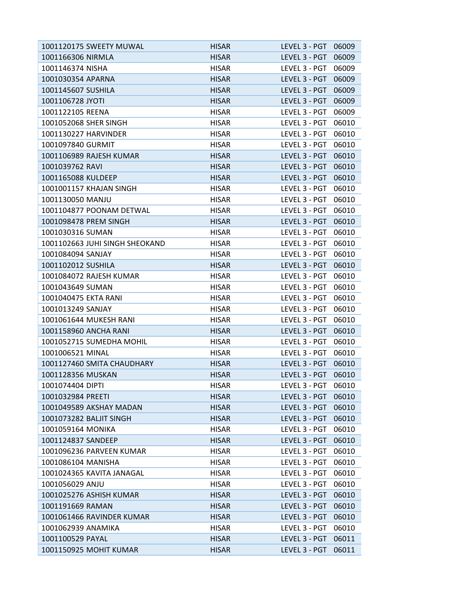| 1001120175 SWEETY MUWAL        | <b>HISAR</b> | LEVEL 3 - PGT<br>06009 |
|--------------------------------|--------------|------------------------|
| 1001166306 NIRMLA              | <b>HISAR</b> | 06009<br>LEVEL 3 - PGT |
| 1001146374 NISHA               | <b>HISAR</b> | LEVEL 3 - PGT 06009    |
| 1001030354 APARNA              | <b>HISAR</b> | LEVEL 3 - PGT<br>06009 |
| 1001145607 SUSHILA             | <b>HISAR</b> | LEVEL 3 - PGT 06009    |
| 1001106728 JYOTI               | <b>HISAR</b> | LEVEL 3 - PGT<br>06009 |
| 1001122105 REENA               | <b>HISAR</b> | LEVEL 3 - PGT<br>06009 |
| 1001052068 SHER SINGH          | <b>HISAR</b> | LEVEL 3 - PGT<br>06010 |
| 1001130227 HARVINDER           | <b>HISAR</b> | LEVEL 3 - PGT<br>06010 |
| 1001097840 GURMIT              | <b>HISAR</b> | LEVEL 3 - PGT 06010    |
| 1001106989 RAJESH KUMAR        | <b>HISAR</b> | LEVEL 3 - PGT<br>06010 |
| 1001039762 RAVI                | <b>HISAR</b> | LEVEL 3 - PGT 06010    |
| 1001165088 KULDEEP             | <b>HISAR</b> | LEVEL 3 - PGT<br>06010 |
| 1001001157 KHAJAN SINGH        | <b>HISAR</b> | LEVEL 3 - PGT<br>06010 |
| 1001130050 MANJU               | <b>HISAR</b> | LEVEL 3 - PGT 06010    |
| 1001104877 POONAM DETWAL       | <b>HISAR</b> | LEVEL 3 - PGT<br>06010 |
| 1001098478 PREM SINGH          | <b>HISAR</b> | LEVEL 3 - PGT 06010    |
| 1001030316 SUMAN               | <b>HISAR</b> | LEVEL 3 - PGT<br>06010 |
| 1001102663 JUHI SINGH SHEOKAND | <b>HISAR</b> | LEVEL 3 - PGT<br>06010 |
| 1001084094 SANJAY              | <b>HISAR</b> | LEVEL 3 - PGT 06010    |
| 1001102012 SUSHILA             | <b>HISAR</b> | LEVEL 3 - PGT<br>06010 |
| 1001084072 RAJESH KUMAR        | <b>HISAR</b> | LEVEL 3 - PGT<br>06010 |
| 1001043649 SUMAN               | <b>HISAR</b> | LEVEL 3 - PGT<br>06010 |
| 1001040475 EKTA RANI           | HISAR        | LEVEL 3 - PGT<br>06010 |
| 1001013249 SANJAY              | HISAR        | LEVEL 3 - PGT<br>06010 |
| 1001061644 MUKESH RANI         | <b>HISAR</b> | LEVEL 3 - PGT<br>06010 |
| 1001158960 ANCHA RANI          | <b>HISAR</b> | LEVEL 3 - PGT<br>06010 |
| 1001052715 SUMEDHA MOHIL       | <b>HISAR</b> | LEVEL 3 - PGT<br>06010 |
| 1001006521 MINAL               | <b>HISAR</b> | LEVEL 3 - PGT 06010    |
| 1001127460 SMITA CHAUDHARY     | <b>HISAR</b> | LEVEL 3 - PGT 06010    |
| 1001128356 MUSKAN              | <b>HISAR</b> | LEVEL 3 - PGT 06010    |
| 1001074404 DIPTI               | <b>HISAR</b> | 06010<br>LEVEL 3 - PGT |
| 1001032984 PREETI              | <b>HISAR</b> | 06010<br>LEVEL 3 - PGT |
| 1001049589 AKSHAY MADAN        | <b>HISAR</b> | LEVEL 3 - PGT<br>06010 |
| 1001073282 BALJIT SINGH        | <b>HISAR</b> | 06010<br>LEVEL 3 - PGT |
| 1001059164 MONIKA              | <b>HISAR</b> | LEVEL 3 - PGT<br>06010 |
| 1001124837 SANDEEP             | <b>HISAR</b> | 06010<br>LEVEL 3 - PGT |
| 1001096236 PARVEEN KUMAR       | <b>HISAR</b> | 06010<br>LEVEL 3 - PGT |
| 1001086104 MANISHA             | <b>HISAR</b> | LEVEL 3 - PGT<br>06010 |
| 1001024365 KAVITA JANAGAL      | <b>HISAR</b> | LEVEL 3 - PGT<br>06010 |
| 1001056029 ANJU                | <b>HISAR</b> | LEVEL 3 - PGT<br>06010 |
| 1001025276 ASHISH KUMAR        | <b>HISAR</b> | 06010<br>LEVEL 3 - PGT |
| 1001191669 RAMAN               | <b>HISAR</b> | LEVEL 3 - PGT<br>06010 |
| 1001061466 RAVINDER KUMAR      | <b>HISAR</b> | 06010<br>LEVEL 3 - PGT |
| 1001062939 ANAMIKA             | <b>HISAR</b> | LEVEL 3 - PGT<br>06010 |
| 1001100529 PAYAL               | <b>HISAR</b> | LEVEL 3 - PGT<br>06011 |
| 1001150925 MOHIT KUMAR         | <b>HISAR</b> | LEVEL 3 - PGT<br>06011 |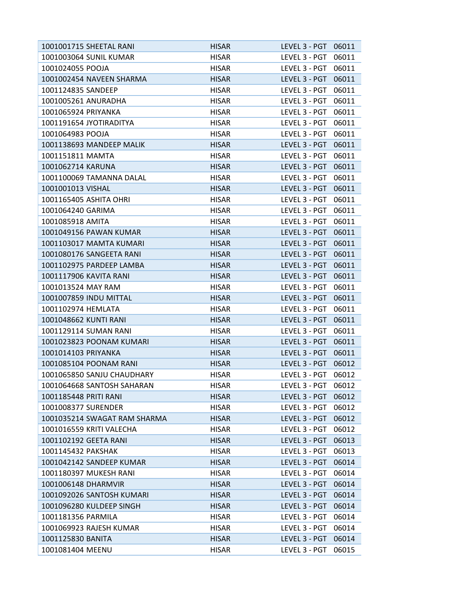| 1001001715 SHEETAL RANI       | <b>HISAR</b> | LEVEL 3 - PGT 06011    |
|-------------------------------|--------------|------------------------|
| 1001003064 SUNIL KUMAR        | <b>HISAR</b> | LEVEL 3 - PGT 06011    |
| 1001024055 POOJA              | <b>HISAR</b> | LEVEL 3 - PGT 06011    |
| 1001002454 NAVEEN SHARMA      | <b>HISAR</b> | LEVEL 3 - PGT<br>06011 |
| 1001124835 SANDEEP            | <b>HISAR</b> | LEVEL 3 - PGT 06011    |
| 1001005261 ANURADHA           | <b>HISAR</b> | LEVEL 3 - PGT 06011    |
| 1001065924 PRIYANKA           | <b>HISAR</b> | LEVEL 3 - PGT 06011    |
| 1001191654 JYOTIRADITYA       | <b>HISAR</b> | LEVEL 3 - PGT<br>06011 |
| 1001064983 POOJA              | <b>HISAR</b> | LEVEL 3 - PGT<br>06011 |
| 1001138693 MANDEEP MALIK      | <b>HISAR</b> | LEVEL 3 - PGT 06011    |
| 1001151811 MAMTA              | <b>HISAR</b> | LEVEL 3 - PGT 06011    |
| 1001062714 KARUNA             | <b>HISAR</b> | LEVEL 3 - PGT 06011    |
| 1001100069 TAMANNA DALAL      | <b>HISAR</b> | LEVEL 3 - PGT<br>06011 |
| 1001001013 VISHAL             | <b>HISAR</b> | LEVEL 3 - PGT<br>06011 |
| 1001165405 ASHITA OHRI        | <b>HISAR</b> | LEVEL 3 - PGT 06011    |
| 1001064240 GARIMA             | <b>HISAR</b> | LEVEL 3 - PGT 06011    |
| 1001085918 AMITA              | <b>HISAR</b> | LEVEL 3 - PGT 06011    |
| <b>1001049156 PAWAN KUMAR</b> | <b>HISAR</b> | LEVEL 3 - PGT<br>06011 |
| 1001103017 MAMTA KUMARI       | <b>HISAR</b> | LEVEL 3 - PGT 06011    |
| 1001080176 SANGEETA RANI      | <b>HISAR</b> | LEVEL 3 - PGT 06011    |
| 1001102975 PARDEEP LAMBA      | <b>HISAR</b> | LEVEL 3 - PGT<br>06011 |
| 1001117906 KAVITA RANI        | <b>HISAR</b> | LEVEL 3 - PGT 06011    |
| 1001013524 MAY RAM            | <b>HISAR</b> | LEVEL 3 - PGT<br>06011 |
| 1001007859 INDU MITTAL        | <b>HISAR</b> | LEVEL 3 - PGT 06011    |
| 1001102974 HEMLATA            | <b>HISAR</b> | LEVEL 3 - PGT<br>06011 |
| 1001048662 KUNTI RANI         | <b>HISAR</b> | LEVEL 3 - PGT<br>06011 |
| 1001129114 SUMAN RANI         | <b>HISAR</b> | LEVEL 3 - PGT 06011    |
| 1001023823 POONAM KUMARI      | <b>HISAR</b> | LEVEL 3 - PGT<br>06011 |
| 1001014103 PRIYANKA           | <b>HISAR</b> | LEVEL 3 - PGT 06011    |
| 1001085104 POONAM RANI        | <b>HISAR</b> | LEVEL 3 - PGT 06012    |
| 1001065850 SANJU CHAUDHARY    | <b>HISAR</b> | LEVEL 3 - PGT 06012    |
| 1001064668 SANTOSH SAHARAN    | <b>HISAR</b> | LEVEL 3 - PGT<br>06012 |
| 1001185448 PRITI RANI         | <b>HISAR</b> | 06012<br>LEVEL 3 - PGT |
| 1001008377 SURENDER           | <b>HISAR</b> | LEVEL 3 - PGT<br>06012 |
| 1001035214 SWAGAT RAM SHARMA  | <b>HISAR</b> | LEVEL 3 - PGT<br>06012 |
| 1001016559 KRITI VALECHA      | <b>HISAR</b> | LEVEL 3 - PGT<br>06012 |
| 1001102192 GEETA RANI         | <b>HISAR</b> | 06013<br>LEVEL 3 - PGT |
| 1001145432 PAKSHAK            | <b>HISAR</b> | 06013<br>LEVEL 3 - PGT |
| 1001042142 SANDEEP KUMAR      | <b>HISAR</b> | 06014<br>LEVEL 3 - PGT |
| 1001180397 MUKESH RANI        | <b>HISAR</b> | LEVEL 3 - PGT<br>06014 |
| 1001006148 DHARMVIR           | <b>HISAR</b> | LEVEL 3 - PGT<br>06014 |
| 1001092026 SANTOSH KUMARI     | <b>HISAR</b> | LEVEL 3 - PGT<br>06014 |
| 1001096280 KULDEEP SINGH      | <b>HISAR</b> | 06014<br>LEVEL 3 - PGT |
| 1001181356 PARMILA            | <b>HISAR</b> | LEVEL 3 - PGT<br>06014 |
| 1001069923 RAJESH KUMAR       | <b>HISAR</b> | LEVEL 3 - PGT<br>06014 |
| 1001125830 BANITA             | <b>HISAR</b> | LEVEL 3 - PGT<br>06014 |
| 1001081404 MEENU              | <b>HISAR</b> | LEVEL 3 - PGT<br>06015 |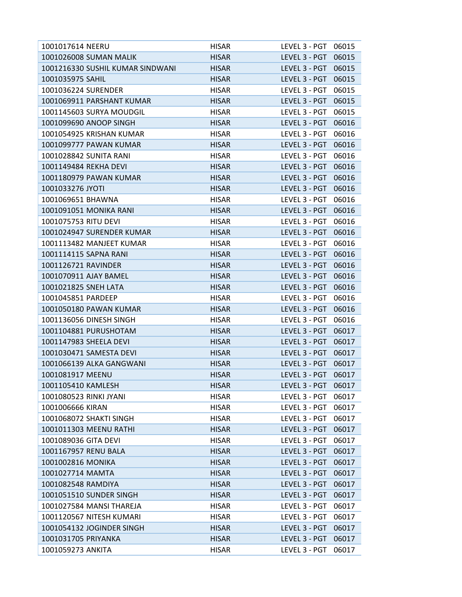| 1001017614 NEERU                 | <b>HISAR</b> | LEVEL 3 - PGT 06015    |
|----------------------------------|--------------|------------------------|
| 1001026008 SUMAN MALIK           | <b>HISAR</b> | LEVEL 3 - PGT 06015    |
| 1001216330 SUSHIL KUMAR SINDWANI | <b>HISAR</b> | LEVEL 3 - PGT 06015    |
| 1001035975 SAHIL                 | <b>HISAR</b> | LEVEL 3 - PGT<br>06015 |
| 1001036224 SURENDER              | <b>HISAR</b> | LEVEL 3 - PGT 06015    |
| 1001069911 PARSHANT KUMAR        | <b>HISAR</b> | LEVEL 3 - PGT 06015    |
| 1001145603 SURYA MOUDGIL         | <b>HISAR</b> | LEVEL 3 - PGT 06015    |
| 1001099690 ANOOP SINGH           | <b>HISAR</b> | LEVEL 3 - PGT 06016    |
| 1001054925 KRISHAN KUMAR         | <b>HISAR</b> | LEVEL 3 - PGT 06016    |
| 1001099777 PAWAN KUMAR           | <b>HISAR</b> | LEVEL 3 - PGT 06016    |
| 1001028842 SUNITA RANI           | HISAR        | LEVEL 3 - PGT 06016    |
| 1001149484 REKHA DEVI            | <b>HISAR</b> | LEVEL 3 - PGT 06016    |
| 1001180979 PAWAN KUMAR           | <b>HISAR</b> | LEVEL 3 - PGT 06016    |
| 1001033276 JYOTI                 | <b>HISAR</b> | LEVEL 3 - PGT 06016    |
| 1001069651 BHAWNA                | <b>HISAR</b> | LEVEL 3 - PGT 06016    |
| 1001091051 MONIKA RANI           | <b>HISAR</b> | LEVEL 3 - PGT 06016    |
| 1001075753 RITU DEVI             | <b>HISAR</b> | LEVEL 3 - PGT 06016    |
| 1001024947 SURENDER KUMAR        | <b>HISAR</b> | LEVEL 3 - PGT<br>06016 |
| 1001113482 MANJEET KUMAR         | <b>HISAR</b> | LEVEL 3 - PGT 06016    |
| 1001114115 SAPNA RANI            | <b>HISAR</b> | LEVEL 3 - PGT 06016    |
| 1001126721 RAVINDER              | <b>HISAR</b> | LEVEL 3 - PGT 06016    |
| 1001070911 AJAY BAMEL            | <b>HISAR</b> | LEVEL 3 - PGT 06016    |
| 1001021825 SNEH LATA             | <b>HISAR</b> | LEVEL 3 - PGT<br>06016 |
| 1001045851 PARDEEP               | <b>HISAR</b> | LEVEL 3 - PGT 06016    |
| 1001050180 PAWAN KUMAR           | <b>HISAR</b> | LEVEL 3 - PGT 06016    |
| 1001136056 DINESH SINGH          | <b>HISAR</b> | LEVEL 3 - PGT 06016    |
| 1001104881 PURUSHOTAM            | <b>HISAR</b> | LEVEL 3 - PGT 06017    |
| 1001147983 SHEELA DEVI           | <b>HISAR</b> | LEVEL 3 - PGT 06017    |
| 1001030471 SAMESTA DEVI          | <b>HISAR</b> | LEVEL 3 - PGT 06017    |
| 1001066139 ALKA GANGWANI         | <b>HISAR</b> | LEVEL 3 - PGT 06017    |
| 1001081917 MEENU                 | <b>HISAR</b> | LEVEL 3 - PGT 06017    |
| 1001105410 KAMLESH               | <b>HISAR</b> | LEVEL 3 - PGT<br>06017 |
| 1001080523 RINKI JYANI           | <b>HISAR</b> | LEVEL 3 - PGT<br>06017 |
| 1001006666 KIRAN                 | <b>HISAR</b> | LEVEL 3 - PGT<br>06017 |
| 1001068072 SHAKTI SINGH          | <b>HISAR</b> | LEVEL 3 - PGT<br>06017 |
| 1001011303 MEENU RATHI           | <b>HISAR</b> | LEVEL 3 - PGT<br>06017 |
| 1001089036 GITA DEVI             | <b>HISAR</b> | LEVEL 3 - PGT<br>06017 |
| 1001167957 RENU BALA             | <b>HISAR</b> | LEVEL 3 - PGT<br>06017 |
| 1001002816 MONIKA                | <b>HISAR</b> | LEVEL 3 - PGT<br>06017 |
| 1001027714 MAMTA                 | <b>HISAR</b> | LEVEL 3 - PGT<br>06017 |
| 1001082548 RAMDIYA               | <b>HISAR</b> | LEVEL 3 - PGT<br>06017 |
| 1001051510 SUNDER SINGH          | <b>HISAR</b> | LEVEL 3 - PGT<br>06017 |
| 1001027584 MANSI THAREJA         | <b>HISAR</b> | LEVEL 3 - PGT<br>06017 |
| 1001120567 NITESH KUMARI         | <b>HISAR</b> | LEVEL 3 - PGT<br>06017 |
| 1001054132 JOGINDER SINGH        | <b>HISAR</b> | LEVEL 3 - PGT<br>06017 |
| 1001031705 PRIYANKA              | <b>HISAR</b> | LEVEL 3 - PGT<br>06017 |
| 1001059273 ANKITA                | <b>HISAR</b> | LEVEL 3 - PGT<br>06017 |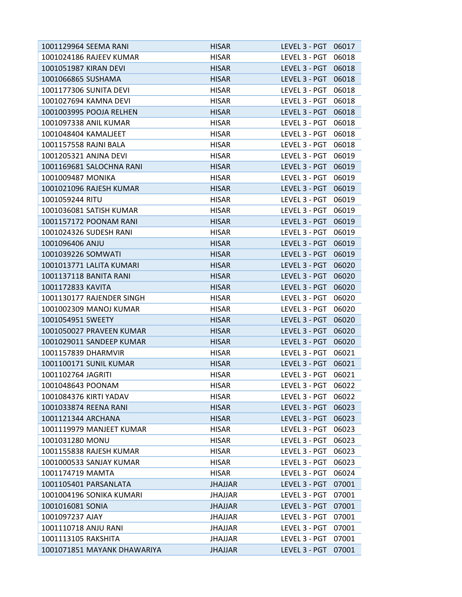| 1001129964 SEEMA RANI           | <b>HISAR</b>   | LEVEL 3 - PGT 06017    |
|---------------------------------|----------------|------------------------|
| 1001024186 RAJEEV KUMAR         | <b>HISAR</b>   | LEVEL 3 - PGT 06018    |
| 1001051987 KIRAN DEVI           | <b>HISAR</b>   | LEVEL 3 - PGT 06018    |
| 1001066865 SUSHAMA              | <b>HISAR</b>   | LEVEL 3 - PGT<br>06018 |
| 1001177306 SUNITA DEVI          | <b>HISAR</b>   | LEVEL 3 - PGT 06018    |
| 1001027694 KAMNA DEVI           | <b>HISAR</b>   | LEVEL 3 - PGT 06018    |
| 1001003995 POOJA RELHEN         | <b>HISAR</b>   | LEVEL 3 - PGT 06018    |
| 1001097338 ANIL KUMAR           | <b>HISAR</b>   | LEVEL 3 - PGT<br>06018 |
| 1001048404 KAMALJEET            | <b>HISAR</b>   | LEVEL 3 - PGT<br>06018 |
| 1001157558 RAJNI BALA           | <b>HISAR</b>   | LEVEL 3 - PGT 06018    |
| 1001205321 ANJNA DEVI           | <b>HISAR</b>   | LEVEL 3 - PGT<br>06019 |
| 1001169681 SALOCHNA RANI        | <b>HISAR</b>   | LEVEL 3 - PGT 06019    |
| 1001009487 MONIKA               | <b>HISAR</b>   | LEVEL 3 - PGT<br>06019 |
| 1001021096 RAJESH KUMAR         | <b>HISAR</b>   | LEVEL 3 - PGT<br>06019 |
| 1001059244 RITU                 | <b>HISAR</b>   | LEVEL 3 - PGT<br>06019 |
| 1001036081 SATISH KUMAR         | <b>HISAR</b>   | LEVEL 3 - PGT 06019    |
| 1001157172 POONAM RANI          | <b>HISAR</b>   | LEVEL 3 - PGT 06019    |
| 1001024326 SUDESH RANI          | <b>HISAR</b>   | LEVEL 3 - PGT<br>06019 |
| 1001096406 ANJU                 | <b>HISAR</b>   | LEVEL 3 - PGT<br>06019 |
| 1001039226 SOMWATI              | <b>HISAR</b>   | LEVEL 3 - PGT 06019    |
| 1001013771 LALITA KUMARI        | <b>HISAR</b>   | LEVEL 3 - PGT 06020    |
| 1001137118 BANITA RANI          | <b>HISAR</b>   | LEVEL 3 - PGT<br>06020 |
| 1001172833 KAVITA               | <b>HISAR</b>   | LEVEL 3 - PGT<br>06020 |
| 1001130177 RAJENDER SINGH       | <b>HISAR</b>   | LEVEL 3 - PGT 06020    |
| 1001002309 MANOJ KUMAR          | <b>HISAR</b>   | LEVEL 3 - PGT<br>06020 |
| 1001054951 SWEETY               | <b>HISAR</b>   | LEVEL 3 - PGT 06020    |
| 1001050027 PRAVEEN KUMAR        | <b>HISAR</b>   | 06020<br>LEVEL 3 - PGT |
| 1001029011 SANDEEP KUMAR        | <b>HISAR</b>   | LEVEL 3 - PGT<br>06020 |
| 1001157839 DHARMVIR             | <b>HISAR</b>   | LEVEL 3 - PGT 06021    |
| 1001100171 SUNIL KUMAR          | <b>HISAR</b>   | LEVEL 3 - PGT 06021    |
| 1001102764 JAGRITI              | <b>HISAR</b>   | LEVEL 3 - PGT 06021    |
| 1001048643 POONAM               | <b>HISAR</b>   | LEVEL 3 - PGT<br>06022 |
| 1001084376 KIRTI YADAV          | <b>HISAR</b>   | LEVEL 3 - PGT<br>06022 |
| 1001033874 REENA RANI           | <b>HISAR</b>   | LEVEL 3 - PGT<br>06023 |
| 1001121344 ARCHANA              | <b>HISAR</b>   | LEVEL 3 - PGT<br>06023 |
| 1001119979 MANJEET KUMAR        | <b>HISAR</b>   | LEVEL 3 - PGT<br>06023 |
| 1001031280 MONU                 | <b>HISAR</b>   | 06023<br>LEVEL 3 - PGT |
| 1001155838 RAJESH KUMAR         | <b>HISAR</b>   | LEVEL 3 - PGT<br>06023 |
| 1001000533 SANJAY KUMAR         | <b>HISAR</b>   | LEVEL 3 - PGT<br>06023 |
| 1001174719 MAMTA                | <b>HISAR</b>   | LEVEL 3 - PGT<br>06024 |
| 1001105401 PARSANLATA           | <b>JHAJJAR</b> | LEVEL 3 - PGT<br>07001 |
| <b>1001004196 SONIKA KUMARI</b> | <b>JHAJJAR</b> | LEVEL 3 - PGT<br>07001 |
| 1001016081 SONIA                | <b>JHAJJAR</b> | LEVEL 3 - PGT<br>07001 |
| 1001097237 AJAY                 | <b>JHAJJAR</b> | LEVEL 3 - PGT<br>07001 |
| 1001110718 ANJU RANI            | <b>JHAJJAR</b> | LEVEL 3 - PGT<br>07001 |
| 1001113105 RAKSHITA             | JHAJJAR        | LEVEL 3 - PGT<br>07001 |
| 1001071851 MAYANK DHAWARIYA     | <b>JHAJJAR</b> | LEVEL 3 - PGT<br>07001 |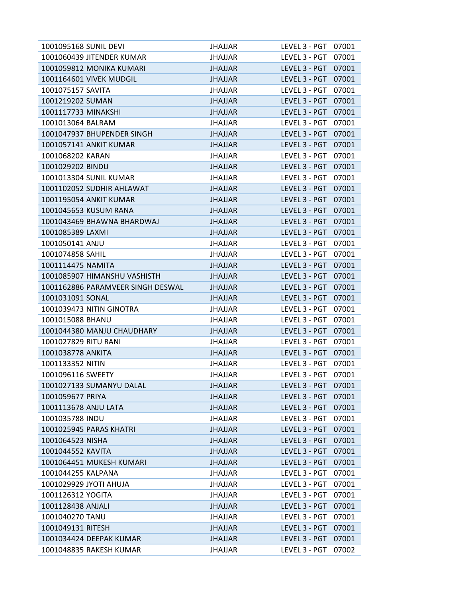| 1001095168 SUNIL DEVI             | JHAJJAR        | LEVEL 3 - PGT 07001    |
|-----------------------------------|----------------|------------------------|
| 1001060439 JITENDER KUMAR         | JHAJJAR        | LEVEL 3 - PGT 07001    |
| 1001059812 MONIKA KUMARI          | JHAJJAR        | LEVEL 3 - PGT 07001    |
| 1001164601 VIVEK MUDGIL           | <b>JHAJJAR</b> | LEVEL 3 - PGT 07001    |
| 1001075157 SAVITA                 | JHAJJAR        | LEVEL 3 - PGT 07001    |
| 1001219202 SUMAN                  | JHAJJAR        | LEVEL 3 - PGT 07001    |
| 1001117733 MINAKSHI               | <b>JHAJJAR</b> | LEVEL 3 - PGT 07001    |
| 1001013064 BALRAM                 | JHAJJAR        | LEVEL 3 - PGT 07001    |
| 1001047937 BHUPENDER SINGH        | JHAJJAR        | LEVEL 3 - PGT 07001    |
| 1001057141 ANKIT KUMAR            | JHAJJAR        | LEVEL 3 - PGT 07001    |
| 1001068202 KARAN                  | JHAJJAR        | LEVEL 3 - PGT 07001    |
| 1001029202 BINDU                  | <b>JHAJJAR</b> | LEVEL 3 - PGT 07001    |
| 1001013304 SUNIL KUMAR            | JHAJJAR        | LEVEL 3 - PGT 07001    |
| 1001102052 SUDHIR AHLAWAT         | JHAJJAR        | LEVEL 3 - PGT 07001    |
| 1001195054 ANKIT KUMAR            | JHAJJAR        | LEVEL 3 - PGT 07001    |
| 1001045653 KUSUM RANA             | JHAJJAR        | LEVEL 3 - PGT 07001    |
| 1001043469 BHAWNA BHARDWAJ        | <b>JHAJJAR</b> | LEVEL 3 - PGT 07001    |
| 1001085389 LAXMI                  | JHAJJAR        | LEVEL 3 - PGT 07001    |
| 1001050141 ANJU                   | JHAJJAR        | LEVEL 3 - PGT 07001    |
| 1001074858 SAHIL                  | JHAJJAR        | LEVEL 3 - PGT 07001    |
| 1001114475 NAMITA                 | JHAJJAR        | LEVEL 3 - PGT 07001    |
| 1001085907 HIMANSHU VASHISTH      | <b>JHAJJAR</b> | LEVEL 3 - PGT 07001    |
| 1001162886 PARAMVEER SINGH DESWAL | JHAJJAR        | LEVEL 3 - PGT 07001    |
| 1001031091 SONAL                  | <b>JHAJJAR</b> | LEVEL 3 - PGT 07001    |
| 1001039473 NITIN GINOTRA          | JHAJJAR        | LEVEL 3 - PGT 07001    |
| 1001015088 BHANU                  | JHAJJAR        | LEVEL 3 - PGT 07001    |
| 1001044380 MANJU CHAUDHARY        | JHAJJAR        | LEVEL 3 - PGT 07001    |
| 1001027829 RITU RANI              | JHAJJAR        | LEVEL 3 - PGT 07001    |
| 1001038778 ANKITA                 | JHAJJAR        | LEVEL 3 - PGT 07001    |
| 1001133352 NITIN                  | JHAJJAR        | LEVEL 3 - PGT 07001    |
| 1001096116 SWEETY                 | <b>JHAJJAR</b> | LEVEL 3 - PGT 07001    |
| 1001027133 SUMANYU DALAL          | <b>JHAJJAR</b> | LEVEL 3 - PGT 07001    |
| 1001059677 PRIYA                  | <b>JHAJJAR</b> | LEVEL 3 - PGT<br>07001 |
| 1001113678 ANJU LATA              | <b>JHAJJAR</b> | LEVEL 3 - PGT<br>07001 |
| 1001035788 INDU                   | <b>JHAJJAR</b> | LEVEL 3 - PGT<br>07001 |
| 1001025945 PARAS KHATRI           | <b>JHAJJAR</b> | LEVEL 3 - PGT<br>07001 |
| 1001064523 NISHA                  | <b>JHAJJAR</b> | LEVEL 3 - PGT<br>07001 |
| 1001044552 KAVITA                 | <b>JHAJJAR</b> | 07001<br>LEVEL 3 - PGT |
| 1001064451 MUKESH KUMARI          | <b>JHAJJAR</b> | LEVEL 3 - PGT<br>07001 |
| 1001044255 KALPANA                | <b>JHAJJAR</b> | LEVEL 3 - PGT<br>07001 |
| 1001029929 JYOTI AHUJA            | <b>JHAJJAR</b> | 07001<br>LEVEL 3 - PGT |
| 1001126312 YOGITA                 | <b>JHAJJAR</b> | LEVEL 3 - PGT<br>07001 |
| 1001128438 ANJALI                 | <b>JHAJJAR</b> | LEVEL 3 - PGT<br>07001 |
| 1001040270 TANU                   | <b>JHAJJAR</b> | LEVEL 3 - PGT<br>07001 |
| 1001049131 RITESH                 | <b>JHAJJAR</b> | LEVEL 3 - PGT<br>07001 |
| 1001034424 DEEPAK KUMAR           | JHAJJAR        | 07001<br>LEVEL 3 - PGT |
| 1001048835 RAKESH KUMAR           | <b>JHAJJAR</b> | LEVEL 3 - PGT 07002    |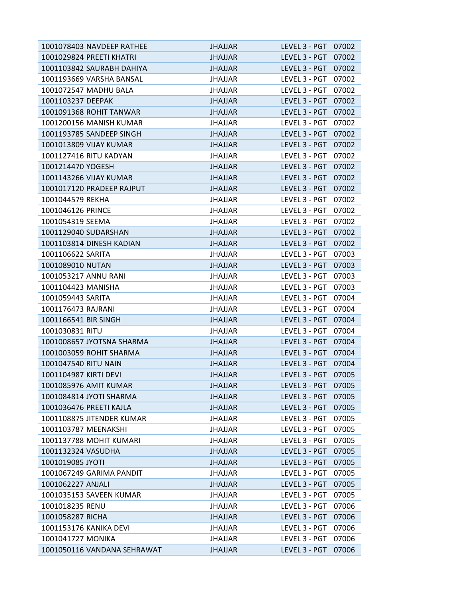| 1001078403 NAVDEEP RATHEE      | JHAJJAR        | LEVEL 3 - PGT 07002    |
|--------------------------------|----------------|------------------------|
| 1001029824 PREETI KHATRI       | JHAJJAR        | LEVEL 3 - PGT 07002    |
| 1001103842 SAURABH DAHIYA      | JHAJJAR        | LEVEL 3 - PGT 07002    |
| 1001193669 VARSHA BANSAL       | JHAJJAR        | LEVEL 3 - PGT 07002    |
| 1001072547 MADHU BALA          | JHAJJAR        | LEVEL 3 - PGT 07002    |
| 1001103237 DEEPAK              | JHAJJAR        | LEVEL 3 - PGT 07002    |
| 1001091368 ROHIT TANWAR        | JHAJJAR        | LEVEL 3 - PGT 07002    |
| 1001200156 MANISH KUMAR        | JHAJJAR        | LEVEL 3 - PGT 07002    |
| 1001193785 SANDEEP SINGH       | <b>JHAJJAR</b> | LEVEL 3 - PGT 07002    |
| 1001013809 VIJAY KUMAR         | JHAJJAR        | LEVEL 3 - PGT 07002    |
| 1001127416 RITU KADYAN         | JHAJJAR        | LEVEL 3 - PGT 07002    |
| 1001214470 YOGESH              | <b>JHAJJAR</b> | LEVEL 3 - PGT 07002    |
| 1001143266 VIJAY KUMAR         | JHAJJAR        | LEVEL 3 - PGT 07002    |
| 1001017120 PRADEEP RAJPUT      | JHAJJAR        | LEVEL 3 - PGT 07002    |
| 1001044579 REKHA               | JHAJJAR        | LEVEL 3 - PGT 07002    |
| 1001046126 PRINCE              | JHAJJAR        | LEVEL 3 - PGT 07002    |
| 1001054319 SEEMA               | JHAJJAR        | LEVEL 3 - PGT 07002    |
| 1001129040 SUDARSHAN           | JHAJJAR        | LEVEL 3 - PGT 07002    |
| 1001103814 DINESH KADIAN       | JHAJJAR        | LEVEL 3 - PGT 07002    |
| 1001106622 SARITA              | JHAJJAR        | LEVEL 3 - PGT 07003    |
| 1001089010 NUTAN               | JHAJJAR        | LEVEL 3 - PGT 07003    |
| 1001053217 ANNU RANI           | JHAJJAR        | LEVEL 3 - PGT 07003    |
| 1001104423 MANISHA             | JHAJJAR        | LEVEL 3 - PGT 07003    |
| 1001059443 SARITA              | JHAJJAR        | LEVEL 3 - PGT 07004    |
| 1001176473 RAJRANI             | JHAJJAR        | LEVEL 3 - PGT 07004    |
| 1001166541 BIR SINGH           | JHAJJAR        | LEVEL 3 - PGT 07004    |
| 1001030831 RITU                | JHAJJAR        | LEVEL 3 - PGT 07004    |
| 1001008657 JYOTSNA SHARMA      | JHAJJAR        | LEVEL 3 - PGT 07004    |
| 1001003059 ROHIT SHARMA        | JHAJJAR        | LEVEL 3 - PGT 07004    |
| 1001047540 RITU NAIN           | JHAJJAR        | LEVEL 3 - PGT 07004    |
| 1001104987 KIRTI DEVI          | <b>JHAJJAR</b> | LEVEL 3 - PGT 07005    |
| 1001085976 AMIT KUMAR          | <b>JHAJJAR</b> | LEVEL 3 - PGT 07005    |
| 1001084814 JYOTI SHARMA        | <b>JHAJJAR</b> | LEVEL 3 - PGT<br>07005 |
| 1001036476 PREETI KAJLA        | <b>JHAJJAR</b> | 07005<br>LEVEL 3 - PGT |
| 1001108875 JITENDER KUMAR      | <b>JHAJJAR</b> | LEVEL 3 - PGT<br>07005 |
| 1001103787 MEENAKSHI           | <b>JHAJJAR</b> | LEVEL 3 - PGT<br>07005 |
| <b>1001137788 MOHIT KUMARI</b> | <b>JHAJJAR</b> | LEVEL 3 - PGT<br>07005 |
| 1001132324 VASUDHA             | <b>JHAJJAR</b> | LEVEL 3 - PGT<br>07005 |
| 1001019085 JYOTI               | <b>JHAJJAR</b> | LEVEL 3 - PGT<br>07005 |
| 1001067249 GARIMA PANDIT       | <b>JHAJJAR</b> | LEVEL 3 - PGT<br>07005 |
| 1001062227 ANJALI              | <b>JHAJJAR</b> | LEVEL 3 - PGT<br>07005 |
| 1001035153 SAVEEN KUMAR        | <b>JHAJJAR</b> | LEVEL 3 - PGT<br>07005 |
| 1001018235 RENU                | <b>JHAJJAR</b> | LEVEL 3 - PGT<br>07006 |
| 1001058287 RICHA               | <b>JHAJJAR</b> | LEVEL 3 - PGT<br>07006 |
| 1001153176 KANIKA DEVI         | <b>JHAJJAR</b> | LEVEL 3 - PGT<br>07006 |
| 1001041727 MONIKA              | JHAJJAR        | LEVEL 3 - PGT<br>07006 |
| 1001050116 VANDANA SEHRAWAT    | <b>JHAJJAR</b> | LEVEL 3 - PGT<br>07006 |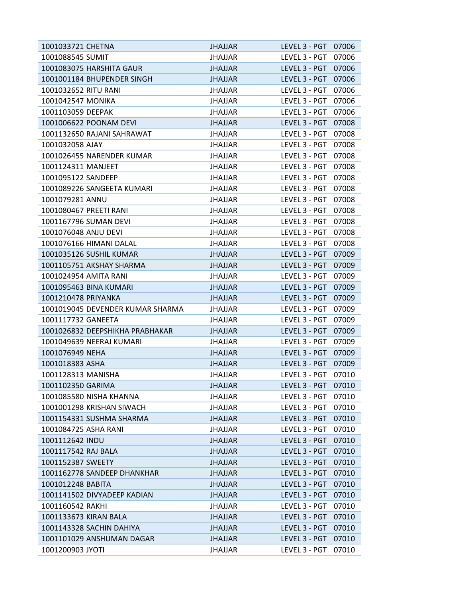| 1001033721 CHETNA                | JHAJJAR        | LEVEL 3 - PGT 07006    |
|----------------------------------|----------------|------------------------|
| 1001088545 SUMIT                 | JHAJJAR        | LEVEL 3 - PGT 07006    |
| 1001083075 HARSHITA GAUR         | JHAJJAR        | LEVEL 3 - PGT 07006    |
| 1001001184 BHUPENDER SINGH       | JHAJJAR        | LEVEL 3 - PGT 07006    |
| 1001032652 RITU RANI             | JHAJJAR        | LEVEL 3 - PGT 07006    |
| 1001042547 MONIKA                | JHAJJAR        | LEVEL 3 - PGT 07006    |
| 1001103059 DEEPAK                | JHAJJAR        | LEVEL 3 - PGT 07006    |
| 1001006622 POONAM DEVI           | JHAJJAR        | LEVEL 3 - PGT 07008    |
| 1001132650 RAJANI SAHRAWAT       | JHAJJAR        | LEVEL 3 - PGT 07008    |
| 1001032058 AJAY                  | JHAJJAR        | LEVEL 3 - PGT 07008    |
| 1001026455 NARENDER KUMAR        | JHAJJAR        | LEVEL 3 - PGT 07008    |
| 1001124311 MANJEET               | <b>JHAJJAR</b> | LEVEL 3 - PGT 07008    |
| 1001095122 SANDEEP               | JHAJJAR        | LEVEL 3 - PGT 07008    |
| 1001089226 SANGEETA KUMARI       | JHAJJAR        | LEVEL 3 - PGT 07008    |
| 1001079281 ANNU                  | JHAJJAR        | LEVEL 3 - PGT 07008    |
| 1001080467 PREETI RANI           | JHAJJAR        | LEVEL 3 - PGT 07008    |
| 1001167796 SUMAN DEVI            | <b>JHAJJAR</b> | LEVEL 3 - PGT 07008    |
| 1001076048 ANJU DEVI             | JHAJJAR        | LEVEL 3 - PGT 07008    |
| 1001076166 HIMANI DALAL          | JHAJJAR        | LEVEL 3 - PGT 07008    |
| 1001035126 SUSHIL KUMAR          | JHAJJAR        | LEVEL 3 - PGT 07009    |
| 1001105751 AKSHAY SHARMA         | JHAJJAR        | LEVEL 3 - PGT 07009    |
| 1001024954 AMITA RANI            | JHAJJAR        | LEVEL 3 - PGT 07009    |
| 1001095463 BINA KUMARI           | JHAJJAR        | LEVEL 3 - PGT<br>07009 |
| 1001210478 PRIYANKA              | JHAJJAR        | LEVEL 3 - PGT 07009    |
| 1001019045 DEVENDER KUMAR SHARMA | JHAJJAR        | LEVEL 3 - PGT 07009    |
| 1001117732 GANEETA               | JHAJJAR        | LEVEL 3 - PGT 07009    |
| 1001026832 DEEPSHIKHA PRABHAKAR  | JHAJJAR        | LEVEL 3 - PGT 07009    |
| 1001049639 NEERAJ KUMARI         | JHAJJAR        | LEVEL 3 - PGT 07009    |
| 1001076949 NEHA                  | JHAJJAR        | LEVEL 3 - PGT 07009    |
| 1001018383 ASHA                  | JHAJJAR        | LEVEL 3 - PGT 07009    |
| 1001128313 MANISHA               | <b>JHAJJAR</b> | LEVEL 3 - PGT 07010    |
| 1001102350 GARIMA                | <b>JHAJJAR</b> | LEVEL 3 - PGT 07010    |
| 1001085580 NISHA KHANNA          | <b>JHAJJAR</b> | LEVEL 3 - PGT<br>07010 |
| 1001001298 KRISHAN SIWACH        | JHAJJAR        | LEVEL 3 - PGT<br>07010 |
| 1001154331 SUSHMA SHARMA         | <b>JHAJJAR</b> | LEVEL 3 - PGT<br>07010 |
| 1001084725 ASHA RANI             | <b>JHAJJAR</b> | LEVEL 3 - PGT<br>07010 |
| 1001112642 INDU                  | <b>JHAJJAR</b> | LEVEL 3 - PGT<br>07010 |
| 1001117542 RAJ BALA              | <b>JHAJJAR</b> | LEVEL 3 - PGT<br>07010 |
| 1001152387 SWEETY                | <b>JHAJJAR</b> | LEVEL 3 - PGT<br>07010 |
| 1001162778 SANDEEP DHANKHAR      | <b>JHAJJAR</b> | LEVEL 3 - PGT<br>07010 |
| 1001012248 BABITA                | <b>JHAJJAR</b> | 07010<br>LEVEL 3 - PGT |
| 1001141502 DIVYADEEP KADIAN      | <b>JHAJJAR</b> | LEVEL 3 - PGT<br>07010 |
| 1001160542 RAKHI                 | <b>JHAJJAR</b> | LEVEL 3 - PGT<br>07010 |
| 1001133673 KIRAN BALA            | <b>JHAJJAR</b> | LEVEL 3 - PGT<br>07010 |
| 1001143328 SACHIN DAHIYA         | <b>JHAJJAR</b> | LEVEL 3 - PGT<br>07010 |
| 1001101029 ANSHUMAN DAGAR        | JHAJJAR        | 07010<br>LEVEL 3 - PGT |
| 1001200903 JYOTI                 | <b>JHAJJAR</b> | LEVEL 3 - PGT 07010    |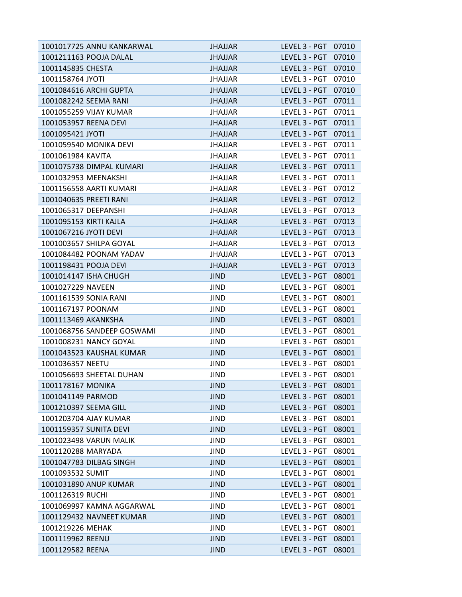| 1001017725 ANNU KANKARWAL  | <b>JHAJJAR</b> | LEVEL 3 - PGT 07010 |       |
|----------------------------|----------------|---------------------|-------|
| 1001211163 POOJA DALAL     | JHAJJAR        | LEVEL 3 - PGT 07010 |       |
| 1001145835 CHESTA          | <b>JHAJJAR</b> | LEVEL 3 - PGT 07010 |       |
| 1001158764 JYOTI           | <b>JHAJJAR</b> | LEVEL 3 - PGT 07010 |       |
| 1001084616 ARCHI GUPTA     | <b>JHAJJAR</b> | LEVEL 3 - PGT 07010 |       |
| 1001082242 SEEMA RANI      | <b>JHAJJAR</b> | LEVEL 3 - PGT 07011 |       |
| 1001055259 VIJAY KUMAR     | JHAJJAR        | LEVEL 3 - PGT 07011 |       |
| 1001053957 REENA DEVI      | JHAJJAR        | LEVEL 3 - PGT 07011 |       |
| 1001095421 JYOTI           | <b>JHAJJAR</b> | LEVEL 3 - PGT 07011 |       |
| 1001059540 MONIKA DEVI     | <b>JHAJJAR</b> | LEVEL 3 - PGT 07011 |       |
| 1001061984 KAVITA          | JHAJJAR        | LEVEL 3 - PGT 07011 |       |
| 1001075738 DIMPAL KUMARI   | <b>JHAJJAR</b> | LEVEL 3 - PGT 07011 |       |
| 1001032953 MEENAKSHI       | JHAJJAR        | LEVEL 3 - PGT 07011 |       |
| 1001156558 AARTI KUMARI    | JHAJJAR        | LEVEL 3 - PGT 07012 |       |
| 1001040635 PREETI RANI     | <b>JHAJJAR</b> | LEVEL 3 - PGT 07012 |       |
| 1001065317 DEEPANSHI       | JHAJJAR        | LEVEL 3 - PGT 07013 |       |
| 1001095153 KIRTI KAJLA     | <b>JHAJJAR</b> | LEVEL 3 - PGT 07013 |       |
| 1001067216 JYOTI DEVI      | <b>JHAJJAR</b> | LEVEL 3 - PGT 07013 |       |
| 1001003657 SHILPA GOYAL    | JHAJJAR        | LEVEL 3 - PGT 07013 |       |
| 1001084482 POONAM YADAV    | JHAJJAR        | LEVEL 3 - PGT 07013 |       |
| 1001198431 POOJA DEVI      | <b>JHAJJAR</b> | LEVEL 3 - PGT 07013 |       |
| 1001014147 ISHA CHUGH      | <b>JIND</b>    | LEVEL 3 - PGT 08001 |       |
| 1001027229 NAVEEN          | JIND           | LEVEL 3 - PGT 08001 |       |
| 1001161539 SONIA RANI      | JIND           | LEVEL 3 - PGT 08001 |       |
| 1001167197 POONAM          | JIND           | LEVEL 3 - PGT 08001 |       |
| 1001113469 AKANKSHA        | <b>JIND</b>    | LEVEL 3 - PGT 08001 |       |
| 1001068756 SANDEEP GOSWAMI | JIND           | LEVEL 3 - PGT 08001 |       |
| 1001008231 NANCY GOYAL     | JIND           | LEVEL 3 - PGT 08001 |       |
| 1001043523 KAUSHAL KUMAR   | <b>JIND</b>    | LEVEL 3 - PGT 08001 |       |
| 1001036357 NEETU           | JIND           | LEVEL 3 - PGT 08001 |       |
| 1001056693 SHEETAL DUHAN   | JIND           | LEVEL 3 - PGT 08001 |       |
| 1001178167 MONIKA          | <b>JIND</b>    | LEVEL 3 - PGT       | 08001 |
| 1001041149 PARMOD          | <b>JIND</b>    | LEVEL 3 - PGT       | 08001 |
| 1001210397 SEEMA GILL      | <b>JIND</b>    | LEVEL 3 - PGT       | 08001 |
| 1001203704 AJAY KUMAR      | JIND           | LEVEL 3 - PGT       | 08001 |
| 1001159357 SUNITA DEVI     | <b>JIND</b>    | LEVEL 3 - PGT       | 08001 |
| 1001023498 VARUN MALIK     | JIND           | LEVEL 3 - PGT       | 08001 |
| 1001120288 MARYADA         | <b>JIND</b>    | LEVEL 3 - PGT       | 08001 |
| 1001047783 DILBAG SINGH    | <b>JIND</b>    | LEVEL 3 - PGT       | 08001 |
| 1001093532 SUMIT           | JIND           | LEVEL 3 - PGT       | 08001 |
| 1001031890 ANUP KUMAR      | <b>JIND</b>    | LEVEL 3 - PGT       | 08001 |
| 1001126319 RUCHI           | <b>JIND</b>    | LEVEL 3 - PGT       | 08001 |
| 1001069997 KAMNA AGGARWAL  | JIND           | LEVEL 3 - PGT       | 08001 |
| 1001129432 NAVNEET KUMAR   | <b>JIND</b>    | LEVEL 3 - PGT       | 08001 |
| 1001219226 MEHAK           | JIND           | LEVEL 3 - PGT       | 08001 |
| 1001119962 REENU           | <b>JIND</b>    | LEVEL 3 - PGT       | 08001 |
| 1001129582 REENA           | <b>JIND</b>    | LEVEL 3 - PGT       | 08001 |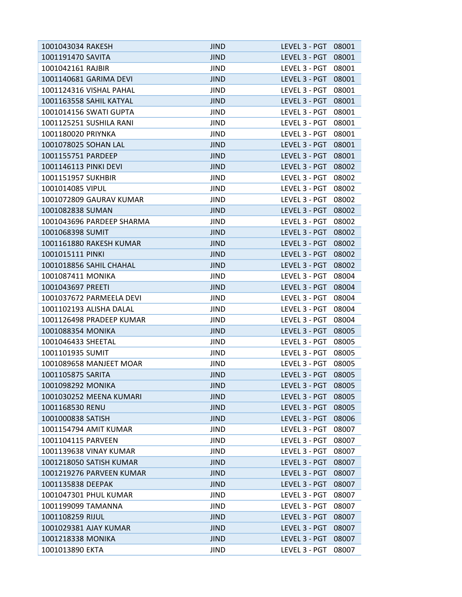| 1001043034 RAKESH         | <b>JIND</b> | LEVEL 3 - PGT 08001    |
|---------------------------|-------------|------------------------|
| 1001191470 SAVITA         | <b>JIND</b> | LEVEL 3 - PGT 08001    |
| 1001042161 RAJBIR         | JIND        | LEVEL 3 - PGT 08001    |
| 1001140681 GARIMA DEVI    | <b>JIND</b> | LEVEL 3 - PGT<br>08001 |
| 1001124316 VISHAL PAHAL   | JIND        | LEVEL 3 - PGT 08001    |
| 1001163558 SAHIL KATYAL   | <b>JIND</b> | LEVEL 3 - PGT<br>08001 |
| 1001014156 SWATI GUPTA    | JIND        | LEVEL 3 - PGT 08001    |
| 1001125251 SUSHILA RANI   | JIND        | LEVEL 3 - PGT<br>08001 |
| 1001180020 PRIYNKA        | JIND        | LEVEL 3 - PGT<br>08001 |
| 1001078025 SOHAN LAL      | <b>JIND</b> | LEVEL 3 - PGT<br>08001 |
| 1001155751 PARDEEP        | <b>JIND</b> | LEVEL 3 - PGT<br>08001 |
| 1001146113 PINKI DEVI     | <b>JIND</b> | LEVEL 3 - PGT<br>08002 |
| 1001151957 SUKHBIR        | JIND        | LEVEL 3 - PGT<br>08002 |
| 1001014085 VIPUL          | JIND        | LEVEL 3 - PGT 08002    |
| 1001072809 GAURAV KUMAR   | JIND        | LEVEL 3 - PGT<br>08002 |
| 1001082838 SUMAN          | <b>JIND</b> | 08002<br>LEVEL 3 - PGT |
| 1001043696 PARDEEP SHARMA | JIND        | LEVEL 3 - PGT 08002    |
| 1001068398 SUMIT          | <b>JIND</b> | LEVEL 3 - PGT<br>08002 |
| 1001161880 RAKESH KUMAR   | <b>JIND</b> | LEVEL 3 - PGT 08002    |
| 1001015111 PINKI          | <b>JIND</b> | LEVEL 3 - PGT 08002    |
| 1001018856 SAHIL CHAHAL   | <b>JIND</b> | LEVEL 3 - PGT 08002    |
| 1001087411 MONIKA         | JIND        | LEVEL 3 - PGT<br>08004 |
| 1001043697 PREETI         | <b>JIND</b> | LEVEL 3 - PGT<br>08004 |
| 1001037672 PARMEELA DEVI  | JIND        | LEVEL 3 - PGT 08004    |
| 1001102193 ALISHA DALAL   | JIND        | LEVEL 3 - PGT<br>08004 |
| 1001126498 PRADEEP KUMAR  | JIND        | LEVEL 3 - PGT 08004    |
| 1001088354 MONIKA         | <b>JIND</b> | LEVEL 3 - PGT<br>08005 |
| 1001046433 SHEETAL        | <b>JIND</b> | LEVEL 3 - PGT<br>08005 |
| 1001101935 SUMIT          | JIND        | LEVEL 3 - PGT 08005    |
| 1001089658 MANJEET MOAR   | JIND        | LEVEL 3 - PGT 08005    |
| 1001105875 SARITA         | <b>JIND</b> | LEVEL 3 - PGT 08005    |
| 1001098292 MONIKA         | <b>JIND</b> | LEVEL 3 - PGT<br>08005 |
| 1001030252 MEENA KUMARI   | <b>JIND</b> | LEVEL 3 - PGT<br>08005 |
| 1001168530 RENU           | <b>JIND</b> | 08005<br>LEVEL 3 - PGT |
| 1001000838 SATISH         | <b>JIND</b> | LEVEL 3 - PGT<br>08006 |
| 1001154794 AMIT KUMAR     | JIND        | LEVEL 3 - PGT<br>08007 |
| 1001104115 PARVEEN        | JIND        | LEVEL 3 - PGT<br>08007 |
| 1001139638 VINAY KUMAR    | JIND        | LEVEL 3 - PGT<br>08007 |
| 1001218050 SATISH KUMAR   | <b>JIND</b> | LEVEL 3 - PGT<br>08007 |
| 1001219276 PARVEEN KUMAR  | <b>JIND</b> | LEVEL 3 - PGT<br>08007 |
| 1001135838 DEEPAK         | <b>JIND</b> | LEVEL 3 - PGT<br>08007 |
| 1001047301 PHUL KUMAR     | JIND        | LEVEL 3 - PGT<br>08007 |
| 1001199099 TAMANNA        | <b>JIND</b> | LEVEL 3 - PGT<br>08007 |
| 1001108259 RIJUL          | <b>JIND</b> | LEVEL 3 - PGT<br>08007 |
| 1001029381 AJAY KUMAR     | <b>JIND</b> | LEVEL 3 - PGT<br>08007 |
| 1001218338 MONIKA         | <b>JIND</b> | LEVEL 3 - PGT<br>08007 |
| 1001013890 EKTA           | <b>JIND</b> | LEVEL 3 - PGT<br>08007 |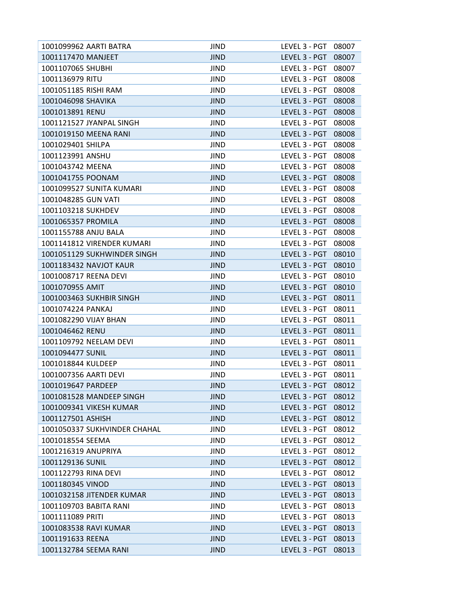| 1001099962 AARTI BATRA       | JIND        | LEVEL 3 - PGT 08007    |
|------------------------------|-------------|------------------------|
| 1001117470 MANJEET           | <b>JIND</b> | LEVEL 3 - PGT 08007    |
| 1001107065 SHUBHI            | JIND        | LEVEL 3 - PGT 08007    |
| 1001136979 RITU              | JIND        | LEVEL 3 - PGT<br>08008 |
| 1001051185 RISHI RAM         | JIND        | LEVEL 3 - PGT 08008    |
| 1001046098 SHAVIKA           | <b>JIND</b> | LEVEL 3 - PGT<br>08008 |
| 1001013891 RENU              | <b>JIND</b> | LEVEL 3 - PGT 08008    |
| 1001121527 JYANPAL SINGH     | JIND        | LEVEL 3 - PGT<br>08008 |
| 1001019150 MEENA RANI        | <b>JIND</b> | LEVEL 3 - PGT<br>08008 |
| 1001029401 SHILPA            | JIND        | LEVEL 3 - PGT 08008    |
| 1001123991 ANSHU             | JIND        | LEVEL 3 - PGT<br>08008 |
| 1001043742 MEENA             | JIND        | LEVEL 3 - PGT 08008    |
| 1001041755 POONAM            | <b>JIND</b> | LEVEL 3 - PGT<br>08008 |
| 1001099527 SUNITA KUMARI     | JIND        | LEVEL 3 - PGT<br>08008 |
| 1001048285 GUN VATI          | JIND        | LEVEL 3 - PGT<br>08008 |
| 1001103218 SUKHDEV           | JIND        | LEVEL 3 - PGT<br>08008 |
| 1001065357 PROMILA           | <b>JIND</b> | LEVEL 3 - PGT<br>08008 |
| 1001155788 ANJU BALA         | JIND        | LEVEL 3 - PGT<br>08008 |
| 1001141812 VIRENDER KUMARI   | JIND        | LEVEL 3 - PGT<br>08008 |
| 1001051129 SUKHWINDER SINGH  | <b>JIND</b> | LEVEL 3 - PGT 08010    |
| 1001183432 NAVJOT KAUR       | <b>JIND</b> | 08010<br>LEVEL 3 - PGT |
| 1001008717 REENA DEVI        | JIND        | LEVEL 3 - PGT<br>08010 |
| 1001070955 AMIT              | <b>JIND</b> | LEVEL 3 - PGT<br>08010 |
| 1001003463 SUKHBIR SINGH     | <b>JIND</b> | LEVEL 3 - PGT 08011    |
| 1001074224 PANKAJ            | JIND        | LEVEL 3 - PGT<br>08011 |
| 1001082290 VIJAY BHAN        | JIND        | LEVEL 3 - PGT 08011    |
| 1001046462 RENU              | <b>JIND</b> | LEVEL 3 - PGT<br>08011 |
| 1001109792 NEELAM DEVI       | JIND        | LEVEL 3 - PGT<br>08011 |
| 1001094477 SUNIL             | <b>JIND</b> | LEVEL 3 - PGT 08011    |
| 1001018844 KULDEEP           | JIND        | LEVEL 3 - PGT 08011    |
| 1001007356 AARTI DEVI        | JIND        | LEVEL 3 - PGT 08011    |
| 1001019647 PARDEEP           | <b>JIND</b> | LEVEL 3 - PGT<br>08012 |
| 1001081528 MANDEEP SINGH     | <b>JIND</b> | LEVEL 3 - PGT<br>08012 |
| 1001009341 VIKESH KUMAR      | <b>JIND</b> | LEVEL 3 - PGT<br>08012 |
| 1001127501 ASHISH            | <b>JIND</b> | LEVEL 3 - PGT<br>08012 |
| 1001050337 SUKHVINDER CHAHAL | JIND        | LEVEL 3 - PGT<br>08012 |
| 1001018554 SEEMA             | JIND        | 08012<br>LEVEL 3 - PGT |
| 1001216319 ANUPRIYA          | <b>JIND</b> | LEVEL 3 - PGT<br>08012 |
| 1001129136 SUNIL             | <b>JIND</b> | LEVEL 3 - PGT<br>08012 |
| 1001122793 RINA DEVI         | <b>JIND</b> | LEVEL 3 - PGT<br>08012 |
| 1001180345 VINOD             | <b>JIND</b> | LEVEL 3 - PGT<br>08013 |
| 1001032158 JITENDER KUMAR    | <b>JIND</b> | LEVEL 3 - PGT<br>08013 |
| 1001109703 BABITA RANI       | JIND        | LEVEL 3 - PGT<br>08013 |
| 1001111089 PRITI             | JIND        | LEVEL 3 - PGT<br>08013 |
| 1001083538 RAVI KUMAR        | <b>JIND</b> | LEVEL 3 - PGT<br>08013 |
| 1001191633 REENA             | <b>JIND</b> | 08013<br>LEVEL 3 - PGT |
| 1001132784 SEEMA RANI        | <b>JIND</b> | LEVEL 3 - PGT<br>08013 |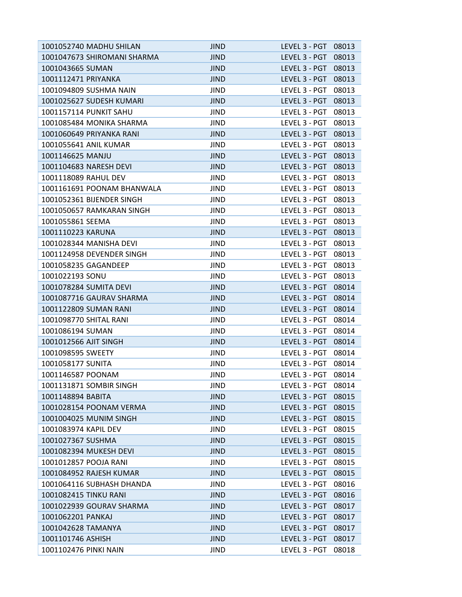| 1001052740 MADHU SHILAN       | <b>JIND</b> | LEVEL 3 - PGT 08013    |
|-------------------------------|-------------|------------------------|
| 1001047673 SHIROMANI SHARMA   | <b>JIND</b> | LEVEL 3 - PGT 08013    |
| 1001043665 SUMAN              | <b>JIND</b> | LEVEL 3 - PGT 08013    |
| 1001112471 PRIYANKA           | <b>JIND</b> | LEVEL 3 - PGT<br>08013 |
| 1001094809 SUSHMA NAIN        | JIND        | LEVEL 3 - PGT 08013    |
| 1001025627 SUDESH KUMARI      | <b>JIND</b> | LEVEL 3 - PGT 08013    |
| <b>1001157114 PUNKIT SAHU</b> | JIND        | LEVEL 3 - PGT 08013    |
| 1001085484 MONIKA SHARMA      | JIND        | LEVEL 3 - PGT<br>08013 |
| 1001060649 PRIYANKA RANI      | <b>JIND</b> | LEVEL 3 - PGT<br>08013 |
| 1001055641 ANIL KUMAR         | JIND        | LEVEL 3 - PGT 08013    |
| 1001146625 MANJU              | <b>JIND</b> | LEVEL 3 - PGT<br>08013 |
| 1001104683 NARESH DEVI        | <b>JIND</b> | LEVEL 3 - PGT 08013    |
| 1001118089 RAHUL DEV          | JIND        | LEVEL 3 - PGT<br>08013 |
| 1001161691 POONAM BHANWALA    | JIND        | LEVEL 3 - PGT 08013    |
| 1001052361 BIJENDER SINGH     | JIND        | LEVEL 3 - PGT<br>08013 |
| 1001050657 RAMKARAN SINGH     | JIND        | LEVEL 3 - PGT 08013    |
| 1001055861 SEEMA              | JIND        | LEVEL 3 - PGT 08013    |
| 1001110223 KARUNA             | <b>JIND</b> | LEVEL 3 - PGT<br>08013 |
| 1001028344 MANISHA DEVI       | JIND        | LEVEL 3 - PGT 08013    |
| 1001124958 DEVENDER SINGH     | <b>JIND</b> | LEVEL 3 - PGT 08013    |
| 1001058235 GAGANDEEP          | JIND        | LEVEL 3 - PGT 08013    |
| 1001022193 SONU               | JIND        | LEVEL 3 - PGT<br>08013 |
| 1001078284 SUMITA DEVI        | <b>JIND</b> | LEVEL 3 - PGT<br>08014 |
| 1001087716 GAURAV SHARMA      | <b>JIND</b> | LEVEL 3 - PGT 08014    |
| 1001122809 SUMAN RANI         | <b>JIND</b> | LEVEL 3 - PGT 08014    |
| 1001098770 SHITAL RANI        | JIND        | LEVEL 3 - PGT 08014    |
| 1001086194 SUMAN              | JIND        | LEVEL 3 - PGT<br>08014 |
| 1001012566 AJIT SINGH         | <b>JIND</b> | LEVEL 3 - PGT<br>08014 |
| 1001098595 SWEETY             | JIND        | LEVEL 3 - PGT 08014    |
| 1001058177 SUNITA             | JIND        | LEVEL 3 - PGT 08014    |
| 1001146587 POONAM             | <b>JIND</b> | LEVEL 3 - PGT 08014    |
| 1001131871 SOMBIR SINGH       | JIND        | LEVEL 3 - PGT 08014    |
| 1001148894 BABITA             | <b>JIND</b> | LEVEL 3 - PGT<br>08015 |
| 1001028154 POONAM VERMA       | <b>JIND</b> | 08015<br>LEVEL 3 - PGT |
| 1001004025 MUNIM SINGH        | <b>JIND</b> | LEVEL 3 - PGT<br>08015 |
| 1001083974 KAPIL DEV          | JIND        | LEVEL 3 - PGT<br>08015 |
| 1001027367 SUSHMA             | <b>JIND</b> | LEVEL 3 - PGT<br>08015 |
| 1001082394 MUKESH DEVI        | <b>JIND</b> | 08015<br>LEVEL 3 - PGT |
| 1001012857 POOJA RANI         | JIND        | LEVEL 3 - PGT<br>08015 |
| 1001084952 RAJESH KUMAR       | <b>JIND</b> | LEVEL 3 - PGT<br>08015 |
| 1001064116 SUBHASH DHANDA     | JIND        | LEVEL 3 - PGT<br>08016 |
| 1001082415 TINKU RANI         | <b>JIND</b> | LEVEL 3 - PGT<br>08016 |
| 1001022939 GOURAV SHARMA      | <b>JIND</b> | LEVEL 3 - PGT<br>08017 |
| 1001062201 PANKAJ             | <b>JIND</b> | LEVEL 3 - PGT<br>08017 |
| 1001042628 TAMANYA            | <b>JIND</b> | LEVEL 3 - PGT<br>08017 |
| 1001101746 ASHISH             | <b>JIND</b> | 08017<br>LEVEL 3 - PGT |
| 1001102476 PINKI NAIN         | <b>JIND</b> | LEVEL 3 - PGT<br>08018 |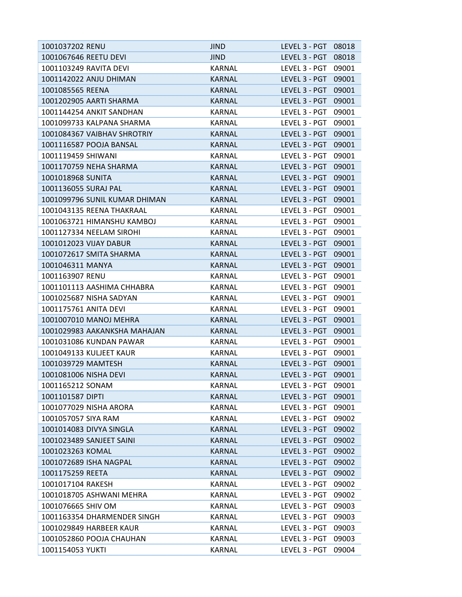| 1001037202 RENU               | <b>JIND</b>   | LEVEL 3 - PGT 08018 |       |
|-------------------------------|---------------|---------------------|-------|
| 1001067646 REETU DEVI         | JIND          | LEVEL 3 - PGT 08018 |       |
| 1001103249 RAVITA DEVI        | KARNAL        | LEVEL 3 - PGT 09001 |       |
| 1001142022 ANJU DHIMAN        | <b>KARNAL</b> | LEVEL 3 - PGT 09001 |       |
| 1001085565 REENA              | <b>KARNAL</b> | LEVEL 3 - PGT 09001 |       |
| 1001202905 AARTI SHARMA       | KARNAL        | LEVEL 3 - PGT 09001 |       |
| 1001144254 ANKIT SANDHAN      | KARNAL        | LEVEL 3 - PGT 09001 |       |
| 1001099733 KALPANA SHARMA     | KARNAL        | LEVEL 3 - PGT 09001 |       |
| 1001084367 VAIBHAV SHROTRIY   | <b>KARNAL</b> | LEVEL 3 - PGT 09001 |       |
| 1001116587 POOJA BANSAL       | KARNAL        | LEVEL 3 - PGT 09001 |       |
| 1001119459 SHIWANI            | KARNAL        | LEVEL 3 - PGT 09001 |       |
| 1001170759 NEHA SHARMA        | KARNAL        | LEVEL 3 - PGT 09001 |       |
| 1001018968 SUNITA             | <b>KARNAL</b> | LEVEL 3 - PGT 09001 |       |
| 1001136055 SURAJ PAL          | KARNAL        | LEVEL 3 - PGT 09001 |       |
| 1001099796 SUNIL KUMAR DHIMAN | KARNAL        | LEVEL 3 - PGT 09001 |       |
| 1001043135 REENA THAKRAAL     | KARNAL        | LEVEL 3 - PGT 09001 |       |
| 1001063721 HIMANSHU KAMBOJ    | KARNAL        | LEVEL 3 - PGT 09001 |       |
| 1001127334 NEELAM SIROHI      | KARNAL        | LEVEL 3 - PGT 09001 |       |
| 1001012023 VIJAY DABUR        | KARNAL        | LEVEL 3 - PGT 09001 |       |
| 1001072617 SMITA SHARMA       | KARNAL        | LEVEL 3 - PGT 09001 |       |
| 1001046311 MANYA              | KARNAL        | LEVEL 3 - PGT 09001 |       |
| 1001163907 RENU               | KARNAL        | LEVEL 3 - PGT 09001 |       |
| 1001101113 AASHIMA CHHABRA    | KARNAL        | LEVEL 3 - PGT 09001 |       |
| 1001025687 NISHA SADYAN       | KARNAL        | LEVEL 3 - PGT 09001 |       |
| 1001175761 ANITA DEVI         | KARNAL        | LEVEL 3 - PGT 09001 |       |
| 1001007010 MANOJ MEHRA        | KARNAL        | LEVEL 3 - PGT 09001 |       |
| 1001029983 AAKANKSHA MAHAJAN  | KARNAL        | LEVEL 3 - PGT 09001 |       |
| 1001031086 KUNDAN PAWAR       | KARNAL        | LEVEL 3 - PGT 09001 |       |
| 1001049133 KULJEET KAUR       | KARNAL        | LEVEL 3 - PGT 09001 |       |
| 1001039729 MAMTESH            | KARNAL        | LEVEL 3 - PGT 09001 |       |
| 1001081006 NISHA DEVI         | <b>KARNAL</b> | LEVEL 3 - PGT 09001 |       |
| 1001165212 SONAM              | <b>KARNAL</b> | LEVEL 3 - PGT 09001 |       |
| 1001101587 DIPTI              | KARNAL        | LEVEL 3 - PGT       | 09001 |
| 1001077029 NISHA ARORA        | KARNAL        | LEVEL 3 - PGT       | 09001 |
| 1001057057 SIYA RAM           | <b>KARNAL</b> | LEVEL 3 - PGT       | 09002 |
| 1001014083 DIVYA SINGLA       | <b>KARNAL</b> | LEVEL 3 - PGT       | 09002 |
| 1001023489 SANJEET SAINI      | <b>KARNAL</b> | LEVEL 3 - PGT       | 09002 |
| 1001023263 KOMAL              | KARNAL        | LEVEL 3 - PGT       | 09002 |
| 1001072689 ISHA NAGPAL        | KARNAL        | LEVEL 3 - PGT       | 09002 |
| 1001175259 REETA              | <b>KARNAL</b> | LEVEL 3 - PGT       | 09002 |
| 1001017104 RAKESH             | KARNAL        | LEVEL 3 - PGT       | 09002 |
| 1001018705 ASHWANI MEHRA      | KARNAL        | LEVEL 3 - PGT       | 09002 |
| 1001076665 SHIV OM            | KARNAL        | LEVEL 3 - PGT       | 09003 |
| 1001163354 DHARMENDER SINGH   | KARNAL        | LEVEL 3 - PGT       | 09003 |
| 1001029849 HARBEER KAUR       | KARNAL        | LEVEL 3 - PGT       | 09003 |
| 1001052860 POOJA CHAUHAN      | KARNAL        | LEVEL 3 - PGT       | 09003 |
| 1001154053 YUKTI              | KARNAL        | LEVEL 3 - PGT       | 09004 |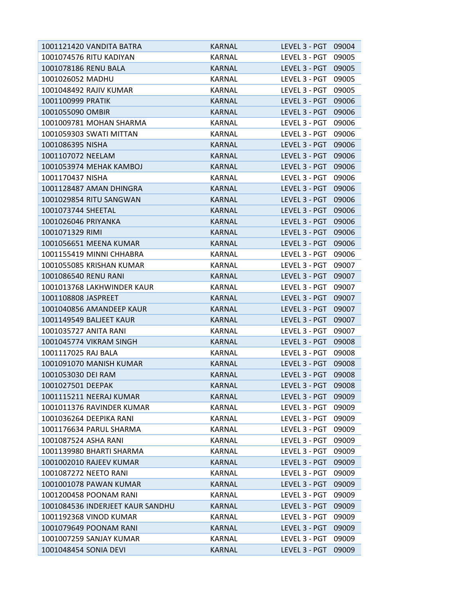| 1001121420 VANDITA BATRA         | KARNAL        | LEVEL 3 - PGT 09004    |
|----------------------------------|---------------|------------------------|
| 1001074576 RITU KADIYAN          | KARNAL        | LEVEL 3 - PGT 09005    |
| 1001078186 RENU BALA             | KARNAL        | LEVEL 3 - PGT 09005    |
| 1001026052 MADHU                 | KARNAL        | LEVEL 3 - PGT<br>09005 |
| 1001048492 RAJIV KUMAR           | KARNAL        | LEVEL 3 - PGT 09005    |
| 1001100999 PRATIK                | KARNAL        | LEVEL 3 - PGT 09006    |
| 1001055090 OMBIR                 | KARNAL        | LEVEL 3 - PGT 09006    |
| 1001009781 MOHAN SHARMA          | KARNAL        | LEVEL 3 - PGT 09006    |
| 1001059303 SWATI MITTAN          | KARNAL        | LEVEL 3 - PGT 09006    |
| 1001086395 NISHA                 | KARNAL        | LEVEL 3 - PGT 09006    |
| 1001107072 NEELAM                | KARNAL        | LEVEL 3 - PGT 09006    |
| 1001053974 MEHAK KAMBOJ          | KARNAL        | LEVEL 3 - PGT 09006    |
| 1001170437 NISHA                 | KARNAL        | LEVEL 3 - PGT 09006    |
| 1001128487 AMAN DHINGRA          | <b>KARNAL</b> | LEVEL 3 - PGT 09006    |
| 1001029854 RITU SANGWAN          | KARNAL        | LEVEL 3 - PGT 09006    |
| 1001073744 SHEETAL               | KARNAL        | LEVEL 3 - PGT 09006    |
| 1001026046 PRIYANKA              | KARNAL        | LEVEL 3 - PGT 09006    |
| 1001071329 RIMI                  | KARNAL        | LEVEL 3 - PGT 09006    |
| 1001056651 MEENA KUMAR           | KARNAL        | LEVEL 3 - PGT 09006    |
| 1001155419 MINNI CHHABRA         | KARNAL        | LEVEL 3 - PGT 09006    |
| 1001055085 KRISHAN KUMAR         | KARNAL        | LEVEL 3 - PGT 09007    |
| 1001086540 RENU RANI             | KARNAL        | LEVEL 3 - PGT 09007    |
| 1001013768 LAKHWINDER KAUR       | KARNAL        | LEVEL 3 - PGT<br>09007 |
| 1001108808 JASPREET              | KARNAL        | LEVEL 3 - PGT 09007    |
| 1001040856 AMANDEEP KAUR         | KARNAL        | LEVEL 3 - PGT 09007    |
| 1001149549 BALJEET KAUR          | KARNAL        | LEVEL 3 - PGT 09007    |
| 1001035727 ANITA RANI            | KARNAL        | LEVEL 3 - PGT 09007    |
| 1001045774 VIKRAM SINGH          | KARNAL        | LEVEL 3 - PGT<br>09008 |
| 1001117025 RAJ BALA              | KARNAL        | LEVEL 3 - PGT 09008    |
| 1001091070 MANISH KUMAR          | KARNAL        | LEVEL 3 - PGT 09008    |
| 1001053030 DEI RAM               | <b>KARNAL</b> | LEVEL 3 - PGT 09008    |
| 1001027501 DEEPAK                | <b>KARNAL</b> | 09008<br>LEVEL 3 - PGT |
| 1001115211 NEERAJ KUMAR          | <b>KARNAL</b> | 09009<br>LEVEL 3 - PGT |
| 1001011376 RAVINDER KUMAR        | KARNAL        | LEVEL 3 - PGT<br>09009 |
| 1001036264 DEEPIKA RANI          | KARNAL        | LEVEL 3 - PGT<br>09009 |
| 1001176634 PARUL SHARMA          | KARNAL        | LEVEL 3 - PGT<br>09009 |
| 1001087524 ASHA RANI             | KARNAL        | LEVEL 3 - PGT<br>09009 |
| 1001139980 BHARTI SHARMA         | KARNAL        | LEVEL 3 - PGT<br>09009 |
| 1001002010 RAJEEV KUMAR          | <b>KARNAL</b> | 09009<br>LEVEL 3 - PGT |
| 1001087272 NEETO RANI            | <b>KARNAL</b> | LEVEL 3 - PGT<br>09009 |
| 1001001078 PAWAN KUMAR           | <b>KARNAL</b> | LEVEL 3 - PGT<br>09009 |
| 1001200458 POONAM RANI           | KARNAL        | LEVEL 3 - PGT<br>09009 |
| 1001084536 INDERJEET KAUR SANDHU | <b>KARNAL</b> | LEVEL 3 - PGT<br>09009 |
| 1001192368 VINOD KUMAR           | KARNAL        | LEVEL 3 - PGT<br>09009 |
| 1001079649 POONAM RANI           | <b>KARNAL</b> | LEVEL 3 - PGT<br>09009 |
| 1001007259 SANJAY KUMAR          | KARNAL        | LEVEL 3 - PGT<br>09009 |
| 1001048454 SONIA DEVI            | <b>KARNAL</b> | LEVEL 3 - PGT<br>09009 |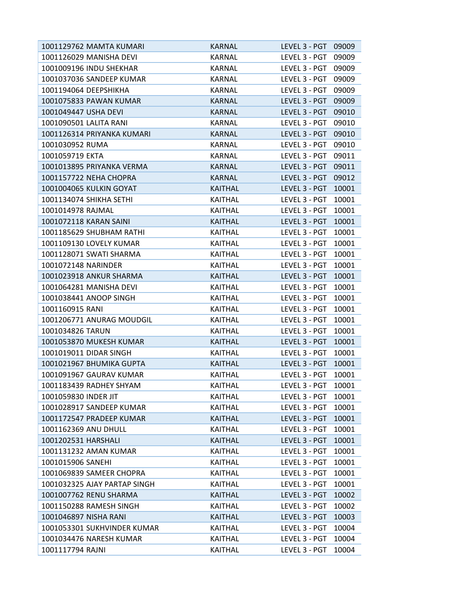| 1001129762 MAMTA KUMARI      | KARNAL         | LEVEL 3 - PGT 09009    |
|------------------------------|----------------|------------------------|
| 1001126029 MANISHA DEVI      | KARNAL         | LEVEL 3 - PGT 09009    |
| 1001009196 INDU SHEKHAR      | KARNAL         | LEVEL 3 - PGT 09009    |
| 1001037036 SANDEEP KUMAR     | KARNAL         | LEVEL 3 - PGT<br>09009 |
| 1001194064 DEEPSHIKHA        | KARNAL         | LEVEL 3 - PGT 09009    |
| 1001075833 PAWAN KUMAR       | KARNAL         | LEVEL 3 - PGT 09009    |
| 1001049447 USHA DEVI         | KARNAL         | LEVEL 3 - PGT 09010    |
| 1001090501 LALITA RANI       | KARNAL         | LEVEL 3 - PGT 09010    |
| 1001126314 PRIYANKA KUMARI   | KARNAL         | LEVEL 3 - PGT<br>09010 |
| 1001030952 RUMA              | KARNAL         | LEVEL 3 - PGT 09010    |
| 1001059719 EKTA              | KARNAL         | LEVEL 3 - PGT 09011    |
| 1001013895 PRIYANKA VERMA    | KARNAL         | LEVEL 3 - PGT 09011    |
| 1001157722 NEHA CHOPRA       | KARNAL         | LEVEL 3 - PGT 09012    |
| 1001004065 KULKIN GOYAT      | <b>KAITHAL</b> | LEVEL 3 - PGT 10001    |
| 1001134074 SHIKHA SETHI      | KAITHAL        | LEVEL 3 - PGT 10001    |
| 1001014978 RAJMAL            | KAITHAL        | LEVEL 3 - PGT 10001    |
| 1001072118 KARAN SAINI       | <b>KAITHAL</b> | LEVEL 3 - PGT 10001    |
| 1001185629 SHUBHAM RATHI     | KAITHAL        | LEVEL 3 - PGT 10001    |
| 1001109130 LOVELY KUMAR      | KAITHAL        | LEVEL 3 - PGT 10001    |
| 1001128071 SWATI SHARMA      | KAITHAL        | LEVEL 3 - PGT 10001    |
| 1001072148 NARINDER          | <b>KAITHAL</b> | LEVEL 3 - PGT<br>10001 |
| 1001023918 ANKUR SHARMA      | KAITHAL        | LEVEL 3 - PGT<br>10001 |
| 1001064281 MANISHA DEVI      | KAITHAL        | LEVEL 3 - PGT<br>10001 |
| 1001038441 ANOOP SINGH       | KAITHAL        | LEVEL 3 - PGT 10001    |
| 1001160915 RANI              | KAITHAL        | LEVEL 3 - PGT 10001    |
| 1001206771 ANURAG MOUDGIL    | <b>KAITHAL</b> | LEVEL 3 - PGT<br>10001 |
| 1001034826 TARUN             | KAITHAL        | LEVEL 3 - PGT<br>10001 |
| 1001053870 MUKESH KUMAR      | KAITHAL        | LEVEL 3 - PGT<br>10001 |
| 1001019011 DIDAR SINGH       | KAITHAL        | LEVEL 3 - PGT 10001    |
| 1001021967 BHUMIKA GUPTA     | KAITHAL        | LEVEL 3 - PGT 10001    |
| 1001091967 GAURAV KUMAR      | KAITHAL        | LEVEL 3 - PGT 10001    |
| 1001183439 RADHEY SHYAM      | KAITHAL        | LEVEL 3 - PGT<br>10001 |
| 1001059830 INDER JIT         | KAITHAL        | LEVEL 3 - PGT<br>10001 |
| 1001028917 SANDEEP KUMAR     | KAITHAL        | 10001<br>LEVEL 3 - PGT |
| 1001172547 PRADEEP KUMAR     | <b>KAITHAL</b> | LEVEL 3 - PGT<br>10001 |
| 1001162369 ANU DHULL         | KAITHAL        | LEVEL 3 - PGT<br>10001 |
| 1001202531 HARSHALI          | <b>KAITHAL</b> | LEVEL 3 - PGT<br>10001 |
| 1001131232 AMAN KUMAR        | KAITHAL        | LEVEL 3 - PGT<br>10001 |
| 1001015906 SANEHI            | <b>KAITHAL</b> | LEVEL 3 - PGT<br>10001 |
| 1001069839 SAMEER CHOPRA     | KAITHAL        | LEVEL 3 - PGT<br>10001 |
| 1001032325 AJAY PARTAP SINGH | KAITHAL        | LEVEL 3 - PGT<br>10001 |
| 1001007762 RENU SHARMA       | <b>KAITHAL</b> | 10002<br>LEVEL 3 - PGT |
| 1001150288 RAMESH SINGH      | KAITHAL        | LEVEL 3 - PGT<br>10002 |
| 1001046897 NISHA RANI        | <b>KAITHAL</b> | LEVEL 3 - PGT<br>10003 |
| 1001053301 SUKHVINDER KUMAR  | KAITHAL        | 10004<br>LEVEL 3 - PGT |
| 1001034476 NARESH KUMAR      | KAITHAL        | LEVEL 3 - PGT<br>10004 |
| 1001117794 RAJNI             | <b>KAITHAL</b> | 10004<br>LEVEL 3 - PGT |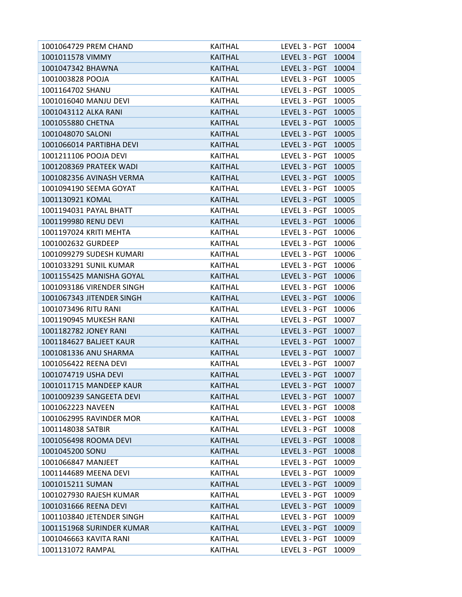| 1001064729 PREM CHAND     | KAITHAL        | LEVEL 3 - PGT 10004    |
|---------------------------|----------------|------------------------|
| 1001011578 VIMMY          | KAITHAL        | LEVEL 3 - PGT 10004    |
| 1001047342 BHAWNA         | KAITHAL        | LEVEL 3 - PGT 10004    |
| 1001003828 POOJA          | <b>KAITHAL</b> | LEVEL 3 - PGT 10005    |
| 1001164702 SHANU          | KAITHAL        | LEVEL 3 - PGT 10005    |
| 1001016040 MANJU DEVI     | KAITHAL        | LEVEL 3 - PGT 10005    |
| 1001043112 ALKA RANI      | KAITHAL        | LEVEL 3 - PGT 10005    |
| 1001055880 CHETNA         | <b>KAITHAL</b> | LEVEL 3 - PGT 10005    |
| 1001048070 SALONI         | KAITHAL        | LEVEL 3 - PGT<br>10005 |
| 1001066014 PARTIBHA DEVI  | KAITHAL        | LEVEL 3 - PGT 10005    |
| 1001211106 POOJA DEVI     | KAITHAL        | LEVEL 3 - PGT 10005    |
| 1001208369 PRATEEK WADI   | KAITHAL        | LEVEL 3 - PGT 10005    |
| 1001082356 AVINASH VERMA  | KAITHAL        | LEVEL 3 - PGT 10005    |
| 1001094190 SEEMA GOYAT    | KAITHAL        | LEVEL 3 - PGT 10005    |
| 1001130921 KOMAL          | KAITHAL        | LEVEL 3 - PGT 10005    |
| 1001194031 PAYAL BHATT    | KAITHAL        | LEVEL 3 - PGT 10005    |
| 1001199980 RENU DEVI      | KAITHAL        | LEVEL 3 - PGT 10006    |
| 1001197024 KRITI MEHTA    | KAITHAL        | LEVEL 3 - PGT<br>10006 |
| 1001002632 GURDEEP        | KAITHAL        | LEVEL 3 - PGT 10006    |
| 1001099279 SUDESH KUMARI  | KAITHAL        | LEVEL 3 - PGT 10006    |
| 1001033291 SUNIL KUMAR    | KAITHAL        | LEVEL 3 - PGT 10006    |
| 1001155425 MANISHA GOYAL  | KAITHAL        | LEVEL 3 - PGT 10006    |
| 1001093186 VIRENDER SINGH | KAITHAL        | LEVEL 3 - PGT<br>10006 |
| 1001067343 JITENDER SINGH | KAITHAL        | LEVEL 3 - PGT 10006    |
| 1001073496 RITU RANI      | KAITHAL        | LEVEL 3 - PGT 10006    |
| 1001190945 MUKESH RANI    | KAITHAL        | LEVEL 3 - PGT 10007    |
| 1001182782 JONEY RANI     | KAITHAL        | LEVEL 3 - PGT 10007    |
| 1001184627 BALJEET KAUR   | KAITHAL        | LEVEL 3 - PGT<br>10007 |
| 1001081336 ANU SHARMA     | KAITHAL        | LEVEL 3 - PGT 10007    |
| 1001056422 REENA DEVI     | KAITHAL        | LEVEL 3 - PGT 10007    |
| 1001074719 USHA DEVI      | KAITHAL        | LEVEL 3 - PGT 10007    |
| 1001011715 MANDEEP KAUR   | <b>KAITHAL</b> | LEVEL 3 - PGT<br>10007 |
| 1001009239 SANGEETA DEVI  | <b>KAITHAL</b> | LEVEL 3 - PGT<br>10007 |
| 1001062223 NAVEEN         | KAITHAL        | 10008<br>LEVEL 3 - PGT |
| 1001062995 RAVINDER MOR   | <b>KAITHAL</b> | LEVEL 3 - PGT<br>10008 |
| 1001148038 SATBIR         | <b>KAITHAL</b> | LEVEL 3 - PGT<br>10008 |
| 1001056498 ROOMA DEVI     | <b>KAITHAL</b> | LEVEL 3 - PGT<br>10008 |
| 1001045200 SONU           | <b>KAITHAL</b> | LEVEL 3 - PGT<br>10008 |
| 1001066847 MANJEET        | <b>KAITHAL</b> | LEVEL 3 - PGT<br>10009 |
| 1001144689 MEENA DEVI     | <b>KAITHAL</b> | LEVEL 3 - PGT<br>10009 |
| 1001015211 SUMAN          | <b>KAITHAL</b> | LEVEL 3 - PGT<br>10009 |
| 1001027930 RAJESH KUMAR   | KAITHAL        | 10009<br>LEVEL 3 - PGT |
| 1001031666 REENA DEVI     | <b>KAITHAL</b> | LEVEL 3 - PGT<br>10009 |
| 1001103840 JETENDER SINGH | KAITHAL        | LEVEL 3 - PGT<br>10009 |
| 1001151968 SURINDER KUMAR | <b>KAITHAL</b> | LEVEL 3 - PGT<br>10009 |
| 1001046663 KAVITA RANI    | KAITHAL        | 10009<br>LEVEL 3 - PGT |
| 1001131072 RAMPAL         | <b>KAITHAL</b> | LEVEL 3 - PGT<br>10009 |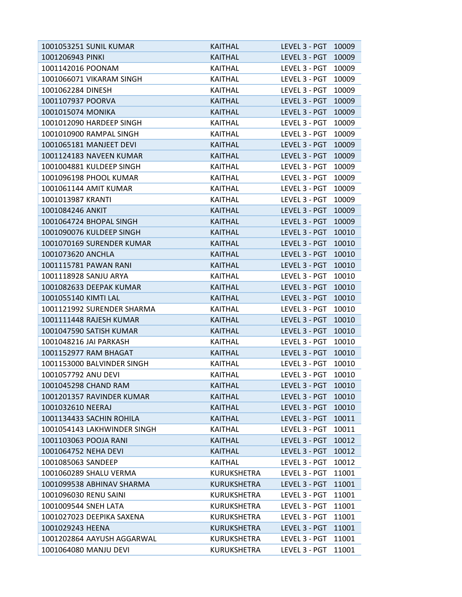| 1001053251 SUNIL KUMAR      | KAITHAL        | LEVEL 3 - PGT 10009 |       |
|-----------------------------|----------------|---------------------|-------|
| 1001206943 PINKI            | KAITHAL        | LEVEL 3 - PGT 10009 |       |
| 1001142016 POONAM           | KAITHAL        | LEVEL 3 - PGT 10009 |       |
| 1001066071 VIKARAM SINGH    | <b>KAITHAL</b> | LEVEL 3 - PGT       | 10009 |
| 1001062284 DINESH           | KAITHAL        | LEVEL 3 - PGT 10009 |       |
| 1001107937 POORVA           | KAITHAL        | LEVEL 3 - PGT 10009 |       |
| 1001015074 MONIKA           | KAITHAL        | LEVEL 3 - PGT 10009 |       |
| 1001012090 HARDEEP SINGH    | KAITHAL        | LEVEL 3 - PGT 10009 |       |
| 1001010900 RAMPAL SINGH     | <b>KAITHAL</b> | LEVEL 3 - PGT       | 10009 |
| 1001065181 MANJEET DEVI     | <b>KAITHAL</b> | LEVEL 3 - PGT 10009 |       |
| 1001124183 NAVEEN KUMAR     | KAITHAL        | LEVEL 3 - PGT 10009 |       |
| 1001004881 KULDEEP SINGH    | KAITHAL        | LEVEL 3 - PGT 10009 |       |
| 1001096198 PHOOL KUMAR      | KAITHAL        | LEVEL 3 - PGT 10009 |       |
| 1001061144 AMIT KUMAR       | KAITHAL        | LEVEL 3 - PGT 10009 |       |
| 1001013987 KRANTI           | KAITHAL        | LEVEL 3 - PGT 10009 |       |
| 1001084246 ANKIT            | KAITHAL        | LEVEL 3 - PGT 10009 |       |
| 1001064724 BHOPAL SINGH     | KAITHAL        | LEVEL 3 - PGT 10009 |       |
| 1001090076 KULDEEP SINGH    | KAITHAL        | LEVEL 3 - PGT 10010 |       |
| 1001070169 SURENDER KUMAR   | KAITHAL        | LEVEL 3 - PGT 10010 |       |
| 1001073620 ANCHLA           | KAITHAL        | LEVEL 3 - PGT 10010 |       |
| 1001115781 PAWAN RANI       | KAITHAL        | LEVEL 3 - PGT 10010 |       |
| 1001118928 SANJU ARYA       | KAITHAL        | LEVEL 3 - PGT 10010 |       |
| 1001082633 DEEPAK KUMAR     | KAITHAL        | LEVEL 3 - PGT 10010 |       |
| 1001055140 KIMTI LAL        | KAITHAL        | LEVEL 3 - PGT 10010 |       |
| 1001121992 SURENDER SHARMA  | KAITHAL        | LEVEL 3 - PGT 10010 |       |
| 1001111448 RAJESH KUMAR     | KAITHAL        | LEVEL 3 - PGT 10010 |       |
| 1001047590 SATISH KUMAR     | KAITHAL        | LEVEL 3 - PGT 10010 |       |
| 1001048216 JAI PARKASH      | KAITHAL        | LEVEL 3 - PGT 10010 |       |
| 1001152977 RAM BHAGAT       | KAITHAL        | LEVEL 3 - PGT 10010 |       |
| 1001153000 BALVINDER SINGH  | KAITHAL        | LEVEL 3 - PGT 10010 |       |
| 1001057792 ANU DEVI         | KAITHAL        | LEVEL 3 - PGT 10010 |       |
| 1001045298 CHAND RAM        | <b>KAITHAL</b> | LEVEL 3 - PGT       | 10010 |
| 1001201357 RAVINDER KUMAR   | <b>KAITHAL</b> | LEVEL 3 - PGT       | 10010 |
| 1001032610 NEERAJ           | <b>KAITHAL</b> | LEVEL 3 - PGT       | 10010 |
| 1001134433 SACHIN ROHILA    | <b>KAITHAL</b> | LEVEL 3 - PGT       | 10011 |
| 1001054143 LAKHWINDER SINGH | <b>KAITHAL</b> | LEVEL 3 - PGT       | 10011 |
| 1001103063 POOJA RANI       | KAITHAL        | LEVEL 3 - PGT       | 10012 |
| 1001064752 NEHA DEVI        | <b>KAITHAL</b> | LEVEL 3 - PGT       | 10012 |
| 1001085063 SANDEEP          | KAITHAL        | LEVEL 3 - PGT       | 10012 |
| 1001060289 SHALU VERMA      | KURUKSHETRA    | LEVEL 3 - PGT       | 11001 |
| 1001099538 ABHINAV SHARMA   | KURUKSHETRA    | LEVEL 3 - PGT       | 11001 |
| 1001096030 RENU SAINI       | KURUKSHETRA    | LEVEL 3 - PGT       | 11001 |
| 1001009544 SNEH LATA        | KURUKSHETRA    | LEVEL 3 - PGT       | 11001 |
| 1001027023 DEEPIKA SAXENA   | KURUKSHETRA    | LEVEL 3 - PGT       | 11001 |
| 1001029243 HEENA            | KURUKSHETRA    | LEVEL 3 - PGT       | 11001 |
| 1001202864 AAYUSH AGGARWAL  | KURUKSHETRA    | LEVEL 3 - PGT       | 11001 |
| 1001064080 MANJU DEVI       | KURUKSHETRA    | LEVEL 3 - PGT       | 11001 |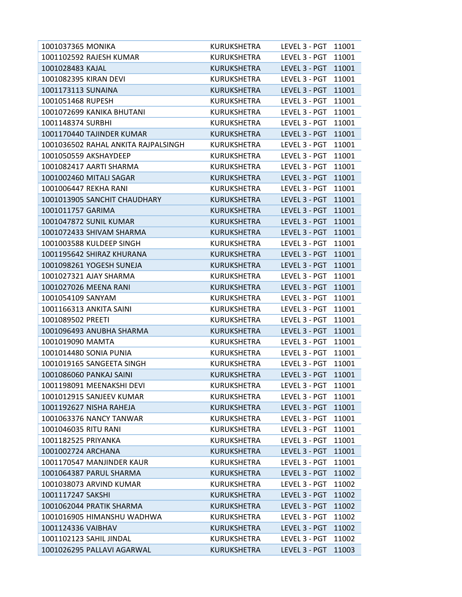| 1001037365 MONIKA                   | KURUKSHETRA        | LEVEL 3 - PGT 11001    |
|-------------------------------------|--------------------|------------------------|
| 1001102592 RAJESH KUMAR             | KURUKSHETRA        | LEVEL 3 - PGT 11001    |
| 1001028483 KAJAL                    | KURUKSHETRA        | LEVEL 3 - PGT 11001    |
| 1001082395 KIRAN DEVI               | KURUKSHETRA        | LEVEL 3 - PGT 11001    |
| 1001173113 SUNAINA                  | KURUKSHETRA        | LEVEL 3 - PGT 11001    |
| 1001051468 RUPESH                   | KURUKSHETRA        | LEVEL 3 - PGT 11001    |
| 1001072699 KANIKA BHUTANI           | KURUKSHETRA        | LEVEL 3 - PGT 11001    |
| 1001148374 SURBHI                   | KURUKSHETRA        | LEVEL 3 - PGT 11001    |
| 1001170440 TAJINDER KUMAR           | KURUKSHETRA        | LEVEL 3 - PGT 11001    |
| 1001036502 RAHAL ANKITA RAJPALSINGH | KURUKSHETRA        | LEVEL 3 - PGT 11001    |
| 1001050559 AKSHAYDEEP               | KURUKSHETRA        | LEVEL 3 - PGT 11001    |
| 1001082417 AARTI SHARMA             | KURUKSHETRA        | LEVEL 3 - PGT 11001    |
| 1001002460 MITALI SAGAR             | KURUKSHETRA        | LEVEL 3 - PGT 11001    |
| 1001006447 REKHA RANI               | KURUKSHETRA        | LEVEL 3 - PGT 11001    |
| 1001013905 SANCHIT CHAUDHARY        | KURUKSHETRA        | LEVEL 3 - PGT 11001    |
| 1001011757 GARIMA                   | KURUKSHETRA        | LEVEL 3 - PGT 11001    |
| 1001047872 SUNIL KUMAR              | KURUKSHETRA        | LEVEL 3 - PGT 11001    |
| 1001072433 SHIVAM SHARMA            | KURUKSHETRA        | LEVEL 3 - PGT 11001    |
| 1001003588 KULDEEP SINGH            | KURUKSHETRA        | LEVEL 3 - PGT 11001    |
| 1001195642 SHIRAZ KHURANA           | KURUKSHETRA        | LEVEL 3 - PGT 11001    |
| 1001098261 YOGESH SUNEJA            | KURUKSHETRA        | LEVEL 3 - PGT 11001    |
| 1001027321 AJAY SHARMA              | KURUKSHETRA        | LEVEL 3 - PGT 11001    |
| 1001027026 MEENA RANI               | KURUKSHETRA        | LEVEL 3 - PGT 11001    |
| 1001054109 SANYAM                   | KURUKSHETRA        | LEVEL 3 - PGT 11001    |
| 1001166313 ANKITA SAINI             | KURUKSHETRA        | LEVEL 3 - PGT 11001    |
| 1001089502 PREETI                   | KURUKSHETRA        | LEVEL 3 - PGT 11001    |
| 1001096493 ANUBHA SHARMA            | KURUKSHETRA        | LEVEL 3 - PGT 11001    |
| 1001019090 MAMTA                    | KURUKSHETRA        | LEVEL 3 - PGT 11001    |
| 1001014480 SONIA PUNIA              | KURUKSHETRA        | LEVEL 3 - PGT 11001    |
| 1001019165 SANGEETA SINGH           | KURUKSHETRA        | LEVEL 3 - PGT 11001    |
| 1001086060 PANKAJ SAINI             | KURUKSHETRA        | LEVEL 3 - PGT 11001    |
| 1001198091 MEENAKSHI DEVI           | KURUKSHETRA        | LEVEL 3 - PGT<br>11001 |
| 1001012915 SANJEEV KUMAR            | KURUKSHETRA        | 11001<br>LEVEL 3 - PGT |
| 1001192627 NISHA RAHEJA             | KURUKSHETRA        | LEVEL 3 - PGT<br>11001 |
| 1001063376 NANCY TANWAR             | KURUKSHETRA        | LEVEL 3 - PGT<br>11001 |
| 1001046035 RITU RANI                | <b>KURUKSHETRA</b> | LEVEL 3 - PGT<br>11001 |
| 1001182525 PRIYANKA                 | KURUKSHETRA        | LEVEL 3 - PGT<br>11001 |
| 1001002724 ARCHANA                  | KURUKSHETRA        | LEVEL 3 - PGT<br>11001 |
| 1001170547 MANJINDER KAUR           | KURUKSHETRA        | LEVEL 3 - PGT<br>11001 |
| 1001064387 PARUL SHARMA             | <b>KURUKSHETRA</b> | LEVEL 3 - PGT<br>11002 |
| 1001038073 ARVIND KUMAR             | KURUKSHETRA        | LEVEL 3 - PGT<br>11002 |
| 1001117247 SAKSHI                   | KURUKSHETRA        | LEVEL 3 - PGT<br>11002 |
| 1001062044 PRATIK SHARMA            | KURUKSHETRA        | 11002<br>LEVEL 3 - PGT |
| 1001016905 HIMANSHU WADHWA          | KURUKSHETRA        | LEVEL 3 - PGT<br>11002 |
| 1001124336 VAIBHAV                  | <b>KURUKSHETRA</b> | LEVEL 3 - PGT<br>11002 |
| 1001102123 SAHIL JINDAL             | KURUKSHETRA        | LEVEL 3 - PGT<br>11002 |
| 1001026295 PALLAVI AGARWAL          | <b>KURUKSHETRA</b> | LEVEL 3 - PGT<br>11003 |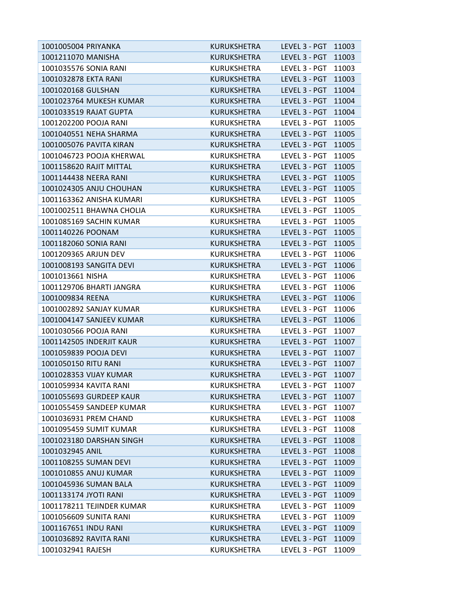| 1001005004 PRIYANKA       | KURUKSHETRA        | LEVEL 3 - PGT 11003    |
|---------------------------|--------------------|------------------------|
| 1001211070 MANISHA        | KURUKSHETRA        | LEVEL 3 - PGT 11003    |
| 1001035576 SONIA RANI     | KURUKSHETRA        | LEVEL 3 - PGT 11003    |
| 1001032878 EKTA RANI      | KURUKSHETRA        | LEVEL 3 - PGT 11003    |
| 1001020168 GULSHAN        | KURUKSHETRA        | LEVEL 3 - PGT 11004    |
| 1001023764 MUKESH KUMAR   | KURUKSHETRA        | LEVEL 3 - PGT 11004    |
| 1001033519 RAJAT GUPTA    | KURUKSHETRA        | LEVEL 3 - PGT 11004    |
| 1001202200 POOJA RANI     | KURUKSHETRA        | LEVEL 3 - PGT 11005    |
| 1001040551 NEHA SHARMA    | KURUKSHETRA        | LEVEL 3 - PGT 11005    |
| 1001005076 PAVITA KIRAN   | KURUKSHETRA        | LEVEL 3 - PGT 11005    |
| 1001046723 POOJA KHERWAL  | KURUKSHETRA        | LEVEL 3 - PGT 11005    |
| 1001158620 RAJIT MITTAL   | KURUKSHETRA        | LEVEL 3 - PGT 11005    |
| 1001144438 NEERA RANI     | KURUKSHETRA        | LEVEL 3 - PGT 11005    |
| 1001024305 ANJU CHOUHAN   | KURUKSHETRA        | LEVEL 3 - PGT 11005    |
| 1001163362 ANISHA KUMARI  | KURUKSHETRA        | LEVEL 3 - PGT 11005    |
| 1001002511 BHAWNA CHOLIA  | KURUKSHETRA        | LEVEL 3 - PGT 11005    |
| 1001085169 SACHIN KUMAR   | KURUKSHETRA        | LEVEL 3 - PGT 11005    |
| 1001140226 POONAM         | KURUKSHETRA        | LEVEL 3 - PGT 11005    |
| 1001182060 SONIA RANI     | KURUKSHETRA        | LEVEL 3 - PGT 11005    |
| 1001209365 ARJUN DEV      | KURUKSHETRA        | LEVEL 3 - PGT 11006    |
| 1001008193 SANGITA DEVI   | KURUKSHETRA        | LEVEL 3 - PGT 11006    |
| 1001013661 NISHA          | KURUKSHETRA        | LEVEL 3 - PGT 11006    |
| 1001129706 BHARTI JANGRA  | KURUKSHETRA        | LEVEL 3 - PGT 11006    |
| 1001009834 REENA          | KURUKSHETRA        | LEVEL 3 - PGT 11006    |
| 1001002892 SANJAY KUMAR   | KURUKSHETRA        | LEVEL 3 - PGT 11006    |
| 1001004147 SANJEEV KUMAR  | KURUKSHETRA        | LEVEL 3 - PGT 11006    |
| 1001030566 POOJA RANI     | KURUKSHETRA        | LEVEL 3 - PGT 11007    |
| 1001142505 INDERJIT KAUR  | KURUKSHETRA        | LEVEL 3 - PGT 11007    |
| 1001059839 POOJA DEVI     | KURUKSHETRA        | LEVEL 3 - PGT 11007    |
| 1001050150 RITU RANI      | KURUKSHETRA        | LEVEL 3 - PGT 11007    |
| 1001028353 VIJAY KUMAR    | KURUKSHETRA        | LEVEL 3 - PGT 11007    |
| 1001059934 KAVITA RANI    | KURUKSHETRA        | LEVEL 3 - PGT<br>11007 |
| 1001055693 GURDEEP KAUR   | KURUKSHETRA        | LEVEL 3 - PGT<br>11007 |
| 1001055459 SANDEEP KUMAR  | KURUKSHETRA        | LEVEL 3 - PGT<br>11007 |
| 1001036931 PREM CHAND     | KURUKSHETRA        | LEVEL 3 - PGT<br>11008 |
| 1001095459 SUMIT KUMAR    | <b>KURUKSHETRA</b> | LEVEL 3 - PGT<br>11008 |
| 1001023180 DARSHAN SINGH  | <b>KURUKSHETRA</b> | LEVEL 3 - PGT<br>11008 |
| 1001032945 ANIL           | <b>KURUKSHETRA</b> | LEVEL 3 - PGT 11008    |
| 1001108255 SUMAN DEVI     | KURUKSHETRA        | 11009<br>LEVEL 3 - PGT |
| 1001010855 ANUJ KUMAR     | <b>KURUKSHETRA</b> | LEVEL 3 - PGT<br>11009 |
| 1001045936 SUMAN BALA     | KURUKSHETRA        | LEVEL 3 - PGT<br>11009 |
| 1001133174 JYOTI RANI     | KURUKSHETRA        | LEVEL 3 - PGT<br>11009 |
| 1001178211 TEJINDER KUMAR | KURUKSHETRA        | LEVEL 3 - PGT<br>11009 |
| 1001056609 SUNITA RANI    | KURUKSHETRA        | LEVEL 3 - PGT<br>11009 |
| 1001167651 INDU RANI      | KURUKSHETRA        | LEVEL 3 - PGT<br>11009 |
| 1001036892 RAVITA RANI    | KURUKSHETRA        | LEVEL 3 - PGT<br>11009 |
| 1001032941 RAJESH         | KURUKSHETRA        | LEVEL 3 - PGT 11009    |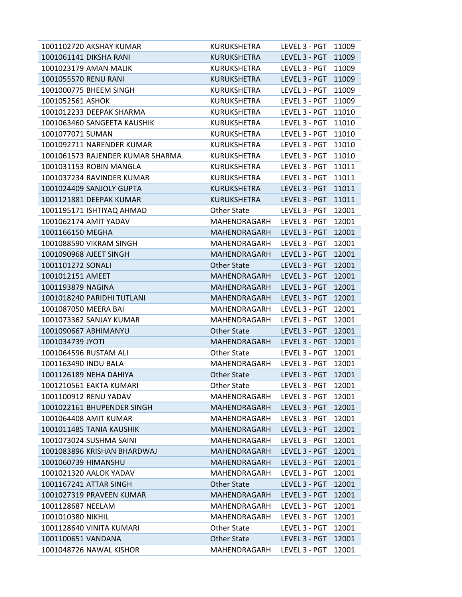| 1001102720 AKSHAY KUMAR          | KURUKSHETRA                      | LEVEL 3 - PGT 11009 |       |
|----------------------------------|----------------------------------|---------------------|-------|
| 1001061141 DIKSHA RANI           | KURUKSHETRA                      | LEVEL 3 - PGT 11009 |       |
| 1001023179 AMAN MALIK            | KURUKSHETRA                      | LEVEL 3 - PGT 11009 |       |
| 1001055570 RENU RANI             | KURUKSHETRA                      | LEVEL 3 - PGT 11009 |       |
| 1001000775 BHEEM SINGH           | KURUKSHETRA                      | LEVEL 3 - PGT 11009 |       |
| 1001052561 ASHOK                 | KURUKSHETRA                      | LEVEL 3 - PGT 11009 |       |
| 1001012233 DEEPAK SHARMA         | KURUKSHETRA                      | LEVEL 3 - PGT 11010 |       |
| 1001063460 SANGEETA KAUSHIK      | KURUKSHETRA                      | LEVEL 3 - PGT 11010 |       |
| 1001077071 SUMAN                 | KURUKSHETRA                      | LEVEL 3 - PGT 11010 |       |
| 1001092711 NARENDER KUMAR        | KURUKSHETRA                      | LEVEL 3 - PGT 11010 |       |
| 1001061573 RAJENDER KUMAR SHARMA | KURUKSHETRA                      | LEVEL 3 - PGT 11010 |       |
| 1001031153 ROBIN MANGLA          | KURUKSHETRA                      | LEVEL 3 - PGT 11011 |       |
| 1001037234 RAVINDER KUMAR        | KURUKSHETRA                      | LEVEL 3 - PGT 11011 |       |
| 1001024409 SANJOLY GUPTA         | KURUKSHETRA                      | LEVEL 3 - PGT 11011 |       |
| 1001121881 DEEPAK KUMAR          | KURUKSHETRA                      | LEVEL 3 - PGT 11011 |       |
| 1001195171 ISHTIYAQ AHMAD        | Other State                      | LEVEL 3 - PGT 12001 |       |
| 1001062174 AMIT YADAV            | MAHENDRAGARH LEVEL 3 - PGT 12001 |                     |       |
| 1001166150 MEGHA                 | MAHENDRAGARH                     | LEVEL 3 - PGT 12001 |       |
| 1001088590 VIKRAM SINGH          | MAHENDRAGARH                     | LEVEL 3 - PGT 12001 |       |
| 1001090968 AJEET SINGH           | MAHENDRAGARH                     | LEVEL 3 - PGT 12001 |       |
| 1001101272 SONALI                | Other State                      | LEVEL 3 - PGT 12001 |       |
| 1001012151 AMEET                 | MAHENDRAGARH LEVEL 3 - PGT 12001 |                     |       |
| 1001193879 NAGINA                | MAHENDRAGARH                     | LEVEL 3 - PGT 12001 |       |
| 1001018240 PARIDHI TUTLANI       | MAHENDRAGARH                     | LEVEL 3 - PGT 12001 |       |
| 1001087050 MEERA BAI             | MAHENDRAGARH                     | LEVEL 3 - PGT 12001 |       |
| 1001073362 SANJAY KUMAR          | MAHENDRAGARH                     | LEVEL 3 - PGT 12001 |       |
| 1001090667 ABHIMANYU             | Other State                      | LEVEL 3 - PGT 12001 |       |
| 1001034739 JYOTI                 | MAHENDRAGARH                     | LEVEL 3 - PGT 12001 |       |
| 1001064596 RUSTAM ALI            | Other State                      | LEVEL 3 - PGT 12001 |       |
| 1001163490 INDU BALA             | MAHENDRAGARH LEVEL 3 - PGT 12001 |                     |       |
| 1001126189 NEHA DAHIYA           | <b>Other State</b>               | LEVEL 3 - PGT 12001 |       |
| 1001210561 EAKTA KUMARI          | Other State                      | LEVEL 3 - PGT       | 12001 |
| 1001100912 RENU YADAV            | MAHENDRAGARH                     | LEVEL 3 - PGT       | 12001 |
| 1001022161 BHUPENDER SINGH       | MAHENDRAGARH                     | LEVEL 3 - PGT       | 12001 |
| 1001064408 AMIT KUMAR            | MAHENDRAGARH                     | LEVEL 3 - PGT       | 12001 |
| 1001011485 TANIA KAUSHIK         | MAHENDRAGARH                     | LEVEL 3 - PGT       | 12001 |
| 1001073024 SUSHMA SAINI          | MAHENDRAGARH                     | LEVEL 3 - PGT       | 12001 |
| 1001083896 KRISHAN BHARDWAJ      | MAHENDRAGARH                     | LEVEL 3 - PGT       | 12001 |
| 1001060739 HIMANSHU              | MAHENDRAGARH                     | LEVEL 3 - PGT       | 12001 |
| 1001021320 AALOK YADAV           | MAHENDRAGARH                     | LEVEL 3 - PGT       | 12001 |
| 1001167241 ATTAR SINGH           | <b>Other State</b>               | LEVEL 3 - PGT       | 12001 |
| 1001027319 PRAVEEN KUMAR         | MAHENDRAGARH                     | LEVEL 3 - PGT       | 12001 |
| 1001128687 NEELAM                | MAHENDRAGARH                     | LEVEL 3 - PGT       | 12001 |
| 1001010380 NIKHIL                | MAHENDRAGARH                     | LEVEL 3 - PGT       | 12001 |
| 1001128640 VINITA KUMARI         | <b>Other State</b>               | LEVEL 3 - PGT       | 12001 |
| 1001100651 VANDANA               | <b>Other State</b>               | LEVEL 3 - PGT       | 12001 |
| 1001048726 NAWAL KISHOR          | MAHENDRAGARH                     | LEVEL 3 - PGT       | 12001 |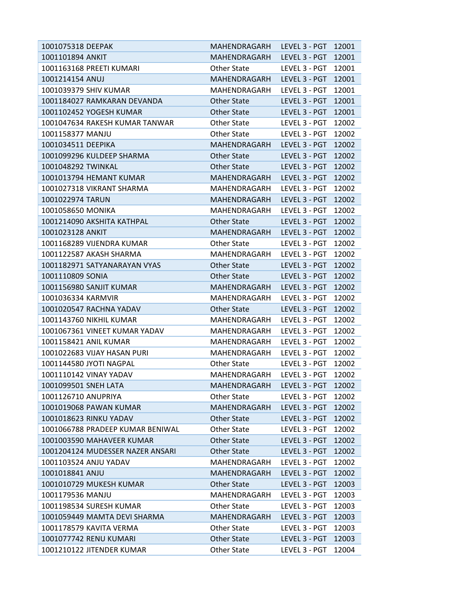| 1001075318 DEEPAK AREA AREA AREA AREA AREA | MAHENDRAGARH LEVEL 3 - PGT 12001 |                     |       |
|--------------------------------------------|----------------------------------|---------------------|-------|
| 1001101894 ANKIT                           | MAHENDRAGARH LEVEL 3 - PGT 12001 |                     |       |
| 1001163168 PREETI KUMARI                   | Other State LEVEL 3 - PGT 12001  |                     |       |
| 1001214154 ANUJ                            | MAHENDRAGARH LEVEL 3 - PGT 12001 |                     |       |
| 1001039379 SHIV KUMAR                      | MAHENDRAGARH LEVEL 3 - PGT 12001 |                     |       |
| 1001184027 RAMKARAN DEVANDA                | Other State <b>Company</b>       | LEVEL 3 - PGT 12001 |       |
| 1001102452 YOGESH KUMAR                    | Other State LEVEL 3 - PGT 12001  |                     |       |
| 1001047634 RAKESH KUMAR TANWAR             | Other State                      | LEVEL 3 - PGT 12002 |       |
| 1001158377 MANJU                           | Other State                      | LEVEL 3 - PGT 12002 |       |
| 1001034511 DEEPIKA                         | MAHENDRAGARH LEVEL 3 - PGT 12002 |                     |       |
| 1001099296 KULDEEP SHARMA                  | Other State <b>Company</b>       | LEVEL 3 - PGT 12002 |       |
| 1001048292 TWINKAL                         | Other State <b>Company</b>       | LEVEL 3 - PGT 12002 |       |
| 1001013794 HEMANT KUMAR                    | MAHENDRAGARH LEVEL 3 - PGT 12002 |                     |       |
| 1001027318 VIKRANT SHARMA                  | MAHENDRAGARH                     | LEVEL 3 - PGT 12002 |       |
| 1001022974 TARUN                           | MAHENDRAGARH LEVEL 3 - PGT 12002 |                     |       |
| 1001058650 MONIKA                          | MAHENDRAGARH LEVEL 3 - PGT 12002 |                     |       |
| 1001214090 AKSHITA KATHPAL                 | Other State LEVEL 3 - PGT 12002  |                     |       |
| 1001023128 ANKIT                           | MAHENDRAGARH LEVEL 3 - PGT 12002 |                     |       |
| 1001168289 VIJENDRA KUMAR                  | Other State                      | LEVEL 3 - PGT 12002 |       |
| 1001122587 AKASH SHARMA                    | MAHENDRAGARH LEVEL 3 - PGT 12002 |                     |       |
| 1001182971 SATYANARAYAN VYAS               | Other State                      | LEVEL 3 - PGT 12002 |       |
| 1001110809 SONIA                           | Other State LEVEL 3 - PGT 12002  |                     |       |
| 1001156980 SANJIT KUMAR                    | MAHENDRAGARH LEVEL 3 - PGT 12002 |                     |       |
| 1001036334 KARMVIR                         | MAHENDRAGARH LEVEL 3 - PGT 12002 |                     |       |
| 1001020547 RACHNA YADAV                    | Other State                      | LEVEL 3 - PGT 12002 |       |
| 1001143760 NIKHIL KUMAR                    | MAHENDRAGARH LEVEL 3 - PGT 12002 |                     |       |
| 1001067361 VINEET KUMAR YADAV              | MAHENDRAGARH LEVEL 3 - PGT 12002 |                     |       |
| 1001158421 ANIL KUMAR                      | MAHENDRAGARH                     | LEVEL 3 - PGT 12002 |       |
| 1001022683 VIJAY HASAN PURI                | MAHENDRAGARH LEVEL 3 - PGT 12002 |                     |       |
| 1001144580 JYOTI NAGPAL                    | Other State LEVEL 3 - PGT 12002  |                     |       |
| 1001110142 VINAY YADAV                     | MAHENDRAGARH                     | LEVEL 3 - PGT 12002 |       |
| 1001099501 SNEH LATA                       | MAHENDRAGARH                     | LEVEL 3 - PGT       | 12002 |
| 1001126710 ANUPRIYA                        | Other State                      | LEVEL 3 - PGT       | 12002 |
| 1001019068 PAWAN KUMAR                     | MAHENDRAGARH                     | LEVEL 3 - PGT       | 12002 |
| 1001018623 RINKU YADAV                     | <b>Other State</b>               | LEVEL 3 - PGT       | 12002 |
| 1001066788 PRADEEP KUMAR BENIWAL           | Other State                      | LEVEL 3 - PGT       | 12002 |
| 1001003590 MAHAVEER KUMAR                  | <b>Other State</b>               | LEVEL 3 - PGT       | 12002 |
| 1001204124 MUDESSER NAZER ANSARI           | <b>Other State</b>               | LEVEL 3 - PGT       | 12002 |
| 1001103524 ANJU YADAV                      | MAHENDRAGARH                     | LEVEL 3 - PGT       | 12002 |
| 1001018841 ANJU                            | MAHENDRAGARH                     | LEVEL 3 - PGT       | 12002 |
| 1001010729 MUKESH KUMAR                    | <b>Other State</b>               | LEVEL 3 - PGT       | 12003 |
| 1001179536 MANJU                           | MAHENDRAGARH                     | LEVEL 3 - PGT       | 12003 |
| 1001198534 SURESH KUMAR                    | <b>Other State</b>               | LEVEL 3 - PGT       | 12003 |
| 1001059449 MAMTA DEVI SHARMA               | MAHENDRAGARH                     | LEVEL 3 - PGT       | 12003 |
| 1001178579 KAVITA VERMA                    | <b>Other State</b>               | LEVEL 3 - PGT       | 12003 |
| 1001077742 RENU KUMARI                     | <b>Other State</b>               | LEVEL 3 - PGT       | 12003 |
| 1001210122 JITENDER KUMAR                  | Other State                      | LEVEL 3 - PGT       | 12004 |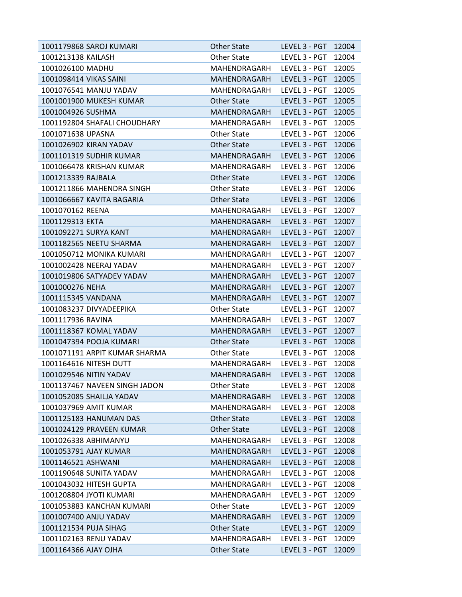| 1001179868 SAROJ KUMARI       | Other State                      | LEVEL 3 - PGT 12004 |       |
|-------------------------------|----------------------------------|---------------------|-------|
| 1001213138 KAILASH            | Other State                      | LEVEL 3 - PGT 12004 |       |
| 1001026100 MADHU              | MAHENDRAGARH LEVEL 3 - PGT 12005 |                     |       |
| 1001098414 VIKAS SAINI        | MAHENDRAGARH LEVEL 3 - PGT 12005 |                     |       |
| 1001076541 MANJU YADAV        | MAHENDRAGARH LEVEL 3 - PGT 12005 |                     |       |
| 1001001900 MUKESH KUMAR       | Other State                      | LEVEL 3 - PGT 12005 |       |
| 1001004926 SUSHMA             | MAHENDRAGARH LEVEL 3 - PGT 12005 |                     |       |
| 1001192804 SHAFALI CHOUDHARY  | MAHENDRAGARH LEVEL 3 - PGT 12005 |                     |       |
| 1001071638 UPASNA             | Other State                      | LEVEL 3 - PGT 12006 |       |
| 1001026902 KIRAN YADAV        | Other State                      | LEVEL 3 - PGT 12006 |       |
| 1001101319 SUDHIR KUMAR       | MAHENDRAGARH LEVEL 3 - PGT 12006 |                     |       |
| 1001066478 KRISHAN KUMAR      | MAHENDRAGARH LEVEL 3 - PGT 12006 |                     |       |
| 1001213339 RAJBALA            | Other State                      | LEVEL 3 - PGT 12006 |       |
| 1001211866 MAHENDRA SINGH     | Other State                      | LEVEL 3 - PGT 12006 |       |
| 1001066667 KAVITA BAGARIA     | Other State                      | LEVEL 3 - PGT 12006 |       |
| 1001070162 REENA              | MAHENDRAGARH LEVEL 3 - PGT 12007 |                     |       |
| 1001129313 EKTA               | MAHENDRAGARH LEVEL 3 - PGT 12007 |                     |       |
| 1001092271 SURYA KANT         | MAHENDRAGARH                     | LEVEL 3 - PGT 12007 |       |
| 1001182565 NEETU SHARMA       | MAHENDRAGARH                     | LEVEL 3 - PGT 12007 |       |
| 1001050712 MONIKA KUMARI      | MAHENDRAGARH                     | LEVEL 3 - PGT 12007 |       |
| 1001002428 NEERAJ YADAV       | MAHENDRAGARH LEVEL 3 - PGT 12007 |                     |       |
| 1001019806 SATYADEV YADAV     | MAHENDRAGARH LEVEL 3 - PGT 12007 |                     |       |
| 1001000276 NEHA               | MAHENDRAGARH                     | LEVEL 3 - PGT 12007 |       |
| 1001115345 VANDANA            | MAHENDRAGARH                     | LEVEL 3 - PGT 12007 |       |
| 1001083237 DIVYADEEPIKA       | Other State                      | LEVEL 3 - PGT 12007 |       |
| 1001117936 RAVINA             | MAHENDRAGARH LEVEL 3 - PGT 12007 |                     |       |
| 1001118367 KOMAL YADAV        | MAHENDRAGARH                     | LEVEL 3 - PGT 12007 |       |
| 1001047394 POOJA KUMARI       | Other State                      | LEVEL 3 - PGT 12008 |       |
| 1001071191 ARPIT KUMAR SHARMA | Other State                      | LEVEL 3 - PGT 12008 |       |
| 1001164616 NITESH DUTT        | MAHENDRAGARH LEVEL 3 - PGT 12008 |                     |       |
| 1001029546 NITIN YADAV        | MAHENDRAGARH                     | LEVEL 3 - PGT 12008 |       |
| 1001137467 NAVEEN SINGH JADON | <b>Other State</b>               | LEVEL 3 - PGT       | 12008 |
| 1001052085 SHAILJA YADAV      | MAHENDRAGARH                     | LEVEL 3 - PGT       | 12008 |
| 1001037969 AMIT KUMAR         | MAHENDRAGARH                     | LEVEL 3 - PGT       | 12008 |
| 1001125183 HANUMAN DAS        | <b>Other State</b>               | LEVEL 3 - PGT       | 12008 |
| 1001024129 PRAVEEN KUMAR      | <b>Other State</b>               | LEVEL 3 - PGT       | 12008 |
| 1001026338 ABHIMANYU          | MAHENDRAGARH                     | LEVEL 3 - PGT       | 12008 |
| 1001053791 AJAY KUMAR         | MAHENDRAGARH                     | LEVEL 3 - PGT       | 12008 |
| 1001146521 ASHWANI            | MAHENDRAGARH                     | LEVEL 3 - PGT       | 12008 |
| 1001190648 SUNITA YADAV       | MAHENDRAGARH                     | LEVEL 3 - PGT       | 12008 |
| 1001043032 HITESH GUPTA       | MAHENDRAGARH                     | LEVEL 3 - PGT       | 12008 |
| 1001208804 JYOTI KUMARI       | MAHENDRAGARH                     | LEVEL 3 - PGT       | 12009 |
| 1001053883 KANCHAN KUMARI     | <b>Other State</b>               | LEVEL 3 - PGT       | 12009 |
| 1001007400 ANJU YADAV         | MAHENDRAGARH                     | LEVEL 3 - PGT       | 12009 |
| 1001121534 PUJA SIHAG         | <b>Other State</b>               | LEVEL 3 - PGT       | 12009 |
| 1001102163 RENU YADAV         | MAHENDRAGARH                     | LEVEL 3 - PGT       | 12009 |
| 1001164366 AJAY OJHA          | <b>Other State</b>               | LEVEL 3 - PGT       | 12009 |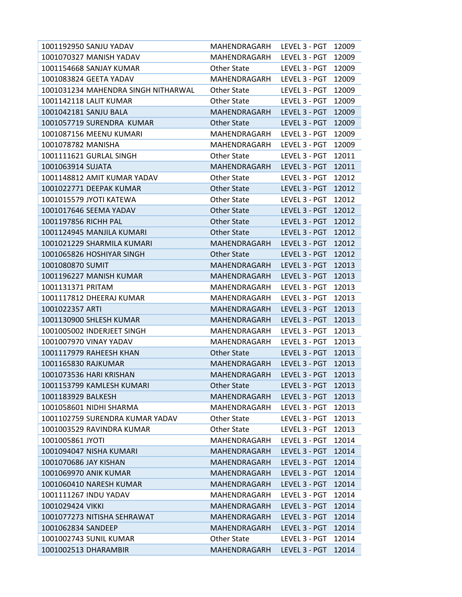| 1001192950 SANJU YADAV              | MAHENDRAGARH LEVEL 3 - PGT 12009 |                     |       |
|-------------------------------------|----------------------------------|---------------------|-------|
| 1001070327 MANISH YADAV             | MAHENDRAGARH LEVEL 3 - PGT 12009 |                     |       |
| 1001154668 SANJAY KUMAR             | Other State LEVEL 3 - PGT 12009  |                     |       |
| 1001083824 GEETA YADAV              | MAHENDRAGARH LEVEL 3 - PGT 12009 |                     |       |
| 1001031234 MAHENDRA SINGH NITHARWAL | Other State                      | LEVEL 3 - PGT 12009 |       |
| 1001142118 LALIT KUMAR              | Other State                      | LEVEL 3 - PGT 12009 |       |
| 1001042181 SANJU BALA               | MAHENDRAGARH LEVEL 3 - PGT 12009 |                     |       |
| 1001057719 SURENDRA KUMAR           | Other State                      | LEVEL 3 - PGT 12009 |       |
| 1001087156 MEENU KUMARI             | MAHENDRAGARH LEVEL 3 - PGT 12009 |                     |       |
| 1001078782 MANISHA                  | MAHENDRAGARH LEVEL 3 - PGT 12009 |                     |       |
| 1001111621 GURLAL SINGH             | Other State                      | LEVEL 3 - PGT 12011 |       |
| 1001063914 SUJATA                   | MAHENDRAGARH LEVEL 3 - PGT 12011 |                     |       |
| 1001148812 AMIT KUMAR YADAV         | Other State                      | LEVEL 3 - PGT 12012 |       |
| 1001022771 DEEPAK KUMAR             | Other State <b>Company</b>       | LEVEL 3 - PGT 12012 |       |
| 1001015579 JYOTI KATEWA             | Other State                      | LEVEL 3 - PGT 12012 |       |
| 1001017646 SEEMA YADAV              | Other State <b>Company</b>       | LEVEL 3 - PGT 12012 |       |
| 1001197856 RICHH PAL                | Other State <b>Company</b>       | LEVEL 3 - PGT 12012 |       |
| 1001124945 MANJILA KUMARI           | Other State <b>Company</b>       | LEVEL 3 - PGT 12012 |       |
| 1001021229 SHARMILA KUMARI          | MAHENDRAGARH LEVEL 3 - PGT 12012 |                     |       |
| 1001065826 HOSHIYAR SINGH           | Other State                      | LEVEL 3 - PGT 12012 |       |
| 1001080870 SUMIT                    | MAHENDRAGARH LEVEL 3 - PGT 12013 |                     |       |
| 1001196227 MANISH KUMAR             | MAHENDRAGARH LEVEL 3 - PGT 12013 |                     |       |
| 1001131371 PRITAM                   | MAHENDRAGARH                     | LEVEL 3 - PGT 12013 |       |
| 1001117812 DHEERAJ KUMAR            | MAHENDRAGARH                     | LEVEL 3 - PGT 12013 |       |
| 1001022357 ARTI                     | MAHENDRAGARH                     | LEVEL 3 - PGT 12013 |       |
| 1001130900 SHLESH KUMAR             | MAHENDRAGARH LEVEL 3 - PGT 12013 |                     |       |
| 1001005002 INDERJEET SINGH          | MAHENDRAGARH LEVEL 3 - PGT 12013 |                     |       |
| 1001007970 VINAY YADAV              | MAHENDRAGARH                     | LEVEL 3 - PGT 12013 |       |
| 1001117979 RAHEESH KHAN             | Other State                      | LEVEL 3 - PGT 12013 |       |
| 1001165830 RAJKUMAR                 | MAHENDRAGARH LEVEL 3 - PGT 12013 |                     |       |
| 1001073536 HARI KRISHAN             | MAHENDRAGARH                     | LEVEL 3 - PGT 12013 |       |
| 1001153799 KAMLESH KUMARI           | <b>Other State</b>               | LEVEL 3 - PGT       | 12013 |
| 1001183929 BALKESH                  | MAHENDRAGARH                     | LEVEL 3 - PGT       | 12013 |
| 1001058601 NIDHI SHARMA             | MAHENDRAGARH                     | LEVEL 3 - PGT       | 12013 |
| 1001102759 SURENDRA KUMAR YADAV     | Other State                      | LEVEL 3 - PGT       | 12013 |
| 1001003529 RAVINDRA KUMAR           | Other State                      | LEVEL 3 - PGT       | 12013 |
| 1001005861 JYOTI                    | MAHENDRAGARH                     | LEVEL 3 - PGT       | 12014 |
| 1001094047 NISHA KUMARI             | MAHENDRAGARH                     | LEVEL 3 - PGT 12014 |       |
| 1001070686 JAY KISHAN               | MAHENDRAGARH                     | LEVEL 3 - PGT       | 12014 |
| 1001069970 ANIK KUMAR               | MAHENDRAGARH                     | LEVEL 3 - PGT       | 12014 |
| 1001060410 NARESH KUMAR             | MAHENDRAGARH                     | LEVEL 3 - PGT       | 12014 |
| 1001111267 INDU YADAV               | MAHENDRAGARH                     | LEVEL 3 - PGT       | 12014 |
| 1001029424 VIKKI                    | MAHENDRAGARH                     | LEVEL 3 - PGT 12014 |       |
| 1001077273 NITISHA SEHRAWAT         | MAHENDRAGARH                     | LEVEL 3 - PGT       | 12014 |
| 1001062834 SANDEEP                  | MAHENDRAGARH                     | LEVEL 3 - PGT       | 12014 |
| 1001002743 SUNIL KUMAR              | Other State                      | LEVEL 3 - PGT 12014 |       |
| 1001002513 DHARAMBIR                | MAHENDRAGARH                     | LEVEL 3 - PGT       | 12014 |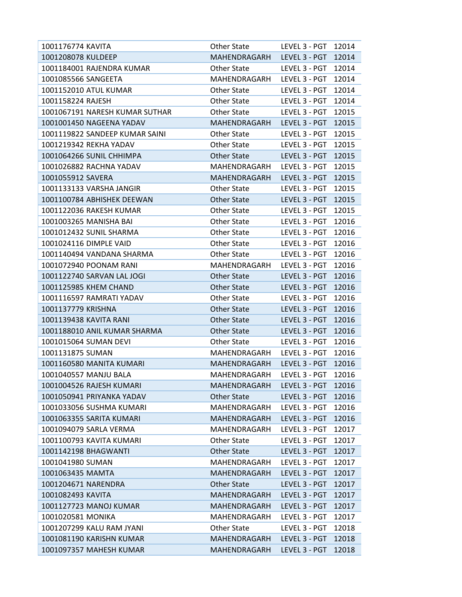| 1001176774 KAVITA              | Other State                      | LEVEL 3 - PGT 12014 |       |
|--------------------------------|----------------------------------|---------------------|-------|
| 1001208078 KULDEEP             | MAHENDRAGARH LEVEL 3 - PGT 12014 |                     |       |
| 1001184001 RAJENDRA KUMAR      | Other State                      | LEVEL 3 - PGT 12014 |       |
| 1001085566 SANGEETA            | MAHENDRAGARH LEVEL 3 - PGT 12014 |                     |       |
| 1001152010 ATUL KUMAR          | Other State                      | LEVEL 3 - PGT 12014 |       |
| 1001158224 RAJESH              | Other State                      | LEVEL 3 - PGT 12014 |       |
| 1001067191 NARESH KUMAR SUTHAR | Other State                      | LEVEL 3 - PGT 12015 |       |
| 1001001450 NAGEENA YADAV       | MAHENDRAGARH LEVEL 3 - PGT 12015 |                     |       |
| 1001119822 SANDEEP KUMAR SAINI | Other State                      | LEVEL 3 - PGT 12015 |       |
| 1001219342 REKHA YADAV         | Other State                      | LEVEL 3 - PGT 12015 |       |
| 1001064266 SUNIL CHHIMPA       | Other State                      | LEVEL 3 - PGT 12015 |       |
| 1001026882 RACHNA YADAV        | MAHENDRAGARH LEVEL 3 - PGT 12015 |                     |       |
| 1001055912 SAVERA              | MAHENDRAGARH LEVEL 3 - PGT 12015 |                     |       |
| 1001133133 VARSHA JANGIR       | Other State                      | LEVEL 3 - PGT 12015 |       |
| 1001100784 ABHISHEK DEEWAN     | Other State <b>Company</b>       | LEVEL 3 - PGT 12015 |       |
| 1001122036 RAKESH KUMAR        | Other State                      | LEVEL 3 - PGT 12015 |       |
| 1001003265 MANISHA BAI         | Other State                      | LEVEL 3 - PGT 12016 |       |
| 1001012432 SUNIL SHARMA        | Other State                      | LEVEL 3 - PGT 12016 |       |
| 1001024116 DIMPLE VAID         | Other State                      | LEVEL 3 - PGT 12016 |       |
| 1001140494 VANDANA SHARMA      | Other State                      | LEVEL 3 - PGT 12016 |       |
| 1001072940 POONAM RANI         | MAHENDRAGARH LEVEL 3 - PGT 12016 |                     |       |
| 1001122740 SARVAN LAL JOGI     | Other State                      | LEVEL 3 - PGT 12016 |       |
| 1001125985 KHEM CHAND          | Other State                      | LEVEL 3 - PGT 12016 |       |
| 1001116597 RAMRATI YADAV       | Other State                      | LEVEL 3 - PGT 12016 |       |
| 1001137779 KRISHNA             | Other State <b>Company</b>       | LEVEL 3 - PGT 12016 |       |
| 1001139438 KAVITA RANI         | Other State <b>Company</b>       | LEVEL 3 - PGT 12016 |       |
| 1001188010 ANIL KUMAR SHARMA   | Other State <b>Company</b>       | LEVEL 3 - PGT 12016 |       |
| 1001015064 SUMAN DEVI          | Other State                      | LEVEL 3 - PGT 12016 |       |
| 1001131875 SUMAN               | MAHENDRAGARH LEVEL 3 - PGT 12016 |                     |       |
| 1001160580 MANITA KUMARI       | MAHENDRAGARH LEVEL 3 - PGT 12016 |                     |       |
| 1001040557 MANJU BALA          | MAHENDRAGARH                     | LEVEL 3 - PGT 12016 |       |
| 1001004526 RAJESH KUMARI       | MAHENDRAGARH                     | LEVEL 3 - PGT 12016 |       |
| 1001050941 PRIYANKA YADAV      | Other State                      | LEVEL 3 - PGT 12016 |       |
| 1001033056 SUSHMA KUMARI       | MAHENDRAGARH                     | LEVEL 3 - PGT       | 12016 |
| 1001063355 SARITA KUMARI       | MAHENDRAGARH                     | LEVEL 3 - PGT       | 12016 |
| 1001094079 SARLA VERMA         | MAHENDRAGARH                     | LEVEL 3 - PGT       | 12017 |
| 1001100793 KAVITA KUMARI       | Other State                      | LEVEL 3 - PGT       | 12017 |
| 1001142198 BHAGWANTI           | <b>Other State</b>               | LEVEL 3 - PGT       | 12017 |
| 1001041980 SUMAN               | MAHENDRAGARH                     | LEVEL 3 - PGT       | 12017 |
| 1001063435 MAMTA               | MAHENDRAGARH                     | LEVEL 3 - PGT       | 12017 |
| 1001204671 NARENDRA            | <b>Other State</b>               | LEVEL 3 - PGT       | 12017 |
| 1001082493 KAVITA              | MAHENDRAGARH                     | LEVEL 3 - PGT       | 12017 |
| 1001127723 MANOJ KUMAR         | MAHENDRAGARH                     | LEVEL 3 - PGT       | 12017 |
| 1001020581 MONIKA              | MAHENDRAGARH                     | LEVEL 3 - PGT       | 12017 |
| 1001207299 KALU RAM JYANI      | Other State                      | LEVEL 3 - PGT       | 12018 |
| 1001081190 KARISHN KUMAR       | MAHENDRAGARH                     | LEVEL 3 - PGT       | 12018 |
| 1001097357 MAHESH KUMAR        | MAHENDRAGARH                     | LEVEL 3 - PGT 12018 |       |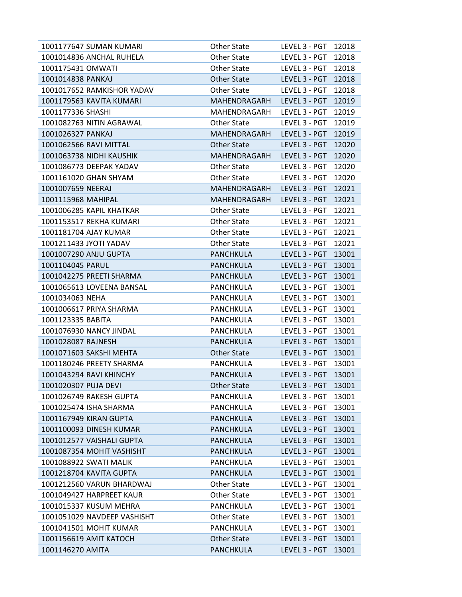| 1001177647 SUMAN KUMARI         | Other State                      | LEVEL 3 - PGT 12018 |       |
|---------------------------------|----------------------------------|---------------------|-------|
| 1001014836 ANCHAL RUHELA        | Other State                      | LEVEL 3 - PGT 12018 |       |
| 1001175431 OMWATI               | Other State                      | LEVEL 3 - PGT 12018 |       |
| 1001014838 PANKAJ               | Other State <b>Company</b>       | LEVEL 3 - PGT 12018 |       |
| 1001017652 RAMKISHOR YADAV      | Other State                      | LEVEL 3 - PGT 12018 |       |
| 1001179563 KAVITA KUMARI        | MAHENDRAGARH LEVEL 3 - PGT 12019 |                     |       |
| 1001177336 SHASHI               | MAHENDRAGARH LEVEL 3 - PGT 12019 |                     |       |
| 1001082763 NITIN AGRAWAL        | Other State                      | LEVEL 3 - PGT 12019 |       |
| 1001026327 PANKAJ               | MAHENDRAGARH LEVEL 3 - PGT 12019 |                     |       |
| 1001062566 RAVI MITTAL          | Other State                      | LEVEL 3 - PGT 12020 |       |
| <b>1001063738 NIDHI KAUSHIK</b> | MAHENDRAGARH LEVEL 3 - PGT 12020 |                     |       |
| 1001086773 DEEPAK YADAV         | Other State                      | LEVEL 3 - PGT 12020 |       |
| 1001161020 GHAN SHYAM           | Other State                      | LEVEL 3 - PGT 12020 |       |
| 1001007659 NEERAJ               | MAHENDRAGARH LEVEL 3 - PGT 12021 |                     |       |
| 1001115968 MAHIPAL              | MAHENDRAGARH LEVEL 3 - PGT 12021 |                     |       |
| 1001006285 KAPIL KHATKAR        | Other State                      | LEVEL 3 - PGT 12021 |       |
| 1001153517 REKHA KUMARI         | Other State                      | LEVEL 3 - PGT 12021 |       |
| 1001181704 AJAY KUMAR           | Other State                      | LEVEL 3 - PGT 12021 |       |
| 1001211433 JYOTI YADAV          | Other State                      | LEVEL 3 - PGT 12021 |       |
| 1001007290 ANJU GUPTA           | PANCHKULA                        | LEVEL 3 - PGT 13001 |       |
| 1001104045 PARUL                | PANCHKULA                        | LEVEL 3 - PGT 13001 |       |
| 1001042275 PREETI SHARMA        | PANCHKULA                        | LEVEL 3 - PGT 13001 |       |
| 1001065613 LOVEENA BANSAL       | PANCHKULA                        | LEVEL 3 - PGT 13001 |       |
| 1001034063 NEHA                 | PANCHKULA                        | LEVEL 3 - PGT 13001 |       |
| 1001006617 PRIYA SHARMA         | PANCHKULA                        | LEVEL 3 - PGT 13001 |       |
| 1001123335 BABITA               | PANCHKULA                        | LEVEL 3 - PGT 13001 |       |
| 1001076930 NANCY JINDAL         | PANCHKULA                        | LEVEL 3 - PGT 13001 |       |
| 1001028087 RAJNESH              | PANCHKULA                        | LEVEL 3 - PGT 13001 |       |
| 1001071603 SAKSHI MEHTA         | Other State                      | LEVEL 3 - PGT 13001 |       |
| 1001180246 PREETY SHARMA        | PANCHKULA                        | LEVEL 3 - PGT 13001 |       |
| 1001043294 RAVI KHINCHY         | PANCHKULA                        | LEVEL 3 - PGT 13001 |       |
| 1001020307 PUJA DEVI            | <b>Other State</b>               | LEVEL 3 - PGT       | 13001 |
| 1001026749 RAKESH GUPTA         | PANCHKULA                        | LEVEL 3 - PGT       | 13001 |
| 1001025474 ISHA SHARMA          | PANCHKULA                        | LEVEL 3 - PGT       | 13001 |
| 1001167949 KIRAN GUPTA          | <b>PANCHKULA</b>                 | LEVEL 3 - PGT       | 13001 |
| 1001100093 DINESH KUMAR         | PANCHKULA                        | LEVEL 3 - PGT       | 13001 |
| 1001012577 VAISHALI GUPTA       | <b>PANCHKULA</b>                 | LEVEL 3 - PGT       | 13001 |
| 1001087354 MOHIT VASHISHT       | PANCHKULA                        | LEVEL 3 - PGT       | 13001 |
| 1001088922 SWATI MALIK          | PANCHKULA                        | LEVEL 3 - PGT       | 13001 |
| 1001218704 KAVITA GUPTA         | <b>PANCHKULA</b>                 | LEVEL 3 - PGT       | 13001 |
| 1001212560 VARUN BHARDWAJ       | <b>Other State</b>               | LEVEL 3 - PGT       | 13001 |
| 1001049427 HARPREET KAUR        | <b>Other State</b>               | LEVEL 3 - PGT       | 13001 |
| 1001015337 KUSUM MEHRA          | PANCHKULA                        | LEVEL 3 - PGT       | 13001 |
| 1001051029 NAVDEEP VASHISHT     | <b>Other State</b>               | LEVEL 3 - PGT       | 13001 |
| 1001041501 MOHIT KUMAR          | PANCHKULA                        | LEVEL 3 - PGT       | 13001 |
| 1001156619 AMIT KATOCH          | <b>Other State</b>               | LEVEL 3 - PGT       | 13001 |
| 1001146270 AMITA                | PANCHKULA                        | LEVEL 3 - PGT       | 13001 |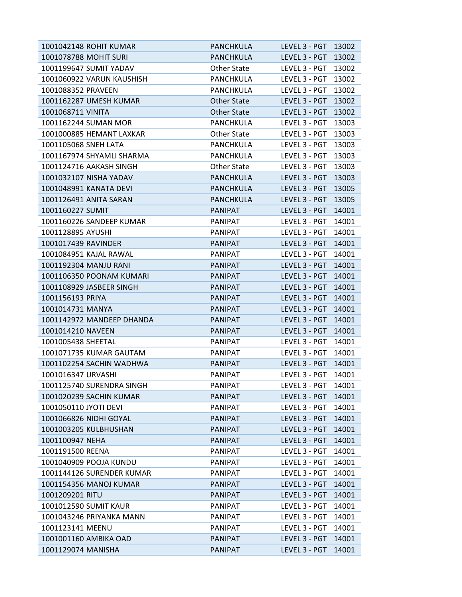| 1001042148 ROHIT KUMAR    | PANCHKULA      | LEVEL 3 - PGT 13002 |       |
|---------------------------|----------------|---------------------|-------|
| 1001078788 MOHIT SURI     | PANCHKULA      | LEVEL 3 - PGT 13002 |       |
| 1001199647 SUMIT YADAV    | Other State    | LEVEL 3 - PGT 13002 |       |
| 1001060922 VARUN KAUSHISH | PANCHKULA      | LEVEL 3 - PGT 13002 |       |
| 1001088352 PRAVEEN        | PANCHKULA      | LEVEL 3 - PGT 13002 |       |
| 1001162287 UMESH KUMAR    | Other State    | LEVEL 3 - PGT 13002 |       |
| 1001068711 VINITA         | Other State    | LEVEL 3 - PGT 13002 |       |
| 1001162244 SUMAN MOR      | PANCHKULA      | LEVEL 3 - PGT 13003 |       |
| 1001000885 HEMANT LAXKAR  | Other State    | LEVEL 3 - PGT 13003 |       |
| 1001105068 SNEH LATA      | PANCHKULA      | LEVEL 3 - PGT 13003 |       |
| 1001167974 SHYAMLI SHARMA | PANCHKULA      | LEVEL 3 - PGT 13003 |       |
| 1001124716 AAKASH SINGH   | Other State    | LEVEL 3 - PGT 13003 |       |
| 1001032107 NISHA YADAV    | PANCHKULA      | LEVEL 3 - PGT 13003 |       |
| 1001048991 KANATA DEVI    | PANCHKULA      | LEVEL 3 - PGT 13005 |       |
| 1001126491 ANITA SARAN    | PANCHKULA      | LEVEL 3 - PGT 13005 |       |
| 1001160227 SUMIT          | PANIPAT        | LEVEL 3 - PGT 14001 |       |
| 1001160226 SANDEEP KUMAR  | PANIPAT        | LEVEL 3 - PGT 14001 |       |
| 1001128895 AYUSHI         | PANIPAT        | LEVEL 3 - PGT 14001 |       |
| 1001017439 RAVINDER       | <b>PANIPAT</b> | LEVEL 3 - PGT 14001 |       |
| 1001084951 KAJAL RAWAL    | <b>PANIPAT</b> | LEVEL 3 - PGT 14001 |       |
| 1001192304 MANJU RANI     | PANIPAT        | LEVEL 3 - PGT 14001 |       |
| 1001106350 POONAM KUMARI  | <b>PANIPAT</b> | LEVEL 3 - PGT 14001 |       |
| 1001108929 JASBEER SINGH  | PANIPAT        | LEVEL 3 - PGT 14001 |       |
| 1001156193 PRIYA          | <b>PANIPAT</b> | LEVEL 3 - PGT 14001 |       |
| 1001014731 MANYA          | PANIPAT        | LEVEL 3 - PGT 14001 |       |
| 1001142972 MANDEEP DHANDA | <b>PANIPAT</b> | LEVEL 3 - PGT 14001 |       |
| 1001014210 NAVEEN         | <b>PANIPAT</b> | LEVEL 3 - PGT 14001 |       |
| 1001005438 SHEETAL        | PANIPAT        | LEVEL 3 - PGT 14001 |       |
| 1001071735 KUMAR GAUTAM   | PANIPAT        | LEVEL 3 - PGT 14001 |       |
| 1001102254 SACHIN WADHWA  | <b>PANIPAT</b> | LEVEL 3 - PGT 14001 |       |
| 1001016347 URVASHI        | <b>PANIPAT</b> | LEVEL 3 - PGT 14001 |       |
| 1001125740 SURENDRA SINGH | <b>PANIPAT</b> | LEVEL 3 - PGT       | 14001 |
| 1001020239 SACHIN KUMAR   | <b>PANIPAT</b> | LEVEL 3 - PGT       | 14001 |
| 1001050110 JYOTI DEVI     | <b>PANIPAT</b> | LEVEL 3 - PGT       | 14001 |
| 1001066826 NIDHI GOYAL    | <b>PANIPAT</b> | LEVEL 3 - PGT       | 14001 |
| 1001003205 KULBHUSHAN     | <b>PANIPAT</b> | LEVEL 3 - PGT       | 14001 |
| 1001100947 NEHA           | <b>PANIPAT</b> | LEVEL 3 - PGT       | 14001 |
| 1001191500 REENA          | <b>PANIPAT</b> | LEVEL 3 - PGT       | 14001 |
| 1001040909 POOJA KUNDU    | <b>PANIPAT</b> | LEVEL 3 - PGT       | 14001 |
| 1001144126 SURENDER KUMAR | <b>PANIPAT</b> | LEVEL 3 - PGT       | 14001 |
| 1001154356 MANOJ KUMAR    | <b>PANIPAT</b> | LEVEL 3 - PGT       | 14001 |
| 1001209201 RITU           | <b>PANIPAT</b> | LEVEL 3 - PGT       | 14001 |
| 1001012590 SUMIT KAUR     | PANIPAT        | LEVEL 3 - PGT       | 14001 |
| 1001043246 PRIYANKA MANN  | <b>PANIPAT</b> | LEVEL 3 - PGT       | 14001 |
| 1001123141 MEENU          | <b>PANIPAT</b> | LEVEL 3 - PGT       | 14001 |
| 1001001160 AMBIKA OAD     | <b>PANIPAT</b> | LEVEL 3 - PGT       | 14001 |
| 1001129074 MANISHA        | <b>PANIPAT</b> | LEVEL 3 - PGT       | 14001 |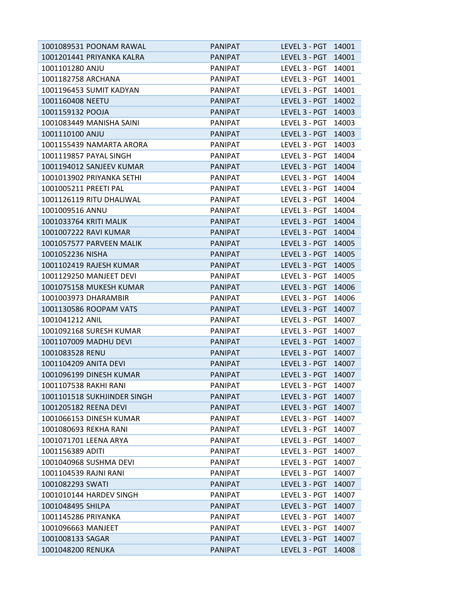| 1001089531 POONAM RAWAL     | <b>PANIPAT</b> | LEVEL 3 - PGT 14001    |
|-----------------------------|----------------|------------------------|
| 1001201441 PRIYANKA KALRA   | PANIPAT        | LEVEL 3 - PGT 14001    |
| 1001101280 ANJU             | <b>PANIPAT</b> | LEVEL 3 - PGT 14001    |
| 1001182758 ARCHANA          | <b>PANIPAT</b> | LEVEL 3 - PGT 14001    |
| 1001196453 SUMIT KADYAN     | <b>PANIPAT</b> | LEVEL 3 - PGT 14001    |
| 1001160408 NEETU            | <b>PANIPAT</b> | LEVEL 3 - PGT 14002    |
| 1001159132 POOJA            | PANIPAT        | LEVEL 3 - PGT 14003    |
| 1001083449 MANISHA SAINI    | <b>PANIPAT</b> | LEVEL 3 - PGT 14003    |
| 1001110100 ANJU             | <b>PANIPAT</b> | LEVEL 3 - PGT<br>14003 |
| 1001155439 NAMARTA ARORA    | PANIPAT        | LEVEL 3 - PGT 14003    |
| 1001119857 PAYAL SINGH      | PANIPAT        | LEVEL 3 - PGT 14004    |
| 1001194012 SANJEEV KUMAR    | <b>PANIPAT</b> | LEVEL 3 - PGT 14004    |
| 1001013902 PRIYANKA SETHI   | <b>PANIPAT</b> | LEVEL 3 - PGT 14004    |
| 1001005211 PREETI PAL       | <b>PANIPAT</b> | LEVEL 3 - PGT 14004    |
| 1001126119 RITU DHALIWAL    | <b>PANIPAT</b> | LEVEL 3 - PGT 14004    |
| 1001009516 ANNU             | PANIPAT        | LEVEL 3 - PGT 14004    |
| 1001033764 KRITI MALIK      | <b>PANIPAT</b> | LEVEL 3 - PGT 14004    |
| 1001007222 RAVI KUMAR       | PANIPAT        | LEVEL 3 - PGT 14004    |
| 1001057577 PARVEEN MALIK    | <b>PANIPAT</b> | LEVEL 3 - PGT 14005    |
| 1001052236 NISHA            | <b>PANIPAT</b> | LEVEL 3 - PGT 14005    |
| 1001102419 RAJESH KUMAR     | PANIPAT        | LEVEL 3 - PGT 14005    |
| 1001129250 MANJEET DEVI     | <b>PANIPAT</b> | LEVEL 3 - PGT 14005    |
| 1001075158 MUKESH KUMAR     | PANIPAT        | LEVEL 3 - PGT<br>14006 |
| 1001003973 DHARAMBIR        | <b>PANIPAT</b> | LEVEL 3 - PGT 14006    |
| 1001130586 ROOPAM VATS      | PANIPAT        | LEVEL 3 - PGT 14007    |
| 1001041212 ANIL             | PANIPAT        | LEVEL 3 - PGT 14007    |
| 1001092168 SURESH KUMAR     | <b>PANIPAT</b> | LEVEL 3 - PGT 14007    |
| 1001107009 MADHU DEVI       | <b>PANIPAT</b> | LEVEL 3 - PGT<br>14007 |
| 1001083528 RENU             | <b>PANIPAT</b> | LEVEL 3 - PGT 14007    |
| 1001104209 ANITA DEVI       | PANIPAT        | LEVEL 3 - PGT 14007    |
| 1001096199 DINESH KUMAR     | <b>PANIPAT</b> | LEVEL 3 - PGT 14007    |
| 1001107538 RAKHI RANI       | <b>PANIPAT</b> | LEVEL 3 - PGT<br>14007 |
| 1001101518 SUKHJINDER SINGH | <b>PANIPAT</b> | LEVEL 3 - PGT<br>14007 |
| 1001205182 REENA DEVI       | <b>PANIPAT</b> | LEVEL 3 - PGT<br>14007 |
| 1001066153 DINESH KUMAR     | <b>PANIPAT</b> | LEVEL 3 - PGT<br>14007 |
| 1001080693 REKHA RANI       | PANIPAT        | LEVEL 3 - PGT<br>14007 |
| 1001071701 LEENA ARYA       | <b>PANIPAT</b> | LEVEL 3 - PGT<br>14007 |
| 1001156389 ADITI            | PANIPAT        | LEVEL 3 - PGT<br>14007 |
| 1001040968 SUSHMA DEVI      | <b>PANIPAT</b> | LEVEL 3 - PGT<br>14007 |
| 1001104539 RAJNI RANI       | <b>PANIPAT</b> | LEVEL 3 - PGT<br>14007 |
| 1001082293 SWATI            | <b>PANIPAT</b> | LEVEL 3 - PGT<br>14007 |
| 1001010144 HARDEV SINGH     | <b>PANIPAT</b> | LEVEL 3 - PGT<br>14007 |
| 1001048495 SHILPA           | <b>PANIPAT</b> | LEVEL 3 - PGT<br>14007 |
| 1001145286 PRIYANKA         | <b>PANIPAT</b> | LEVEL 3 - PGT<br>14007 |
| 1001096663 MANJEET          | <b>PANIPAT</b> | LEVEL 3 - PGT<br>14007 |
| 1001008133 SAGAR            | <b>PANIPAT</b> | LEVEL 3 - PGT<br>14007 |
| 1001048200 RENUKA           | <b>PANIPAT</b> | LEVEL 3 - PGT<br>14008 |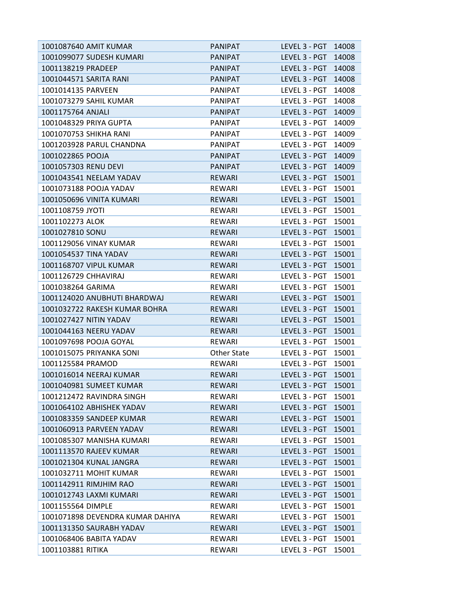| 1001087640 AMIT KUMAR            | <b>PANIPAT</b> | LEVEL 3 - PGT 14008    |
|----------------------------------|----------------|------------------------|
| 1001099077 SUDESH KUMARI         | PANIPAT        | LEVEL 3 - PGT 14008    |
| 1001138219 PRADEEP               | <b>PANIPAT</b> | LEVEL 3 - PGT 14008    |
| 1001044571 SARITA RANI           | PANIPAT        | LEVEL 3 - PGT 14008    |
| 1001014135 PARVEEN               | <b>PANIPAT</b> | LEVEL 3 - PGT 14008    |
| 1001073279 SAHIL KUMAR           | PANIPAT        | LEVEL 3 - PGT 14008    |
| 1001175764 ANJALI                | <b>PANIPAT</b> | LEVEL 3 - PGT 14009    |
| 1001048329 PRIYA GUPTA           | <b>PANIPAT</b> | LEVEL 3 - PGT 14009    |
| 1001070753 SHIKHA RANI           | <b>PANIPAT</b> | LEVEL 3 - PGT 14009    |
| 1001203928 PARUL CHANDNA         | PANIPAT        | LEVEL 3 - PGT 14009    |
| 1001022865 POOJA                 | PANIPAT        | LEVEL 3 - PGT 14009    |
| 1001057303 RENU DEVI             | <b>PANIPAT</b> | LEVEL 3 - PGT 14009    |
| 1001043541 NEELAM YADAV          | REWARI         | LEVEL 3 - PGT 15001    |
| 1001073188 POOJA YADAV           | REWARI         | LEVEL 3 - PGT 15001    |
| 1001050696 VINITA KUMARI         | REWARI         | LEVEL 3 - PGT 15001    |
| 1001108759 JYOTI                 | REWARI         | LEVEL 3 - PGT 15001    |
| 1001102273 ALOK                  | REWARI         | LEVEL 3 - PGT 15001    |
| 1001027810 SONU                  | REWARI         | LEVEL 3 - PGT 15001    |
| 1001129056 VINAY KUMAR           | REWARI         | LEVEL 3 - PGT 15001    |
| 1001054537 TINA YADAV            | REWARI         | LEVEL 3 - PGT 15001    |
| 1001168707 VIPUL KUMAR           | REWARI         | LEVEL 3 - PGT 15001    |
| 1001126729 CHHAVIRAJ             | REWARI         | LEVEL 3 - PGT 15001    |
| 1001038264 GARIMA                | REWARI         | LEVEL 3 - PGT 15001    |
| 1001124020 ANUBHUTI BHARDWAJ     | REWARI         | LEVEL 3 - PGT 15001    |
| 1001032722 RAKESH KUMAR BOHRA    | REWARI         | LEVEL 3 - PGT 15001    |
| 1001027427 NITIN YADAV           | REWARI         | LEVEL 3 - PGT 15001    |
| 1001044163 NEERU YADAV           | REWARI         | LEVEL 3 - PGT 15001    |
| 1001097698 POOJA GOYAL           | REWARI         | LEVEL 3 - PGT 15001    |
| 1001015075 PRIYANKA SONI         | Other State    | LEVEL 3 - PGT 15001    |
| 1001125584 PRAMOD                | REWARI         | LEVEL 3 - PGT 15001    |
| 1001016014 NEERAJ KUMAR          | REWARI         | LEVEL 3 - PGT 15001    |
| 1001040981 SUMEET KUMAR          | <b>REWARI</b>  | LEVEL 3 - PGT<br>15001 |
| 1001212472 RAVINDRA SINGH        | <b>REWARI</b>  | 15001<br>LEVEL 3 - PGT |
| 1001064102 ABHISHEK YADAV        | <b>REWARI</b>  | LEVEL 3 - PGT<br>15001 |
| 1001083359 SANDEEP KUMAR         | <b>REWARI</b>  | LEVEL 3 - PGT<br>15001 |
| 1001060913 PARVEEN YADAV         | REWARI         | LEVEL 3 - PGT<br>15001 |
| 1001085307 MANISHA KUMARI        | REWARI         | LEVEL 3 - PGT<br>15001 |
| 1001113570 RAJEEV KUMAR          | REWARI         | LEVEL 3 - PGT<br>15001 |
| 1001021304 KUNAL JANGRA          | REWARI         | LEVEL 3 - PGT<br>15001 |
| 1001032711 MOHIT KUMAR           | REWARI         | LEVEL 3 - PGT<br>15001 |
| 1001142911 RIMJHIM RAO           | <b>REWARI</b>  | LEVEL 3 - PGT<br>15001 |
| 1001012743 LAXMI KUMARI          | REWARI         | LEVEL 3 - PGT<br>15001 |
| 1001155564 DIMPLE                | REWARI         | 15001<br>LEVEL 3 - PGT |
| 1001071898 DEVENDRA KUMAR DAHIYA | REWARI         | LEVEL 3 - PGT<br>15001 |
| 1001131350 SAURABH YADAV         | REWARI         | LEVEL 3 - PGT<br>15001 |
| 1001068406 BABITA YADAV          | REWARI         | LEVEL 3 - PGT<br>15001 |
| 1001103881 RITIKA                | <b>REWARI</b>  | LEVEL 3 - PGT<br>15001 |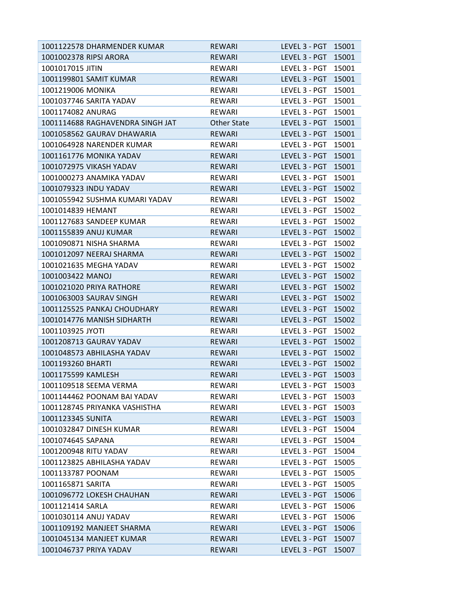| 1001122578 DHARMENDER KUMAR      | REWARI        | LEVEL 3 - PGT 15001 |       |
|----------------------------------|---------------|---------------------|-------|
| 1001002378 RIPSI ARORA           | REWARI        | LEVEL 3 - PGT 15001 |       |
| 1001017015 JITIN                 | REWARI        | LEVEL 3 - PGT 15001 |       |
| 1001199801 SAMIT KUMAR           | REWARI        | LEVEL 3 - PGT 15001 |       |
| 1001219006 MONIKA                | REWARI        | LEVEL 3 - PGT 15001 |       |
| 1001037746 SARITA YADAV          | REWARI        | LEVEL 3 - PGT 15001 |       |
| 1001174082 ANURAG                | REWARI        | LEVEL 3 - PGT 15001 |       |
| 1001114688 RAGHAVENDRA SINGH JAT | Other State   | LEVEL 3 - PGT 15001 |       |
| 1001058562 GAURAV DHAWARIA       | REWARI        | LEVEL 3 - PGT 15001 |       |
| 1001064928 NARENDER KUMAR        | REWARI        | LEVEL 3 - PGT 15001 |       |
| <b>1001161776 MONIKA YADAV</b>   | REWARI        | LEVEL 3 - PGT 15001 |       |
| 1001072975 VIKASH YADAV          | REWARI        | LEVEL 3 - PGT 15001 |       |
| 1001000273 ANAMIKA YADAV         | REWARI        | LEVEL 3 - PGT 15001 |       |
| 1001079323 INDU YADAV            | REWARI        | LEVEL 3 - PGT 15002 |       |
| 1001055942 SUSHMA KUMARI YADAV   | REWARI        | LEVEL 3 - PGT 15002 |       |
| 1001014839 HEMANT                | REWARI        | LEVEL 3 - PGT 15002 |       |
| 1001127683 SANDEEP KUMAR         | REWARI        | LEVEL 3 - PGT 15002 |       |
| 1001155839 ANUJ KUMAR            | REWARI        | LEVEL 3 - PGT 15002 |       |
| 1001090871 NISHA SHARMA          | REWARI        | LEVEL 3 - PGT 15002 |       |
| 1001012097 NEERAJ SHARMA         | REWARI        | LEVEL 3 - PGT 15002 |       |
| 1001021635 MEGHA YADAV           | REWARI        | LEVEL 3 - PGT 15002 |       |
| 1001003422 MANOJ                 | REWARI        | LEVEL 3 - PGT 15002 |       |
| 1001021020 PRIYA RATHORE         | REWARI        | LEVEL 3 - PGT 15002 |       |
| 1001063003 SAURAV SINGH          | REWARI        | LEVEL 3 - PGT 15002 |       |
| 1001125525 PANKAJ CHOUDHARY      | REWARI        | LEVEL 3 - PGT 15002 |       |
| 1001014776 MANISH SIDHARTH       | REWARI        | LEVEL 3 - PGT 15002 |       |
| 1001103925 JYOTI                 | REWARI        | LEVEL 3 - PGT 15002 |       |
| 1001208713 GAURAV YADAV          | REWARI        | LEVEL 3 - PGT 15002 |       |
| 1001048573 ABHILASHA YADAV       | REWARI        | LEVEL 3 - PGT 15002 |       |
| 1001193260 BHARTI                | REWARI        | LEVEL 3 - PGT 15002 |       |
| 1001175599 KAMLESH               | <b>REWARI</b> | LEVEL 3 - PGT 15003 |       |
| 1001109518 SEEMA VERMA           | REWARI        | LEVEL 3 - PGT       | 15003 |
| 1001144462 POONAM BAI YADAV      | REWARI        | LEVEL 3 - PGT       | 15003 |
| 1001128745 PRIYANKA VASHISTHA    | REWARI        | LEVEL 3 - PGT       | 15003 |
| 1001123345 SUNITA                | REWARI        | LEVEL 3 - PGT       | 15003 |
| 1001032847 DINESH KUMAR          | REWARI        | LEVEL 3 - PGT       | 15004 |
| 1001074645 SAPANA                | REWARI        | LEVEL 3 - PGT       | 15004 |
| 1001200948 RITU YADAV            | REWARI        | LEVEL 3 - PGT       | 15004 |
| 1001123825 ABHILASHA YADAV       | REWARI        | LEVEL 3 - PGT       | 15005 |
| 1001133787 POONAM                | REWARI        | LEVEL 3 - PGT       | 15005 |
| 1001165871 SARITA                | REWARI        | LEVEL 3 - PGT       | 15005 |
| 1001096772 LOKESH CHAUHAN        | REWARI        | LEVEL 3 - PGT       | 15006 |
| 1001121414 SARLA                 | REWARI        | LEVEL 3 - PGT       | 15006 |
| 1001030114 ANUJ YADAV            | REWARI        | LEVEL 3 - PGT       | 15006 |
| 1001109192 MANJEET SHARMA        | REWARI        | LEVEL 3 - PGT       | 15006 |
| 1001045134 MANJEET KUMAR         | REWARI        | LEVEL 3 - PGT       | 15007 |
| 1001046737 PRIYA YADAV           | REWARI        | LEVEL 3 - PGT       | 15007 |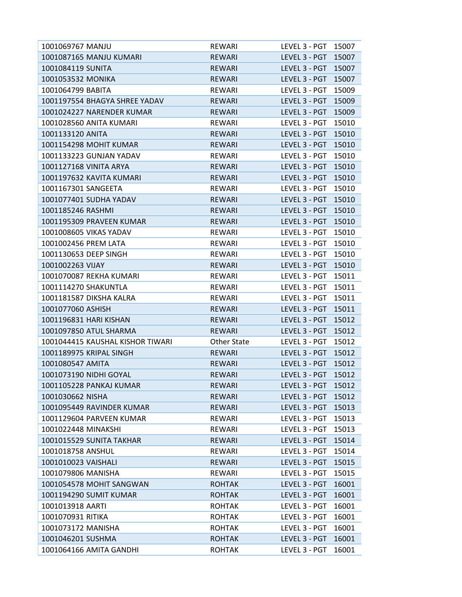| 1001069767 MANJU                 | REWARI        | LEVEL 3 - PGT 15007    |
|----------------------------------|---------------|------------------------|
| 1001087165 MANJU KUMARI          | REWARI        | LEVEL 3 - PGT 15007    |
| 1001084119 SUNITA                | REWARI        | LEVEL 3 - PGT 15007    |
| 1001053532 MONIKA                | REWARI        | LEVEL 3 - PGT 15007    |
| 1001064799 BABITA                | REWARI        | LEVEL 3 - PGT 15009    |
| 1001197554 BHAGYA SHREE YADAV    | REWARI        | LEVEL 3 - PGT 15009    |
| 1001024227 NARENDER KUMAR        | REWARI        | LEVEL 3 - PGT 15009    |
| 1001028560 ANITA KUMARI          | REWARI        | LEVEL 3 - PGT 15010    |
| 1001133120 ANITA                 | REWARI        | LEVEL 3 - PGT 15010    |
| 1001154298 MOHIT KUMAR           | REWARI        | LEVEL 3 - PGT 15010    |
| 1001133223 GUNJAN YADAV          | REWARI        | LEVEL 3 - PGT 15010    |
| 1001127168 VINITA ARYA           | REWARI        | LEVEL 3 - PGT 15010    |
| 1001197632 KAVITA KUMARI         | REWARI        | LEVEL 3 - PGT 15010    |
| 1001167301 SANGEETA              | REWARI        | LEVEL 3 - PGT 15010    |
| 1001077401 SUDHA YADAV           | REWARI        | LEVEL 3 - PGT 15010    |
| 1001185246 RASHMI                | REWARI        | LEVEL 3 - PGT 15010    |
| 1001195309 PRAVEEN KUMAR         | REWARI        | LEVEL 3 - PGT 15010    |
| 1001008605 VIKAS YADAV           | REWARI        | LEVEL 3 - PGT 15010    |
| 1001002456 PREM LATA             | REWARI        | LEVEL 3 - PGT 15010    |
| 1001130653 DEEP SINGH            | REWARI        | LEVEL 3 - PGT 15010    |
| 1001002263 VIJAY                 | REWARI        | LEVEL 3 - PGT 15010    |
| 1001070087 REKHA KUMARI          | REWARI        | LEVEL 3 - PGT 15011    |
| 1001114270 SHAKUNTLA             | REWARI        | LEVEL 3 - PGT 15011    |
| 1001181587 DIKSHA KALRA          | REWARI        | LEVEL 3 - PGT 15011    |
| 1001077060 ASHISH                | REWARI        | LEVEL 3 - PGT 15011    |
| 1001196831 HARI KISHAN           | REWARI        | LEVEL 3 - PGT 15012    |
| 1001097850 ATUL SHARMA           | REWARI        | LEVEL 3 - PGT 15012    |
| 1001044415 KAUSHAL KISHOR TIWARI | Other State   | LEVEL 3 - PGT 15012    |
| 1001189975 KRIPAL SINGH          | REWARI        | LEVEL 3 - PGT 15012    |
| 1001080547 AMITA                 | REWARI        | LEVEL 3 - PGT 15012    |
| 1001073190 NIDHI GOYAL           | REWARI        | LEVEL 3 - PGT 15012    |
| 1001105228 PANKAJ KUMAR          | REWARI        | LEVEL 3 - PGT<br>15012 |
| 1001030662 NISHA                 | REWARI        | LEVEL 3 - PGT<br>15012 |
| 1001095449 RAVINDER KUMAR        | REWARI        | LEVEL 3 - PGT<br>15013 |
| 1001129604 PARVEEN KUMAR         | REWARI        | LEVEL 3 - PGT<br>15013 |
| 1001022448 MINAKSHI              | REWARI        | LEVEL 3 - PGT<br>15013 |
| 1001015529 SUNITA TAKHAR         | REWARI        | LEVEL 3 - PGT<br>15014 |
| 1001018758 ANSHUL                | REWARI        | LEVEL 3 - PGT<br>15014 |
| 1001010023 VAISHALI              | <b>REWARI</b> | LEVEL 3 - PGT<br>15015 |
| 1001079806 MANISHA               | REWARI        | LEVEL 3 - PGT<br>15015 |
| 1001054578 MOHIT SANGWAN         | <b>ROHTAK</b> | LEVEL 3 - PGT<br>16001 |
| 1001194290 SUMIT KUMAR           | <b>ROHTAK</b> | LEVEL 3 - PGT<br>16001 |
| 1001013918 AARTI                 | ROHTAK        | 16001<br>LEVEL 3 - PGT |
| 1001070931 RITIKA                | <b>ROHTAK</b> | LEVEL 3 - PGT<br>16001 |
| 1001073172 MANISHA               | <b>ROHTAK</b> | LEVEL 3 - PGT<br>16001 |
| 1001046201 SUSHMA                | <b>ROHTAK</b> | LEVEL 3 - PGT<br>16001 |
| 1001064166 AMITA GANDHI          | <b>ROHTAK</b> | LEVEL 3 - PGT<br>16001 |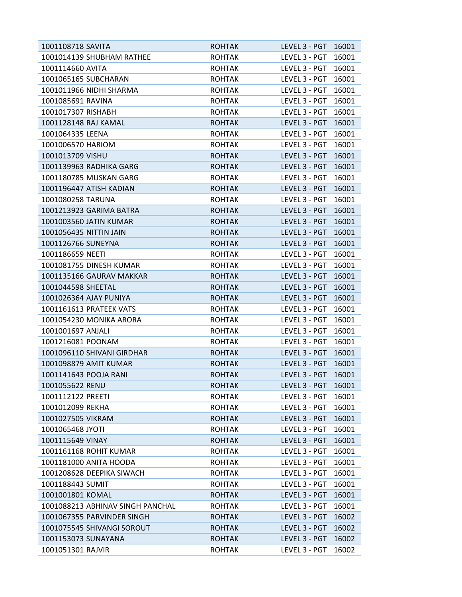| 1001108718 SAVITA                | ROHTAK        | LEVEL 3 - PGT 16001    |
|----------------------------------|---------------|------------------------|
| 1001014139 SHUBHAM RATHEE        | ROHTAK        | LEVEL 3 - PGT 16001    |
| 1001114660 AVITA                 | ROHTAK        | LEVEL 3 - PGT 16001    |
| 1001065165 SUBCHARAN             | <b>ROHTAK</b> | LEVEL 3 - PGT 16001    |
| 1001011966 NIDHI SHARMA          | ROHTAK        | LEVEL 3 - PGT 16001    |
| 1001085691 RAVINA                | ROHTAK        | LEVEL 3 - PGT 16001    |
| 1001017307 RISHABH               | ROHTAK        | LEVEL 3 - PGT 16001    |
| 1001128148 RAJ KAMAL             | ROHTAK        | LEVEL 3 - PGT 16001    |
| 1001064335 LEENA                 | ROHTAK        | LEVEL 3 - PGT 16001    |
| 1001006570 HARIOM                | ROHTAK        | LEVEL 3 - PGT 16001    |
| 1001013709 VISHU                 | ROHTAK        | LEVEL 3 - PGT 16001    |
| 1001139963 RADHIKA GARG          | ROHTAK        | LEVEL 3 - PGT 16001    |
| 1001180785 MUSKAN GARG           | ROHTAK        | LEVEL 3 - PGT 16001    |
| 1001196447 ATISH KADIAN          | ROHTAK        | LEVEL 3 - PGT 16001    |
| 1001080258 TARUNA                | ROHTAK        | LEVEL 3 - PGT 16001    |
| 1001213923 GARIMA BATRA          | ROHTAK        | LEVEL 3 - PGT 16001    |
| 1001003560 JATIN KUMAR           | ROHTAK        | LEVEL 3 - PGT 16001    |
| 1001056435 NITTIN JAIN           | ROHTAK        | LEVEL 3 - PGT 16001    |
| 1001126766 SUNEYNA               | ROHTAK        | LEVEL 3 - PGT 16001    |
| 1001186659 NEETI                 | ROHTAK        | LEVEL 3 - PGT 16001    |
| 1001081755 DINESH KUMAR          | ROHTAK        | LEVEL 3 - PGT 16001    |
| 1001135166 GAURAV MAKKAR         | ROHTAK        | LEVEL 3 - PGT 16001    |
| 1001044598 SHEETAL               | ROHTAK        | LEVEL 3 - PGT<br>16001 |
| 1001026364 AJAY PUNIYA           | ROHTAK        | LEVEL 3 - PGT 16001    |
| 1001161613 PRATEEK VATS          | ROHTAK        | LEVEL 3 - PGT 16001    |
| 1001054230 MONIKA ARORA          | <b>ROHTAK</b> | LEVEL 3 - PGT 16001    |
| 1001001697 ANJALI                | ROHTAK        | LEVEL 3 - PGT 16001    |
| 1001216081 POONAM                | ROHTAK        | LEVEL 3 - PGT 16001    |
| 1001096110 SHIVANI GIRDHAR       | ROHTAK        | LEVEL 3 - PGT 16001    |
| 1001098879 AMIT KUMAR            | ROHTAK        | LEVEL 3 - PGT 16001    |
| 1001141643 POOJA RANI            | <b>ROHTAK</b> | LEVEL 3 - PGT 16001    |
| 1001055622 RENU                  | <b>ROHTAK</b> | LEVEL 3 - PGT<br>16001 |
| 1001112122 PREETI                | <b>ROHTAK</b> | 16001<br>LEVEL 3 - PGT |
| 1001012099 REKHA                 | <b>ROHTAK</b> | LEVEL 3 - PGT<br>16001 |
| 1001027505 VIKRAM                | <b>ROHTAK</b> | LEVEL 3 - PGT<br>16001 |
| 1001065468 JYOTI                 | <b>ROHTAK</b> | LEVEL 3 - PGT<br>16001 |
| 1001115649 VINAY                 | <b>ROHTAK</b> | LEVEL 3 - PGT<br>16001 |
| 1001161168 ROHIT KUMAR           | <b>ROHTAK</b> | LEVEL 3 - PGT<br>16001 |
| 1001181000 ANITA HOODA           | <b>ROHTAK</b> | LEVEL 3 - PGT<br>16001 |
| 1001208628 DEEPIKA SIWACH        | <b>ROHTAK</b> | LEVEL 3 - PGT<br>16001 |
| 1001188443 SUMIT                 | <b>ROHTAK</b> | LEVEL 3 - PGT<br>16001 |
| 1001001801 KOMAL                 | <b>ROHTAK</b> | 16001<br>LEVEL 3 - PGT |
| 1001088213 ABHINAV SINGH PANCHAL | <b>ROHTAK</b> | LEVEL 3 - PGT<br>16001 |
| 1001067355 PARVINDER SINGH       | <b>ROHTAK</b> | LEVEL 3 - PGT<br>16002 |
| 1001075545 SHIVANGI SOROUT       | <b>ROHTAK</b> | LEVEL 3 - PGT<br>16002 |
| 1001153073 SUNAYANA              | <b>ROHTAK</b> | LEVEL 3 - PGT<br>16002 |
| 1001051301 RAJVIR                | <b>ROHTAK</b> | 16002<br>LEVEL 3 - PGT |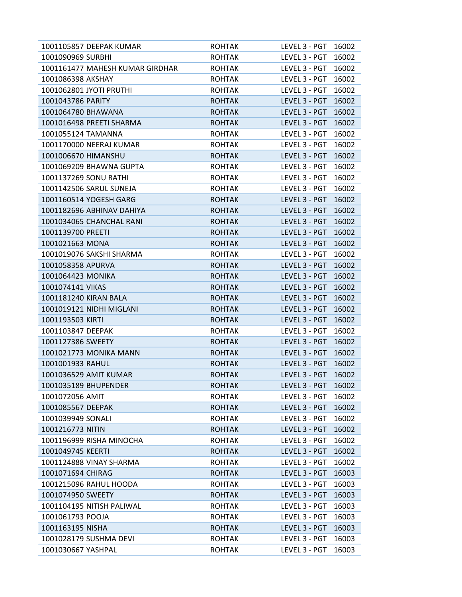| 1001105857 DEEPAK KUMAR         | ROHTAK        | LEVEL 3 - PGT 16002    |
|---------------------------------|---------------|------------------------|
| 1001090969 SURBHI               | ROHTAK        | LEVEL 3 - PGT 16002    |
| 1001161477 MAHESH KUMAR GIRDHAR | ROHTAK        | LEVEL 3 - PGT 16002    |
| 1001086398 AKSHAY               | <b>ROHTAK</b> | LEVEL 3 - PGT 16002    |
| 1001062801 JYOTI PRUTHI         | ROHTAK        | LEVEL 3 - PGT 16002    |
| 1001043786 PARITY               | ROHTAK        | LEVEL 3 - PGT 16002    |
| 1001064780 BHAWANA              | ROHTAK        | LEVEL 3 - PGT 16002    |
| 1001016498 PREETI SHARMA        | <b>ROHTAK</b> | LEVEL 3 - PGT 16002    |
| 1001055124 TAMANNA              | ROHTAK        | LEVEL 3 - PGT 16002    |
| 1001170000 NEERAJ KUMAR         | ROHTAK        | LEVEL 3 - PGT 16002    |
| 1001006670 HIMANSHU             | ROHTAK        | LEVEL 3 - PGT 16002    |
| 1001069209 BHAWNA GUPTA         | ROHTAK        | LEVEL 3 - PGT 16002    |
| 1001137269 SONU RATHI           | ROHTAK        | LEVEL 3 - PGT 16002    |
| 1001142506 SARUL SUNEJA         | ROHTAK        | LEVEL 3 - PGT 16002    |
| 1001160514 YOGESH GARG          | <b>ROHTAK</b> | LEVEL 3 - PGT 16002    |
| 1001182696 ABHINAV DAHIYA       | ROHTAK        | LEVEL 3 - PGT 16002    |
| 1001034065 CHANCHAL RANI        | ROHTAK        | LEVEL 3 - PGT 16002    |
| 1001139700 PREETI               | ROHTAK        | LEVEL 3 - PGT 16002    |
| 1001021663 MONA                 | ROHTAK        | LEVEL 3 - PGT 16002    |
| 1001019076 SAKSHI SHARMA        | ROHTAK        | LEVEL 3 - PGT 16002    |
| 1001058358 APURVA               | <b>ROHTAK</b> | LEVEL 3 - PGT 16002    |
| 1001064423 MONIKA               | ROHTAK        | LEVEL 3 - PGT 16002    |
| 1001074141 VIKAS                | ROHTAK        | LEVEL 3 - PGT 16002    |
| 1001181240 KIRAN BALA           | ROHTAK        | LEVEL 3 - PGT 16002    |
| 1001019121 NIDHI MIGLANI        | ROHTAK        | LEVEL 3 - PGT 16002    |
| 1001193503 KIRTI                | ROHTAK        | LEVEL 3 - PGT 16002    |
| 1001103847 DEEPAK               | ROHTAK        | LEVEL 3 - PGT 16002    |
| 1001127386 SWEETY               | <b>ROHTAK</b> | LEVEL 3 - PGT 16002    |
| 1001021773 MONIKA MANN          | <b>ROHTAK</b> | LEVEL 3 - PGT 16002    |
| 1001001933 RAHUL                | ROHTAK        | LEVEL 3 - PGT 16002    |
| 1001036529 AMIT KUMAR           | <b>ROHTAK</b> | LEVEL 3 - PGT 16002    |
| 1001035189 BHUPENDER            | <b>ROHTAK</b> | LEVEL 3 - PGT<br>16002 |
| 1001072056 AMIT                 | <b>ROHTAK</b> | LEVEL 3 - PGT<br>16002 |
| 1001085567 DEEPAK               | <b>ROHTAK</b> | LEVEL 3 - PGT<br>16002 |
| 1001039949 SONALI               | <b>ROHTAK</b> | LEVEL 3 - PGT<br>16002 |
| 1001216773 NITIN                | <b>ROHTAK</b> | LEVEL 3 - PGT<br>16002 |
| 1001196999 RISHA MINOCHA        | <b>ROHTAK</b> | 16002<br>LEVEL 3 - PGT |
| 1001049745 KEERTI               | <b>ROHTAK</b> | LEVEL 3 - PGT<br>16002 |
| 1001124888 VINAY SHARMA         | <b>ROHTAK</b> | LEVEL 3 - PGT<br>16002 |
| 1001071694 CHIRAG               | <b>ROHTAK</b> | LEVEL 3 - PGT<br>16003 |
| 1001215096 RAHUL HOODA          | <b>ROHTAK</b> | LEVEL 3 - PGT<br>16003 |
| 1001074950 SWEETY               | <b>ROHTAK</b> | LEVEL 3 - PGT<br>16003 |
| 1001104195 NITISH PALIWAL       | <b>ROHTAK</b> | LEVEL 3 - PGT<br>16003 |
| 1001061793 POOJA                | <b>ROHTAK</b> | LEVEL 3 - PGT<br>16003 |
| 1001163195 NISHA                | <b>ROHTAK</b> | LEVEL 3 - PGT<br>16003 |
| 1001028179 SUSHMA DEVI          | <b>ROHTAK</b> | 16003<br>LEVEL 3 - PGT |
| 1001030667 YASHPAL              | <b>ROHTAK</b> | LEVEL 3 - PGT<br>16003 |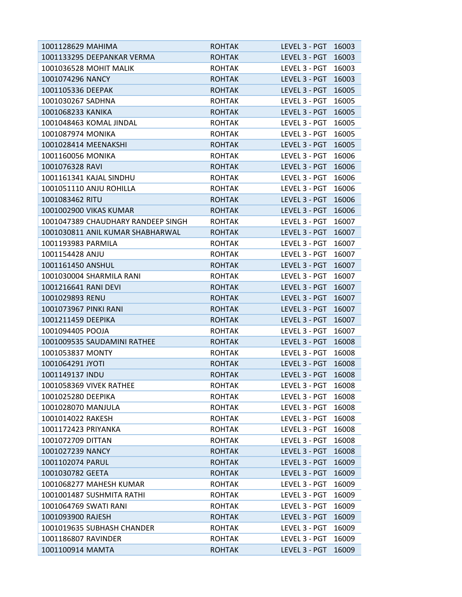| 1001128629 MAHIMA                  | ROHTAK        | LEVEL 3 - PGT 16003    |
|------------------------------------|---------------|------------------------|
| 1001133295 DEEPANKAR VERMA         | ROHTAK        | LEVEL 3 - PGT 16003    |
| 1001036528 MOHIT MALIK             | ROHTAK        | LEVEL 3 - PGT 16003    |
| 1001074296 NANCY                   | <b>ROHTAK</b> | LEVEL 3 - PGT<br>16003 |
| 1001105336 DEEPAK                  | ROHTAK        | LEVEL 3 - PGT 16005    |
| 1001030267 SADHNA                  | ROHTAK        | LEVEL 3 - PGT 16005    |
| 1001068233 KANIKA                  | ROHTAK        | LEVEL 3 - PGT 16005    |
| 1001048463 KOMAL JINDAL            | ROHTAK        | LEVEL 3 - PGT<br>16005 |
| 1001087974 MONIKA                  | ROHTAK        | LEVEL 3 - PGT<br>16005 |
| 1001028414 MEENAKSHI               | ROHTAK        | LEVEL 3 - PGT 16005    |
| 1001160056 MONIKA                  | ROHTAK        | LEVEL 3 - PGT 16006    |
| 1001076328 RAVI                    | <b>ROHTAK</b> | LEVEL 3 - PGT 16006    |
| 1001161341 KAJAL SINDHU            | ROHTAK        | LEVEL 3 - PGT<br>16006 |
| 1001051110 ANJU ROHILLA            | ROHTAK        | LEVEL 3 - PGT 16006    |
| 1001083462 RITU                    | ROHTAK        | LEVEL 3 - PGT 16006    |
| 1001002900 VIKAS KUMAR             | ROHTAK        | LEVEL 3 - PGT 16006    |
| 1001047389 CHAUDHARY RANDEEP SINGH | ROHTAK        | LEVEL 3 - PGT 16007    |
| 1001030811 ANIL KUMAR SHABHARWAL   | ROHTAK        | LEVEL 3 - PGT<br>16007 |
| 1001193983 PARMILA                 | ROHTAK        | LEVEL 3 - PGT 16007    |
| 1001154428 ANJU                    | ROHTAK        | LEVEL 3 - PGT 16007    |
| 1001161450 ANSHUL                  | ROHTAK        | LEVEL 3 - PGT 16007    |
| 1001030004 SHARMILA RANI           | ROHTAK        | LEVEL 3 - PGT<br>16007 |
| 1001216641 RANI DEVI               | <b>ROHTAK</b> | LEVEL 3 - PGT<br>16007 |
| 1001029893 RENU                    | ROHTAK        | LEVEL 3 - PGT 16007    |
| 1001073967 PINKI RANI              | <b>ROHTAK</b> | LEVEL 3 - PGT 16007    |
| 1001211459 DEEPIKA                 | ROHTAK        | LEVEL 3 - PGT 16007    |
| 1001094405 POOJA                   | ROHTAK        | LEVEL 3 - PGT 16007    |
| 1001009535 SAUDAMINI RATHEE        | <b>ROHTAK</b> | LEVEL 3 - PGT 16008    |
| 1001053837 MONTY                   | ROHTAK        | LEVEL 3 - PGT 16008    |
| 1001064291 JYOTI                   | ROHTAK        | LEVEL 3 - PGT 16008    |
| 1001149137 INDU                    | <b>ROHTAK</b> | LEVEL 3 - PGT 16008    |
| 1001058369 VIVEK RATHEE            | <b>ROHTAK</b> | LEVEL 3 - PGT<br>16008 |
| 1001025280 DEEPIKA                 | <b>ROHTAK</b> | 16008<br>LEVEL 3 - PGT |
| 1001028070 MANJULA                 | <b>ROHTAK</b> | LEVEL 3 - PGT<br>16008 |
| 1001014022 RAKESH                  | <b>ROHTAK</b> | LEVEL 3 - PGT<br>16008 |
| 1001172423 PRIYANKA                | <b>ROHTAK</b> | LEVEL 3 - PGT<br>16008 |
| 1001072709 DITTAN                  | <b>ROHTAK</b> | LEVEL 3 - PGT<br>16008 |
| 1001027239 NANCY                   | <b>ROHTAK</b> | LEVEL 3 - PGT<br>16008 |
| 1001102074 PARUL                   | <b>ROHTAK</b> | LEVEL 3 - PGT<br>16009 |
| 1001030782 GEETA                   | <b>ROHTAK</b> | LEVEL 3 - PGT<br>16009 |
| 1001068277 MAHESH KUMAR            | <b>ROHTAK</b> | LEVEL 3 - PGT<br>16009 |
| 1001001487 SUSHMITA RATHI          | <b>ROHTAK</b> | 16009<br>LEVEL 3 - PGT |
| 1001064769 SWATI RANI              | <b>ROHTAK</b> | LEVEL 3 - PGT<br>16009 |
| 1001093900 RAJESH                  | <b>ROHTAK</b> | LEVEL 3 - PGT<br>16009 |
| 1001019635 SUBHASH CHANDER         | <b>ROHTAK</b> | LEVEL 3 - PGT<br>16009 |
| 1001186807 RAVINDER                | ROHTAK        | LEVEL 3 - PGT<br>16009 |
| 1001100914 MAMTA                   | <b>ROHTAK</b> | LEVEL 3 - PGT<br>16009 |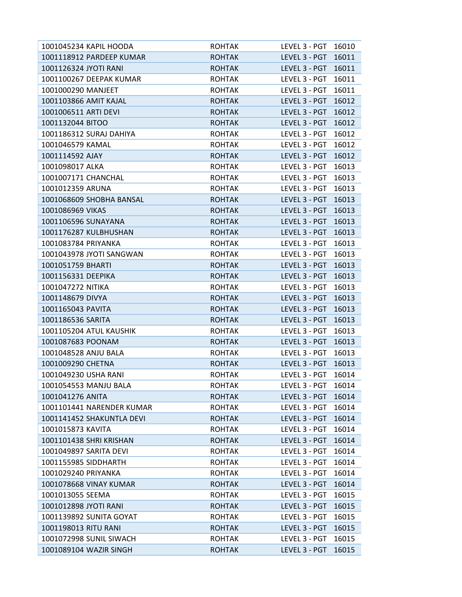| 1001045234 KAPIL HOODA    | ROHTAK        | LEVEL 3 - PGT 16010    |
|---------------------------|---------------|------------------------|
| 1001118912 PARDEEP KUMAR  | ROHTAK        | LEVEL 3 - PGT 16011    |
| 1001126324 JYOTI RANI     | ROHTAK        | LEVEL 3 - PGT 16011    |
| 1001100267 DEEPAK KUMAR   | ROHTAK        | LEVEL 3 - PGT 16011    |
| 1001000290 MANJEET        | ROHTAK        | LEVEL 3 - PGT 16011    |
| 1001103866 AMIT KAJAL     | ROHTAK        | LEVEL 3 - PGT 16012    |
| 1001006511 ARTI DEVI      | ROHTAK        | LEVEL 3 - PGT 16012    |
| 1001132044 BITOO          | ROHTAK        | LEVEL 3 - PGT 16012    |
| 1001186312 SURAJ DAHIYA   | ROHTAK        | LEVEL 3 - PGT 16012    |
| 1001046579 KAMAL          | ROHTAK        | LEVEL 3 - PGT 16012    |
| 1001114592 AJAY           | ROHTAK        | LEVEL 3 - PGT 16012    |
| 1001098017 ALKA           | ROHTAK        | LEVEL 3 - PGT 16013    |
| 1001007171 CHANCHAL       | ROHTAK        | LEVEL 3 - PGT 16013    |
| 1001012359 ARUNA          | ROHTAK        | LEVEL 3 - PGT 16013    |
| 1001068609 SHOBHA BANSAL  | <b>ROHTAK</b> | LEVEL 3 - PGT 16013    |
| 1001086969 VIKAS          | ROHTAK        | LEVEL 3 - PGT 16013    |
| 1001106596 SUNAYANA       | ROHTAK        | LEVEL 3 - PGT 16013    |
| 1001176287 KULBHUSHAN     | ROHTAK        | LEVEL 3 - PGT 16013    |
| 1001083784 PRIYANKA       | ROHTAK        | LEVEL 3 - PGT 16013    |
| 1001043978 JYOTI SANGWAN  | ROHTAK        | LEVEL 3 - PGT 16013    |
| 1001051759 BHARTI         | ROHTAK        | LEVEL 3 - PGT 16013    |
| 1001156331 DEEPIKA        | ROHTAK        | LEVEL 3 - PGT 16013    |
| 1001047272 NITIKA         | ROHTAK        | LEVEL 3 - PGT 16013    |
| 1001148679 DIVYA          | ROHTAK        | LEVEL 3 - PGT 16013    |
| 1001165043 PAVITA         | ROHTAK        | LEVEL 3 - PGT 16013    |
| 1001186536 SARITA         | ROHTAK        | LEVEL 3 - PGT 16013    |
| 1001105204 ATUL KAUSHIK   | ROHTAK        | LEVEL 3 - PGT 16013    |
| 1001087683 POONAM         | <b>ROHTAK</b> | LEVEL 3 - PGT 16013    |
| 1001048528 ANJU BALA      | ROHTAK        | LEVEL 3 - PGT 16013    |
| 1001009290 CHETNA         | ROHTAK        | LEVEL 3 - PGT 16013    |
| 1001049230 USHA RANI      | ROHTAK        | LEVEL 3 - PGT 16014    |
| 1001054553 MANJU BALA     | <b>ROHTAK</b> | LEVEL 3 - PGT<br>16014 |
| 1001041276 ANITA          | <b>ROHTAK</b> | LEVEL 3 - PGT<br>16014 |
| 1001101441 NARENDER KUMAR | <b>ROHTAK</b> | LEVEL 3 - PGT<br>16014 |
| 1001141452 SHAKUNTLA DEVI | <b>ROHTAK</b> | LEVEL 3 - PGT<br>16014 |
| 1001015873 KAVITA         | <b>ROHTAK</b> | LEVEL 3 - PGT<br>16014 |
| 1001101438 SHRI KRISHAN   | <b>ROHTAK</b> | 16014<br>LEVEL 3 - PGT |
| 1001049897 SARITA DEVI    | <b>ROHTAK</b> | LEVEL 3 - PGT<br>16014 |
| 1001155985 SIDDHARTH      | <b>ROHTAK</b> | LEVEL 3 - PGT<br>16014 |
| 1001029240 PRIYANKA       | <b>ROHTAK</b> | LEVEL 3 - PGT<br>16014 |
| 1001078668 VINAY KUMAR    | <b>ROHTAK</b> | LEVEL 3 - PGT<br>16014 |
| 1001013055 SEEMA          | <b>ROHTAK</b> | LEVEL 3 - PGT<br>16015 |
| 1001012898 JYOTI RANI     | <b>ROHTAK</b> | LEVEL 3 - PGT<br>16015 |
| 1001139892 SUNITA GOYAT   | <b>ROHTAK</b> | LEVEL 3 - PGT<br>16015 |
| 1001198013 RITU RANI      | <b>ROHTAK</b> | LEVEL 3 - PGT<br>16015 |
| 1001072998 SUNIL SIWACH   | <b>ROHTAK</b> | 16015<br>LEVEL 3 - PGT |
| 1001089104 WAZIR SINGH    | <b>ROHTAK</b> | LEVEL 3 - PGT<br>16015 |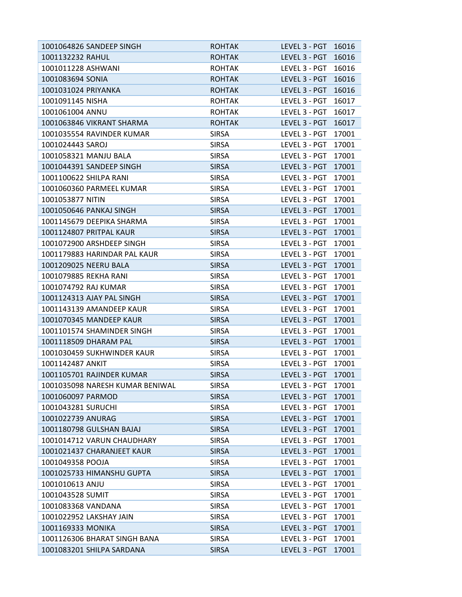| 1001064826 SANDEEP SINGH        | <b>ROHTAK</b> | LEVEL 3 - PGT       | 16016 |
|---------------------------------|---------------|---------------------|-------|
| 1001132232 RAHUL                | <b>ROHTAK</b> | LEVEL 3 - PGT       | 16016 |
| 1001011228 ASHWANI              | ROHTAK        | LEVEL 3 - PGT 16016 |       |
| 1001083694 SONIA                | <b>ROHTAK</b> | LEVEL 3 - PGT       | 16016 |
| 1001031024 PRIYANKA             | <b>ROHTAK</b> | LEVEL 3 - PGT 16016 |       |
| 1001091145 NISHA                | ROHTAK        | LEVEL 3 - PGT       | 16017 |
| 1001061004 ANNU                 | <b>ROHTAK</b> | LEVEL 3 - PGT       | 16017 |
| 1001063846 VIKRANT SHARMA       | <b>ROHTAK</b> | LEVEL 3 - PGT       | 16017 |
| 1001035554 RAVINDER KUMAR       | <b>SIRSA</b>  | LEVEL 3 - PGT       | 17001 |
| 1001024443 SAROJ                | <b>SIRSA</b>  | LEVEL 3 - PGT 17001 |       |
| 1001058321 MANJU BALA           | <b>SIRSA</b>  | LEVEL 3 - PGT       | 17001 |
| 1001044391 SANDEEP SINGH        | <b>SIRSA</b>  | LEVEL 3 - PGT 17001 |       |
| 1001100622 SHILPA RANI          | <b>SIRSA</b>  | LEVEL 3 - PGT       | 17001 |
| 1001060360 PARMEEL KUMAR        | <b>SIRSA</b>  | LEVEL 3 - PGT       | 17001 |
| 1001053877 NITIN                | <b>SIRSA</b>  | LEVEL 3 - PGT 17001 |       |
| 1001050646 PANKAJ SINGH         | <b>SIRSA</b>  | LEVEL 3 - PGT 17001 |       |
| 1001145679 DEEPIKA SHARMA       | <b>SIRSA</b>  | LEVEL 3 - PGT 17001 |       |
| 1001124807 PRITPAL KAUR         | <b>SIRSA</b>  | LEVEL 3 - PGT 17001 |       |
| 1001072900 ARSHDEEP SINGH       | <b>SIRSA</b>  | LEVEL 3 - PGT       | 17001 |
| 1001179883 HARINDAR PAL KAUR    | <b>SIRSA</b>  | LEVEL 3 - PGT 17001 |       |
| 1001209025 NEERU BALA           | <b>SIRSA</b>  | LEVEL 3 - PGT       | 17001 |
| 1001079885 REKHA RANI           | <b>SIRSA</b>  | LEVEL 3 - PGT       | 17001 |
| 1001074792 RAJ KUMAR            | <b>SIRSA</b>  | LEVEL 3 - PGT       | 17001 |
| 1001124313 AJAY PAL SINGH       | <b>SIRSA</b>  | LEVEL 3 - PGT 17001 |       |
| 1001143139 AMANDEEP KAUR        | <b>SIRSA</b>  | LEVEL 3 - PGT       | 17001 |
| 1001070345 MANDEEP KAUR         | <b>SIRSA</b>  | LEVEL 3 - PGT       | 17001 |
| 1001101574 SHAMINDER SINGH      | <b>SIRSA</b>  | LEVEL 3 - PGT 17001 |       |
| 1001118509 DHARAM PAL           | <b>SIRSA</b>  | LEVEL 3 - PGT       | 17001 |
| 1001030459 SUKHWINDER KAUR      | <b>SIRSA</b>  | LEVEL 3 - PGT 17001 |       |
| 1001142487 ANKIT                | <b>SIRSA</b>  | LEVEL 3 - PGT 17001 |       |
| 1001105701 RAJINDER KUMAR       | <b>SIRSA</b>  | LEVEL 3 - PGT 17001 |       |
| 1001035098 NARESH KUMAR BENIWAL | <b>SIRSA</b>  | LEVEL 3 - PGT       | 17001 |
| 1001060097 PARMOD               | <b>SIRSA</b>  | LEVEL 3 - PGT       | 17001 |
| 1001043281 SURUCHI              | <b>SIRSA</b>  | LEVEL 3 - PGT       | 17001 |
| 1001022739 ANURAG               | <b>SIRSA</b>  | LEVEL 3 - PGT       | 17001 |
| 1001180798 GULSHAN BAJAJ        | <b>SIRSA</b>  | LEVEL 3 - PGT       | 17001 |
| 1001014712 VARUN CHAUDHARY      | <b>SIRSA</b>  | LEVEL 3 - PGT       | 17001 |
| 1001021437 CHARANJEET KAUR      | <b>SIRSA</b>  | LEVEL 3 - PGT       | 17001 |
| 1001049358 POOJA                | <b>SIRSA</b>  | LEVEL 3 - PGT       | 17001 |
| 1001025733 HIMANSHU GUPTA       | <b>SIRSA</b>  | LEVEL 3 - PGT       | 17001 |
| 1001010613 ANJU                 | <b>SIRSA</b>  | LEVEL 3 - PGT       | 17001 |
| 1001043528 SUMIT                | <b>SIRSA</b>  | LEVEL 3 - PGT       | 17001 |
| 1001083368 VANDANA              | <b>SIRSA</b>  | LEVEL 3 - PGT       | 17001 |
| 1001022952 LAKSHAY JAIN         | <b>SIRSA</b>  | LEVEL 3 - PGT       | 17001 |
| 1001169333 MONIKA               | <b>SIRSA</b>  | LEVEL 3 - PGT       | 17001 |
| 1001126306 BHARAT SINGH BANA    | <b>SIRSA</b>  | LEVEL 3 - PGT       | 17001 |
| 1001083201 SHILPA SARDANA       | <b>SIRSA</b>  | LEVEL 3 - PGT       | 17001 |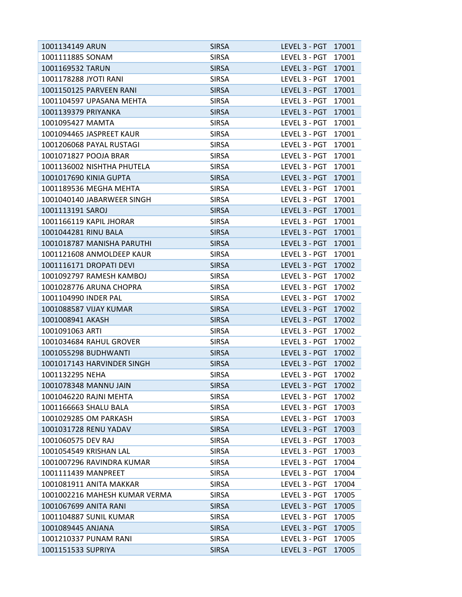| 1001134149 ARUN               | <b>SIRSA</b> | LEVEL 3 - PGT<br>17001 |
|-------------------------------|--------------|------------------------|
| 1001111885 SONAM              | <b>SIRSA</b> | LEVEL 3 - PGT 17001    |
| 1001169532 TARUN              | <b>SIRSA</b> | LEVEL 3 - PGT 17001    |
| 1001178288 JYOTI RANI         | <b>SIRSA</b> | LEVEL 3 - PGT<br>17001 |
| 1001150125 PARVEEN RANI       | <b>SIRSA</b> | LEVEL 3 - PGT 17001    |
| 1001104597 UPASANA MEHTA      | <b>SIRSA</b> | LEVEL 3 - PGT<br>17001 |
| 1001139379 PRIYANKA           | <b>SIRSA</b> | LEVEL 3 - PGT 17001    |
| 1001095427 MAMTA              | <b>SIRSA</b> | LEVEL 3 - PGT<br>17001 |
| 1001094465 JASPREET KAUR      | <b>SIRSA</b> | LEVEL 3 - PGT<br>17001 |
| 1001206068 PAYAL RUSTAGI      | <b>SIRSA</b> | LEVEL 3 - PGT 17001    |
| 1001071827 POOJA BRAR         | <b>SIRSA</b> | LEVEL 3 - PGT<br>17001 |
| 1001136002 NISHTHA PHUTELA    | <b>SIRSA</b> | LEVEL 3 - PGT<br>17001 |
| 1001017690 KINIA GUPTA        | <b>SIRSA</b> | LEVEL 3 - PGT<br>17001 |
| 1001189536 MEGHA MEHTA        | <b>SIRSA</b> | LEVEL 3 - PGT<br>17001 |
| 1001040140 JABARWEER SINGH    | <b>SIRSA</b> | LEVEL 3 - PGT 17001    |
| 1001113191 SAROJ              | <b>SIRSA</b> | LEVEL 3 - PGT 17001    |
| 1001166119 KAPIL JHORAR       | <b>SIRSA</b> | LEVEL 3 - PGT 17001    |
| 1001044281 RINU BALA          | <b>SIRSA</b> | LEVEL 3 - PGT 17001    |
| 1001018787 MANISHA PARUTHI    | <b>SIRSA</b> | LEVEL 3 - PGT 17001    |
| 1001121608 ANMOLDEEP KAUR     | <b>SIRSA</b> | LEVEL 3 - PGT 17001    |
| 1001116171 DROPATI DEVI       | <b>SIRSA</b> | LEVEL 3 - PGT<br>17002 |
| 1001092797 RAMESH KAMBOJ      | <b>SIRSA</b> | LEVEL 3 - PGT<br>17002 |
| 1001028776 ARUNA CHOPRA       | <b>SIRSA</b> | LEVEL 3 - PGT<br>17002 |
| 1001104990 INDER PAL          | <b>SIRSA</b> | LEVEL 3 - PGT<br>17002 |
| 1001088587 VIJAY KUMAR        | <b>SIRSA</b> | LEVEL 3 - PGT 17002    |
| 1001008941 AKASH              | <b>SIRSA</b> | LEVEL 3 - PGT 17002    |
| 1001091063 ARTI               | <b>SIRSA</b> | LEVEL 3 - PGT<br>17002 |
| 1001034684 RAHUL GROVER       | <b>SIRSA</b> | LEVEL 3 - PGT<br>17002 |
| 1001055298 BUDHWANTI          | <b>SIRSA</b> | LEVEL 3 - PGT 17002    |
| 1001017143 HARVINDER SINGH    | <b>SIRSA</b> | LEVEL 3 - PGT 17002    |
| 1001132295 NEHA               | <b>SIRSA</b> | LEVEL 3 - PGT 17002    |
| 1001078348 MANNU JAIN         | <b>SIRSA</b> | LEVEL 3 - PGT<br>17002 |
| 1001046220 RAJNI MEHTA        | <b>SIRSA</b> | LEVEL 3 - PGT<br>17002 |
| 1001166663 SHALU BALA         | <b>SIRSA</b> | LEVEL 3 - PGT<br>17003 |
| 1001029285 OM PARKASH         | <b>SIRSA</b> | LEVEL 3 - PGT<br>17003 |
| 1001031728 RENU YADAV         | <b>SIRSA</b> | LEVEL 3 - PGT<br>17003 |
| 1001060575 DEV RAJ            | <b>SIRSA</b> | LEVEL 3 - PGT<br>17003 |
| 1001054549 KRISHAN LAL        | <b>SIRSA</b> | LEVEL 3 - PGT<br>17003 |
| 1001007296 RAVINDRA KUMAR     | <b>SIRSA</b> | LEVEL 3 - PGT<br>17004 |
| 1001111439 MANPREET           | <b>SIRSA</b> | LEVEL 3 - PGT<br>17004 |
| 1001081911 ANITA MAKKAR       | <b>SIRSA</b> | LEVEL 3 - PGT<br>17004 |
| 1001002216 MAHESH KUMAR VERMA | <b>SIRSA</b> | LEVEL 3 - PGT<br>17005 |
| 1001067699 ANITA RANI         | <b>SIRSA</b> | LEVEL 3 - PGT<br>17005 |
| 1001104887 SUNIL KUMAR        | <b>SIRSA</b> | LEVEL 3 - PGT<br>17005 |
| 1001089445 ANJANA             | <b>SIRSA</b> | LEVEL 3 - PGT<br>17005 |
| 1001210337 PUNAM RANI         | <b>SIRSA</b> | LEVEL 3 - PGT<br>17005 |
| 1001151533 SUPRIYA            | <b>SIRSA</b> | LEVEL 3 - PGT<br>17005 |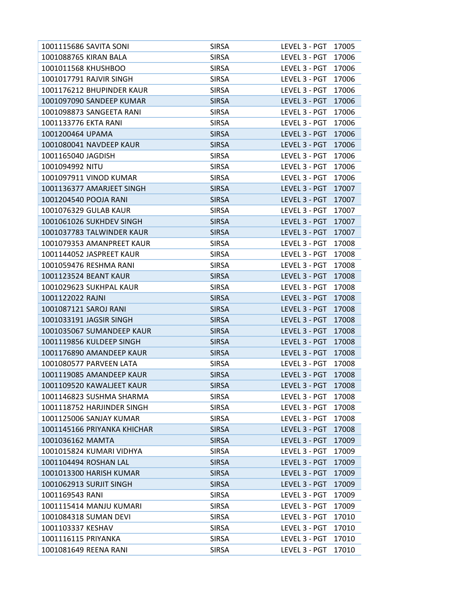| 1001115686 SAVITA SONI      | <b>SIRSA</b> | LEVEL 3 - PGT<br>17005 |
|-----------------------------|--------------|------------------------|
| 1001088765 KIRAN BALA       | <b>SIRSA</b> | 17006<br>LEVEL 3 - PGT |
| 1001011568 KHUSHBOO         | <b>SIRSA</b> | LEVEL 3 - PGT 17006    |
| 1001017791 RAJVIR SINGH     | <b>SIRSA</b> | LEVEL 3 - PGT<br>17006 |
| 1001176212 BHUPINDER KAUR   | <b>SIRSA</b> | LEVEL 3 - PGT<br>17006 |
| 1001097090 SANDEEP KUMAR    | <b>SIRSA</b> | LEVEL 3 - PGT 17006    |
| 1001098873 SANGEETA RANI    | <b>SIRSA</b> | LEVEL 3 - PGT 17006    |
| 1001133776 EKTA RANI        | <b>SIRSA</b> | LEVEL 3 - PGT<br>17006 |
| 1001200464 UPAMA            | <b>SIRSA</b> | LEVEL 3 - PGT<br>17006 |
| 1001080041 NAVDEEP KAUR     | <b>SIRSA</b> | LEVEL 3 - PGT 17006    |
| 1001165040 JAGDISH          | <b>SIRSA</b> | LEVEL 3 - PGT<br>17006 |
| 1001094992 NITU             | <b>SIRSA</b> | LEVEL 3 - PGT 17006    |
| 1001097911 VINOD KUMAR      | <b>SIRSA</b> | LEVEL 3 - PGT<br>17006 |
| 1001136377 AMARJEET SINGH   | <b>SIRSA</b> | LEVEL 3 - PGT<br>17007 |
| 1001204540 POOJA RANI       | <b>SIRSA</b> | LEVEL 3 - PGT 17007    |
| 1001076329 GULAB KAUR       | <b>SIRSA</b> | LEVEL 3 - PGT<br>17007 |
| 1001061026 SUKHDEV SINGH    | <b>SIRSA</b> | LEVEL 3 - PGT 17007    |
| 1001037783 TALWINDER KAUR   | <b>SIRSA</b> | LEVEL 3 - PGT<br>17007 |
| 1001079353 AMANPREET KAUR   | <b>SIRSA</b> | LEVEL 3 - PGT<br>17008 |
| 1001144052 JASPREET KAUR    | <b>SIRSA</b> | LEVEL 3 - PGT<br>17008 |
| 1001059476 RESHMA RANI      | <b>SIRSA</b> | LEVEL 3 - PGT<br>17008 |
| 1001123524 BEANT KAUR       | <b>SIRSA</b> | LEVEL 3 - PGT<br>17008 |
| 1001029623 SUKHPAL KAUR     | <b>SIRSA</b> | LEVEL 3 - PGT<br>17008 |
| 1001122022 RAJNI            | <b>SIRSA</b> | LEVEL 3 - PGT 17008    |
| 1001087121 SAROJ RANI       | <b>SIRSA</b> | LEVEL 3 - PGT 17008    |
| 1001033191 JAGSIR SINGH     | <b>SIRSA</b> | LEVEL 3 - PGT 17008    |
| 1001035067 SUMANDEEP KAUR   | <b>SIRSA</b> | LEVEL 3 - PGT<br>17008 |
| 1001119856 KULDEEP SINGH    | <b>SIRSA</b> | LEVEL 3 - PGT<br>17008 |
| 1001176890 AMANDEEP KAUR    | <b>SIRSA</b> | LEVEL 3 - PGT 17008    |
| 1001080577 PARVEEN LATA     | <b>SIRSA</b> | LEVEL 3 - PGT 17008    |
| 1001119085 AMANDEEP KAUR    | <b>SIRSA</b> | LEVEL 3 - PGT 17008    |
| 1001109520 KAWALJEET KAUR   | <b>SIRSA</b> | LEVEL 3 - PGT<br>17008 |
| 1001146823 SUSHMA SHARMA    | <b>SIRSA</b> | LEVEL 3 - PGT<br>17008 |
| 1001118752 HARJINDER SINGH  | <b>SIRSA</b> | LEVEL 3 - PGT<br>17008 |
| 1001125006 SANJAY KUMAR     | <b>SIRSA</b> | LEVEL 3 - PGT<br>17008 |
| 1001145166 PRIYANKA KHICHAR | <b>SIRSA</b> | LEVEL 3 - PGT<br>17008 |
| 1001036162 MAMTA            | <b>SIRSA</b> | LEVEL 3 - PGT<br>17009 |
| 1001015824 KUMARI VIDHYA    | <b>SIRSA</b> | 17009<br>LEVEL 3 - PGT |
| 1001104494 ROSHAN LAL       | <b>SIRSA</b> | 17009<br>LEVEL 3 - PGT |
| 1001013300 HARISH KUMAR     | <b>SIRSA</b> | LEVEL 3 - PGT<br>17009 |
| 1001062913 SURJIT SINGH     | <b>SIRSA</b> | LEVEL 3 - PGT<br>17009 |
| 1001169543 RANI             | <b>SIRSA</b> | LEVEL 3 - PGT<br>17009 |
| 1001115414 MANJU KUMARI     | <b>SIRSA</b> | LEVEL 3 - PGT<br>17009 |
| 1001084318 SUMAN DEVI       | <b>SIRSA</b> | LEVEL 3 - PGT<br>17010 |
| 1001103337 KESHAV           | <b>SIRSA</b> | LEVEL 3 - PGT<br>17010 |
| 1001116115 PRIYANKA         | <b>SIRSA</b> | LEVEL 3 - PGT<br>17010 |
| 1001081649 REENA RANI       | <b>SIRSA</b> | LEVEL 3 - PGT<br>17010 |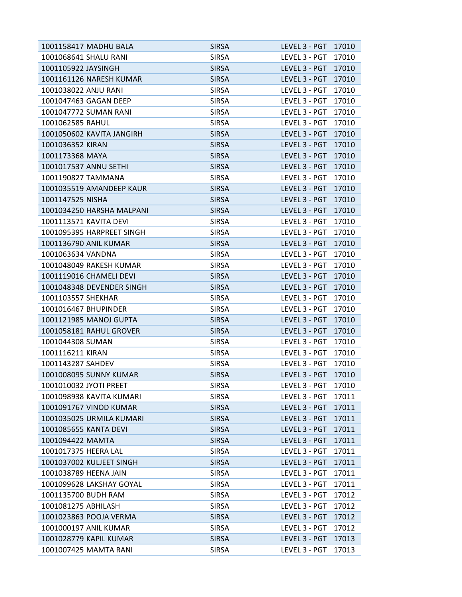| 1001158417 MADHU BALA     | <b>SIRSA</b> | LEVEL 3 - PGT<br>17010 |
|---------------------------|--------------|------------------------|
| 1001068641 SHALU RANI     | <b>SIRSA</b> | LEVEL 3 - PGT 17010    |
| 1001105922 JAYSINGH       | <b>SIRSA</b> | LEVEL 3 - PGT 17010    |
| 1001161126 NARESH KUMAR   | <b>SIRSA</b> | LEVEL 3 - PGT<br>17010 |
| 1001038022 ANJU RANI      | <b>SIRSA</b> | LEVEL 3 - PGT<br>17010 |
| 1001047463 GAGAN DEEP     | <b>SIRSA</b> | LEVEL 3 - PGT<br>17010 |
| 1001047772 SUMAN RANI     | <b>SIRSA</b> | LEVEL 3 - PGT 17010    |
| 1001062585 RAHUL          | <b>SIRSA</b> | LEVEL 3 - PGT 17010    |
| 1001050602 KAVITA JANGIRH | <b>SIRSA</b> | LEVEL 3 - PGT<br>17010 |
| 1001036352 KIRAN          | <b>SIRSA</b> | LEVEL 3 - PGT 17010    |
| 1001173368 MAYA           | <b>SIRSA</b> | LEVEL 3 - PGT 17010    |
| 1001017537 ANNU SETHI     | <b>SIRSA</b> | LEVEL 3 - PGT 17010    |
| 1001190827 TAMMANA        | <b>SIRSA</b> | LEVEL 3 - PGT<br>17010 |
| 1001035519 AMANDEEP KAUR  | <b>SIRSA</b> | LEVEL 3 - PGT<br>17010 |
| 1001147525 NISHA          | <b>SIRSA</b> | LEVEL 3 - PGT 17010    |
| 1001034250 HARSHA MALPANI | <b>SIRSA</b> | LEVEL 3 - PGT 17010    |
| 1001113571 KAVITA DEVI    | <b>SIRSA</b> | LEVEL 3 - PGT 17010    |
| 1001095395 HARPREET SINGH | <b>SIRSA</b> | LEVEL 3 - PGT<br>17010 |
| 1001136790 ANIL KUMAR     | <b>SIRSA</b> | LEVEL 3 - PGT 17010    |
| 1001063634 VANDNA         | <b>SIRSA</b> | LEVEL 3 - PGT 17010    |
| 1001048049 RAKESH KUMAR   | <b>SIRSA</b> | LEVEL 3 - PGT<br>17010 |
| 1001119016 CHAMELI DEVI   | <b>SIRSA</b> | LEVEL 3 - PGT 17010    |
| 1001048348 DEVENDER SINGH | <b>SIRSA</b> | LEVEL 3 - PGT<br>17010 |
| 1001103557 SHEKHAR        | <b>SIRSA</b> | LEVEL 3 - PGT 17010    |
| 1001016467 BHUPINDER      | <b>SIRSA</b> | LEVEL 3 - PGT<br>17010 |
| 1001121985 MANOJ GUPTA    | <b>SIRSA</b> | LEVEL 3 - PGT 17010    |
| 1001058181 RAHUL GROVER   | <b>SIRSA</b> | LEVEL 3 - PGT 17010    |
| 1001044308 SUMAN          | <b>SIRSA</b> | LEVEL 3 - PGT<br>17010 |
| 1001116211 KIRAN          | <b>SIRSA</b> | LEVEL 3 - PGT 17010    |
| 1001143287 SAHDEV         | <b>SIRSA</b> | LEVEL 3 - PGT 17010    |
| 1001008095 SUNNY KUMAR    | <b>SIRSA</b> | LEVEL 3 - PGT 17010    |
| 1001010032 JYOTI PREET    | <b>SIRSA</b> | LEVEL 3 - PGT<br>17010 |
| 1001098938 KAVITA KUMARI  | <b>SIRSA</b> | LEVEL 3 - PGT<br>17011 |
| 1001091767 VINOD KUMAR    | <b>SIRSA</b> | LEVEL 3 - PGT<br>17011 |
| 1001035025 URMILA KUMARI  | <b>SIRSA</b> | LEVEL 3 - PGT<br>17011 |
| 1001085655 KANTA DEVI     | <b>SIRSA</b> | LEVEL 3 - PGT<br>17011 |
| 1001094422 MAMTA          | <b>SIRSA</b> | LEVEL 3 - PGT<br>17011 |
| 1001017375 HEERA LAL      | <b>SIRSA</b> | LEVEL 3 - PGT<br>17011 |
| 1001037002 KULJEET SINGH  | <b>SIRSA</b> | LEVEL 3 - PGT<br>17011 |
| 1001038789 HEENA JAIN     | <b>SIRSA</b> | LEVEL 3 - PGT<br>17011 |
| 1001099628 LAKSHAY GOYAL  | <b>SIRSA</b> | LEVEL 3 - PGT<br>17011 |
| 1001135700 BUDH RAM       | <b>SIRSA</b> | LEVEL 3 - PGT<br>17012 |
| 1001081275 ABHILASH       | <b>SIRSA</b> | LEVEL 3 - PGT<br>17012 |
| 1001023863 POOJA VERMA    | <b>SIRSA</b> | LEVEL 3 - PGT<br>17012 |
| 1001000197 ANIL KUMAR     | <b>SIRSA</b> | LEVEL 3 - PGT<br>17012 |
| 1001028779 KAPIL KUMAR    | <b>SIRSA</b> | LEVEL 3 - PGT<br>17013 |
| 1001007425 MAMTA RANI     | <b>SIRSA</b> | LEVEL 3 - PGT<br>17013 |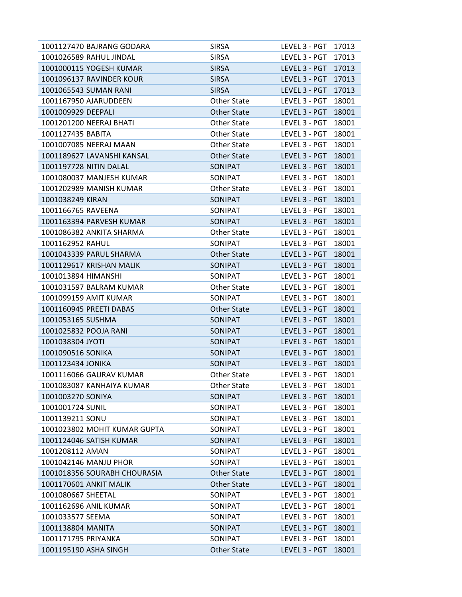| 1001127470 BAJRANG GODARA    | <b>SIRSA</b>       | LEVEL 3 - PGT 17013 |       |
|------------------------------|--------------------|---------------------|-------|
| 1001026589 RAHUL JINDAL      | <b>SIRSA</b>       | LEVEL 3 - PGT 17013 |       |
| 1001000115 YOGESH KUMAR      | <b>SIRSA</b>       | LEVEL 3 - PGT 17013 |       |
| 1001096137 RAVINDER KOUR     | <b>SIRSA</b>       | LEVEL 3 - PGT 17013 |       |
| 1001065543 SUMAN RANI        | <b>SIRSA</b>       | LEVEL 3 - PGT 17013 |       |
| 1001167950 AJARUDDEEN        | <b>Other State</b> | LEVEL 3 - PGT 18001 |       |
| 1001009929 DEEPALI           | <b>Other State</b> | LEVEL 3 - PGT 18001 |       |
| 1001201200 NEERAJ BHATI      | Other State        | LEVEL 3 - PGT 18001 |       |
| 1001127435 BABITA            | Other State        | LEVEL 3 - PGT       | 18001 |
| 1001007085 NEERAJ MAAN       | Other State        | LEVEL 3 - PGT 18001 |       |
| 1001189627 LAVANSHI KANSAL   | Other State        | LEVEL 3 - PGT 18001 |       |
| 1001197728 NITIN DALAL       | SONIPAT            | LEVEL 3 - PGT 18001 |       |
| 1001080037 MANJESH KUMAR     | SONIPAT            | LEVEL 3 - PGT 18001 |       |
| 1001202989 MANISH KUMAR      | Other State        | LEVEL 3 - PGT 18001 |       |
| 1001038249 KIRAN             | <b>SONIPAT</b>     | LEVEL 3 - PGT 18001 |       |
| 1001166765 RAVEENA           | SONIPAT            | LEVEL 3 - PGT 18001 |       |
| 1001163394 PARVESH KUMAR     | SONIPAT            | LEVEL 3 - PGT 18001 |       |
| 1001086382 ANKITA SHARMA     | Other State        | LEVEL 3 - PGT       | 18001 |
| 1001162952 RAHUL             | SONIPAT            | LEVEL 3 - PGT 18001 |       |
| 1001043339 PARUL SHARMA      | Other State        | LEVEL 3 - PGT 18001 |       |
| 1001129617 KRISHAN MALIK     | SONIPAT            | LEVEL 3 - PGT 18001 |       |
| 1001013894 HIMANSHI          | SONIPAT            | LEVEL 3 - PGT 18001 |       |
| 1001031597 BALRAM KUMAR      | Other State        | LEVEL 3 - PGT       | 18001 |
| 1001099159 AMIT KUMAR        | <b>SONIPAT</b>     | LEVEL 3 - PGT 18001 |       |
| 1001160945 PREETI DABAS      | Other State        | LEVEL 3 - PGT 18001 |       |
| 1001053165 SUSHMA            | SONIPAT            | LEVEL 3 - PGT 18001 |       |
| 1001025832 POOJA RANI        | SONIPAT            | LEVEL 3 - PGT 18001 |       |
| 1001038304 JYOTI             | SONIPAT            | LEVEL 3 - PGT       | 18001 |
| 1001090516 SONIKA            | SONIPAT            | LEVEL 3 - PGT 18001 |       |
| 1001123434 JONIKA            | SONIPAT            | LEVEL 3 - PGT 18001 |       |
| 1001116066 GAURAV KUMAR      | Other State        | LEVEL 3 - PGT 18001 |       |
| 1001083087 KANHAIYA KUMAR    | <b>Other State</b> | LEVEL 3 - PGT       | 18001 |
| 1001003270 SONIYA            | SONIPAT            | LEVEL 3 - PGT       | 18001 |
| 1001001724 SUNIL             | SONIPAT            | LEVEL 3 - PGT       | 18001 |
| 1001139211 SONU              | SONIPAT            | LEVEL 3 - PGT       | 18001 |
| 1001023802 MOHIT KUMAR GUPTA | SONIPAT            | LEVEL 3 - PGT       | 18001 |
| 1001124046 SATISH KUMAR      | SONIPAT            | LEVEL 3 - PGT       | 18001 |
| 1001208112 AMAN              | SONIPAT            | LEVEL 3 - PGT       | 18001 |
| 1001042146 MANJU PHOR        | SONIPAT            | LEVEL 3 - PGT       | 18001 |
| 1001018356 SOURABH CHOURASIA | <b>Other State</b> | LEVEL 3 - PGT       | 18001 |
| 1001170601 ANKIT MALIK       | <b>Other State</b> | LEVEL 3 - PGT       | 18001 |
| 1001080667 SHEETAL           | SONIPAT            | LEVEL 3 - PGT       | 18001 |
| 1001162696 ANIL KUMAR        | SONIPAT            | LEVEL 3 - PGT       | 18001 |
| 1001033577 SEEMA             | SONIPAT            | LEVEL 3 - PGT       | 18001 |
| 1001138804 MANITA            | SONIPAT            | LEVEL 3 - PGT       | 18001 |
| 1001171795 PRIYANKA          | SONIPAT            | LEVEL 3 - PGT       | 18001 |
| 1001195190 ASHA SINGH        | <b>Other State</b> | LEVEL 3 - PGT       | 18001 |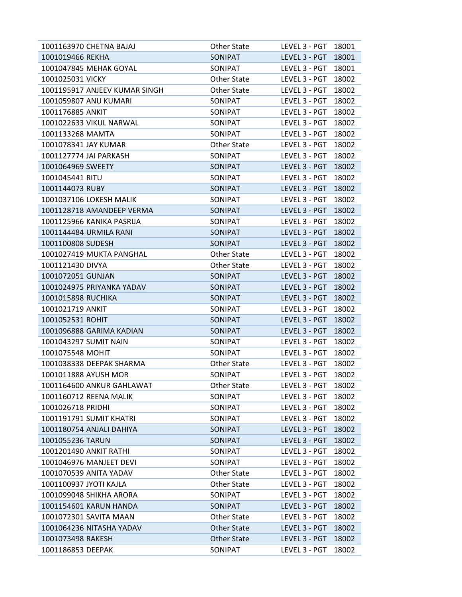| 1001163970 CHETNA BAJAJ       | <b>Other State</b> | LEVEL 3 - PGT 18001 |       |
|-------------------------------|--------------------|---------------------|-------|
| 1001019466 REKHA              | SONIPAT            | LEVEL 3 - PGT 18001 |       |
| 1001047845 MEHAK GOYAL        | SONIPAT            | LEVEL 3 - PGT 18001 |       |
| 1001025031 VICKY              | Other State        | LEVEL 3 - PGT       | 18002 |
| 1001195917 ANJEEV KUMAR SINGH | Other State        | LEVEL 3 - PGT 18002 |       |
| 1001059807 ANU KUMARI         | SONIPAT            | LEVEL 3 - PGT 18002 |       |
| 1001176885 ANKIT              | SONIPAT            | LEVEL 3 - PGT 18002 |       |
| 1001022633 VIKUL NARWAL       | SONIPAT            | LEVEL 3 - PGT 18002 |       |
| 1001133268 MAMTA              | SONIPAT            | LEVEL 3 - PGT       | 18002 |
| 1001078341 JAY KUMAR          | Other State        | LEVEL 3 - PGT 18002 |       |
| 1001127774 JAI PARKASH        | SONIPAT            | LEVEL 3 - PGT 18002 |       |
| 1001064969 SWEETY             | SONIPAT            | LEVEL 3 - PGT 18002 |       |
| 1001045441 RITU               | SONIPAT            | LEVEL 3 - PGT 18002 |       |
| 1001144073 RUBY               | SONIPAT            | LEVEL 3 - PGT 18002 |       |
| 1001037106 LOKESH MALIK       | SONIPAT            | LEVEL 3 - PGT 18002 |       |
| 1001128718 AMANDEEP VERMA     | SONIPAT            | LEVEL 3 - PGT 18002 |       |
| 1001125966 KANIKA PASRIJA     | SONIPAT            | LEVEL 3 - PGT 18002 |       |
| 1001144484 URMILA RANI        | SONIPAT            | LEVEL 3 - PGT 18002 |       |
| 1001100808 SUDESH             | SONIPAT            | LEVEL 3 - PGT 18002 |       |
| 1001027419 MUKTA PANGHAL      | Other State        | LEVEL 3 - PGT 18002 |       |
| 1001121430 DIVYA              | Other State        | LEVEL 3 - PGT 18002 |       |
| 1001072051 GUNJAN             | <b>SONIPAT</b>     | LEVEL 3 - PGT 18002 |       |
| 1001024975 PRIYANKA YADAV     | SONIPAT            | LEVEL 3 - PGT       | 18002 |
| 1001015898 RUCHIKA            | <b>SONIPAT</b>     | LEVEL 3 - PGT 18002 |       |
| 1001021719 ANKIT              | SONIPAT            | LEVEL 3 - PGT 18002 |       |
| 1001052531 ROHIT              | SONIPAT            | LEVEL 3 - PGT 18002 |       |
| 1001096888 GARIMA KADIAN      | SONIPAT            | LEVEL 3 - PGT 18002 |       |
| 1001043297 SUMIT NAIN         | SONIPAT            | LEVEL 3 - PGT 18002 |       |
| 1001075548 MOHIT              | SONIPAT            | LEVEL 3 - PGT 18002 |       |
| 1001038338 DEEPAK SHARMA      | Other State        | LEVEL 3 - PGT 18002 |       |
| 1001011888 AYUSH MOR          | SONIPAT            | LEVEL 3 - PGT 18002 |       |
| 1001164600 ANKUR GAHLAWAT     | <b>Other State</b> | LEVEL 3 - PGT       | 18002 |
| 1001160712 REENA MALIK        | SONIPAT            | LEVEL 3 - PGT       | 18002 |
| 1001026718 PRIDHI             | SONIPAT            | LEVEL 3 - PGT       | 18002 |
| 1001191791 SUMIT KHATRI       | SONIPAT            | LEVEL 3 - PGT       | 18002 |
| 1001180754 ANJALI DAHIYA      | SONIPAT            | LEVEL 3 - PGT       | 18002 |
| 1001055236 TARUN              | SONIPAT            | LEVEL 3 - PGT       | 18002 |
| 1001201490 ANKIT RATHI        | SONIPAT            | LEVEL 3 - PGT       | 18002 |
| 1001046976 MANJEET DEVI       | SONIPAT            | LEVEL 3 - PGT       | 18002 |
| 1001070539 ANITA YADAV        | <b>Other State</b> | LEVEL 3 - PGT       | 18002 |
| 1001100937 JYOTI KAJLA        | <b>Other State</b> | LEVEL 3 - PGT       | 18002 |
| 1001099048 SHIKHA ARORA       | SONIPAT            | LEVEL 3 - PGT       | 18002 |
| 1001154601 KARUN HANDA        | SONIPAT            | LEVEL 3 - PGT       | 18002 |
| 1001072301 SAVITA MAAN        | <b>Other State</b> | LEVEL 3 - PGT       | 18002 |
| 1001064236 NITASHA YADAV      | <b>Other State</b> | LEVEL 3 - PGT       | 18002 |
| 1001073498 RAKESH             | <b>Other State</b> | LEVEL 3 - PGT       | 18002 |
| 1001186853 DEEPAK             | SONIPAT            | LEVEL 3 - PGT       | 18002 |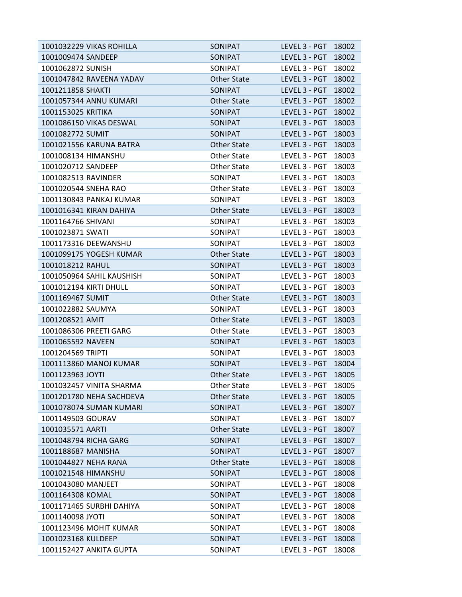| 1001032229 VIKAS ROHILLA  | SONIPAT            | LEVEL 3 - PGT 18002 |       |
|---------------------------|--------------------|---------------------|-------|
| 1001009474 SANDEEP        | SONIPAT            | LEVEL 3 - PGT 18002 |       |
| 1001062872 SUNISH         | SONIPAT            | LEVEL 3 - PGT 18002 |       |
| 1001047842 RAVEENA YADAV  | Other State        | LEVEL 3 - PGT 18002 |       |
| 1001211858 SHAKTI         | SONIPAT            | LEVEL 3 - PGT 18002 |       |
| 1001057344 ANNU KUMARI    | Other State        | LEVEL 3 - PGT 18002 |       |
| 1001153025 KRITIKA        | SONIPAT            | LEVEL 3 - PGT 18002 |       |
| 1001086150 VIKAS DESWAL   | SONIPAT            | LEVEL 3 - PGT 18003 |       |
| 1001082772 SUMIT          | SONIPAT            | LEVEL 3 - PGT       | 18003 |
| 1001021556 KARUNA BATRA   | Other State        | LEVEL 3 - PGT 18003 |       |
| 1001008134 HIMANSHU       | Other State        | LEVEL 3 - PGT 18003 |       |
| 1001020712 SANDEEP        | Other State        | LEVEL 3 - PGT 18003 |       |
| 1001082513 RAVINDER       | SONIPAT            | LEVEL 3 - PGT 18003 |       |
| 1001020544 SNEHA RAO      | Other State        | LEVEL 3 - PGT 18003 |       |
| 1001130843 PANKAJ KUMAR   | SONIPAT            | LEVEL 3 - PGT 18003 |       |
| 1001016341 KIRAN DAHIYA   | Other State        | LEVEL 3 - PGT 18003 |       |
| 1001164766 SHIVANI        | SONIPAT            | LEVEL 3 - PGT 18003 |       |
| 1001023871 SWATI          | SONIPAT            | LEVEL 3 - PGT 18003 |       |
| 1001173316 DEEWANSHU      | SONIPAT            | LEVEL 3 - PGT 18003 |       |
| 1001099175 YOGESH KUMAR   | Other State        | LEVEL 3 - PGT 18003 |       |
| 1001018212 RAHUL          | SONIPAT            | LEVEL 3 - PGT 18003 |       |
| 1001050964 SAHIL KAUSHISH | SONIPAT            | LEVEL 3 - PGT 18003 |       |
| 1001012194 KIRTI DHULL    | SONIPAT            | LEVEL 3 - PGT       | 18003 |
| 1001169467 SUMIT          | Other State        | LEVEL 3 - PGT 18003 |       |
| 1001022882 SAUMYA         | SONIPAT            | LEVEL 3 - PGT 18003 |       |
| 1001208521 AMIT           | Other State        | LEVEL 3 - PGT 18003 |       |
| 1001086306 PREETI GARG    | Other State        | LEVEL 3 - PGT 18003 |       |
| 1001065592 NAVEEN         | SONIPAT            | LEVEL 3 - PGT       | 18003 |
| 1001204569 TRIPTI         | SONIPAT            | LEVEL 3 - PGT 18003 |       |
| 1001113860 MANOJ KUMAR    | SONIPAT            | LEVEL 3 - PGT 18004 |       |
| 1001123963 JOYTI          | Other State        | LEVEL 3 - PGT 18005 |       |
| 1001032457 VINITA SHARMA  | <b>Other State</b> | LEVEL 3 - PGT       | 18005 |
| 1001201780 NEHA SACHDEVA  | <b>Other State</b> | LEVEL 3 - PGT       | 18005 |
| 1001078074 SUMAN KUMARI   | SONIPAT            | LEVEL 3 - PGT       | 18007 |
| 1001149503 GOURAV         | SONIPAT            | LEVEL 3 - PGT       | 18007 |
| 1001035571 AARTI          | <b>Other State</b> | LEVEL 3 - PGT       | 18007 |
| 1001048794 RICHA GARG     | SONIPAT            | LEVEL 3 - PGT       | 18007 |
| 1001188687 MANISHA        | SONIPAT            | LEVEL 3 - PGT       | 18007 |
| 1001044827 NEHA RANA      | <b>Other State</b> | LEVEL 3 - PGT       | 18008 |
| 1001021548 HIMANSHU       | SONIPAT            | LEVEL 3 - PGT       | 18008 |
| 1001043080 MANJEET        | SONIPAT            | LEVEL 3 - PGT       | 18008 |
| 1001164308 KOMAL          | SONIPAT            | LEVEL 3 - PGT       | 18008 |
| 1001171465 SURBHI DAHIYA  | SONIPAT            | LEVEL 3 - PGT       | 18008 |
| 1001140098 JYOTI          | SONIPAT            | LEVEL 3 - PGT       | 18008 |
| 1001123496 MOHIT KUMAR    | SONIPAT            | LEVEL 3 - PGT       | 18008 |
| 1001023168 KULDEEP        | SONIPAT            | LEVEL 3 - PGT       | 18008 |
| 1001152427 ANKITA GUPTA   | SONIPAT            | LEVEL 3 - PGT       | 18008 |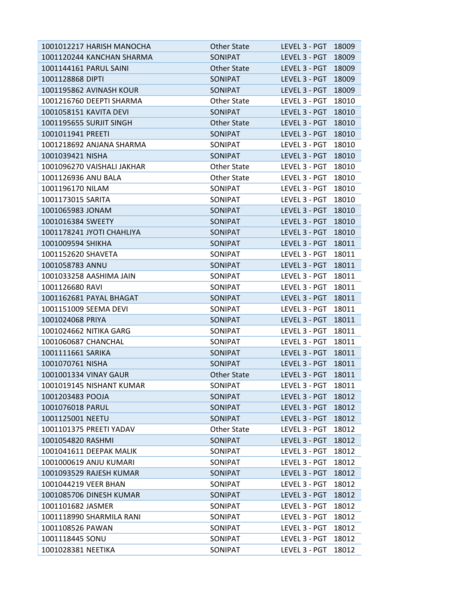| 1001012217 HARISH MANOCHA  | <b>Other State</b> | LEVEL 3 - PGT 18009 |       |
|----------------------------|--------------------|---------------------|-------|
| 1001120244 KANCHAN SHARMA  | SONIPAT            | LEVEL 3 - PGT 18009 |       |
| 1001144161 PARUL SAINI     | Other State        | LEVEL 3 - PGT 18009 |       |
| 1001128868 DIPTI           | SONIPAT            | LEVEL 3 - PGT       | 18009 |
| 1001195862 AVINASH KOUR    | SONIPAT            | LEVEL 3 - PGT 18009 |       |
| 1001216760 DEEPTI SHARMA   | Other State        | LEVEL 3 - PGT 18010 |       |
| 1001058151 KAVITA DEVI     | SONIPAT            | LEVEL 3 - PGT 18010 |       |
| 1001195655 SURJIT SINGH    | Other State        | LEVEL 3 - PGT 18010 |       |
| 1001011941 PREETI          | SONIPAT            | LEVEL 3 - PGT 18010 |       |
| 1001218692 ANJANA SHARMA   | SONIPAT            | LEVEL 3 - PGT 18010 |       |
| 1001039421 NISHA           | SONIPAT            | LEVEL 3 - PGT 18010 |       |
| 1001096270 VAISHALI JAKHAR | Other State        | LEVEL 3 - PGT 18010 |       |
| 1001126936 ANU BALA        | Other State        | LEVEL 3 - PGT 18010 |       |
| 1001196170 NILAM           | SONIPAT            | LEVEL 3 - PGT 18010 |       |
| 1001173015 SARITA          | SONIPAT            | LEVEL 3 - PGT 18010 |       |
| 1001065983 JONAM           | SONIPAT            | LEVEL 3 - PGT 18010 |       |
| 1001016384 SWEETY          | SONIPAT            | LEVEL 3 - PGT 18010 |       |
| 1001178241 JYOTI CHAHLIYA  | SONIPAT            | LEVEL 3 - PGT 18010 |       |
| 1001009594 SHIKHA          | SONIPAT            | LEVEL 3 - PGT 18011 |       |
| 1001152620 SHAVETA         | SONIPAT            | LEVEL 3 - PGT 18011 |       |
| 1001058783 ANNU            | SONIPAT            | LEVEL 3 - PGT 18011 |       |
| 1001033258 AASHIMA JAIN    | SONIPAT            | LEVEL 3 - PGT 18011 |       |
| 1001126680 RAVI            | SONIPAT            | LEVEL 3 - PGT       | 18011 |
| 1001162681 PAYAL BHAGAT    | SONIPAT            | LEVEL 3 - PGT 18011 |       |
| 1001151009 SEEMA DEVI      | SONIPAT            | LEVEL 3 - PGT 18011 |       |
| 1001024068 PRIYA           | SONIPAT            | LEVEL 3 - PGT 18011 |       |
| 1001024662 NITIKA GARG     | SONIPAT            | LEVEL 3 - PGT 18011 |       |
| 1001060687 CHANCHAL        | SONIPAT            | LEVEL 3 - PGT       | 18011 |
| 1001111661 SARIKA          | SONIPAT            | LEVEL 3 - PGT 18011 |       |
| 1001070761 NISHA           | SONIPAT            | LEVEL 3 - PGT 18011 |       |
| 1001001334 VINAY GAUR      | Other State        | LEVEL 3 - PGT 18011 |       |
| 1001019145 NISHANT KUMAR   | SONIPAT            | LEVEL 3 - PGT       | 18011 |
| 1001203483 POOJA           | SONIPAT            | LEVEL 3 - PGT       | 18012 |
| 1001076018 PARUL           | SONIPAT            | LEVEL 3 - PGT       | 18012 |
| 1001125001 NEETU           | SONIPAT            | LEVEL 3 - PGT       | 18012 |
| 1001101375 PREETI YADAV    | <b>Other State</b> | LEVEL 3 - PGT       | 18012 |
| 1001054820 RASHMI          | SONIPAT            | LEVEL 3 - PGT       | 18012 |
| 1001041611 DEEPAK MALIK    | SONIPAT            | LEVEL 3 - PGT       | 18012 |
| 1001000619 ANJU KUMARI     | SONIPAT            | LEVEL 3 - PGT       | 18012 |
| 1001093529 RAJESH KUMAR    | SONIPAT            | LEVEL 3 - PGT       | 18012 |
| 1001044219 VEER BHAN       | SONIPAT            | LEVEL 3 - PGT       | 18012 |
| 1001085706 DINESH KUMAR    | SONIPAT            | LEVEL 3 - PGT       | 18012 |
| 1001101682 JASMER          | SONIPAT            | LEVEL 3 - PGT       | 18012 |
| 1001118990 SHARMILA RANI   | SONIPAT            | LEVEL 3 - PGT       | 18012 |
| 1001108526 PAWAN           | SONIPAT            | LEVEL 3 - PGT       | 18012 |
| 1001118445 SONU            | SONIPAT            | LEVEL 3 - PGT       | 18012 |
| 1001028381 NEETIKA         | SONIPAT            | LEVEL 3 - PGT       | 18012 |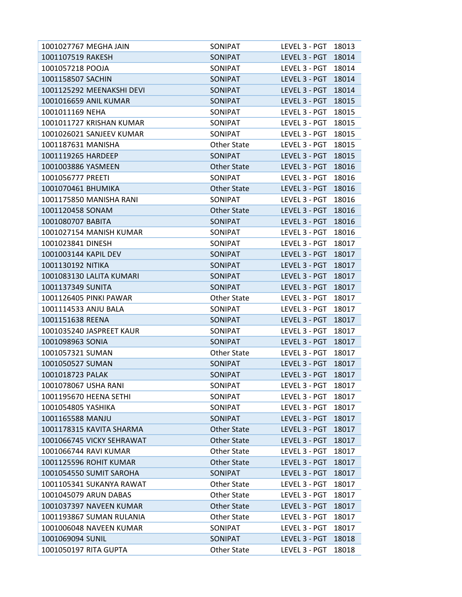| 1001027767 MEGHA JAIN     | SONIPAT            | LEVEL 3 - PGT       | 18013 |
|---------------------------|--------------------|---------------------|-------|
| 1001107519 RAKESH         | SONIPAT            | LEVEL 3 - PGT 18014 |       |
| 1001057218 POOJA          | SONIPAT            | LEVEL 3 - PGT 18014 |       |
| 1001158507 SACHIN         | SONIPAT            | LEVEL 3 - PGT 18014 |       |
| 1001125292 MEENAKSHI DEVI | SONIPAT            | LEVEL 3 - PGT 18014 |       |
| 1001016659 ANIL KUMAR     | SONIPAT            | LEVEL 3 - PGT 18015 |       |
| 1001011169 NEHA           | SONIPAT            | LEVEL 3 - PGT 18015 |       |
| 1001011727 KRISHAN KUMAR  | SONIPAT            | LEVEL 3 - PGT       | 18015 |
| 1001026021 SANJEEV KUMAR  | SONIPAT            | LEVEL 3 - PGT       | 18015 |
| 1001187631 MANISHA        | Other State        | LEVEL 3 - PGT 18015 |       |
| 1001119265 HARDEEP        | SONIPAT            | LEVEL 3 - PGT 18015 |       |
| 1001003886 YASMEEN        | Other State        | LEVEL 3 - PGT 18016 |       |
| 1001056777 PREETI         | SONIPAT            | LEVEL 3 - PGT 18016 |       |
| 1001070461 BHUMIKA        | Other State        | LEVEL 3 - PGT 18016 |       |
| 1001175850 MANISHA RANI   | SONIPAT            | LEVEL 3 - PGT 18016 |       |
| 1001120458 SONAM          | Other State        | LEVEL 3 - PGT 18016 |       |
| 1001080707 BABITA         | <b>SONIPAT</b>     | LEVEL 3 - PGT 18016 |       |
| 1001027154 MANISH KUMAR   | SONIPAT            | LEVEL 3 - PGT       | 18016 |
| 1001023841 DINESH         | SONIPAT            | LEVEL 3 - PGT 18017 |       |
| 1001003144 KAPIL DEV      | SONIPAT            | LEVEL 3 - PGT 18017 |       |
| 1001130192 NITIKA         | SONIPAT            | LEVEL 3 - PGT       | 18017 |
| 1001083130 LALITA KUMARI  | SONIPAT            | LEVEL 3 - PGT 18017 |       |
| 1001137349 SUNITA         | SONIPAT            | LEVEL 3 - PGT       | 18017 |
| 1001126405 PINKI PAWAR    | Other State        | LEVEL 3 - PGT 18017 |       |
| 1001114533 ANJU BALA      | SONIPAT            | LEVEL 3 - PGT 18017 |       |
| 1001151638 REENA          | SONIPAT            | LEVEL 3 - PGT 18017 |       |
| 1001035240 JASPREET KAUR  | SONIPAT            | LEVEL 3 - PGT       | 18017 |
| 1001098963 SONIA          | SONIPAT            | LEVEL 3 - PGT       | 18017 |
| 1001057321 SUMAN          | Other State        | LEVEL 3 - PGT 18017 |       |
| 1001050527 SUMAN          | SONIPAT            | LEVEL 3 - PGT 18017 |       |
| 1001018723 PALAK          | <b>SONIPAT</b>     | LEVEL 3 - PGT 18017 |       |
| 1001078067 USHA RANI      | SONIPAT            | LEVEL 3 - PGT       | 18017 |
| 1001195670 HEENA SETHI    | SONIPAT            | LEVEL 3 - PGT       | 18017 |
| 1001054805 YASHIKA        | SONIPAT            | LEVEL 3 - PGT       | 18017 |
| 1001165588 MANJU          | SONIPAT            | LEVEL 3 - PGT       | 18017 |
| 1001178315 KAVITA SHARMA  | <b>Other State</b> | LEVEL 3 - PGT       | 18017 |
| 1001066745 VICKY SEHRAWAT | <b>Other State</b> | LEVEL 3 - PGT       | 18017 |
| 1001066744 RAVI KUMAR     | <b>Other State</b> | LEVEL 3 - PGT       | 18017 |
| 1001125596 ROHIT KUMAR    | <b>Other State</b> | LEVEL 3 - PGT       | 18017 |
| 1001054550 SUMIT SAROHA   | SONIPAT            | LEVEL 3 - PGT       | 18017 |
| 1001105341 SUKANYA RAWAT  | <b>Other State</b> | LEVEL 3 - PGT       | 18017 |
| 1001045079 ARUN DABAS     | <b>Other State</b> | LEVEL 3 - PGT       | 18017 |
| 1001037397 NAVEEN KUMAR   | <b>Other State</b> | LEVEL 3 - PGT       | 18017 |
| 1001193867 SUMAN RULANIA  | <b>Other State</b> | LEVEL 3 - PGT       | 18017 |
| 1001006048 NAVEEN KUMAR   | SONIPAT            | LEVEL 3 - PGT       | 18017 |
| 1001069094 SUNIL          | SONIPAT            | LEVEL 3 - PGT       | 18018 |
| 1001050197 RITA GUPTA     | <b>Other State</b> | LEVEL 3 - PGT       | 18018 |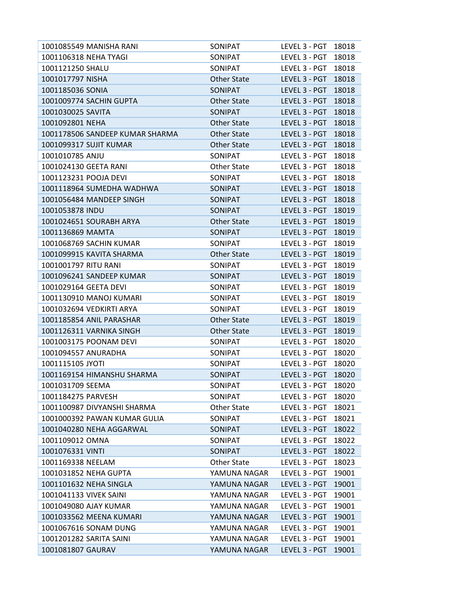| 1001085549 MANISHA RANI         | SONIPAT            | LEVEL 3 - PGT 18018 |       |
|---------------------------------|--------------------|---------------------|-------|
| 1001106318 NEHA TYAGI           | SONIPAT            | LEVEL 3 - PGT 18018 |       |
| 1001121250 SHALU                | SONIPAT            | LEVEL 3 - PGT 18018 |       |
| 1001017797 NISHA                | Other State        | LEVEL 3 - PGT 18018 |       |
| 1001185036 SONIA                | SONIPAT            | LEVEL 3 - PGT 18018 |       |
| 1001009774 SACHIN GUPTA         | Other State        | LEVEL 3 - PGT 18018 |       |
| 1001030025 SAVITA               | SONIPAT            | LEVEL 3 - PGT 18018 |       |
| 1001092801 NEHA                 | Other State        | LEVEL 3 - PGT 18018 |       |
| 1001178506 SANDEEP KUMAR SHARMA | Other State        | LEVEL 3 - PGT 18018 |       |
| 1001099317 SUJIT KUMAR          | Other State        | LEVEL 3 - PGT 18018 |       |
| 1001010785 ANJU                 | SONIPAT            | LEVEL 3 - PGT 18018 |       |
| 1001024130 GEETA RANI           | Other State        | LEVEL 3 - PGT 18018 |       |
| 1001123231 POOJA DEVI           | SONIPAT            | LEVEL 3 - PGT 18018 |       |
| 1001118964 SUMEDHA WADHWA       | SONIPAT            | LEVEL 3 - PGT 18018 |       |
| 1001056484 MANDEEP SINGH        | SONIPAT            | LEVEL 3 - PGT 18018 |       |
| 1001053878 INDU                 | SONIPAT            | LEVEL 3 - PGT 18019 |       |
| 1001024651 SOURABH ARYA         | Other State        | LEVEL 3 - PGT 18019 |       |
| 1001136869 MAMTA                | SONIPAT            | LEVEL 3 - PGT 18019 |       |
| 1001068769 SACHIN KUMAR         | SONIPAT            | LEVEL 3 - PGT 18019 |       |
| 1001099915 KAVITA SHARMA        | Other State        | LEVEL 3 - PGT 18019 |       |
| 1001001797 RITU RANI            | SONIPAT            | LEVEL 3 - PGT 18019 |       |
| 1001096241 SANDEEP KUMAR        | SONIPAT            | LEVEL 3 - PGT 18019 |       |
| 1001029164 GEETA DEVI           | SONIPAT            | LEVEL 3 - PGT       | 18019 |
| 1001130910 MANOJ KUMARI         | SONIPAT            | LEVEL 3 - PGT 18019 |       |
| 1001032694 VEDKIRTI ARYA        | SONIPAT            | LEVEL 3 - PGT 18019 |       |
| 1001185854 ANIL PARASHAR        | Other State        | LEVEL 3 - PGT 18019 |       |
| 1001126311 VARNIKA SINGH        | Other State        | LEVEL 3 - PGT 18019 |       |
| 1001003175 POONAM DEVI          | SONIPAT            | LEVEL 3 - PGT       | 18020 |
| 1001094557 ANURADHA             | SONIPAT            | LEVEL 3 - PGT 18020 |       |
| 1001115105 JYOTI                | SONIPAT            | LEVEL 3 - PGT 18020 |       |
| 1001169154 HIMANSHU SHARMA      | SONIPAT            | LEVEL 3 - PGT 18020 |       |
| 1001031709 SEEMA                | SONIPAT            | LEVEL 3 - PGT       | 18020 |
| 1001184275 PARVESH              | SONIPAT            | LEVEL 3 - PGT       | 18020 |
| 1001100987 DIVYANSHI SHARMA     | <b>Other State</b> | LEVEL 3 - PGT       | 18021 |
| 1001000392 PAWAN KUMAR GULIA    | SONIPAT            | LEVEL 3 - PGT       | 18021 |
| 1001040280 NEHA AGGARWAL        | SONIPAT            | LEVEL 3 - PGT       | 18022 |
| 1001109012 OMNA                 | SONIPAT            | LEVEL 3 - PGT       | 18022 |
| 1001076331 VINTI                | SONIPAT            | LEVEL 3 - PGT       | 18022 |
| 1001169338 NEELAM               | <b>Other State</b> | LEVEL 3 - PGT       | 18023 |
| 1001031852 NEHA GUPTA           | YAMUNA NAGAR       | LEVEL 3 - PGT       | 19001 |
| 1001101632 NEHA SINGLA          | YAMUNA NAGAR       | LEVEL 3 - PGT       | 19001 |
| 1001041133 VIVEK SAINI          | YAMUNA NAGAR       | LEVEL 3 - PGT       | 19001 |
| 1001049080 AJAY KUMAR           | YAMUNA NAGAR       | LEVEL 3 - PGT       | 19001 |
| 1001033562 MEENA KUMARI         | YAMUNA NAGAR       | LEVEL 3 - PGT       | 19001 |
| 1001067616 SONAM DUNG           | YAMUNA NAGAR       | LEVEL 3 - PGT       | 19001 |
| 1001201282 SARITA SAINI         | YAMUNA NAGAR       | LEVEL 3 - PGT       | 19001 |
| 1001081807 GAURAV               | YAMUNA NAGAR       | LEVEL 3 - PGT       | 19001 |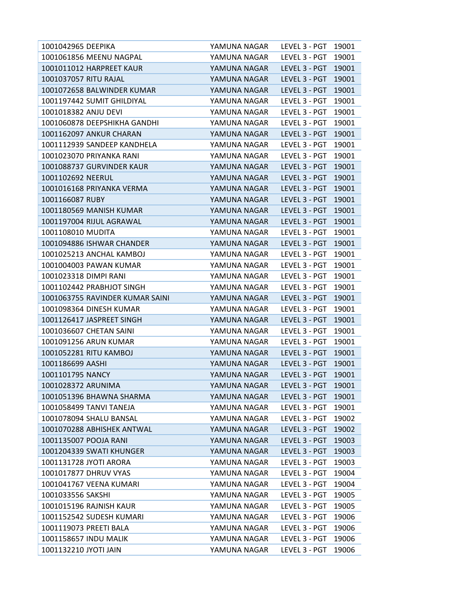| 1001042965 DEEPIKA              | YAMUNA NAGAR | LEVEL 3 - PGT 19001 |       |
|---------------------------------|--------------|---------------------|-------|
| 1001061856 MEENU NAGPAL         | YAMUNA NAGAR | LEVEL 3 - PGT 19001 |       |
| 1001011012 HARPREET KAUR        | YAMUNA NAGAR | LEVEL 3 - PGT 19001 |       |
| 1001037057 RITU RAJAL           | YAMUNA NAGAR | LEVEL 3 - PGT 19001 |       |
| 1001072658 BALWINDER KUMAR      | YAMUNA NAGAR | LEVEL 3 - PGT 19001 |       |
| 1001197442 SUMIT GHILDIYAL      | YAMUNA NAGAR | LEVEL 3 - PGT 19001 |       |
| 1001018382 ANJU DEVI            | YAMUNA NAGAR | LEVEL 3 - PGT 19001 |       |
| 1001060878 DEEPSHIKHA GANDHI    | YAMUNA NAGAR | LEVEL 3 - PGT 19001 |       |
| 1001162097 ANKUR CHARAN         | YAMUNA NAGAR | LEVEL 3 - PGT 19001 |       |
| 1001112939 SANDEEP KANDHELA     | YAMUNA NAGAR | LEVEL 3 - PGT 19001 |       |
| 1001023070 PRIYANKA RANI        | YAMUNA NAGAR | LEVEL 3 - PGT 19001 |       |
| 1001088737 GURVINDER KAUR       | YAMUNA NAGAR | LEVEL 3 - PGT 19001 |       |
| 1001102692 NEERUL               | YAMUNA NAGAR | LEVEL 3 - PGT 19001 |       |
| 1001016168 PRIYANKA VERMA       | YAMUNA NAGAR | LEVEL 3 - PGT 19001 |       |
| 1001166087 RUBY                 | YAMUNA NAGAR | LEVEL 3 - PGT 19001 |       |
| 1001180569 MANISH KUMAR         | YAMUNA NAGAR | LEVEL 3 - PGT 19001 |       |
| 1001197004 RIJUL AGRAWAL        | YAMUNA NAGAR | LEVEL 3 - PGT 19001 |       |
| 1001108010 MUDITA               | YAMUNA NAGAR | LEVEL 3 - PGT 19001 |       |
| 1001094886 ISHWAR CHANDER       | YAMUNA NAGAR | LEVEL 3 - PGT 19001 |       |
| 1001025213 ANCHAL KAMBOJ        | YAMUNA NAGAR | LEVEL 3 - PGT 19001 |       |
| 1001004003 PAWAN KUMAR          | YAMUNA NAGAR | LEVEL 3 - PGT 19001 |       |
| 1001023318 DIMPI RANI           | YAMUNA NAGAR | LEVEL 3 - PGT 19001 |       |
| 1001102442 PRABHJOT SINGH       | YAMUNA NAGAR | LEVEL 3 - PGT       | 19001 |
| 1001063755 RAVINDER KUMAR SAINI | YAMUNA NAGAR | LEVEL 3 - PGT 19001 |       |
| 1001098364 DINESH KUMAR         | YAMUNA NAGAR | LEVEL 3 - PGT 19001 |       |
| 1001126417 JASPREET SINGH       | YAMUNA NAGAR | LEVEL 3 - PGT 19001 |       |
| 1001036607 CHETAN SAINI         | YAMUNA NAGAR | LEVEL 3 - PGT 19001 |       |
| 1001091256 ARUN KUMAR           | YAMUNA NAGAR | LEVEL 3 - PGT 19001 |       |
| 1001052281 RITU KAMBOJ          | YAMUNA NAGAR | LEVEL 3 - PGT 19001 |       |
| 1001186699 AASHI                | YAMUNA NAGAR | LEVEL 3 - PGT 19001 |       |
| 1001101795 NANCY                | YAMUNA NAGAR | LEVEL 3 - PGT 19001 |       |
| 1001028372 ARUNIMA              | YAMUNA NAGAR | LEVEL 3 - PGT       | 19001 |
| 1001051396 BHAWNA SHARMA        | YAMUNA NAGAR | LEVEL 3 - PGT       | 19001 |
| 1001058499 TANVI TANEJA         | YAMUNA NAGAR | LEVEL 3 - PGT       | 19001 |
| 1001078094 SHALU BANSAL         | YAMUNA NAGAR | LEVEL 3 - PGT       | 19002 |
| 1001070288 ABHISHEK ANTWAL      | YAMUNA NAGAR | LEVEL 3 - PGT       | 19002 |
| 1001135007 POOJA RANI           | YAMUNA NAGAR | LEVEL 3 - PGT       | 19003 |
| 1001204339 SWATI KHUNGER        | YAMUNA NAGAR | LEVEL 3 - PGT       | 19003 |
| 1001131728 JYOTI ARORA          | YAMUNA NAGAR | LEVEL 3 - PGT       | 19003 |
| 1001017877 DHRUV VYAS           | YAMUNA NAGAR | LEVEL 3 - PGT       | 19004 |
| 1001041767 VEENA KUMARI         | YAMUNA NAGAR | LEVEL 3 - PGT       | 19004 |
| 1001033556 SAKSHI               | YAMUNA NAGAR | LEVEL 3 - PGT       | 19005 |
| 1001015196 RAJNISH KAUR         | YAMUNA NAGAR | LEVEL 3 - PGT       | 19005 |
| 1001152542 SUDESH KUMARI        | YAMUNA NAGAR | LEVEL 3 - PGT       | 19006 |
| 1001119073 PREETI BALA          | YAMUNA NAGAR | LEVEL 3 - PGT       | 19006 |
| 1001158657 INDU MALIK           | YAMUNA NAGAR | LEVEL 3 - PGT       | 19006 |
| 1001132210 JYOTI JAIN           | YAMUNA NAGAR | LEVEL 3 - PGT       | 19006 |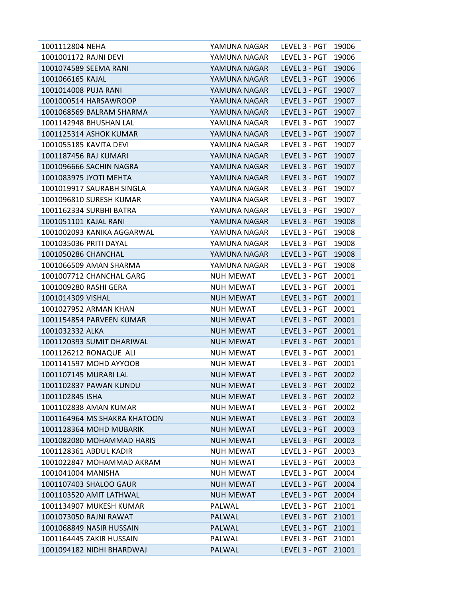| 1001112804 NEHA              | YAMUNA NAGAR                     | LEVEL 3 - PGT 19006 |       |
|------------------------------|----------------------------------|---------------------|-------|
| 1001001172 RAJNI DEVI        | YAMUNA NAGAR                     | LEVEL 3 - PGT 19006 |       |
| 1001074589 SEEMA RANI        | YAMUNA NAGAR LEVEL 3 - PGT 19006 |                     |       |
| 1001066165 KAJAL             | YAMUNA NAGAR                     | LEVEL 3 - PGT 19006 |       |
| 1001014008 PUJA RANI         | YAMUNA NAGAR                     | LEVEL 3 - PGT 19007 |       |
| 1001000514 HARSAWROOP        | YAMUNA NAGAR                     | LEVEL 3 - PGT 19007 |       |
| 1001068569 BALRAM SHARMA     | YAMUNA NAGAR                     | LEVEL 3 - PGT 19007 |       |
| 1001142948 BHUSHAN LAL       | YAMUNA NAGAR                     | LEVEL 3 - PGT 19007 |       |
| 1001125314 ASHOK KUMAR       | YAMUNA NAGAR                     | LEVEL 3 - PGT 19007 |       |
| 1001055185 KAVITA DEVI       | YAMUNA NAGAR                     | LEVEL 3 - PGT 19007 |       |
| 1001187456 RAJ KUMARI        | YAMUNA NAGAR                     | LEVEL 3 - PGT 19007 |       |
| 1001096666 SACHIN NAGRA      | YAMUNA NAGAR                     | LEVEL 3 - PGT 19007 |       |
| 1001083975 JYOTI MEHTA       | YAMUNA NAGAR                     | LEVEL 3 - PGT 19007 |       |
| 1001019917 SAURABH SINGLA    | YAMUNA NAGAR                     | LEVEL 3 - PGT       | 19007 |
| 1001096810 SURESH KUMAR      | YAMUNA NAGAR                     | LEVEL 3 - PGT 19007 |       |
| 1001162334 SURBHI BATRA      | YAMUNA NAGAR                     | LEVEL 3 - PGT 19007 |       |
| 1001051101 KAJAL RANI        | YAMUNA NAGAR                     | LEVEL 3 - PGT 19008 |       |
| 1001002093 KANIKA AGGARWAL   | YAMUNA NAGAR                     | LEVEL 3 - PGT 19008 |       |
| 1001035036 PRITI DAYAL       | YAMUNA NAGAR                     | LEVEL 3 - PGT 19008 |       |
| 1001050286 CHANCHAL          | YAMUNA NAGAR                     | LEVEL 3 - PGT 19008 |       |
| 1001066509 AMAN SHARMA       | YAMUNA NAGAR                     | LEVEL 3 - PGT 19008 |       |
| 1001007712 CHANCHAL GARG     | NUH MEWAT                        | LEVEL 3 - PGT 20001 |       |
| 1001009280 RASHI GERA        | NUH MEWAT                        | LEVEL 3 - PGT 20001 |       |
| 1001014309 VISHAL            | NUH MEWAT                        | LEVEL 3 - PGT 20001 |       |
| 1001027952 ARMAN KHAN        | NUH MEWAT                        | LEVEL 3 - PGT 20001 |       |
| 1001154854 PARVEEN KUMAR     | NUH MEWAT                        | LEVEL 3 - PGT 20001 |       |
| 1001032332 ALKA              | NUH MEWAT                        | LEVEL 3 - PGT 20001 |       |
| 1001120393 SUMIT DHARIWAL    | NUH MEWAT                        | LEVEL 3 - PGT 20001 |       |
| 1001126212 RONAQUE ALI       | NUH MEWAT                        | LEVEL 3 - PGT 20001 |       |
| 1001141597 MOHD AYYOOB       | NUH MEWAT                        | LEVEL 3 - PGT 20001 |       |
| 1001107145 MURARI LAL        | NUH MEWAT                        | LEVEL 3 - PGT 20002 |       |
| 1001102837 PAWAN KUNDU       | <b>NUH MEWAT</b>                 | LEVEL 3 - PGT       | 20002 |
| 1001102845 ISHA              | <b>NUH MEWAT</b>                 | LEVEL 3 - PGT       | 20002 |
| 1001102838 AMAN KUMAR        | NUH MEWAT                        | LEVEL 3 - PGT 20002 |       |
| 1001164964 MS SHAKRA KHATOON | <b>NUH MEWAT</b>                 | LEVEL 3 - PGT       | 20003 |
| 1001128364 MOHD MUBARIK      | <b>NUH MEWAT</b>                 | LEVEL 3 - PGT       | 20003 |
| 1001082080 MOHAMMAD HARIS    | <b>NUH MEWAT</b>                 | LEVEL 3 - PGT       | 20003 |
| 1001128361 ABDUL KADIR       | <b>NUH MEWAT</b>                 | LEVEL 3 - PGT       | 20003 |
| 1001022847 MOHAMMAD AKRAM    | <b>NUH MEWAT</b>                 | LEVEL 3 - PGT       | 20003 |
| 1001041004 MANISHA           | <b>NUH MEWAT</b>                 | LEVEL 3 - PGT       | 20004 |
| 1001107403 SHALOO GAUR       | <b>NUH MEWAT</b>                 | LEVEL 3 - PGT       | 20004 |
| 1001103520 AMIT LATHWAL      | <b>NUH MEWAT</b>                 | LEVEL 3 - PGT       | 20004 |
| 1001134907 MUKESH KUMAR      | PALWAL                           | LEVEL 3 - PGT 21001 |       |
| 1001073050 RAJNI RAWAT       | PALWAL                           | LEVEL 3 - PGT       | 21001 |
| 1001068849 NASIR HUSSAIN     | PALWAL                           | LEVEL 3 - PGT       | 21001 |
| 1001164445 ZAKIR HUSSAIN     | PALWAL                           | LEVEL 3 - PGT 21001 |       |
| 1001094182 NIDHI BHARDWAJ    | PALWAL                           | LEVEL 3 - PGT 21001 |       |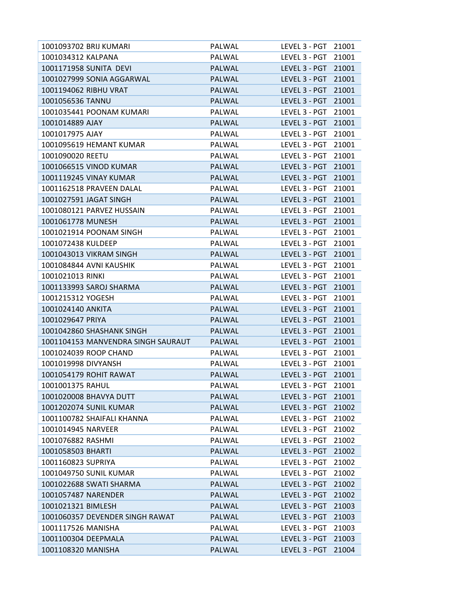| 1001093702 BRIJ KUMARI             | PALWAL        | LEVEL 3 - PGT 21001    |
|------------------------------------|---------------|------------------------|
| 1001034312 KALPANA                 | PALWAL        | LEVEL 3 - PGT 21001    |
| 1001171958 SUNITA DEVI             | PALWAL        | LEVEL 3 - PGT 21001    |
| 1001027999 SONIA AGGARWAL          | PALWAL        | LEVEL 3 - PGT 21001    |
| 1001194062 RIBHU VRAT              | PALWAL        | LEVEL 3 - PGT 21001    |
| 1001056536 TANNU                   | PALWAL        | LEVEL 3 - PGT 21001    |
| 1001035441 POONAM KUMARI           | PALWAL        | LEVEL 3 - PGT 21001    |
| 1001014889 AJAY                    | <b>PALWAL</b> | LEVEL 3 - PGT 21001    |
| 1001017975 AJAY                    | PALWAL        | LEVEL 3 - PGT 21001    |
| 1001095619 HEMANT KUMAR            | PALWAL        | LEVEL 3 - PGT 21001    |
| 1001090020 REETU                   | PALWAL        | LEVEL 3 - PGT 21001    |
| 1001066515 VINOD KUMAR             | PALWAL        | LEVEL 3 - PGT 21001    |
| 1001119245 VINAY KUMAR             | PALWAL        | LEVEL 3 - PGT 21001    |
| 1001162518 PRAVEEN DALAL           | PALWAL        | LEVEL 3 - PGT 21001    |
| 1001027591 JAGAT SINGH             | <b>PALWAL</b> | LEVEL 3 - PGT 21001    |
| 1001080121 PARVEZ HUSSAIN          | PALWAL        | LEVEL 3 - PGT 21001    |
| 1001061778 MUNESH                  | PALWAL        | LEVEL 3 - PGT 21001    |
| 1001021914 POONAM SINGH            | PALWAL        | LEVEL 3 - PGT 21001    |
| 1001072438 KULDEEP                 | PALWAL        | LEVEL 3 - PGT 21001    |
| 1001043013 VIKRAM SINGH            | <b>PALWAL</b> | LEVEL 3 - PGT 21001    |
| 1001084844 AVNI KAUSHIK            | PALWAL        | LEVEL 3 - PGT 21001    |
| 1001021013 RINKI                   | PALWAL        | LEVEL 3 - PGT 21001    |
| 1001133993 SAROJ SHARMA            | <b>PALWAL</b> | LEVEL 3 - PGT 21001    |
| 1001215312 YOGESH                  | PALWAL        | LEVEL 3 - PGT 21001    |
| 1001024140 ANKITA                  | PALWAL        | LEVEL 3 - PGT 21001    |
| 1001029647 PRIYA                   | <b>PALWAL</b> | LEVEL 3 - PGT 21001    |
| 1001042860 SHASHANK SINGH          | <b>PALWAL</b> | LEVEL 3 - PGT 21001    |
| 1001104153 MANVENDRA SINGH SAURAUT | <b>PALWAL</b> | LEVEL 3 - PGT 21001    |
| 1001024039 ROOP CHAND              | PALWAL        | LEVEL 3 - PGT 21001    |
| 1001019998 DIVYANSH                | PALWAL        | LEVEL 3 - PGT 21001    |
| 1001054179 ROHIT RAWAT             | <b>PALWAL</b> | LEVEL 3 - PGT 21001    |
| 1001001375 RAHUL                   | PALWAL        | LEVEL 3 - PGT<br>21001 |
| 1001020008 BHAVYA DUTT             | PALWAL        | 21001<br>LEVEL 3 - PGT |
| 1001202074 SUNIL KUMAR             | PALWAL        | LEVEL 3 - PGT<br>21002 |
| 1001100782 SHAIFALI KHANNA         | PALWAL        | LEVEL 3 - PGT<br>21002 |
| 1001014945 NARVEER                 | PALWAL        | LEVEL 3 - PGT<br>21002 |
| 1001076882 RASHMI                  | PALWAL        | LEVEL 3 - PGT<br>21002 |
| 1001058503 BHARTI                  | PALWAL        | LEVEL 3 - PGT 21002    |
| 1001160823 SUPRIYA                 | PALWAL        | LEVEL 3 - PGT<br>21002 |
| 1001049750 SUNIL KUMAR             | PALWAL        | LEVEL 3 - PGT<br>21002 |
| 1001022688 SWATI SHARMA            | PALWAL        | LEVEL 3 - PGT<br>21002 |
| 1001057487 NARENDER                | PALWAL        | LEVEL 3 - PGT<br>21002 |
| 1001021321 BIMLESH                 | PALWAL        | 21003<br>LEVEL 3 - PGT |
| 1001060357 DEVENDER SINGH RAWAT    | PALWAL        | LEVEL 3 - PGT<br>21003 |
| 1001117526 MANISHA                 | PALWAL        | LEVEL 3 - PGT<br>21003 |
| 1001100304 DEEPMALA                | PALWAL        | LEVEL 3 - PGT 21003    |
| 1001108320 MANISHA                 | PALWAL        | LEVEL 3 - PGT 21004    |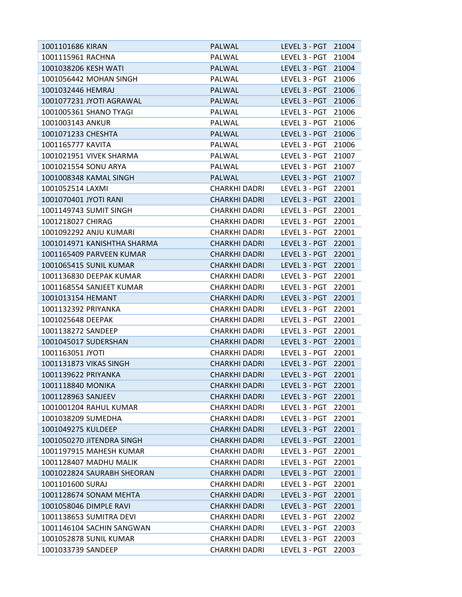| 1001101686 KIRAN            | <b>PALWAL</b>        | LEVEL 3 - PGT 21004 |       |
|-----------------------------|----------------------|---------------------|-------|
| 1001115961 RACHNA           | PALWAL               | LEVEL 3 - PGT 21004 |       |
| 1001038206 KESH WATI        | PALWAL               | LEVEL 3 - PGT 21004 |       |
| 1001056442 MOHAN SINGH      | PALWAL               | LEVEL 3 - PGT 21006 |       |
| 1001032446 HEMRAJ           | PALWAL               | LEVEL 3 - PGT 21006 |       |
| 1001077231 JYOTI AGRAWAL    | PALWAL               | LEVEL 3 - PGT 21006 |       |
| 1001005361 SHANO TYAGI      | PALWAL               | LEVEL 3 - PGT 21006 |       |
| 1001003143 ANKUR            | PALWAL               | LEVEL 3 - PGT 21006 |       |
| 1001071233 CHESHTA          | <b>PALWAL</b>        | LEVEL 3 - PGT 21006 |       |
| 1001165777 KAVITA           | PALWAL               | LEVEL 3 - PGT 21006 |       |
| 1001021951 VIVEK SHARMA     | PALWAL               | LEVEL 3 - PGT 21007 |       |
| 1001021554 SONU ARYA        | PALWAL               | LEVEL 3 - PGT 21007 |       |
| 1001008348 KAMAL SINGH      | <b>PALWAL</b>        | LEVEL 3 - PGT 21007 |       |
| 1001052514 LAXMI            | CHARKHI DADRI        | LEVEL 3 - PGT 22001 |       |
| 1001070401 JYOTI RANI       | <b>CHARKHI DADRI</b> | LEVEL 3 - PGT 22001 |       |
| 1001149743 SUMIT SINGH      | CHARKHI DADRI        | LEVEL 3 - PGT 22001 |       |
| 1001218027 CHIRAG           | CHARKHI DADRI        | LEVEL 3 - PGT 22001 |       |
| 1001092292 ANJU KUMARI      | CHARKHI DADRI        | LEVEL 3 - PGT 22001 |       |
| 1001014971 KANISHTHA SHARMA | CHARKHI DADRI        | LEVEL 3 - PGT 22001 |       |
| 1001165409 PARVEEN KUMAR    | CHARKHI DADRI        | LEVEL 3 - PGT 22001 |       |
| 1001065415 SUNIL KUMAR      | CHARKHI DADRI        | LEVEL 3 - PGT 22001 |       |
| 1001136830 DEEPAK KUMAR     | CHARKHI DADRI        | LEVEL 3 - PGT 22001 |       |
| 1001168554 SANJEET KUMAR    | CHARKHI DADRI        | LEVEL 3 - PGT 22001 |       |
| 1001013154 HEMANT           | CHARKHI DADRI        | LEVEL 3 - PGT 22001 |       |
| 1001132392 PRIYANKA         | CHARKHI DADRI        | LEVEL 3 - PGT 22001 |       |
| 1001025648 DEEPAK           | CHARKHI DADRI        | LEVEL 3 - PGT 22001 |       |
| 1001138272 SANDEEP          | CHARKHI DADRI        | LEVEL 3 - PGT 22001 |       |
| 1001045017 SUDERSHAN        | CHARKHI DADRI        | LEVEL 3 - PGT 22001 |       |
| 1001163051 JYOTI            | CHARKHI DADRI        | LEVEL 3 - PGT 22001 |       |
| 1001131873 VIKAS SINGH      | CHARKHI DADRI        | LEVEL 3 - PGT 22001 |       |
| 1001139622 PRIYANKA         | <b>CHARKHI DADRI</b> | LEVEL 3 - PGT 22001 |       |
| 1001118840 MONIKA           | <b>CHARKHI DADRI</b> | LEVEL 3 - PGT 22001 |       |
| 1001128963 SANJEEV          | <b>CHARKHI DADRI</b> | LEVEL 3 - PGT 22001 |       |
| 1001001204 RAHUL KUMAR      | <b>CHARKHI DADRI</b> | LEVEL 3 - PGT 22001 |       |
| 1001038209 SUMEDHA          | <b>CHARKHI DADRI</b> | LEVEL 3 - PGT       | 22001 |
| 1001049275 KULDEEP          | <b>CHARKHI DADRI</b> | LEVEL 3 - PGT       | 22001 |
| 1001050270 JITENDRA SINGH   | <b>CHARKHI DADRI</b> | LEVEL 3 - PGT       | 22001 |
| 1001197915 MAHESH KUMAR     | <b>CHARKHI DADRI</b> | LEVEL 3 - PGT 22001 |       |
| 1001128407 MADHU MALIK      | <b>CHARKHI DADRI</b> | LEVEL 3 - PGT       | 22001 |
| 1001022824 SAURABH SHEORAN  | <b>CHARKHI DADRI</b> | LEVEL 3 - PGT       | 22001 |
| 1001101600 SURAJ            | <b>CHARKHI DADRI</b> | LEVEL 3 - PGT 22001 |       |
| 1001128674 SONAM MEHTA      | <b>CHARKHI DADRI</b> | LEVEL 3 - PGT       | 22001 |
| 1001058046 DIMPLE RAVI      | <b>CHARKHI DADRI</b> | LEVEL 3 - PGT       | 22001 |
| 1001138653 SUMITRA DEVI     | <b>CHARKHI DADRI</b> | LEVEL 3 - PGT       | 22002 |
| 1001146104 SACHIN SANGWAN   | <b>CHARKHI DADRI</b> | LEVEL 3 - PGT       | 22003 |
| 1001052878 SUNIL KUMAR      | <b>CHARKHI DADRI</b> | LEVEL 3 - PGT       | 22003 |
| 1001033739 SANDEEP          | <b>CHARKHI DADRI</b> | LEVEL 3 - PGT 22003 |       |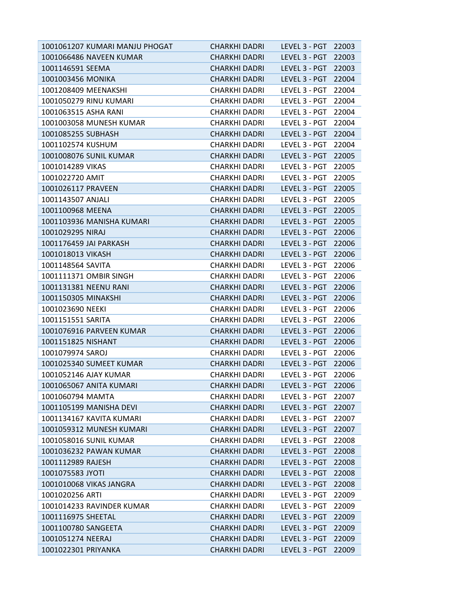| 1001061207 KUMARI MANJU PHOGAT | CHARKHI DADRI                     | LEVEL 3 - PGT 22003 |       |
|--------------------------------|-----------------------------------|---------------------|-------|
| 1001066486 NAVEEN KUMAR        | CHARKHI DADRI LEVEL 3 - PGT 22003 |                     |       |
| 1001146591 SEEMA               | CHARKHI DADRI LEVEL 3 - PGT 22003 |                     |       |
| 1001003456 MONIKA              | CHARKHI DADRI                     | LEVEL 3 - PGT 22004 |       |
| 1001208409 MEENAKSHI           | CHARKHI DADRI                     | LEVEL 3 - PGT 22004 |       |
| 1001050279 RINU KUMARI         | CHARKHI DADRI                     | LEVEL 3 - PGT 22004 |       |
| 1001063515 ASHA RANI           | CHARKHI DADRI                     | LEVEL 3 - PGT 22004 |       |
| 1001003058 MUNESH KUMAR        | CHARKHI DADRI                     | LEVEL 3 - PGT 22004 |       |
| 1001085255 SUBHASH             | CHARKHI DADRI                     | LEVEL 3 - PGT 22004 |       |
| 1001102574 KUSHUM              | CHARKHI DADRI LEVEL 3 - PGT 22004 |                     |       |
| 1001008076 SUNIL KUMAR         | CHARKHI DADRI LEVEL 3 - PGT 22005 |                     |       |
| 1001014289 VIKAS               | CHARKHI DADRI                     | LEVEL 3 - PGT 22005 |       |
| 1001022720 AMIT                | CHARKHI DADRI                     | LEVEL 3 - PGT 22005 |       |
| 1001026117 PRAVEEN             | CHARKHI DADRI                     | LEVEL 3 - PGT 22005 |       |
| 1001143507 ANJALI              | CHARKHI DADRI                     | LEVEL 3 - PGT 22005 |       |
| 1001100968 MEENA               | CHARKHI DADRI                     | LEVEL 3 - PGT 22005 |       |
| 1001103936 MANISHA KUMARI      | CHARKHI DADRI LEVEL 3 - PGT 22005 |                     |       |
| 1001029295 NIRAJ               | CHARKHI DADRI                     | LEVEL 3 - PGT 22006 |       |
| 1001176459 JAI PARKASH         | CHARKHI DADRI                     | LEVEL 3 - PGT 22006 |       |
| 1001018013 VIKASH              | CHARKHI DADRI                     | LEVEL 3 - PGT 22006 |       |
| 1001148564 SAVITA              | CHARKHI DADRI                     | LEVEL 3 - PGT 22006 |       |
| 1001111371 OMBIR SINGH         | CHARKHI DADRI                     | LEVEL 3 - PGT 22006 |       |
| 1001131381 NEENU RANI          | CHARKHI DADRI                     | LEVEL 3 - PGT 22006 |       |
| 1001150305 MINAKSHI            | CHARKHI DADRI                     | LEVEL 3 - PGT 22006 |       |
| 1001023690 NEEKI               | <b>CHARKHI DADRI</b>              | LEVEL 3 - PGT 22006 |       |
| 1001151551 SARITA              | CHARKHI DADRI                     | LEVEL 3 - PGT 22006 |       |
| 1001076916 PARVEEN KUMAR       | CHARKHI DADRI                     | LEVEL 3 - PGT 22006 |       |
| 1001151825 NISHANT             | <b>CHARKHI DADRI</b>              | LEVEL 3 - PGT 22006 |       |
| 1001079974 SAROJ               | CHARKHI DADRI                     | LEVEL 3 - PGT 22006 |       |
| 1001025340 SUMEET KUMAR        | CHARKHI DADRI LEVEL 3 - PGT 22006 |                     |       |
| 1001052146 AJAY KUMAR          | CHARKHI DADRI                     | LEVEL 3 - PGT 22006 |       |
| 1001065067 ANITA KUMARI        | <b>CHARKHI DADRI</b>              | LEVEL 3 - PGT 22006 |       |
| 1001060794 MAMTA               | <b>CHARKHI DADRI</b>              | LEVEL 3 - PGT 22007 |       |
| 1001105199 MANISHA DEVI        | <b>CHARKHI DADRI</b>              | LEVEL 3 - PGT       | 22007 |
| 1001134167 KAVITA KUMARI       | <b>CHARKHI DADRI</b>              | LEVEL 3 - PGT       | 22007 |
| 1001059312 MUNESH KUMARI       | <b>CHARKHI DADRI</b>              | LEVEL 3 - PGT 22007 |       |
| 1001058016 SUNIL KUMAR         | <b>CHARKHI DADRI</b>              | LEVEL 3 - PGT       | 22008 |
| 1001036232 PAWAN KUMAR         | <b>CHARKHI DADRI</b>              | LEVEL 3 - PGT 22008 |       |
| 1001112989 RAJESH              | <b>CHARKHI DADRI</b>              | LEVEL 3 - PGT       | 22008 |
| 1001075583 JYOTI               | <b>CHARKHI DADRI</b>              | LEVEL 3 - PGT       | 22008 |
| 1001010068 VIKAS JANGRA        | <b>CHARKHI DADRI</b>              | LEVEL 3 - PGT 22008 |       |
| 1001020256 ARTI                | <b>CHARKHI DADRI</b>              | LEVEL 3 - PGT       | 22009 |
| 1001014233 RAVINDER KUMAR      | <b>CHARKHI DADRI</b>              | LEVEL 3 - PGT 22009 |       |
| 1001116975 SHEETAL             | <b>CHARKHI DADRI</b>              | LEVEL 3 - PGT 22009 |       |
| 1001100780 SANGEETA            | <b>CHARKHI DADRI</b>              | LEVEL 3 - PGT       | 22009 |
| 1001051274 NEERAJ              | <b>CHARKHI DADRI</b>              | LEVEL 3 - PGT 22009 |       |
| 1001022301 PRIYANKA            | <b>CHARKHI DADRI</b>              | LEVEL 3 - PGT 22009 |       |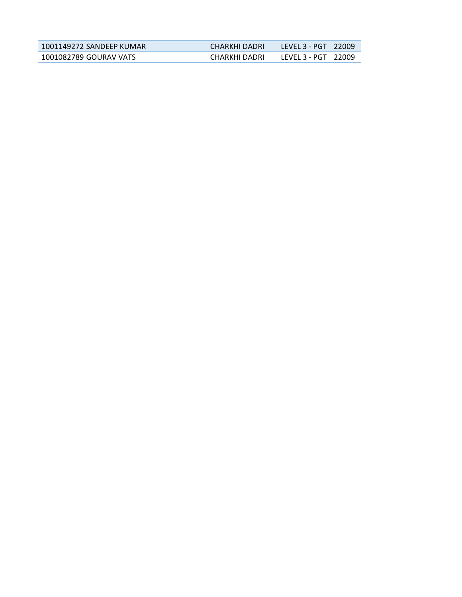| 1001149272 SANDEEP KUMAR | <b>CHARKHI DADRI</b> | LEVEL 3 - PGT 22009 |
|--------------------------|----------------------|---------------------|
| 1001082789 GOURAV VATS   | CHARKHI DADRI        | LEVEL 3 - PGT 22009 |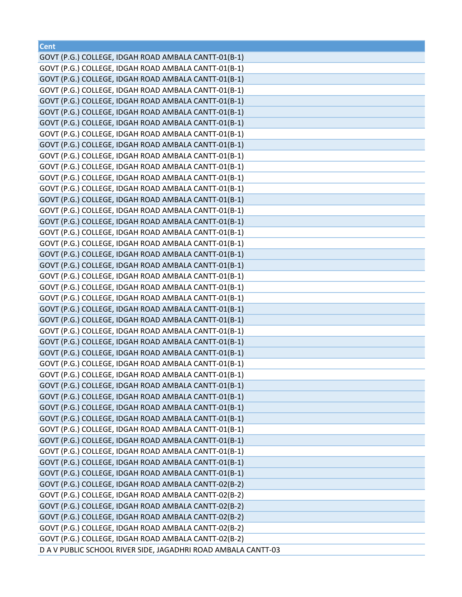| <b>Cent</b>                                                   |
|---------------------------------------------------------------|
| GOVT (P.G.) COLLEGE, IDGAH ROAD AMBALA CANTT-01(B-1)          |
| GOVT (P.G.) COLLEGE, IDGAH ROAD AMBALA CANTT-01(B-1)          |
| GOVT (P.G.) COLLEGE, IDGAH ROAD AMBALA CANTT-01(B-1)          |
| GOVT (P.G.) COLLEGE, IDGAH ROAD AMBALA CANTT-01(B-1)          |
| GOVT (P.G.) COLLEGE, IDGAH ROAD AMBALA CANTT-01(B-1)          |
| GOVT (P.G.) COLLEGE, IDGAH ROAD AMBALA CANTT-01(B-1)          |
| GOVT (P.G.) COLLEGE, IDGAH ROAD AMBALA CANTT-01(B-1)          |
| GOVT (P.G.) COLLEGE, IDGAH ROAD AMBALA CANTT-01(B-1)          |
| GOVT (P.G.) COLLEGE, IDGAH ROAD AMBALA CANTT-01(B-1)          |
| GOVT (P.G.) COLLEGE, IDGAH ROAD AMBALA CANTT-01(B-1)          |
| GOVT (P.G.) COLLEGE, IDGAH ROAD AMBALA CANTT-01(B-1)          |
| GOVT (P.G.) COLLEGE, IDGAH ROAD AMBALA CANTT-01(B-1)          |
| GOVT (P.G.) COLLEGE, IDGAH ROAD AMBALA CANTT-01(B-1)          |
| GOVT (P.G.) COLLEGE, IDGAH ROAD AMBALA CANTT-01(B-1)          |
| GOVT (P.G.) COLLEGE, IDGAH ROAD AMBALA CANTT-01(B-1)          |
| GOVT (P.G.) COLLEGE, IDGAH ROAD AMBALA CANTT-01(B-1)          |
| GOVT (P.G.) COLLEGE, IDGAH ROAD AMBALA CANTT-01(B-1)          |
| GOVT (P.G.) COLLEGE, IDGAH ROAD AMBALA CANTT-01(B-1)          |
| GOVT (P.G.) COLLEGE, IDGAH ROAD AMBALA CANTT-01(B-1)          |
| GOVT (P.G.) COLLEGE, IDGAH ROAD AMBALA CANTT-01(B-1)          |
| GOVT (P.G.) COLLEGE, IDGAH ROAD AMBALA CANTT-01(B-1)          |
| GOVT (P.G.) COLLEGE, IDGAH ROAD AMBALA CANTT-01(B-1)          |
| GOVT (P.G.) COLLEGE, IDGAH ROAD AMBALA CANTT-01(B-1)          |
| GOVT (P.G.) COLLEGE, IDGAH ROAD AMBALA CANTT-01(B-1)          |
| GOVT (P.G.) COLLEGE, IDGAH ROAD AMBALA CANTT-01(B-1)          |
| GOVT (P.G.) COLLEGE, IDGAH ROAD AMBALA CANTT-01(B-1)          |
| GOVT (P.G.) COLLEGE, IDGAH ROAD AMBALA CANTT-01(B-1)          |
| GOVT (P.G.) COLLEGE, IDGAH ROAD AMBALA CANTT-01(B-1)          |
| GOVT (P.G.) COLLEGE, IDGAH ROAD AMBALA CANTT-01(B-1)          |
| GOVT (P.G.) COLLEGE, IDGAH ROAD AMBALA CANTT-01(B-1)          |
| GOVT (P.G.) COLLEGE, IDGAH ROAD AMBALA CANTT-01(B-1)          |
| GOVT (P.G.) COLLEGE, IDGAH ROAD AMBALA CANTT-01(B-1)          |
| GOVT (P.G.) COLLEGE, IDGAH ROAD AMBALA CANTT-01(B-1)          |
| GOVT (P.G.) COLLEGE, IDGAH ROAD AMBALA CANTT-01(B-1)          |
| GOVT (P.G.) COLLEGE, IDGAH ROAD AMBALA CANTT-01(B-1)          |
| GOVT (P.G.) COLLEGE, IDGAH ROAD AMBALA CANTT-01(B-1)          |
| GOVT (P.G.) COLLEGE, IDGAH ROAD AMBALA CANTT-01(B-1)          |
| GOVT (P.G.) COLLEGE, IDGAH ROAD AMBALA CANTT-01(B-1)          |
| GOVT (P.G.) COLLEGE, IDGAH ROAD AMBALA CANTT-01(B-1)          |
| GOVT (P.G.) COLLEGE, IDGAH ROAD AMBALA CANTT-02(B-2)          |
| GOVT (P.G.) COLLEGE, IDGAH ROAD AMBALA CANTT-02(B-2)          |
| GOVT (P.G.) COLLEGE, IDGAH ROAD AMBALA CANTT-02(B-2)          |
| GOVT (P.G.) COLLEGE, IDGAH ROAD AMBALA CANTT-02(B-2)          |
| GOVT (P.G.) COLLEGE, IDGAH ROAD AMBALA CANTT-02(B-2)          |
| GOVT (P.G.) COLLEGE, IDGAH ROAD AMBALA CANTT-02(B-2)          |
| D A V PUBLIC SCHOOL RIVER SIDE, JAGADHRI ROAD AMBALA CANTT-03 |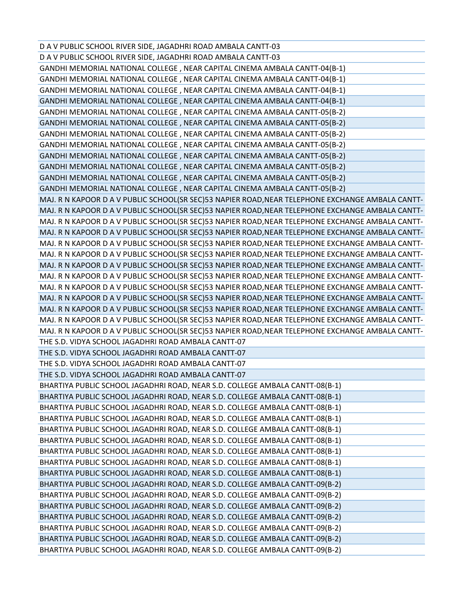D A V PUBLIC SCHOOL RIVER SIDE, JAGADHRI ROAD AMBALA CANTT-03 D A V PUBLIC SCHOOL RIVER SIDE, JAGADHRI ROAD AMBALA CANTT-03 GANDHI MEMORIAL NATIONAL COLLEGE , NEAR CAPITAL CINEMA AMBALA CANTT-04(B-1) GANDHI MEMORIAL NATIONAL COLLEGE , NEAR CAPITAL CINEMA AMBALA CANTT-04(B-1) GANDHI MEMORIAL NATIONAL COLLEGE , NEAR CAPITAL CINEMA AMBALA CANTT-04(B-1) GANDHI MEMORIAL NATIONAL COLLEGE , NEAR CAPITAL CINEMA AMBALA CANTT-04(B-1) GANDHI MEMORIAL NATIONAL COLLEGE , NEAR CAPITAL CINEMA AMBALA CANTT-05(B-2) GANDHI MEMORIAL NATIONAL COLLEGE , NEAR CAPITAL CINEMA AMBALA CANTT-05(B-2) GANDHI MEMORIAL NATIONAL COLLEGE , NEAR CAPITAL CINEMA AMBALA CANTT-05(B-2) GANDHI MEMORIAL NATIONAL COLLEGE , NEAR CAPITAL CINEMA AMBALA CANTT-05(B-2) GANDHI MEMORIAL NATIONAL COLLEGE , NEAR CAPITAL CINEMA AMBALA CANTT-05(B-2) GANDHI MEMORIAL NATIONAL COLLEGE , NEAR CAPITAL CINEMA AMBALA CANTT-05(B-2) GANDHI MEMORIAL NATIONAL COLLEGE , NEAR CAPITAL CINEMA AMBALA CANTT-05(B-2) GANDHI MEMORIAL NATIONAL COLLEGE , NEAR CAPITAL CINEMA AMBALA CANTT-05(B-2) MAJ. R N KAPOOR D A V PUBLIC SCHOOL(SR SEC)53 NAPIER ROAD, NEAR TELEPHONE EXCHANGE AMBALA CANTT-MAJ. R N KAPOOR D A V PUBLIC SCHOOL(SR SEC)53 NAPIER ROAD, NEAR TELEPHONE EXCHANGE AMBALA CANTT-MAJ. R N KAPOOR D A V PUBLIC SCHOOL(SR SEC)53 NAPIER ROAD,NEAR TELEPHONE EXCHANGE AMBALA CANTT-0 MAJ. R N KAPOOR D A V PUBLIC SCHOOL(SR SEC)53 NAPIER ROAD, NEAR TELEPHONE EXCHANGE AMBALA CANTT-MAJ. R N KAPOOR D A V PUBLIC SCHOOL(SR SEC)53 NAPIER ROAD,NEAR TELEPHONE EXCHANGE AMBALA CANTT-0 MAJ. R N KAPOOR D A V PUBLIC SCHOOL(SR SEC)53 NAPIER ROAD,NEAR TELEPHONE EXCHANGE AMBALA CANTT-0 MAJ. R N KAPOOR D A V PUBLIC SCHOOL(SR SEC)53 NAPIER ROAD,NEAR TELEPHONE EXCHANGE AMBALA CANTT-0 MAJ. R N KAPOOR D A V PUBLIC SCHOOL(SR SEC)53 NAPIER ROAD,NEAR TELEPHONE EXCHANGE AMBALA CANTT-0 MAJ. R N KAPOOR D A V PUBLIC SCHOOL(SR SEC)53 NAPIER ROAD,NEAR TELEPHONE EXCHANGE AMBALA CANTT-0 MAJ. R N KAPOOR D A V PUBLIC SCHOOL(SR SEC)53 NAPIER ROAD, NEAR TELEPHONE EXCHANGE AMBALA CANTT-MAJ. R N KAPOOR D A V PUBLIC SCHOOL(SR SEC)53 NAPIER ROAD,NEAR TELEPHONE EXCHANGE AMBALA CANTT-0 MAJ. R N KAPOOR D A V PUBLIC SCHOOL(SR SEC)53 NAPIER ROAD, NEAR TELEPHONE EXCHANGE AMBALA CANTT-MAJ. R N KAPOOR D A V PUBLIC SCHOOL(SR SEC)53 NAPIER ROAD,NEAR TELEPHONE EXCHANGE AMBALA CANTT-0 THE S.D. VIDYA SCHOOL JAGADHRI ROAD AMBALA CANTT-07 THE S.D. VIDYA SCHOOL JAGADHRI ROAD AMBALA CANTT-07 THE S.D. VIDYA SCHOOL JAGADHRI ROAD AMBALA CANTT-07 THE S.D. VIDYA SCHOOL JAGADHRI ROAD AMBALA CANTT-07 BHARTIYA PUBLIC SCHOOL JAGADHRI ROAD, NEAR S.D. COLLEGE AMBALA CANTT-08(B-1) BHARTIYA PUBLIC SCHOOL JAGADHRI ROAD, NEAR S.D. COLLEGE AMBALA CANTT-08(B-1) BHARTIYA PUBLIC SCHOOL JAGADHRI ROAD, NEAR S.D. COLLEGE AMBALA CANTT-08(B-1) BHARTIYA PUBLIC SCHOOL JAGADHRI ROAD, NEAR S.D. COLLEGE AMBALA CANTT-08(B-1) BHARTIYA PUBLIC SCHOOL JAGADHRI ROAD, NEAR S.D. COLLEGE AMBALA CANTT-08(B-1) BHARTIYA PUBLIC SCHOOL JAGADHRI ROAD, NEAR S.D. COLLEGE AMBALA CANTT-08(B-1) BHARTIYA PUBLIC SCHOOL JAGADHRI ROAD, NEAR S.D. COLLEGE AMBALA CANTT-08(B-1) BHARTIYA PUBLIC SCHOOL JAGADHRI ROAD, NEAR S.D. COLLEGE AMBALA CANTT-08(B-1) BHARTIYA PUBLIC SCHOOL JAGADHRI ROAD, NEAR S.D. COLLEGE AMBALA CANTT-08(B-1) BHARTIYA PUBLIC SCHOOL JAGADHRI ROAD, NEAR S.D. COLLEGE AMBALA CANTT-09(B-2) BHARTIYA PUBLIC SCHOOL JAGADHRI ROAD, NEAR S.D. COLLEGE AMBALA CANTT-09(B-2) BHARTIYA PUBLIC SCHOOL JAGADHRI ROAD, NEAR S.D. COLLEGE AMBALA CANTT-09(B-2) BHARTIYA PUBLIC SCHOOL JAGADHRI ROAD, NEAR S.D. COLLEGE AMBALA CANTT-09(B-2) BHARTIYA PUBLIC SCHOOL JAGADHRI ROAD, NEAR S.D. COLLEGE AMBALA CANTT-09(B-2) BHARTIYA PUBLIC SCHOOL JAGADHRI ROAD, NEAR S.D. COLLEGE AMBALA CANTT-09(B-2) BHARTIYA PUBLIC SCHOOL JAGADHRI ROAD, NEAR S.D. COLLEGE AMBALA CANTT-09(B-2)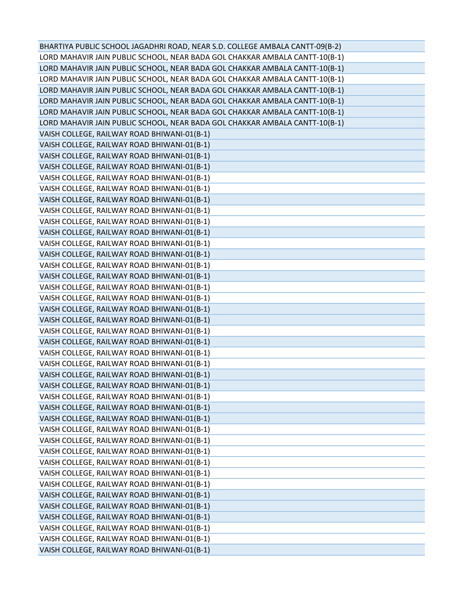| BHARTIYA PUBLIC SCHOOL JAGADHRI ROAD, NEAR S.D. COLLEGE AMBALA CANTT-09(B-2) |
|------------------------------------------------------------------------------|
| LORD MAHAVIR JAIN PUBLIC SCHOOL, NEAR BADA GOL CHAKKAR AMBALA CANTT-10(B-1)  |
| LORD MAHAVIR JAIN PUBLIC SCHOOL, NEAR BADA GOL CHAKKAR AMBALA CANTT-10(B-1)  |
| LORD MAHAVIR JAIN PUBLIC SCHOOL, NEAR BADA GOL CHAKKAR AMBALA CANTT-10(B-1)  |
| LORD MAHAVIR JAIN PUBLIC SCHOOL, NEAR BADA GOL CHAKKAR AMBALA CANTT-10(B-1)  |
| LORD MAHAVIR JAIN PUBLIC SCHOOL, NEAR BADA GOL CHAKKAR AMBALA CANTT-10(B-1)  |
| LORD MAHAVIR JAIN PUBLIC SCHOOL, NEAR BADA GOL CHAKKAR AMBALA CANTT-10(B-1)  |
| LORD MAHAVIR JAIN PUBLIC SCHOOL, NEAR BADA GOL CHAKKAR AMBALA CANTT-10(B-1)  |
| VAISH COLLEGE, RAILWAY ROAD BHIWANI-01(B-1)                                  |
| VAISH COLLEGE, RAILWAY ROAD BHIWANI-01(B-1)                                  |
| VAISH COLLEGE, RAILWAY ROAD BHIWANI-01(B-1)                                  |
| VAISH COLLEGE, RAILWAY ROAD BHIWANI-01(B-1)                                  |
| VAISH COLLEGE, RAILWAY ROAD BHIWANI-01(B-1)                                  |
| VAISH COLLEGE, RAILWAY ROAD BHIWANI-01(B-1)                                  |
| VAISH COLLEGE, RAILWAY ROAD BHIWANI-01(B-1)                                  |
| VAISH COLLEGE, RAILWAY ROAD BHIWANI-01(B-1)                                  |
| VAISH COLLEGE, RAILWAY ROAD BHIWANI-01(B-1)                                  |
| VAISH COLLEGE, RAILWAY ROAD BHIWANI-01(B-1)                                  |
| VAISH COLLEGE, RAILWAY ROAD BHIWANI-01(B-1)                                  |
| VAISH COLLEGE, RAILWAY ROAD BHIWANI-01(B-1)                                  |
| VAISH COLLEGE, RAILWAY ROAD BHIWANI-01(B-1)                                  |
| VAISH COLLEGE, RAILWAY ROAD BHIWANI-01(B-1)                                  |
| VAISH COLLEGE, RAILWAY ROAD BHIWANI-01(B-1)                                  |
| VAISH COLLEGE, RAILWAY ROAD BHIWANI-01(B-1)                                  |
| VAISH COLLEGE, RAILWAY ROAD BHIWANI-01(B-1)                                  |
| VAISH COLLEGE, RAILWAY ROAD BHIWANI-01(B-1)                                  |
| VAISH COLLEGE, RAILWAY ROAD BHIWANI-01(B-1)                                  |
| VAISH COLLEGE, RAILWAY ROAD BHIWANI-01(B-1)                                  |
| VAISH COLLEGE, RAILWAY ROAD BHIWANI-01(B-1)                                  |
| VAISH COLLEGE, RAILWAY ROAD BHIWANI-01(B-1)                                  |
| VAISH COLLEGE, RAILWAY ROAD BHIWANI-01(B-1)                                  |
| VAISH COLLEGE, RAILWAY ROAD BHIWANI-01(B-1)                                  |
| VAISH COLLEGE, RAILWAY ROAD BHIWANI-01(B-1)                                  |
| VAISH COLLEGE, RAILWAY ROAD BHIWANI-01(B-1)                                  |
| VAISH COLLEGE, RAILWAY ROAD BHIWANI-01(B-1)                                  |
| VAISH COLLEGE, RAILWAY ROAD BHIWANI-01(B-1)                                  |
| VAISH COLLEGE, RAILWAY ROAD BHIWANI-01(B-1)                                  |
| VAISH COLLEGE, RAILWAY ROAD BHIWANI-01(B-1)                                  |
| VAISH COLLEGE, RAILWAY ROAD BHIWANI-01(B-1)                                  |
| VAISH COLLEGE, RAILWAY ROAD BHIWANI-01(B-1)                                  |
| VAISH COLLEGE, RAILWAY ROAD BHIWANI-01(B-1)                                  |
| VAISH COLLEGE, RAILWAY ROAD BHIWANI-01(B-1)                                  |
| VAISH COLLEGE, RAILWAY ROAD BHIWANI-01(B-1)                                  |
| VAISH COLLEGE, RAILWAY ROAD BHIWANI-01(B-1)                                  |
| VAISH COLLEGE, RAILWAY ROAD BHIWANI-01(B-1)                                  |
| VAISH COLLEGE, RAILWAY ROAD BHIWANI-01(B-1)                                  |
| VAISH COLLEGE, RAILWAY ROAD BHIWANI-01(B-1)                                  |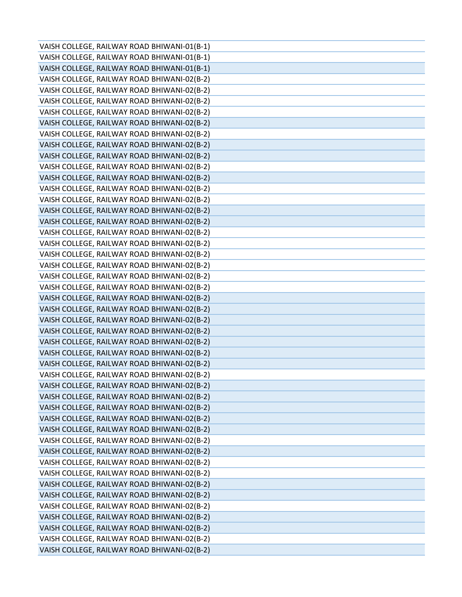| VAISH COLLEGE, RAILWAY ROAD BHIWANI-01(B-1) |
|---------------------------------------------|
| VAISH COLLEGE, RAILWAY ROAD BHIWANI-01(B-1) |
| VAISH COLLEGE, RAILWAY ROAD BHIWANI-01(B-1) |
| VAISH COLLEGE, RAILWAY ROAD BHIWANI-02(B-2) |
| VAISH COLLEGE, RAILWAY ROAD BHIWANI-02(B-2) |
| VAISH COLLEGE, RAILWAY ROAD BHIWANI-02(B-2) |
| VAISH COLLEGE, RAILWAY ROAD BHIWANI-02(B-2) |
| VAISH COLLEGE, RAILWAY ROAD BHIWANI-02(B-2) |
| VAISH COLLEGE, RAILWAY ROAD BHIWANI-02(B-2) |
| VAISH COLLEGE, RAILWAY ROAD BHIWANI-02(B-2) |
| VAISH COLLEGE, RAILWAY ROAD BHIWANI-02(B-2) |
| VAISH COLLEGE, RAILWAY ROAD BHIWANI-02(B-2) |
| VAISH COLLEGE, RAILWAY ROAD BHIWANI-02(B-2) |
| VAISH COLLEGE, RAILWAY ROAD BHIWANI-02(B-2) |
| VAISH COLLEGE, RAILWAY ROAD BHIWANI-02(B-2) |
| VAISH COLLEGE, RAILWAY ROAD BHIWANI-02(B-2) |
| VAISH COLLEGE, RAILWAY ROAD BHIWANI-02(B-2) |
| VAISH COLLEGE, RAILWAY ROAD BHIWANI-02(B-2) |
| VAISH COLLEGE, RAILWAY ROAD BHIWANI-02(B-2) |
| VAISH COLLEGE, RAILWAY ROAD BHIWANI-02(B-2) |
| VAISH COLLEGE, RAILWAY ROAD BHIWANI-02(B-2) |
| VAISH COLLEGE, RAILWAY ROAD BHIWANI-02(B-2) |
| VAISH COLLEGE, RAILWAY ROAD BHIWANI-02(B-2) |
| VAISH COLLEGE, RAILWAY ROAD BHIWANI-02(B-2) |
| VAISH COLLEGE, RAILWAY ROAD BHIWANI-02(B-2) |
| VAISH COLLEGE, RAILWAY ROAD BHIWANI-02(B-2) |
| VAISH COLLEGE, RAILWAY ROAD BHIWANI-02(B-2) |
| VAISH COLLEGE, RAILWAY ROAD BHIWANI-02(B-2) |
| VAISH COLLEGE, RAILWAY ROAD BHIWANI-02(B-2) |
| VAISH COLLEGE, RAILWAY ROAD BHIWANI-02(B-2) |
| VAISH COLLEGE, RAILWAY ROAD BHIWANI-02(B-2) |
| VAISH COLLEGE, RAILWAY ROAD BHIWANI-02(B-2) |
| VAISH COLLEGE, RAILWAY ROAD BHIWANI-02(B-2) |
| VAISH COLLEGE, RAILWAY ROAD BHIWANI-02(B-2) |
| VAISH COLLEGE, RAILWAY ROAD BHIWANI-02(B-2) |
| VAISH COLLEGE, RAILWAY ROAD BHIWANI-02(B-2) |
| VAISH COLLEGE, RAILWAY ROAD BHIWANI-02(B-2) |
| VAISH COLLEGE, RAILWAY ROAD BHIWANI-02(B-2) |
| VAISH COLLEGE, RAILWAY ROAD BHIWANI-02(B-2) |
| VAISH COLLEGE, RAILWAY ROAD BHIWANI-02(B-2) |
| VAISH COLLEGE, RAILWAY ROAD BHIWANI-02(B-2) |
| VAISH COLLEGE, RAILWAY ROAD BHIWANI-02(B-2) |
| VAISH COLLEGE, RAILWAY ROAD BHIWANI-02(B-2) |
| VAISH COLLEGE, RAILWAY ROAD BHIWANI-02(B-2) |
| VAISH COLLEGE, RAILWAY ROAD BHIWANI-02(B-2) |
| VAISH COLLEGE, RAILWAY ROAD BHIWANI-02(B-2) |
| VAISH COLLEGE, RAILWAY ROAD BHIWANI-02(B-2) |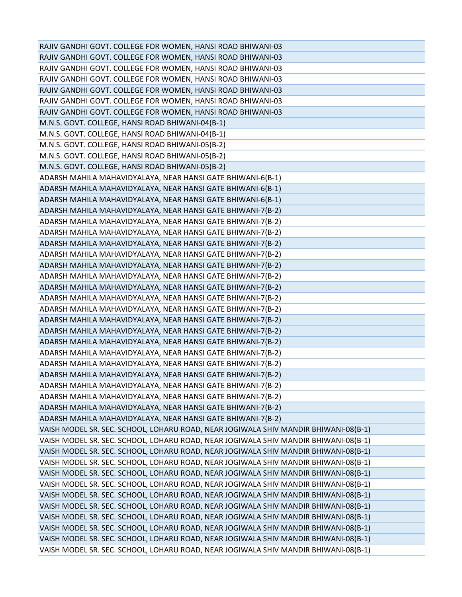| RAJIV GANDHI GOVT. COLLEGE FOR WOMEN, HANSI ROAD BHIWANI-03                         |
|-------------------------------------------------------------------------------------|
| RAJIV GANDHI GOVT. COLLEGE FOR WOMEN, HANSI ROAD BHIWANI-03                         |
| RAJIV GANDHI GOVT. COLLEGE FOR WOMEN, HANSI ROAD BHIWANI-03                         |
| RAJIV GANDHI GOVT. COLLEGE FOR WOMEN, HANSI ROAD BHIWANI-03                         |
| RAJIV GANDHI GOVT. COLLEGE FOR WOMEN, HANSI ROAD BHIWANI-03                         |
| RAJIV GANDHI GOVT. COLLEGE FOR WOMEN, HANSI ROAD BHIWANI-03                         |
| RAJIV GANDHI GOVT. COLLEGE FOR WOMEN, HANSI ROAD BHIWANI-03                         |
| M.N.S. GOVT. COLLEGE, HANSI ROAD BHIWANI-04(B-1)                                    |
| M.N.S. GOVT. COLLEGE, HANSI ROAD BHIWANI-04(B-1)                                    |
| M.N.S. GOVT. COLLEGE, HANSI ROAD BHIWANI-05(B-2)                                    |
| M.N.S. GOVT. COLLEGE, HANSI ROAD BHIWANI-05(B-2)                                    |
| M.N.S. GOVT. COLLEGE, HANSI ROAD BHIWANI-05(B-2)                                    |
| ADARSH MAHILA MAHAVIDYALAYA, NEAR HANSI GATE BHIWANI-6(B-1)                         |
| ADARSH MAHILA MAHAVIDYALAYA, NEAR HANSI GATE BHIWANI-6(B-1)                         |
| ADARSH MAHILA MAHAVIDYALAYA, NEAR HANSI GATE BHIWANI-6(B-1)                         |
| ADARSH MAHILA MAHAVIDYALAYA, NEAR HANSI GATE BHIWANI-7(B-2)                         |
| ADARSH MAHILA MAHAVIDYALAYA, NEAR HANSI GATE BHIWANI-7(B-2)                         |
| ADARSH MAHILA MAHAVIDYALAYA, NEAR HANSI GATE BHIWANI-7(B-2)                         |
| ADARSH MAHILA MAHAVIDYALAYA, NEAR HANSI GATE BHIWANI-7(B-2)                         |
| ADARSH MAHILA MAHAVIDYALAYA, NEAR HANSI GATE BHIWANI-7(B-2)                         |
| ADARSH MAHILA MAHAVIDYALAYA, NEAR HANSI GATE BHIWANI-7(B-2)                         |
| ADARSH MAHILA MAHAVIDYALAYA, NEAR HANSI GATE BHIWANI-7(B-2)                         |
| ADARSH MAHILA MAHAVIDYALAYA, NEAR HANSI GATE BHIWANI-7(B-2)                         |
| ADARSH MAHILA MAHAVIDYALAYA, NEAR HANSI GATE BHIWANI-7(B-2)                         |
| ADARSH MAHILA MAHAVIDYALAYA, NEAR HANSI GATE BHIWANI-7(B-2)                         |
| ADARSH MAHILA MAHAVIDYALAYA, NEAR HANSI GATE BHIWANI-7(B-2)                         |
| ADARSH MAHILA MAHAVIDYALAYA, NEAR HANSI GATE BHIWANI-7(B-2)                         |
| ADARSH MAHILA MAHAVIDYALAYA, NEAR HANSI GATE BHIWANI-7(B-2)                         |
| ADARSH MAHILA MAHAVIDYALAYA, NEAR HANSI GATE BHIWANI-7(B-2)                         |
| ADARSH MAHILA MAHAVIDYALAYA, NEAR HANSI GATE BHIWANI-7(B-2)                         |
| ADARSH MAHILA MAHAVIDYALAYA, NEAR HANSI GATE BHIWANI-7(B-2)                         |
| ADARSH MAHILA MAHAVIDYALAYA, NEAR HANSI GATE BHIWANI-7(B-2)                         |
| ADARSH MAHILA MAHAVIDYALAYA, NEAR HANSI GATE BHIWANI-7(B-2)                         |
| ADARSH MAHILA MAHAVIDYALAYA, NEAR HANSI GATE BHIWANI-7(B-2)                         |
| ADARSH MAHILA MAHAVIDYALAYA, NEAR HANSI GATE BHIWANI-7(B-2)                         |
| VAISH MODEL SR. SEC. SCHOOL, LOHARU ROAD, NEAR JOGIWALA SHIV MANDIR BHIWANI-08(B-1) |
| VAISH MODEL SR. SEC. SCHOOL, LOHARU ROAD, NEAR JOGIWALA SHIV MANDIR BHIWANI-08(B-1) |
| VAISH MODEL SR. SEC. SCHOOL, LOHARU ROAD, NEAR JOGIWALA SHIV MANDIR BHIWANI-08(B-1) |
| VAISH MODEL SR. SEC. SCHOOL, LOHARU ROAD, NEAR JOGIWALA SHIV MANDIR BHIWANI-08(B-1) |
| VAISH MODEL SR. SEC. SCHOOL, LOHARU ROAD, NEAR JOGIWALA SHIV MANDIR BHIWANI-08(B-1) |
| VAISH MODEL SR. SEC. SCHOOL, LOHARU ROAD, NEAR JOGIWALA SHIV MANDIR BHIWANI-08(B-1) |
| VAISH MODEL SR. SEC. SCHOOL, LOHARU ROAD, NEAR JOGIWALA SHIV MANDIR BHIWANI-08(B-1) |
| VAISH MODEL SR. SEC. SCHOOL, LOHARU ROAD, NEAR JOGIWALA SHIV MANDIR BHIWANI-08(B-1) |
| VAISH MODEL SR. SEC. SCHOOL, LOHARU ROAD, NEAR JOGIWALA SHIV MANDIR BHIWANI-08(B-1) |
| VAISH MODEL SR. SEC. SCHOOL, LOHARU ROAD, NEAR JOGIWALA SHIV MANDIR BHIWANI-08(B-1) |
| VAISH MODEL SR. SEC. SCHOOL, LOHARU ROAD, NEAR JOGIWALA SHIV MANDIR BHIWANI-08(B-1) |
| VAISH MODEL SR. SEC. SCHOOL, LOHARU ROAD, NEAR JOGIWALA SHIV MANDIR BHIWANI-08(B-1) |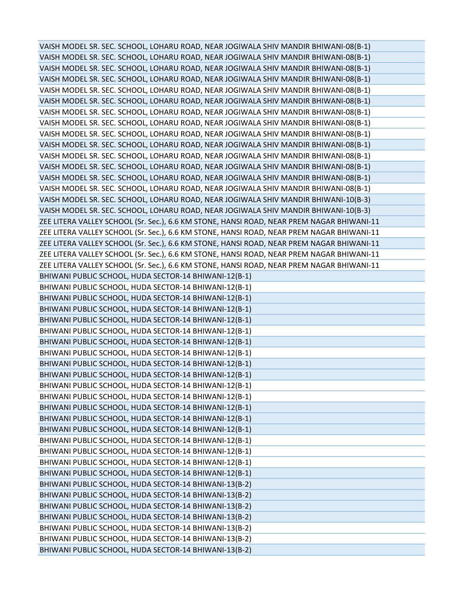VAISH MODEL SR. SEC. SCHOOL, LOHARU ROAD, NEAR JOGIWALA SHIV MANDIR BHIWANI-08(B-1) VAISH MODEL SR. SEC. SCHOOL, LOHARU ROAD, NEAR JOGIWALA SHIV MANDIR BHIWANI-08(B-1) VAISH MODEL SR. SEC. SCHOOL, LOHARU ROAD, NEAR JOGIWALA SHIV MANDIR BHIWANI-08(B-1) VAISH MODEL SR. SEC. SCHOOL, LOHARU ROAD, NEAR JOGIWALA SHIV MANDIR BHIWANI-08(B-1) VAISH MODEL SR. SEC. SCHOOL, LOHARU ROAD, NEAR JOGIWALA SHIV MANDIR BHIWANI-08(B-1) VAISH MODEL SR. SEC. SCHOOL, LOHARU ROAD, NEAR JOGIWALA SHIV MANDIR BHIWANI-08(B-1) VAISH MODEL SR. SEC. SCHOOL, LOHARU ROAD, NEAR JOGIWALA SHIV MANDIR BHIWANI-08(B-1) VAISH MODEL SR. SEC. SCHOOL, LOHARU ROAD, NEAR JOGIWALA SHIV MANDIR BHIWANI-08(B-1) VAISH MODEL SR. SEC. SCHOOL, LOHARU ROAD, NEAR JOGIWALA SHIV MANDIR BHIWANI-08(B-1) VAISH MODEL SR. SEC. SCHOOL, LOHARU ROAD, NEAR JOGIWALA SHIV MANDIR BHIWANI-08(B-1) VAISH MODEL SR. SEC. SCHOOL, LOHARU ROAD, NEAR JOGIWALA SHIV MANDIR BHIWANI-08(B-1) VAISH MODEL SR. SEC. SCHOOL, LOHARU ROAD, NEAR JOGIWALA SHIV MANDIR BHIWANI-08(B-1) VAISH MODEL SR. SEC. SCHOOL, LOHARU ROAD, NEAR JOGIWALA SHIV MANDIR BHIWANI-08(B-1) VAISH MODEL SR. SEC. SCHOOL, LOHARU ROAD, NEAR JOGIWALA SHIV MANDIR BHIWANI-08(B-1) VAISH MODEL SR. SEC. SCHOOL, LOHARU ROAD, NEAR JOGIWALA SHIV MANDIR BHIWANI-10(B-3) VAISH MODEL SR. SEC. SCHOOL, LOHARU ROAD, NEAR JOGIWALA SHIV MANDIR BHIWANI-10(B-3) ZEE LITERA VALLEY SCHOOL (Sr. Sec.), 6.6 KM STONE, HANSI ROAD, NEAR PREM NAGAR BHIWANI-11 ZEE LITERA VALLEY SCHOOL (Sr. Sec.), 6.6 KM STONE, HANSI ROAD, NEAR PREM NAGAR BHIWANI-11 ZEE LITERA VALLEY SCHOOL (Sr. Sec.), 6.6 KM STONE, HANSI ROAD, NEAR PREM NAGAR BHIWANI-11 ZEE LITERA VALLEY SCHOOL (Sr. Sec.), 6.6 KM STONE, HANSI ROAD, NEAR PREM NAGAR BHIWANI-11 ZEE LITERA VALLEY SCHOOL (Sr. Sec.), 6.6 KM STONE, HANSI ROAD, NEAR PREM NAGAR BHIWANI-11 BHIWANI PUBLIC SCHOOL, HUDA SECTOR-14 BHIWANI-12(B-1) BHIWANI PUBLIC SCHOOL, HUDA SECTOR-14 BHIWANI-12(B-1) BHIWANI PUBLIC SCHOOL, HUDA SECTOR-14 BHIWANI-12(B-1) BHIWANI PUBLIC SCHOOL, HUDA SECTOR-14 BHIWANI-12(B-1) BHIWANI PUBLIC SCHOOL, HUDA SECTOR-14 BHIWANI-12(B-1) BHIWANI PUBLIC SCHOOL, HUDA SECTOR-14 BHIWANI-12(B-1) BHIWANI PUBLIC SCHOOL, HUDA SECTOR-14 BHIWANI-12(B-1) BHIWANI PUBLIC SCHOOL, HUDA SECTOR-14 BHIWANI-12(B-1) BHIWANI PUBLIC SCHOOL, HUDA SECTOR-14 BHIWANI-12(B-1) BHIWANI PUBLIC SCHOOL, HUDA SECTOR-14 BHIWANI-12(B-1) BHIWANI PUBLIC SCHOOL, HUDA SECTOR-14 BHIWANI-12(B-1) BHIWANI PUBLIC SCHOOL, HUDA SECTOR-14 BHIWANI-12(B-1) BHIWANI PUBLIC SCHOOL, HUDA SECTOR-14 BHIWANI-12(B-1) BHIWANI PUBLIC SCHOOL, HUDA SECTOR-14 BHIWANI-12(B-1) BHIWANI PUBLIC SCHOOL, HUDA SECTOR-14 BHIWANI-12(B-1) BHIWANI PUBLIC SCHOOL, HUDA SECTOR-14 BHIWANI-12(B-1) BHIWANI PUBLIC SCHOOL, HUDA SECTOR-14 BHIWANI-12(B-1) BHIWANI PUBLIC SCHOOL, HUDA SECTOR-14 BHIWANI-12(B-1) BHIWANI PUBLIC SCHOOL, HUDA SECTOR-14 BHIWANI-12(B-1) BHIWANI PUBLIC SCHOOL, HUDA SECTOR-14 BHIWANI-13(B-2) BHIWANI PUBLIC SCHOOL, HUDA SECTOR-14 BHIWANI-13(B-2) BHIWANI PUBLIC SCHOOL, HUDA SECTOR-14 BHIWANI-13(B-2) BHIWANI PUBLIC SCHOOL, HUDA SECTOR-14 BHIWANI-13(B-2) BHIWANI PUBLIC SCHOOL, HUDA SECTOR-14 BHIWANI-13(B-2) BHIWANI PUBLIC SCHOOL, HUDA SECTOR-14 BHIWANI-13(B-2) BHIWANI PUBLIC SCHOOL, HUDA SECTOR-14 BHIWANI-13(B-2)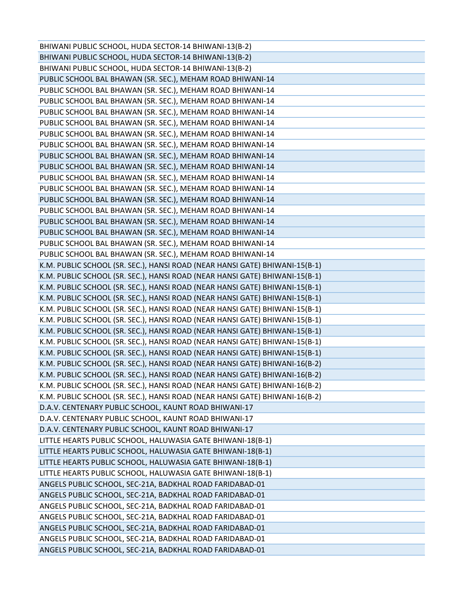| BHIWANI PUBLIC SCHOOL, HUDA SECTOR-14 BHIWANI-13(B-2)                       |
|-----------------------------------------------------------------------------|
| BHIWANI PUBLIC SCHOOL, HUDA SECTOR-14 BHIWANI-13(B-2)                       |
| BHIWANI PUBLIC SCHOOL, HUDA SECTOR-14 BHIWANI-13(B-2)                       |
| PUBLIC SCHOOL BAL BHAWAN (SR. SEC.), MEHAM ROAD BHIWANI-14                  |
| PUBLIC SCHOOL BAL BHAWAN (SR. SEC.), MEHAM ROAD BHIWANI-14                  |
| PUBLIC SCHOOL BAL BHAWAN (SR. SEC.), MEHAM ROAD BHIWANI-14                  |
| PUBLIC SCHOOL BAL BHAWAN (SR. SEC.), MEHAM ROAD BHIWANI-14                  |
| PUBLIC SCHOOL BAL BHAWAN (SR. SEC.), MEHAM ROAD BHIWANI-14                  |
| PUBLIC SCHOOL BAL BHAWAN (SR. SEC.), MEHAM ROAD BHIWANI-14                  |
| PUBLIC SCHOOL BAL BHAWAN (SR. SEC.), MEHAM ROAD BHIWANI-14                  |
| PUBLIC SCHOOL BAL BHAWAN (SR. SEC.), MEHAM ROAD BHIWANI-14                  |
| PUBLIC SCHOOL BAL BHAWAN (SR. SEC.), MEHAM ROAD BHIWANI-14                  |
| PUBLIC SCHOOL BAL BHAWAN (SR. SEC.), MEHAM ROAD BHIWANI-14                  |
| PUBLIC SCHOOL BAL BHAWAN (SR. SEC.), MEHAM ROAD BHIWANI-14                  |
| PUBLIC SCHOOL BAL BHAWAN (SR. SEC.), MEHAM ROAD BHIWANI-14                  |
| PUBLIC SCHOOL BAL BHAWAN (SR. SEC.), MEHAM ROAD BHIWANI-14                  |
| PUBLIC SCHOOL BAL BHAWAN (SR. SEC.), MEHAM ROAD BHIWANI-14                  |
| PUBLIC SCHOOL BAL BHAWAN (SR. SEC.), MEHAM ROAD BHIWANI-14                  |
| PUBLIC SCHOOL BAL BHAWAN (SR. SEC.), MEHAM ROAD BHIWANI-14                  |
| PUBLIC SCHOOL BAL BHAWAN (SR. SEC.), MEHAM ROAD BHIWANI-14                  |
| K.M. PUBLIC SCHOOL (SR. SEC.), HANSI ROAD (NEAR HANSI GATE) BHIWANI-15(B-1) |
| K.M. PUBLIC SCHOOL (SR. SEC.), HANSI ROAD (NEAR HANSI GATE) BHIWANI-15(B-1) |
| K.M. PUBLIC SCHOOL (SR. SEC.), HANSI ROAD (NEAR HANSI GATE) BHIWANI-15(B-1) |
| K.M. PUBLIC SCHOOL (SR. SEC.), HANSI ROAD (NEAR HANSI GATE) BHIWANI-15(B-1) |
| K.M. PUBLIC SCHOOL (SR. SEC.), HANSI ROAD (NEAR HANSI GATE) BHIWANI-15(B-1) |
| K.M. PUBLIC SCHOOL (SR. SEC.), HANSI ROAD (NEAR HANSI GATE) BHIWANI-15(B-1) |
| K.M. PUBLIC SCHOOL (SR. SEC.), HANSI ROAD (NEAR HANSI GATE) BHIWANI-15(B-1) |
| K.M. PUBLIC SCHOOL (SR. SEC.), HANSI ROAD (NEAR HANSI GATE) BHIWANI-15(B-1) |
| K.M. PUBLIC SCHOOL (SR. SEC.), HANSI ROAD (NEAR HANSI GATE) BHIWANI-15(B-1) |
| K.M. PUBLIC SCHOOL (SR. SEC.), HANSI ROAD (NEAR HANSI GATE) BHIWANI-16(B-2) |
| K.M. PUBLIC SCHOOL (SR. SEC.), HANSI ROAD (NEAR HANSI GATE) BHIWANI-16(B-2) |
| K.M. PUBLIC SCHOOL (SR. SEC.), HANSI ROAD (NEAR HANSI GATE) BHIWANI-16(B-2) |
| K.M. PUBLIC SCHOOL (SR. SEC.), HANSI ROAD (NEAR HANSI GATE) BHIWANI-16(B-2) |
| D.A.V. CENTENARY PUBLIC SCHOOL, KAUNT ROAD BHIWANI-17                       |
| D.A.V. CENTENARY PUBLIC SCHOOL, KAUNT ROAD BHIWANI-17                       |
| D.A.V. CENTENARY PUBLIC SCHOOL, KAUNT ROAD BHIWANI-17                       |
| LITTLE HEARTS PUBLIC SCHOOL, HALUWASIA GATE BHIWANI-18(B-1)                 |
| LITTLE HEARTS PUBLIC SCHOOL, HALUWASIA GATE BHIWANI-18(B-1)                 |
| LITTLE HEARTS PUBLIC SCHOOL, HALUWASIA GATE BHIWANI-18(B-1)                 |
| LITTLE HEARTS PUBLIC SCHOOL, HALUWASIA GATE BHIWANI-18(B-1)                 |
| ANGELS PUBLIC SCHOOL, SEC-21A, BADKHAL ROAD FARIDABAD-01                    |
| ANGELS PUBLIC SCHOOL, SEC-21A, BADKHAL ROAD FARIDABAD-01                    |
| ANGELS PUBLIC SCHOOL, SEC-21A, BADKHAL ROAD FARIDABAD-01                    |
| ANGELS PUBLIC SCHOOL, SEC-21A, BADKHAL ROAD FARIDABAD-01                    |
| ANGELS PUBLIC SCHOOL, SEC-21A, BADKHAL ROAD FARIDABAD-01                    |
| ANGELS PUBLIC SCHOOL, SEC-21A, BADKHAL ROAD FARIDABAD-01                    |
| ANGELS PUBLIC SCHOOL, SEC-21A, BADKHAL ROAD FARIDABAD-01                    |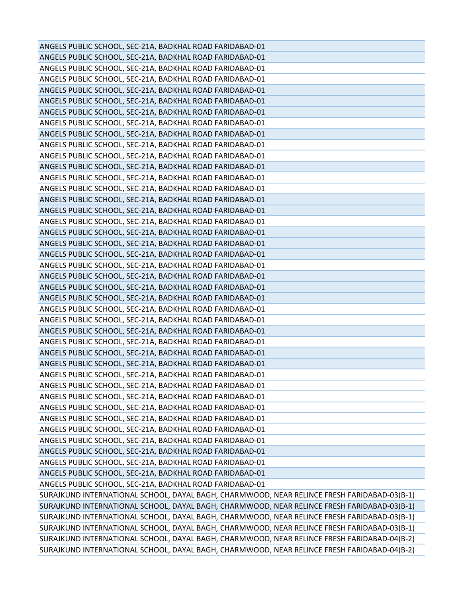| ANGELS PUBLIC SCHOOL, SEC-21A, BADKHAL ROAD FARIDABAD-01                                    |
|---------------------------------------------------------------------------------------------|
| ANGELS PUBLIC SCHOOL, SEC-21A, BADKHAL ROAD FARIDABAD-01                                    |
| ANGELS PUBLIC SCHOOL, SEC-21A, BADKHAL ROAD FARIDABAD-01                                    |
| ANGELS PUBLIC SCHOOL, SEC-21A, BADKHAL ROAD FARIDABAD-01                                    |
| ANGELS PUBLIC SCHOOL, SEC-21A, BADKHAL ROAD FARIDABAD-01                                    |
| ANGELS PUBLIC SCHOOL, SEC-21A, BADKHAL ROAD FARIDABAD-01                                    |
| ANGELS PUBLIC SCHOOL, SEC-21A, BADKHAL ROAD FARIDABAD-01                                    |
| ANGELS PUBLIC SCHOOL, SEC-21A, BADKHAL ROAD FARIDABAD-01                                    |
| ANGELS PUBLIC SCHOOL, SEC-21A, BADKHAL ROAD FARIDABAD-01                                    |
| ANGELS PUBLIC SCHOOL, SEC-21A, BADKHAL ROAD FARIDABAD-01                                    |
| ANGELS PUBLIC SCHOOL, SEC-21A, BADKHAL ROAD FARIDABAD-01                                    |
| ANGELS PUBLIC SCHOOL, SEC-21A, BADKHAL ROAD FARIDABAD-01                                    |
| ANGELS PUBLIC SCHOOL, SEC-21A, BADKHAL ROAD FARIDABAD-01                                    |
| ANGELS PUBLIC SCHOOL, SEC-21A, BADKHAL ROAD FARIDABAD-01                                    |
| ANGELS PUBLIC SCHOOL, SEC-21A, BADKHAL ROAD FARIDABAD-01                                    |
| ANGELS PUBLIC SCHOOL, SEC-21A, BADKHAL ROAD FARIDABAD-01                                    |
| ANGELS PUBLIC SCHOOL, SEC-21A, BADKHAL ROAD FARIDABAD-01                                    |
| ANGELS PUBLIC SCHOOL, SEC-21A, BADKHAL ROAD FARIDABAD-01                                    |
| ANGELS PUBLIC SCHOOL, SEC-21A, BADKHAL ROAD FARIDABAD-01                                    |
| ANGELS PUBLIC SCHOOL, SEC-21A, BADKHAL ROAD FARIDABAD-01                                    |
| ANGELS PUBLIC SCHOOL, SEC-21A, BADKHAL ROAD FARIDABAD-01                                    |
| ANGELS PUBLIC SCHOOL, SEC-21A, BADKHAL ROAD FARIDABAD-01                                    |
| ANGELS PUBLIC SCHOOL, SEC-21A, BADKHAL ROAD FARIDABAD-01                                    |
| ANGELS PUBLIC SCHOOL, SEC-21A, BADKHAL ROAD FARIDABAD-01                                    |
| ANGELS PUBLIC SCHOOL, SEC-21A, BADKHAL ROAD FARIDABAD-01                                    |
| ANGELS PUBLIC SCHOOL, SEC-21A, BADKHAL ROAD FARIDABAD-01                                    |
| ANGELS PUBLIC SCHOOL, SEC-21A, BADKHAL ROAD FARIDABAD-01                                    |
| ANGELS PUBLIC SCHOOL, SEC-21A, BADKHAL ROAD FARIDABAD-01                                    |
| ANGELS PUBLIC SCHOOL, SEC-21A, BADKHAL ROAD FARIDABAD-01                                    |
| ANGELS PUBLIC SCHOOL, SEC-21A, BADKHAL ROAD FARIDABAD-01                                    |
| ANGELS PUBLIC SCHOOL, SEC-21A, BADKHAL ROAD FARIDABAD-01                                    |
| ANGELS PUBLIC SCHOOL, SEC-21A, BADKHAL ROAD FARIDABAD-01                                    |
| ANGELS PUBLIC SCHOOL, SEC-21A, BADKHAL ROAD FARIDABAD-01                                    |
| ANGELS PUBLIC SCHOOL, SEC-21A, BADKHAL ROAD FARIDABAD-01                                    |
| ANGELS PUBLIC SCHOOL, SEC-21A, BADKHAL ROAD FARIDABAD-01                                    |
| ANGELS PUBLIC SCHOOL, SEC-21A, BADKHAL ROAD FARIDABAD-01                                    |
| ANGELS PUBLIC SCHOOL, SEC-21A, BADKHAL ROAD FARIDABAD-01                                    |
| ANGELS PUBLIC SCHOOL, SEC-21A, BADKHAL ROAD FARIDABAD-01                                    |
| ANGELS PUBLIC SCHOOL, SEC-21A, BADKHAL ROAD FARIDABAD-01                                    |
| ANGELS PUBLIC SCHOOL, SEC-21A, BADKHAL ROAD FARIDABAD-01                                    |
|                                                                                             |
| ANGELS PUBLIC SCHOOL, SEC-21A, BADKHAL ROAD FARIDABAD-01                                    |
| SURAJKUND INTERNATIONAL SCHOOL, DAYAL BAGH, CHARMWOOD, NEAR RELINCE FRESH FARIDABAD-03(B-1) |
| SURAJKUND INTERNATIONAL SCHOOL, DAYAL BAGH, CHARMWOOD, NEAR RELINCE FRESH FARIDABAD-03(B-1) |
| SURAJKUND INTERNATIONAL SCHOOL, DAYAL BAGH, CHARMWOOD, NEAR RELINCE FRESH FARIDABAD-03(B-1) |
| SURAJKUND INTERNATIONAL SCHOOL, DAYAL BAGH, CHARMWOOD, NEAR RELINCE FRESH FARIDABAD-03(B-1) |
| SURAJKUND INTERNATIONAL SCHOOL, DAYAL BAGH, CHARMWOOD, NEAR RELINCE FRESH FARIDABAD-04(B-2) |
| SURAJKUND INTERNATIONAL SCHOOL, DAYAL BAGH, CHARMWOOD, NEAR RELINCE FRESH FARIDABAD-04(B-2) |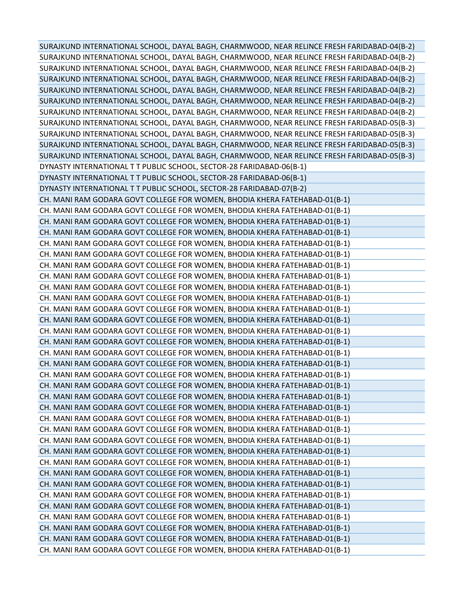SURAJKUND INTERNATIONAL SCHOOL, DAYAL BAGH, CHARMWOOD, NEAR RELINCE FRESH FARIDABAD-04(B-2) SURAJKUND INTERNATIONAL SCHOOL, DAYAL BAGH, CHARMWOOD, NEAR RELINCE FRESH FARIDABAD-04(B-2) SURAJKUND INTERNATIONAL SCHOOL, DAYAL BAGH, CHARMWOOD, NEAR RELINCE FRESH FARIDABAD-04(B-2) SURAJKUND INTERNATIONAL SCHOOL, DAYAL BAGH, CHARMWOOD, NEAR RELINCE FRESH FARIDABAD-04(B-2) SURAJKUND INTERNATIONAL SCHOOL, DAYAL BAGH, CHARMWOOD, NEAR RELINCE FRESH FARIDABAD-04(B-2) SURAJKUND INTERNATIONAL SCHOOL, DAYAL BAGH, CHARMWOOD, NEAR RELINCE FRESH FARIDABAD-04(B-2) SURAJKUND INTERNATIONAL SCHOOL, DAYAL BAGH, CHARMWOOD, NEAR RELINCE FRESH FARIDABAD-04(B-2) SURAJKUND INTERNATIONAL SCHOOL, DAYAL BAGH, CHARMWOOD, NEAR RELINCE FRESH FARIDABAD-05(B-3) SURAJKUND INTERNATIONAL SCHOOL, DAYAL BAGH, CHARMWOOD, NEAR RELINCE FRESH FARIDABAD-05(B-3) SURAJKUND INTERNATIONAL SCHOOL, DAYAL BAGH, CHARMWOOD, NEAR RELINCE FRESH FARIDABAD-05(B-3) SURAJKUND INTERNATIONAL SCHOOL, DAYAL BAGH, CHARMWOOD, NEAR RELINCE FRESH FARIDABAD-05(B-3) DYNASTY INTERNATIONAL T T PUBLIC SCHOOL, SECTOR-28 FARIDABAD-06(B-1) DYNASTY INTERNATIONAL T T PUBLIC SCHOOL, SECTOR-28 FARIDABAD-06(B-1) DYNASTY INTERNATIONAL T T PUBLIC SCHOOL, SECTOR-28 FARIDABAD-07(B-2) CH. MANI RAM GODARA GOVT COLLEGE FOR WOMEN, BHODIA KHERA FATEHABAD-01(B-1) CH. MANI RAM GODARA GOVT COLLEGE FOR WOMEN, BHODIA KHERA FATEHABAD-01(B-1) CH. MANI RAM GODARA GOVT COLLEGE FOR WOMEN, BHODIA KHERA FATEHABAD-01(B-1) CH. MANI RAM GODARA GOVT COLLEGE FOR WOMEN, BHODIA KHERA FATEHABAD-01(B-1) CH. MANI RAM GODARA GOVT COLLEGE FOR WOMEN, BHODIA KHERA FATEHABAD-01(B-1) CH. MANI RAM GODARA GOVT COLLEGE FOR WOMEN, BHODIA KHERA FATEHABAD-01(B-1) CH. MANI RAM GODARA GOVT COLLEGE FOR WOMEN, BHODIA KHERA FATEHABAD-01(B-1) CH. MANI RAM GODARA GOVT COLLEGE FOR WOMEN, BHODIA KHERA FATEHABAD-01(B-1) CH. MANI RAM GODARA GOVT COLLEGE FOR WOMEN, BHODIA KHERA FATEHABAD-01(B-1) CH. MANI RAM GODARA GOVT COLLEGE FOR WOMEN, BHODIA KHERA FATEHABAD-01(B-1) CH. MANI RAM GODARA GOVT COLLEGE FOR WOMEN, BHODIA KHERA FATEHABAD-01(B-1) CH. MANI RAM GODARA GOVT COLLEGE FOR WOMEN, BHODIA KHERA FATEHABAD-01(B-1) CH. MANI RAM GODARA GOVT COLLEGE FOR WOMEN, BHODIA KHERA FATEHABAD-01(B-1) CH. MANI RAM GODARA GOVT COLLEGE FOR WOMEN, BHODIA KHERA FATEHABAD-01(B-1) CH. MANI RAM GODARA GOVT COLLEGE FOR WOMEN, BHODIA KHERA FATEHABAD-01(B-1) CH. MANI RAM GODARA GOVT COLLEGE FOR WOMEN, BHODIA KHERA FATEHABAD-01(B-1) CH. MANI RAM GODARA GOVT COLLEGE FOR WOMEN, BHODIA KHERA FATEHABAD-01(B-1) CH. MANI RAM GODARA GOVT COLLEGE FOR WOMEN, BHODIA KHERA FATEHABAD-01(B-1) CH. MANI RAM GODARA GOVT COLLEGE FOR WOMEN, BHODIA KHERA FATEHABAD-01(B-1) CH. MANI RAM GODARA GOVT COLLEGE FOR WOMEN, BHODIA KHERA FATEHABAD-01(B-1) CH. MANI RAM GODARA GOVT COLLEGE FOR WOMEN, BHODIA KHERA FATEHABAD-01(B-1) CH. MANI RAM GODARA GOVT COLLEGE FOR WOMEN, BHODIA KHERA FATEHABAD-01(B-1) CH. MANI RAM GODARA GOVT COLLEGE FOR WOMEN, BHODIA KHERA FATEHABAD-01(B-1) CH. MANI RAM GODARA GOVT COLLEGE FOR WOMEN, BHODIA KHERA FATEHABAD-01(B-1) CH. MANI RAM GODARA GOVT COLLEGE FOR WOMEN, BHODIA KHERA FATEHABAD-01(B-1) CH. MANI RAM GODARA GOVT COLLEGE FOR WOMEN, BHODIA KHERA FATEHABAD-01(B-1) CH. MANI RAM GODARA GOVT COLLEGE FOR WOMEN, BHODIA KHERA FATEHABAD-01(B-1) CH. MANI RAM GODARA GOVT COLLEGE FOR WOMEN, BHODIA KHERA FATEHABAD-01(B-1) CH. MANI RAM GODARA GOVT COLLEGE FOR WOMEN, BHODIA KHERA FATEHABAD-01(B-1) CH. MANI RAM GODARA GOVT COLLEGE FOR WOMEN, BHODIA KHERA FATEHABAD-01(B-1) CH. MANI RAM GODARA GOVT COLLEGE FOR WOMEN, BHODIA KHERA FATEHABAD-01(B-1) CH. MANI RAM GODARA GOVT COLLEGE FOR WOMEN, BHODIA KHERA FATEHABAD-01(B-1) CH. MANI RAM GODARA GOVT COLLEGE FOR WOMEN, BHODIA KHERA FATEHABAD-01(B-1)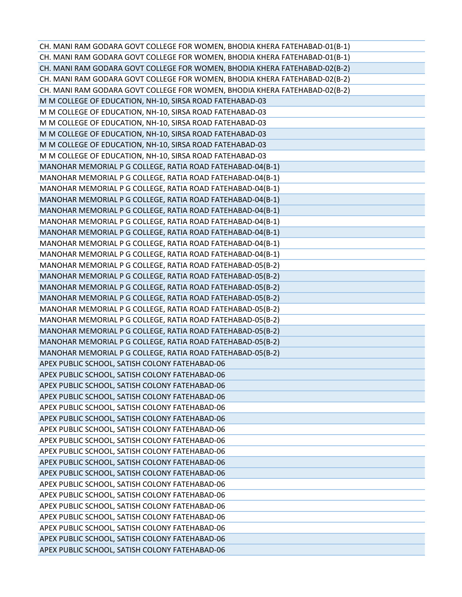| CH. MANI RAM GODARA GOVT COLLEGE FOR WOMEN, BHODIA KHERA FATEHABAD-01(B-1) |
|----------------------------------------------------------------------------|
| CH. MANI RAM GODARA GOVT COLLEGE FOR WOMEN, BHODIA KHERA FATEHABAD-01(B-1) |
| CH. MANI RAM GODARA GOVT COLLEGE FOR WOMEN, BHODIA KHERA FATEHABAD-02(B-2) |
| CH. MANI RAM GODARA GOVT COLLEGE FOR WOMEN, BHODIA KHERA FATEHABAD-02(B-2) |
| CH. MANI RAM GODARA GOVT COLLEGE FOR WOMEN, BHODIA KHERA FATEHABAD-02(B-2) |
| M M COLLEGE OF EDUCATION, NH-10, SIRSA ROAD FATEHABAD-03                   |
| M M COLLEGE OF EDUCATION, NH-10, SIRSA ROAD FATEHABAD-03                   |
| M M COLLEGE OF EDUCATION, NH-10, SIRSA ROAD FATEHABAD-03                   |
| M M COLLEGE OF EDUCATION, NH-10, SIRSA ROAD FATEHABAD-03                   |
| M M COLLEGE OF EDUCATION, NH-10, SIRSA ROAD FATEHABAD-03                   |
| M M COLLEGE OF EDUCATION, NH-10, SIRSA ROAD FATEHABAD-03                   |
| MANOHAR MEMORIAL P G COLLEGE, RATIA ROAD FATEHABAD-04(B-1)                 |
| MANOHAR MEMORIAL P G COLLEGE, RATIA ROAD FATEHABAD-04(B-1)                 |
| MANOHAR MEMORIAL P G COLLEGE, RATIA ROAD FATEHABAD-04(B-1)                 |
| MANOHAR MEMORIAL P G COLLEGE, RATIA ROAD FATEHABAD-04(B-1)                 |
| MANOHAR MEMORIAL P G COLLEGE, RATIA ROAD FATEHABAD-04(B-1)                 |
| MANOHAR MEMORIAL P G COLLEGE, RATIA ROAD FATEHABAD-04(B-1)                 |
| MANOHAR MEMORIAL P G COLLEGE, RATIA ROAD FATEHABAD-04(B-1)                 |
| MANOHAR MEMORIAL P G COLLEGE, RATIA ROAD FATEHABAD-04(B-1)                 |
| MANOHAR MEMORIAL P G COLLEGE, RATIA ROAD FATEHABAD-04(B-1)                 |
| MANOHAR MEMORIAL P G COLLEGE, RATIA ROAD FATEHABAD-05(B-2)                 |
| MANOHAR MEMORIAL P G COLLEGE, RATIA ROAD FATEHABAD-05(B-2)                 |
| MANOHAR MEMORIAL P G COLLEGE, RATIA ROAD FATEHABAD-05(B-2)                 |
| MANOHAR MEMORIAL P G COLLEGE, RATIA ROAD FATEHABAD-05(B-2)                 |
| MANOHAR MEMORIAL P G COLLEGE, RATIA ROAD FATEHABAD-05(B-2)                 |
| MANOHAR MEMORIAL P G COLLEGE, RATIA ROAD FATEHABAD-05(B-2)                 |
| MANOHAR MEMORIAL P G COLLEGE, RATIA ROAD FATEHABAD-05(B-2)                 |
| MANOHAR MEMORIAL P G COLLEGE, RATIA ROAD FATEHABAD-05(B-2)                 |
| MANOHAR MEMORIAL P G COLLEGE, RATIA ROAD FATEHABAD-05(B-2)                 |
| APEX PUBLIC SCHOOL, SATISH COLONY FATEHABAD-06                             |
| APEX PUBLIC SCHOOL, SATISH COLONY FATEHABAD-06                             |
| APEX PUBLIC SCHOOL, SATISH COLONY FATEHABAD-06                             |
| APEX PUBLIC SCHOOL, SATISH COLONY FATEHABAD-06                             |
| APEX PUBLIC SCHOOL, SATISH COLONY FATEHABAD-06                             |
| APEX PUBLIC SCHOOL, SATISH COLONY FATEHABAD-06                             |
| APEX PUBLIC SCHOOL, SATISH COLONY FATEHABAD-06                             |
| APEX PUBLIC SCHOOL, SATISH COLONY FATEHABAD-06                             |
| APEX PUBLIC SCHOOL, SATISH COLONY FATEHABAD-06                             |
| APEX PUBLIC SCHOOL, SATISH COLONY FATEHABAD-06                             |
| APEX PUBLIC SCHOOL, SATISH COLONY FATEHABAD-06                             |
| APEX PUBLIC SCHOOL, SATISH COLONY FATEHABAD-06                             |
| APEX PUBLIC SCHOOL, SATISH COLONY FATEHABAD-06                             |
| APEX PUBLIC SCHOOL, SATISH COLONY FATEHABAD-06                             |
| APEX PUBLIC SCHOOL, SATISH COLONY FATEHABAD-06                             |
| APEX PUBLIC SCHOOL, SATISH COLONY FATEHABAD-06                             |
| APEX PUBLIC SCHOOL, SATISH COLONY FATEHABAD-06                             |
| APEX PUBLIC SCHOOL, SATISH COLONY FATEHABAD-06                             |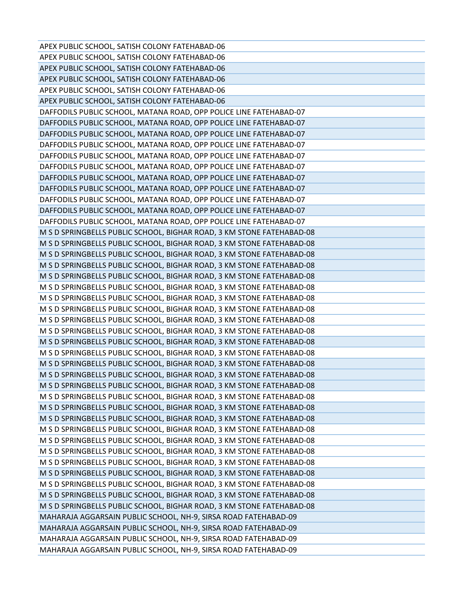| APEX PUBLIC SCHOOL, SATISH COLONY FATEHABAD-06                        |
|-----------------------------------------------------------------------|
| APEX PUBLIC SCHOOL, SATISH COLONY FATEHABAD-06                        |
| APEX PUBLIC SCHOOL, SATISH COLONY FATEHABAD-06                        |
| APEX PUBLIC SCHOOL, SATISH COLONY FATEHABAD-06                        |
| APEX PUBLIC SCHOOL, SATISH COLONY FATEHABAD-06                        |
| APEX PUBLIC SCHOOL, SATISH COLONY FATEHABAD-06                        |
| DAFFODILS PUBLIC SCHOOL, MATANA ROAD, OPP POLICE LINE FATEHABAD-07    |
| DAFFODILS PUBLIC SCHOOL, MATANA ROAD, OPP POLICE LINE FATEHABAD-07    |
| DAFFODILS PUBLIC SCHOOL, MATANA ROAD, OPP POLICE LINE FATEHABAD-07    |
| DAFFODILS PUBLIC SCHOOL, MATANA ROAD, OPP POLICE LINE FATEHABAD-07    |
| DAFFODILS PUBLIC SCHOOL, MATANA ROAD, OPP POLICE LINE FATEHABAD-07    |
| DAFFODILS PUBLIC SCHOOL, MATANA ROAD, OPP POLICE LINE FATEHABAD-07    |
| DAFFODILS PUBLIC SCHOOL, MATANA ROAD, OPP POLICE LINE FATEHABAD-07    |
| DAFFODILS PUBLIC SCHOOL, MATANA ROAD, OPP POLICE LINE FATEHABAD-07    |
| DAFFODILS PUBLIC SCHOOL, MATANA ROAD, OPP POLICE LINE FATEHABAD-07    |
| DAFFODILS PUBLIC SCHOOL, MATANA ROAD, OPP POLICE LINE FATEHABAD-07    |
| DAFFODILS PUBLIC SCHOOL, MATANA ROAD, OPP POLICE LINE FATEHABAD-07    |
| M S D SPRINGBELLS PUBLIC SCHOOL, BIGHAR ROAD, 3 KM STONE FATEHABAD-08 |
| M S D SPRINGBELLS PUBLIC SCHOOL, BIGHAR ROAD, 3 KM STONE FATEHABAD-08 |
| M S D SPRINGBELLS PUBLIC SCHOOL, BIGHAR ROAD, 3 KM STONE FATEHABAD-08 |
| M S D SPRINGBELLS PUBLIC SCHOOL, BIGHAR ROAD, 3 KM STONE FATEHABAD-08 |
| M S D SPRINGBELLS PUBLIC SCHOOL, BIGHAR ROAD, 3 KM STONE FATEHABAD-08 |
| M S D SPRINGBELLS PUBLIC SCHOOL, BIGHAR ROAD, 3 KM STONE FATEHABAD-08 |
| M S D SPRINGBELLS PUBLIC SCHOOL, BIGHAR ROAD, 3 KM STONE FATEHABAD-08 |
| M S D SPRINGBELLS PUBLIC SCHOOL, BIGHAR ROAD, 3 KM STONE FATEHABAD-08 |
| M S D SPRINGBELLS PUBLIC SCHOOL, BIGHAR ROAD, 3 KM STONE FATEHABAD-08 |
| M S D SPRINGBELLS PUBLIC SCHOOL, BIGHAR ROAD, 3 KM STONE FATEHABAD-08 |
| M S D SPRINGBELLS PUBLIC SCHOOL, BIGHAR ROAD, 3 KM STONE FATEHABAD-08 |
| M S D SPRINGBELLS PUBLIC SCHOOL, BIGHAR ROAD, 3 KM STONE FATEHABAD-08 |
| M S D SPRINGBELLS PUBLIC SCHOOL, BIGHAR ROAD, 3 KM STONE FATEHABAD-08 |
| M S D SPRINGBELLS PUBLIC SCHOOL, BIGHAR ROAD, 3 KM STONE FATEHABAD-08 |
| M S D SPRINGBELLS PUBLIC SCHOOL, BIGHAR ROAD, 3 KM STONE FATEHABAD-08 |
| M S D SPRINGBELLS PUBLIC SCHOOL, BIGHAR ROAD, 3 KM STONE FATEHABAD-08 |
| M S D SPRINGBELLS PUBLIC SCHOOL, BIGHAR ROAD, 3 KM STONE FATEHABAD-08 |
| M S D SPRINGBELLS PUBLIC SCHOOL, BIGHAR ROAD, 3 KM STONE FATEHABAD-08 |
| M S D SPRINGBELLS PUBLIC SCHOOL, BIGHAR ROAD, 3 KM STONE FATEHABAD-08 |
| M S D SPRINGBELLS PUBLIC SCHOOL, BIGHAR ROAD, 3 KM STONE FATEHABAD-08 |
| M S D SPRINGBELLS PUBLIC SCHOOL, BIGHAR ROAD, 3 KM STONE FATEHABAD-08 |
| M S D SPRINGBELLS PUBLIC SCHOOL, BIGHAR ROAD, 3 KM STONE FATEHABAD-08 |
| M S D SPRINGBELLS PUBLIC SCHOOL, BIGHAR ROAD, 3 KM STONE FATEHABAD-08 |
| M S D SPRINGBELLS PUBLIC SCHOOL, BIGHAR ROAD, 3 KM STONE FATEHABAD-08 |
| M S D SPRINGBELLS PUBLIC SCHOOL, BIGHAR ROAD, 3 KM STONE FATEHABAD-08 |
| M S D SPRINGBELLS PUBLIC SCHOOL, BIGHAR ROAD, 3 KM STONE FATEHABAD-08 |
| MAHARAJA AGGARSAIN PUBLIC SCHOOL, NH-9, SIRSA ROAD FATEHABAD-09       |
| MAHARAJA AGGARSAIN PUBLIC SCHOOL, NH-9, SIRSA ROAD FATEHABAD-09       |
| MAHARAJA AGGARSAIN PUBLIC SCHOOL, NH-9, SIRSA ROAD FATEHABAD-09       |
| MAHARAJA AGGARSAIN PUBLIC SCHOOL, NH-9, SIRSA ROAD FATEHABAD-09       |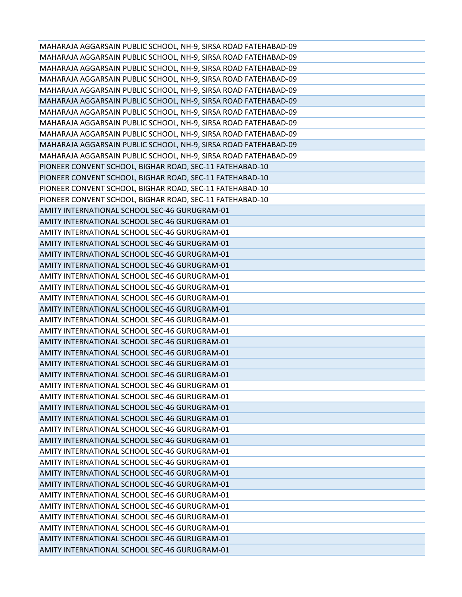| MAHARAJA AGGARSAIN PUBLIC SCHOOL, NH-9, SIRSA ROAD FATEHABAD-09 |
|-----------------------------------------------------------------|
| MAHARAJA AGGARSAIN PUBLIC SCHOOL, NH-9, SIRSA ROAD FATEHABAD-09 |
| MAHARAJA AGGARSAIN PUBLIC SCHOOL, NH-9, SIRSA ROAD FATEHABAD-09 |
| MAHARAJA AGGARSAIN PUBLIC SCHOOL, NH-9, SIRSA ROAD FATEHABAD-09 |
| MAHARAJA AGGARSAIN PUBLIC SCHOOL, NH-9, SIRSA ROAD FATEHABAD-09 |
| MAHARAJA AGGARSAIN PUBLIC SCHOOL, NH-9, SIRSA ROAD FATEHABAD-09 |
| MAHARAJA AGGARSAIN PUBLIC SCHOOL, NH-9, SIRSA ROAD FATEHABAD-09 |
| MAHARAJA AGGARSAIN PUBLIC SCHOOL, NH-9, SIRSA ROAD FATEHABAD-09 |
| MAHARAJA AGGARSAIN PUBLIC SCHOOL, NH-9, SIRSA ROAD FATEHABAD-09 |
| MAHARAJA AGGARSAIN PUBLIC SCHOOL, NH-9, SIRSA ROAD FATEHABAD-09 |
| MAHARAJA AGGARSAIN PUBLIC SCHOOL, NH-9, SIRSA ROAD FATEHABAD-09 |
| PIONEER CONVENT SCHOOL, BIGHAR ROAD, SEC-11 FATEHABAD-10        |
| PIONEER CONVENT SCHOOL, BIGHAR ROAD, SEC-11 FATEHABAD-10        |
| PIONEER CONVENT SCHOOL, BIGHAR ROAD, SEC-11 FATEHABAD-10        |
| PIONEER CONVENT SCHOOL, BIGHAR ROAD, SEC-11 FATEHABAD-10        |
| AMITY INTERNATIONAL SCHOOL SEC-46 GURUGRAM-01                   |
| AMITY INTERNATIONAL SCHOOL SEC-46 GURUGRAM-01                   |
| AMITY INTERNATIONAL SCHOOL SEC-46 GURUGRAM-01                   |
| AMITY INTERNATIONAL SCHOOL SEC-46 GURUGRAM-01                   |
| AMITY INTERNATIONAL SCHOOL SEC-46 GURUGRAM-01                   |
| AMITY INTERNATIONAL SCHOOL SEC-46 GURUGRAM-01                   |
| AMITY INTERNATIONAL SCHOOL SEC-46 GURUGRAM-01                   |
| AMITY INTERNATIONAL SCHOOL SEC-46 GURUGRAM-01                   |
| AMITY INTERNATIONAL SCHOOL SEC-46 GURUGRAM-01                   |
| AMITY INTERNATIONAL SCHOOL SEC-46 GURUGRAM-01                   |
| AMITY INTERNATIONAL SCHOOL SEC-46 GURUGRAM-01                   |
| AMITY INTERNATIONAL SCHOOL SEC-46 GURUGRAM-01                   |
| AMITY INTERNATIONAL SCHOOL SEC-46 GURUGRAM-01                   |
| AMITY INTERNATIONAL SCHOOL SEC-46 GURUGRAM-01                   |
| AMITY INTERNATIONAL SCHOOL SEC-46 GURUGRAM-01                   |
| AMITY INTERNATIONAL SCHOOL SEC-46 GURUGRAM-01                   |
| AMITY INTERNATIONAL SCHOOL SEC-46 GURUGRAM-01                   |
| AMITY INTERNATIONAL SCHOOL SEC-46 GURUGRAM-01                   |
| AMITY INTERNATIONAL SCHOOL SEC-46 GURUGRAM-01                   |
| AMITY INTERNATIONAL SCHOOL SEC-46 GURUGRAM-01                   |
| AMITY INTERNATIONAL SCHOOL SEC-46 GURUGRAM-01                   |
| AMITY INTERNATIONAL SCHOOL SEC-46 GURUGRAM-01                   |
| AMITY INTERNATIONAL SCHOOL SEC-46 GURUGRAM-01                   |
| AMITY INTERNATIONAL SCHOOL SEC-46 GURUGRAM-01                   |
| AMITY INTERNATIONAL SCHOOL SEC-46 GURUGRAM-01                   |
| AMITY INTERNATIONAL SCHOOL SEC-46 GURUGRAM-01                   |
| AMITY INTERNATIONAL SCHOOL SEC-46 GURUGRAM-01                   |
| AMITY INTERNATIONAL SCHOOL SEC-46 GURUGRAM-01                   |
| AMITY INTERNATIONAL SCHOOL SEC-46 GURUGRAM-01                   |
| AMITY INTERNATIONAL SCHOOL SEC-46 GURUGRAM-01                   |
| AMITY INTERNATIONAL SCHOOL SEC-46 GURUGRAM-01                   |
| AMITY INTERNATIONAL SCHOOL SEC-46 GURUGRAM-01                   |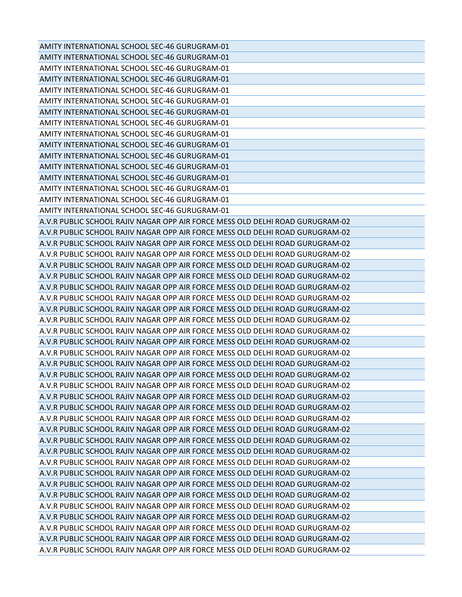| AMITY INTERNATIONAL SCHOOL SEC-46 GURUGRAM-01                                 |
|-------------------------------------------------------------------------------|
| AMITY INTERNATIONAL SCHOOL SEC-46 GURUGRAM-01                                 |
| AMITY INTERNATIONAL SCHOOL SEC-46 GURUGRAM-01                                 |
| AMITY INTERNATIONAL SCHOOL SEC-46 GURUGRAM-01                                 |
| AMITY INTERNATIONAL SCHOOL SEC-46 GURUGRAM-01                                 |
| AMITY INTERNATIONAL SCHOOL SEC-46 GURUGRAM-01                                 |
| AMITY INTERNATIONAL SCHOOL SEC-46 GURUGRAM-01                                 |
| AMITY INTERNATIONAL SCHOOL SEC-46 GURUGRAM-01                                 |
| AMITY INTERNATIONAL SCHOOL SEC-46 GURUGRAM-01                                 |
| AMITY INTERNATIONAL SCHOOL SEC-46 GURUGRAM-01                                 |
| AMITY INTERNATIONAL SCHOOL SEC-46 GURUGRAM-01                                 |
| AMITY INTERNATIONAL SCHOOL SEC-46 GURUGRAM-01                                 |
| AMITY INTERNATIONAL SCHOOL SEC-46 GURUGRAM-01                                 |
| AMITY INTERNATIONAL SCHOOL SEC-46 GURUGRAM-01                                 |
| AMITY INTERNATIONAL SCHOOL SEC-46 GURUGRAM-01                                 |
| AMITY INTERNATIONAL SCHOOL SEC-46 GURUGRAM-01                                 |
| A.V.R PUBLIC SCHOOL RAJIV NAGAR OPP AIR FORCE MESS OLD DELHI ROAD GURUGRAM-02 |
| A.V.R PUBLIC SCHOOL RAJIV NAGAR OPP AIR FORCE MESS OLD DELHI ROAD GURUGRAM-02 |
| A.V.R PUBLIC SCHOOL RAJIV NAGAR OPP AIR FORCE MESS OLD DELHI ROAD GURUGRAM-02 |
| A.V.R PUBLIC SCHOOL RAJIV NAGAR OPP AIR FORCE MESS OLD DELHI ROAD GURUGRAM-02 |
| A.V.R PUBLIC SCHOOL RAJIV NAGAR OPP AIR FORCE MESS OLD DELHI ROAD GURUGRAM-02 |
| A.V.R PUBLIC SCHOOL RAJIV NAGAR OPP AIR FORCE MESS OLD DELHI ROAD GURUGRAM-02 |
| A.V.R PUBLIC SCHOOL RAJIV NAGAR OPP AIR FORCE MESS OLD DELHI ROAD GURUGRAM-02 |
| A.V.R PUBLIC SCHOOL RAJIV NAGAR OPP AIR FORCE MESS OLD DELHI ROAD GURUGRAM-02 |
| A.V.R PUBLIC SCHOOL RAJIV NAGAR OPP AIR FORCE MESS OLD DELHI ROAD GURUGRAM-02 |
| A.V.R PUBLIC SCHOOL RAJIV NAGAR OPP AIR FORCE MESS OLD DELHI ROAD GURUGRAM-02 |
| A.V.R PUBLIC SCHOOL RAJIV NAGAR OPP AIR FORCE MESS OLD DELHI ROAD GURUGRAM-02 |
| A.V.R PUBLIC SCHOOL RAJIV NAGAR OPP AIR FORCE MESS OLD DELHI ROAD GURUGRAM-02 |
| A.V.R PUBLIC SCHOOL RAJIV NAGAR OPP AIR FORCE MESS OLD DELHI ROAD GURUGRAM-02 |
| A.V.R PUBLIC SCHOOL RAJIV NAGAR OPP AIR FORCE MESS OLD DELHI ROAD GURUGRAM-02 |
| A.V.R PUBLIC SCHOOL RAJIV NAGAR OPP AIR FORCE MESS OLD DELHI ROAD GURUGRAM-02 |
| A.V.R PUBLIC SCHOOL RAJIV NAGAR OPP AIR FORCE MESS OLD DELHI ROAD GURUGRAM-02 |
| A.V.R PUBLIC SCHOOL RAJIV NAGAR OPP AIR FORCE MESS OLD DELHI ROAD GURUGRAM-02 |
| A.V.R PUBLIC SCHOOL RAJIV NAGAR OPP AIR FORCE MESS OLD DELHI ROAD GURUGRAM-02 |
| A.V.R PUBLIC SCHOOL RAJIV NAGAR OPP AIR FORCE MESS OLD DELHI ROAD GURUGRAM-02 |
| A.V.R PUBLIC SCHOOL RAJIV NAGAR OPP AIR FORCE MESS OLD DELHI ROAD GURUGRAM-02 |
| A.V.R PUBLIC SCHOOL RAJIV NAGAR OPP AIR FORCE MESS OLD DELHI ROAD GURUGRAM-02 |
| A.V.R PUBLIC SCHOOL RAJIV NAGAR OPP AIR FORCE MESS OLD DELHI ROAD GURUGRAM-02 |
| A.V.R PUBLIC SCHOOL RAJIV NAGAR OPP AIR FORCE MESS OLD DELHI ROAD GURUGRAM-02 |
| A.V.R PUBLIC SCHOOL RAJIV NAGAR OPP AIR FORCE MESS OLD DELHI ROAD GURUGRAM-02 |
| A.V.R PUBLIC SCHOOL RAJIV NAGAR OPP AIR FORCE MESS OLD DELHI ROAD GURUGRAM-02 |
| A.V.R PUBLIC SCHOOL RAJIV NAGAR OPP AIR FORCE MESS OLD DELHI ROAD GURUGRAM-02 |
| A.V.R PUBLIC SCHOOL RAJIV NAGAR OPP AIR FORCE MESS OLD DELHI ROAD GURUGRAM-02 |
| A.V.R PUBLIC SCHOOL RAJIV NAGAR OPP AIR FORCE MESS OLD DELHI ROAD GURUGRAM-02 |
| A.V.R PUBLIC SCHOOL RAJIV NAGAR OPP AIR FORCE MESS OLD DELHI ROAD GURUGRAM-02 |
| A.V.R PUBLIC SCHOOL RAJIV NAGAR OPP AIR FORCE MESS OLD DELHI ROAD GURUGRAM-02 |
| A.V.R PUBLIC SCHOOL RAJIV NAGAR OPP AIR FORCE MESS OLD DELHI ROAD GURUGRAM-02 |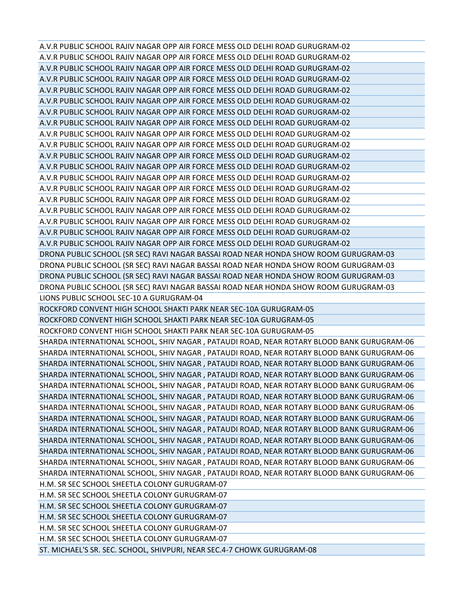A.V.R PUBLIC SCHOOL RAJIV NAGAR OPP AIR FORCE MESS OLD DELHI ROAD GURUGRAM-02 A.V.R PUBLIC SCHOOL RAJIV NAGAR OPP AIR FORCE MESS OLD DELHI ROAD GURUGRAM-02 A.V.R PUBLIC SCHOOL RAJIV NAGAR OPP AIR FORCE MESS OLD DELHI ROAD GURUGRAM-02 A.V.R PUBLIC SCHOOL RAJIV NAGAR OPP AIR FORCE MESS OLD DELHI ROAD GURUGRAM-02 A.V.R PUBLIC SCHOOL RAJIV NAGAR OPP AIR FORCE MESS OLD DELHI ROAD GURUGRAM-02 A.V.R PUBLIC SCHOOL RAJIV NAGAR OPP AIR FORCE MESS OLD DELHI ROAD GURUGRAM-02 A.V.R PUBLIC SCHOOL RAJIV NAGAR OPP AIR FORCE MESS OLD DELHI ROAD GURUGRAM-02 A.V.R PUBLIC SCHOOL RAJIV NAGAR OPP AIR FORCE MESS OLD DELHI ROAD GURUGRAM-02 A.V.R PUBLIC SCHOOL RAJIV NAGAR OPP AIR FORCE MESS OLD DELHI ROAD GURUGRAM-02 A.V.R PUBLIC SCHOOL RAJIV NAGAR OPP AIR FORCE MESS OLD DELHI ROAD GURUGRAM-02 A.V.R PUBLIC SCHOOL RAJIV NAGAR OPP AIR FORCE MESS OLD DELHI ROAD GURUGRAM-02 A.V.R PUBLIC SCHOOL RAJIV NAGAR OPP AIR FORCE MESS OLD DELHI ROAD GURUGRAM-02 A.V.R PUBLIC SCHOOL RAJIV NAGAR OPP AIR FORCE MESS OLD DELHI ROAD GURUGRAM-02 A.V.R PUBLIC SCHOOL RAJIV NAGAR OPP AIR FORCE MESS OLD DELHI ROAD GURUGRAM-02 A.V.R PUBLIC SCHOOL RAJIV NAGAR OPP AIR FORCE MESS OLD DELHI ROAD GURUGRAM-02 A.V.R PUBLIC SCHOOL RAJIV NAGAR OPP AIR FORCE MESS OLD DELHI ROAD GURUGRAM-02 A.V.R PUBLIC SCHOOL RAJIV NAGAR OPP AIR FORCE MESS OLD DELHI ROAD GURUGRAM-02 A.V.R PUBLIC SCHOOL RAJIV NAGAR OPP AIR FORCE MESS OLD DELHI ROAD GURUGRAM-02 A.V.R PUBLIC SCHOOL RAJIV NAGAR OPP AIR FORCE MESS OLD DELHI ROAD GURUGRAM-02 DRONA PUBLIC SCHOOL (SR SEC) RAVI NAGAR BASSAI ROAD NEAR HONDA SHOW ROOM GURUGRAM-03 DRONA PUBLIC SCHOOL (SR SEC) RAVI NAGAR BASSAI ROAD NEAR HONDA SHOW ROOM GURUGRAM-03 DRONA PUBLIC SCHOOL (SR SEC) RAVI NAGAR BASSAI ROAD NEAR HONDA SHOW ROOM GURUGRAM-03 DRONA PUBLIC SCHOOL (SR SEC) RAVI NAGAR BASSAI ROAD NEAR HONDA SHOW ROOM GURUGRAM-03 LIONS PUBLIC SCHOOL SEC-10 A GURUGRAM-04 ROCKFORD CONVENT HIGH SCHOOL SHAKTI PARK NEAR SEC-10A GURUGRAM-05 ROCKFORD CONVENT HIGH SCHOOL SHAKTI PARK NEAR SEC-10A GURUGRAM-05 ROCKFORD CONVENT HIGH SCHOOL SHAKTI PARK NEAR SEC-10A GURUGRAM-05 SHARDA INTERNATIONAL SCHOOL, SHIV NAGAR , PATAUDI ROAD, NEAR ROTARY BLOOD BANK GURUGRAM-06 SHARDA INTERNATIONAL SCHOOL, SHIV NAGAR , PATAUDI ROAD, NEAR ROTARY BLOOD BANK GURUGRAM-06 SHARDA INTERNATIONAL SCHOOL, SHIV NAGAR , PATAUDI ROAD, NEAR ROTARY BLOOD BANK GURUGRAM-06 SHARDA INTERNATIONAL SCHOOL, SHIV NAGAR , PATAUDI ROAD, NEAR ROTARY BLOOD BANK GURUGRAM-06 SHARDA INTERNATIONAL SCHOOL, SHIV NAGAR , PATAUDI ROAD, NEAR ROTARY BLOOD BANK GURUGRAM-06 SHARDA INTERNATIONAL SCHOOL, SHIV NAGAR , PATAUDI ROAD, NEAR ROTARY BLOOD BANK GURUGRAM-06 SHARDA INTERNATIONAL SCHOOL, SHIV NAGAR , PATAUDI ROAD, NEAR ROTARY BLOOD BANK GURUGRAM-06 SHARDA INTERNATIONAL SCHOOL, SHIV NAGAR , PATAUDI ROAD, NEAR ROTARY BLOOD BANK GURUGRAM-06 SHARDA INTERNATIONAL SCHOOL, SHIV NAGAR , PATAUDI ROAD, NEAR ROTARY BLOOD BANK GURUGRAM-06 SHARDA INTERNATIONAL SCHOOL, SHIV NAGAR , PATAUDI ROAD, NEAR ROTARY BLOOD BANK GURUGRAM-06 SHARDA INTERNATIONAL SCHOOL, SHIV NAGAR , PATAUDI ROAD, NEAR ROTARY BLOOD BANK GURUGRAM-06 SHARDA INTERNATIONAL SCHOOL, SHIV NAGAR , PATAUDI ROAD, NEAR ROTARY BLOOD BANK GURUGRAM-06 SHARDA INTERNATIONAL SCHOOL, SHIV NAGAR , PATAUDI ROAD, NEAR ROTARY BLOOD BANK GURUGRAM-06 H.M. SR SEC SCHOOL SHEETLA COLONY GURUGRAM-07 H.M. SR SEC SCHOOL SHEETLA COLONY GURUGRAM-07 H.M. SR SEC SCHOOL SHEETLA COLONY GURUGRAM-07 H.M. SR SEC SCHOOL SHEETLA COLONY GURUGRAM-07 H.M. SR SEC SCHOOL SHEETLA COLONY GURUGRAM-07 H.M. SR SEC SCHOOL SHEETLA COLONY GURUGRAM-07 ST. MICHAEL'S SR. SEC. SCHOOL, SHIVPURI, NEAR SEC.4-7 CHOWK GURUGRAM-08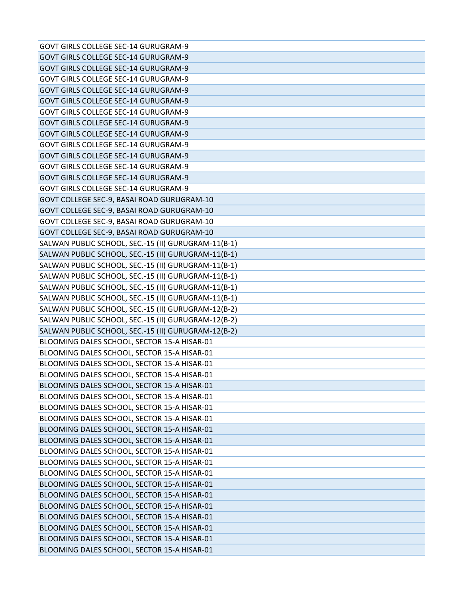| GOVT GIRLS COLLEGE SEC-14 GURUGRAM-9                |
|-----------------------------------------------------|
| GOVT GIRLS COLLEGE SEC-14 GURUGRAM-9                |
| GOVT GIRLS COLLEGE SEC-14 GURUGRAM-9                |
| GOVT GIRLS COLLEGE SEC-14 GURUGRAM-9                |
| GOVT GIRLS COLLEGE SEC-14 GURUGRAM-9                |
| GOVT GIRLS COLLEGE SEC-14 GURUGRAM-9                |
| <b>GOVT GIRLS COLLEGE SEC-14 GURUGRAM-9</b>         |
| <b>GOVT GIRLS COLLEGE SEC-14 GURUGRAM-9</b>         |
| GOVT GIRLS COLLEGE SEC-14 GURUGRAM-9                |
| GOVT GIRLS COLLEGE SEC-14 GURUGRAM-9                |
| GOVT GIRLS COLLEGE SEC-14 GURUGRAM-9                |
| GOVT GIRLS COLLEGE SEC-14 GURUGRAM-9                |
| GOVT GIRLS COLLEGE SEC-14 GURUGRAM-9                |
| GOVT GIRLS COLLEGE SEC-14 GURUGRAM-9                |
| GOVT COLLEGE SEC-9, BASAI ROAD GURUGRAM-10          |
| GOVT COLLEGE SEC-9, BASAI ROAD GURUGRAM-10          |
| GOVT COLLEGE SEC-9, BASAI ROAD GURUGRAM-10          |
| GOVT COLLEGE SEC-9, BASAI ROAD GURUGRAM-10          |
| SALWAN PUBLIC SCHOOL, SEC.-15 (II) GURUGRAM-11(B-1) |
| SALWAN PUBLIC SCHOOL, SEC.-15 (II) GURUGRAM-11(B-1) |
| SALWAN PUBLIC SCHOOL, SEC.-15 (II) GURUGRAM-11(B-1) |
| SALWAN PUBLIC SCHOOL, SEC.-15 (II) GURUGRAM-11(B-1) |
| SALWAN PUBLIC SCHOOL, SEC.-15 (II) GURUGRAM-11(B-1) |
| SALWAN PUBLIC SCHOOL, SEC.-15 (II) GURUGRAM-11(B-1) |
| SALWAN PUBLIC SCHOOL, SEC.-15 (II) GURUGRAM-12(B-2) |
| SALWAN PUBLIC SCHOOL, SEC.-15 (II) GURUGRAM-12(B-2) |
| SALWAN PUBLIC SCHOOL, SEC.-15 (II) GURUGRAM-12(B-2) |
| BLOOMING DALES SCHOOL, SECTOR 15-A HISAR-01         |
| BLOOMING DALES SCHOOL, SECTOR 15-A HISAR-01         |
| BLOOMING DALES SCHOOL, SECTOR 15-A HISAR-01         |
| BLOOMING DALES SCHOOL, SECTOR 15-A HISAR-01         |
| BLOOMING DALES SCHOOL, SECTOR 15-A HISAR-01         |
| BLOOMING DALES SCHOOL, SECTOR 15-A HISAR-01         |
| BLOOMING DALES SCHOOL, SECTOR 15-A HISAR-01         |
| BLOOMING DALES SCHOOL, SECTOR 15-A HISAR-01         |
| BLOOMING DALES SCHOOL, SECTOR 15-A HISAR-01         |
| BLOOMING DALES SCHOOL, SECTOR 15-A HISAR-01         |
| BLOOMING DALES SCHOOL, SECTOR 15-A HISAR-01         |
| BLOOMING DALES SCHOOL, SECTOR 15-A HISAR-01         |
| BLOOMING DALES SCHOOL, SECTOR 15-A HISAR-01         |
| BLOOMING DALES SCHOOL, SECTOR 15-A HISAR-01         |
| BLOOMING DALES SCHOOL, SECTOR 15-A HISAR-01         |
| BLOOMING DALES SCHOOL, SECTOR 15-A HISAR-01         |
| BLOOMING DALES SCHOOL, SECTOR 15-A HISAR-01         |
| BLOOMING DALES SCHOOL, SECTOR 15-A HISAR-01         |
| BLOOMING DALES SCHOOL, SECTOR 15-A HISAR-01         |
| BLOOMING DALES SCHOOL, SECTOR 15-A HISAR-01         |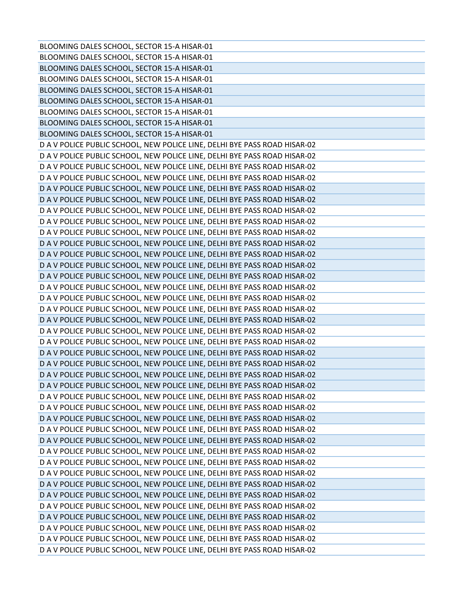| BLOOMING DALES SCHOOL, SECTOR 15-A HISAR-01                               |
|---------------------------------------------------------------------------|
| BLOOMING DALES SCHOOL, SECTOR 15-A HISAR-01                               |
| BLOOMING DALES SCHOOL, SECTOR 15-A HISAR-01                               |
| BLOOMING DALES SCHOOL, SECTOR 15-A HISAR-01                               |
| BLOOMING DALES SCHOOL, SECTOR 15-A HISAR-01                               |
| BLOOMING DALES SCHOOL, SECTOR 15-A HISAR-01                               |
| BLOOMING DALES SCHOOL, SECTOR 15-A HISAR-01                               |
| BLOOMING DALES SCHOOL, SECTOR 15-A HISAR-01                               |
| BLOOMING DALES SCHOOL, SECTOR 15-A HISAR-01                               |
| D A V POLICE PUBLIC SCHOOL, NEW POLICE LINE, DELHI BYE PASS ROAD HISAR-02 |
| D A V POLICE PUBLIC SCHOOL, NEW POLICE LINE, DELHI BYE PASS ROAD HISAR-02 |
| D A V POLICE PUBLIC SCHOOL, NEW POLICE LINE, DELHI BYE PASS ROAD HISAR-02 |
| D A V POLICE PUBLIC SCHOOL, NEW POLICE LINE, DELHI BYE PASS ROAD HISAR-02 |
| D A V POLICE PUBLIC SCHOOL, NEW POLICE LINE, DELHI BYE PASS ROAD HISAR-02 |
| D A V POLICE PUBLIC SCHOOL, NEW POLICE LINE, DELHI BYE PASS ROAD HISAR-02 |
| D A V POLICE PUBLIC SCHOOL, NEW POLICE LINE, DELHI BYE PASS ROAD HISAR-02 |
| D A V POLICE PUBLIC SCHOOL, NEW POLICE LINE, DELHI BYE PASS ROAD HISAR-02 |
| D A V POLICE PUBLIC SCHOOL, NEW POLICE LINE, DELHI BYE PASS ROAD HISAR-02 |
| D A V POLICE PUBLIC SCHOOL, NEW POLICE LINE, DELHI BYE PASS ROAD HISAR-02 |
| D A V POLICE PUBLIC SCHOOL, NEW POLICE LINE, DELHI BYE PASS ROAD HISAR-02 |
| D A V POLICE PUBLIC SCHOOL, NEW POLICE LINE, DELHI BYE PASS ROAD HISAR-02 |
| D A V POLICE PUBLIC SCHOOL, NEW POLICE LINE, DELHI BYE PASS ROAD HISAR-02 |
| D A V POLICE PUBLIC SCHOOL, NEW POLICE LINE, DELHI BYE PASS ROAD HISAR-02 |
| D A V POLICE PUBLIC SCHOOL, NEW POLICE LINE, DELHI BYE PASS ROAD HISAR-02 |
| D A V POLICE PUBLIC SCHOOL, NEW POLICE LINE, DELHI BYE PASS ROAD HISAR-02 |
| D A V POLICE PUBLIC SCHOOL, NEW POLICE LINE, DELHI BYE PASS ROAD HISAR-02 |
| D A V POLICE PUBLIC SCHOOL, NEW POLICE LINE, DELHI BYE PASS ROAD HISAR-02 |
| D A V POLICE PUBLIC SCHOOL, NEW POLICE LINE, DELHI BYE PASS ROAD HISAR-02 |
| D A V POLICE PUBLIC SCHOOL, NEW POLICE LINE, DELHI BYE PASS ROAD HISAR-02 |
| D A V POLICE PUBLIC SCHOOL, NEW POLICE LINE, DELHI BYE PASS ROAD HISAR-02 |
| D A V POLICE PUBLIC SCHOOL, NEW POLICE LINE, DELHI BYE PASS ROAD HISAR-02 |
| D A V POLICE PUBLIC SCHOOL, NEW POLICE LINE, DELHI BYE PASS ROAD HISAR-02 |
| D A V POLICE PUBLIC SCHOOL, NEW POLICE LINE, DELHI BYE PASS ROAD HISAR-02 |
| D A V POLICE PUBLIC SCHOOL, NEW POLICE LINE, DELHI BYE PASS ROAD HISAR-02 |
| D A V POLICE PUBLIC SCHOOL, NEW POLICE LINE, DELHI BYE PASS ROAD HISAR-02 |
| D A V POLICE PUBLIC SCHOOL, NEW POLICE LINE, DELHI BYE PASS ROAD HISAR-02 |
| D A V POLICE PUBLIC SCHOOL, NEW POLICE LINE, DELHI BYE PASS ROAD HISAR-02 |
| D A V POLICE PUBLIC SCHOOL, NEW POLICE LINE, DELHI BYE PASS ROAD HISAR-02 |
| D A V POLICE PUBLIC SCHOOL, NEW POLICE LINE, DELHI BYE PASS ROAD HISAR-02 |
| D A V POLICE PUBLIC SCHOOL, NEW POLICE LINE, DELHI BYE PASS ROAD HISAR-02 |
| D A V POLICE PUBLIC SCHOOL, NEW POLICE LINE, DELHI BYE PASS ROAD HISAR-02 |
| D A V POLICE PUBLIC SCHOOL, NEW POLICE LINE, DELHI BYE PASS ROAD HISAR-02 |
| D A V POLICE PUBLIC SCHOOL, NEW POLICE LINE, DELHI BYE PASS ROAD HISAR-02 |
| D A V POLICE PUBLIC SCHOOL, NEW POLICE LINE, DELHI BYE PASS ROAD HISAR-02 |
| D A V POLICE PUBLIC SCHOOL, NEW POLICE LINE, DELHI BYE PASS ROAD HISAR-02 |
| D A V POLICE PUBLIC SCHOOL, NEW POLICE LINE, DELHI BYE PASS ROAD HISAR-02 |
| D A V POLICE PUBLIC SCHOOL, NEW POLICE LINE, DELHI BYE PASS ROAD HISAR-02 |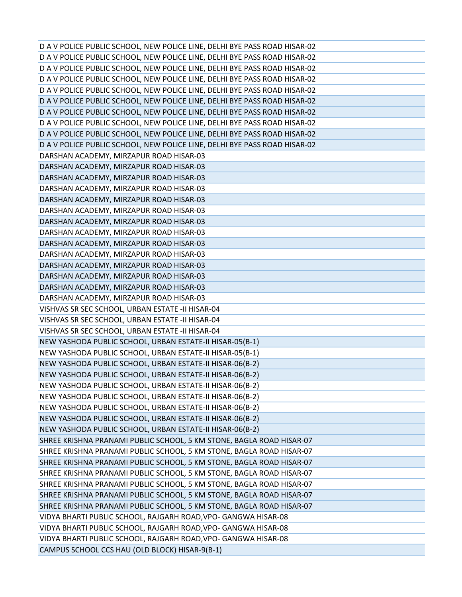| D A V POLICE PUBLIC SCHOOL, NEW POLICE LINE, DELHI BYE PASS ROAD HISAR-02 |
|---------------------------------------------------------------------------|
| D A V POLICE PUBLIC SCHOOL, NEW POLICE LINE, DELHI BYE PASS ROAD HISAR-02 |
| D A V POLICE PUBLIC SCHOOL, NEW POLICE LINE, DELHI BYE PASS ROAD HISAR-02 |
| D A V POLICE PUBLIC SCHOOL, NEW POLICE LINE, DELHI BYE PASS ROAD HISAR-02 |
| D A V POLICE PUBLIC SCHOOL, NEW POLICE LINE, DELHI BYE PASS ROAD HISAR-02 |
| D A V POLICE PUBLIC SCHOOL, NEW POLICE LINE, DELHI BYE PASS ROAD HISAR-02 |
| D A V POLICE PUBLIC SCHOOL, NEW POLICE LINE, DELHI BYE PASS ROAD HISAR-02 |
| D A V POLICE PUBLIC SCHOOL, NEW POLICE LINE, DELHI BYE PASS ROAD HISAR-02 |
| D A V POLICE PUBLIC SCHOOL, NEW POLICE LINE, DELHI BYE PASS ROAD HISAR-02 |
| D A V POLICE PUBLIC SCHOOL, NEW POLICE LINE, DELHI BYE PASS ROAD HISAR-02 |
| DARSHAN ACADEMY, MIRZAPUR ROAD HISAR-03                                   |
| DARSHAN ACADEMY, MIRZAPUR ROAD HISAR-03                                   |
| DARSHAN ACADEMY, MIRZAPUR ROAD HISAR-03                                   |
| DARSHAN ACADEMY, MIRZAPUR ROAD HISAR-03                                   |
| DARSHAN ACADEMY, MIRZAPUR ROAD HISAR-03                                   |
| DARSHAN ACADEMY, MIRZAPUR ROAD HISAR-03                                   |
| DARSHAN ACADEMY, MIRZAPUR ROAD HISAR-03                                   |
| DARSHAN ACADEMY, MIRZAPUR ROAD HISAR-03                                   |
| DARSHAN ACADEMY, MIRZAPUR ROAD HISAR-03                                   |
| DARSHAN ACADEMY, MIRZAPUR ROAD HISAR-03                                   |
| DARSHAN ACADEMY, MIRZAPUR ROAD HISAR-03                                   |
| DARSHAN ACADEMY, MIRZAPUR ROAD HISAR-03                                   |
| DARSHAN ACADEMY, MIRZAPUR ROAD HISAR-03                                   |
| DARSHAN ACADEMY, MIRZAPUR ROAD HISAR-03                                   |
| VISHVAS SR SEC SCHOOL, URBAN ESTATE -II HISAR-04                          |
| VISHVAS SR SEC SCHOOL, URBAN ESTATE -II HISAR-04                          |
| VISHVAS SR SEC SCHOOL, URBAN ESTATE -II HISAR-04                          |
| NEW YASHODA PUBLIC SCHOOL, URBAN ESTATE-II HISAR-05(B-1)                  |
| NEW YASHODA PUBLIC SCHOOL, URBAN ESTATE-II HISAR-05(B-1)                  |
| NEW YASHODA PUBLIC SCHOOL, URBAN ESTATE-II HISAR-06(B-2)                  |
| NEW YASHODA PUBLIC SCHOOL, URBAN ESTATE-II HISAR-06(B-2)                  |
| NEW YASHODA PUBLIC SCHOOL, URBAN ESTATE-II HISAR-06(B-2)                  |
| NEW YASHODA PUBLIC SCHOOL, URBAN ESTATE-II HISAR-06(B-2)                  |
| NEW YASHODA PUBLIC SCHOOL, URBAN ESTATE-II HISAR-06(B-2)                  |
| NEW YASHODA PUBLIC SCHOOL, URBAN ESTATE-II HISAR-06(B-2)                  |
| NEW YASHODA PUBLIC SCHOOL, URBAN ESTATE-II HISAR-06(B-2)                  |
| SHREE KRISHNA PRANAMI PUBLIC SCHOOL, 5 KM STONE, BAGLA ROAD HISAR-07      |
| SHREE KRISHNA PRANAMI PUBLIC SCHOOL, 5 KM STONE, BAGLA ROAD HISAR-07      |
| SHREE KRISHNA PRANAMI PUBLIC SCHOOL, 5 KM STONE, BAGLA ROAD HISAR-07      |
| SHREE KRISHNA PRANAMI PUBLIC SCHOOL, 5 KM STONE, BAGLA ROAD HISAR-07      |
| SHREE KRISHNA PRANAMI PUBLIC SCHOOL, 5 KM STONE, BAGLA ROAD HISAR-07      |
| SHREE KRISHNA PRANAMI PUBLIC SCHOOL, 5 KM STONE, BAGLA ROAD HISAR-07      |
| SHREE KRISHNA PRANAMI PUBLIC SCHOOL, 5 KM STONE, BAGLA ROAD HISAR-07      |
| VIDYA BHARTI PUBLIC SCHOOL, RAJGARH ROAD, VPO- GANGWA HISAR-08            |
| VIDYA BHARTI PUBLIC SCHOOL, RAJGARH ROAD, VPO- GANGWA HISAR-08            |
| VIDYA BHARTI PUBLIC SCHOOL, RAJGARH ROAD, VPO- GANGWA HISAR-08            |
| CAMPUS SCHOOL CCS HAU (OLD BLOCK) HISAR-9(B-1)                            |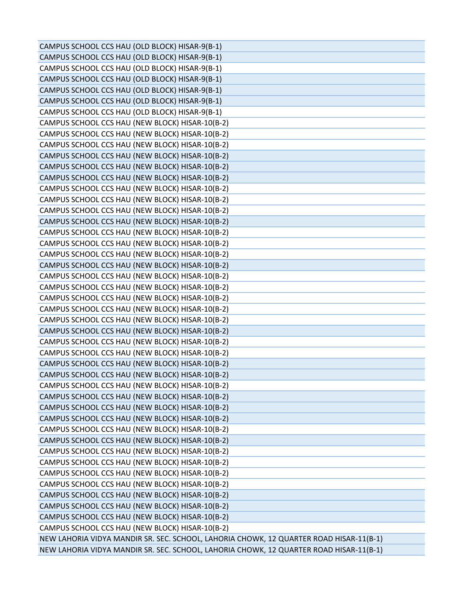| CAMPUS SCHOOL CCS HAU (OLD BLOCK) HISAR-9(B-1)                                         |
|----------------------------------------------------------------------------------------|
| CAMPUS SCHOOL CCS HAU (OLD BLOCK) HISAR-9(B-1)                                         |
| CAMPUS SCHOOL CCS HAU (OLD BLOCK) HISAR-9(B-1)                                         |
| CAMPUS SCHOOL CCS HAU (OLD BLOCK) HISAR-9(B-1)                                         |
| CAMPUS SCHOOL CCS HAU (OLD BLOCK) HISAR-9(B-1)                                         |
| CAMPUS SCHOOL CCS HAU (OLD BLOCK) HISAR-9(B-1)                                         |
| CAMPUS SCHOOL CCS HAU (OLD BLOCK) HISAR-9(B-1)                                         |
| CAMPUS SCHOOL CCS HAU (NEW BLOCK) HISAR-10(B-2)                                        |
| CAMPUS SCHOOL CCS HAU (NEW BLOCK) HISAR-10(B-2)                                        |
| CAMPUS SCHOOL CCS HAU (NEW BLOCK) HISAR-10(B-2)                                        |
| CAMPUS SCHOOL CCS HAU (NEW BLOCK) HISAR-10(B-2)                                        |
| CAMPUS SCHOOL CCS HAU (NEW BLOCK) HISAR-10(B-2)                                        |
| CAMPUS SCHOOL CCS HAU (NEW BLOCK) HISAR-10(B-2)                                        |
| CAMPUS SCHOOL CCS HAU (NEW BLOCK) HISAR-10(B-2)                                        |
| CAMPUS SCHOOL CCS HAU (NEW BLOCK) HISAR-10(B-2)                                        |
| CAMPUS SCHOOL CCS HAU (NEW BLOCK) HISAR-10(B-2)                                        |
| CAMPUS SCHOOL CCS HAU (NEW BLOCK) HISAR-10(B-2)                                        |
| CAMPUS SCHOOL CCS HAU (NEW BLOCK) HISAR-10(B-2)                                        |
| CAMPUS SCHOOL CCS HAU (NEW BLOCK) HISAR-10(B-2)                                        |
| CAMPUS SCHOOL CCS HAU (NEW BLOCK) HISAR-10(B-2)                                        |
| CAMPUS SCHOOL CCS HAU (NEW BLOCK) HISAR-10(B-2)                                        |
| CAMPUS SCHOOL CCS HAU (NEW BLOCK) HISAR-10(B-2)                                        |
| CAMPUS SCHOOL CCS HAU (NEW BLOCK) HISAR-10(B-2)                                        |
| CAMPUS SCHOOL CCS HAU (NEW BLOCK) HISAR-10(B-2)                                        |
| CAMPUS SCHOOL CCS HAU (NEW BLOCK) HISAR-10(B-2)                                        |
| CAMPUS SCHOOL CCS HAU (NEW BLOCK) HISAR-10(B-2)                                        |
| CAMPUS SCHOOL CCS HAU (NEW BLOCK) HISAR-10(B-2)                                        |
| CAMPUS SCHOOL CCS HAU (NEW BLOCK) HISAR-10(B-2)                                        |
| CAMPUS SCHOOL CCS HAU (NEW BLOCK) HISAR-10(B-2)                                        |
| CAMPUS SCHOOL CCS HAU (NEW BLOCK) HISAR-10(B-2)                                        |
| CAMPUS SCHOOL CCS HAU (NEW BLOCK) HISAR-10(B-2)                                        |
| CAMPUS SCHOOL CCS HAU (NEW BLOCK) HISAR-10(B-2)                                        |
| CAMPUS SCHOOL CCS HAU (NEW BLOCK) HISAR-10(B-2)                                        |
| CAMPUS SCHOOL CCS HAU (NEW BLOCK) HISAR-10(B-2)                                        |
| CAMPUS SCHOOL CCS HAU (NEW BLOCK) HISAR-10(B-2)                                        |
| CAMPUS SCHOOL CCS HAU (NEW BLOCK) HISAR-10(B-2)                                        |
| CAMPUS SCHOOL CCS HAU (NEW BLOCK) HISAR-10(B-2)                                        |
| CAMPUS SCHOOL CCS HAU (NEW BLOCK) HISAR-10(B-2)                                        |
| CAMPUS SCHOOL CCS HAU (NEW BLOCK) HISAR-10(B-2)                                        |
| CAMPUS SCHOOL CCS HAU (NEW BLOCK) HISAR-10(B-2)                                        |
| CAMPUS SCHOOL CCS HAU (NEW BLOCK) HISAR-10(B-2)                                        |
| CAMPUS SCHOOL CCS HAU (NEW BLOCK) HISAR-10(B-2)                                        |
| CAMPUS SCHOOL CCS HAU (NEW BLOCK) HISAR-10(B-2)                                        |
| CAMPUS SCHOOL CCS HAU (NEW BLOCK) HISAR-10(B-2)                                        |
| CAMPUS SCHOOL CCS HAU (NEW BLOCK) HISAR-10(B-2)                                        |
| NEW LAHORIA VIDYA MANDIR SR. SEC. SCHOOL, LAHORIA CHOWK, 12 QUARTER ROAD HISAR-11(B-1) |
| NEW LAHORIA VIDYA MANDIR SR. SEC. SCHOOL, LAHORIA CHOWK, 12 QUARTER ROAD HISAR-11(B-1) |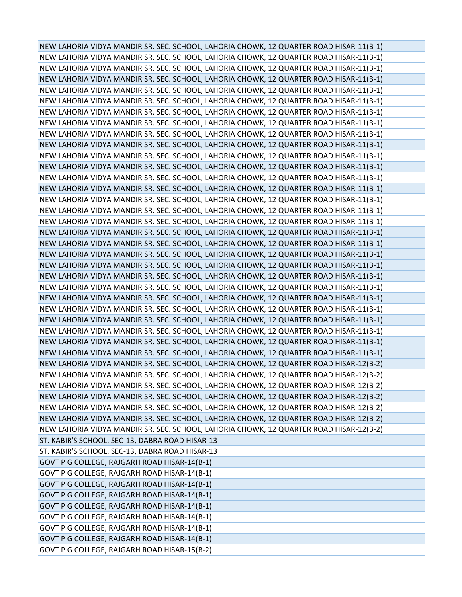NEW LAHORIA VIDYA MANDIR SR. SEC. SCHOOL, LAHORIA CHOWK, 12 QUARTER ROAD HISAR-11(B-1) NEW LAHORIA VIDYA MANDIR SR. SEC. SCHOOL, LAHORIA CHOWK, 12 QUARTER ROAD HISAR-11(B-1) NEW LAHORIA VIDYA MANDIR SR. SEC. SCHOOL, LAHORIA CHOWK, 12 QUARTER ROAD HISAR-11(B-1) NEW LAHORIA VIDYA MANDIR SR. SEC. SCHOOL, LAHORIA CHOWK, 12 QUARTER ROAD HISAR-11(B-1) NEW LAHORIA VIDYA MANDIR SR. SEC. SCHOOL, LAHORIA CHOWK, 12 QUARTER ROAD HISAR-11(B-1) NEW LAHORIA VIDYA MANDIR SR. SEC. SCHOOL, LAHORIA CHOWK, 12 QUARTER ROAD HISAR-11(B-1) NEW LAHORIA VIDYA MANDIR SR. SEC. SCHOOL, LAHORIA CHOWK, 12 QUARTER ROAD HISAR-11(B-1) NEW LAHORIA VIDYA MANDIR SR. SEC. SCHOOL, LAHORIA CHOWK, 12 QUARTER ROAD HISAR-11(B-1) NEW LAHORIA VIDYA MANDIR SR. SEC. SCHOOL, LAHORIA CHOWK, 12 QUARTER ROAD HISAR-11(B-1) NEW LAHORIA VIDYA MANDIR SR. SEC. SCHOOL, LAHORIA CHOWK, 12 QUARTER ROAD HISAR-11(B-1) NEW LAHORIA VIDYA MANDIR SR. SEC. SCHOOL, LAHORIA CHOWK, 12 QUARTER ROAD HISAR-11(B-1) NEW LAHORIA VIDYA MANDIR SR. SEC. SCHOOL, LAHORIA CHOWK, 12 QUARTER ROAD HISAR-11(B-1) NEW LAHORIA VIDYA MANDIR SR. SEC. SCHOOL, LAHORIA CHOWK, 12 QUARTER ROAD HISAR-11(B-1) NEW LAHORIA VIDYA MANDIR SR. SEC. SCHOOL, LAHORIA CHOWK, 12 QUARTER ROAD HISAR-11(B-1) NEW LAHORIA VIDYA MANDIR SR. SEC. SCHOOL, LAHORIA CHOWK, 12 QUARTER ROAD HISAR-11(B-1) NEW LAHORIA VIDYA MANDIR SR. SEC. SCHOOL, LAHORIA CHOWK, 12 QUARTER ROAD HISAR-11(B-1) NEW LAHORIA VIDYA MANDIR SR. SEC. SCHOOL, LAHORIA CHOWK, 12 QUARTER ROAD HISAR-11(B-1) NEW LAHORIA VIDYA MANDIR SR. SEC. SCHOOL, LAHORIA CHOWK, 12 QUARTER ROAD HISAR-11(B-1) NEW LAHORIA VIDYA MANDIR SR. SEC. SCHOOL, LAHORIA CHOWK, 12 QUARTER ROAD HISAR-11(B-1) NEW LAHORIA VIDYA MANDIR SR. SEC. SCHOOL, LAHORIA CHOWK, 12 QUARTER ROAD HISAR-11(B-1) NEW LAHORIA VIDYA MANDIR SR. SEC. SCHOOL, LAHORIA CHOWK, 12 QUARTER ROAD HISAR-11(B-1) NEW LAHORIA VIDYA MANDIR SR. SEC. SCHOOL, LAHORIA CHOWK, 12 QUARTER ROAD HISAR-11(B-1) NEW LAHORIA VIDYA MANDIR SR. SEC. SCHOOL, LAHORIA CHOWK, 12 QUARTER ROAD HISAR-11(B-1) NEW LAHORIA VIDYA MANDIR SR. SEC. SCHOOL, LAHORIA CHOWK, 12 QUARTER ROAD HISAR-11(B-1) NEW LAHORIA VIDYA MANDIR SR. SEC. SCHOOL, LAHORIA CHOWK, 12 QUARTER ROAD HISAR-11(B-1) NEW LAHORIA VIDYA MANDIR SR. SEC. SCHOOL, LAHORIA CHOWK, 12 QUARTER ROAD HISAR-11(B-1) NEW LAHORIA VIDYA MANDIR SR. SEC. SCHOOL, LAHORIA CHOWK, 12 QUARTER ROAD HISAR-11(B-1) NEW LAHORIA VIDYA MANDIR SR. SEC. SCHOOL, LAHORIA CHOWK, 12 QUARTER ROAD HISAR-11(B-1) NEW LAHORIA VIDYA MANDIR SR. SEC. SCHOOL, LAHORIA CHOWK, 12 QUARTER ROAD HISAR-11(B-1) NEW LAHORIA VIDYA MANDIR SR. SEC. SCHOOL, LAHORIA CHOWK, 12 QUARTER ROAD HISAR-12(B-2) NEW LAHORIA VIDYA MANDIR SR. SEC. SCHOOL, LAHORIA CHOWK, 12 QUARTER ROAD HISAR-12(B-2) NEW LAHORIA VIDYA MANDIR SR. SEC. SCHOOL, LAHORIA CHOWK, 12 QUARTER ROAD HISAR-12(B-2) NEW LAHORIA VIDYA MANDIR SR. SEC. SCHOOL, LAHORIA CHOWK, 12 QUARTER ROAD HISAR-12(B-2) NEW LAHORIA VIDYA MANDIR SR. SEC. SCHOOL, LAHORIA CHOWK, 12 QUARTER ROAD HISAR-12(B-2) NEW LAHORIA VIDYA MANDIR SR. SEC. SCHOOL, LAHORIA CHOWK, 12 QUARTER ROAD HISAR-12(B-2) NEW LAHORIA VIDYA MANDIR SR. SEC. SCHOOL, LAHORIA CHOWK, 12 QUARTER ROAD HISAR-12(B-2) ST. KABIR'S SCHOOL. SEC-13, DABRA ROAD HISAR-13 ST. KABIR'S SCHOOL. SEC-13, DABRA ROAD HISAR-13 GOVT P G COLLEGE, RAJGARH ROAD HISAR-14(B-1) GOVT P G COLLEGE, RAJGARH ROAD HISAR-14(B-1) GOVT P G COLLEGE,RAJGARH ROAD HISAR-14(B-1) GOVT P G COLLEGE,RAJGARH ROAD HISAR-14(B-1) GOVT P G COLLEGE,RAJGARH ROAD HISAR-14(B-1) GOVT P G COLLEGE,RAJGARH ROAD HISAR-14(B-1) GOVT P G COLLEGE,RAJGARH ROAD HISAR-14(B-1) GOVT P G COLLEGE,RAJGARH ROAD HISAR-14(B-1) GOVT P G COLLEGE, RAJGARH ROAD HISAR-15(B-2)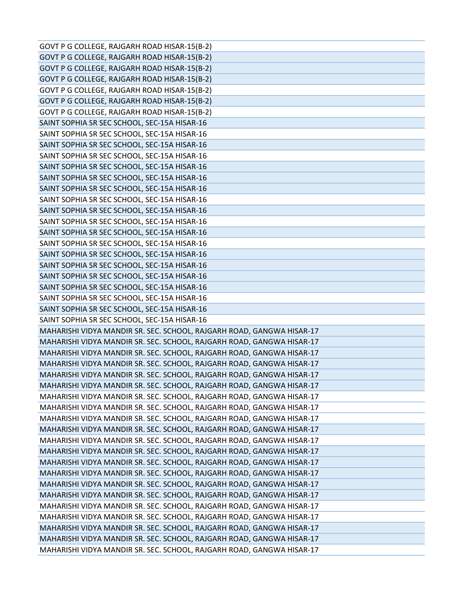| GOVT P G COLLEGE, RAJGARH ROAD HISAR-15(B-2)                          |
|-----------------------------------------------------------------------|
| GOVT P G COLLEGE, RAJGARH ROAD HISAR-15(B-2)                          |
| GOVT P G COLLEGE, RAJGARH ROAD HISAR-15(B-2)                          |
| GOVT P G COLLEGE, RAJGARH ROAD HISAR-15(B-2)                          |
| GOVT P G COLLEGE, RAJGARH ROAD HISAR-15(B-2)                          |
| GOVT P G COLLEGE, RAJGARH ROAD HISAR-15(B-2)                          |
| GOVT P G COLLEGE, RAJGARH ROAD HISAR-15(B-2)                          |
| SAINT SOPHIA SR SEC SCHOOL, SEC-15A HISAR-16                          |
| SAINT SOPHIA SR SEC SCHOOL, SEC-15A HISAR-16                          |
| SAINT SOPHIA SR SEC SCHOOL, SEC-15A HISAR-16                          |
| SAINT SOPHIA SR SEC SCHOOL, SEC-15A HISAR-16                          |
| SAINT SOPHIA SR SEC SCHOOL, SEC-15A HISAR-16                          |
| SAINT SOPHIA SR SEC SCHOOL, SEC-15A HISAR-16                          |
| SAINT SOPHIA SR SEC SCHOOL, SEC-15A HISAR-16                          |
| SAINT SOPHIA SR SEC SCHOOL, SEC-15A HISAR-16                          |
| SAINT SOPHIA SR SEC SCHOOL, SEC-15A HISAR-16                          |
| SAINT SOPHIA SR SEC SCHOOL, SEC-15A HISAR-16                          |
| SAINT SOPHIA SR SEC SCHOOL, SEC-15A HISAR-16                          |
| SAINT SOPHIA SR SEC SCHOOL, SEC-15A HISAR-16                          |
| SAINT SOPHIA SR SEC SCHOOL, SEC-15A HISAR-16                          |
| SAINT SOPHIA SR SEC SCHOOL, SEC-15A HISAR-16                          |
| SAINT SOPHIA SR SEC SCHOOL, SEC-15A HISAR-16                          |
| SAINT SOPHIA SR SEC SCHOOL, SEC-15A HISAR-16                          |
| SAINT SOPHIA SR SEC SCHOOL, SEC-15A HISAR-16                          |
| SAINT SOPHIA SR SEC SCHOOL, SEC-15A HISAR-16                          |
| SAINT SOPHIA SR SEC SCHOOL, SEC-15A HISAR-16                          |
| MAHARISHI VIDYA MANDIR SR. SEC. SCHOOL, RAJGARH ROAD, GANGWA HISAR-17 |
| MAHARISHI VIDYA MANDIR SR. SEC. SCHOOL, RAJGARH ROAD, GANGWA HISAR-17 |
| MAHARISHI VIDYA MANDIR SR. SEC. SCHOOL, RAJGARH ROAD, GANGWA HISAR-17 |
| MAHARISHI VIDYA MANDIR SR. SEC. SCHOOL, RAJGARH ROAD, GANGWA HISAR-17 |
| MAHARISHI VIDYA MANDIR SR. SEC. SCHOOL, RAJGARH ROAD, GANGWA HISAR-17 |
| MAHARISHI VIDYA MANDIR SR. SEC. SCHOOL, RAJGARH ROAD, GANGWA HISAR-17 |
| MAHARISHI VIDYA MANDIR SR. SEC. SCHOOL, RAJGARH ROAD, GANGWA HISAR-17 |
| MAHARISHI VIDYA MANDIR SR. SEC. SCHOOL, RAJGARH ROAD, GANGWA HISAR-17 |
| MAHARISHI VIDYA MANDIR SR. SEC. SCHOOL, RAJGARH ROAD, GANGWA HISAR-17 |
| MAHARISHI VIDYA MANDIR SR. SEC. SCHOOL, RAJGARH ROAD, GANGWA HISAR-17 |
| MAHARISHI VIDYA MANDIR SR. SEC. SCHOOL, RAJGARH ROAD, GANGWA HISAR-17 |
| MAHARISHI VIDYA MANDIR SR. SEC. SCHOOL, RAJGARH ROAD, GANGWA HISAR-17 |
| MAHARISHI VIDYA MANDIR SR. SEC. SCHOOL, RAJGARH ROAD, GANGWA HISAR-17 |
| MAHARISHI VIDYA MANDIR SR. SEC. SCHOOL, RAJGARH ROAD, GANGWA HISAR-17 |
| MAHARISHI VIDYA MANDIR SR. SEC. SCHOOL, RAJGARH ROAD, GANGWA HISAR-17 |
| MAHARISHI VIDYA MANDIR SR. SEC. SCHOOL, RAJGARH ROAD, GANGWA HISAR-17 |
| MAHARISHI VIDYA MANDIR SR. SEC. SCHOOL, RAJGARH ROAD, GANGWA HISAR-17 |
| MAHARISHI VIDYA MANDIR SR. SEC. SCHOOL, RAJGARH ROAD, GANGWA HISAR-17 |
| MAHARISHI VIDYA MANDIR SR. SEC. SCHOOL, RAJGARH ROAD, GANGWA HISAR-17 |
| MAHARISHI VIDYA MANDIR SR. SEC. SCHOOL, RAJGARH ROAD, GANGWA HISAR-17 |
| MAHARISHI VIDYA MANDIR SR. SEC. SCHOOL, RAJGARH ROAD, GANGWA HISAR-17 |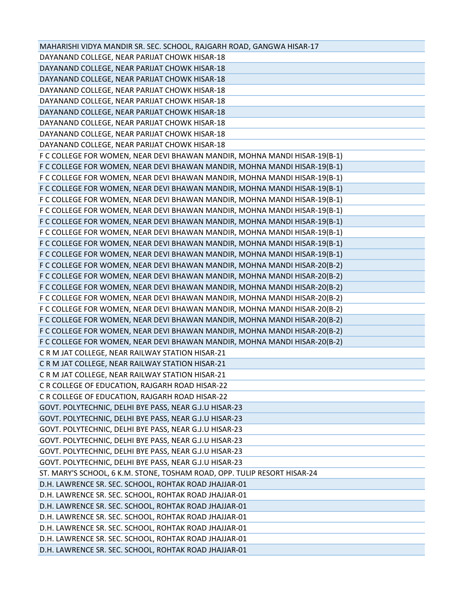| MAHARISHI VIDYA MANDIR SR. SEC. SCHOOL, RAJGARH ROAD, GANGWA HISAR-17     |
|---------------------------------------------------------------------------|
| DAYANAND COLLEGE, NEAR PARIJAT CHOWK HISAR-18                             |
| DAYANAND COLLEGE, NEAR PARIJAT CHOWK HISAR-18                             |
| DAYANAND COLLEGE, NEAR PARIJAT CHOWK HISAR-18                             |
| DAYANAND COLLEGE, NEAR PARIJAT CHOWK HISAR-18                             |
| DAYANAND COLLEGE, NEAR PARIJAT CHOWK HISAR-18                             |
| DAYANAND COLLEGE, NEAR PARIJAT CHOWK HISAR-18                             |
| DAYANAND COLLEGE, NEAR PARIJAT CHOWK HISAR-18                             |
| DAYANAND COLLEGE, NEAR PARIJAT CHOWK HISAR-18                             |
| DAYANAND COLLEGE, NEAR PARIJAT CHOWK HISAR-18                             |
| F C COLLEGE FOR WOMEN, NEAR DEVI BHAWAN MANDIR, MOHNA MANDI HISAR-19(B-1) |
| F C COLLEGE FOR WOMEN, NEAR DEVI BHAWAN MANDIR, MOHNA MANDI HISAR-19(B-1) |
| F C COLLEGE FOR WOMEN, NEAR DEVI BHAWAN MANDIR, MOHNA MANDI HISAR-19(B-1) |
| F C COLLEGE FOR WOMEN, NEAR DEVI BHAWAN MANDIR, MOHNA MANDI HISAR-19(B-1) |
| F C COLLEGE FOR WOMEN, NEAR DEVI BHAWAN MANDIR, MOHNA MANDI HISAR-19(B-1) |
| F C COLLEGE FOR WOMEN, NEAR DEVI BHAWAN MANDIR, MOHNA MANDI HISAR-19(B-1) |
| F C COLLEGE FOR WOMEN, NEAR DEVI BHAWAN MANDIR, MOHNA MANDI HISAR-19(B-1) |
| F C COLLEGE FOR WOMEN, NEAR DEVI BHAWAN MANDIR, MOHNA MANDI HISAR-19(B-1) |
| F C COLLEGE FOR WOMEN, NEAR DEVI BHAWAN MANDIR, MOHNA MANDI HISAR-19(B-1) |
| F C COLLEGE FOR WOMEN, NEAR DEVI BHAWAN MANDIR, MOHNA MANDI HISAR-19(B-1) |
| F C COLLEGE FOR WOMEN, NEAR DEVI BHAWAN MANDIR, MOHNA MANDI HISAR-20(B-2) |
| F C COLLEGE FOR WOMEN, NEAR DEVI BHAWAN MANDIR, MOHNA MANDI HISAR-20(B-2) |
| F C COLLEGE FOR WOMEN, NEAR DEVI BHAWAN MANDIR, MOHNA MANDI HISAR-20(B-2) |
| F C COLLEGE FOR WOMEN, NEAR DEVI BHAWAN MANDIR, MOHNA MANDI HISAR-20(B-2) |
| F C COLLEGE FOR WOMEN, NEAR DEVI BHAWAN MANDIR, MOHNA MANDI HISAR-20(B-2) |
| F C COLLEGE FOR WOMEN, NEAR DEVI BHAWAN MANDIR, MOHNA MANDI HISAR-20(B-2) |
| F C COLLEGE FOR WOMEN, NEAR DEVI BHAWAN MANDIR, MOHNA MANDI HISAR-20(B-2) |
| F C COLLEGE FOR WOMEN, NEAR DEVI BHAWAN MANDIR, MOHNA MANDI HISAR-20(B-2) |
| CRM JAT COLLEGE, NEAR RAILWAY STATION HISAR-21                            |
| CRM JAT COLLEGE, NEAR RAILWAY STATION HISAR-21                            |
| CRM JAT COLLEGE, NEAR RAILWAY STATION HISAR-21                            |
| C R COLLEGE OF EDUCATION, RAJGARH ROAD HISAR-22                           |
| C R COLLEGE OF EDUCATION, RAJGARH ROAD HISAR-22                           |
| GOVT. POLYTECHNIC, DELHI BYE PASS, NEAR G.J.U HISAR-23                    |
| GOVT. POLYTECHNIC, DELHI BYE PASS, NEAR G.J.U HISAR-23                    |
| GOVT. POLYTECHNIC, DELHI BYE PASS, NEAR G.J.U HISAR-23                    |
| GOVT. POLYTECHNIC, DELHI BYE PASS, NEAR G.J.U HISAR-23                    |
| GOVT. POLYTECHNIC, DELHI BYE PASS, NEAR G.J.U HISAR-23                    |
| GOVT. POLYTECHNIC, DELHI BYE PASS, NEAR G.J.U HISAR-23                    |
| ST. MARY'S SCHOOL, 6 K.M. STONE, TOSHAM ROAD, OPP. TULIP RESORT HISAR-24  |
| D.H. LAWRENCE SR. SEC. SCHOOL, ROHTAK ROAD JHAJJAR-01                     |
| D.H. LAWRENCE SR. SEC. SCHOOL, ROHTAK ROAD JHAJJAR-01                     |
| D.H. LAWRENCE SR. SEC. SCHOOL, ROHTAK ROAD JHAJJAR-01                     |
| D.H. LAWRENCE SR. SEC. SCHOOL, ROHTAK ROAD JHAJJAR-01                     |
| D.H. LAWRENCE SR. SEC. SCHOOL, ROHTAK ROAD JHAJJAR-01                     |
| D.H. LAWRENCE SR. SEC. SCHOOL, ROHTAK ROAD JHAJJAR-01                     |
| D.H. LAWRENCE SR. SEC. SCHOOL, ROHTAK ROAD JHAJJAR-01                     |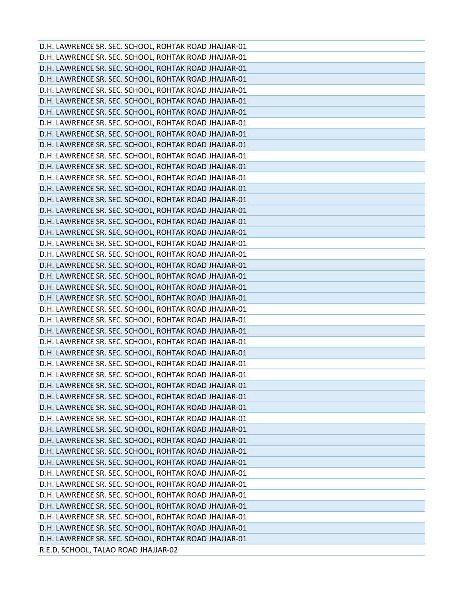| D.H. LAWRENCE SR. SEC. SCHOOL, ROHTAK ROAD JHAJJAR-01 |
|-------------------------------------------------------|
| D.H. LAWRENCE SR. SEC. SCHOOL, ROHTAK ROAD JHAJJAR-01 |
| D.H. LAWRENCE SR. SEC. SCHOOL, ROHTAK ROAD JHAJJAR-01 |
| D.H. LAWRENCE SR. SEC. SCHOOL, ROHTAK ROAD JHAJJAR-01 |
| D.H. LAWRENCE SR. SEC. SCHOOL, ROHTAK ROAD JHAJJAR-01 |
| D.H. LAWRENCE SR. SEC. SCHOOL, ROHTAK ROAD JHAJJAR-01 |
| D.H. LAWRENCE SR. SEC. SCHOOL, ROHTAK ROAD JHAJJAR-01 |
| D.H. LAWRENCE SR. SEC. SCHOOL, ROHTAK ROAD JHAJJAR-01 |
| D.H. LAWRENCE SR. SEC. SCHOOL, ROHTAK ROAD JHAJJAR-01 |
| D.H. LAWRENCE SR. SEC. SCHOOL, ROHTAK ROAD JHAJJAR-01 |
| D.H. LAWRENCE SR. SEC. SCHOOL, ROHTAK ROAD JHAJJAR-01 |
| D.H. LAWRENCE SR. SEC. SCHOOL, ROHTAK ROAD JHAJJAR-01 |
| D.H. LAWRENCE SR. SEC. SCHOOL, ROHTAK ROAD JHAJJAR-01 |
| D.H. LAWRENCE SR. SEC. SCHOOL, ROHTAK ROAD JHAJJAR-01 |
| D.H. LAWRENCE SR. SEC. SCHOOL, ROHTAK ROAD JHAJJAR-01 |
| D.H. LAWRENCE SR. SEC. SCHOOL, ROHTAK ROAD JHAJJAR-01 |
| D.H. LAWRENCE SR. SEC. SCHOOL, ROHTAK ROAD JHAJJAR-01 |
| D.H. LAWRENCE SR. SEC. SCHOOL, ROHTAK ROAD JHAJJAR-01 |
| D.H. LAWRENCE SR. SEC. SCHOOL, ROHTAK ROAD JHAJJAR-01 |
| D.H. LAWRENCE SR. SEC. SCHOOL, ROHTAK ROAD JHAJJAR-01 |
| D.H. LAWRENCE SR. SEC. SCHOOL, ROHTAK ROAD JHAJJAR-01 |
| D.H. LAWRENCE SR. SEC. SCHOOL, ROHTAK ROAD JHAJJAR-01 |
| D.H. LAWRENCE SR. SEC. SCHOOL, ROHTAK ROAD JHAJJAR-01 |
| D.H. LAWRENCE SR. SEC. SCHOOL, ROHTAK ROAD JHAJJAR-01 |
| D.H. LAWRENCE SR. SEC. SCHOOL, ROHTAK ROAD JHAJJAR-01 |
| D.H. LAWRENCE SR. SEC. SCHOOL, ROHTAK ROAD JHAJJAR-01 |
| D.H. LAWRENCE SR. SEC. SCHOOL, ROHTAK ROAD JHAJJAR-01 |
| D.H. LAWRENCE SR. SEC. SCHOOL, ROHTAK ROAD JHAJJAR-01 |
| D.H. LAWRENCE SR. SEC. SCHOOL, ROHTAK ROAD JHAJJAR-01 |
| D.H. LAWRENCE SR. SEC. SCHOOL, ROHTAK ROAD JHAJJAR-01 |
| D.H. LAWRENCE SR. SEC. SCHOOL, ROHTAK ROAD JHAJJAR-01 |
| D.H. LAWRENCE SR. SEC. SCHOOL, ROHTAK ROAD JHAJJAR-01 |
| D.H. LAWRENCE SR. SEC. SCHOOL, ROHTAK ROAD JHAJJAR-01 |
| D.H. LAWRENCE SR. SEC. SCHOOL, ROHTAK ROAD JHAJJAR-01 |
| D.H. LAWRENCE SR. SEC. SCHOOL, ROHTAK ROAD JHAJJAR-01 |
| D.H. LAWRENCE SR. SEC. SCHOOL, ROHTAK ROAD JHAJJAR-01 |
| D.H. LAWRENCE SR. SEC. SCHOOL, ROHTAK ROAD JHAJJAR-01 |
| D.H. LAWRENCE SR. SEC. SCHOOL, ROHTAK ROAD JHAJJAR-01 |
| D.H. LAWRENCE SR. SEC. SCHOOL, ROHTAK ROAD JHAJJAR-01 |
| D.H. LAWRENCE SR. SEC. SCHOOL, ROHTAK ROAD JHAJJAR-01 |
| D.H. LAWRENCE SR. SEC. SCHOOL, ROHTAK ROAD JHAJJAR-01 |
| D.H. LAWRENCE SR. SEC. SCHOOL, ROHTAK ROAD JHAJJAR-01 |
| D.H. LAWRENCE SR. SEC. SCHOOL, ROHTAK ROAD JHAJJAR-01 |
| D.H. LAWRENCE SR. SEC. SCHOOL, ROHTAK ROAD JHAJJAR-01 |
| D.H. LAWRENCE SR. SEC. SCHOOL, ROHTAK ROAD JHAJJAR-01 |
| D.H. LAWRENCE SR. SEC. SCHOOL, ROHTAK ROAD JHAJJAR-01 |
| R.E.D. SCHOOL, TALAO ROAD JHAJJAR-02                  |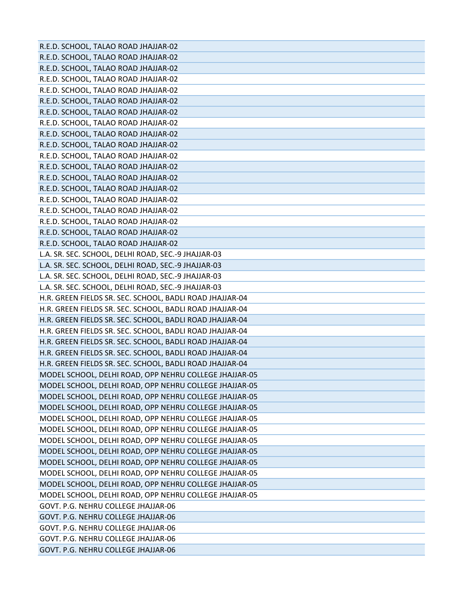| R.E.D. SCHOOL, TALAO ROAD JHAJJAR-02                     |
|----------------------------------------------------------|
| R.E.D. SCHOOL, TALAO ROAD JHAJJAR-02                     |
| R.E.D. SCHOOL, TALAO ROAD JHAJJAR-02                     |
| R.E.D. SCHOOL, TALAO ROAD JHAJJAR-02                     |
| R.E.D. SCHOOL, TALAO ROAD JHAJJAR-02                     |
| R.E.D. SCHOOL, TALAO ROAD JHAJJAR-02                     |
| R.E.D. SCHOOL, TALAO ROAD JHAJJAR-02                     |
| R.E.D. SCHOOL, TALAO ROAD JHAJJAR-02                     |
| R.E.D. SCHOOL, TALAO ROAD JHAJJAR-02                     |
| R.E.D. SCHOOL, TALAO ROAD JHAJJAR-02                     |
| R.E.D. SCHOOL, TALAO ROAD JHAJJAR-02                     |
| R.E.D. SCHOOL, TALAO ROAD JHAJJAR-02                     |
| R.E.D. SCHOOL, TALAO ROAD JHAJJAR-02                     |
| R.E.D. SCHOOL, TALAO ROAD JHAJJAR-02                     |
| R.E.D. SCHOOL, TALAO ROAD JHAJJAR-02                     |
| R.E.D. SCHOOL, TALAO ROAD JHAJJAR-02                     |
| R.E.D. SCHOOL, TALAO ROAD JHAJJAR-02                     |
| R.E.D. SCHOOL, TALAO ROAD JHAJJAR-02                     |
| R.E.D. SCHOOL, TALAO ROAD JHAJJAR-02                     |
| L.A. SR. SEC. SCHOOL, DELHI ROAD, SEC.-9 JHAJJAR-03      |
| L.A. SR. SEC. SCHOOL, DELHI ROAD, SEC.-9 JHAJJAR-03      |
| L.A. SR. SEC. SCHOOL, DELHI ROAD, SEC.-9 JHAJJAR-03      |
| L.A. SR. SEC. SCHOOL, DELHI ROAD, SEC.-9 JHAJJAR-03      |
| H.R. GREEN FIELDS SR. SEC. SCHOOL, BADLI ROAD JHAJJAR-04 |
| H.R. GREEN FIELDS SR. SEC. SCHOOL, BADLI ROAD JHAJJAR-04 |
| H.R. GREEN FIELDS SR. SEC. SCHOOL, BADLI ROAD JHAJJAR-04 |
| H.R. GREEN FIELDS SR. SEC. SCHOOL, BADLI ROAD JHAJJAR-04 |
| H.R. GREEN FIELDS SR. SEC. SCHOOL, BADLI ROAD JHAJJAR-04 |
| H.R. GREEN FIELDS SR. SEC. SCHOOL, BADLI ROAD JHAJJAR-04 |
| H.R. GREEN FIELDS SR. SEC. SCHOOL, BADLI ROAD JHAJJAR-04 |
| MODEL SCHOOL, DELHI ROAD, OPP NEHRU COLLEGE JHAJJAR-05   |
| MODEL SCHOOL, DELHI ROAD, OPP NEHRU COLLEGE JHAJJAR-05   |
| MODEL SCHOOL, DELHI ROAD, OPP NEHRU COLLEGE JHAJJAR-05   |
| MODEL SCHOOL, DELHI ROAD, OPP NEHRU COLLEGE JHAJJAR-05   |
| MODEL SCHOOL, DELHI ROAD, OPP NEHRU COLLEGE JHAJJAR-05   |
| MODEL SCHOOL, DELHI ROAD, OPP NEHRU COLLEGE JHAJJAR-05   |
| MODEL SCHOOL, DELHI ROAD, OPP NEHRU COLLEGE JHAJJAR-05   |
| MODEL SCHOOL, DELHI ROAD, OPP NEHRU COLLEGE JHAJJAR-05   |
| MODEL SCHOOL, DELHI ROAD, OPP NEHRU COLLEGE JHAJJAR-05   |
| MODEL SCHOOL, DELHI ROAD, OPP NEHRU COLLEGE JHAJJAR-05   |
| MODEL SCHOOL, DELHI ROAD, OPP NEHRU COLLEGE JHAJJAR-05   |
| MODEL SCHOOL, DELHI ROAD, OPP NEHRU COLLEGE JHAJJAR-05   |
| GOVT. P.G. NEHRU COLLEGE JHAJJAR-06                      |
| GOVT. P.G. NEHRU COLLEGE JHAJJAR-06                      |
| GOVT. P.G. NEHRU COLLEGE JHAJJAR-06                      |
| GOVT. P.G. NEHRU COLLEGE JHAJJAR-06                      |
| GOVT. P.G. NEHRU COLLEGE JHAJJAR-06                      |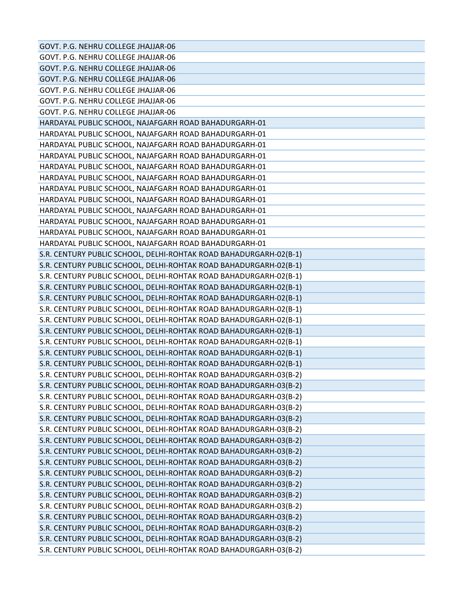| GOVT. P.G. NEHRU COLLEGE JHAJJAR-06                               |
|-------------------------------------------------------------------|
| GOVT. P.G. NEHRU COLLEGE JHAJJAR-06                               |
| GOVT. P.G. NEHRU COLLEGE JHAJJAR-06                               |
| GOVT. P.G. NEHRU COLLEGE JHAJJAR-06                               |
| GOVT. P.G. NEHRU COLLEGE JHAJJAR-06                               |
| GOVT. P.G. NEHRU COLLEGE JHAJJAR-06                               |
| GOVT. P.G. NEHRU COLLEGE JHAJJAR-06                               |
| HARDAYAL PUBLIC SCHOOL, NAJAFGARH ROAD BAHADURGARH-01             |
| HARDAYAL PUBLIC SCHOOL, NAJAFGARH ROAD BAHADURGARH-01             |
| HARDAYAL PUBLIC SCHOOL, NAJAFGARH ROAD BAHADURGARH-01             |
| HARDAYAL PUBLIC SCHOOL, NAJAFGARH ROAD BAHADURGARH-01             |
| HARDAYAL PUBLIC SCHOOL, NAJAFGARH ROAD BAHADURGARH-01             |
| HARDAYAL PUBLIC SCHOOL, NAJAFGARH ROAD BAHADURGARH-01             |
| HARDAYAL PUBLIC SCHOOL, NAJAFGARH ROAD BAHADURGARH-01             |
| HARDAYAL PUBLIC SCHOOL, NAJAFGARH ROAD BAHADURGARH-01             |
| HARDAYAL PUBLIC SCHOOL, NAJAFGARH ROAD BAHADURGARH-01             |
| HARDAYAL PUBLIC SCHOOL, NAJAFGARH ROAD BAHADURGARH-01             |
| HARDAYAL PUBLIC SCHOOL, NAJAFGARH ROAD BAHADURGARH-01             |
| HARDAYAL PUBLIC SCHOOL, NAJAFGARH ROAD BAHADURGARH-01             |
| S.R. CENTURY PUBLIC SCHOOL, DELHI-ROHTAK ROAD BAHADURGARH-02(B-1) |
| S.R. CENTURY PUBLIC SCHOOL, DELHI-ROHTAK ROAD BAHADURGARH-02(B-1) |
| S.R. CENTURY PUBLIC SCHOOL, DELHI-ROHTAK ROAD BAHADURGARH-02(B-1) |
| S.R. CENTURY PUBLIC SCHOOL, DELHI-ROHTAK ROAD BAHADURGARH-02(B-1) |
| S.R. CENTURY PUBLIC SCHOOL, DELHI-ROHTAK ROAD BAHADURGARH-02(B-1) |
| S.R. CENTURY PUBLIC SCHOOL, DELHI-ROHTAK ROAD BAHADURGARH-02(B-1) |
| S.R. CENTURY PUBLIC SCHOOL, DELHI-ROHTAK ROAD BAHADURGARH-02(B-1) |
| S.R. CENTURY PUBLIC SCHOOL, DELHI-ROHTAK ROAD BAHADURGARH-02(B-1) |
| S.R. CENTURY PUBLIC SCHOOL, DELHI-ROHTAK ROAD BAHADURGARH-02(B-1) |
| S.R. CENTURY PUBLIC SCHOOL, DELHI-ROHTAK ROAD BAHADURGARH-02(B-1) |
| S.R. CENTURY PUBLIC SCHOOL, DELHI-ROHTAK ROAD BAHADURGARH-02(B-1) |
| S.R. CENTURY PUBLIC SCHOOL, DELHI-ROHTAK ROAD BAHADURGARH-03(B-2) |
| S.R. CENTURY PUBLIC SCHOOL, DELHI-ROHTAK ROAD BAHADURGARH-03(B-2) |
| S.R. CENTURY PUBLIC SCHOOL, DELHI-ROHTAK ROAD BAHADURGARH-03(B-2) |
| S.R. CENTURY PUBLIC SCHOOL, DELHI-ROHTAK ROAD BAHADURGARH-03(B-2) |
| S.R. CENTURY PUBLIC SCHOOL, DELHI-ROHTAK ROAD BAHADURGARH-03(B-2) |
| S.R. CENTURY PUBLIC SCHOOL, DELHI-ROHTAK ROAD BAHADURGARH-03(B-2) |
| S.R. CENTURY PUBLIC SCHOOL, DELHI-ROHTAK ROAD BAHADURGARH-03(B-2) |
| S.R. CENTURY PUBLIC SCHOOL, DELHI-ROHTAK ROAD BAHADURGARH-03(B-2) |
| S.R. CENTURY PUBLIC SCHOOL, DELHI-ROHTAK ROAD BAHADURGARH-03(B-2) |
| S.R. CENTURY PUBLIC SCHOOL, DELHI-ROHTAK ROAD BAHADURGARH-03(B-2) |
| S.R. CENTURY PUBLIC SCHOOL, DELHI-ROHTAK ROAD BAHADURGARH-03(B-2) |
| S.R. CENTURY PUBLIC SCHOOL, DELHI-ROHTAK ROAD BAHADURGARH-03(B-2) |
| S.R. CENTURY PUBLIC SCHOOL, DELHI-ROHTAK ROAD BAHADURGARH-03(B-2) |
| S.R. CENTURY PUBLIC SCHOOL, DELHI-ROHTAK ROAD BAHADURGARH-03(B-2) |
| S.R. CENTURY PUBLIC SCHOOL, DELHI-ROHTAK ROAD BAHADURGARH-03(B-2) |
| S.R. CENTURY PUBLIC SCHOOL, DELHI-ROHTAK ROAD BAHADURGARH-03(B-2) |
| S.R. CENTURY PUBLIC SCHOOL, DELHI-ROHTAK ROAD BAHADURGARH-03(B-2) |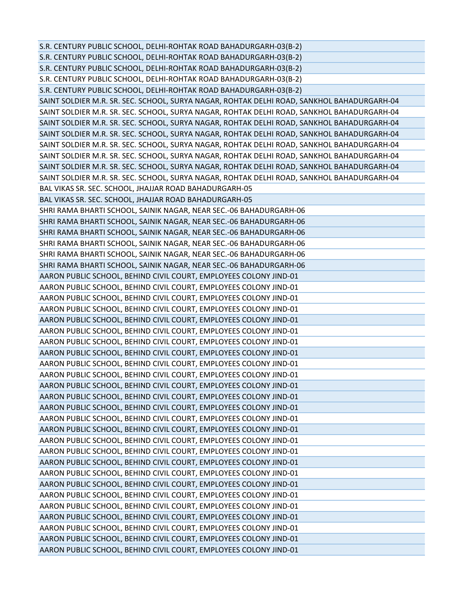```
S.R. CENTURY PUBLIC SCHOOL, DELHI-ROHTAK ROAD BAHADURGARH-03(B-2)
S.R. CENTURY PUBLIC SCHOOL, DELHI-ROHTAK ROAD BAHADURGARH-03(B-2)
S.R. CENTURY PUBLIC SCHOOL, DELHI-ROHTAK ROAD BAHADURGARH-03(B-2)
S.R. CENTURY PUBLIC SCHOOL, DELHI-ROHTAK ROAD BAHADURGARH-03(B-2)
S.R. CENTURY PUBLIC SCHOOL, DELHI-ROHTAK ROAD BAHADURGARH-03(B-2)
SAINT SOLDIER M.R. SR. SEC. SCHOOL, SURYA NAGAR, ROHTAK DELHI ROAD, SANKHOL BAHADURGARH-04
SAINT SOLDIER M.R. SR. SEC. SCHOOL, SURYA NAGAR, ROHTAK DELHI ROAD, SANKHOL BAHADURGARH-04
SAINT SOLDIER M.R. SR. SEC. SCHOOL, SURYA NAGAR, ROHTAK DELHI ROAD, SANKHOL BAHADURGARH-04
SAINT SOLDIER M.R. SR. SEC. SCHOOL, SURYA NAGAR, ROHTAK DELHI ROAD, SANKHOL BAHADURGARH-04
SAINT SOLDIER M.R. SR. SEC. SCHOOL, SURYA NAGAR, ROHTAK DELHI ROAD, SANKHOL BAHADURGARH-04
SAINT SOLDIER M.R. SR. SEC. SCHOOL, SURYA NAGAR, ROHTAK DELHI ROAD, SANKHOL BAHADURGARH-04
SAINT SOLDIER M.R. SR. SEC. SCHOOL, SURYA NAGAR, ROHTAK DELHI ROAD, SANKHOL BAHADURGARH-04
SAINT SOLDIER M.R. SR. SEC. SCHOOL, SURYA NAGAR, ROHTAK DELHI ROAD, SANKHOL BAHADURGARH-04
BAL VIKAS SR. SEC. SCHOOL, JHAJJAR ROAD BAHADURGARH-05
BAL VIKAS SR. SEC. SCHOOL, JHAJJAR ROAD BAHADURGARH-05
SHRI RAMA BHARTI SCHOOL, SAINIK NAGAR, NEAR SEC.-06 BAHADURGARH-06
SHRI RAMA BHARTI SCHOOL, SAINIK NAGAR, NEAR SEC.-06 BAHADURGARH-06
SHRI RAMA BHARTI SCHOOL, SAINIK NAGAR, NEAR SEC.-06 BAHADURGARH-06
SHRI RAMA BHARTI SCHOOL, SAINIK NAGAR, NEAR SEC.-06 BAHADURGARH-06
SHRI RAMA BHARTI SCHOOL, SAINIK NAGAR, NEAR SEC.-06 BAHADURGARH-06
SHRI RAMA BHARTI SCHOOL, SAINIK NAGAR, NEAR SEC.-06 BAHADURGARH-06
AARON PUBLIC SCHOOL, BEHIND CIVIL COURT, EMPLOYEES COLONY JIND-01
AARON PUBLIC SCHOOL, BEHIND CIVIL COURT, EMPLOYEES COLONY JIND-01
AARON PUBLIC SCHOOL, BEHIND CIVIL COURT, EMPLOYEES COLONY JIND-01
AARON PUBLIC SCHOOL, BEHIND CIVIL COURT, EMPLOYEES COLONY JIND-01
AARON PUBLIC SCHOOL, BEHIND CIVIL COURT, EMPLOYEES COLONY JIND-01
AARON PUBLIC SCHOOL, BEHIND CIVIL COURT, EMPLOYEES COLONY JIND-01
AARON PUBLIC SCHOOL, BEHIND CIVIL COURT, EMPLOYEES COLONY JIND-01
AARON PUBLIC SCHOOL, BEHIND CIVIL COURT, EMPLOYEES COLONY JIND-01
AARON PUBLIC SCHOOL, BEHIND CIVIL COURT, EMPLOYEES COLONY JIND-01
AARON PUBLIC SCHOOL, BEHIND CIVIL COURT, EMPLOYEES COLONY JIND-01
AARON PUBLIC SCHOOL, BEHIND CIVIL COURT, EMPLOYEES COLONY JIND-01
AARON PUBLIC SCHOOL, BEHIND CIVIL COURT, EMPLOYEES COLONY JIND-01
AARON PUBLIC SCHOOL, BEHIND CIVIL COURT, EMPLOYEES COLONY JIND-01
AARON PUBLIC SCHOOL, BEHIND CIVIL COURT, EMPLOYEES COLONY JIND-01
AARON PUBLIC SCHOOL, BEHIND CIVIL COURT, EMPLOYEES COLONY JIND-01
AARON PUBLIC SCHOOL, BEHIND CIVIL COURT, EMPLOYEES COLONY JIND-01
AARON PUBLIC SCHOOL, BEHIND CIVIL COURT, EMPLOYEES COLONY JIND-01
AARON PUBLIC SCHOOL, BEHIND CIVIL COURT, EMPLOYEES COLONY JIND-01
AARON PUBLIC SCHOOL, BEHIND CIVIL COURT, EMPLOYEES COLONY JIND-01
AARON PUBLIC SCHOOL, BEHIND CIVIL COURT, EMPLOYEES COLONY JIND-01
AARON PUBLIC SCHOOL, BEHIND CIVIL COURT, EMPLOYEES COLONY JIND-01
AARON PUBLIC SCHOOL, BEHIND CIVIL COURT, EMPLOYEES COLONY JIND-01
AARON PUBLIC SCHOOL, BEHIND CIVIL COURT, EMPLOYEES COLONY JIND-01
AARON PUBLIC SCHOOL, BEHIND CIVIL COURT, EMPLOYEES COLONY JIND-01
AARON PUBLIC SCHOOL, BEHIND CIVIL COURT, EMPLOYEES COLONY JIND-01
AARON PUBLIC SCHOOL, BEHIND CIVIL COURT, EMPLOYEES COLONY JIND-01
```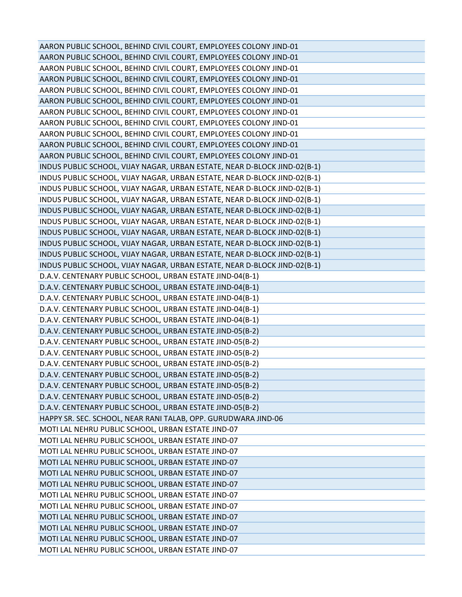| AARON PUBLIC SCHOOL, BEHIND CIVIL COURT, EMPLOYEES COLONY JIND-01         |
|---------------------------------------------------------------------------|
| AARON PUBLIC SCHOOL, BEHIND CIVIL COURT, EMPLOYEES COLONY JIND-01         |
| AARON PUBLIC SCHOOL, BEHIND CIVIL COURT, EMPLOYEES COLONY JIND-01         |
| AARON PUBLIC SCHOOL, BEHIND CIVIL COURT, EMPLOYEES COLONY JIND-01         |
| AARON PUBLIC SCHOOL, BEHIND CIVIL COURT, EMPLOYEES COLONY JIND-01         |
| AARON PUBLIC SCHOOL, BEHIND CIVIL COURT, EMPLOYEES COLONY JIND-01         |
| AARON PUBLIC SCHOOL, BEHIND CIVIL COURT, EMPLOYEES COLONY JIND-01         |
| AARON PUBLIC SCHOOL, BEHIND CIVIL COURT, EMPLOYEES COLONY JIND-01         |
| AARON PUBLIC SCHOOL, BEHIND CIVIL COURT, EMPLOYEES COLONY JIND-01         |
| AARON PUBLIC SCHOOL, BEHIND CIVIL COURT, EMPLOYEES COLONY JIND-01         |
| AARON PUBLIC SCHOOL, BEHIND CIVIL COURT, EMPLOYEES COLONY JIND-01         |
| INDUS PUBLIC SCHOOL, VIJAY NAGAR, URBAN ESTATE, NEAR D-BLOCK JIND-02(B-1) |
| INDUS PUBLIC SCHOOL, VIJAY NAGAR, URBAN ESTATE, NEAR D-BLOCK JIND-02(B-1) |
| INDUS PUBLIC SCHOOL, VIJAY NAGAR, URBAN ESTATE, NEAR D-BLOCK JIND-02(B-1) |
| INDUS PUBLIC SCHOOL, VIJAY NAGAR, URBAN ESTATE, NEAR D-BLOCK JIND-02(B-1) |
| INDUS PUBLIC SCHOOL, VIJAY NAGAR, URBAN ESTATE, NEAR D-BLOCK JIND-02(B-1) |
| INDUS PUBLIC SCHOOL, VIJAY NAGAR, URBAN ESTATE, NEAR D-BLOCK JIND-02(B-1) |
| INDUS PUBLIC SCHOOL, VIJAY NAGAR, URBAN ESTATE, NEAR D-BLOCK JIND-02(B-1) |
| INDUS PUBLIC SCHOOL, VIJAY NAGAR, URBAN ESTATE, NEAR D-BLOCK JIND-02(B-1) |
| INDUS PUBLIC SCHOOL, VIJAY NAGAR, URBAN ESTATE, NEAR D-BLOCK JIND-02(B-1) |
| INDUS PUBLIC SCHOOL, VIJAY NAGAR, URBAN ESTATE, NEAR D-BLOCK JIND-02(B-1) |
| D.A.V. CENTENARY PUBLIC SCHOOL, URBAN ESTATE JIND-04(B-1)                 |
| D.A.V. CENTENARY PUBLIC SCHOOL, URBAN ESTATE JIND-04(B-1)                 |
| D.A.V. CENTENARY PUBLIC SCHOOL, URBAN ESTATE JIND-04(B-1)                 |
| D.A.V. CENTENARY PUBLIC SCHOOL, URBAN ESTATE JIND-04(B-1)                 |
| D.A.V. CENTENARY PUBLIC SCHOOL, URBAN ESTATE JIND-04(B-1)                 |
| D.A.V. CENTENARY PUBLIC SCHOOL, URBAN ESTATE JIND-05(B-2)                 |
| D.A.V. CENTENARY PUBLIC SCHOOL, URBAN ESTATE JIND-05(B-2)                 |
| D.A.V. CENTENARY PUBLIC SCHOOL, URBAN ESTATE JIND-05(B-2)                 |
| D.A.V. CENTENARY PUBLIC SCHOOL, URBAN ESTATE JIND-05(B-2)                 |
| D.A.V. CENTENARY PUBLIC SCHOOL, URBAN ESTATE JIND-05(B-2)                 |
| D.A.V. CENTENARY PUBLIC SCHOOL, URBAN ESTATE JIND-05(B-2)                 |
| D.A.V. CENTENARY PUBLIC SCHOOL, URBAN ESTATE JIND-05(B-2)                 |
| D.A.V. CENTENARY PUBLIC SCHOOL, URBAN ESTATE JIND-05(B-2)                 |
| HAPPY SR. SEC. SCHOOL, NEAR RANI TALAB, OPP. GURUDWARA JIND-06            |
| MOTI LAL NEHRU PUBLIC SCHOOL, URBAN ESTATE JIND-07                        |
| MOTI LAL NEHRU PUBLIC SCHOOL, URBAN ESTATE JIND-07                        |
| MOTI LAL NEHRU PUBLIC SCHOOL, URBAN ESTATE JIND-07                        |
| MOTI LAL NEHRU PUBLIC SCHOOL, URBAN ESTATE JIND-07                        |
| MOTI LAL NEHRU PUBLIC SCHOOL, URBAN ESTATE JIND-07                        |
| MOTI LAL NEHRU PUBLIC SCHOOL, URBAN ESTATE JIND-07                        |
| MOTI LAL NEHRU PUBLIC SCHOOL, URBAN ESTATE JIND-07                        |
| MOTI LAL NEHRU PUBLIC SCHOOL, URBAN ESTATE JIND-07                        |
| MOTI LAL NEHRU PUBLIC SCHOOL, URBAN ESTATE JIND-07                        |
| MOTI LAL NEHRU PUBLIC SCHOOL, URBAN ESTATE JIND-07                        |
| MOTI LAL NEHRU PUBLIC SCHOOL, URBAN ESTATE JIND-07                        |
| MOTI LAL NEHRU PUBLIC SCHOOL, URBAN ESTATE JIND-07                        |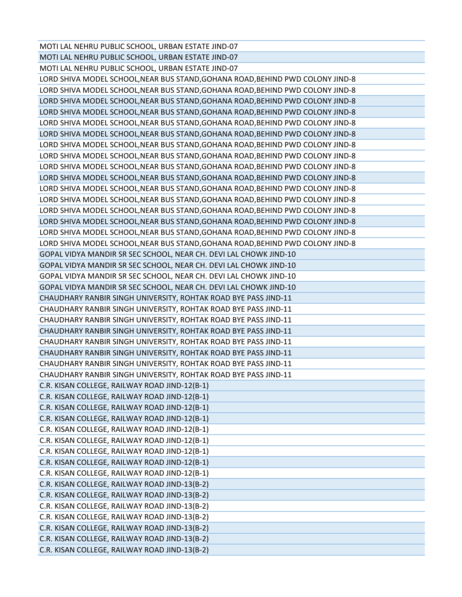MOTI LAL NEHRU PUBLIC SCHOOL, URBAN ESTATE JIND-07 MOTI LAL NEHRU PUBLIC SCHOOL, URBAN ESTATE JIND-07 MOTI LAL NEHRU PUBLIC SCHOOL, URBAN ESTATE JIND-07 LORD SHIVA MODEL SCHOOL,NEAR BUS STAND,GOHANA ROAD,BEHIND PWD COLONY JIND-8 LORD SHIVA MODEL SCHOOL,NEAR BUS STAND,GOHANA ROAD,BEHIND PWD COLONY JIND-8 LORD SHIVA MODEL SCHOOL,NEAR BUS STAND,GOHANA ROAD,BEHIND PWD COLONY JIND-8 LORD SHIVA MODEL SCHOOL,NEAR BUS STAND,GOHANA ROAD,BEHIND PWD COLONY JIND-8 LORD SHIVA MODEL SCHOOL,NEAR BUS STAND,GOHANA ROAD,BEHIND PWD COLONY JIND-8 LORD SHIVA MODEL SCHOOL,NEAR BUS STAND,GOHANA ROAD,BEHIND PWD COLONY JIND-8 LORD SHIVA MODEL SCHOOL,NEAR BUS STAND,GOHANA ROAD,BEHIND PWD COLONY JIND-8 LORD SHIVA MODEL SCHOOL,NEAR BUS STAND,GOHANA ROAD,BEHIND PWD COLONY JIND-8 LORD SHIVA MODEL SCHOOL,NEAR BUS STAND,GOHANA ROAD,BEHIND PWD COLONY JIND-8 LORD SHIVA MODEL SCHOOL,NEAR BUS STAND,GOHANA ROAD,BEHIND PWD COLONY JIND-8 LORD SHIVA MODEL SCHOOL,NEAR BUS STAND,GOHANA ROAD,BEHIND PWD COLONY JIND-8 LORD SHIVA MODEL SCHOOL,NEAR BUS STAND,GOHANA ROAD,BEHIND PWD COLONY JIND-8 LORD SHIVA MODEL SCHOOL,NEAR BUS STAND,GOHANA ROAD,BEHIND PWD COLONY JIND-8 LORD SHIVA MODEL SCHOOL,NEAR BUS STAND,GOHANA ROAD,BEHIND PWD COLONY JIND-8 LORD SHIVA MODEL SCHOOL,NEAR BUS STAND,GOHANA ROAD,BEHIND PWD COLONY JIND-8 LORD SHIVA MODEL SCHOOL,NEAR BUS STAND,GOHANA ROAD,BEHIND PWD COLONY JIND-8 GOPAL VIDYA MANDIR SR SEC SCHOOL, NEAR CH. DEVI LAL CHOWK JIND-10 GOPAL VIDYA MANDIR SR SEC SCHOOL, NEAR CH. DEVI LAL CHOWK JIND-10 GOPAL VIDYA MANDIR SR SEC SCHOOL, NEAR CH. DEVI LAL CHOWK JIND-10 GOPAL VIDYA MANDIR SR SEC SCHOOL, NEAR CH. DEVI LAL CHOWK JIND-10 CHAUDHARY RANBIR SINGH UNIVERSITY, ROHTAK ROAD BYE PASS JIND-11 CHAUDHARY RANBIR SINGH UNIVERSITY, ROHTAK ROAD BYE PASS JIND-11 CHAUDHARY RANBIR SINGH UNIVERSITY, ROHTAK ROAD BYE PASS JIND-11 CHAUDHARY RANBIR SINGH UNIVERSITY, ROHTAK ROAD BYE PASS JIND-11 CHAUDHARY RANBIR SINGH UNIVERSITY, ROHTAK ROAD BYE PASS JIND-11 CHAUDHARY RANBIR SINGH UNIVERSITY, ROHTAK ROAD BYE PASS JIND-11 CHAUDHARY RANBIR SINGH UNIVERSITY, ROHTAK ROAD BYE PASS JIND-11 CHAUDHARY RANBIR SINGH UNIVERSITY, ROHTAK ROAD BYE PASS JIND-11 C.R. KISAN COLLEGE, RAILWAY ROAD JIND-12(B-1) C.R. KISAN COLLEGE, RAILWAY ROAD JIND-12(B-1) C.R. KISAN COLLEGE, RAILWAY ROAD JIND-12(B-1) C.R. KISAN COLLEGE, RAILWAY ROAD JIND-12(B-1) C.R. KISAN COLLEGE, RAILWAY ROAD JIND-12(B-1) C.R. KISAN COLLEGE, RAILWAY ROAD JIND-12(B-1) C.R. KISAN COLLEGE, RAILWAY ROAD JIND-12(B-1) C.R. KISAN COLLEGE, RAILWAY ROAD JIND-12(B-1) C.R. KISAN COLLEGE, RAILWAY ROAD JIND-12(B-1) C.R. KISAN COLLEGE, RAILWAY ROAD JIND-13(B-2) C.R. KISAN COLLEGE, RAILWAY ROAD JIND-13(B-2) C.R. KISAN COLLEGE, RAILWAY ROAD JIND-13(B-2) C.R. KISAN COLLEGE, RAILWAY ROAD JIND-13(B-2) C.R. KISAN COLLEGE, RAILWAY ROAD JIND-13(B-2) C.R. KISAN COLLEGE, RAILWAY ROAD JIND-13(B-2) C.R. KISAN COLLEGE, RAILWAY ROAD JIND-13(B-2)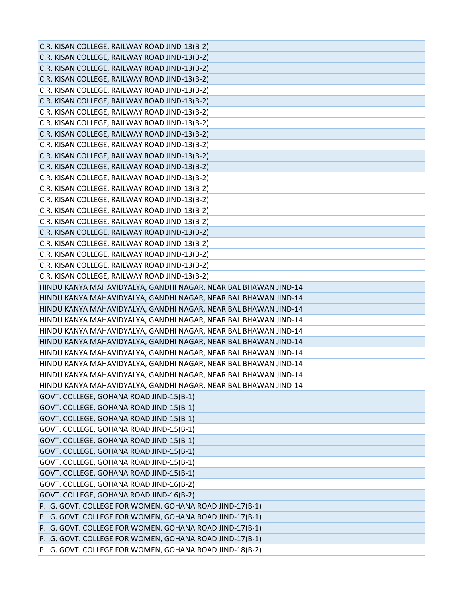| C.R. KISAN COLLEGE, RAILWAY ROAD JIND-13(B-2)                   |
|-----------------------------------------------------------------|
| C.R. KISAN COLLEGE, RAILWAY ROAD JIND-13(B-2)                   |
| C.R. KISAN COLLEGE, RAILWAY ROAD JIND-13(B-2)                   |
| C.R. KISAN COLLEGE, RAILWAY ROAD JIND-13(B-2)                   |
| C.R. KISAN COLLEGE, RAILWAY ROAD JIND-13(B-2)                   |
| C.R. KISAN COLLEGE, RAILWAY ROAD JIND-13(B-2)                   |
| C.R. KISAN COLLEGE, RAILWAY ROAD JIND-13(B-2)                   |
| C.R. KISAN COLLEGE, RAILWAY ROAD JIND-13(B-2)                   |
| C.R. KISAN COLLEGE, RAILWAY ROAD JIND-13(B-2)                   |
| C.R. KISAN COLLEGE, RAILWAY ROAD JIND-13(B-2)                   |
| C.R. KISAN COLLEGE, RAILWAY ROAD JIND-13(B-2)                   |
| C.R. KISAN COLLEGE, RAILWAY ROAD JIND-13(B-2)                   |
| C.R. KISAN COLLEGE, RAILWAY ROAD JIND-13(B-2)                   |
| C.R. KISAN COLLEGE, RAILWAY ROAD JIND-13(B-2)                   |
| C.R. KISAN COLLEGE, RAILWAY ROAD JIND-13(B-2)                   |
| C.R. KISAN COLLEGE, RAILWAY ROAD JIND-13(B-2)                   |
| C.R. KISAN COLLEGE, RAILWAY ROAD JIND-13(B-2)                   |
| C.R. KISAN COLLEGE, RAILWAY ROAD JIND-13(B-2)                   |
| C.R. KISAN COLLEGE, RAILWAY ROAD JIND-13(B-2)                   |
| C.R. KISAN COLLEGE, RAILWAY ROAD JIND-13(B-2)                   |
| C.R. KISAN COLLEGE, RAILWAY ROAD JIND-13(B-2)                   |
| C.R. KISAN COLLEGE, RAILWAY ROAD JIND-13(B-2)                   |
| HINDU KANYA MAHAVIDYALYA, GANDHI NAGAR, NEAR BAL BHAWAN JIND-14 |
| HINDU KANYA MAHAVIDYALYA, GANDHI NAGAR, NEAR BAL BHAWAN JIND-14 |
| HINDU KANYA MAHAVIDYALYA, GANDHI NAGAR, NEAR BAL BHAWAN JIND-14 |
| HINDU KANYA MAHAVIDYALYA, GANDHI NAGAR, NEAR BAL BHAWAN JIND-14 |
| HINDU KANYA MAHAVIDYALYA, GANDHI NAGAR, NEAR BAL BHAWAN JIND-14 |
| HINDU KANYA MAHAVIDYALYA, GANDHI NAGAR, NEAR BAL BHAWAN JIND-14 |
| HINDU KANYA MAHAVIDYALYA, GANDHI NAGAR, NEAR BAL BHAWAN JIND-14 |
| HINDU KANYA MAHAVIDYALYA, GANDHI NAGAR, NEAR BAL BHAWAN JIND-14 |
| HINDU KANYA MAHAVIDYALYA, GANDHI NAGAR, NEAR BAL BHAWAN JIND-14 |
| HINDU KANYA MAHAVIDYALYA, GANDHI NAGAR, NEAR BAL BHAWAN JIND-14 |
| GOVT. COLLEGE, GOHANA ROAD JIND-15(B-1)                         |
| GOVT. COLLEGE, GOHANA ROAD JIND-15(B-1)                         |
| GOVT. COLLEGE, GOHANA ROAD JIND-15(B-1)                         |
| GOVT. COLLEGE, GOHANA ROAD JIND-15(B-1)                         |
| GOVT. COLLEGE, GOHANA ROAD JIND-15(B-1)                         |
| GOVT. COLLEGE, GOHANA ROAD JIND-15(B-1)                         |
| GOVT. COLLEGE, GOHANA ROAD JIND-15(B-1)                         |
| GOVT. COLLEGE, GOHANA ROAD JIND-15(B-1)                         |
| GOVT. COLLEGE, GOHANA ROAD JIND-16(B-2)                         |
| GOVT. COLLEGE, GOHANA ROAD JIND-16(B-2)                         |
| P.I.G. GOVT. COLLEGE FOR WOMEN, GOHANA ROAD JIND-17(B-1)        |
| P.I.G. GOVT. COLLEGE FOR WOMEN, GOHANA ROAD JIND-17(B-1)        |
| P.I.G. GOVT. COLLEGE FOR WOMEN, GOHANA ROAD JIND-17(B-1)        |
| P.I.G. GOVT. COLLEGE FOR WOMEN, GOHANA ROAD JIND-17(B-1)        |
| P.I.G. GOVT. COLLEGE FOR WOMEN, GOHANA ROAD JIND-18(B-2)        |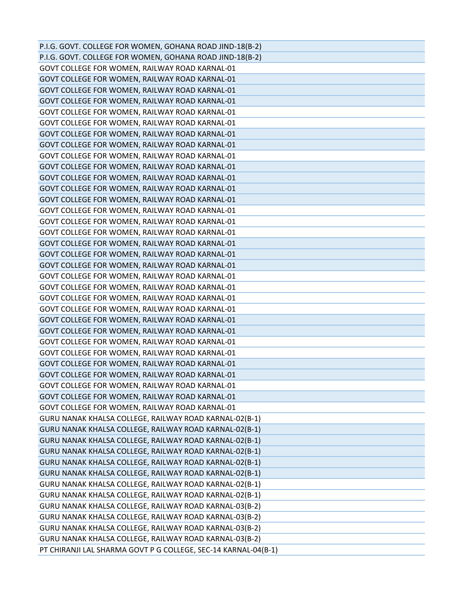| P.I.G. GOVT. COLLEGE FOR WOMEN, GOHANA ROAD JIND-18(B-2)       |
|----------------------------------------------------------------|
| P.I.G. GOVT. COLLEGE FOR WOMEN, GOHANA ROAD JIND-18(B-2)       |
| GOVT COLLEGE FOR WOMEN, RAILWAY ROAD KARNAL-01                 |
| GOVT COLLEGE FOR WOMEN, RAILWAY ROAD KARNAL-01                 |
| GOVT COLLEGE FOR WOMEN, RAILWAY ROAD KARNAL-01                 |
| GOVT COLLEGE FOR WOMEN, RAILWAY ROAD KARNAL-01                 |
| GOVT COLLEGE FOR WOMEN, RAILWAY ROAD KARNAL-01                 |
| GOVT COLLEGE FOR WOMEN, RAILWAY ROAD KARNAL-01                 |
| GOVT COLLEGE FOR WOMEN, RAILWAY ROAD KARNAL-01                 |
| GOVT COLLEGE FOR WOMEN, RAILWAY ROAD KARNAL-01                 |
| GOVT COLLEGE FOR WOMEN, RAILWAY ROAD KARNAL-01                 |
| GOVT COLLEGE FOR WOMEN, RAILWAY ROAD KARNAL-01                 |
| GOVT COLLEGE FOR WOMEN, RAILWAY ROAD KARNAL-01                 |
| GOVT COLLEGE FOR WOMEN, RAILWAY ROAD KARNAL-01                 |
| GOVT COLLEGE FOR WOMEN, RAILWAY ROAD KARNAL-01                 |
| GOVT COLLEGE FOR WOMEN, RAILWAY ROAD KARNAL-01                 |
| GOVT COLLEGE FOR WOMEN, RAILWAY ROAD KARNAL-01                 |
| GOVT COLLEGE FOR WOMEN, RAILWAY ROAD KARNAL-01                 |
| GOVT COLLEGE FOR WOMEN, RAILWAY ROAD KARNAL-01                 |
| GOVT COLLEGE FOR WOMEN, RAILWAY ROAD KARNAL-01                 |
| GOVT COLLEGE FOR WOMEN, RAILWAY ROAD KARNAL-01                 |
| GOVT COLLEGE FOR WOMEN, RAILWAY ROAD KARNAL-01                 |
| GOVT COLLEGE FOR WOMEN, RAILWAY ROAD KARNAL-01                 |
| GOVT COLLEGE FOR WOMEN, RAILWAY ROAD KARNAL-01                 |
| GOVT COLLEGE FOR WOMEN, RAILWAY ROAD KARNAL-01                 |
| GOVT COLLEGE FOR WOMEN, RAILWAY ROAD KARNAL-01                 |
| GOVT COLLEGE FOR WOMEN, RAILWAY ROAD KARNAL-01                 |
| GOVT COLLEGE FOR WOMEN, RAILWAY ROAD KARNAL-01                 |
| GOVT COLLEGE FOR WOMEN, RAILWAY ROAD KARNAL-01                 |
| GOVT COLLEGE FOR WOMEN, RAILWAY ROAD KARNAL-01                 |
| GOVT COLLEGE FOR WOMEN, RAILWAY ROAD KARNAL-01                 |
| GOVT COLLEGE FOR WOMEN, RAILWAY ROAD KARNAL-01                 |
| GOVT COLLEGE FOR WOMEN, RAILWAY ROAD KARNAL-01                 |
| GOVT COLLEGE FOR WOMEN, RAILWAY ROAD KARNAL-01                 |
| GURU NANAK KHALSA COLLEGE, RAILWAY ROAD KARNAL-02(B-1)         |
| GURU NANAK KHALSA COLLEGE, RAILWAY ROAD KARNAL-02(B-1)         |
| GURU NANAK KHALSA COLLEGE, RAILWAY ROAD KARNAL-02(B-1)         |
| GURU NANAK KHALSA COLLEGE, RAILWAY ROAD KARNAL-02(B-1)         |
| GURU NANAK KHALSA COLLEGE, RAILWAY ROAD KARNAL-02(B-1)         |
| GURU NANAK KHALSA COLLEGE, RAILWAY ROAD KARNAL-02(B-1)         |
| GURU NANAK KHALSA COLLEGE, RAILWAY ROAD KARNAL-02(B-1)         |
| GURU NANAK KHALSA COLLEGE, RAILWAY ROAD KARNAL-02(B-1)         |
| GURU NANAK KHALSA COLLEGE, RAILWAY ROAD KARNAL-03(B-2)         |
| GURU NANAK KHALSA COLLEGE, RAILWAY ROAD KARNAL-03(B-2)         |
| GURU NANAK KHALSA COLLEGE, RAILWAY ROAD KARNAL-03(B-2)         |
| GURU NANAK KHALSA COLLEGE, RAILWAY ROAD KARNAL-03(B-2)         |
| PT CHIRANJI LAL SHARMA GOVT P G COLLEGE, SEC-14 KARNAL-04(B-1) |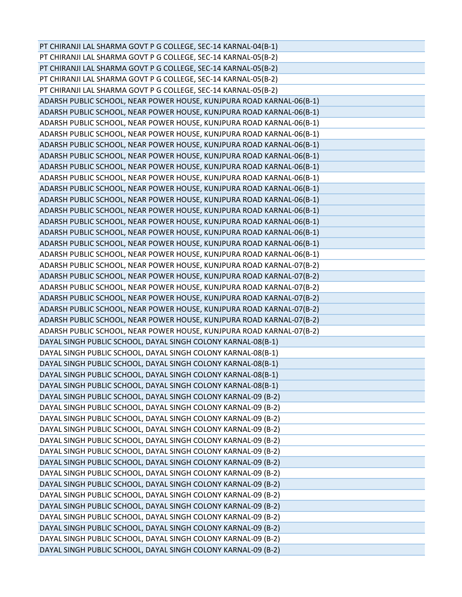| PT CHIRANJI LAL SHARMA GOVT P G COLLEGE, SEC-14 KARNAL-04(B-1)       |
|----------------------------------------------------------------------|
| PT CHIRANJI LAL SHARMA GOVT P G COLLEGE, SEC-14 KARNAL-05(B-2)       |
| PT CHIRANJI LAL SHARMA GOVT P G COLLEGE, SEC-14 KARNAL-05(B-2)       |
| PT CHIRANJI LAL SHARMA GOVT P G COLLEGE, SEC-14 KARNAL-05(B-2)       |
| PT CHIRANJI LAL SHARMA GOVT P G COLLEGE, SEC-14 KARNAL-05(B-2)       |
| ADARSH PUBLIC SCHOOL, NEAR POWER HOUSE, KUNJPURA ROAD KARNAL-06(B-1) |
| ADARSH PUBLIC SCHOOL, NEAR POWER HOUSE, KUNJPURA ROAD KARNAL-06(B-1) |
| ADARSH PUBLIC SCHOOL, NEAR POWER HOUSE, KUNJPURA ROAD KARNAL-06(B-1) |
| ADARSH PUBLIC SCHOOL, NEAR POWER HOUSE, KUNJPURA ROAD KARNAL-06(B-1) |
| ADARSH PUBLIC SCHOOL, NEAR POWER HOUSE, KUNJPURA ROAD KARNAL-06(B-1) |
| ADARSH PUBLIC SCHOOL, NEAR POWER HOUSE, KUNJPURA ROAD KARNAL-06(B-1) |
| ADARSH PUBLIC SCHOOL, NEAR POWER HOUSE, KUNJPURA ROAD KARNAL-06(B-1) |
| ADARSH PUBLIC SCHOOL, NEAR POWER HOUSE, KUNJPURA ROAD KARNAL-06(B-1) |
| ADARSH PUBLIC SCHOOL, NEAR POWER HOUSE, KUNJPURA ROAD KARNAL-06(B-1) |
| ADARSH PUBLIC SCHOOL, NEAR POWER HOUSE, KUNJPURA ROAD KARNAL-06(B-1) |
| ADARSH PUBLIC SCHOOL, NEAR POWER HOUSE, KUNJPURA ROAD KARNAL-06(B-1) |
| ADARSH PUBLIC SCHOOL, NEAR POWER HOUSE, KUNJPURA ROAD KARNAL-06(B-1) |
| ADARSH PUBLIC SCHOOL, NEAR POWER HOUSE, KUNJPURA ROAD KARNAL-06(B-1) |
| ADARSH PUBLIC SCHOOL, NEAR POWER HOUSE, KUNJPURA ROAD KARNAL-06(B-1) |
| ADARSH PUBLIC SCHOOL, NEAR POWER HOUSE, KUNJPURA ROAD KARNAL-06(B-1) |
| ADARSH PUBLIC SCHOOL, NEAR POWER HOUSE, KUNJPURA ROAD KARNAL-07(B-2) |
| ADARSH PUBLIC SCHOOL, NEAR POWER HOUSE, KUNJPURA ROAD KARNAL-07(B-2) |
| ADARSH PUBLIC SCHOOL, NEAR POWER HOUSE, KUNJPURA ROAD KARNAL-07(B-2) |
| ADARSH PUBLIC SCHOOL, NEAR POWER HOUSE, KUNJPURA ROAD KARNAL-07(B-2) |
| ADARSH PUBLIC SCHOOL, NEAR POWER HOUSE, KUNJPURA ROAD KARNAL-07(B-2) |
| ADARSH PUBLIC SCHOOL, NEAR POWER HOUSE, KUNJPURA ROAD KARNAL-07(B-2) |
| ADARSH PUBLIC SCHOOL, NEAR POWER HOUSE, KUNJPURA ROAD KARNAL-07(B-2) |
| DAYAL SINGH PUBLIC SCHOOL, DAYAL SINGH COLONY KARNAL-08(B-1)         |
| DAYAL SINGH PUBLIC SCHOOL, DAYAL SINGH COLONY KARNAL-08(B-1)         |
| DAYAL SINGH PUBLIC SCHOOL, DAYAL SINGH COLONY KARNAL-08(B-1)         |
| DAYAL SINGH PUBLIC SCHOOL, DAYAL SINGH COLONY KARNAL-08(B-1)         |
| DAYAL SINGH PUBLIC SCHOOL, DAYAL SINGH COLONY KARNAL-08(B-1)         |
| DAYAL SINGH PUBLIC SCHOOL, DAYAL SINGH COLONY KARNAL-09 (B-2)        |
| DAYAL SINGH PUBLIC SCHOOL, DAYAL SINGH COLONY KARNAL-09 (B-2)        |
| DAYAL SINGH PUBLIC SCHOOL, DAYAL SINGH COLONY KARNAL-09 (B-2)        |
| DAYAL SINGH PUBLIC SCHOOL, DAYAL SINGH COLONY KARNAL-09 (B-2)        |
| DAYAL SINGH PUBLIC SCHOOL, DAYAL SINGH COLONY KARNAL-09 (B-2)        |
| DAYAL SINGH PUBLIC SCHOOL, DAYAL SINGH COLONY KARNAL-09 (B-2)        |
| DAYAL SINGH PUBLIC SCHOOL, DAYAL SINGH COLONY KARNAL-09 (B-2)        |
| DAYAL SINGH PUBLIC SCHOOL, DAYAL SINGH COLONY KARNAL-09 (B-2)        |
| DAYAL SINGH PUBLIC SCHOOL, DAYAL SINGH COLONY KARNAL-09 (B-2)        |
| DAYAL SINGH PUBLIC SCHOOL, DAYAL SINGH COLONY KARNAL-09 (B-2)        |
| DAYAL SINGH PUBLIC SCHOOL, DAYAL SINGH COLONY KARNAL-09 (B-2)        |
| DAYAL SINGH PUBLIC SCHOOL, DAYAL SINGH COLONY KARNAL-09 (B-2)        |
| DAYAL SINGH PUBLIC SCHOOL, DAYAL SINGH COLONY KARNAL-09 (B-2)        |
| DAYAL SINGH PUBLIC SCHOOL, DAYAL SINGH COLONY KARNAL-09 (B-2)        |
| DAYAL SINGH PUBLIC SCHOOL, DAYAL SINGH COLONY KARNAL-09 (B-2)        |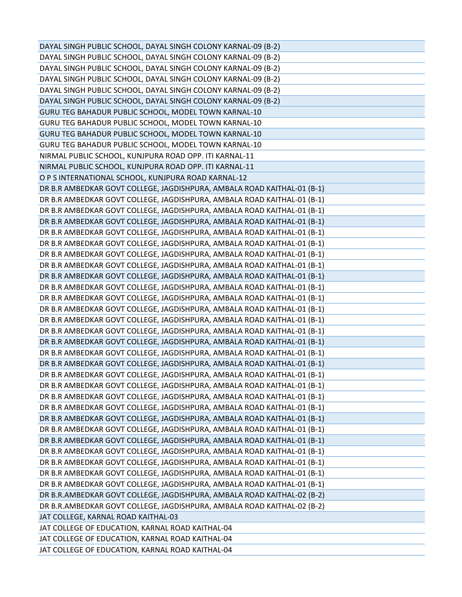| DAYAL SINGH PUBLIC SCHOOL, DAYAL SINGH COLONY KARNAL-09 (B-2)           |
|-------------------------------------------------------------------------|
| DAYAL SINGH PUBLIC SCHOOL, DAYAL SINGH COLONY KARNAL-09 (B-2)           |
| DAYAL SINGH PUBLIC SCHOOL, DAYAL SINGH COLONY KARNAL-09 (B-2)           |
| DAYAL SINGH PUBLIC SCHOOL, DAYAL SINGH COLONY KARNAL-09 (B-2)           |
| DAYAL SINGH PUBLIC SCHOOL, DAYAL SINGH COLONY KARNAL-09 (B-2)           |
| DAYAL SINGH PUBLIC SCHOOL, DAYAL SINGH COLONY KARNAL-09 (B-2)           |
| GURU TEG BAHADUR PUBLIC SCHOOL, MODEL TOWN KARNAL-10                    |
| GURU TEG BAHADUR PUBLIC SCHOOL, MODEL TOWN KARNAL-10                    |
| GURU TEG BAHADUR PUBLIC SCHOOL, MODEL TOWN KARNAL-10                    |
| GURU TEG BAHADUR PUBLIC SCHOOL, MODEL TOWN KARNAL-10                    |
| NIRMAL PUBLIC SCHOOL, KUNJPURA ROAD OPP. ITI KARNAL-11                  |
| NIRMAL PUBLIC SCHOOL, KUNJPURA ROAD OPP. ITI KARNAL-11                  |
| O P S INTERNATIONAL SCHOOL, KUNJPURA ROAD KARNAL-12                     |
| DR B.R AMBEDKAR GOVT COLLEGE, JAGDISHPURA, AMBALA ROAD KAITHAL-01 (B-1) |
| DR B.R AMBEDKAR GOVT COLLEGE, JAGDISHPURA, AMBALA ROAD KAITHAL-01 (B-1) |
| DR B.R AMBEDKAR GOVT COLLEGE, JAGDISHPURA, AMBALA ROAD KAITHAL-01 (B-1) |
| DR B.R AMBEDKAR GOVT COLLEGE, JAGDISHPURA, AMBALA ROAD KAITHAL-01 (B-1) |
| DR B.R AMBEDKAR GOVT COLLEGE, JAGDISHPURA, AMBALA ROAD KAITHAL-01 (B-1) |
| DR B.R AMBEDKAR GOVT COLLEGE, JAGDISHPURA, AMBALA ROAD KAITHAL-01 (B-1) |
| DR B.R AMBEDKAR GOVT COLLEGE, JAGDISHPURA, AMBALA ROAD KAITHAL-01 (B-1) |
| DR B.R AMBEDKAR GOVT COLLEGE, JAGDISHPURA, AMBALA ROAD KAITHAL-01 (B-1) |
| DR B.R AMBEDKAR GOVT COLLEGE, JAGDISHPURA, AMBALA ROAD KAITHAL-01 (B-1) |
| DR B.R AMBEDKAR GOVT COLLEGE, JAGDISHPURA, AMBALA ROAD KAITHAL-01 (B-1) |
| DR B.R AMBEDKAR GOVT COLLEGE, JAGDISHPURA, AMBALA ROAD KAITHAL-01 (B-1) |
| DR B.R AMBEDKAR GOVT COLLEGE, JAGDISHPURA, AMBALA ROAD KAITHAL-01 (B-1) |
| DR B.R AMBEDKAR GOVT COLLEGE, JAGDISHPURA, AMBALA ROAD KAITHAL-01 (B-1) |
| DR B.R AMBEDKAR GOVT COLLEGE, JAGDISHPURA, AMBALA ROAD KAITHAL-01 (B-1) |
| DR B.R AMBEDKAR GOVT COLLEGE, JAGDISHPURA, AMBALA ROAD KAITHAL-01 (B-1) |
| DR B.R AMBEDKAR GOVT COLLEGE, JAGDISHPURA, AMBALA ROAD KAITHAL-01 (B-1) |
| DR B.R AMBEDKAR GOVT COLLEGE, JAGDISHPURA, AMBALA ROAD KAITHAL-01 (B-1) |
| DR B.R AMBEDKAR GOVT COLLEGE, JAGDISHPURA, AMBALA ROAD KAITHAL-01 (B-1) |
| DR B.R AMBEDKAR GOVT COLLEGE, JAGDISHPURA, AMBALA ROAD KAITHAL-01 (B-1) |
| DR B.R AMBEDKAR GOVT COLLEGE, JAGDISHPURA, AMBALA ROAD KAITHAL-01 (B-1) |
| DR B.R AMBEDKAR GOVT COLLEGE, JAGDISHPURA, AMBALA ROAD KAITHAL-01 (B-1) |
| DR B.R AMBEDKAR GOVT COLLEGE, JAGDISHPURA, AMBALA ROAD KAITHAL-01 (B-1) |
| DR B.R AMBEDKAR GOVT COLLEGE, JAGDISHPURA, AMBALA ROAD KAITHAL-01 (B-1) |
| DR B.R AMBEDKAR GOVT COLLEGE, JAGDISHPURA, AMBALA ROAD KAITHAL-01 (B-1) |
| DR B.R AMBEDKAR GOVT COLLEGE, JAGDISHPURA, AMBALA ROAD KAITHAL-01 (B-1) |
| DR B.R AMBEDKAR GOVT COLLEGE, JAGDISHPURA, AMBALA ROAD KAITHAL-01 (B-1) |
| DR B.R AMBEDKAR GOVT COLLEGE, JAGDISHPURA, AMBALA ROAD KAITHAL-01 (B-1) |
| DR B.R AMBEDKAR GOVT COLLEGE, JAGDISHPURA, AMBALA ROAD KAITHAL-01 (B-1) |
| DR B.R.AMBEDKAR GOVT COLLEGE, JAGDISHPURA, AMBALA ROAD KAITHAL-02 (B-2) |
| DR B.R.AMBEDKAR GOVT COLLEGE, JAGDISHPURA, AMBALA ROAD KAITHAL-02 (B-2) |
| JAT COLLEGE, KARNAL ROAD KAITHAL-03                                     |
| JAT COLLEGE OF EDUCATION, KARNAL ROAD KAITHAL-04                        |
| JAT COLLEGE OF EDUCATION, KARNAL ROAD KAITHAL-04                        |
| JAT COLLEGE OF EDUCATION, KARNAL ROAD KAITHAL-04                        |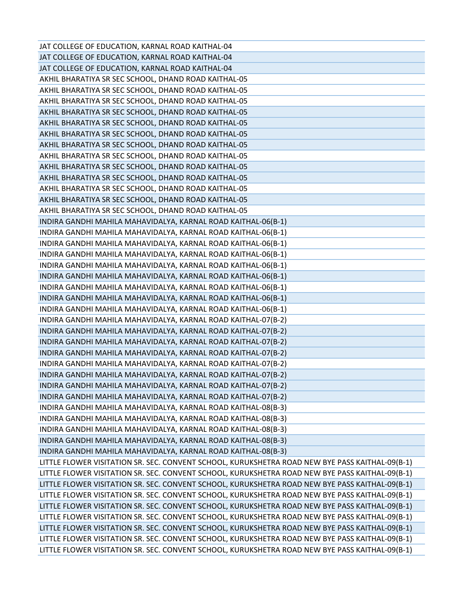| JAT COLLEGE OF EDUCATION, KARNAL ROAD KAITHAL-04                                                |
|-------------------------------------------------------------------------------------------------|
| JAT COLLEGE OF EDUCATION, KARNAL ROAD KAITHAL-04                                                |
| JAT COLLEGE OF EDUCATION, KARNAL ROAD KAITHAL-04                                                |
| AKHIL BHARATIYA SR SEC SCHOOL, DHAND ROAD KAITHAL-05                                            |
| AKHIL BHARATIYA SR SEC SCHOOL, DHAND ROAD KAITHAL-05                                            |
| AKHIL BHARATIYA SR SEC SCHOOL, DHAND ROAD KAITHAL-05                                            |
| AKHIL BHARATIYA SR SEC SCHOOL, DHAND ROAD KAITHAL-05                                            |
| AKHIL BHARATIYA SR SEC SCHOOL, DHAND ROAD KAITHAL-05                                            |
| AKHIL BHARATIYA SR SEC SCHOOL, DHAND ROAD KAITHAL-05                                            |
| AKHIL BHARATIYA SR SEC SCHOOL, DHAND ROAD KAITHAL-05                                            |
| AKHIL BHARATIYA SR SEC SCHOOL, DHAND ROAD KAITHAL-05                                            |
| AKHIL BHARATIYA SR SEC SCHOOL, DHAND ROAD KAITHAL-05                                            |
| AKHIL BHARATIYA SR SEC SCHOOL, DHAND ROAD KAITHAL-05                                            |
| AKHIL BHARATIYA SR SEC SCHOOL, DHAND ROAD KAITHAL-05                                            |
| AKHIL BHARATIYA SR SEC SCHOOL, DHAND ROAD KAITHAL-05                                            |
| AKHIL BHARATIYA SR SEC SCHOOL, DHAND ROAD KAITHAL-05                                            |
| INDIRA GANDHI MAHILA MAHAVIDALYA, KARNAL ROAD KAITHAL-06(B-1)                                   |
| INDIRA GANDHI MAHILA MAHAVIDALYA, KARNAL ROAD KAITHAL-06(B-1)                                   |
| INDIRA GANDHI MAHILA MAHAVIDALYA, KARNAL ROAD KAITHAL-06(B-1)                                   |
| INDIRA GANDHI MAHILA MAHAVIDALYA, KARNAL ROAD KAITHAL-06(B-1)                                   |
| INDIRA GANDHI MAHILA MAHAVIDALYA, KARNAL ROAD KAITHAL-06(B-1)                                   |
| INDIRA GANDHI MAHILA MAHAVIDALYA, KARNAL ROAD KAITHAL-06(B-1)                                   |
| INDIRA GANDHI MAHILA MAHAVIDALYA, KARNAL ROAD KAITHAL-06(B-1)                                   |
| INDIRA GANDHI MAHILA MAHAVIDALYA, KARNAL ROAD KAITHAL-06(B-1)                                   |
| INDIRA GANDHI MAHILA MAHAVIDALYA, KARNAL ROAD KAITHAL-06(B-1)                                   |
| INDIRA GANDHI MAHILA MAHAVIDALYA, KARNAL ROAD KAITHAL-07(B-2)                                   |
| INDIRA GANDHI MAHILA MAHAVIDALYA, KARNAL ROAD KAITHAL-07(B-2)                                   |
| INDIRA GANDHI MAHILA MAHAVIDALYA, KARNAL ROAD KAITHAL-07(B-2)                                   |
| INDIRA GANDHI MAHILA MAHAVIDALYA, KARNAL ROAD KAITHAL-07(B-2)                                   |
| INDIRA GANDHI MAHILA MAHAVIDALYA, KARNAL ROAD KAITHAL-07(B-2)                                   |
| INDIRA GANDHI MAHILA MAHAVIDALYA, KARNAL ROAD KAITHAL-07(B-2)                                   |
| INDIRA GANDHI MAHILA MAHAVIDALYA, KARNAL ROAD KAITHAL-07(B-2)                                   |
| INDIRA GANDHI MAHILA MAHAVIDALYA, KARNAL ROAD KAITHAL-07(B-2)                                   |
| INDIRA GANDHI MAHILA MAHAVIDALYA, KARNAL ROAD KAITHAL-08(B-3)                                   |
| INDIRA GANDHI MAHILA MAHAVIDALYA, KARNAL ROAD KAITHAL-08(B-3)                                   |
| INDIRA GANDHI MAHILA MAHAVIDALYA, KARNAL ROAD KAITHAL-08(B-3)                                   |
| INDIRA GANDHI MAHILA MAHAVIDALYA, KARNAL ROAD KAITHAL-08(B-3)                                   |
| INDIRA GANDHI MAHILA MAHAVIDALYA, KARNAL ROAD KAITHAL-08(B-3)                                   |
| LITTLE FLOWER VISITATION SR. SEC. CONVENT SCHOOL, KURUKSHETRA ROAD NEW BYE PASS KAITHAL-09(B-1) |
| LITTLE FLOWER VISITATION SR. SEC. CONVENT SCHOOL, KURUKSHETRA ROAD NEW BYE PASS KAITHAL-09(B-1) |
| LITTLE FLOWER VISITATION SR. SEC. CONVENT SCHOOL, KURUKSHETRA ROAD NEW BYE PASS KAITHAL-09(B-1) |
| LITTLE FLOWER VISITATION SR. SEC. CONVENT SCHOOL, KURUKSHETRA ROAD NEW BYE PASS KAITHAL-09(B-1) |
| LITTLE FLOWER VISITATION SR. SEC. CONVENT SCHOOL, KURUKSHETRA ROAD NEW BYE PASS KAITHAL-09(B-1) |
| LITTLE FLOWER VISITATION SR. SEC. CONVENT SCHOOL, KURUKSHETRA ROAD NEW BYE PASS KAITHAL-09(B-1) |
| LITTLE FLOWER VISITATION SR. SEC. CONVENT SCHOOL, KURUKSHETRA ROAD NEW BYE PASS KAITHAL-09(B-1) |
| LITTLE FLOWER VISITATION SR. SEC. CONVENT SCHOOL, KURUKSHETRA ROAD NEW BYE PASS KAITHAL-09(B-1) |
| LITTLE FLOWER VISITATION SR. SEC. CONVENT SCHOOL, KURUKSHETRA ROAD NEW BYE PASS KAITHAL-09(B-1) |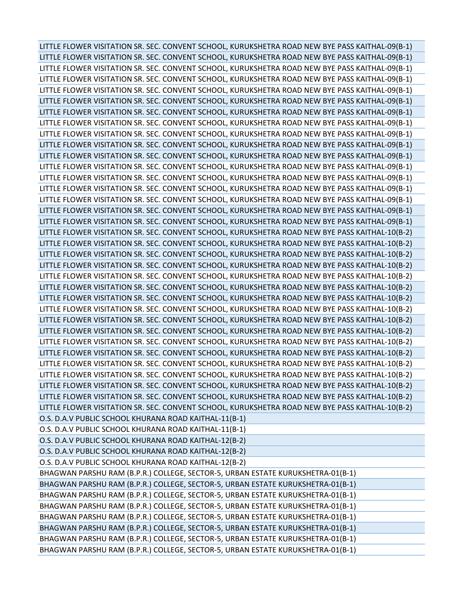LITTLE FLOWER VISITATION SR. SEC. CONVENT SCHOOL, KURUKSHETRA ROAD NEW BYE PASS KAITHAL-09(B-1) LITTLE FLOWER VISITATION SR. SEC. CONVENT SCHOOL, KURUKSHETRA ROAD NEW BYE PASS KAITHAL-09(B-1) LITTLE FLOWER VISITATION SR. SEC. CONVENT SCHOOL, KURUKSHETRA ROAD NEW BYE PASS KAITHAL-09(B-1) LITTLE FLOWER VISITATION SR. SEC. CONVENT SCHOOL, KURUKSHETRA ROAD NEW BYE PASS KAITHAL-09(B-1) LITTLE FLOWER VISITATION SR. SEC. CONVENT SCHOOL, KURUKSHETRA ROAD NEW BYE PASS KAITHAL-09(B-1) LITTLE FLOWER VISITATION SR. SEC. CONVENT SCHOOL, KURUKSHETRA ROAD NEW BYE PASS KAITHAL-09(B-1) LITTLE FLOWER VISITATION SR. SEC. CONVENT SCHOOL, KURUKSHETRA ROAD NEW BYE PASS KAITHAL-09(B-1) LITTLE FLOWER VISITATION SR. SEC. CONVENT SCHOOL, KURUKSHETRA ROAD NEW BYE PASS KAITHAL-09(B-1) LITTLE FLOWER VISITATION SR. SEC. CONVENT SCHOOL, KURUKSHETRA ROAD NEW BYE PASS KAITHAL-09(B-1) LITTLE FLOWER VISITATION SR. SEC. CONVENT SCHOOL, KURUKSHETRA ROAD NEW BYE PASS KAITHAL-09(B-1) LITTLE FLOWER VISITATION SR. SEC. CONVENT SCHOOL, KURUKSHETRA ROAD NEW BYE PASS KAITHAL-09(B-1) LITTLE FLOWER VISITATION SR. SEC. CONVENT SCHOOL, KURUKSHETRA ROAD NEW BYE PASS KAITHAL-09(B-1) LITTLE FLOWER VISITATION SR. SEC. CONVENT SCHOOL, KURUKSHETRA ROAD NEW BYE PASS KAITHAL-09(B-1) LITTLE FLOWER VISITATION SR. SEC. CONVENT SCHOOL, KURUKSHETRA ROAD NEW BYE PASS KAITHAL-09(B-1) LITTLE FLOWER VISITATION SR. SEC. CONVENT SCHOOL, KURUKSHETRA ROAD NEW BYE PASS KAITHAL-09(B-1) LITTLE FLOWER VISITATION SR. SEC. CONVENT SCHOOL, KURUKSHETRA ROAD NEW BYE PASS KAITHAL-09(B-1) LITTLE FLOWER VISITATION SR. SEC. CONVENT SCHOOL, KURUKSHETRA ROAD NEW BYE PASS KAITHAL-09(B-1) LITTLE FLOWER VISITATION SR. SEC. CONVENT SCHOOL, KURUKSHETRA ROAD NEW BYE PASS KAITHAL-10(B-2) LITTLE FLOWER VISITATION SR. SEC. CONVENT SCHOOL, KURUKSHETRA ROAD NEW BYE PASS KAITHAL-10(B-2) LITTLE FLOWER VISITATION SR. SEC. CONVENT SCHOOL, KURUKSHETRA ROAD NEW BYE PASS KAITHAL-10(B-2) LITTLE FLOWER VISITATION SR. SEC. CONVENT SCHOOL, KURUKSHETRA ROAD NEW BYE PASS KAITHAL-10(B-2) LITTLE FLOWER VISITATION SR. SEC. CONVENT SCHOOL, KURUKSHETRA ROAD NEW BYE PASS KAITHAL-10(B-2) LITTLE FLOWER VISITATION SR. SEC. CONVENT SCHOOL, KURUKSHETRA ROAD NEW BYE PASS KAITHAL-10(B-2) LITTLE FLOWER VISITATION SR. SEC. CONVENT SCHOOL, KURUKSHETRA ROAD NEW BYE PASS KAITHAL-10(B-2) LITTLE FLOWER VISITATION SR. SEC. CONVENT SCHOOL, KURUKSHETRA ROAD NEW BYE PASS KAITHAL-10(B-2) LITTLE FLOWER VISITATION SR. SEC. CONVENT SCHOOL, KURUKSHETRA ROAD NEW BYE PASS KAITHAL-10(B-2) LITTLE FLOWER VISITATION SR. SEC. CONVENT SCHOOL, KURUKSHETRA ROAD NEW BYE PASS KAITHAL-10(B-2) LITTLE FLOWER VISITATION SR. SEC. CONVENT SCHOOL, KURUKSHETRA ROAD NEW BYE PASS KAITHAL-10(B-2) LITTLE FLOWER VISITATION SR. SEC. CONVENT SCHOOL, KURUKSHETRA ROAD NEW BYE PASS KAITHAL-10(B-2) LITTLE FLOWER VISITATION SR. SEC. CONVENT SCHOOL, KURUKSHETRA ROAD NEW BYE PASS KAITHAL-10(B-2) LITTLE FLOWER VISITATION SR. SEC. CONVENT SCHOOL, KURUKSHETRA ROAD NEW BYE PASS KAITHAL-10(B-2) LITTLE FLOWER VISITATION SR. SEC. CONVENT SCHOOL, KURUKSHETRA ROAD NEW BYE PASS KAITHAL-10(B-2) LITTLE FLOWER VISITATION SR. SEC. CONVENT SCHOOL, KURUKSHETRA ROAD NEW BYE PASS KAITHAL-10(B-2) LITTLE FLOWER VISITATION SR. SEC. CONVENT SCHOOL, KURUKSHETRA ROAD NEW BYE PASS KAITHAL-10(B-2) O.S. D.A.V PUBLIC SCHOOL KHURANA ROAD KAITHAL-11(B-1) O.S. D.A.V PUBLIC SCHOOL KHURANA ROAD KAITHAL-11(B-1) O.S. D.A.V PUBLIC SCHOOL KHURANA ROAD KAITHAL-12(B-2) O.S. D.A.V PUBLIC SCHOOL KHURANA ROAD KAITHAL-12(B-2) O.S. D.A.V PUBLIC SCHOOL KHURANA ROAD KAITHAL-12(B-2) BHAGWAN PARSHU RAM (B.P.R.) COLLEGE, SECTOR-5, URBAN ESTATE KURUKSHETRA-01(B-1) BHAGWAN PARSHU RAM (B.P.R.) COLLEGE, SECTOR-5, URBAN ESTATE KURUKSHETRA-01(B-1) BHAGWAN PARSHU RAM (B.P.R.) COLLEGE, SECTOR-5, URBAN ESTATE KURUKSHETRA-01(B-1) BHAGWAN PARSHU RAM (B.P.R.) COLLEGE, SECTOR-5, URBAN ESTATE KURUKSHETRA-01(B-1) BHAGWAN PARSHU RAM (B.P.R.) COLLEGE, SECTOR-5, URBAN ESTATE KURUKSHETRA-01(B-1) BHAGWAN PARSHU RAM (B.P.R.) COLLEGE, SECTOR-5, URBAN ESTATE KURUKSHETRA-01(B-1) BHAGWAN PARSHU RAM (B.P.R.) COLLEGE, SECTOR-5, URBAN ESTATE KURUKSHETRA-01(B-1) BHAGWAN PARSHU RAM (B.P.R.) COLLEGE, SECTOR-5, URBAN ESTATE KURUKSHETRA-01(B-1)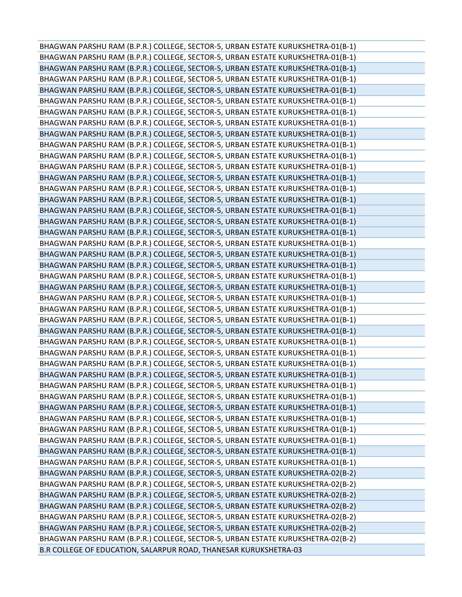BHAGWAN PARSHU RAM (B.P.R.) COLLEGE, SECTOR-5, URBAN ESTATE KURUKSHETRA-01(B-1) BHAGWAN PARSHU RAM (B.P.R.) COLLEGE, SECTOR-5, URBAN ESTATE KURUKSHETRA-01(B-1) BHAGWAN PARSHU RAM (B.P.R.) COLLEGE, SECTOR-5, URBAN ESTATE KURUKSHETRA-01(B-1) BHAGWAN PARSHU RAM (B.P.R.) COLLEGE, SECTOR-5, URBAN ESTATE KURUKSHETRA-01(B-1) BHAGWAN PARSHU RAM (B.P.R.) COLLEGE, SECTOR-5, URBAN ESTATE KURUKSHETRA-01(B-1) BHAGWAN PARSHU RAM (B.P.R.) COLLEGE, SECTOR-5, URBAN ESTATE KURUKSHETRA-01(B-1) BHAGWAN PARSHU RAM (B.P.R.) COLLEGE, SECTOR-5, URBAN ESTATE KURUKSHETRA-01(B-1) BHAGWAN PARSHU RAM (B.P.R.) COLLEGE, SECTOR-5, URBAN ESTATE KURUKSHETRA-01(B-1) BHAGWAN PARSHU RAM (B.P.R.) COLLEGE, SECTOR-5, URBAN ESTATE KURUKSHETRA-01(B-1) BHAGWAN PARSHU RAM (B.P.R.) COLLEGE, SECTOR-5, URBAN ESTATE KURUKSHETRA-01(B-1) BHAGWAN PARSHU RAM (B.P.R.) COLLEGE, SECTOR-5, URBAN ESTATE KURUKSHETRA-01(B-1) BHAGWAN PARSHU RAM (B.P.R.) COLLEGE, SECTOR-5, URBAN ESTATE KURUKSHETRA-01(B-1) BHAGWAN PARSHU RAM (B.P.R.) COLLEGE, SECTOR-5, URBAN ESTATE KURUKSHETRA-01(B-1) BHAGWAN PARSHU RAM (B.P.R.) COLLEGE, SECTOR-5, URBAN ESTATE KURUKSHETRA-01(B-1) BHAGWAN PARSHU RAM (B.P.R.) COLLEGE, SECTOR-5, URBAN ESTATE KURUKSHETRA-01(B-1) BHAGWAN PARSHU RAM (B.P.R.) COLLEGE, SECTOR-5, URBAN ESTATE KURUKSHETRA-01(B-1) BHAGWAN PARSHU RAM (B.P.R.) COLLEGE, SECTOR-5, URBAN ESTATE KURUKSHETRA-01(B-1) BHAGWAN PARSHU RAM (B.P.R.) COLLEGE, SECTOR-5, URBAN ESTATE KURUKSHETRA-01(B-1) BHAGWAN PARSHU RAM (B.P.R.) COLLEGE, SECTOR-5, URBAN ESTATE KURUKSHETRA-01(B-1) BHAGWAN PARSHU RAM (B.P.R.) COLLEGE, SECTOR-5, URBAN ESTATE KURUKSHETRA-01(B-1) BHAGWAN PARSHU RAM (B.P.R.) COLLEGE, SECTOR-5, URBAN ESTATE KURUKSHETRA-01(B-1) BHAGWAN PARSHU RAM (B.P.R.) COLLEGE, SECTOR-5, URBAN ESTATE KURUKSHETRA-01(B-1) BHAGWAN PARSHU RAM (B.P.R.) COLLEGE, SECTOR-5, URBAN ESTATE KURUKSHETRA-01(B-1) BHAGWAN PARSHU RAM (B.P.R.) COLLEGE, SECTOR-5, URBAN ESTATE KURUKSHETRA-01(B-1) BHAGWAN PARSHU RAM (B.P.R.) COLLEGE, SECTOR-5, URBAN ESTATE KURUKSHETRA-01(B-1) BHAGWAN PARSHU RAM (B.P.R.) COLLEGE, SECTOR-5, URBAN ESTATE KURUKSHETRA-01(B-1) BHAGWAN PARSHU RAM (B.P.R.) COLLEGE, SECTOR-5, URBAN ESTATE KURUKSHETRA-01(B-1) BHAGWAN PARSHU RAM (B.P.R.) COLLEGE, SECTOR-5, URBAN ESTATE KURUKSHETRA-01(B-1) BHAGWAN PARSHU RAM (B.P.R.) COLLEGE, SECTOR-5, URBAN ESTATE KURUKSHETRA-01(B-1) BHAGWAN PARSHU RAM (B.P.R.) COLLEGE, SECTOR-5, URBAN ESTATE KURUKSHETRA-01(B-1) BHAGWAN PARSHU RAM (B.P.R.) COLLEGE, SECTOR-5, URBAN ESTATE KURUKSHETRA-01(B-1) BHAGWAN PARSHU RAM (B.P.R.) COLLEGE, SECTOR-5, URBAN ESTATE KURUKSHETRA-01(B-1) BHAGWAN PARSHU RAM (B.P.R.) COLLEGE, SECTOR-5, URBAN ESTATE KURUKSHETRA-01(B-1) BHAGWAN PARSHU RAM (B.P.R.) COLLEGE, SECTOR-5, URBAN ESTATE KURUKSHETRA-01(B-1) BHAGWAN PARSHU RAM (B.P.R.) COLLEGE, SECTOR-5, URBAN ESTATE KURUKSHETRA-01(B-1) BHAGWAN PARSHU RAM (B.P.R.) COLLEGE, SECTOR-5, URBAN ESTATE KURUKSHETRA-01(B-1) BHAGWAN PARSHU RAM (B.P.R.) COLLEGE, SECTOR-5, URBAN ESTATE KURUKSHETRA-01(B-1) BHAGWAN PARSHU RAM (B.P.R.) COLLEGE, SECTOR-5, URBAN ESTATE KURUKSHETRA-01(B-1) BHAGWAN PARSHU RAM (B.P.R.) COLLEGE, SECTOR-5, URBAN ESTATE KURUKSHETRA-01(B-1) BHAGWAN PARSHU RAM (B.P.R.) COLLEGE, SECTOR-5, URBAN ESTATE KURUKSHETRA-02(B-2) BHAGWAN PARSHU RAM (B.P.R.) COLLEGE, SECTOR-5, URBAN ESTATE KURUKSHETRA-02(B-2) BHAGWAN PARSHU RAM (B.P.R.) COLLEGE, SECTOR-5, URBAN ESTATE KURUKSHETRA-02(B-2) BHAGWAN PARSHU RAM (B.P.R.) COLLEGE, SECTOR-5, URBAN ESTATE KURUKSHETRA-02(B-2) BHAGWAN PARSHU RAM (B.P.R.) COLLEGE, SECTOR-5, URBAN ESTATE KURUKSHETRA-02(B-2) BHAGWAN PARSHU RAM (B.P.R.) COLLEGE, SECTOR-5, URBAN ESTATE KURUKSHETRA-02(B-2) BHAGWAN PARSHU RAM (B.P.R.) COLLEGE, SECTOR-5, URBAN ESTATE KURUKSHETRA-02(B-2) B.R COLLEGE OF EDUCATION, SALARPUR ROAD, THANESAR KURUKSHETRA-03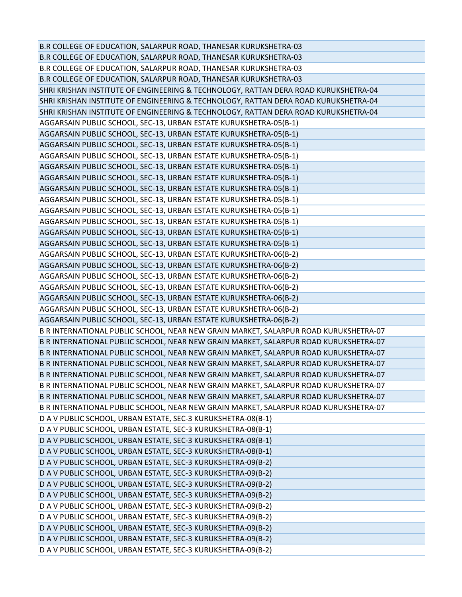B.R COLLEGE OF EDUCATION, SALARPUR ROAD, THANESAR KURUKSHETRA-03 B.R COLLEGE OF EDUCATION, SALARPUR ROAD, THANESAR KURUKSHETRA-03 B.R COLLEGE OF EDUCATION, SALARPUR ROAD, THANESAR KURUKSHETRA-03 B.R COLLEGE OF EDUCATION, SALARPUR ROAD, THANESAR KURUKSHETRA-03 SHRI KRISHAN INSTITUTE OF ENGINEERING & TECHNOLOGY, RATTAN DERA ROAD KURUKSHETRA-04 SHRI KRISHAN INSTITUTE OF ENGINEERING & TECHNOLOGY, RATTAN DERA ROAD KURUKSHETRA-04 SHRI KRISHAN INSTITUTE OF ENGINEERING & TECHNOLOGY, RATTAN DERA ROAD KURUKSHETRA-04 AGGARSAIN PUBLIC SCHOOL, SEC-13, URBAN ESTATE KURUKSHETRA-05(B-1) AGGARSAIN PUBLIC SCHOOL, SEC-13, URBAN ESTATE KURUKSHETRA-05(B-1) AGGARSAIN PUBLIC SCHOOL, SEC-13, URBAN ESTATE KURUKSHETRA-05(B-1) AGGARSAIN PUBLIC SCHOOL, SEC-13, URBAN ESTATE KURUKSHETRA-05(B-1) AGGARSAIN PUBLIC SCHOOL, SEC-13, URBAN ESTATE KURUKSHETRA-05(B-1) AGGARSAIN PUBLIC SCHOOL, SEC-13, URBAN ESTATE KURUKSHETRA-05(B-1) AGGARSAIN PUBLIC SCHOOL, SEC-13, URBAN ESTATE KURUKSHETRA-05(B-1) AGGARSAIN PUBLIC SCHOOL, SEC-13, URBAN ESTATE KURUKSHETRA-05(B-1) AGGARSAIN PUBLIC SCHOOL, SEC-13, URBAN ESTATE KURUKSHETRA-05(B-1) AGGARSAIN PUBLIC SCHOOL, SEC-13, URBAN ESTATE KURUKSHETRA-05(B-1) AGGARSAIN PUBLIC SCHOOL, SEC-13, URBAN ESTATE KURUKSHETRA-05(B-1) AGGARSAIN PUBLIC SCHOOL, SEC-13, URBAN ESTATE KURUKSHETRA-05(B-1) AGGARSAIN PUBLIC SCHOOL, SEC-13, URBAN ESTATE KURUKSHETRA-06(B-2) AGGARSAIN PUBLIC SCHOOL, SEC-13, URBAN ESTATE KURUKSHETRA-06(B-2) AGGARSAIN PUBLIC SCHOOL, SEC-13, URBAN ESTATE KURUKSHETRA-06(B-2) AGGARSAIN PUBLIC SCHOOL, SEC-13, URBAN ESTATE KURUKSHETRA-06(B-2) AGGARSAIN PUBLIC SCHOOL, SEC-13, URBAN ESTATE KURUKSHETRA-06(B-2) AGGARSAIN PUBLIC SCHOOL, SEC-13, URBAN ESTATE KURUKSHETRA-06(B-2) AGGARSAIN PUBLIC SCHOOL, SEC-13, URBAN ESTATE KURUKSHETRA-06(B-2) B R INTERNATIONAL PUBLIC SCHOOL, NEAR NEW GRAIN MARKET, SALARPUR ROAD KURUKSHETRA-07 B R INTERNATIONAL PUBLIC SCHOOL, NEAR NEW GRAIN MARKET, SALARPUR ROAD KURUKSHETRA-07 B R INTERNATIONAL PUBLIC SCHOOL, NEAR NEW GRAIN MARKET, SALARPUR ROAD KURUKSHETRA-07 B R INTERNATIONAL PUBLIC SCHOOL, NEAR NEW GRAIN MARKET, SALARPUR ROAD KURUKSHETRA-07 B R INTERNATIONAL PUBLIC SCHOOL, NEAR NEW GRAIN MARKET, SALARPUR ROAD KURUKSHETRA-07 B R INTERNATIONAL PUBLIC SCHOOL, NEAR NEW GRAIN MARKET, SALARPUR ROAD KURUKSHETRA-07 B R INTERNATIONAL PUBLIC SCHOOL, NEAR NEW GRAIN MARKET, SALARPUR ROAD KURUKSHETRA-07 B R INTERNATIONAL PUBLIC SCHOOL, NEAR NEW GRAIN MARKET, SALARPUR ROAD KURUKSHETRA-07 D A V PUBLIC SCHOOL, URBAN ESTATE, SEC-3 KURUKSHETRA-08(B-1) D A V PUBLIC SCHOOL, URBAN ESTATE, SEC-3 KURUKSHETRA-08(B-1) D A V PUBLIC SCHOOL, URBAN ESTATE, SEC-3 KURUKSHETRA-08(B-1) D A V PUBLIC SCHOOL, URBAN ESTATE, SEC-3 KURUKSHETRA-08(B-1) D A V PUBLIC SCHOOL, URBAN ESTATE, SEC-3 KURUKSHETRA-09(B-2) D A V PUBLIC SCHOOL, URBAN ESTATE, SEC-3 KURUKSHETRA-09(B-2) D A V PUBLIC SCHOOL, URBAN ESTATE, SEC-3 KURUKSHETRA-09(B-2) D A V PUBLIC SCHOOL, URBAN ESTATE, SEC-3 KURUKSHETRA-09(B-2) D A V PUBLIC SCHOOL, URBAN ESTATE, SEC-3 KURUKSHETRA-09(B-2) D A V PUBLIC SCHOOL, URBAN ESTATE, SEC-3 KURUKSHETRA-09(B-2) D A V PUBLIC SCHOOL, URBAN ESTATE, SEC-3 KURUKSHETRA-09(B-2) D A V PUBLIC SCHOOL, URBAN ESTATE, SEC-3 KURUKSHETRA-09(B-2) D A V PUBLIC SCHOOL, URBAN ESTATE, SEC-3 KURUKSHETRA-09(B-2)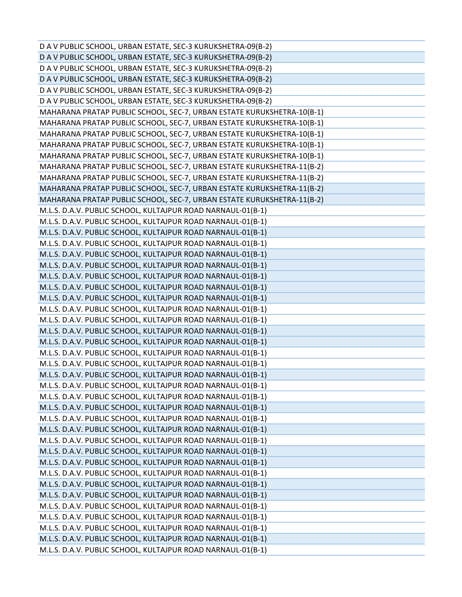| D A V PUBLIC SCHOOL, URBAN ESTATE, SEC-3 KURUKSHETRA-09(B-2)           |
|------------------------------------------------------------------------|
| D A V PUBLIC SCHOOL, URBAN ESTATE, SEC-3 KURUKSHETRA-09(B-2)           |
| D A V PUBLIC SCHOOL, URBAN ESTATE, SEC-3 KURUKSHETRA-09(B-2)           |
| D A V PUBLIC SCHOOL, URBAN ESTATE, SEC-3 KURUKSHETRA-09(B-2)           |
| D A V PUBLIC SCHOOL, URBAN ESTATE, SEC-3 KURUKSHETRA-09(B-2)           |
| D A V PUBLIC SCHOOL, URBAN ESTATE, SEC-3 KURUKSHETRA-09(B-2)           |
| MAHARANA PRATAP PUBLIC SCHOOL, SEC-7, URBAN ESTATE KURUKSHETRA-10(B-1) |
| MAHARANA PRATAP PUBLIC SCHOOL, SEC-7, URBAN ESTATE KURUKSHETRA-10(B-1) |
| MAHARANA PRATAP PUBLIC SCHOOL, SEC-7, URBAN ESTATE KURUKSHETRA-10(B-1) |
| MAHARANA PRATAP PUBLIC SCHOOL, SEC-7, URBAN ESTATE KURUKSHETRA-10(B-1) |
| MAHARANA PRATAP PUBLIC SCHOOL, SEC-7, URBAN ESTATE KURUKSHETRA-10(B-1) |
| MAHARANA PRATAP PUBLIC SCHOOL, SEC-7, URBAN ESTATE KURUKSHETRA-11(B-2) |
| MAHARANA PRATAP PUBLIC SCHOOL, SEC-7, URBAN ESTATE KURUKSHETRA-11(B-2) |
| MAHARANA PRATAP PUBLIC SCHOOL, SEC-7, URBAN ESTATE KURUKSHETRA-11(B-2) |
| MAHARANA PRATAP PUBLIC SCHOOL, SEC-7, URBAN ESTATE KURUKSHETRA-11(B-2) |
| M.L.S. D.A.V. PUBLIC SCHOOL, KULTAJPUR ROAD NARNAUL-01(B-1)            |
| M.L.S. D.A.V. PUBLIC SCHOOL, KULTAJPUR ROAD NARNAUL-01(B-1)            |
| M.L.S. D.A.V. PUBLIC SCHOOL, KULTAJPUR ROAD NARNAUL-01(B-1)            |
| M.L.S. D.A.V. PUBLIC SCHOOL, KULTAJPUR ROAD NARNAUL-01(B-1)            |
| M.L.S. D.A.V. PUBLIC SCHOOL, KULTAJPUR ROAD NARNAUL-01(B-1)            |
| M.L.S. D.A.V. PUBLIC SCHOOL, KULTAJPUR ROAD NARNAUL-01(B-1)            |
| M.L.S. D.A.V. PUBLIC SCHOOL, KULTAJPUR ROAD NARNAUL-01(B-1)            |
| M.L.S. D.A.V. PUBLIC SCHOOL, KULTAJPUR ROAD NARNAUL-01(B-1)            |
| M.L.S. D.A.V. PUBLIC SCHOOL, KULTAJPUR ROAD NARNAUL-01(B-1)            |
| M.L.S. D.A.V. PUBLIC SCHOOL, KULTAJPUR ROAD NARNAUL-01(B-1)            |
| M.L.S. D.A.V. PUBLIC SCHOOL, KULTAJPUR ROAD NARNAUL-01(B-1)            |
| M.L.S. D.A.V. PUBLIC SCHOOL, KULTAJPUR ROAD NARNAUL-01(B-1)            |
| M.L.S. D.A.V. PUBLIC SCHOOL, KULTAJPUR ROAD NARNAUL-01(B-1)            |
| M.L.S. D.A.V. PUBLIC SCHOOL, KULTAJPUR ROAD NARNAUL-01(B-1)            |
| M.L.S. D.A.V. PUBLIC SCHOOL, KULTAJPUR ROAD NARNAUL-01(B-1)            |
| M.L.S. D.A.V. PUBLIC SCHOOL, KULTAJPUR ROAD NARNAUL-01(B-1)            |
| M.L.S. D.A.V. PUBLIC SCHOOL, KULTAJPUR ROAD NARNAUL-01(B-1)            |
| M.L.S. D.A.V. PUBLIC SCHOOL, KULTAJPUR ROAD NARNAUL-01(B-1)            |
| M.L.S. D.A.V. PUBLIC SCHOOL, KULTAJPUR ROAD NARNAUL-01(B-1)            |
| M.L.S. D.A.V. PUBLIC SCHOOL, KULTAJPUR ROAD NARNAUL-01(B-1)            |
| M.L.S. D.A.V. PUBLIC SCHOOL, KULTAJPUR ROAD NARNAUL-01(B-1)            |
| M.L.S. D.A.V. PUBLIC SCHOOL, KULTAJPUR ROAD NARNAUL-01(B-1)            |
| M.L.S. D.A.V. PUBLIC SCHOOL, KULTAJPUR ROAD NARNAUL-01(B-1)            |
| M.L.S. D.A.V. PUBLIC SCHOOL, KULTAJPUR ROAD NARNAUL-01(B-1)            |
| M.L.S. D.A.V. PUBLIC SCHOOL, KULTAJPUR ROAD NARNAUL-01(B-1)            |
| M.L.S. D.A.V. PUBLIC SCHOOL, KULTAJPUR ROAD NARNAUL-01(B-1)            |
| M.L.S. D.A.V. PUBLIC SCHOOL, KULTAJPUR ROAD NARNAUL-01(B-1)            |
| M.L.S. D.A.V. PUBLIC SCHOOL, KULTAJPUR ROAD NARNAUL-01(B-1)            |
| M.L.S. D.A.V. PUBLIC SCHOOL, KULTAJPUR ROAD NARNAUL-01(B-1)            |
| M.L.S. D.A.V. PUBLIC SCHOOL, KULTAJPUR ROAD NARNAUL-01(B-1)            |
| M.L.S. D.A.V. PUBLIC SCHOOL, KULTAJPUR ROAD NARNAUL-01(B-1)            |
| M.L.S. D.A.V. PUBLIC SCHOOL, KULTAJPUR ROAD NARNAUL-01(B-1)            |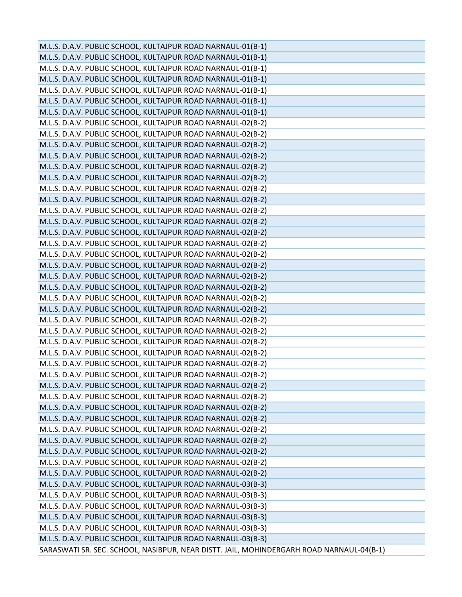| M.L.S. D.A.V. PUBLIC SCHOOL, KULTAJPUR ROAD NARNAUL-01(B-1)                              |
|------------------------------------------------------------------------------------------|
| M.L.S. D.A.V. PUBLIC SCHOOL, KULTAJPUR ROAD NARNAUL-01(B-1)                              |
| M.L.S. D.A.V. PUBLIC SCHOOL, KULTAJPUR ROAD NARNAUL-01(B-1)                              |
| M.L.S. D.A.V. PUBLIC SCHOOL, KULTAJPUR ROAD NARNAUL-01(B-1)                              |
| M.L.S. D.A.V. PUBLIC SCHOOL, KULTAJPUR ROAD NARNAUL-01(B-1)                              |
| M.L.S. D.A.V. PUBLIC SCHOOL, KULTAJPUR ROAD NARNAUL-01(B-1)                              |
| M.L.S. D.A.V. PUBLIC SCHOOL, KULTAJPUR ROAD NARNAUL-01(B-1)                              |
| M.L.S. D.A.V. PUBLIC SCHOOL, KULTAJPUR ROAD NARNAUL-02(B-2)                              |
| M.L.S. D.A.V. PUBLIC SCHOOL, KULTAJPUR ROAD NARNAUL-02(B-2)                              |
| M.L.S. D.A.V. PUBLIC SCHOOL, KULTAJPUR ROAD NARNAUL-02(B-2)                              |
| M.L.S. D.A.V. PUBLIC SCHOOL, KULTAJPUR ROAD NARNAUL-02(B-2)                              |
| M.L.S. D.A.V. PUBLIC SCHOOL, KULTAJPUR ROAD NARNAUL-02(B-2)                              |
| M.L.S. D.A.V. PUBLIC SCHOOL, KULTAJPUR ROAD NARNAUL-02(B-2)                              |
| M.L.S. D.A.V. PUBLIC SCHOOL, KULTAJPUR ROAD NARNAUL-02(B-2)                              |
| M.L.S. D.A.V. PUBLIC SCHOOL, KULTAJPUR ROAD NARNAUL-02(B-2)                              |
| M.L.S. D.A.V. PUBLIC SCHOOL, KULTAJPUR ROAD NARNAUL-02(B-2)                              |
| M.L.S. D.A.V. PUBLIC SCHOOL, KULTAJPUR ROAD NARNAUL-02(B-2)                              |
| M.L.S. D.A.V. PUBLIC SCHOOL, KULTAJPUR ROAD NARNAUL-02(B-2)                              |
| M.L.S. D.A.V. PUBLIC SCHOOL, KULTAJPUR ROAD NARNAUL-02(B-2)                              |
| M.L.S. D.A.V. PUBLIC SCHOOL, KULTAJPUR ROAD NARNAUL-02(B-2)                              |
| M.L.S. D.A.V. PUBLIC SCHOOL, KULTAJPUR ROAD NARNAUL-02(B-2)                              |
| M.L.S. D.A.V. PUBLIC SCHOOL, KULTAJPUR ROAD NARNAUL-02(B-2)                              |
| M.L.S. D.A.V. PUBLIC SCHOOL, KULTAJPUR ROAD NARNAUL-02(B-2)                              |
| M.L.S. D.A.V. PUBLIC SCHOOL, KULTAJPUR ROAD NARNAUL-02(B-2)                              |
| M.L.S. D.A.V. PUBLIC SCHOOL, KULTAJPUR ROAD NARNAUL-02(B-2)                              |
| M.L.S. D.A.V. PUBLIC SCHOOL, KULTAJPUR ROAD NARNAUL-02(B-2)                              |
| M.L.S. D.A.V. PUBLIC SCHOOL, KULTAJPUR ROAD NARNAUL-02(B-2)                              |
| M.L.S. D.A.V. PUBLIC SCHOOL, KULTAJPUR ROAD NARNAUL-02(B-2)                              |
| M.L.S. D.A.V. PUBLIC SCHOOL, KULTAJPUR ROAD NARNAUL-02(B-2)                              |
| M.L.S. D.A.V. PUBLIC SCHOOL, KULTAJPUR ROAD NARNAUL-02(B-2)                              |
| M.L.S. D.A.V. PUBLIC SCHOOL, KULTAJPUR ROAD NARNAUL-02(B-2)                              |
| M.L.S. D.A.V. PUBLIC SCHOOL, KULTAJPUR ROAD NARNAUL-02(B-2)                              |
| M.L.S. D.A.V. PUBLIC SCHOOL, KULTAJPUR ROAD NARNAUL-02(B-2)                              |
| M.L.S. D.A.V. PUBLIC SCHOOL, KULTAJPUR ROAD NARNAUL-02(B-2)                              |
| M.L.S. D.A.V. PUBLIC SCHOOL, KULTAJPUR ROAD NARNAUL-02(B-2)                              |
| M.L.S. D.A.V. PUBLIC SCHOOL, KULTAJPUR ROAD NARNAUL-02(B-2)                              |
| M.L.S. D.A.V. PUBLIC SCHOOL, KULTAJPUR ROAD NARNAUL-02(B-2)                              |
| M.L.S. D.A.V. PUBLIC SCHOOL, KULTAJPUR ROAD NARNAUL-02(B-2)                              |
| M.L.S. D.A.V. PUBLIC SCHOOL, KULTAJPUR ROAD NARNAUL-02(B-2)                              |
| M.L.S. D.A.V. PUBLIC SCHOOL, KULTAJPUR ROAD NARNAUL-02(B-2)                              |
| M.L.S. D.A.V. PUBLIC SCHOOL, KULTAJPUR ROAD NARNAUL-03(B-3)                              |
| M.L.S. D.A.V. PUBLIC SCHOOL, KULTAJPUR ROAD NARNAUL-03(B-3)                              |
| M.L.S. D.A.V. PUBLIC SCHOOL, KULTAJPUR ROAD NARNAUL-03(B-3)                              |
| M.L.S. D.A.V. PUBLIC SCHOOL, KULTAJPUR ROAD NARNAUL-03(B-3)                              |
| M.L.S. D.A.V. PUBLIC SCHOOL, KULTAJPUR ROAD NARNAUL-03(B-3)                              |
| M.L.S. D.A.V. PUBLIC SCHOOL, KULTAJPUR ROAD NARNAUL-03(B-3)                              |
| SARASWATI SR. SEC. SCHOOL, NASIBPUR, NEAR DISTT. JAIL, MOHINDERGARH ROAD NARNAUL-04(B-1) |
|                                                                                          |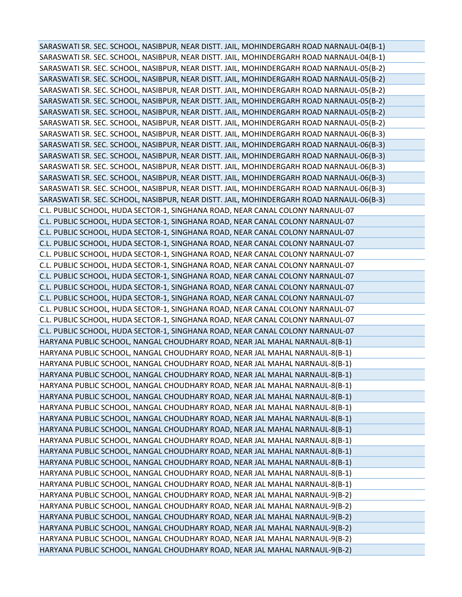SARASWATI SR. SEC. SCHOOL, NASIBPUR, NEAR DISTT. JAIL, MOHINDERGARH ROAD NARNAUL-04(B-1) SARASWATI SR. SEC. SCHOOL, NASIBPUR, NEAR DISTT. JAIL, MOHINDERGARH ROAD NARNAUL-04(B-1) SARASWATI SR. SEC. SCHOOL, NASIBPUR, NEAR DISTT. JAIL, MOHINDERGARH ROAD NARNAUL-05(B-2) SARASWATI SR. SEC. SCHOOL, NASIBPUR, NEAR DISTT. JAIL, MOHINDERGARH ROAD NARNAUL-05(B-2) SARASWATI SR. SEC. SCHOOL, NASIBPUR, NEAR DISTT. JAIL, MOHINDERGARH ROAD NARNAUL-05(B-2) SARASWATI SR. SEC. SCHOOL, NASIBPUR, NEAR DISTT. JAIL, MOHINDERGARH ROAD NARNAUL-05(B-2) SARASWATI SR. SEC. SCHOOL, NASIBPUR, NEAR DISTT. JAIL, MOHINDERGARH ROAD NARNAUL-05(B-2) SARASWATI SR. SEC. SCHOOL, NASIBPUR, NEAR DISTT. JAIL, MOHINDERGARH ROAD NARNAUL-05(B-2) SARASWATI SR. SEC. SCHOOL, NASIBPUR, NEAR DISTT. JAIL, MOHINDERGARH ROAD NARNAUL-06(B-3) SARASWATI SR. SEC. SCHOOL, NASIBPUR, NEAR DISTT. JAIL, MOHINDERGARH ROAD NARNAUL-06(B-3) SARASWATI SR. SEC. SCHOOL, NASIBPUR, NEAR DISTT. JAIL, MOHINDERGARH ROAD NARNAUL-06(B-3) SARASWATI SR. SEC. SCHOOL, NASIBPUR, NEAR DISTT. JAIL, MOHINDERGARH ROAD NARNAUL-06(B-3) SARASWATI SR. SEC. SCHOOL, NASIBPUR, NEAR DISTT. JAIL, MOHINDERGARH ROAD NARNAUL-06(B-3) SARASWATI SR. SEC. SCHOOL, NASIBPUR, NEAR DISTT. JAIL, MOHINDERGARH ROAD NARNAUL-06(B-3) SARASWATI SR. SEC. SCHOOL, NASIBPUR, NEAR DISTT. JAIL, MOHINDERGARH ROAD NARNAUL-06(B-3) C.L. PUBLIC SCHOOL, HUDA SECTOR-1, SINGHANA ROAD, NEAR CANAL COLONY NARNAUL-07 C.L. PUBLIC SCHOOL, HUDA SECTOR-1, SINGHANA ROAD, NEAR CANAL COLONY NARNAUL-07 C.L. PUBLIC SCHOOL, HUDA SECTOR-1, SINGHANA ROAD, NEAR CANAL COLONY NARNAUL-07 C.L. PUBLIC SCHOOL, HUDA SECTOR-1, SINGHANA ROAD, NEAR CANAL COLONY NARNAUL-07 C.L. PUBLIC SCHOOL, HUDA SECTOR-1, SINGHANA ROAD, NEAR CANAL COLONY NARNAUL-07 C.L. PUBLIC SCHOOL, HUDA SECTOR-1, SINGHANA ROAD, NEAR CANAL COLONY NARNAUL-07 C.L. PUBLIC SCHOOL, HUDA SECTOR-1, SINGHANA ROAD, NEAR CANAL COLONY NARNAUL-07 C.L. PUBLIC SCHOOL, HUDA SECTOR-1, SINGHANA ROAD, NEAR CANAL COLONY NARNAUL-07 C.L. PUBLIC SCHOOL, HUDA SECTOR-1, SINGHANA ROAD, NEAR CANAL COLONY NARNAUL-07 C.L. PUBLIC SCHOOL, HUDA SECTOR-1, SINGHANA ROAD, NEAR CANAL COLONY NARNAUL-07 C.L. PUBLIC SCHOOL, HUDA SECTOR-1, SINGHANA ROAD, NEAR CANAL COLONY NARNAUL-07 C.L. PUBLIC SCHOOL, HUDA SECTOR-1, SINGHANA ROAD, NEAR CANAL COLONY NARNAUL-07 HARYANA PUBLIC SCHOOL, NANGAL CHOUDHARY ROAD, NEAR JAL MAHAL NARNAUL-8(B-1) HARYANA PUBLIC SCHOOL, NANGAL CHOUDHARY ROAD, NEAR JAL MAHAL NARNAUL-8(B-1) HARYANA PUBLIC SCHOOL, NANGAL CHOUDHARY ROAD, NEAR JAL MAHAL NARNAUL-8(B-1) HARYANA PUBLIC SCHOOL, NANGAL CHOUDHARY ROAD, NEAR JAL MAHAL NARNAUL-8(B-1) HARYANA PUBLIC SCHOOL, NANGAL CHOUDHARY ROAD, NEAR JAL MAHAL NARNAUL-8(B-1) HARYANA PUBLIC SCHOOL, NANGAL CHOUDHARY ROAD, NEAR JAL MAHAL NARNAUL-8(B-1) HARYANA PUBLIC SCHOOL, NANGAL CHOUDHARY ROAD, NEAR JAL MAHAL NARNAUL-8(B-1) HARYANA PUBLIC SCHOOL, NANGAL CHOUDHARY ROAD, NEAR JAL MAHAL NARNAUL-8(B-1) HARYANA PUBLIC SCHOOL, NANGAL CHOUDHARY ROAD, NEAR JAL MAHAL NARNAUL-8(B-1) HARYANA PUBLIC SCHOOL, NANGAL CHOUDHARY ROAD, NEAR JAL MAHAL NARNAUL-8(B-1) HARYANA PUBLIC SCHOOL, NANGAL CHOUDHARY ROAD, NEAR JAL MAHAL NARNAUL-8(B-1) HARYANA PUBLIC SCHOOL, NANGAL CHOUDHARY ROAD, NEAR JAL MAHAL NARNAUL-8(B-1) HARYANA PUBLIC SCHOOL, NANGAL CHOUDHARY ROAD, NEAR JAL MAHAL NARNAUL-8(B-1) HARYANA PUBLIC SCHOOL, NANGAL CHOUDHARY ROAD, NEAR JAL MAHAL NARNAUL-8(B-1) HARYANA PUBLIC SCHOOL, NANGAL CHOUDHARY ROAD, NEAR JAL MAHAL NARNAUL-9(B-2) HARYANA PUBLIC SCHOOL, NANGAL CHOUDHARY ROAD, NEAR JAL MAHAL NARNAUL-9(B-2) HARYANA PUBLIC SCHOOL, NANGAL CHOUDHARY ROAD, NEAR JAL MAHAL NARNAUL-9(B-2) HARYANA PUBLIC SCHOOL, NANGAL CHOUDHARY ROAD, NEAR JAL MAHAL NARNAUL-9(B-2) HARYANA PUBLIC SCHOOL, NANGAL CHOUDHARY ROAD, NEAR JAL MAHAL NARNAUL-9(B-2) HARYANA PUBLIC SCHOOL, NANGAL CHOUDHARY ROAD, NEAR JAL MAHAL NARNAUL-9(B-2)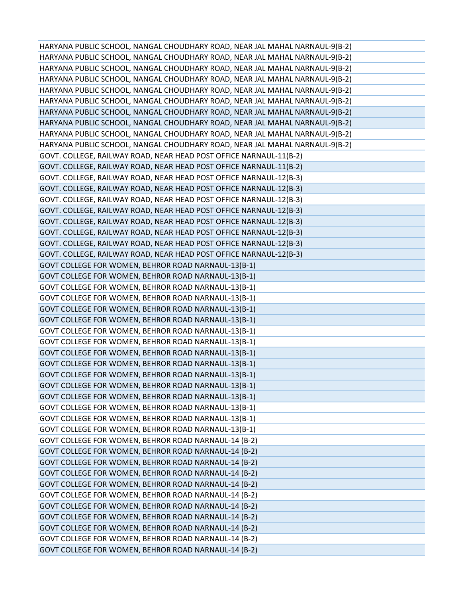HARYANA PUBLIC SCHOOL, NANGAL CHOUDHARY ROAD, NEAR JAL MAHAL NARNAUL-9(B-2) HARYANA PUBLIC SCHOOL, NANGAL CHOUDHARY ROAD, NEAR JAL MAHAL NARNAUL-9(B-2) HARYANA PUBLIC SCHOOL, NANGAL CHOUDHARY ROAD, NEAR JAL MAHAL NARNAUL-9(B-2) HARYANA PUBLIC SCHOOL, NANGAL CHOUDHARY ROAD, NEAR JAL MAHAL NARNAUL-9(B-2) HARYANA PUBLIC SCHOOL, NANGAL CHOUDHARY ROAD, NEAR JAL MAHAL NARNAUL-9(B-2) HARYANA PUBLIC SCHOOL, NANGAL CHOUDHARY ROAD, NEAR JAL MAHAL NARNAUL-9(B-2) HARYANA PUBLIC SCHOOL, NANGAL CHOUDHARY ROAD, NEAR JAL MAHAL NARNAUL-9(B-2) HARYANA PUBLIC SCHOOL, NANGAL CHOUDHARY ROAD, NEAR JAL MAHAL NARNAUL-9(B-2) HARYANA PUBLIC SCHOOL, NANGAL CHOUDHARY ROAD, NEAR JAL MAHAL NARNAUL-9(B-2) HARYANA PUBLIC SCHOOL, NANGAL CHOUDHARY ROAD, NEAR JAL MAHAL NARNAUL-9(B-2) GOVT. COLLEGE, RAILWAY ROAD, NEAR HEAD POST OFFICE NARNAUL-11(B-2) GOVT. COLLEGE, RAILWAY ROAD, NEAR HEAD POST OFFICE NARNAUL-11(B-2) GOVT. COLLEGE, RAILWAY ROAD, NEAR HEAD POST OFFICE NARNAUL-12(B-3) GOVT. COLLEGE, RAILWAY ROAD, NEAR HEAD POST OFFICE NARNAUL-12(B-3) GOVT. COLLEGE, RAILWAY ROAD, NEAR HEAD POST OFFICE NARNAUL-12(B-3) GOVT. COLLEGE, RAILWAY ROAD, NEAR HEAD POST OFFICE NARNAUL-12(B-3) GOVT. COLLEGE, RAILWAY ROAD, NEAR HEAD POST OFFICE NARNAUL-12(B-3) GOVT. COLLEGE, RAILWAY ROAD, NEAR HEAD POST OFFICE NARNAUL-12(B-3) GOVT. COLLEGE, RAILWAY ROAD, NEAR HEAD POST OFFICE NARNAUL-12(B-3) GOVT. COLLEGE, RAILWAY ROAD, NEAR HEAD POST OFFICE NARNAUL-12(B-3) GOVT COLLEGE FOR WOMEN, BEHROR ROAD NARNAUL-13(B-1) GOVT COLLEGE FOR WOMEN, BEHROR ROAD NARNAUL-13(B-1) GOVT COLLEGE FOR WOMEN, BEHROR ROAD NARNAUL-13(B-1) GOVT COLLEGE FOR WOMEN, BEHROR ROAD NARNAUL-13(B-1) GOVT COLLEGE FOR WOMEN, BEHROR ROAD NARNAUL-13(B-1) GOVT COLLEGE FOR WOMEN, BEHROR ROAD NARNAUL-13(B-1) GOVT COLLEGE FOR WOMEN, BEHROR ROAD NARNAUL-13(B-1) GOVT COLLEGE FOR WOMEN, BEHROR ROAD NARNAUL-13(B-1) GOVT COLLEGE FOR WOMEN, BEHROR ROAD NARNAUL-13(B-1) GOVT COLLEGE FOR WOMEN, BEHROR ROAD NARNAUL-13(B-1) GOVT COLLEGE FOR WOMEN, BEHROR ROAD NARNAUL-13(B-1) GOVT COLLEGE FOR WOMEN, BEHROR ROAD NARNAUL-13(B-1) GOVT COLLEGE FOR WOMEN, BEHROR ROAD NARNAUL-13(B-1) GOVT COLLEGE FOR WOMEN, BEHROR ROAD NARNAUL-13(B-1) GOVT COLLEGE FOR WOMEN, BEHROR ROAD NARNAUL-13(B-1) GOVT COLLEGE FOR WOMEN, BEHROR ROAD NARNAUL-13(B-1) GOVT COLLEGE FOR WOMEN, BEHROR ROAD NARNAUL-14 (B-2) GOVT COLLEGE FOR WOMEN, BEHROR ROAD NARNAUL-14 (B-2) GOVT COLLEGE FOR WOMEN, BEHROR ROAD NARNAUL-14 (B-2) GOVT COLLEGE FOR WOMEN, BEHROR ROAD NARNAUL-14 (B-2) GOVT COLLEGE FOR WOMEN, BEHROR ROAD NARNAUL-14 (B-2) GOVT COLLEGE FOR WOMEN, BEHROR ROAD NARNAUL-14 (B-2) GOVT COLLEGE FOR WOMEN, BEHROR ROAD NARNAUL-14 (B-2) GOVT COLLEGE FOR WOMEN, BEHROR ROAD NARNAUL-14 (B-2) GOVT COLLEGE FOR WOMEN, BEHROR ROAD NARNAUL-14 (B-2) GOVT COLLEGE FOR WOMEN, BEHROR ROAD NARNAUL-14 (B-2) GOVT COLLEGE FOR WOMEN, BEHROR ROAD NARNAUL-14 (B-2)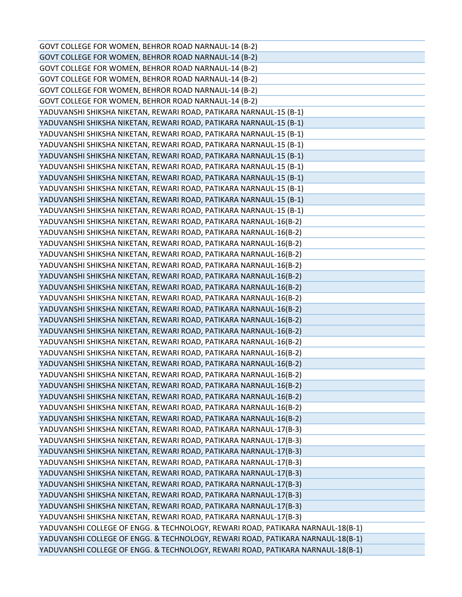| GOVT COLLEGE FOR WOMEN, BEHROR ROAD NARNAUL-14 (B-2)                            |
|---------------------------------------------------------------------------------|
| GOVT COLLEGE FOR WOMEN, BEHROR ROAD NARNAUL-14 (B-2)                            |
| GOVT COLLEGE FOR WOMEN, BEHROR ROAD NARNAUL-14 (B-2)                            |
| GOVT COLLEGE FOR WOMEN, BEHROR ROAD NARNAUL-14 (B-2)                            |
| GOVT COLLEGE FOR WOMEN, BEHROR ROAD NARNAUL-14 (B-2)                            |
| GOVT COLLEGE FOR WOMEN, BEHROR ROAD NARNAUL-14 (B-2)                            |
| YADUVANSHI SHIKSHA NIKETAN, REWARI ROAD, PATIKARA NARNAUL-15 (B-1)              |
| YADUVANSHI SHIKSHA NIKETAN, REWARI ROAD, PATIKARA NARNAUL-15 (B-1)              |
| YADUVANSHI SHIKSHA NIKETAN, REWARI ROAD, PATIKARA NARNAUL-15 (B-1)              |
| YADUVANSHI SHIKSHA NIKETAN, REWARI ROAD, PATIKARA NARNAUL-15 (B-1)              |
| YADUVANSHI SHIKSHA NIKETAN, REWARI ROAD, PATIKARA NARNAUL-15 (B-1)              |
| YADUVANSHI SHIKSHA NIKETAN, REWARI ROAD, PATIKARA NARNAUL-15 (B-1)              |
| YADUVANSHI SHIKSHA NIKETAN, REWARI ROAD, PATIKARA NARNAUL-15 (B-1)              |
| YADUVANSHI SHIKSHA NIKETAN, REWARI ROAD, PATIKARA NARNAUL-15 (B-1)              |
| YADUVANSHI SHIKSHA NIKETAN, REWARI ROAD, PATIKARA NARNAUL-15 (B-1)              |
| YADUVANSHI SHIKSHA NIKETAN, REWARI ROAD, PATIKARA NARNAUL-15 (B-1)              |
| YADUVANSHI SHIKSHA NIKETAN, REWARI ROAD, PATIKARA NARNAUL-16(B-2)               |
| YADUVANSHI SHIKSHA NIKETAN, REWARI ROAD, PATIKARA NARNAUL-16(B-2)               |
| YADUVANSHI SHIKSHA NIKETAN, REWARI ROAD, PATIKARA NARNAUL-16(B-2)               |
| YADUVANSHI SHIKSHA NIKETAN, REWARI ROAD, PATIKARA NARNAUL-16(B-2)               |
| YADUVANSHI SHIKSHA NIKETAN, REWARI ROAD, PATIKARA NARNAUL-16(B-2)               |
| YADUVANSHI SHIKSHA NIKETAN, REWARI ROAD, PATIKARA NARNAUL-16(B-2)               |
| YADUVANSHI SHIKSHA NIKETAN, REWARI ROAD, PATIKARA NARNAUL-16(B-2)               |
| YADUVANSHI SHIKSHA NIKETAN, REWARI ROAD, PATIKARA NARNAUL-16(B-2)               |
| YADUVANSHI SHIKSHA NIKETAN, REWARI ROAD, PATIKARA NARNAUL-16(B-2)               |
| YADUVANSHI SHIKSHA NIKETAN, REWARI ROAD, PATIKARA NARNAUL-16(B-2)               |
| YADUVANSHI SHIKSHA NIKETAN, REWARI ROAD, PATIKARA NARNAUL-16(B-2)               |
| YADUVANSHI SHIKSHA NIKETAN, REWARI ROAD, PATIKARA NARNAUL-16(B-2)               |
| YADUVANSHI SHIKSHA NIKETAN, REWARI ROAD, PATIKARA NARNAUL-16(B-2)               |
| YADUVANSHI SHIKSHA NIKETAN, REWARI ROAD, PATIKARA NARNAUL-16(B-2)               |
| YADUVANSHI SHIKSHA NIKETAN, REWARI ROAD, PATIKARA NARNAUL-16(B-2)               |
| YADUVANSHI SHIKSHA NIKETAN, REWARI ROAD, PATIKARA NARNAUL-16(B-2)               |
| YADUVANSHI SHIKSHA NIKETAN, REWARI ROAD, PATIKARA NARNAUL-16(B-2)               |
| YADUVANSHI SHIKSHA NIKETAN, REWARI ROAD, PATIKARA NARNAUL-16(B-2)               |
| YADUVANSHI SHIKSHA NIKETAN, REWARI ROAD, PATIKARA NARNAUL-16(B-2)               |
| YADUVANSHI SHIKSHA NIKETAN, REWARI ROAD, PATIKARA NARNAUL-17(B-3)               |
| YADUVANSHI SHIKSHA NIKETAN, REWARI ROAD, PATIKARA NARNAUL-17(B-3)               |
| YADUVANSHI SHIKSHA NIKETAN, REWARI ROAD, PATIKARA NARNAUL-17(B-3)               |
| YADUVANSHI SHIKSHA NIKETAN, REWARI ROAD, PATIKARA NARNAUL-17(B-3)               |
| YADUVANSHI SHIKSHA NIKETAN, REWARI ROAD, PATIKARA NARNAUL-17(B-3)               |
| YADUVANSHI SHIKSHA NIKETAN, REWARI ROAD, PATIKARA NARNAUL-17(B-3)               |
| YADUVANSHI SHIKSHA NIKETAN, REWARI ROAD, PATIKARA NARNAUL-17(B-3)               |
| YADUVANSHI SHIKSHA NIKETAN, REWARI ROAD, PATIKARA NARNAUL-17(B-3)               |
| YADUVANSHI SHIKSHA NIKETAN, REWARI ROAD, PATIKARA NARNAUL-17(B-3)               |
| YADUVANSHI COLLEGE OF ENGG. & TECHNOLOGY, REWARI ROAD, PATIKARA NARNAUL-18(B-1) |
| YADUVANSHI COLLEGE OF ENGG. & TECHNOLOGY, REWARI ROAD, PATIKARA NARNAUL-18(B-1) |
| YADUVANSHI COLLEGE OF ENGG. & TECHNOLOGY, REWARI ROAD, PATIKARA NARNAUL-18(B-1) |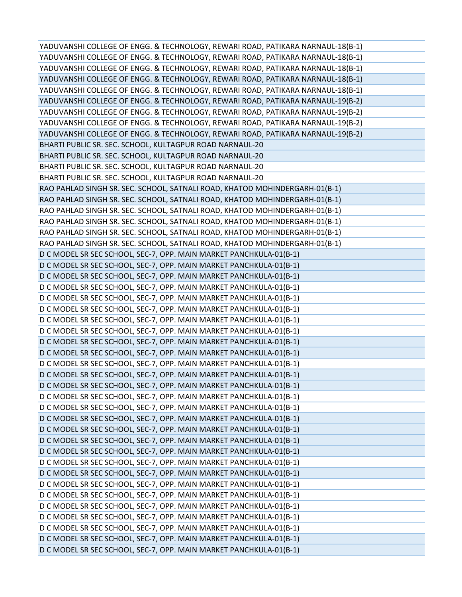YADUVANSHI COLLEGE OF ENGG. & TECHNOLOGY, REWARI ROAD, PATIKARA NARNAUL-18(B-1) YADUVANSHI COLLEGE OF ENGG. & TECHNOLOGY, REWARI ROAD, PATIKARA NARNAUL-18(B-1) YADUVANSHI COLLEGE OF ENGG. & TECHNOLOGY, REWARI ROAD, PATIKARA NARNAUL-18(B-1) YADUVANSHI COLLEGE OF ENGG. & TECHNOLOGY, REWARI ROAD, PATIKARA NARNAUL-18(B-1) YADUVANSHI COLLEGE OF ENGG. & TECHNOLOGY, REWARI ROAD, PATIKARA NARNAUL-18(B-1) YADUVANSHI COLLEGE OF ENGG. & TECHNOLOGY, REWARI ROAD, PATIKARA NARNAUL-19(B-2) YADUVANSHI COLLEGE OF ENGG. & TECHNOLOGY, REWARI ROAD, PATIKARA NARNAUL-19(B-2) YADUVANSHI COLLEGE OF ENGG. & TECHNOLOGY, REWARI ROAD, PATIKARA NARNAUL-19(B-2) YADUVANSHI COLLEGE OF ENGG. & TECHNOLOGY, REWARI ROAD, PATIKARA NARNAUL-19(B-2) BHARTI PUBLIC SR. SEC. SCHOOL, KULTAGPUR ROAD NARNAUL-20 BHARTI PUBLIC SR. SEC. SCHOOL, KULTAGPUR ROAD NARNAUL-20 BHARTI PUBLIC SR. SEC. SCHOOL, KULTAGPUR ROAD NARNAUL-20 BHARTI PUBLIC SR. SEC. SCHOOL, KULTAGPUR ROAD NARNAUL-20 RAO PAHLAD SINGH SR. SEC. SCHOOL, SATNALI ROAD, KHATOD MOHINDERGARH-01(B-1) RAO PAHLAD SINGH SR. SEC. SCHOOL, SATNALI ROAD, KHATOD MOHINDERGARH-01(B-1) RAO PAHLAD SINGH SR. SEC. SCHOOL, SATNALI ROAD, KHATOD MOHINDERGARH-01(B-1) RAO PAHLAD SINGH SR. SEC. SCHOOL, SATNALI ROAD, KHATOD MOHINDERGARH-01(B-1) RAO PAHLAD SINGH SR. SEC. SCHOOL, SATNALI ROAD, KHATOD MOHINDERGARH-01(B-1) RAO PAHLAD SINGH SR. SEC. SCHOOL, SATNALI ROAD, KHATOD MOHINDERGARH-01(B-1) D C MODEL SR SEC SCHOOL, SEC-7, OPP. MAIN MARKET PANCHKULA-01(B-1) D C MODEL SR SEC SCHOOL, SEC-7, OPP. MAIN MARKET PANCHKULA-01(B-1) D C MODEL SR SEC SCHOOL, SEC-7, OPP. MAIN MARKET PANCHKULA-01(B-1) D C MODEL SR SEC SCHOOL, SEC-7, OPP. MAIN MARKET PANCHKULA-01(B-1) D C MODEL SR SEC SCHOOL, SEC-7, OPP. MAIN MARKET PANCHKULA-01(B-1) D C MODEL SR SEC SCHOOL, SEC-7, OPP. MAIN MARKET PANCHKULA-01(B-1) D C MODEL SR SEC SCHOOL, SEC-7, OPP. MAIN MARKET PANCHKULA-01(B-1) D C MODEL SR SEC SCHOOL, SEC-7, OPP. MAIN MARKET PANCHKULA-01(B-1) D C MODEL SR SEC SCHOOL, SEC-7, OPP. MAIN MARKET PANCHKULA-01(B-1) D C MODEL SR SEC SCHOOL, SEC-7, OPP. MAIN MARKET PANCHKULA-01(B-1) D C MODEL SR SEC SCHOOL, SEC-7, OPP. MAIN MARKET PANCHKULA-01(B-1) D C MODEL SR SEC SCHOOL, SEC-7, OPP. MAIN MARKET PANCHKULA-01(B-1) D C MODEL SR SEC SCHOOL, SEC-7, OPP. MAIN MARKET PANCHKULA-01(B-1) D C MODEL SR SEC SCHOOL, SEC-7, OPP. MAIN MARKET PANCHKULA-01(B-1) D C MODEL SR SEC SCHOOL, SEC-7, OPP. MAIN MARKET PANCHKULA-01(B-1) D C MODEL SR SEC SCHOOL, SEC-7, OPP. MAIN MARKET PANCHKULA-01(B-1) D C MODEL SR SEC SCHOOL, SEC-7, OPP. MAIN MARKET PANCHKULA-01(B-1) D C MODEL SR SEC SCHOOL, SEC-7, OPP. MAIN MARKET PANCHKULA-01(B-1) D C MODEL SR SEC SCHOOL, SEC-7, OPP. MAIN MARKET PANCHKULA-01(B-1) D C MODEL SR SEC SCHOOL, SEC-7, OPP. MAIN MARKET PANCHKULA-01(B-1) D C MODEL SR SEC SCHOOL, SEC-7, OPP. MAIN MARKET PANCHKULA-01(B-1) D C MODEL SR SEC SCHOOL, SEC-7, OPP. MAIN MARKET PANCHKULA-01(B-1) D C MODEL SR SEC SCHOOL, SEC-7, OPP. MAIN MARKET PANCHKULA-01(B-1) D C MODEL SR SEC SCHOOL, SEC-7, OPP. MAIN MARKET PANCHKULA-01(B-1) D C MODEL SR SEC SCHOOL, SEC-7, OPP. MAIN MARKET PANCHKULA-01(B-1) D C MODEL SR SEC SCHOOL, SEC-7, OPP. MAIN MARKET PANCHKULA-01(B-1) D C MODEL SR SEC SCHOOL, SEC-7, OPP. MAIN MARKET PANCHKULA-01(B-1) D C MODEL SR SEC SCHOOL, SEC-7, OPP. MAIN MARKET PANCHKULA-01(B-1)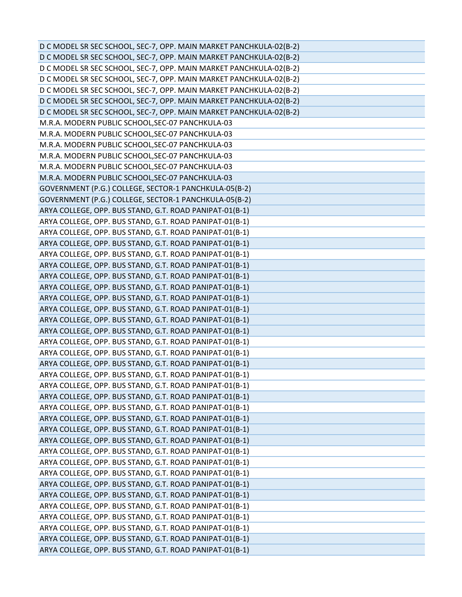| D C MODEL SR SEC SCHOOL, SEC-7, OPP. MAIN MARKET PANCHKULA-02(B-2) |
|--------------------------------------------------------------------|
| D C MODEL SR SEC SCHOOL, SEC-7, OPP. MAIN MARKET PANCHKULA-02(B-2) |
| D C MODEL SR SEC SCHOOL, SEC-7, OPP. MAIN MARKET PANCHKULA-02(B-2) |
| D C MODEL SR SEC SCHOOL, SEC-7, OPP. MAIN MARKET PANCHKULA-02(B-2) |
| D C MODEL SR SEC SCHOOL, SEC-7, OPP. MAIN MARKET PANCHKULA-02(B-2) |
| D C MODEL SR SEC SCHOOL, SEC-7, OPP. MAIN MARKET PANCHKULA-02(B-2) |
| D C MODEL SR SEC SCHOOL, SEC-7, OPP. MAIN MARKET PANCHKULA-02(B-2) |
| M.R.A. MODERN PUBLIC SCHOOL, SEC-07 PANCHKULA-03                   |
| M.R.A. MODERN PUBLIC SCHOOL, SEC-07 PANCHKULA-03                   |
| M.R.A. MODERN PUBLIC SCHOOL, SEC-07 PANCHKULA-03                   |
| M.R.A. MODERN PUBLIC SCHOOL, SEC-07 PANCHKULA-03                   |
| M.R.A. MODERN PUBLIC SCHOOL, SEC-07 PANCHKULA-03                   |
| M.R.A. MODERN PUBLIC SCHOOL, SEC-07 PANCHKULA-03                   |
| GOVERNMENT (P.G.) COLLEGE, SECTOR-1 PANCHKULA-05(B-2)              |
| GOVERNMENT (P.G.) COLLEGE, SECTOR-1 PANCHKULA-05(B-2)              |
| ARYA COLLEGE, OPP. BUS STAND, G.T. ROAD PANIPAT-01(B-1)            |
| ARYA COLLEGE, OPP. BUS STAND, G.T. ROAD PANIPAT-01(B-1)            |
| ARYA COLLEGE, OPP. BUS STAND, G.T. ROAD PANIPAT-01(B-1)            |
| ARYA COLLEGE, OPP. BUS STAND, G.T. ROAD PANIPAT-01(B-1)            |
| ARYA COLLEGE, OPP. BUS STAND, G.T. ROAD PANIPAT-01(B-1)            |
| ARYA COLLEGE, OPP. BUS STAND, G.T. ROAD PANIPAT-01(B-1)            |
| ARYA COLLEGE, OPP. BUS STAND, G.T. ROAD PANIPAT-01(B-1)            |
| ARYA COLLEGE, OPP. BUS STAND, G.T. ROAD PANIPAT-01(B-1)            |
| ARYA COLLEGE, OPP. BUS STAND, G.T. ROAD PANIPAT-01(B-1)            |
| ARYA COLLEGE, OPP. BUS STAND, G.T. ROAD PANIPAT-01(B-1)            |
| ARYA COLLEGE, OPP. BUS STAND, G.T. ROAD PANIPAT-01(B-1)            |
| ARYA COLLEGE, OPP. BUS STAND, G.T. ROAD PANIPAT-01(B-1)            |
| ARYA COLLEGE, OPP. BUS STAND, G.T. ROAD PANIPAT-01(B-1)            |
| ARYA COLLEGE, OPP. BUS STAND, G.T. ROAD PANIPAT-01(B-1)            |
| ARYA COLLEGE, OPP. BUS STAND, G.T. ROAD PANIPAT-01(B-1)            |
| ARYA COLLEGE, OPP. BUS STAND, G.T. ROAD PANIPAT-01(B-1)            |
| ARYA COLLEGE, OPP. BUS STAND, G.T. ROAD PANIPAT-01(B-1)            |
| ARYA COLLEGE, OPP. BUS STAND, G.T. ROAD PANIPAT-01(B-1)            |
| ARYA COLLEGE, OPP. BUS STAND, G.T. ROAD PANIPAT-01(B-1)            |
| ARYA COLLEGE, OPP. BUS STAND, G.T. ROAD PANIPAT-01(B-1)            |
| ARYA COLLEGE, OPP. BUS STAND, G.T. ROAD PANIPAT-01(B-1)            |
| ARYA COLLEGE, OPP. BUS STAND, G.T. ROAD PANIPAT-01(B-1)            |
| ARYA COLLEGE, OPP. BUS STAND, G.T. ROAD PANIPAT-01(B-1)            |
| ARYA COLLEGE, OPP. BUS STAND, G.T. ROAD PANIPAT-01(B-1)            |
| ARYA COLLEGE, OPP. BUS STAND, G.T. ROAD PANIPAT-01(B-1)            |
| ARYA COLLEGE, OPP. BUS STAND, G.T. ROAD PANIPAT-01(B-1)            |
| ARYA COLLEGE, OPP. BUS STAND, G.T. ROAD PANIPAT-01(B-1)            |
| ARYA COLLEGE, OPP. BUS STAND, G.T. ROAD PANIPAT-01(B-1)            |
| ARYA COLLEGE, OPP. BUS STAND, G.T. ROAD PANIPAT-01(B-1)            |
| ARYA COLLEGE, OPP. BUS STAND, G.T. ROAD PANIPAT-01(B-1)            |
| ARYA COLLEGE, OPP. BUS STAND, G.T. ROAD PANIPAT-01(B-1)            |
| ARYA COLLEGE, OPP. BUS STAND, G.T. ROAD PANIPAT-01(B-1)            |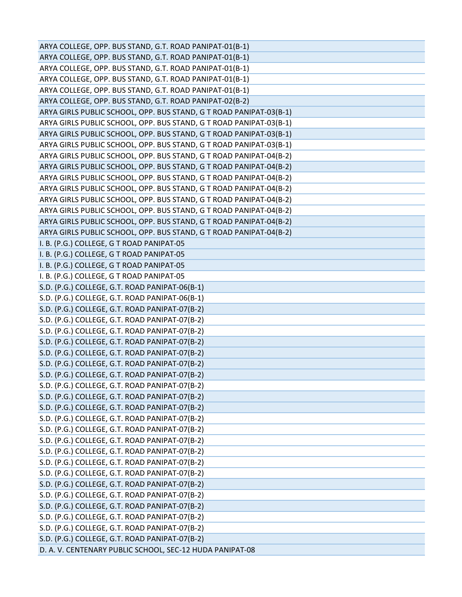| ARYA COLLEGE, OPP. BUS STAND, G.T. ROAD PANIPAT-01(B-1)            |
|--------------------------------------------------------------------|
| ARYA COLLEGE, OPP. BUS STAND, G.T. ROAD PANIPAT-01(B-1)            |
| ARYA COLLEGE, OPP. BUS STAND, G.T. ROAD PANIPAT-01(B-1)            |
| ARYA COLLEGE, OPP. BUS STAND, G.T. ROAD PANIPAT-01(B-1)            |
| ARYA COLLEGE, OPP. BUS STAND, G.T. ROAD PANIPAT-01(B-1)            |
| ARYA COLLEGE, OPP. BUS STAND, G.T. ROAD PANIPAT-02(B-2)            |
| ARYA GIRLS PUBLIC SCHOOL, OPP. BUS STAND, G T ROAD PANIPAT-03(B-1) |
| ARYA GIRLS PUBLIC SCHOOL, OPP. BUS STAND, G T ROAD PANIPAT-03(B-1) |
| ARYA GIRLS PUBLIC SCHOOL, OPP. BUS STAND, G T ROAD PANIPAT-03(B-1) |
| ARYA GIRLS PUBLIC SCHOOL, OPP. BUS STAND, G T ROAD PANIPAT-03(B-1) |
| ARYA GIRLS PUBLIC SCHOOL, OPP. BUS STAND, G T ROAD PANIPAT-04(B-2) |
| ARYA GIRLS PUBLIC SCHOOL, OPP. BUS STAND, G T ROAD PANIPAT-04(B-2) |
| ARYA GIRLS PUBLIC SCHOOL, OPP. BUS STAND, G T ROAD PANIPAT-04(B-2) |
| ARYA GIRLS PUBLIC SCHOOL, OPP. BUS STAND, G T ROAD PANIPAT-04(B-2) |
| ARYA GIRLS PUBLIC SCHOOL, OPP. BUS STAND, G T ROAD PANIPAT-04(B-2) |
| ARYA GIRLS PUBLIC SCHOOL, OPP. BUS STAND, G T ROAD PANIPAT-04(B-2) |
| ARYA GIRLS PUBLIC SCHOOL, OPP. BUS STAND, G T ROAD PANIPAT-04(B-2) |
| ARYA GIRLS PUBLIC SCHOOL, OPP. BUS STAND, G T ROAD PANIPAT-04(B-2) |
| I.B. (P.G.) COLLEGE, G T ROAD PANIPAT-05                           |
| I.B. (P.G.) COLLEGE, G T ROAD PANIPAT-05                           |
| I.B. (P.G.) COLLEGE, G T ROAD PANIPAT-05                           |
| I.B. (P.G.) COLLEGE, G T ROAD PANIPAT-05                           |
| S.D. (P.G.) COLLEGE, G.T. ROAD PANIPAT-06(B-1)                     |
| S.D. (P.G.) COLLEGE, G.T. ROAD PANIPAT-06(B-1)                     |
| S.D. (P.G.) COLLEGE, G.T. ROAD PANIPAT-07(B-2)                     |
| S.D. (P.G.) COLLEGE, G.T. ROAD PANIPAT-07(B-2)                     |
| S.D. (P.G.) COLLEGE, G.T. ROAD PANIPAT-07(B-2)                     |
| S.D. (P.G.) COLLEGE, G.T. ROAD PANIPAT-07(B-2)                     |
| S.D. (P.G.) COLLEGE, G.T. ROAD PANIPAT-07(B-2)                     |
| S.D. (P.G.) COLLEGE, G.T. ROAD PANIPAT-07(B-2)                     |
| S.D. (P.G.) COLLEGE, G.T. ROAD PANIPAT-07(B-2)                     |
| S.D. (P.G.) COLLEGE, G.T. ROAD PANIPAT-07(B-2)                     |
| S.D. (P.G.) COLLEGE, G.T. ROAD PANIPAT-07(B-2)                     |
| S.D. (P.G.) COLLEGE, G.T. ROAD PANIPAT-07(B-2)                     |
| S.D. (P.G.) COLLEGE, G.T. ROAD PANIPAT-07(B-2)                     |
| S.D. (P.G.) COLLEGE, G.T. ROAD PANIPAT-07(B-2)                     |
| S.D. (P.G.) COLLEGE, G.T. ROAD PANIPAT-07(B-2)                     |
| S.D. (P.G.) COLLEGE, G.T. ROAD PANIPAT-07(B-2)                     |
| S.D. (P.G.) COLLEGE, G.T. ROAD PANIPAT-07(B-2)                     |
| S.D. (P.G.) COLLEGE, G.T. ROAD PANIPAT-07(B-2)                     |
| S.D. (P.G.) COLLEGE, G.T. ROAD PANIPAT-07(B-2)                     |
| S.D. (P.G.) COLLEGE, G.T. ROAD PANIPAT-07(B-2)                     |
| S.D. (P.G.) COLLEGE, G.T. ROAD PANIPAT-07(B-2)                     |
| S.D. (P.G.) COLLEGE, G.T. ROAD PANIPAT-07(B-2)                     |
| S.D. (P.G.) COLLEGE, G.T. ROAD PANIPAT-07(B-2)                     |
| S.D. (P.G.) COLLEGE, G.T. ROAD PANIPAT-07(B-2)                     |
| D. A. V. CENTENARY PUBLIC SCHOOL, SEC-12 HUDA PANIPAT-08           |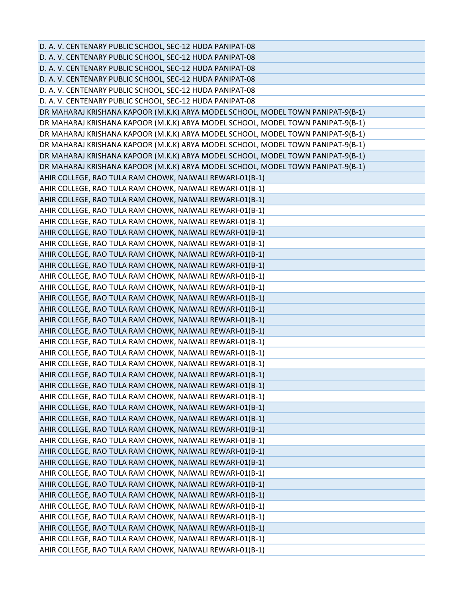| D. A. V. CENTENARY PUBLIC SCHOOL, SEC-12 HUDA PANIPAT-08                        |
|---------------------------------------------------------------------------------|
| D. A. V. CENTENARY PUBLIC SCHOOL, SEC-12 HUDA PANIPAT-08                        |
| D. A. V. CENTENARY PUBLIC SCHOOL, SEC-12 HUDA PANIPAT-08                        |
| D. A. V. CENTENARY PUBLIC SCHOOL, SEC-12 HUDA PANIPAT-08                        |
| D. A. V. CENTENARY PUBLIC SCHOOL, SEC-12 HUDA PANIPAT-08                        |
| D. A. V. CENTENARY PUBLIC SCHOOL, SEC-12 HUDA PANIPAT-08                        |
| DR MAHARAJ KRISHANA KAPOOR (M.K.K) ARYA MODEL SCHOOL, MODEL TOWN PANIPAT-9(B-1) |
| DR MAHARAJ KRISHANA KAPOOR (M.K.K) ARYA MODEL SCHOOL, MODEL TOWN PANIPAT-9(B-1) |
| DR MAHARAJ KRISHANA KAPOOR (M.K.K) ARYA MODEL SCHOOL, MODEL TOWN PANIPAT-9(B-1) |
| DR MAHARAJ KRISHANA KAPOOR (M.K.K) ARYA MODEL SCHOOL, MODEL TOWN PANIPAT-9(B-1) |
| DR MAHARAJ KRISHANA KAPOOR (M.K.K) ARYA MODEL SCHOOL, MODEL TOWN PANIPAT-9(B-1) |
| DR MAHARAJ KRISHANA KAPOOR (M.K.K) ARYA MODEL SCHOOL, MODEL TOWN PANIPAT-9(B-1) |
| AHIR COLLEGE, RAO TULA RAM CHOWK, NAIWALI REWARI-01(B-1)                        |
| AHIR COLLEGE, RAO TULA RAM CHOWK, NAIWALI REWARI-01(B-1)                        |
| AHIR COLLEGE, RAO TULA RAM CHOWK, NAIWALI REWARI-01(B-1)                        |
| AHIR COLLEGE, RAO TULA RAM CHOWK, NAIWALI REWARI-01(B-1)                        |
| AHIR COLLEGE, RAO TULA RAM CHOWK, NAIWALI REWARI-01(B-1)                        |
| AHIR COLLEGE, RAO TULA RAM CHOWK, NAIWALI REWARI-01(B-1)                        |
| AHIR COLLEGE, RAO TULA RAM CHOWK, NAIWALI REWARI-01(B-1)                        |
| AHIR COLLEGE, RAO TULA RAM CHOWK, NAIWALI REWARI-01(B-1)                        |
| AHIR COLLEGE, RAO TULA RAM CHOWK, NAIWALI REWARI-01(B-1)                        |
| AHIR COLLEGE, RAO TULA RAM CHOWK, NAIWALI REWARI-01(B-1)                        |
| AHIR COLLEGE, RAO TULA RAM CHOWK, NAIWALI REWARI-01(B-1)                        |
| AHIR COLLEGE, RAO TULA RAM CHOWK, NAIWALI REWARI-01(B-1)                        |
| AHIR COLLEGE, RAO TULA RAM CHOWK, NAIWALI REWARI-01(B-1)                        |
| AHIR COLLEGE, RAO TULA RAM CHOWK, NAIWALI REWARI-01(B-1)                        |
| AHIR COLLEGE, RAO TULA RAM CHOWK, NAIWALI REWARI-01(B-1)                        |
| AHIR COLLEGE, RAO TULA RAM CHOWK, NAIWALI REWARI-01(B-1)                        |
| AHIR COLLEGE, RAO TULA RAM CHOWK, NAIWALI REWARI-01(B-1)                        |
| AHIR COLLEGE, RAO TULA RAM CHOWK, NAIWALI REWARI-01(B-1)                        |
| AHIR COLLEGE, RAO TULA RAM CHOWK, NAIWALI REWARI-01(B-1)                        |
| AHIR COLLEGE, RAO TULA RAM CHOWK, NAIWALI REWARI-01(B-1)                        |
| AHIR COLLEGE, RAO TULA RAM CHOWK, NAIWALI REWARI-01(B-1)                        |
| AHIR COLLEGE, RAO TULA RAM CHOWK, NAIWALI REWARI-01(B-1)                        |
| AHIR COLLEGE, RAO TULA RAM CHOWK, NAIWALI REWARI-01(B-1)                        |
| AHIR COLLEGE, RAO TULA RAM CHOWK, NAIWALI REWARI-01(B-1)                        |
| AHIR COLLEGE, RAO TULA RAM CHOWK, NAIWALI REWARI-01(B-1)                        |
| AHIR COLLEGE, RAO TULA RAM CHOWK, NAIWALI REWARI-01(B-1)                        |
| AHIR COLLEGE, RAO TULA RAM CHOWK, NAIWALI REWARI-01(B-1)                        |
| AHIR COLLEGE, RAO TULA RAM CHOWK, NAIWALI REWARI-01(B-1)                        |
| AHIR COLLEGE, RAO TULA RAM CHOWK, NAIWALI REWARI-01(B-1)                        |
| AHIR COLLEGE, RAO TULA RAM CHOWK, NAIWALI REWARI-01(B-1)                        |
| AHIR COLLEGE, RAO TULA RAM CHOWK, NAIWALI REWARI-01(B-1)                        |
| AHIR COLLEGE, RAO TULA RAM CHOWK, NAIWALI REWARI-01(B-1)                        |
| AHIR COLLEGE, RAO TULA RAM CHOWK, NAIWALI REWARI-01(B-1)                        |
| AHIR COLLEGE, RAO TULA RAM CHOWK, NAIWALI REWARI-01(B-1)                        |
| AHIR COLLEGE, RAO TULA RAM CHOWK, NAIWALI REWARI-01(B-1)                        |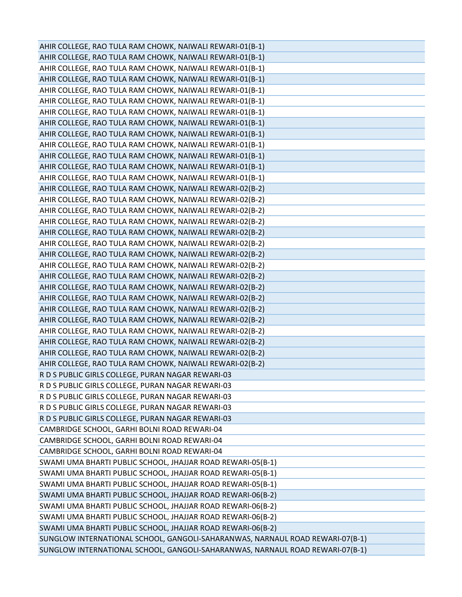| AHIR COLLEGE, RAO TULA RAM CHOWK, NAIWALI REWARI-01(B-1)                      |
|-------------------------------------------------------------------------------|
| AHIR COLLEGE, RAO TULA RAM CHOWK, NAIWALI REWARI-01(B-1)                      |
| AHIR COLLEGE, RAO TULA RAM CHOWK, NAIWALI REWARI-01(B-1)                      |
| AHIR COLLEGE, RAO TULA RAM CHOWK, NAIWALI REWARI-01(B-1)                      |
| AHIR COLLEGE, RAO TULA RAM CHOWK, NAIWALI REWARI-01(B-1)                      |
| AHIR COLLEGE, RAO TULA RAM CHOWK, NAIWALI REWARI-01(B-1)                      |
| AHIR COLLEGE, RAO TULA RAM CHOWK, NAIWALI REWARI-01(B-1)                      |
| AHIR COLLEGE, RAO TULA RAM CHOWK, NAIWALI REWARI-01(B-1)                      |
| AHIR COLLEGE, RAO TULA RAM CHOWK, NAIWALI REWARI-01(B-1)                      |
| AHIR COLLEGE, RAO TULA RAM CHOWK, NAIWALI REWARI-01(B-1)                      |
| AHIR COLLEGE, RAO TULA RAM CHOWK, NAIWALI REWARI-01(B-1)                      |
| AHIR COLLEGE, RAO TULA RAM CHOWK, NAIWALI REWARI-01(B-1)                      |
| AHIR COLLEGE, RAO TULA RAM CHOWK, NAIWALI REWARI-01(B-1)                      |
| AHIR COLLEGE, RAO TULA RAM CHOWK, NAIWALI REWARI-02(B-2)                      |
| AHIR COLLEGE, RAO TULA RAM CHOWK, NAIWALI REWARI-02(B-2)                      |
| AHIR COLLEGE, RAO TULA RAM CHOWK, NAIWALI REWARI-02(B-2)                      |
| AHIR COLLEGE, RAO TULA RAM CHOWK, NAIWALI REWARI-02(B-2)                      |
| AHIR COLLEGE, RAO TULA RAM CHOWK, NAIWALI REWARI-02(B-2)                      |
| AHIR COLLEGE, RAO TULA RAM CHOWK, NAIWALI REWARI-02(B-2)                      |
| AHIR COLLEGE, RAO TULA RAM CHOWK, NAIWALI REWARI-02(B-2)                      |
| AHIR COLLEGE, RAO TULA RAM CHOWK, NAIWALI REWARI-02(B-2)                      |
| AHIR COLLEGE, RAO TULA RAM CHOWK, NAIWALI REWARI-02(B-2)                      |
| AHIR COLLEGE, RAO TULA RAM CHOWK, NAIWALI REWARI-02(B-2)                      |
| AHIR COLLEGE, RAO TULA RAM CHOWK, NAIWALI REWARI-02(B-2)                      |
| AHIR COLLEGE, RAO TULA RAM CHOWK, NAIWALI REWARI-02(B-2)                      |
| AHIR COLLEGE, RAO TULA RAM CHOWK, NAIWALI REWARI-02(B-2)                      |
| AHIR COLLEGE, RAO TULA RAM CHOWK, NAIWALI REWARI-02(B-2)                      |
| AHIR COLLEGE, RAO TULA RAM CHOWK, NAIWALI REWARI-02(B-2)                      |
| AHIR COLLEGE, RAO TULA RAM CHOWK, NAIWALI REWARI-02(B-2)                      |
| AHIR COLLEGE, RAO TULA RAM CHOWK, NAIWALI REWARI-02(B-2)                      |
| R D S PUBLIC GIRLS COLLEGE, PURAN NAGAR REWARI-03                             |
| R D S PUBLIC GIRLS COLLEGE, PURAN NAGAR REWARI-03                             |
| R D S PUBLIC GIRLS COLLEGE, PURAN NAGAR REWARI-03                             |
| R D S PUBLIC GIRLS COLLEGE, PURAN NAGAR REWARI-03                             |
| R D S PUBLIC GIRLS COLLEGE, PURAN NAGAR REWARI-03                             |
| CAMBRIDGE SCHOOL, GARHI BOLNI ROAD REWARI-04                                  |
| CAMBRIDGE SCHOOL, GARHI BOLNI ROAD REWARI-04                                  |
| CAMBRIDGE SCHOOL, GARHI BOLNI ROAD REWARI-04                                  |
| SWAMI UMA BHARTI PUBLIC SCHOOL, JHAJJAR ROAD REWARI-05(B-1)                   |
| SWAMI UMA BHARTI PUBLIC SCHOOL, JHAJJAR ROAD REWARI-05(B-1)                   |
| SWAMI UMA BHARTI PUBLIC SCHOOL, JHAJJAR ROAD REWARI-05(B-1)                   |
| SWAMI UMA BHARTI PUBLIC SCHOOL, JHAJJAR ROAD REWARI-06(B-2)                   |
| SWAMI UMA BHARTI PUBLIC SCHOOL, JHAJJAR ROAD REWARI-06(B-2)                   |
| SWAMI UMA BHARTI PUBLIC SCHOOL, JHAJJAR ROAD REWARI-06(B-2)                   |
| SWAMI UMA BHARTI PUBLIC SCHOOL, JHAJJAR ROAD REWARI-06(B-2)                   |
| SUNGLOW INTERNATIONAL SCHOOL, GANGOLI-SAHARANWAS, NARNAUL ROAD REWARI-07(B-1) |
| SUNGLOW INTERNATIONAL SCHOOL, GANGOLI-SAHARANWAS, NARNAUL ROAD REWARI-07(B-1) |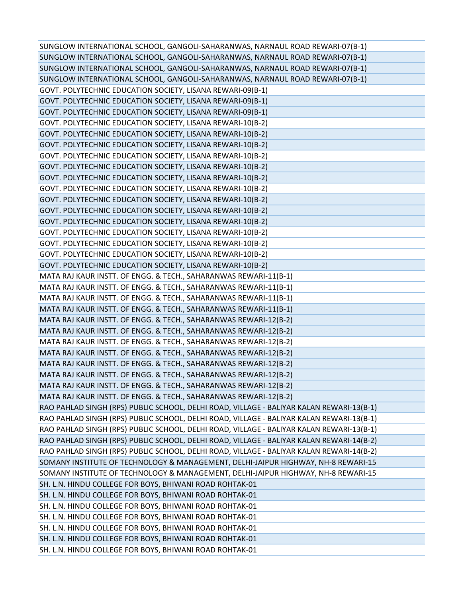| SUNGLOW INTERNATIONAL SCHOOL, GANGOLI-SAHARANWAS, NARNAUL ROAD REWARI-07(B-1)            |
|------------------------------------------------------------------------------------------|
| SUNGLOW INTERNATIONAL SCHOOL, GANGOLI-SAHARANWAS, NARNAUL ROAD REWARI-07(B-1)            |
| SUNGLOW INTERNATIONAL SCHOOL, GANGOLI-SAHARANWAS, NARNAUL ROAD REWARI-07(B-1)            |
| SUNGLOW INTERNATIONAL SCHOOL, GANGOLI-SAHARANWAS, NARNAUL ROAD REWARI-07(B-1)            |
| GOVT. POLYTECHNIC EDUCATION SOCIETY, LISANA REWARI-09(B-1)                               |
| GOVT. POLYTECHNIC EDUCATION SOCIETY, LISANA REWARI-09(B-1)                               |
| GOVT. POLYTECHNIC EDUCATION SOCIETY, LISANA REWARI-09(B-1)                               |
| GOVT. POLYTECHNIC EDUCATION SOCIETY, LISANA REWARI-10(B-2)                               |
| GOVT. POLYTECHNIC EDUCATION SOCIETY, LISANA REWARI-10(B-2)                               |
| GOVT. POLYTECHNIC EDUCATION SOCIETY, LISANA REWARI-10(B-2)                               |
| GOVT. POLYTECHNIC EDUCATION SOCIETY, LISANA REWARI-10(B-2)                               |
| GOVT. POLYTECHNIC EDUCATION SOCIETY, LISANA REWARI-10(B-2)                               |
| GOVT. POLYTECHNIC EDUCATION SOCIETY, LISANA REWARI-10(B-2)                               |
| GOVT. POLYTECHNIC EDUCATION SOCIETY, LISANA REWARI-10(B-2)                               |
| GOVT. POLYTECHNIC EDUCATION SOCIETY, LISANA REWARI-10(B-2)                               |
| GOVT. POLYTECHNIC EDUCATION SOCIETY, LISANA REWARI-10(B-2)                               |
| GOVT. POLYTECHNIC EDUCATION SOCIETY, LISANA REWARI-10(B-2)                               |
| GOVT. POLYTECHNIC EDUCATION SOCIETY, LISANA REWARI-10(B-2)                               |
| GOVT. POLYTECHNIC EDUCATION SOCIETY, LISANA REWARI-10(B-2)                               |
| GOVT. POLYTECHNIC EDUCATION SOCIETY, LISANA REWARI-10(B-2)                               |
| GOVT. POLYTECHNIC EDUCATION SOCIETY, LISANA REWARI-10(B-2)                               |
| MATA RAJ KAUR INSTT. OF ENGG. & TECH., SAHARANWAS REWARI-11(B-1)                         |
| MATA RAJ KAUR INSTT. OF ENGG. & TECH., SAHARANWAS REWARI-11(B-1)                         |
| MATA RAJ KAUR INSTT. OF ENGG. & TECH., SAHARANWAS REWARI-11(B-1)                         |
| MATA RAJ KAUR INSTT. OF ENGG. & TECH., SAHARANWAS REWARI-11(B-1)                         |
| MATA RAJ KAUR INSTT. OF ENGG. & TECH., SAHARANWAS REWARI-12(B-2)                         |
| MATA RAJ KAUR INSTT. OF ENGG. & TECH., SAHARANWAS REWARI-12(B-2)                         |
| MATA RAJ KAUR INSTT. OF ENGG. & TECH., SAHARANWAS REWARI-12(B-2)                         |
| MATA RAJ KAUR INSTT. OF ENGG. & TECH., SAHARANWAS REWARI-12(B-2)                         |
| MATA RAJ KAUR INSTT. OF ENGG. & TECH., SAHARANWAS REWARI-12(B-2)                         |
| MATA RAJ KAUR INSTT. OF ENGG. & TECH., SAHARANWAS REWARI-12(B-2)                         |
| MATA RAJ KAUR INSTT. OF ENGG. & TECH., SAHARANWAS REWARI-12(B-2)                         |
| MATA RAJ KAUR INSTT. OF ENGG. & TECH., SAHARANWAS REWARI-12(B-2)                         |
| RAO PAHLAD SINGH (RPS) PUBLIC SCHOOL, DELHI ROAD, VILLAGE - BALIYAR KALAN REWARI-13(B-1) |
| RAO PAHLAD SINGH (RPS) PUBLIC SCHOOL, DELHI ROAD, VILLAGE - BALIYAR KALAN REWARI-13(B-1) |
| RAO PAHLAD SINGH (RPS) PUBLIC SCHOOL, DELHI ROAD, VILLAGE - BALIYAR KALAN REWARI-13(B-1) |
| RAO PAHLAD SINGH (RPS) PUBLIC SCHOOL, DELHI ROAD, VILLAGE - BALIYAR KALAN REWARI-14(B-2) |
| RAO PAHLAD SINGH (RPS) PUBLIC SCHOOL, DELHI ROAD, VILLAGE - BALIYAR KALAN REWARI-14(B-2) |
| SOMANY INSTITUTE OF TECHNOLOGY & MANAGEMENT, DELHI-JAIPUR HIGHWAY, NH-8 REWARI-15        |
| SOMANY INSTITUTE OF TECHNOLOGY & MANAGEMENT, DELHI-JAIPUR HIGHWAY, NH-8 REWARI-15        |
| SH. L.N. HINDU COLLEGE FOR BOYS, BHIWANI ROAD ROHTAK-01                                  |
| SH. L.N. HINDU COLLEGE FOR BOYS, BHIWANI ROAD ROHTAK-01                                  |
| SH. L.N. HINDU COLLEGE FOR BOYS, BHIWANI ROAD ROHTAK-01                                  |
| SH. L.N. HINDU COLLEGE FOR BOYS, BHIWANI ROAD ROHTAK-01                                  |
| SH. L.N. HINDU COLLEGE FOR BOYS, BHIWANI ROAD ROHTAK-01                                  |
| SH. L.N. HINDU COLLEGE FOR BOYS, BHIWANI ROAD ROHTAK-01                                  |
| SH. L.N. HINDU COLLEGE FOR BOYS, BHIWANI ROAD ROHTAK-01                                  |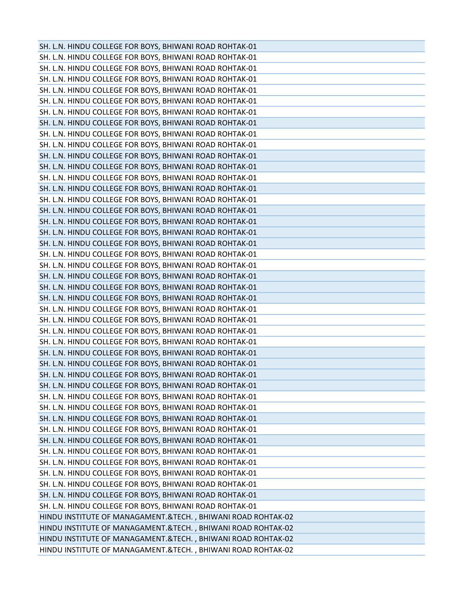| SH. L.N. HINDU COLLEGE FOR BOYS, BHIWANI ROAD ROHTAK-01<br>SH. L.N. HINDU COLLEGE FOR BOYS, BHIWANI ROAD ROHTAK-01<br>SH. L.N. HINDU COLLEGE FOR BOYS, BHIWANI ROAD ROHTAK-01<br>SH. L.N. HINDU COLLEGE FOR BOYS, BHIWANI ROAD ROHTAK-01<br>SH. L.N. HINDU COLLEGE FOR BOYS, BHIWANI ROAD ROHTAK-01<br>SH. L.N. HINDU COLLEGE FOR BOYS, BHIWANI ROAD ROHTAK-01<br>SH. L.N. HINDU COLLEGE FOR BOYS, BHIWANI ROAD ROHTAK-01<br>SH. L.N. HINDU COLLEGE FOR BOYS, BHIWANI ROAD ROHTAK-01<br>SH. L.N. HINDU COLLEGE FOR BOYS, BHIWANI ROAD ROHTAK-01<br>SH. L.N. HINDU COLLEGE FOR BOYS, BHIWANI ROAD ROHTAK-01<br>SH. L.N. HINDU COLLEGE FOR BOYS, BHIWANI ROAD ROHTAK-01<br>SH. L.N. HINDU COLLEGE FOR BOYS, BHIWANI ROAD ROHTAK-01<br>SH. L.N. HINDU COLLEGE FOR BOYS, BHIWANI ROAD ROHTAK-01<br>SH. L.N. HINDU COLLEGE FOR BOYS, BHIWANI ROAD ROHTAK-01<br>SH. L.N. HINDU COLLEGE FOR BOYS, BHIWANI ROAD ROHTAK-01<br>SH. L.N. HINDU COLLEGE FOR BOYS, BHIWANI ROAD ROHTAK-01<br>SH. L.N. HINDU COLLEGE FOR BOYS, BHIWANI ROAD ROHTAK-01<br>SH. L.N. HINDU COLLEGE FOR BOYS, BHIWANI ROAD ROHTAK-01<br>SH. L.N. HINDU COLLEGE FOR BOYS, BHIWANI ROAD ROHTAK-01<br>SH. L.N. HINDU COLLEGE FOR BOYS, BHIWANI ROAD ROHTAK-01<br>SH. L.N. HINDU COLLEGE FOR BOYS, BHIWANI ROAD ROHTAK-01<br>SH. L.N. HINDU COLLEGE FOR BOYS, BHIWANI ROAD ROHTAK-01<br>SH. L.N. HINDU COLLEGE FOR BOYS, BHIWANI ROAD ROHTAK-01<br>SH. L.N. HINDU COLLEGE FOR BOYS, BHIWANI ROAD ROHTAK-01<br>SH. L.N. HINDU COLLEGE FOR BOYS, BHIWANI ROAD ROHTAK-01<br>SH. L.N. HINDU COLLEGE FOR BOYS, BHIWANI ROAD ROHTAK-01<br>SH. L.N. HINDU COLLEGE FOR BOYS, BHIWANI ROAD ROHTAK-01<br>SH. L.N. HINDU COLLEGE FOR BOYS, BHIWANI ROAD ROHTAK-01<br>SH. L.N. HINDU COLLEGE FOR BOYS, BHIWANI ROAD ROHTAK-01<br>SH. L.N. HINDU COLLEGE FOR BOYS, BHIWANI ROAD ROHTAK-01<br>SH. L.N. HINDU COLLEGE FOR BOYS, BHIWANI ROAD ROHTAK-01<br>SH. L.N. HINDU COLLEGE FOR BOYS, BHIWANI ROAD ROHTAK-01<br>SH. L.N. HINDU COLLEGE FOR BOYS, BHIWANI ROAD ROHTAK-01<br>SH. L.N. HINDU COLLEGE FOR BOYS, BHIWANI ROAD ROHTAK-01<br>SH. L.N. HINDU COLLEGE FOR BOYS, BHIWANI ROAD ROHTAK-01<br>SH. L.N. HINDU COLLEGE FOR BOYS, BHIWANI ROAD ROHTAK-01<br>SH. L.N. HINDU COLLEGE FOR BOYS, BHIWANI ROAD ROHTAK-01<br>SH. L.N. HINDU COLLEGE FOR BOYS, BHIWANI ROAD ROHTAK-01<br>SH. L.N. HINDU COLLEGE FOR BOYS, BHIWANI ROAD ROHTAK-01<br>SH. L.N. HINDU COLLEGE FOR BOYS, BHIWANI ROAD ROHTAK-01<br>SH. L.N. HINDU COLLEGE FOR BOYS, BHIWANI ROAD ROHTAK-01<br>SH. L.N. HINDU COLLEGE FOR BOYS, BHIWANI ROAD ROHTAK-01<br>HINDU INSTITUTE OF MANAGAMENT.&TECH., BHIWANI ROAD ROHTAK-02<br>HINDU INSTITUTE OF MANAGAMENT.&TECH., BHIWANI ROAD ROHTAK-02<br>HINDU INSTITUTE OF MANAGAMENT.&TECH., BHIWANI ROAD ROHTAK-02 | SH. L.N. HINDU COLLEGE FOR BOYS, BHIWANI ROAD ROHTAK-01      |
|----------------------------------------------------------------------------------------------------------------------------------------------------------------------------------------------------------------------------------------------------------------------------------------------------------------------------------------------------------------------------------------------------------------------------------------------------------------------------------------------------------------------------------------------------------------------------------------------------------------------------------------------------------------------------------------------------------------------------------------------------------------------------------------------------------------------------------------------------------------------------------------------------------------------------------------------------------------------------------------------------------------------------------------------------------------------------------------------------------------------------------------------------------------------------------------------------------------------------------------------------------------------------------------------------------------------------------------------------------------------------------------------------------------------------------------------------------------------------------------------------------------------------------------------------------------------------------------------------------------------------------------------------------------------------------------------------------------------------------------------------------------------------------------------------------------------------------------------------------------------------------------------------------------------------------------------------------------------------------------------------------------------------------------------------------------------------------------------------------------------------------------------------------------------------------------------------------------------------------------------------------------------------------------------------------------------------------------------------------------------------------------------------------------------------------------------------------------------------------------------------------------------------------------------------------------------------------------------------------------------------------------------------------------------------------------------------------------------------------------------------------------------------|--------------------------------------------------------------|
|                                                                                                                                                                                                                                                                                                                                                                                                                                                                                                                                                                                                                                                                                                                                                                                                                                                                                                                                                                                                                                                                                                                                                                                                                                                                                                                                                                                                                                                                                                                                                                                                                                                                                                                                                                                                                                                                                                                                                                                                                                                                                                                                                                                                                                                                                                                                                                                                                                                                                                                                                                                                                                                                                                                                                                            |                                                              |
|                                                                                                                                                                                                                                                                                                                                                                                                                                                                                                                                                                                                                                                                                                                                                                                                                                                                                                                                                                                                                                                                                                                                                                                                                                                                                                                                                                                                                                                                                                                                                                                                                                                                                                                                                                                                                                                                                                                                                                                                                                                                                                                                                                                                                                                                                                                                                                                                                                                                                                                                                                                                                                                                                                                                                                            |                                                              |
|                                                                                                                                                                                                                                                                                                                                                                                                                                                                                                                                                                                                                                                                                                                                                                                                                                                                                                                                                                                                                                                                                                                                                                                                                                                                                                                                                                                                                                                                                                                                                                                                                                                                                                                                                                                                                                                                                                                                                                                                                                                                                                                                                                                                                                                                                                                                                                                                                                                                                                                                                                                                                                                                                                                                                                            |                                                              |
|                                                                                                                                                                                                                                                                                                                                                                                                                                                                                                                                                                                                                                                                                                                                                                                                                                                                                                                                                                                                                                                                                                                                                                                                                                                                                                                                                                                                                                                                                                                                                                                                                                                                                                                                                                                                                                                                                                                                                                                                                                                                                                                                                                                                                                                                                                                                                                                                                                                                                                                                                                                                                                                                                                                                                                            |                                                              |
|                                                                                                                                                                                                                                                                                                                                                                                                                                                                                                                                                                                                                                                                                                                                                                                                                                                                                                                                                                                                                                                                                                                                                                                                                                                                                                                                                                                                                                                                                                                                                                                                                                                                                                                                                                                                                                                                                                                                                                                                                                                                                                                                                                                                                                                                                                                                                                                                                                                                                                                                                                                                                                                                                                                                                                            |                                                              |
|                                                                                                                                                                                                                                                                                                                                                                                                                                                                                                                                                                                                                                                                                                                                                                                                                                                                                                                                                                                                                                                                                                                                                                                                                                                                                                                                                                                                                                                                                                                                                                                                                                                                                                                                                                                                                                                                                                                                                                                                                                                                                                                                                                                                                                                                                                                                                                                                                                                                                                                                                                                                                                                                                                                                                                            |                                                              |
|                                                                                                                                                                                                                                                                                                                                                                                                                                                                                                                                                                                                                                                                                                                                                                                                                                                                                                                                                                                                                                                                                                                                                                                                                                                                                                                                                                                                                                                                                                                                                                                                                                                                                                                                                                                                                                                                                                                                                                                                                                                                                                                                                                                                                                                                                                                                                                                                                                                                                                                                                                                                                                                                                                                                                                            |                                                              |
|                                                                                                                                                                                                                                                                                                                                                                                                                                                                                                                                                                                                                                                                                                                                                                                                                                                                                                                                                                                                                                                                                                                                                                                                                                                                                                                                                                                                                                                                                                                                                                                                                                                                                                                                                                                                                                                                                                                                                                                                                                                                                                                                                                                                                                                                                                                                                                                                                                                                                                                                                                                                                                                                                                                                                                            |                                                              |
|                                                                                                                                                                                                                                                                                                                                                                                                                                                                                                                                                                                                                                                                                                                                                                                                                                                                                                                                                                                                                                                                                                                                                                                                                                                                                                                                                                                                                                                                                                                                                                                                                                                                                                                                                                                                                                                                                                                                                                                                                                                                                                                                                                                                                                                                                                                                                                                                                                                                                                                                                                                                                                                                                                                                                                            |                                                              |
|                                                                                                                                                                                                                                                                                                                                                                                                                                                                                                                                                                                                                                                                                                                                                                                                                                                                                                                                                                                                                                                                                                                                                                                                                                                                                                                                                                                                                                                                                                                                                                                                                                                                                                                                                                                                                                                                                                                                                                                                                                                                                                                                                                                                                                                                                                                                                                                                                                                                                                                                                                                                                                                                                                                                                                            |                                                              |
|                                                                                                                                                                                                                                                                                                                                                                                                                                                                                                                                                                                                                                                                                                                                                                                                                                                                                                                                                                                                                                                                                                                                                                                                                                                                                                                                                                                                                                                                                                                                                                                                                                                                                                                                                                                                                                                                                                                                                                                                                                                                                                                                                                                                                                                                                                                                                                                                                                                                                                                                                                                                                                                                                                                                                                            |                                                              |
|                                                                                                                                                                                                                                                                                                                                                                                                                                                                                                                                                                                                                                                                                                                                                                                                                                                                                                                                                                                                                                                                                                                                                                                                                                                                                                                                                                                                                                                                                                                                                                                                                                                                                                                                                                                                                                                                                                                                                                                                                                                                                                                                                                                                                                                                                                                                                                                                                                                                                                                                                                                                                                                                                                                                                                            |                                                              |
|                                                                                                                                                                                                                                                                                                                                                                                                                                                                                                                                                                                                                                                                                                                                                                                                                                                                                                                                                                                                                                                                                                                                                                                                                                                                                                                                                                                                                                                                                                                                                                                                                                                                                                                                                                                                                                                                                                                                                                                                                                                                                                                                                                                                                                                                                                                                                                                                                                                                                                                                                                                                                                                                                                                                                                            |                                                              |
|                                                                                                                                                                                                                                                                                                                                                                                                                                                                                                                                                                                                                                                                                                                                                                                                                                                                                                                                                                                                                                                                                                                                                                                                                                                                                                                                                                                                                                                                                                                                                                                                                                                                                                                                                                                                                                                                                                                                                                                                                                                                                                                                                                                                                                                                                                                                                                                                                                                                                                                                                                                                                                                                                                                                                                            |                                                              |
|                                                                                                                                                                                                                                                                                                                                                                                                                                                                                                                                                                                                                                                                                                                                                                                                                                                                                                                                                                                                                                                                                                                                                                                                                                                                                                                                                                                                                                                                                                                                                                                                                                                                                                                                                                                                                                                                                                                                                                                                                                                                                                                                                                                                                                                                                                                                                                                                                                                                                                                                                                                                                                                                                                                                                                            |                                                              |
|                                                                                                                                                                                                                                                                                                                                                                                                                                                                                                                                                                                                                                                                                                                                                                                                                                                                                                                                                                                                                                                                                                                                                                                                                                                                                                                                                                                                                                                                                                                                                                                                                                                                                                                                                                                                                                                                                                                                                                                                                                                                                                                                                                                                                                                                                                                                                                                                                                                                                                                                                                                                                                                                                                                                                                            |                                                              |
|                                                                                                                                                                                                                                                                                                                                                                                                                                                                                                                                                                                                                                                                                                                                                                                                                                                                                                                                                                                                                                                                                                                                                                                                                                                                                                                                                                                                                                                                                                                                                                                                                                                                                                                                                                                                                                                                                                                                                                                                                                                                                                                                                                                                                                                                                                                                                                                                                                                                                                                                                                                                                                                                                                                                                                            |                                                              |
|                                                                                                                                                                                                                                                                                                                                                                                                                                                                                                                                                                                                                                                                                                                                                                                                                                                                                                                                                                                                                                                                                                                                                                                                                                                                                                                                                                                                                                                                                                                                                                                                                                                                                                                                                                                                                                                                                                                                                                                                                                                                                                                                                                                                                                                                                                                                                                                                                                                                                                                                                                                                                                                                                                                                                                            |                                                              |
|                                                                                                                                                                                                                                                                                                                                                                                                                                                                                                                                                                                                                                                                                                                                                                                                                                                                                                                                                                                                                                                                                                                                                                                                                                                                                                                                                                                                                                                                                                                                                                                                                                                                                                                                                                                                                                                                                                                                                                                                                                                                                                                                                                                                                                                                                                                                                                                                                                                                                                                                                                                                                                                                                                                                                                            |                                                              |
|                                                                                                                                                                                                                                                                                                                                                                                                                                                                                                                                                                                                                                                                                                                                                                                                                                                                                                                                                                                                                                                                                                                                                                                                                                                                                                                                                                                                                                                                                                                                                                                                                                                                                                                                                                                                                                                                                                                                                                                                                                                                                                                                                                                                                                                                                                                                                                                                                                                                                                                                                                                                                                                                                                                                                                            |                                                              |
|                                                                                                                                                                                                                                                                                                                                                                                                                                                                                                                                                                                                                                                                                                                                                                                                                                                                                                                                                                                                                                                                                                                                                                                                                                                                                                                                                                                                                                                                                                                                                                                                                                                                                                                                                                                                                                                                                                                                                                                                                                                                                                                                                                                                                                                                                                                                                                                                                                                                                                                                                                                                                                                                                                                                                                            |                                                              |
|                                                                                                                                                                                                                                                                                                                                                                                                                                                                                                                                                                                                                                                                                                                                                                                                                                                                                                                                                                                                                                                                                                                                                                                                                                                                                                                                                                                                                                                                                                                                                                                                                                                                                                                                                                                                                                                                                                                                                                                                                                                                                                                                                                                                                                                                                                                                                                                                                                                                                                                                                                                                                                                                                                                                                                            |                                                              |
|                                                                                                                                                                                                                                                                                                                                                                                                                                                                                                                                                                                                                                                                                                                                                                                                                                                                                                                                                                                                                                                                                                                                                                                                                                                                                                                                                                                                                                                                                                                                                                                                                                                                                                                                                                                                                                                                                                                                                                                                                                                                                                                                                                                                                                                                                                                                                                                                                                                                                                                                                                                                                                                                                                                                                                            |                                                              |
|                                                                                                                                                                                                                                                                                                                                                                                                                                                                                                                                                                                                                                                                                                                                                                                                                                                                                                                                                                                                                                                                                                                                                                                                                                                                                                                                                                                                                                                                                                                                                                                                                                                                                                                                                                                                                                                                                                                                                                                                                                                                                                                                                                                                                                                                                                                                                                                                                                                                                                                                                                                                                                                                                                                                                                            |                                                              |
|                                                                                                                                                                                                                                                                                                                                                                                                                                                                                                                                                                                                                                                                                                                                                                                                                                                                                                                                                                                                                                                                                                                                                                                                                                                                                                                                                                                                                                                                                                                                                                                                                                                                                                                                                                                                                                                                                                                                                                                                                                                                                                                                                                                                                                                                                                                                                                                                                                                                                                                                                                                                                                                                                                                                                                            |                                                              |
|                                                                                                                                                                                                                                                                                                                                                                                                                                                                                                                                                                                                                                                                                                                                                                                                                                                                                                                                                                                                                                                                                                                                                                                                                                                                                                                                                                                                                                                                                                                                                                                                                                                                                                                                                                                                                                                                                                                                                                                                                                                                                                                                                                                                                                                                                                                                                                                                                                                                                                                                                                                                                                                                                                                                                                            |                                                              |
|                                                                                                                                                                                                                                                                                                                                                                                                                                                                                                                                                                                                                                                                                                                                                                                                                                                                                                                                                                                                                                                                                                                                                                                                                                                                                                                                                                                                                                                                                                                                                                                                                                                                                                                                                                                                                                                                                                                                                                                                                                                                                                                                                                                                                                                                                                                                                                                                                                                                                                                                                                                                                                                                                                                                                                            |                                                              |
|                                                                                                                                                                                                                                                                                                                                                                                                                                                                                                                                                                                                                                                                                                                                                                                                                                                                                                                                                                                                                                                                                                                                                                                                                                                                                                                                                                                                                                                                                                                                                                                                                                                                                                                                                                                                                                                                                                                                                                                                                                                                                                                                                                                                                                                                                                                                                                                                                                                                                                                                                                                                                                                                                                                                                                            |                                                              |
|                                                                                                                                                                                                                                                                                                                                                                                                                                                                                                                                                                                                                                                                                                                                                                                                                                                                                                                                                                                                                                                                                                                                                                                                                                                                                                                                                                                                                                                                                                                                                                                                                                                                                                                                                                                                                                                                                                                                                                                                                                                                                                                                                                                                                                                                                                                                                                                                                                                                                                                                                                                                                                                                                                                                                                            |                                                              |
|                                                                                                                                                                                                                                                                                                                                                                                                                                                                                                                                                                                                                                                                                                                                                                                                                                                                                                                                                                                                                                                                                                                                                                                                                                                                                                                                                                                                                                                                                                                                                                                                                                                                                                                                                                                                                                                                                                                                                                                                                                                                                                                                                                                                                                                                                                                                                                                                                                                                                                                                                                                                                                                                                                                                                                            |                                                              |
|                                                                                                                                                                                                                                                                                                                                                                                                                                                                                                                                                                                                                                                                                                                                                                                                                                                                                                                                                                                                                                                                                                                                                                                                                                                                                                                                                                                                                                                                                                                                                                                                                                                                                                                                                                                                                                                                                                                                                                                                                                                                                                                                                                                                                                                                                                                                                                                                                                                                                                                                                                                                                                                                                                                                                                            |                                                              |
|                                                                                                                                                                                                                                                                                                                                                                                                                                                                                                                                                                                                                                                                                                                                                                                                                                                                                                                                                                                                                                                                                                                                                                                                                                                                                                                                                                                                                                                                                                                                                                                                                                                                                                                                                                                                                                                                                                                                                                                                                                                                                                                                                                                                                                                                                                                                                                                                                                                                                                                                                                                                                                                                                                                                                                            |                                                              |
|                                                                                                                                                                                                                                                                                                                                                                                                                                                                                                                                                                                                                                                                                                                                                                                                                                                                                                                                                                                                                                                                                                                                                                                                                                                                                                                                                                                                                                                                                                                                                                                                                                                                                                                                                                                                                                                                                                                                                                                                                                                                                                                                                                                                                                                                                                                                                                                                                                                                                                                                                                                                                                                                                                                                                                            |                                                              |
|                                                                                                                                                                                                                                                                                                                                                                                                                                                                                                                                                                                                                                                                                                                                                                                                                                                                                                                                                                                                                                                                                                                                                                                                                                                                                                                                                                                                                                                                                                                                                                                                                                                                                                                                                                                                                                                                                                                                                                                                                                                                                                                                                                                                                                                                                                                                                                                                                                                                                                                                                                                                                                                                                                                                                                            |                                                              |
|                                                                                                                                                                                                                                                                                                                                                                                                                                                                                                                                                                                                                                                                                                                                                                                                                                                                                                                                                                                                                                                                                                                                                                                                                                                                                                                                                                                                                                                                                                                                                                                                                                                                                                                                                                                                                                                                                                                                                                                                                                                                                                                                                                                                                                                                                                                                                                                                                                                                                                                                                                                                                                                                                                                                                                            |                                                              |
|                                                                                                                                                                                                                                                                                                                                                                                                                                                                                                                                                                                                                                                                                                                                                                                                                                                                                                                                                                                                                                                                                                                                                                                                                                                                                                                                                                                                                                                                                                                                                                                                                                                                                                                                                                                                                                                                                                                                                                                                                                                                                                                                                                                                                                                                                                                                                                                                                                                                                                                                                                                                                                                                                                                                                                            |                                                              |
|                                                                                                                                                                                                                                                                                                                                                                                                                                                                                                                                                                                                                                                                                                                                                                                                                                                                                                                                                                                                                                                                                                                                                                                                                                                                                                                                                                                                                                                                                                                                                                                                                                                                                                                                                                                                                                                                                                                                                                                                                                                                                                                                                                                                                                                                                                                                                                                                                                                                                                                                                                                                                                                                                                                                                                            |                                                              |
|                                                                                                                                                                                                                                                                                                                                                                                                                                                                                                                                                                                                                                                                                                                                                                                                                                                                                                                                                                                                                                                                                                                                                                                                                                                                                                                                                                                                                                                                                                                                                                                                                                                                                                                                                                                                                                                                                                                                                                                                                                                                                                                                                                                                                                                                                                                                                                                                                                                                                                                                                                                                                                                                                                                                                                            |                                                              |
|                                                                                                                                                                                                                                                                                                                                                                                                                                                                                                                                                                                                                                                                                                                                                                                                                                                                                                                                                                                                                                                                                                                                                                                                                                                                                                                                                                                                                                                                                                                                                                                                                                                                                                                                                                                                                                                                                                                                                                                                                                                                                                                                                                                                                                                                                                                                                                                                                                                                                                                                                                                                                                                                                                                                                                            |                                                              |
|                                                                                                                                                                                                                                                                                                                                                                                                                                                                                                                                                                                                                                                                                                                                                                                                                                                                                                                                                                                                                                                                                                                                                                                                                                                                                                                                                                                                                                                                                                                                                                                                                                                                                                                                                                                                                                                                                                                                                                                                                                                                                                                                                                                                                                                                                                                                                                                                                                                                                                                                                                                                                                                                                                                                                                            |                                                              |
|                                                                                                                                                                                                                                                                                                                                                                                                                                                                                                                                                                                                                                                                                                                                                                                                                                                                                                                                                                                                                                                                                                                                                                                                                                                                                                                                                                                                                                                                                                                                                                                                                                                                                                                                                                                                                                                                                                                                                                                                                                                                                                                                                                                                                                                                                                                                                                                                                                                                                                                                                                                                                                                                                                                                                                            |                                                              |
|                                                                                                                                                                                                                                                                                                                                                                                                                                                                                                                                                                                                                                                                                                                                                                                                                                                                                                                                                                                                                                                                                                                                                                                                                                                                                                                                                                                                                                                                                                                                                                                                                                                                                                                                                                                                                                                                                                                                                                                                                                                                                                                                                                                                                                                                                                                                                                                                                                                                                                                                                                                                                                                                                                                                                                            |                                                              |
|                                                                                                                                                                                                                                                                                                                                                                                                                                                                                                                                                                                                                                                                                                                                                                                                                                                                                                                                                                                                                                                                                                                                                                                                                                                                                                                                                                                                                                                                                                                                                                                                                                                                                                                                                                                                                                                                                                                                                                                                                                                                                                                                                                                                                                                                                                                                                                                                                                                                                                                                                                                                                                                                                                                                                                            |                                                              |
|                                                                                                                                                                                                                                                                                                                                                                                                                                                                                                                                                                                                                                                                                                                                                                                                                                                                                                                                                                                                                                                                                                                                                                                                                                                                                                                                                                                                                                                                                                                                                                                                                                                                                                                                                                                                                                                                                                                                                                                                                                                                                                                                                                                                                                                                                                                                                                                                                                                                                                                                                                                                                                                                                                                                                                            |                                                              |
|                                                                                                                                                                                                                                                                                                                                                                                                                                                                                                                                                                                                                                                                                                                                                                                                                                                                                                                                                                                                                                                                                                                                                                                                                                                                                                                                                                                                                                                                                                                                                                                                                                                                                                                                                                                                                                                                                                                                                                                                                                                                                                                                                                                                                                                                                                                                                                                                                                                                                                                                                                                                                                                                                                                                                                            |                                                              |
|                                                                                                                                                                                                                                                                                                                                                                                                                                                                                                                                                                                                                                                                                                                                                                                                                                                                                                                                                                                                                                                                                                                                                                                                                                                                                                                                                                                                                                                                                                                                                                                                                                                                                                                                                                                                                                                                                                                                                                                                                                                                                                                                                                                                                                                                                                                                                                                                                                                                                                                                                                                                                                                                                                                                                                            | HINDU INSTITUTE OF MANAGAMENT.&TECH., BHIWANI ROAD ROHTAK-02 |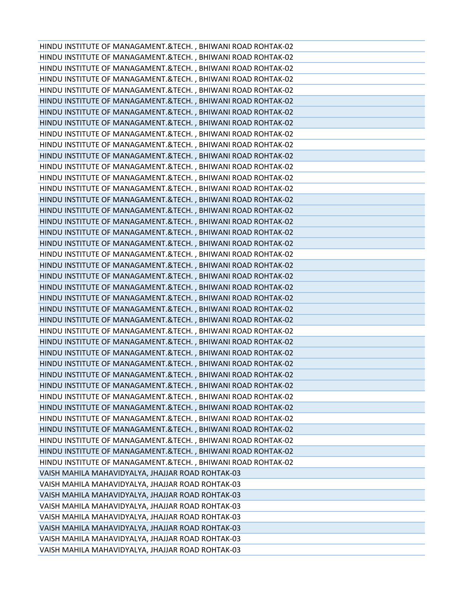HINDU INSTITUTE OF MANAGAMENT.&TECH. , BHIWANI ROAD ROHTAK-02 HINDU INSTITUTE OF MANAGAMENT.&TECH. , BHIWANI ROAD ROHTAK-02 HINDU INSTITUTE OF MANAGAMENT.&TECH. , BHIWANI ROAD ROHTAK-02 HINDU INSTITUTE OF MANAGAMENT.&TECH. , BHIWANI ROAD ROHTAK-02 HINDU INSTITUTE OF MANAGAMENT.&TECH. , BHIWANI ROAD ROHTAK-02 HINDU INSTITUTE OF MANAGAMENT.&TECH. , BHIWANI ROAD ROHTAK-02 HINDU INSTITUTE OF MANAGAMENT.&TECH. , BHIWANI ROAD ROHTAK-02 HINDU INSTITUTE OF MANAGAMENT.&TECH. , BHIWANI ROAD ROHTAK-02 HINDU INSTITUTE OF MANAGAMENT.&TECH. , BHIWANI ROAD ROHTAK-02 HINDU INSTITUTE OF MANAGAMENT.&TECH. , BHIWANI ROAD ROHTAK-02 HINDU INSTITUTE OF MANAGAMENT.&TECH. , BHIWANI ROAD ROHTAK-02 HINDU INSTITUTE OF MANAGAMENT.&TECH. , BHIWANI ROAD ROHTAK-02 HINDU INSTITUTE OF MANAGAMENT.&TECH. , BHIWANI ROAD ROHTAK-02 HINDU INSTITUTE OF MANAGAMENT.&TECH. , BHIWANI ROAD ROHTAK-02 HINDU INSTITUTE OF MANAGAMENT.&TECH. , BHIWANI ROAD ROHTAK-02 HINDU INSTITUTE OF MANAGAMENT.&TECH. , BHIWANI ROAD ROHTAK-02 HINDU INSTITUTE OF MANAGAMENT.&TECH. , BHIWANI ROAD ROHTAK-02 HINDU INSTITUTE OF MANAGAMENT.&TECH. , BHIWANI ROAD ROHTAK-02 HINDU INSTITUTE OF MANAGAMENT.&TECH. , BHIWANI ROAD ROHTAK-02 HINDU INSTITUTE OF MANAGAMENT.&TECH. , BHIWANI ROAD ROHTAK-02 HINDU INSTITUTE OF MANAGAMENT.&TECH. , BHIWANI ROAD ROHTAK-02 HINDU INSTITUTE OF MANAGAMENT.&TECH. , BHIWANI ROAD ROHTAK-02 HINDU INSTITUTE OF MANAGAMENT.&TECH. , BHIWANI ROAD ROHTAK-02 HINDU INSTITUTE OF MANAGAMENT.&TECH. , BHIWANI ROAD ROHTAK-02 HINDU INSTITUTE OF MANAGAMENT.&TECH. , BHIWANI ROAD ROHTAK-02 HINDU INSTITUTE OF MANAGAMENT.&TECH. , BHIWANI ROAD ROHTAK-02 HINDU INSTITUTE OF MANAGAMENT.&TECH. , BHIWANI ROAD ROHTAK-02 HINDU INSTITUTE OF MANAGAMENT.&TECH. , BHIWANI ROAD ROHTAK-02 HINDU INSTITUTE OF MANAGAMENT.&TECH. , BHIWANI ROAD ROHTAK-02 HINDU INSTITUTE OF MANAGAMENT.&TECH. , BHIWANI ROAD ROHTAK-02 HINDU INSTITUTE OF MANAGAMENT.&TECH. , BHIWANI ROAD ROHTAK-02 HINDU INSTITUTE OF MANAGAMENT.&TECH. , BHIWANI ROAD ROHTAK-02 HINDU INSTITUTE OF MANAGAMENT.&TECH. , BHIWANI ROAD ROHTAK-02 HINDU INSTITUTE OF MANAGAMENT.&TECH. , BHIWANI ROAD ROHTAK-02 HINDU INSTITUTE OF MANAGAMENT.&TECH. , BHIWANI ROAD ROHTAK-02 HINDU INSTITUTE OF MANAGAMENT.&TECH. , BHIWANI ROAD ROHTAK-02 HINDU INSTITUTE OF MANAGAMENT.&TECH. , BHIWANI ROAD ROHTAK-02 HINDU INSTITUTE OF MANAGAMENT.&TECH. , BHIWANI ROAD ROHTAK-02 HINDU INSTITUTE OF MANAGAMENT.&TECH. , BHIWANI ROAD ROHTAK-02 VAISH MAHILA MAHAVIDYALYA, JHAJJAR ROAD ROHTAK-03 VAISH MAHILA MAHAVIDYALYA, JHAJJAR ROAD ROHTAK-03 VAISH MAHILA MAHAVIDYALYA, JHAJJAR ROAD ROHTAK-03 VAISH MAHILA MAHAVIDYALYA, JHAJJAR ROAD ROHTAK-03 VAISH MAHILA MAHAVIDYALYA, JHAJJAR ROAD ROHTAK-03 VAISH MAHILA MAHAVIDYALYA, JHAJJAR ROAD ROHTAK-03 VAISH MAHILA MAHAVIDYALYA, JHAJJAR ROAD ROHTAK-03 VAISH MAHILA MAHAVIDYALYA, JHAJJAR ROAD ROHTAK-03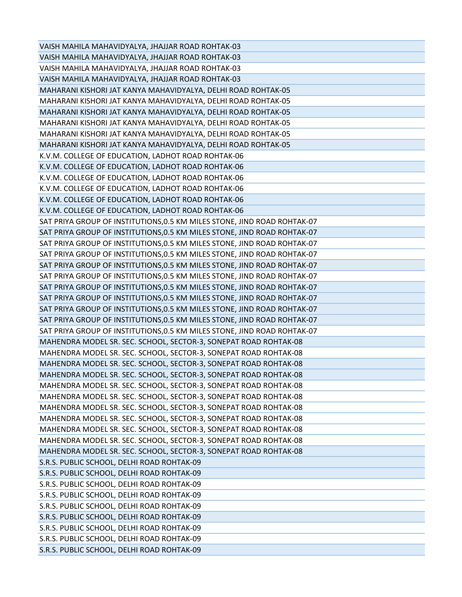| VAISH MAHILA MAHAVIDYALYA, JHAJJAR ROAD ROHTAK-03                        |
|--------------------------------------------------------------------------|
| VAISH MAHILA MAHAVIDYALYA, JHAJJAR ROAD ROHTAK-03                        |
| VAISH MAHILA MAHAVIDYALYA, JHAJJAR ROAD ROHTAK-03                        |
| VAISH MAHILA MAHAVIDYALYA, JHAJJAR ROAD ROHTAK-03                        |
| MAHARANI KISHORI JAT KANYA MAHAVIDYALYA, DELHI ROAD ROHTAK-05            |
| MAHARANI KISHORI JAT KANYA MAHAVIDYALYA, DELHI ROAD ROHTAK-05            |
| MAHARANI KISHORI JAT KANYA MAHAVIDYALYA, DELHI ROAD ROHTAK-05            |
| MAHARANI KISHORI JAT KANYA MAHAVIDYALYA, DELHI ROAD ROHTAK-05            |
| MAHARANI KISHORI JAT KANYA MAHAVIDYALYA, DELHI ROAD ROHTAK-05            |
| MAHARANI KISHORI JAT KANYA MAHAVIDYALYA, DELHI ROAD ROHTAK-05            |
| K.V.M. COLLEGE OF EDUCATION, LADHOT ROAD ROHTAK-06                       |
| K.V.M. COLLEGE OF EDUCATION, LADHOT ROAD ROHTAK-06                       |
| K.V.M. COLLEGE OF EDUCATION, LADHOT ROAD ROHTAK-06                       |
| K.V.M. COLLEGE OF EDUCATION, LADHOT ROAD ROHTAK-06                       |
| K.V.M. COLLEGE OF EDUCATION, LADHOT ROAD ROHTAK-06                       |
| K.V.M. COLLEGE OF EDUCATION, LADHOT ROAD ROHTAK-06                       |
| SAT PRIYA GROUP OF INSTITUTIONS, 0.5 KM MILES STONE, JIND ROAD ROHTAK-07 |
| SAT PRIYA GROUP OF INSTITUTIONS, 0.5 KM MILES STONE, JIND ROAD ROHTAK-07 |
| SAT PRIYA GROUP OF INSTITUTIONS, 0.5 KM MILES STONE, JIND ROAD ROHTAK-07 |
| SAT PRIYA GROUP OF INSTITUTIONS, 0.5 KM MILES STONE, JIND ROAD ROHTAK-07 |
| SAT PRIYA GROUP OF INSTITUTIONS, 0.5 KM MILES STONE, JIND ROAD ROHTAK-07 |
| SAT PRIYA GROUP OF INSTITUTIONS, 0.5 KM MILES STONE, JIND ROAD ROHTAK-07 |
| SAT PRIYA GROUP OF INSTITUTIONS, 0.5 KM MILES STONE, JIND ROAD ROHTAK-07 |
| SAT PRIYA GROUP OF INSTITUTIONS, 0.5 KM MILES STONE, JIND ROAD ROHTAK-07 |
| SAT PRIYA GROUP OF INSTITUTIONS, 0.5 KM MILES STONE, JIND ROAD ROHTAK-07 |
| SAT PRIYA GROUP OF INSTITUTIONS, 0.5 KM MILES STONE, JIND ROAD ROHTAK-07 |
| SAT PRIYA GROUP OF INSTITUTIONS, 0.5 KM MILES STONE, JIND ROAD ROHTAK-07 |
| MAHENDRA MODEL SR. SEC. SCHOOL, SECTOR-3, SONEPAT ROAD ROHTAK-08         |
| MAHENDRA MODEL SR. SEC. SCHOOL, SECTOR-3, SONEPAT ROAD ROHTAK-08         |
| MAHENDRA MODEL SR. SEC. SCHOOL, SECTOR-3, SONEPAT ROAD ROHTAK-08         |
| MAHENDRA MODEL SR. SEC. SCHOOL, SECTOR-3, SONEPAT ROAD ROHTAK-08         |
| MAHENDRA MODEL SR. SEC. SCHOOL, SECTOR-3, SONEPAT ROAD ROHTAK-08         |
| MAHENDRA MODEL SR. SEC. SCHOOL, SECTOR-3, SONEPAT ROAD ROHTAK-08         |
| MAHENDRA MODEL SR. SEC. SCHOOL, SECTOR-3, SONEPAT ROAD ROHTAK-08         |
| MAHENDRA MODEL SR. SEC. SCHOOL, SECTOR-3, SONEPAT ROAD ROHTAK-08         |
| MAHENDRA MODEL SR. SEC. SCHOOL, SECTOR-3, SONEPAT ROAD ROHTAK-08         |
| MAHENDRA MODEL SR. SEC. SCHOOL, SECTOR-3, SONEPAT ROAD ROHTAK-08         |
| MAHENDRA MODEL SR. SEC. SCHOOL, SECTOR-3, SONEPAT ROAD ROHTAK-08         |
| S.R.S. PUBLIC SCHOOL, DELHI ROAD ROHTAK-09                               |
| S.R.S. PUBLIC SCHOOL, DELHI ROAD ROHTAK-09                               |
| S.R.S. PUBLIC SCHOOL, DELHI ROAD ROHTAK-09                               |
| S.R.S. PUBLIC SCHOOL, DELHI ROAD ROHTAK-09                               |
| S.R.S. PUBLIC SCHOOL, DELHI ROAD ROHTAK-09                               |
| S.R.S. PUBLIC SCHOOL, DELHI ROAD ROHTAK-09                               |
| S.R.S. PUBLIC SCHOOL, DELHI ROAD ROHTAK-09                               |
| S.R.S. PUBLIC SCHOOL, DELHI ROAD ROHTAK-09                               |
| S.R.S. PUBLIC SCHOOL, DELHI ROAD ROHTAK-09                               |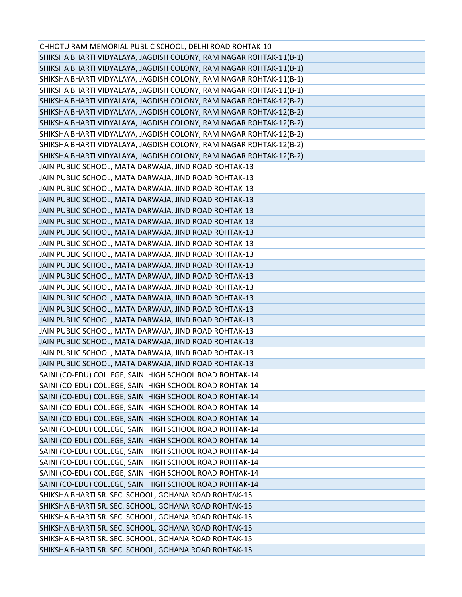| CHHOTU RAM MEMORIAL PUBLIC SCHOOL, DELHI ROAD ROHTAK-10            |
|--------------------------------------------------------------------|
| SHIKSHA BHARTI VIDYALAYA, JAGDISH COLONY, RAM NAGAR ROHTAK-11(B-1) |
| SHIKSHA BHARTI VIDYALAYA, JAGDISH COLONY, RAM NAGAR ROHTAK-11(B-1) |
| SHIKSHA BHARTI VIDYALAYA, JAGDISH COLONY, RAM NAGAR ROHTAK-11(B-1) |
| SHIKSHA BHARTI VIDYALAYA, JAGDISH COLONY, RAM NAGAR ROHTAK-11(B-1) |
| SHIKSHA BHARTI VIDYALAYA, JAGDISH COLONY, RAM NAGAR ROHTAK-12(B-2) |
| SHIKSHA BHARTI VIDYALAYA, JAGDISH COLONY, RAM NAGAR ROHTAK-12(B-2) |
| SHIKSHA BHARTI VIDYALAYA, JAGDISH COLONY, RAM NAGAR ROHTAK-12(B-2) |
| SHIKSHA BHARTI VIDYALAYA, JAGDISH COLONY, RAM NAGAR ROHTAK-12(B-2) |
| SHIKSHA BHARTI VIDYALAYA, JAGDISH COLONY, RAM NAGAR ROHTAK-12(B-2) |
| SHIKSHA BHARTI VIDYALAYA, JAGDISH COLONY, RAM NAGAR ROHTAK-12(B-2) |
| JAIN PUBLIC SCHOOL, MATA DARWAJA, JIND ROAD ROHTAK-13              |
| JAIN PUBLIC SCHOOL, MATA DARWAJA, JIND ROAD ROHTAK-13              |
| JAIN PUBLIC SCHOOL, MATA DARWAJA, JIND ROAD ROHTAK-13              |
| JAIN PUBLIC SCHOOL, MATA DARWAJA, JIND ROAD ROHTAK-13              |
| JAIN PUBLIC SCHOOL, MATA DARWAJA, JIND ROAD ROHTAK-13              |
| JAIN PUBLIC SCHOOL, MATA DARWAJA, JIND ROAD ROHTAK-13              |
| JAIN PUBLIC SCHOOL, MATA DARWAJA, JIND ROAD ROHTAK-13              |
| JAIN PUBLIC SCHOOL, MATA DARWAJA, JIND ROAD ROHTAK-13              |
| JAIN PUBLIC SCHOOL, MATA DARWAJA, JIND ROAD ROHTAK-13              |
| JAIN PUBLIC SCHOOL, MATA DARWAJA, JIND ROAD ROHTAK-13              |
| JAIN PUBLIC SCHOOL, MATA DARWAJA, JIND ROAD ROHTAK-13              |
| JAIN PUBLIC SCHOOL, MATA DARWAJA, JIND ROAD ROHTAK-13              |
| JAIN PUBLIC SCHOOL, MATA DARWAJA, JIND ROAD ROHTAK-13              |
| JAIN PUBLIC SCHOOL, MATA DARWAJA, JIND ROAD ROHTAK-13              |
| JAIN PUBLIC SCHOOL, MATA DARWAJA, JIND ROAD ROHTAK-13              |
| JAIN PUBLIC SCHOOL, MATA DARWAJA, JIND ROAD ROHTAK-13              |
| JAIN PUBLIC SCHOOL, MATA DARWAJA, JIND ROAD ROHTAK-13              |
| JAIN PUBLIC SCHOOL, MATA DARWAJA, JIND ROAD ROHTAK-13              |
| JAIN PUBLIC SCHOOL, MATA DARWAJA, JIND ROAD ROHTAK-13              |
| SAINI (CO-EDU) COLLEGE, SAINI HIGH SCHOOL ROAD ROHTAK-14           |
| SAINI (CO-EDU) COLLEGE, SAINI HIGH SCHOOL ROAD ROHTAK-14           |
| SAINI (CO-EDU) COLLEGE, SAINI HIGH SCHOOL ROAD ROHTAK-14           |
| SAINI (CO-EDU) COLLEGE, SAINI HIGH SCHOOL ROAD ROHTAK-14           |
| SAINI (CO-EDU) COLLEGE, SAINI HIGH SCHOOL ROAD ROHTAK-14           |
| SAINI (CO-EDU) COLLEGE, SAINI HIGH SCHOOL ROAD ROHTAK-14           |
| SAINI (CO-EDU) COLLEGE, SAINI HIGH SCHOOL ROAD ROHTAK-14           |
| SAINI (CO-EDU) COLLEGE, SAINI HIGH SCHOOL ROAD ROHTAK-14           |
| SAINI (CO-EDU) COLLEGE, SAINI HIGH SCHOOL ROAD ROHTAK-14           |
| SAINI (CO-EDU) COLLEGE, SAINI HIGH SCHOOL ROAD ROHTAK-14           |
| SAINI (CO-EDU) COLLEGE, SAINI HIGH SCHOOL ROAD ROHTAK-14           |
| SHIKSHA BHARTI SR. SEC. SCHOOL, GOHANA ROAD ROHTAK-15              |
| SHIKSHA BHARTI SR. SEC. SCHOOL, GOHANA ROAD ROHTAK-15              |
| SHIKSHA BHARTI SR. SEC. SCHOOL, GOHANA ROAD ROHTAK-15              |
| SHIKSHA BHARTI SR. SEC. SCHOOL, GOHANA ROAD ROHTAK-15              |
| SHIKSHA BHARTI SR. SEC. SCHOOL, GOHANA ROAD ROHTAK-15              |
| SHIKSHA BHARTI SR. SEC. SCHOOL, GOHANA ROAD ROHTAK-15              |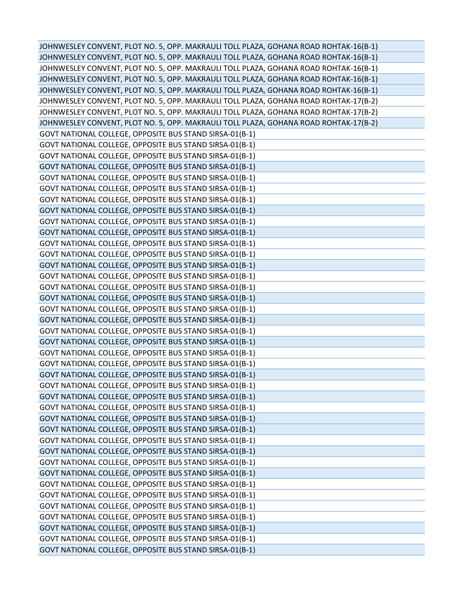JOHNWESLEY CONVENT, PLOT NO. 5, OPP. MAKRAULI TOLL PLAZA, GOHANA ROAD ROHTAK-16(B-1) JOHNWESLEY CONVENT, PLOT NO. 5, OPP. MAKRAULI TOLL PLAZA, GOHANA ROAD ROHTAK-16(B-1) JOHNWESLEY CONVENT, PLOT NO. 5, OPP. MAKRAULI TOLL PLAZA, GOHANA ROAD ROHTAK-16(B-1) JOHNWESLEY CONVENT, PLOT NO. 5, OPP. MAKRAULI TOLL PLAZA, GOHANA ROAD ROHTAK-16(B-1) JOHNWESLEY CONVENT, PLOT NO. 5, OPP. MAKRAULI TOLL PLAZA, GOHANA ROAD ROHTAK-16(B-1) JOHNWESLEY CONVENT,PLOT NO. 5, OPP. MAKRAULI TOLL PLAZA, GOHANA ROAD ROHTAK-17(B-2) JOHNWESLEY CONVENT,PLOT NO. 5, OPP. MAKRAULI TOLL PLAZA, GOHANA ROAD ROHTAK-17(B-2) JOHNWESLEY CONVENT, PLOT NO. 5, OPP. MAKRAULI TOLL PLAZA, GOHANA ROAD ROHTAK-17(B-2) GOVT NATIONAL COLLEGE, OPPOSITE BUS STAND SIRSA-01(B-1) GOVT NATIONAL COLLEGE, OPPOSITE BUS STAND SIRSA-01(B-1) GOVT NATIONAL COLLEGE, OPPOSITE BUS STAND SIRSA-01(B-1) GOVT NATIONAL COLLEGE, OPPOSITE BUS STAND SIRSA-01(B-1) GOVT NATIONAL COLLEGE, OPPOSITE BUS STAND SIRSA-01(B-1) GOVT NATIONAL COLLEGE, OPPOSITE BUS STAND SIRSA-01(B-1) GOVT NATIONAL COLLEGE, OPPOSITE BUS STAND SIRSA-01(B-1) GOVT NATIONAL COLLEGE, OPPOSITE BUS STAND SIRSA-01(B-1) GOVT NATIONAL COLLEGE, OPPOSITE BUS STAND SIRSA-01(B-1) GOVT NATIONAL COLLEGE, OPPOSITE BUS STAND SIRSA-01(B-1) GOVT NATIONAL COLLEGE, OPPOSITE BUS STAND SIRSA-01(B-1) GOVT NATIONAL COLLEGE, OPPOSITE BUS STAND SIRSA-01(B-1) GOVT NATIONAL COLLEGE, OPPOSITE BUS STAND SIRSA-01(B-1) GOVT NATIONAL COLLEGE, OPPOSITE BUS STAND SIRSA-01(B-1) GOVT NATIONAL COLLEGE, OPPOSITE BUS STAND SIRSA-01(B-1) GOVT NATIONAL COLLEGE, OPPOSITE BUS STAND SIRSA-01(B-1) GOVT NATIONAL COLLEGE, OPPOSITE BUS STAND SIRSA-01(B-1) GOVT NATIONAL COLLEGE, OPPOSITE BUS STAND SIRSA-01(B-1) GOVT NATIONAL COLLEGE, OPPOSITE BUS STAND SIRSA-01(B-1) GOVT NATIONAL COLLEGE, OPPOSITE BUS STAND SIRSA-01(B-1) GOVT NATIONAL COLLEGE, OPPOSITE BUS STAND SIRSA-01(B-1) GOVT NATIONAL COLLEGE, OPPOSITE BUS STAND SIRSA-01(B-1) GOVT NATIONAL COLLEGE, OPPOSITE BUS STAND SIRSA-01(B-1) GOVT NATIONAL COLLEGE, OPPOSITE BUS STAND SIRSA-01(B-1) GOVT NATIONAL COLLEGE, OPPOSITE BUS STAND SIRSA-01(B-1) GOVT NATIONAL COLLEGE, OPPOSITE BUS STAND SIRSA-01(B-1) GOVT NATIONAL COLLEGE, OPPOSITE BUS STAND SIRSA-01(B-1) GOVT NATIONAL COLLEGE, OPPOSITE BUS STAND SIRSA-01(B-1) GOVT NATIONAL COLLEGE, OPPOSITE BUS STAND SIRSA-01(B-1) GOVT NATIONAL COLLEGE, OPPOSITE BUS STAND SIRSA-01(B-1) GOVT NATIONAL COLLEGE, OPPOSITE BUS STAND SIRSA-01(B-1) GOVT NATIONAL COLLEGE, OPPOSITE BUS STAND SIRSA-01(B-1) GOVT NATIONAL COLLEGE, OPPOSITE BUS STAND SIRSA-01(B-1) GOVT NATIONAL COLLEGE, OPPOSITE BUS STAND SIRSA-01(B-1) GOVT NATIONAL COLLEGE, OPPOSITE BUS STAND SIRSA-01(B-1) GOVT NATIONAL COLLEGE, OPPOSITE BUS STAND SIRSA-01(B-1) GOVT NATIONAL COLLEGE, OPPOSITE BUS STAND SIRSA-01(B-1) GOVT NATIONAL COLLEGE, OPPOSITE BUS STAND SIRSA-01(B-1) GOVT NATIONAL COLLEGE, OPPOSITE BUS STAND SIRSA-01(B-1)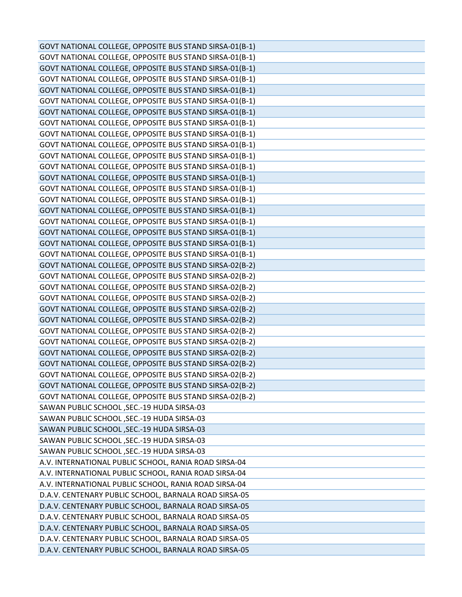| GOVT NATIONAL COLLEGE, OPPOSITE BUS STAND SIRSA-01(B-1) |
|---------------------------------------------------------|
| GOVT NATIONAL COLLEGE, OPPOSITE BUS STAND SIRSA-01(B-1) |
| GOVT NATIONAL COLLEGE, OPPOSITE BUS STAND SIRSA-01(B-1) |
| GOVT NATIONAL COLLEGE, OPPOSITE BUS STAND SIRSA-01(B-1) |
| GOVT NATIONAL COLLEGE, OPPOSITE BUS STAND SIRSA-01(B-1) |
| GOVT NATIONAL COLLEGE, OPPOSITE BUS STAND SIRSA-01(B-1) |
| GOVT NATIONAL COLLEGE, OPPOSITE BUS STAND SIRSA-01(B-1) |
| GOVT NATIONAL COLLEGE, OPPOSITE BUS STAND SIRSA-01(B-1) |
| GOVT NATIONAL COLLEGE, OPPOSITE BUS STAND SIRSA-01(B-1) |
| GOVT NATIONAL COLLEGE, OPPOSITE BUS STAND SIRSA-01(B-1) |
| GOVT NATIONAL COLLEGE, OPPOSITE BUS STAND SIRSA-01(B-1) |
| GOVT NATIONAL COLLEGE, OPPOSITE BUS STAND SIRSA-01(B-1) |
| GOVT NATIONAL COLLEGE, OPPOSITE BUS STAND SIRSA-01(B-1) |
| GOVT NATIONAL COLLEGE, OPPOSITE BUS STAND SIRSA-01(B-1) |
| GOVT NATIONAL COLLEGE, OPPOSITE BUS STAND SIRSA-01(B-1) |
| GOVT NATIONAL COLLEGE, OPPOSITE BUS STAND SIRSA-01(B-1) |
| GOVT NATIONAL COLLEGE, OPPOSITE BUS STAND SIRSA-01(B-1) |
| GOVT NATIONAL COLLEGE, OPPOSITE BUS STAND SIRSA-01(B-1) |
| GOVT NATIONAL COLLEGE, OPPOSITE BUS STAND SIRSA-01(B-1) |
| GOVT NATIONAL COLLEGE, OPPOSITE BUS STAND SIRSA-01(B-1) |
| GOVT NATIONAL COLLEGE, OPPOSITE BUS STAND SIRSA-02(B-2) |
| GOVT NATIONAL COLLEGE, OPPOSITE BUS STAND SIRSA-02(B-2) |
| GOVT NATIONAL COLLEGE, OPPOSITE BUS STAND SIRSA-02(B-2) |
| GOVT NATIONAL COLLEGE, OPPOSITE BUS STAND SIRSA-02(B-2) |
| GOVT NATIONAL COLLEGE, OPPOSITE BUS STAND SIRSA-02(B-2) |
| GOVT NATIONAL COLLEGE, OPPOSITE BUS STAND SIRSA-02(B-2) |
| GOVT NATIONAL COLLEGE, OPPOSITE BUS STAND SIRSA-02(B-2) |
| GOVT NATIONAL COLLEGE, OPPOSITE BUS STAND SIRSA-02(B-2) |
| GOVT NATIONAL COLLEGE, OPPOSITE BUS STAND SIRSA-02(B-2) |
| GOVT NATIONAL COLLEGE, OPPOSITE BUS STAND SIRSA-02(B-2) |
| GOVT NATIONAL COLLEGE, OPPOSITE BUS STAND SIRSA-02(B-2) |
| GOVT NATIONAL COLLEGE, OPPOSITE BUS STAND SIRSA-02(B-2) |
| GOVT NATIONAL COLLEGE, OPPOSITE BUS STAND SIRSA-02(B-2) |
| SAWAN PUBLIC SCHOOL, SEC.-19 HUDA SIRSA-03              |
| SAWAN PUBLIC SCHOOL, SEC.-19 HUDA SIRSA-03              |
| SAWAN PUBLIC SCHOOL , SEC.-19 HUDA SIRSA-03             |
| SAWAN PUBLIC SCHOOL , SEC.-19 HUDA SIRSA-03             |
| SAWAN PUBLIC SCHOOL, SEC.-19 HUDA SIRSA-03              |
| A.V. INTERNATIONAL PUBLIC SCHOOL, RANIA ROAD SIRSA-04   |
| A.V. INTERNATIONAL PUBLIC SCHOOL, RANIA ROAD SIRSA-04   |
| A.V. INTERNATIONAL PUBLIC SCHOOL, RANIA ROAD SIRSA-04   |
| D.A.V. CENTENARY PUBLIC SCHOOL, BARNALA ROAD SIRSA-05   |
| D.A.V. CENTENARY PUBLIC SCHOOL, BARNALA ROAD SIRSA-05   |
| D.A.V. CENTENARY PUBLIC SCHOOL, BARNALA ROAD SIRSA-05   |
| D.A.V. CENTENARY PUBLIC SCHOOL, BARNALA ROAD SIRSA-05   |
| D.A.V. CENTENARY PUBLIC SCHOOL, BARNALA ROAD SIRSA-05   |
| D.A.V. CENTENARY PUBLIC SCHOOL, BARNALA ROAD SIRSA-05   |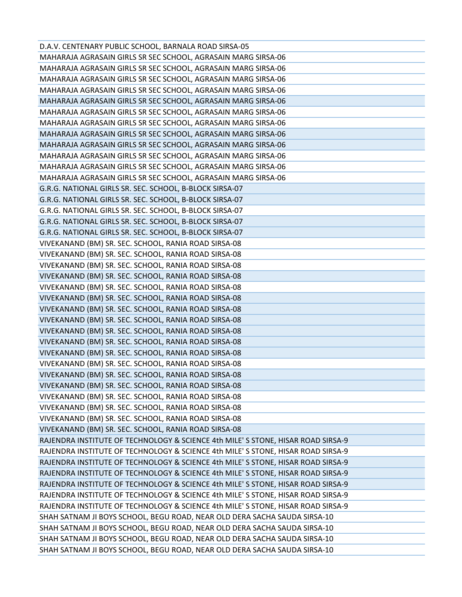| D.A.V. CENTENARY PUBLIC SCHOOL, BARNALA ROAD SIRSA-05                           |
|---------------------------------------------------------------------------------|
| MAHARAJA AGRASAIN GIRLS SR SEC SCHOOL, AGRASAIN MARG SIRSA-06                   |
| MAHARAJA AGRASAIN GIRLS SR SEC SCHOOL, AGRASAIN MARG SIRSA-06                   |
| MAHARAJA AGRASAIN GIRLS SR SEC SCHOOL, AGRASAIN MARG SIRSA-06                   |
| MAHARAJA AGRASAIN GIRLS SR SEC SCHOOL, AGRASAIN MARG SIRSA-06                   |
| MAHARAJA AGRASAIN GIRLS SR SEC SCHOOL, AGRASAIN MARG SIRSA-06                   |
| MAHARAJA AGRASAIN GIRLS SR SEC SCHOOL, AGRASAIN MARG SIRSA-06                   |
| MAHARAJA AGRASAIN GIRLS SR SEC SCHOOL, AGRASAIN MARG SIRSA-06                   |
| MAHARAJA AGRASAIN GIRLS SR SEC SCHOOL, AGRASAIN MARG SIRSA-06                   |
| MAHARAJA AGRASAIN GIRLS SR SEC SCHOOL, AGRASAIN MARG SIRSA-06                   |
| MAHARAJA AGRASAIN GIRLS SR SEC SCHOOL, AGRASAIN MARG SIRSA-06                   |
| MAHARAJA AGRASAIN GIRLS SR SEC SCHOOL, AGRASAIN MARG SIRSA-06                   |
| MAHARAJA AGRASAIN GIRLS SR SEC SCHOOL, AGRASAIN MARG SIRSA-06                   |
| G.R.G. NATIONAL GIRLS SR. SEC. SCHOOL, B-BLOCK SIRSA-07                         |
| G.R.G. NATIONAL GIRLS SR. SEC. SCHOOL, B-BLOCK SIRSA-07                         |
| G.R.G. NATIONAL GIRLS SR. SEC. SCHOOL, B-BLOCK SIRSA-07                         |
| G.R.G. NATIONAL GIRLS SR. SEC. SCHOOL, B-BLOCK SIRSA-07                         |
| G.R.G. NATIONAL GIRLS SR. SEC. SCHOOL, B-BLOCK SIRSA-07                         |
| VIVEKANAND (BM) SR. SEC. SCHOOL, RANIA ROAD SIRSA-08                            |
| VIVEKANAND (BM) SR. SEC. SCHOOL, RANIA ROAD SIRSA-08                            |
| VIVEKANAND (BM) SR. SEC. SCHOOL, RANIA ROAD SIRSA-08                            |
| VIVEKANAND (BM) SR. SEC. SCHOOL, RANIA ROAD SIRSA-08                            |
| VIVEKANAND (BM) SR. SEC. SCHOOL, RANIA ROAD SIRSA-08                            |
| VIVEKANAND (BM) SR. SEC. SCHOOL, RANIA ROAD SIRSA-08                            |
| VIVEKANAND (BM) SR. SEC. SCHOOL, RANIA ROAD SIRSA-08                            |
| VIVEKANAND (BM) SR. SEC. SCHOOL, RANIA ROAD SIRSA-08                            |
| VIVEKANAND (BM) SR. SEC. SCHOOL, RANIA ROAD SIRSA-08                            |
| VIVEKANAND (BM) SR. SEC. SCHOOL, RANIA ROAD SIRSA-08                            |
| VIVEKANAND (BM) SR. SEC. SCHOOL, RANIA ROAD SIRSA-08                            |
| VIVEKANAND (BM) SR. SEC. SCHOOL, RANIA ROAD SIRSA-08                            |
| VIVEKANAND (BM) SR. SEC. SCHOOL, RANIA ROAD SIRSA-08                            |
| VIVEKANAND (BM) SR. SEC. SCHOOL, RANIA ROAD SIRSA-08                            |
| VIVEKANAND (BM) SR. SEC. SCHOOL, RANIA ROAD SIRSA-08                            |
| VIVEKANAND (BM) SR. SEC. SCHOOL, RANIA ROAD SIRSA-08                            |
| VIVEKANAND (BM) SR. SEC. SCHOOL, RANIA ROAD SIRSA-08                            |
| VIVEKANAND (BM) SR. SEC. SCHOOL, RANIA ROAD SIRSA-08                            |
| RAJENDRA INSTITUTE OF TECHNOLOGY & SCIENCE 4th MILE'S STONE, HISAR ROAD SIRSA-9 |
| RAJENDRA INSTITUTE OF TECHNOLOGY & SCIENCE 4th MILE'S STONE, HISAR ROAD SIRSA-9 |
| RAJENDRA INSTITUTE OF TECHNOLOGY & SCIENCE 4th MILE'S STONE, HISAR ROAD SIRSA-9 |
| RAJENDRA INSTITUTE OF TECHNOLOGY & SCIENCE 4th MILE'S STONE, HISAR ROAD SIRSA-9 |
| RAJENDRA INSTITUTE OF TECHNOLOGY & SCIENCE 4th MILE'S STONE, HISAR ROAD SIRSA-9 |
| RAJENDRA INSTITUTE OF TECHNOLOGY & SCIENCE 4th MILE'S STONE, HISAR ROAD SIRSA-9 |
| RAJENDRA INSTITUTE OF TECHNOLOGY & SCIENCE 4th MILE'S STONE, HISAR ROAD SIRSA-9 |
| SHAH SATNAM JI BOYS SCHOOL, BEGU ROAD, NEAR OLD DERA SACHA SAUDA SIRSA-10       |
| SHAH SATNAM JI BOYS SCHOOL, BEGU ROAD, NEAR OLD DERA SACHA SAUDA SIRSA-10       |
| SHAH SATNAM JI BOYS SCHOOL, BEGU ROAD, NEAR OLD DERA SACHA SAUDA SIRSA-10       |
| SHAH SATNAM JI BOYS SCHOOL, BEGU ROAD, NEAR OLD DERA SACHA SAUDA SIRSA-10       |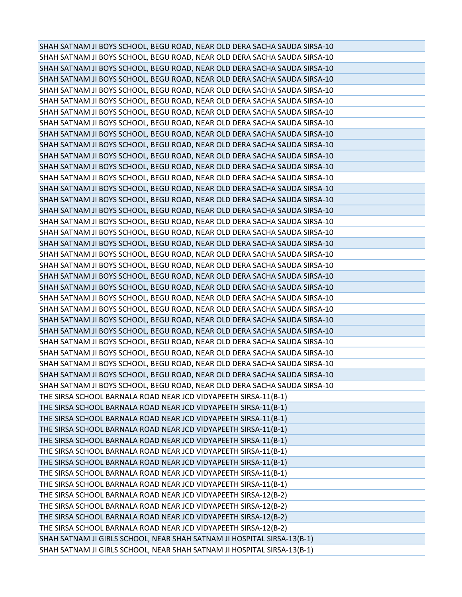| SHAH SATNAM JI BOYS SCHOOL, BEGU ROAD, NEAR OLD DERA SACHA SAUDA SIRSA-10 |
|---------------------------------------------------------------------------|
| SHAH SATNAM JI BOYS SCHOOL, BEGU ROAD, NEAR OLD DERA SACHA SAUDA SIRSA-10 |
| SHAH SATNAM JI BOYS SCHOOL, BEGU ROAD, NEAR OLD DERA SACHA SAUDA SIRSA-10 |
| SHAH SATNAM JI BOYS SCHOOL, BEGU ROAD, NEAR OLD DERA SACHA SAUDA SIRSA-10 |
| SHAH SATNAM JI BOYS SCHOOL, BEGU ROAD, NEAR OLD DERA SACHA SAUDA SIRSA-10 |
| SHAH SATNAM JI BOYS SCHOOL, BEGU ROAD, NEAR OLD DERA SACHA SAUDA SIRSA-10 |
| SHAH SATNAM JI BOYS SCHOOL, BEGU ROAD, NEAR OLD DERA SACHA SAUDA SIRSA-10 |
| SHAH SATNAM JI BOYS SCHOOL, BEGU ROAD, NEAR OLD DERA SACHA SAUDA SIRSA-10 |
| SHAH SATNAM JI BOYS SCHOOL, BEGU ROAD, NEAR OLD DERA SACHA SAUDA SIRSA-10 |
| SHAH SATNAM JI BOYS SCHOOL, BEGU ROAD, NEAR OLD DERA SACHA SAUDA SIRSA-10 |
| SHAH SATNAM JI BOYS SCHOOL, BEGU ROAD, NEAR OLD DERA SACHA SAUDA SIRSA-10 |
| SHAH SATNAM JI BOYS SCHOOL, BEGU ROAD, NEAR OLD DERA SACHA SAUDA SIRSA-10 |
| SHAH SATNAM JI BOYS SCHOOL, BEGU ROAD, NEAR OLD DERA SACHA SAUDA SIRSA-10 |
| SHAH SATNAM JI BOYS SCHOOL, BEGU ROAD, NEAR OLD DERA SACHA SAUDA SIRSA-10 |
| SHAH SATNAM JI BOYS SCHOOL, BEGU ROAD, NEAR OLD DERA SACHA SAUDA SIRSA-10 |
| SHAH SATNAM JI BOYS SCHOOL, BEGU ROAD, NEAR OLD DERA SACHA SAUDA SIRSA-10 |
| SHAH SATNAM JI BOYS SCHOOL, BEGU ROAD, NEAR OLD DERA SACHA SAUDA SIRSA-10 |
| SHAH SATNAM JI BOYS SCHOOL, BEGU ROAD, NEAR OLD DERA SACHA SAUDA SIRSA-10 |
| SHAH SATNAM JI BOYS SCHOOL, BEGU ROAD, NEAR OLD DERA SACHA SAUDA SIRSA-10 |
| SHAH SATNAM JI BOYS SCHOOL, BEGU ROAD, NEAR OLD DERA SACHA SAUDA SIRSA-10 |
| SHAH SATNAM JI BOYS SCHOOL, BEGU ROAD, NEAR OLD DERA SACHA SAUDA SIRSA-10 |
| SHAH SATNAM JI BOYS SCHOOL, BEGU ROAD, NEAR OLD DERA SACHA SAUDA SIRSA-10 |
| SHAH SATNAM JI BOYS SCHOOL, BEGU ROAD, NEAR OLD DERA SACHA SAUDA SIRSA-10 |
| SHAH SATNAM JI BOYS SCHOOL, BEGU ROAD, NEAR OLD DERA SACHA SAUDA SIRSA-10 |
| SHAH SATNAM JI BOYS SCHOOL, BEGU ROAD, NEAR OLD DERA SACHA SAUDA SIRSA-10 |
| SHAH SATNAM JI BOYS SCHOOL, BEGU ROAD, NEAR OLD DERA SACHA SAUDA SIRSA-10 |
| SHAH SATNAM JI BOYS SCHOOL, BEGU ROAD, NEAR OLD DERA SACHA SAUDA SIRSA-10 |
| SHAH SATNAM JI BOYS SCHOOL, BEGU ROAD, NEAR OLD DERA SACHA SAUDA SIRSA-10 |
| SHAH SATNAM JI BOYS SCHOOL, BEGU ROAD, NEAR OLD DERA SACHA SAUDA SIRSA-10 |
| SHAH SATNAM JI BOYS SCHOOL, BEGU ROAD, NEAR OLD DERA SACHA SAUDA SIRSA-10 |
| SHAH SATNAM JI BOYS SCHOOL, BEGU ROAD, NEAR OLD DERA SACHA SAUDA SIRSA-10 |
| SHAH SATNAM JI BOYS SCHOOL, BEGU ROAD, NEAR OLD DERA SACHA SAUDA SIRSA-10 |
| THE SIRSA SCHOOL BARNALA ROAD NEAR JCD VIDYAPEETH SIRSA-11(B-1)           |
| THE SIRSA SCHOOL BARNALA ROAD NEAR JCD VIDYAPEETH SIRSA-11(B-1)           |
| THE SIRSA SCHOOL BARNALA ROAD NEAR JCD VIDYAPEETH SIRSA-11(B-1)           |
| THE SIRSA SCHOOL BARNALA ROAD NEAR JCD VIDYAPEETH SIRSA-11(B-1)           |
| THE SIRSA SCHOOL BARNALA ROAD NEAR JCD VIDYAPEETH SIRSA-11(B-1)           |
| THE SIRSA SCHOOL BARNALA ROAD NEAR JCD VIDYAPEETH SIRSA-11(B-1)           |
| THE SIRSA SCHOOL BARNALA ROAD NEAR JCD VIDYAPEETH SIRSA-11(B-1)           |
| THE SIRSA SCHOOL BARNALA ROAD NEAR JCD VIDYAPEETH SIRSA-11(B-1)           |
| THE SIRSA SCHOOL BARNALA ROAD NEAR JCD VIDYAPEETH SIRSA-11(B-1)           |
| THE SIRSA SCHOOL BARNALA ROAD NEAR JCD VIDYAPEETH SIRSA-12(B-2)           |
| THE SIRSA SCHOOL BARNALA ROAD NEAR JCD VIDYAPEETH SIRSA-12(B-2)           |
| THE SIRSA SCHOOL BARNALA ROAD NEAR JCD VIDYAPEETH SIRSA-12(B-2)           |
| THE SIRSA SCHOOL BARNALA ROAD NEAR JCD VIDYAPEETH SIRSA-12(B-2)           |
| SHAH SATNAM JI GIRLS SCHOOL, NEAR SHAH SATNAM JI HOSPITAL SIRSA-13(B-1)   |
| SHAH SATNAM JI GIRLS SCHOOL, NEAR SHAH SATNAM JI HOSPITAL SIRSA-13(B-1)   |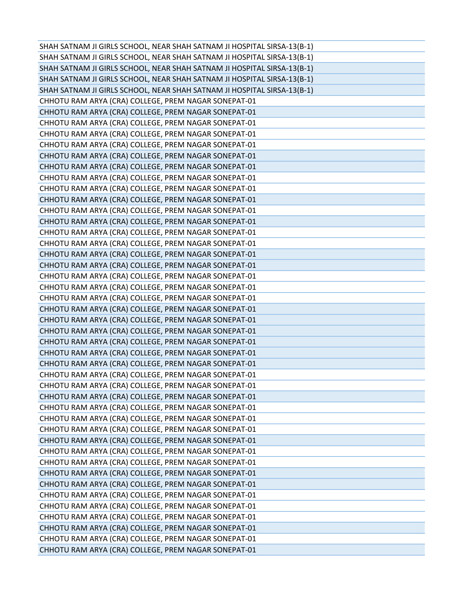| SHAH SATNAM JI GIRLS SCHOOL, NEAR SHAH SATNAM JI HOSPITAL SIRSA-13(B-1) |
|-------------------------------------------------------------------------|
| SHAH SATNAM JI GIRLS SCHOOL, NEAR SHAH SATNAM JI HOSPITAL SIRSA-13(B-1) |
| SHAH SATNAM JI GIRLS SCHOOL, NEAR SHAH SATNAM JI HOSPITAL SIRSA-13(B-1) |
| SHAH SATNAM JI GIRLS SCHOOL, NEAR SHAH SATNAM JI HOSPITAL SIRSA-13(B-1) |
| SHAH SATNAM JI GIRLS SCHOOL, NEAR SHAH SATNAM JI HOSPITAL SIRSA-13(B-1) |
| CHHOTU RAM ARYA (CRA) COLLEGE, PREM NAGAR SONEPAT-01                    |
| CHHOTU RAM ARYA (CRA) COLLEGE, PREM NAGAR SONEPAT-01                    |
| CHHOTU RAM ARYA (CRA) COLLEGE, PREM NAGAR SONEPAT-01                    |
| CHHOTU RAM ARYA (CRA) COLLEGE, PREM NAGAR SONEPAT-01                    |
| CHHOTU RAM ARYA (CRA) COLLEGE, PREM NAGAR SONEPAT-01                    |
| CHHOTU RAM ARYA (CRA) COLLEGE, PREM NAGAR SONEPAT-01                    |
| CHHOTU RAM ARYA (CRA) COLLEGE, PREM NAGAR SONEPAT-01                    |
| CHHOTU RAM ARYA (CRA) COLLEGE, PREM NAGAR SONEPAT-01                    |
| CHHOTU RAM ARYA (CRA) COLLEGE, PREM NAGAR SONEPAT-01                    |
| CHHOTU RAM ARYA (CRA) COLLEGE, PREM NAGAR SONEPAT-01                    |
| CHHOTU RAM ARYA (CRA) COLLEGE, PREM NAGAR SONEPAT-01                    |
| CHHOTU RAM ARYA (CRA) COLLEGE, PREM NAGAR SONEPAT-01                    |
| CHHOTU RAM ARYA (CRA) COLLEGE, PREM NAGAR SONEPAT-01                    |
| CHHOTU RAM ARYA (CRA) COLLEGE, PREM NAGAR SONEPAT-01                    |
| CHHOTU RAM ARYA (CRA) COLLEGE, PREM NAGAR SONEPAT-01                    |
| CHHOTU RAM ARYA (CRA) COLLEGE, PREM NAGAR SONEPAT-01                    |
| CHHOTU RAM ARYA (CRA) COLLEGE, PREM NAGAR SONEPAT-01                    |
| CHHOTU RAM ARYA (CRA) COLLEGE, PREM NAGAR SONEPAT-01                    |
| CHHOTU RAM ARYA (CRA) COLLEGE, PREM NAGAR SONEPAT-01                    |
| CHHOTU RAM ARYA (CRA) COLLEGE, PREM NAGAR SONEPAT-01                    |
| CHHOTU RAM ARYA (CRA) COLLEGE, PREM NAGAR SONEPAT-01                    |
| CHHOTU RAM ARYA (CRA) COLLEGE, PREM NAGAR SONEPAT-01                    |
| CHHOTU RAM ARYA (CRA) COLLEGE, PREM NAGAR SONEPAT-01                    |
| CHHOTU RAM ARYA (CRA) COLLEGE, PREM NAGAR SONEPAT-01                    |
| CHHOTU RAM ARYA (CRA) COLLEGE, PREM NAGAR SONEPAT-01                    |
| CHHOTU RAM ARYA (CRA) COLLEGE, PREM NAGAR SONEPAT-01                    |
| CHHOTU RAM ARYA (CRA) COLLEGE, PREM NAGAR SONEPAT-01                    |
| CHHOTU RAM ARYA (CRA) COLLEGE, PREM NAGAR SONEPAT-01                    |
| CHHOTU RAM ARYA (CRA) COLLEGE, PREM NAGAR SONEPAT-01                    |
| CHHOTU RAM ARYA (CRA) COLLEGE, PREM NAGAR SONEPAT-01                    |
| CHHOTU RAM ARYA (CRA) COLLEGE, PREM NAGAR SONEPAT-01                    |
| CHHOTU RAM ARYA (CRA) COLLEGE, PREM NAGAR SONEPAT-01                    |
| CHHOTU RAM ARYA (CRA) COLLEGE, PREM NAGAR SONEPAT-01                    |
| CHHOTU RAM ARYA (CRA) COLLEGE, PREM NAGAR SONEPAT-01                    |
| CHHOTU RAM ARYA (CRA) COLLEGE, PREM NAGAR SONEPAT-01                    |
| CHHOTU RAM ARYA (CRA) COLLEGE, PREM NAGAR SONEPAT-01                    |
| CHHOTU RAM ARYA (CRA) COLLEGE, PREM NAGAR SONEPAT-01                    |
| CHHOTU RAM ARYA (CRA) COLLEGE, PREM NAGAR SONEPAT-01                    |
| CHHOTU RAM ARYA (CRA) COLLEGE, PREM NAGAR SONEPAT-01                    |
| CHHOTU RAM ARYA (CRA) COLLEGE, PREM NAGAR SONEPAT-01                    |
| CHHOTU RAM ARYA (CRA) COLLEGE, PREM NAGAR SONEPAT-01                    |
| CHHOTU RAM ARYA (CRA) COLLEGE, PREM NAGAR SONEPAT-01                    |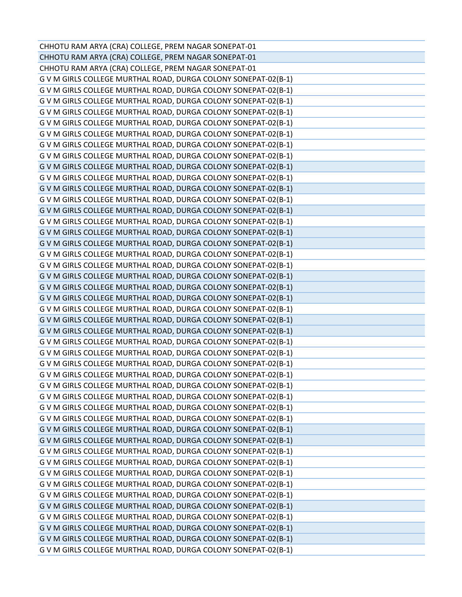| CHHOTU RAM ARYA (CRA) COLLEGE, PREM NAGAR SONEPAT-01           |
|----------------------------------------------------------------|
| CHHOTU RAM ARYA (CRA) COLLEGE, PREM NAGAR SONEPAT-01           |
| CHHOTU RAM ARYA (CRA) COLLEGE, PREM NAGAR SONEPAT-01           |
| G V M GIRLS COLLEGE MURTHAL ROAD, DURGA COLONY SONEPAT-02(B-1) |
| G V M GIRLS COLLEGE MURTHAL ROAD, DURGA COLONY SONEPAT-02(B-1) |
| G V M GIRLS COLLEGE MURTHAL ROAD, DURGA COLONY SONEPAT-02(B-1) |
| G V M GIRLS COLLEGE MURTHAL ROAD, DURGA COLONY SONEPAT-02(B-1) |
| G V M GIRLS COLLEGE MURTHAL ROAD, DURGA COLONY SONEPAT-02(B-1) |
| G V M GIRLS COLLEGE MURTHAL ROAD, DURGA COLONY SONEPAT-02(B-1) |
| G V M GIRLS COLLEGE MURTHAL ROAD, DURGA COLONY SONEPAT-02(B-1) |
| G V M GIRLS COLLEGE MURTHAL ROAD, DURGA COLONY SONEPAT-02(B-1) |
| G V M GIRLS COLLEGE MURTHAL ROAD, DURGA COLONY SONEPAT-02(B-1) |
| G V M GIRLS COLLEGE MURTHAL ROAD, DURGA COLONY SONEPAT-02(B-1) |
| G V M GIRLS COLLEGE MURTHAL ROAD, DURGA COLONY SONEPAT-02(B-1) |
| G V M GIRLS COLLEGE MURTHAL ROAD, DURGA COLONY SONEPAT-02(B-1) |
| G V M GIRLS COLLEGE MURTHAL ROAD, DURGA COLONY SONEPAT-02(B-1) |
| G V M GIRLS COLLEGE MURTHAL ROAD, DURGA COLONY SONEPAT-02(B-1) |
| G V M GIRLS COLLEGE MURTHAL ROAD, DURGA COLONY SONEPAT-02(B-1) |
| G V M GIRLS COLLEGE MURTHAL ROAD, DURGA COLONY SONEPAT-02(B-1) |
| G V M GIRLS COLLEGE MURTHAL ROAD, DURGA COLONY SONEPAT-02(B-1) |
| G V M GIRLS COLLEGE MURTHAL ROAD, DURGA COLONY SONEPAT-02(B-1) |
| G V M GIRLS COLLEGE MURTHAL ROAD, DURGA COLONY SONEPAT-02(B-1) |
| G V M GIRLS COLLEGE MURTHAL ROAD, DURGA COLONY SONEPAT-02(B-1) |
| G V M GIRLS COLLEGE MURTHAL ROAD, DURGA COLONY SONEPAT-02(B-1) |
| G V M GIRLS COLLEGE MURTHAL ROAD, DURGA COLONY SONEPAT-02(B-1) |
| G V M GIRLS COLLEGE MURTHAL ROAD, DURGA COLONY SONEPAT-02(B-1) |
| G V M GIRLS COLLEGE MURTHAL ROAD, DURGA COLONY SONEPAT-02(B-1) |
| G V M GIRLS COLLEGE MURTHAL ROAD, DURGA COLONY SONEPAT-02(B-1) |
| G V M GIRLS COLLEGE MURTHAL ROAD, DURGA COLONY SONEPAT-02(B-1) |
| G V M GIRLS COLLEGE MURTHAL ROAD, DURGA COLONY SONEPAT-02(B-1) |
| G V M GIRLS COLLEGE MURTHAL ROAD, DURGA COLONY SONEPAT-02(B-1) |
| G V M GIRLS COLLEGE MURTHAL ROAD, DURGA COLONY SONEPAT-02(B-1) |
| G V M GIRLS COLLEGE MURTHAL ROAD, DURGA COLONY SONEPAT-02(B-1) |
| G V M GIRLS COLLEGE MURTHAL ROAD, DURGA COLONY SONEPAT-02(B-1) |
| G V M GIRLS COLLEGE MURTHAL ROAD, DURGA COLONY SONEPAT-02(B-1) |
| G V M GIRLS COLLEGE MURTHAL ROAD, DURGA COLONY SONEPAT-02(B-1) |
| G V M GIRLS COLLEGE MURTHAL ROAD, DURGA COLONY SONEPAT-02(B-1) |
| G V M GIRLS COLLEGE MURTHAL ROAD, DURGA COLONY SONEPAT-02(B-1) |
| G V M GIRLS COLLEGE MURTHAL ROAD, DURGA COLONY SONEPAT-02(B-1) |
| G V M GIRLS COLLEGE MURTHAL ROAD, DURGA COLONY SONEPAT-02(B-1) |
| G V M GIRLS COLLEGE MURTHAL ROAD, DURGA COLONY SONEPAT-02(B-1) |
| G V M GIRLS COLLEGE MURTHAL ROAD, DURGA COLONY SONEPAT-02(B-1) |
| G V M GIRLS COLLEGE MURTHAL ROAD, DURGA COLONY SONEPAT-02(B-1) |
| G V M GIRLS COLLEGE MURTHAL ROAD, DURGA COLONY SONEPAT-02(B-1) |
| G V M GIRLS COLLEGE MURTHAL ROAD, DURGA COLONY SONEPAT-02(B-1) |
| G V M GIRLS COLLEGE MURTHAL ROAD, DURGA COLONY SONEPAT-02(B-1) |
| G V M GIRLS COLLEGE MURTHAL ROAD, DURGA COLONY SONEPAT-02(B-1) |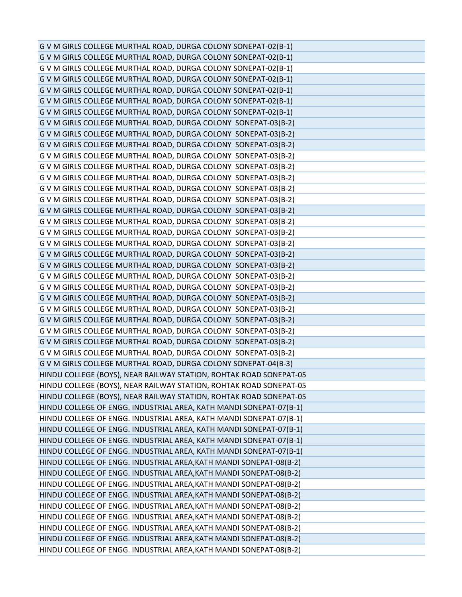| G V M GIRLS COLLEGE MURTHAL ROAD, DURGA COLONY SONEPAT-02(B-1)     |
|--------------------------------------------------------------------|
| G V M GIRLS COLLEGE MURTHAL ROAD, DURGA COLONY SONEPAT-02(B-1)     |
| G V M GIRLS COLLEGE MURTHAL ROAD, DURGA COLONY SONEPAT-02(B-1)     |
| G V M GIRLS COLLEGE MURTHAL ROAD, DURGA COLONY SONEPAT-02(B-1)     |
| G V M GIRLS COLLEGE MURTHAL ROAD, DURGA COLONY SONEPAT-02(B-1)     |
| G V M GIRLS COLLEGE MURTHAL ROAD, DURGA COLONY SONEPAT-02(B-1)     |
| G V M GIRLS COLLEGE MURTHAL ROAD, DURGA COLONY SONEPAT-02(B-1)     |
| G V M GIRLS COLLEGE MURTHAL ROAD, DURGA COLONY SONEPAT-03(B-2)     |
| G V M GIRLS COLLEGE MURTHAL ROAD, DURGA COLONY SONEPAT-03(B-2)     |
| G V M GIRLS COLLEGE MURTHAL ROAD, DURGA COLONY SONEPAT-03(B-2)     |
| G V M GIRLS COLLEGE MURTHAL ROAD, DURGA COLONY SONEPAT-03(B-2)     |
| G V M GIRLS COLLEGE MURTHAL ROAD, DURGA COLONY SONEPAT-03(B-2)     |
| G V M GIRLS COLLEGE MURTHAL ROAD, DURGA COLONY SONEPAT-03(B-2)     |
| G V M GIRLS COLLEGE MURTHAL ROAD, DURGA COLONY SONEPAT-03(B-2)     |
| G V M GIRLS COLLEGE MURTHAL ROAD, DURGA COLONY SONEPAT-03(B-2)     |
| G V M GIRLS COLLEGE MURTHAL ROAD, DURGA COLONY SONEPAT-03(B-2)     |
| G V M GIRLS COLLEGE MURTHAL ROAD, DURGA COLONY SONEPAT-03(B-2)     |
| G V M GIRLS COLLEGE MURTHAL ROAD, DURGA COLONY SONEPAT-03(B-2)     |
| G V M GIRLS COLLEGE MURTHAL ROAD, DURGA COLONY SONEPAT-03(B-2)     |
| G V M GIRLS COLLEGE MURTHAL ROAD, DURGA COLONY SONEPAT-03(B-2)     |
| G V M GIRLS COLLEGE MURTHAL ROAD, DURGA COLONY SONEPAT-03(B-2)     |
| G V M GIRLS COLLEGE MURTHAL ROAD, DURGA COLONY SONEPAT-03(B-2)     |
| G V M GIRLS COLLEGE MURTHAL ROAD, DURGA COLONY SONEPAT-03(B-2)     |
| G V M GIRLS COLLEGE MURTHAL ROAD, DURGA COLONY SONEPAT-03(B-2)     |
| G V M GIRLS COLLEGE MURTHAL ROAD, DURGA COLONY SONEPAT-03(B-2)     |
| G V M GIRLS COLLEGE MURTHAL ROAD, DURGA COLONY SONEPAT-03(B-2)     |
| G V M GIRLS COLLEGE MURTHAL ROAD, DURGA COLONY SONEPAT-03(B-2)     |
| G V M GIRLS COLLEGE MURTHAL ROAD, DURGA COLONY SONEPAT-03(B-2)     |
| G V M GIRLS COLLEGE MURTHAL ROAD, DURGA COLONY SONEPAT-03(B-2)     |
| G V M GIRLS COLLEGE MURTHAL ROAD, DURGA COLONY SONEPAT-04(B-3)     |
| HINDU COLLEGE (BOYS), NEAR RAILWAY STATION, ROHTAK ROAD SONEPAT-05 |
| HINDU COLLEGE (BOYS), NEAR RAILWAY STATION, ROHTAK ROAD SONEPAT-05 |
| HINDU COLLEGE (BOYS), NEAR RAILWAY STATION, ROHTAK ROAD SONEPAT-05 |
| HINDU COLLEGE OF ENGG. INDUSTRIAL AREA, KATH MANDI SONEPAT-07(B-1) |
| HINDU COLLEGE OF ENGG. INDUSTRIAL AREA, KATH MANDI SONEPAT-07(B-1) |
| HINDU COLLEGE OF ENGG. INDUSTRIAL AREA, KATH MANDI SONEPAT-07(B-1) |
| HINDU COLLEGE OF ENGG. INDUSTRIAL AREA, KATH MANDI SONEPAT-07(B-1) |
| HINDU COLLEGE OF ENGG. INDUSTRIAL AREA, KATH MANDI SONEPAT-07(B-1) |
| HINDU COLLEGE OF ENGG. INDUSTRIAL AREA, KATH MANDI SONEPAT-08(B-2) |
| HINDU COLLEGE OF ENGG. INDUSTRIAL AREA, KATH MANDI SONEPAT-08(B-2) |
| HINDU COLLEGE OF ENGG. INDUSTRIAL AREA, KATH MANDI SONEPAT-08(B-2) |
| HINDU COLLEGE OF ENGG. INDUSTRIAL AREA, KATH MANDI SONEPAT-08(B-2) |
| HINDU COLLEGE OF ENGG. INDUSTRIAL AREA, KATH MANDI SONEPAT-08(B-2) |
| HINDU COLLEGE OF ENGG. INDUSTRIAL AREA, KATH MANDI SONEPAT-08(B-2) |
| HINDU COLLEGE OF ENGG. INDUSTRIAL AREA, KATH MANDI SONEPAT-08(B-2) |
| HINDU COLLEGE OF ENGG. INDUSTRIAL AREA, KATH MANDI SONEPAT-08(B-2) |
| HINDU COLLEGE OF ENGG. INDUSTRIAL AREA, KATH MANDI SONEPAT-08(B-2) |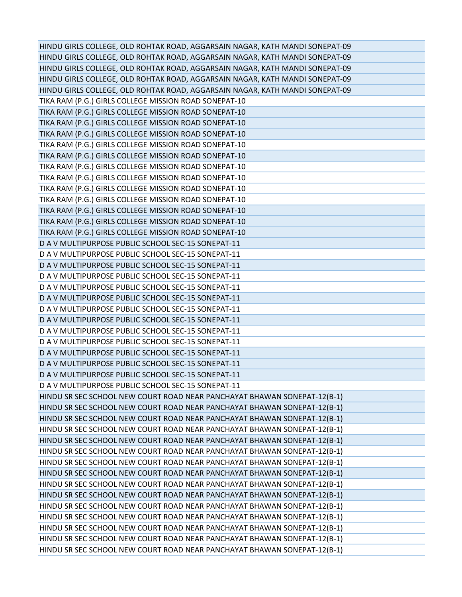| HINDU GIRLS COLLEGE, OLD ROHTAK ROAD, AGGARSAIN NAGAR, KATH MANDI SONEPAT-09 |
|------------------------------------------------------------------------------|
| HINDU GIRLS COLLEGE, OLD ROHTAK ROAD, AGGARSAIN NAGAR, KATH MANDI SONEPAT-09 |
| HINDU GIRLS COLLEGE, OLD ROHTAK ROAD, AGGARSAIN NAGAR, KATH MANDI SONEPAT-09 |
| HINDU GIRLS COLLEGE, OLD ROHTAK ROAD, AGGARSAIN NAGAR, KATH MANDI SONEPAT-09 |
| HINDU GIRLS COLLEGE, OLD ROHTAK ROAD, AGGARSAIN NAGAR, KATH MANDI SONEPAT-09 |
| TIKA RAM (P.G.) GIRLS COLLEGE MISSION ROAD SONEPAT-10                        |
| TIKA RAM (P.G.) GIRLS COLLEGE MISSION ROAD SONEPAT-10                        |
| TIKA RAM (P.G.) GIRLS COLLEGE MISSION ROAD SONEPAT-10                        |
| TIKA RAM (P.G.) GIRLS COLLEGE MISSION ROAD SONEPAT-10                        |
| TIKA RAM (P.G.) GIRLS COLLEGE MISSION ROAD SONEPAT-10                        |
| TIKA RAM (P.G.) GIRLS COLLEGE MISSION ROAD SONEPAT-10                        |
| TIKA RAM (P.G.) GIRLS COLLEGE MISSION ROAD SONEPAT-10                        |
| TIKA RAM (P.G.) GIRLS COLLEGE MISSION ROAD SONEPAT-10                        |
| TIKA RAM (P.G.) GIRLS COLLEGE MISSION ROAD SONEPAT-10                        |
| TIKA RAM (P.G.) GIRLS COLLEGE MISSION ROAD SONEPAT-10                        |
| TIKA RAM (P.G.) GIRLS COLLEGE MISSION ROAD SONEPAT-10                        |
| TIKA RAM (P.G.) GIRLS COLLEGE MISSION ROAD SONEPAT-10                        |
| TIKA RAM (P.G.) GIRLS COLLEGE MISSION ROAD SONEPAT-10                        |
| D A V MULTIPURPOSE PUBLIC SCHOOL SEC-15 SONEPAT-11                           |
| D A V MULTIPURPOSE PUBLIC SCHOOL SEC-15 SONEPAT-11                           |
| D A V MULTIPURPOSE PUBLIC SCHOOL SEC-15 SONEPAT-11                           |
| D A V MULTIPURPOSE PUBLIC SCHOOL SEC-15 SONEPAT-11                           |
| D A V MULTIPURPOSE PUBLIC SCHOOL SEC-15 SONEPAT-11                           |
| D A V MULTIPURPOSE PUBLIC SCHOOL SEC-15 SONEPAT-11                           |
| D A V MULTIPURPOSE PUBLIC SCHOOL SEC-15 SONEPAT-11                           |
| D A V MULTIPURPOSE PUBLIC SCHOOL SEC-15 SONEPAT-11                           |
| D A V MULTIPURPOSE PUBLIC SCHOOL SEC-15 SONEPAT-11                           |
| D A V MULTIPURPOSE PUBLIC SCHOOL SEC-15 SONEPAT-11                           |
| D A V MULTIPURPOSE PUBLIC SCHOOL SEC-15 SONEPAT-11                           |
| D A V MULTIPURPOSE PUBLIC SCHOOL SEC-15 SONEPAT-11                           |
| D A V MULTIPURPOSE PUBLIC SCHOOL SEC-15 SONEPAT-11                           |
| D A V MULTIPURPOSE PUBLIC SCHOOL SEC-15 SONEPAT-11                           |
| HINDU SR SEC SCHOOL NEW COURT ROAD NEAR PANCHAYAT BHAWAN SONEPAT-12(B-1)     |
| HINDU SR SEC SCHOOL NEW COURT ROAD NEAR PANCHAYAT BHAWAN SONEPAT-12(B-1)     |
| HINDU SR SEC SCHOOL NEW COURT ROAD NEAR PANCHAYAT BHAWAN SONEPAT-12(B-1)     |
| HINDU SR SEC SCHOOL NEW COURT ROAD NEAR PANCHAYAT BHAWAN SONEPAT-12(B-1)     |
| HINDU SR SEC SCHOOL NEW COURT ROAD NEAR PANCHAYAT BHAWAN SONEPAT-12(B-1)     |
| HINDU SR SEC SCHOOL NEW COURT ROAD NEAR PANCHAYAT BHAWAN SONEPAT-12(B-1)     |
| HINDU SR SEC SCHOOL NEW COURT ROAD NEAR PANCHAYAT BHAWAN SONEPAT-12(B-1)     |
| HINDU SR SEC SCHOOL NEW COURT ROAD NEAR PANCHAYAT BHAWAN SONEPAT-12(B-1)     |
| HINDU SR SEC SCHOOL NEW COURT ROAD NEAR PANCHAYAT BHAWAN SONEPAT-12(B-1)     |
| HINDU SR SEC SCHOOL NEW COURT ROAD NEAR PANCHAYAT BHAWAN SONEPAT-12(B-1)     |
| HINDU SR SEC SCHOOL NEW COURT ROAD NEAR PANCHAYAT BHAWAN SONEPAT-12(B-1)     |
| HINDU SR SEC SCHOOL NEW COURT ROAD NEAR PANCHAYAT BHAWAN SONEPAT-12(B-1)     |
| HINDU SR SEC SCHOOL NEW COURT ROAD NEAR PANCHAYAT BHAWAN SONEPAT-12(B-1)     |
| HINDU SR SEC SCHOOL NEW COURT ROAD NEAR PANCHAYAT BHAWAN SONEPAT-12(B-1)     |
| HINDU SR SEC SCHOOL NEW COURT ROAD NEAR PANCHAYAT BHAWAN SONEPAT-12(B-1)     |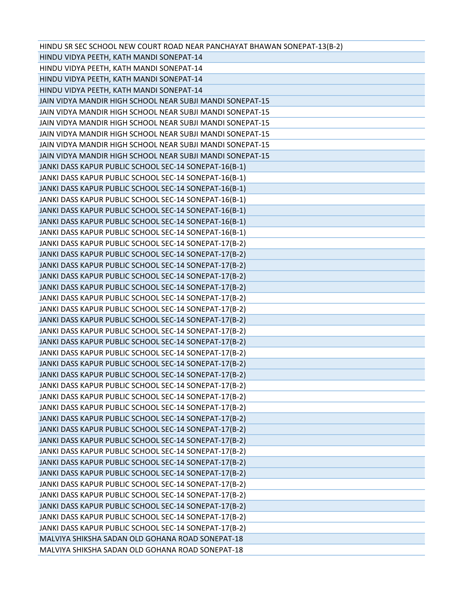| HINDU VIDYA PEETH, KATH MANDI SONEPAT-14<br>HINDU VIDYA PEETH, KATH MANDI SONEPAT-14<br>HINDU VIDYA PEETH, KATH MANDI SONEPAT-14<br>HINDU VIDYA PEETH, KATH MANDI SONEPAT-14<br>JAIN VIDYA MANDIR HIGH SCHOOL NEAR SUBJI MANDI SONEPAT-15<br>JAIN VIDYA MANDIR HIGH SCHOOL NEAR SUBJI MANDI SONEPAT-15<br>JAIN VIDYA MANDIR HIGH SCHOOL NEAR SUBJI MANDI SONEPAT-15<br>JAIN VIDYA MANDIR HIGH SCHOOL NEAR SUBJI MANDI SONEPAT-15<br>JAIN VIDYA MANDIR HIGH SCHOOL NEAR SUBJI MANDI SONEPAT-15<br>JAIN VIDYA MANDIR HIGH SCHOOL NEAR SUBJI MANDI SONEPAT-15<br>JANKI DASS KAPUR PUBLIC SCHOOL SEC-14 SONEPAT-16(B-1)<br>JANKI DASS KAPUR PUBLIC SCHOOL SEC-14 SONEPAT-16(B-1)<br>JANKI DASS KAPUR PUBLIC SCHOOL SEC-14 SONEPAT-16(B-1)<br>JANKI DASS KAPUR PUBLIC SCHOOL SEC-14 SONEPAT-16(B-1)<br>JANKI DASS KAPUR PUBLIC SCHOOL SEC-14 SONEPAT-16(B-1)<br>JANKI DASS KAPUR PUBLIC SCHOOL SEC-14 SONEPAT-16(B-1)<br>JANKI DASS KAPUR PUBLIC SCHOOL SEC-14 SONEPAT-16(B-1)<br>JANKI DASS KAPUR PUBLIC SCHOOL SEC-14 SONEPAT-17(B-2)<br>JANKI DASS KAPUR PUBLIC SCHOOL SEC-14 SONEPAT-17(B-2)<br>JANKI DASS KAPUR PUBLIC SCHOOL SEC-14 SONEPAT-17(B-2)<br>JANKI DASS KAPUR PUBLIC SCHOOL SEC-14 SONEPAT-17(B-2)<br>JANKI DASS KAPUR PUBLIC SCHOOL SEC-14 SONEPAT-17(B-2)<br>JANKI DASS KAPUR PUBLIC SCHOOL SEC-14 SONEPAT-17(B-2)<br>JANKI DASS KAPUR PUBLIC SCHOOL SEC-14 SONEPAT-17(B-2) |
|------------------------------------------------------------------------------------------------------------------------------------------------------------------------------------------------------------------------------------------------------------------------------------------------------------------------------------------------------------------------------------------------------------------------------------------------------------------------------------------------------------------------------------------------------------------------------------------------------------------------------------------------------------------------------------------------------------------------------------------------------------------------------------------------------------------------------------------------------------------------------------------------------------------------------------------------------------------------------------------------------------------------------------------------------------------------------------------------------------------------------------------------------------------------------------------------------------------------------------------------------------------------------------------------------------------------------------------------------------------------------------------|
|                                                                                                                                                                                                                                                                                                                                                                                                                                                                                                                                                                                                                                                                                                                                                                                                                                                                                                                                                                                                                                                                                                                                                                                                                                                                                                                                                                                          |
|                                                                                                                                                                                                                                                                                                                                                                                                                                                                                                                                                                                                                                                                                                                                                                                                                                                                                                                                                                                                                                                                                                                                                                                                                                                                                                                                                                                          |
|                                                                                                                                                                                                                                                                                                                                                                                                                                                                                                                                                                                                                                                                                                                                                                                                                                                                                                                                                                                                                                                                                                                                                                                                                                                                                                                                                                                          |
|                                                                                                                                                                                                                                                                                                                                                                                                                                                                                                                                                                                                                                                                                                                                                                                                                                                                                                                                                                                                                                                                                                                                                                                                                                                                                                                                                                                          |
|                                                                                                                                                                                                                                                                                                                                                                                                                                                                                                                                                                                                                                                                                                                                                                                                                                                                                                                                                                                                                                                                                                                                                                                                                                                                                                                                                                                          |
|                                                                                                                                                                                                                                                                                                                                                                                                                                                                                                                                                                                                                                                                                                                                                                                                                                                                                                                                                                                                                                                                                                                                                                                                                                                                                                                                                                                          |
|                                                                                                                                                                                                                                                                                                                                                                                                                                                                                                                                                                                                                                                                                                                                                                                                                                                                                                                                                                                                                                                                                                                                                                                                                                                                                                                                                                                          |
|                                                                                                                                                                                                                                                                                                                                                                                                                                                                                                                                                                                                                                                                                                                                                                                                                                                                                                                                                                                                                                                                                                                                                                                                                                                                                                                                                                                          |
|                                                                                                                                                                                                                                                                                                                                                                                                                                                                                                                                                                                                                                                                                                                                                                                                                                                                                                                                                                                                                                                                                                                                                                                                                                                                                                                                                                                          |
|                                                                                                                                                                                                                                                                                                                                                                                                                                                                                                                                                                                                                                                                                                                                                                                                                                                                                                                                                                                                                                                                                                                                                                                                                                                                                                                                                                                          |
|                                                                                                                                                                                                                                                                                                                                                                                                                                                                                                                                                                                                                                                                                                                                                                                                                                                                                                                                                                                                                                                                                                                                                                                                                                                                                                                                                                                          |
|                                                                                                                                                                                                                                                                                                                                                                                                                                                                                                                                                                                                                                                                                                                                                                                                                                                                                                                                                                                                                                                                                                                                                                                                                                                                                                                                                                                          |
|                                                                                                                                                                                                                                                                                                                                                                                                                                                                                                                                                                                                                                                                                                                                                                                                                                                                                                                                                                                                                                                                                                                                                                                                                                                                                                                                                                                          |
|                                                                                                                                                                                                                                                                                                                                                                                                                                                                                                                                                                                                                                                                                                                                                                                                                                                                                                                                                                                                                                                                                                                                                                                                                                                                                                                                                                                          |
|                                                                                                                                                                                                                                                                                                                                                                                                                                                                                                                                                                                                                                                                                                                                                                                                                                                                                                                                                                                                                                                                                                                                                                                                                                                                                                                                                                                          |
|                                                                                                                                                                                                                                                                                                                                                                                                                                                                                                                                                                                                                                                                                                                                                                                                                                                                                                                                                                                                                                                                                                                                                                                                                                                                                                                                                                                          |
|                                                                                                                                                                                                                                                                                                                                                                                                                                                                                                                                                                                                                                                                                                                                                                                                                                                                                                                                                                                                                                                                                                                                                                                                                                                                                                                                                                                          |
|                                                                                                                                                                                                                                                                                                                                                                                                                                                                                                                                                                                                                                                                                                                                                                                                                                                                                                                                                                                                                                                                                                                                                                                                                                                                                                                                                                                          |
|                                                                                                                                                                                                                                                                                                                                                                                                                                                                                                                                                                                                                                                                                                                                                                                                                                                                                                                                                                                                                                                                                                                                                                                                                                                                                                                                                                                          |
|                                                                                                                                                                                                                                                                                                                                                                                                                                                                                                                                                                                                                                                                                                                                                                                                                                                                                                                                                                                                                                                                                                                                                                                                                                                                                                                                                                                          |
|                                                                                                                                                                                                                                                                                                                                                                                                                                                                                                                                                                                                                                                                                                                                                                                                                                                                                                                                                                                                                                                                                                                                                                                                                                                                                                                                                                                          |
|                                                                                                                                                                                                                                                                                                                                                                                                                                                                                                                                                                                                                                                                                                                                                                                                                                                                                                                                                                                                                                                                                                                                                                                                                                                                                                                                                                                          |
|                                                                                                                                                                                                                                                                                                                                                                                                                                                                                                                                                                                                                                                                                                                                                                                                                                                                                                                                                                                                                                                                                                                                                                                                                                                                                                                                                                                          |
|                                                                                                                                                                                                                                                                                                                                                                                                                                                                                                                                                                                                                                                                                                                                                                                                                                                                                                                                                                                                                                                                                                                                                                                                                                                                                                                                                                                          |
| JANKI DASS KAPUR PUBLIC SCHOOL SEC-14 SONEPAT-17(B-2)                                                                                                                                                                                                                                                                                                                                                                                                                                                                                                                                                                                                                                                                                                                                                                                                                                                                                                                                                                                                                                                                                                                                                                                                                                                                                                                                    |
| JANKI DASS KAPUR PUBLIC SCHOOL SEC-14 SONEPAT-17(B-2)                                                                                                                                                                                                                                                                                                                                                                                                                                                                                                                                                                                                                                                                                                                                                                                                                                                                                                                                                                                                                                                                                                                                                                                                                                                                                                                                    |
| JANKI DASS KAPUR PUBLIC SCHOOL SEC-14 SONEPAT-17(B-2)                                                                                                                                                                                                                                                                                                                                                                                                                                                                                                                                                                                                                                                                                                                                                                                                                                                                                                                                                                                                                                                                                                                                                                                                                                                                                                                                    |
| JANKI DASS KAPUR PUBLIC SCHOOL SEC-14 SONEPAT-17(B-2)                                                                                                                                                                                                                                                                                                                                                                                                                                                                                                                                                                                                                                                                                                                                                                                                                                                                                                                                                                                                                                                                                                                                                                                                                                                                                                                                    |
| JANKI DASS KAPUR PUBLIC SCHOOL SEC-14 SONEPAT-17(B-2)                                                                                                                                                                                                                                                                                                                                                                                                                                                                                                                                                                                                                                                                                                                                                                                                                                                                                                                                                                                                                                                                                                                                                                                                                                                                                                                                    |
| JANKI DASS KAPUR PUBLIC SCHOOL SEC-14 SONEPAT-17(B-2)                                                                                                                                                                                                                                                                                                                                                                                                                                                                                                                                                                                                                                                                                                                                                                                                                                                                                                                                                                                                                                                                                                                                                                                                                                                                                                                                    |
| JANKI DASS KAPUR PUBLIC SCHOOL SEC-14 SONEPAT-17(B-2)                                                                                                                                                                                                                                                                                                                                                                                                                                                                                                                                                                                                                                                                                                                                                                                                                                                                                                                                                                                                                                                                                                                                                                                                                                                                                                                                    |
| JANKI DASS KAPUR PUBLIC SCHOOL SEC-14 SONEPAT-17(B-2)                                                                                                                                                                                                                                                                                                                                                                                                                                                                                                                                                                                                                                                                                                                                                                                                                                                                                                                                                                                                                                                                                                                                                                                                                                                                                                                                    |
| JANKI DASS KAPUR PUBLIC SCHOOL SEC-14 SONEPAT-17(B-2)                                                                                                                                                                                                                                                                                                                                                                                                                                                                                                                                                                                                                                                                                                                                                                                                                                                                                                                                                                                                                                                                                                                                                                                                                                                                                                                                    |
| JANKI DASS KAPUR PUBLIC SCHOOL SEC-14 SONEPAT-17(B-2)                                                                                                                                                                                                                                                                                                                                                                                                                                                                                                                                                                                                                                                                                                                                                                                                                                                                                                                                                                                                                                                                                                                                                                                                                                                                                                                                    |
| JANKI DASS KAPUR PUBLIC SCHOOL SEC-14 SONEPAT-17(B-2)                                                                                                                                                                                                                                                                                                                                                                                                                                                                                                                                                                                                                                                                                                                                                                                                                                                                                                                                                                                                                                                                                                                                                                                                                                                                                                                                    |
| JANKI DASS KAPUR PUBLIC SCHOOL SEC-14 SONEPAT-17(B-2)                                                                                                                                                                                                                                                                                                                                                                                                                                                                                                                                                                                                                                                                                                                                                                                                                                                                                                                                                                                                                                                                                                                                                                                                                                                                                                                                    |
| JANKI DASS KAPUR PUBLIC SCHOOL SEC-14 SONEPAT-17(B-2)                                                                                                                                                                                                                                                                                                                                                                                                                                                                                                                                                                                                                                                                                                                                                                                                                                                                                                                                                                                                                                                                                                                                                                                                                                                                                                                                    |
| JANKI DASS KAPUR PUBLIC SCHOOL SEC-14 SONEPAT-17(B-2)                                                                                                                                                                                                                                                                                                                                                                                                                                                                                                                                                                                                                                                                                                                                                                                                                                                                                                                                                                                                                                                                                                                                                                                                                                                                                                                                    |
| JANKI DASS KAPUR PUBLIC SCHOOL SEC-14 SONEPAT-17(B-2)                                                                                                                                                                                                                                                                                                                                                                                                                                                                                                                                                                                                                                                                                                                                                                                                                                                                                                                                                                                                                                                                                                                                                                                                                                                                                                                                    |
| JANKI DASS KAPUR PUBLIC SCHOOL SEC-14 SONEPAT-17(B-2)                                                                                                                                                                                                                                                                                                                                                                                                                                                                                                                                                                                                                                                                                                                                                                                                                                                                                                                                                                                                                                                                                                                                                                                                                                                                                                                                    |
| JANKI DASS KAPUR PUBLIC SCHOOL SEC-14 SONEPAT-17(B-2)                                                                                                                                                                                                                                                                                                                                                                                                                                                                                                                                                                                                                                                                                                                                                                                                                                                                                                                                                                                                                                                                                                                                                                                                                                                                                                                                    |
| JANKI DASS KAPUR PUBLIC SCHOOL SEC-14 SONEPAT-17(B-2)                                                                                                                                                                                                                                                                                                                                                                                                                                                                                                                                                                                                                                                                                                                                                                                                                                                                                                                                                                                                                                                                                                                                                                                                                                                                                                                                    |
| JANKI DASS KAPUR PUBLIC SCHOOL SEC-14 SONEPAT-17(B-2)                                                                                                                                                                                                                                                                                                                                                                                                                                                                                                                                                                                                                                                                                                                                                                                                                                                                                                                                                                                                                                                                                                                                                                                                                                                                                                                                    |
| JANKI DASS KAPUR PUBLIC SCHOOL SEC-14 SONEPAT-17(B-2)                                                                                                                                                                                                                                                                                                                                                                                                                                                                                                                                                                                                                                                                                                                                                                                                                                                                                                                                                                                                                                                                                                                                                                                                                                                                                                                                    |
| MALVIYA SHIKSHA SADAN OLD GOHANA ROAD SONEPAT-18                                                                                                                                                                                                                                                                                                                                                                                                                                                                                                                                                                                                                                                                                                                                                                                                                                                                                                                                                                                                                                                                                                                                                                                                                                                                                                                                         |
| MALVIYA SHIKSHA SADAN OLD GOHANA ROAD SONEPAT-18                                                                                                                                                                                                                                                                                                                                                                                                                                                                                                                                                                                                                                                                                                                                                                                                                                                                                                                                                                                                                                                                                                                                                                                                                                                                                                                                         |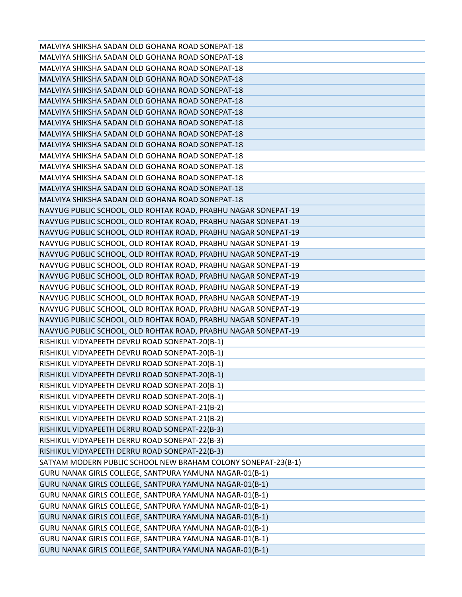| MALVIYA SHIKSHA SADAN OLD GOHANA ROAD SONEPAT-18               |
|----------------------------------------------------------------|
| MALVIYA SHIKSHA SADAN OLD GOHANA ROAD SONEPAT-18               |
| MALVIYA SHIKSHA SADAN OLD GOHANA ROAD SONEPAT-18               |
| MALVIYA SHIKSHA SADAN OLD GOHANA ROAD SONEPAT-18               |
| MALVIYA SHIKSHA SADAN OLD GOHANA ROAD SONEPAT-18               |
| MALVIYA SHIKSHA SADAN OLD GOHANA ROAD SONEPAT-18               |
| MALVIYA SHIKSHA SADAN OLD GOHANA ROAD SONEPAT-18               |
| MALVIYA SHIKSHA SADAN OLD GOHANA ROAD SONEPAT-18               |
| MALVIYA SHIKSHA SADAN OLD GOHANA ROAD SONEPAT-18               |
| MALVIYA SHIKSHA SADAN OLD GOHANA ROAD SONEPAT-18               |
| MALVIYA SHIKSHA SADAN OLD GOHANA ROAD SONEPAT-18               |
| MALVIYA SHIKSHA SADAN OLD GOHANA ROAD SONEPAT-18               |
| MALVIYA SHIKSHA SADAN OLD GOHANA ROAD SONEPAT-18               |
| MALVIYA SHIKSHA SADAN OLD GOHANA ROAD SONEPAT-18               |
| MALVIYA SHIKSHA SADAN OLD GOHANA ROAD SONEPAT-18               |
| NAVYUG PUBLIC SCHOOL, OLD ROHTAK ROAD, PRABHU NAGAR SONEPAT-19 |
| NAVYUG PUBLIC SCHOOL, OLD ROHTAK ROAD, PRABHU NAGAR SONEPAT-19 |
| NAVYUG PUBLIC SCHOOL, OLD ROHTAK ROAD, PRABHU NAGAR SONEPAT-19 |
| NAVYUG PUBLIC SCHOOL, OLD ROHTAK ROAD, PRABHU NAGAR SONEPAT-19 |
| NAVYUG PUBLIC SCHOOL, OLD ROHTAK ROAD, PRABHU NAGAR SONEPAT-19 |
| NAVYUG PUBLIC SCHOOL, OLD ROHTAK ROAD, PRABHU NAGAR SONEPAT-19 |
| NAVYUG PUBLIC SCHOOL, OLD ROHTAK ROAD, PRABHU NAGAR SONEPAT-19 |
| NAVYUG PUBLIC SCHOOL, OLD ROHTAK ROAD, PRABHU NAGAR SONEPAT-19 |
| NAVYUG PUBLIC SCHOOL, OLD ROHTAK ROAD, PRABHU NAGAR SONEPAT-19 |
| NAVYUG PUBLIC SCHOOL, OLD ROHTAK ROAD, PRABHU NAGAR SONEPAT-19 |
| NAVYUG PUBLIC SCHOOL, OLD ROHTAK ROAD, PRABHU NAGAR SONEPAT-19 |
| NAVYUG PUBLIC SCHOOL, OLD ROHTAK ROAD, PRABHU NAGAR SONEPAT-19 |
| RISHIKUL VIDYAPEETH DEVRU ROAD SONEPAT-20(B-1)                 |
| RISHIKUL VIDYAPEETH DEVRU ROAD SONEPAT-20(B-1)                 |
| RISHIKUL VIDYAPEETH DEVRU ROAD SONEPAT-20(B-1)                 |
| RISHIKUL VIDYAPEETH DEVRU ROAD SONEPAT-20(B-1)                 |
| RISHIKUL VIDYAPEETH DEVRU ROAD SONEPAT-20(B-1)                 |
| RISHIKUL VIDYAPEETH DEVRU ROAD SONEPAT-20(B-1)                 |
| RISHIKUL VIDYAPEETH DEVRU ROAD SONEPAT-21(B-2)                 |
| RISHIKUL VIDYAPEETH DEVRU ROAD SONEPAT-21(B-2)                 |
| RISHIKUL VIDYAPEETH DERRU ROAD SONEPAT-22(B-3)                 |
| RISHIKUL VIDYAPEETH DERRU ROAD SONEPAT-22(B-3)                 |
| RISHIKUL VIDYAPEETH DERRU ROAD SONEPAT-22(B-3)                 |
| SATYAM MODERN PUBLIC SCHOOL NEW BRAHAM COLONY SONEPAT-23(B-1)  |
| GURU NANAK GIRLS COLLEGE, SANTPURA YAMUNA NAGAR-01(B-1)        |
| GURU NANAK GIRLS COLLEGE, SANTPURA YAMUNA NAGAR-01(B-1)        |
| GURU NANAK GIRLS COLLEGE, SANTPURA YAMUNA NAGAR-01(B-1)        |
| GURU NANAK GIRLS COLLEGE, SANTPURA YAMUNA NAGAR-01(B-1)        |
| GURU NANAK GIRLS COLLEGE, SANTPURA YAMUNA NAGAR-01(B-1)        |
| GURU NANAK GIRLS COLLEGE, SANTPURA YAMUNA NAGAR-01(B-1)        |
| GURU NANAK GIRLS COLLEGE, SANTPURA YAMUNA NAGAR-01(B-1)        |
| GURU NANAK GIRLS COLLEGE, SANTPURA YAMUNA NAGAR-01(B-1)        |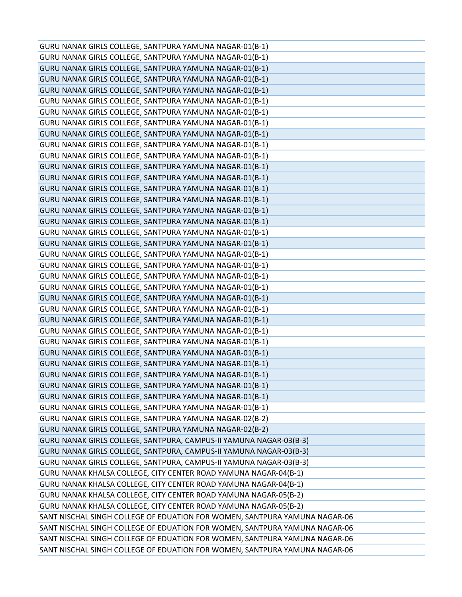| GURU NANAK GIRLS COLLEGE, SANTPURA YAMUNA NAGAR-01(B-1)                    |
|----------------------------------------------------------------------------|
| GURU NANAK GIRLS COLLEGE, SANTPURA YAMUNA NAGAR-01(B-1)                    |
| GURU NANAK GIRLS COLLEGE, SANTPURA YAMUNA NAGAR-01(B-1)                    |
| GURU NANAK GIRLS COLLEGE, SANTPURA YAMUNA NAGAR-01(B-1)                    |
| GURU NANAK GIRLS COLLEGE, SANTPURA YAMUNA NAGAR-01(B-1)                    |
| GURU NANAK GIRLS COLLEGE, SANTPURA YAMUNA NAGAR-01(B-1)                    |
| GURU NANAK GIRLS COLLEGE, SANTPURA YAMUNA NAGAR-01(B-1)                    |
| GURU NANAK GIRLS COLLEGE, SANTPURA YAMUNA NAGAR-01(B-1)                    |
| GURU NANAK GIRLS COLLEGE, SANTPURA YAMUNA NAGAR-01(B-1)                    |
| GURU NANAK GIRLS COLLEGE, SANTPURA YAMUNA NAGAR-01(B-1)                    |
| GURU NANAK GIRLS COLLEGE, SANTPURA YAMUNA NAGAR-01(B-1)                    |
| GURU NANAK GIRLS COLLEGE, SANTPURA YAMUNA NAGAR-01(B-1)                    |
| GURU NANAK GIRLS COLLEGE, SANTPURA YAMUNA NAGAR-01(B-1)                    |
| GURU NANAK GIRLS COLLEGE, SANTPURA YAMUNA NAGAR-01(B-1)                    |
| GURU NANAK GIRLS COLLEGE, SANTPURA YAMUNA NAGAR-01(B-1)                    |
| GURU NANAK GIRLS COLLEGE, SANTPURA YAMUNA NAGAR-01(B-1)                    |
| GURU NANAK GIRLS COLLEGE, SANTPURA YAMUNA NAGAR-01(B-1)                    |
| GURU NANAK GIRLS COLLEGE, SANTPURA YAMUNA NAGAR-01(B-1)                    |
| GURU NANAK GIRLS COLLEGE, SANTPURA YAMUNA NAGAR-01(B-1)                    |
| GURU NANAK GIRLS COLLEGE, SANTPURA YAMUNA NAGAR-01(B-1)                    |
| GURU NANAK GIRLS COLLEGE, SANTPURA YAMUNA NAGAR-01(B-1)                    |
| GURU NANAK GIRLS COLLEGE, SANTPURA YAMUNA NAGAR-01(B-1)                    |
| GURU NANAK GIRLS COLLEGE, SANTPURA YAMUNA NAGAR-01(B-1)                    |
| GURU NANAK GIRLS COLLEGE, SANTPURA YAMUNA NAGAR-01(B-1)                    |
| GURU NANAK GIRLS COLLEGE, SANTPURA YAMUNA NAGAR-01(B-1)                    |
| GURU NANAK GIRLS COLLEGE, SANTPURA YAMUNA NAGAR-01(B-1)                    |
| GURU NANAK GIRLS COLLEGE, SANTPURA YAMUNA NAGAR-01(B-1)                    |
| GURU NANAK GIRLS COLLEGE, SANTPURA YAMUNA NAGAR-01(B-1)                    |
| GURU NANAK GIRLS COLLEGE, SANTPURA YAMUNA NAGAR-01(B-1)                    |
| GURU NANAK GIRLS COLLEGE, SANTPURA YAMUNA NAGAR-01(B-1)                    |
| GURU NANAK GIRLS COLLEGE, SANTPURA YAMUNA NAGAR-01(B-1)                    |
| GURU NANAK GIRLS COLLEGE, SANTPURA YAMUNA NAGAR-01(B-1)                    |
| GURU NANAK GIRLS COLLEGE, SANTPURA YAMUNA NAGAR-01(B-1)                    |
| GURU NANAK GIRLS COLLEGE, SANTPURA YAMUNA NAGAR-01(B-1)                    |
| GURU NANAK GIRLS COLLEGE, SANTPURA YAMUNA NAGAR-02(B-2)                    |
| GURU NANAK GIRLS COLLEGE, SANTPURA YAMUNA NAGAR-02(B-2)                    |
| GURU NANAK GIRLS COLLEGE, SANTPURA, CAMPUS-II YAMUNA NAGAR-03(B-3)         |
| GURU NANAK GIRLS COLLEGE, SANTPURA, CAMPUS-II YAMUNA NAGAR-03(B-3)         |
| GURU NANAK GIRLS COLLEGE, SANTPURA, CAMPUS-II YAMUNA NAGAR-03(B-3)         |
| GURU NANAK KHALSA COLLEGE, CITY CENTER ROAD YAMUNA NAGAR-04(B-1)           |
| GURU NANAK KHALSA COLLEGE, CITY CENTER ROAD YAMUNA NAGAR-04(B-1)           |
| GURU NANAK KHALSA COLLEGE, CITY CENTER ROAD YAMUNA NAGAR-05(B-2)           |
| GURU NANAK KHALSA COLLEGE, CITY CENTER ROAD YAMUNA NAGAR-05(B-2)           |
| SANT NISCHAL SINGH COLLEGE OF EDUATION FOR WOMEN, SANTPURA YAMUNA NAGAR-06 |
| SANT NISCHAL SINGH COLLEGE OF EDUATION FOR WOMEN, SANTPURA YAMUNA NAGAR-06 |
| SANT NISCHAL SINGH COLLEGE OF EDUATION FOR WOMEN, SANTPURA YAMUNA NAGAR-06 |
| SANT NISCHAL SINGH COLLEGE OF EDUATION FOR WOMEN, SANTPURA YAMUNA NAGAR-06 |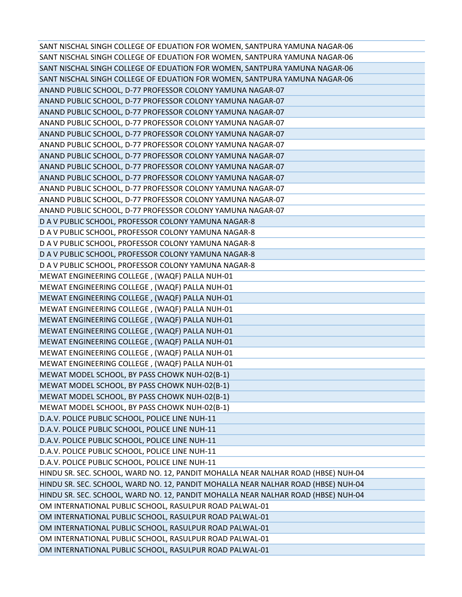| SANT NISCHAL SINGH COLLEGE OF EDUATION FOR WOMEN, SANTPURA YAMUNA NAGAR-06        |
|-----------------------------------------------------------------------------------|
| SANT NISCHAL SINGH COLLEGE OF EDUATION FOR WOMEN, SANTPURA YAMUNA NAGAR-06        |
| SANT NISCHAL SINGH COLLEGE OF EDUATION FOR WOMEN, SANTPURA YAMUNA NAGAR-06        |
| SANT NISCHAL SINGH COLLEGE OF EDUATION FOR WOMEN, SANTPURA YAMUNA NAGAR-06        |
| ANAND PUBLIC SCHOOL, D-77 PROFESSOR COLONY YAMUNA NAGAR-07                        |
| ANAND PUBLIC SCHOOL, D-77 PROFESSOR COLONY YAMUNA NAGAR-07                        |
| ANAND PUBLIC SCHOOL, D-77 PROFESSOR COLONY YAMUNA NAGAR-07                        |
| ANAND PUBLIC SCHOOL, D-77 PROFESSOR COLONY YAMUNA NAGAR-07                        |
| ANAND PUBLIC SCHOOL, D-77 PROFESSOR COLONY YAMUNA NAGAR-07                        |
| ANAND PUBLIC SCHOOL, D-77 PROFESSOR COLONY YAMUNA NAGAR-07                        |
| ANAND PUBLIC SCHOOL, D-77 PROFESSOR COLONY YAMUNA NAGAR-07                        |
| ANAND PUBLIC SCHOOL, D-77 PROFESSOR COLONY YAMUNA NAGAR-07                        |
| ANAND PUBLIC SCHOOL, D-77 PROFESSOR COLONY YAMUNA NAGAR-07                        |
| ANAND PUBLIC SCHOOL, D-77 PROFESSOR COLONY YAMUNA NAGAR-07                        |
| ANAND PUBLIC SCHOOL, D-77 PROFESSOR COLONY YAMUNA NAGAR-07                        |
| ANAND PUBLIC SCHOOL, D-77 PROFESSOR COLONY YAMUNA NAGAR-07                        |
| D A V PUBLIC SCHOOL, PROFESSOR COLONY YAMUNA NAGAR-8                              |
| D A V PUBLIC SCHOOL, PROFESSOR COLONY YAMUNA NAGAR-8                              |
| D A V PUBLIC SCHOOL, PROFESSOR COLONY YAMUNA NAGAR-8                              |
| D A V PUBLIC SCHOOL, PROFESSOR COLONY YAMUNA NAGAR-8                              |
| D A V PUBLIC SCHOOL, PROFESSOR COLONY YAMUNA NAGAR-8                              |
| MEWAT ENGINEERING COLLEGE, (WAQF) PALLA NUH-01                                    |
| MEWAT ENGINEERING COLLEGE, (WAQF) PALLA NUH-01                                    |
| MEWAT ENGINEERING COLLEGE, (WAQF) PALLA NUH-01                                    |
| MEWAT ENGINEERING COLLEGE, (WAQF) PALLA NUH-01                                    |
| MEWAT ENGINEERING COLLEGE, (WAQF) PALLA NUH-01                                    |
| MEWAT ENGINEERING COLLEGE, (WAQF) PALLA NUH-01                                    |
| MEWAT ENGINEERING COLLEGE, (WAQF) PALLA NUH-01                                    |
| MEWAT ENGINEERING COLLEGE, (WAQF) PALLA NUH-01                                    |
| MEWAT ENGINEERING COLLEGE, (WAQF) PALLA NUH-01                                    |
| MEWAT MODEL SCHOOL, BY PASS CHOWK NUH-02(B-1)                                     |
| MEWAT MODEL SCHOOL, BY PASS CHOWK NUH-02(B-1)                                     |
| MEWAT MODEL SCHOOL, BY PASS CHOWK NUH-02(B-1)                                     |
| MEWAT MODEL SCHOOL, BY PASS CHOWK NUH-02(B-1)                                     |
| D.A.V. POLICE PUBLIC SCHOOL, POLICE LINE NUH-11                                   |
| D.A.V. POLICE PUBLIC SCHOOL, POLICE LINE NUH-11                                   |
| D.A.V. POLICE PUBLIC SCHOOL, POLICE LINE NUH-11                                   |
| D.A.V. POLICE PUBLIC SCHOOL, POLICE LINE NUH-11                                   |
| D.A.V. POLICE PUBLIC SCHOOL, POLICE LINE NUH-11                                   |
| HINDU SR. SEC. SCHOOL, WARD NO. 12, PANDIT MOHALLA NEAR NALHAR ROAD (HBSE) NUH-04 |
| HINDU SR. SEC. SCHOOL, WARD NO. 12, PANDIT MOHALLA NEAR NALHAR ROAD (HBSE) NUH-04 |
| HINDU SR. SEC. SCHOOL, WARD NO. 12, PANDIT MOHALLA NEAR NALHAR ROAD (HBSE) NUH-04 |
| OM INTERNATIONAL PUBLIC SCHOOL, RASULPUR ROAD PALWAL-01                           |
| OM INTERNATIONAL PUBLIC SCHOOL, RASULPUR ROAD PALWAL-01                           |
| OM INTERNATIONAL PUBLIC SCHOOL, RASULPUR ROAD PALWAL-01                           |
| OM INTERNATIONAL PUBLIC SCHOOL, RASULPUR ROAD PALWAL-01                           |
| OM INTERNATIONAL PUBLIC SCHOOL, RASULPUR ROAD PALWAL-01                           |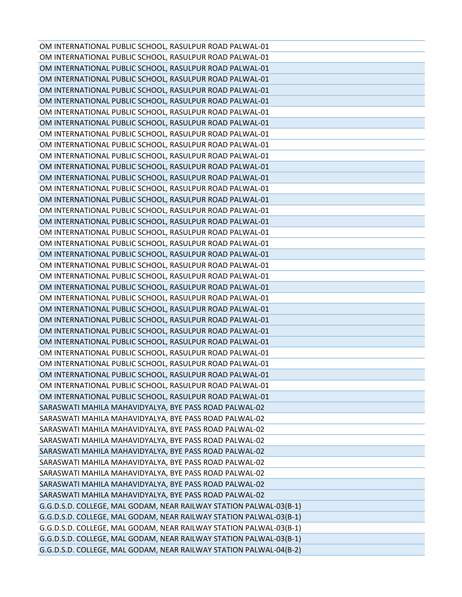| OM INTERNATIONAL PUBLIC SCHOOL, RASULPUR ROAD PALWAL-01            |
|--------------------------------------------------------------------|
| OM INTERNATIONAL PUBLIC SCHOOL, RASULPUR ROAD PALWAL-01            |
| OM INTERNATIONAL PUBLIC SCHOOL, RASULPUR ROAD PALWAL-01            |
| OM INTERNATIONAL PUBLIC SCHOOL, RASULPUR ROAD PALWAL-01            |
| OM INTERNATIONAL PUBLIC SCHOOL, RASULPUR ROAD PALWAL-01            |
| OM INTERNATIONAL PUBLIC SCHOOL, RASULPUR ROAD PALWAL-01            |
| OM INTERNATIONAL PUBLIC SCHOOL, RASULPUR ROAD PALWAL-01            |
| OM INTERNATIONAL PUBLIC SCHOOL, RASULPUR ROAD PALWAL-01            |
| OM INTERNATIONAL PUBLIC SCHOOL, RASULPUR ROAD PALWAL-01            |
| OM INTERNATIONAL PUBLIC SCHOOL, RASULPUR ROAD PALWAL-01            |
| OM INTERNATIONAL PUBLIC SCHOOL, RASULPUR ROAD PALWAL-01            |
| OM INTERNATIONAL PUBLIC SCHOOL, RASULPUR ROAD PALWAL-01            |
| OM INTERNATIONAL PUBLIC SCHOOL, RASULPUR ROAD PALWAL-01            |
| OM INTERNATIONAL PUBLIC SCHOOL, RASULPUR ROAD PALWAL-01            |
| OM INTERNATIONAL PUBLIC SCHOOL, RASULPUR ROAD PALWAL-01            |
| OM INTERNATIONAL PUBLIC SCHOOL, RASULPUR ROAD PALWAL-01            |
| OM INTERNATIONAL PUBLIC SCHOOL, RASULPUR ROAD PALWAL-01            |
| OM INTERNATIONAL PUBLIC SCHOOL, RASULPUR ROAD PALWAL-01            |
| OM INTERNATIONAL PUBLIC SCHOOL, RASULPUR ROAD PALWAL-01            |
| OM INTERNATIONAL PUBLIC SCHOOL, RASULPUR ROAD PALWAL-01            |
| OM INTERNATIONAL PUBLIC SCHOOL, RASULPUR ROAD PALWAL-01            |
| OM INTERNATIONAL PUBLIC SCHOOL, RASULPUR ROAD PALWAL-01            |
| OM INTERNATIONAL PUBLIC SCHOOL, RASULPUR ROAD PALWAL-01            |
| OM INTERNATIONAL PUBLIC SCHOOL, RASULPUR ROAD PALWAL-01            |
| OM INTERNATIONAL PUBLIC SCHOOL, RASULPUR ROAD PALWAL-01            |
| OM INTERNATIONAL PUBLIC SCHOOL, RASULPUR ROAD PALWAL-01            |
| OM INTERNATIONAL PUBLIC SCHOOL, RASULPUR ROAD PALWAL-01            |
| OM INTERNATIONAL PUBLIC SCHOOL, RASULPUR ROAD PALWAL-01            |
| OM INTERNATIONAL PUBLIC SCHOOL, RASULPUR ROAD PALWAL-01            |
| OM INTERNATIONAL PUBLIC SCHOOL, RASULPUR ROAD PALWAL-01            |
| OM INTERNATIONAL PUBLIC SCHOOL, RASULPUR ROAD PALWAL-01            |
| OM INTERNATIONAL PUBLIC SCHOOL, RASULPUR ROAD PALWAL-01            |
| OM INTERNATIONAL PUBLIC SCHOOL, RASULPUR ROAD PALWAL-01            |
| SARASWATI MAHILA MAHAVIDYALYA, BYE PASS ROAD PALWAL-02             |
| SARASWATI MAHILA MAHAVIDYALYA, BYE PASS ROAD PALWAL-02             |
| SARASWATI MAHILA MAHAVIDYALYA, BYE PASS ROAD PALWAL-02             |
| SARASWATI MAHILA MAHAVIDYALYA, BYE PASS ROAD PALWAL-02             |
| SARASWATI MAHILA MAHAVIDYALYA, BYE PASS ROAD PALWAL-02             |
| SARASWATI MAHILA MAHAVIDYALYA, BYE PASS ROAD PALWAL-02             |
| SARASWATI MAHILA MAHAVIDYALYA, BYE PASS ROAD PALWAL-02             |
| SARASWATI MAHILA MAHAVIDYALYA, BYE PASS ROAD PALWAL-02             |
| SARASWATI MAHILA MAHAVIDYALYA, BYE PASS ROAD PALWAL-02             |
| G.G.D.S.D. COLLEGE, MAL GODAM, NEAR RAILWAY STATION PALWAL-03(B-1) |
| G.G.D.S.D. COLLEGE, MAL GODAM, NEAR RAILWAY STATION PALWAL-03(B-1) |
| G.G.D.S.D. COLLEGE, MAL GODAM, NEAR RAILWAY STATION PALWAL-03(B-1) |
| G.G.D.S.D. COLLEGE, MAL GODAM, NEAR RAILWAY STATION PALWAL-03(B-1) |
| G.G.D.S.D. COLLEGE, MAL GODAM, NEAR RAILWAY STATION PALWAL-04(B-2) |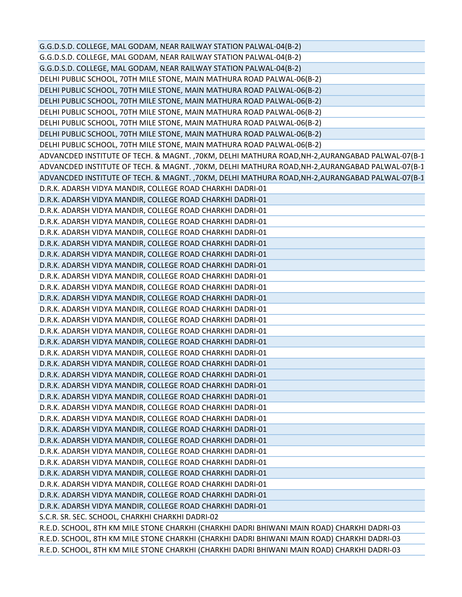| G.G.D.S.D. COLLEGE, MAL GODAM, NEAR RAILWAY STATION PALWAL-04(B-2)                               |
|--------------------------------------------------------------------------------------------------|
| G.G.D.S.D. COLLEGE, MAL GODAM, NEAR RAILWAY STATION PALWAL-04(B-2)                               |
| G.G.D.S.D. COLLEGE, MAL GODAM, NEAR RAILWAY STATION PALWAL-04(B-2)                               |
| DELHI PUBLIC SCHOOL, 70TH MILE STONE, MAIN MATHURA ROAD PALWAL-06(B-2)                           |
| DELHI PUBLIC SCHOOL, 70TH MILE STONE, MAIN MATHURA ROAD PALWAL-06(B-2)                           |
| DELHI PUBLIC SCHOOL, 70TH MILE STONE, MAIN MATHURA ROAD PALWAL-06(B-2)                           |
| DELHI PUBLIC SCHOOL, 70TH MILE STONE, MAIN MATHURA ROAD PALWAL-06(B-2)                           |
| DELHI PUBLIC SCHOOL, 70TH MILE STONE, MAIN MATHURA ROAD PALWAL-06(B-2)                           |
| DELHI PUBLIC SCHOOL, 70TH MILE STONE, MAIN MATHURA ROAD PALWAL-06(B-2)                           |
| DELHI PUBLIC SCHOOL, 70TH MILE STONE, MAIN MATHURA ROAD PALWAL-06(B-2)                           |
| ADVANCDED INSTITUTE OF TECH. & MAGNT. , 70KM, DELHI MATHURA ROAD, NH-2, AURANGABAD PALWAL-07(B-1 |
| ADVANCDED INSTITUTE OF TECH. & MAGNT. , 70KM, DELHI MATHURA ROAD, NH-2, AURANGABAD PALWAL-07(B-1 |
| ADVANCDED INSTITUTE OF TECH. & MAGNT. , 70KM, DELHI MATHURA ROAD, NH-2, AURANGABAD PALWAL-07(B-1 |
| D.R.K. ADARSH VIDYA MANDIR, COLLEGE ROAD CHARKHI DADRI-01                                        |
| D.R.K. ADARSH VIDYA MANDIR, COLLEGE ROAD CHARKHI DADRI-01                                        |
| D.R.K. ADARSH VIDYA MANDIR, COLLEGE ROAD CHARKHI DADRI-01                                        |
| D.R.K. ADARSH VIDYA MANDIR, COLLEGE ROAD CHARKHI DADRI-01                                        |
| D.R.K. ADARSH VIDYA MANDIR, COLLEGE ROAD CHARKHI DADRI-01                                        |
| D.R.K. ADARSH VIDYA MANDIR, COLLEGE ROAD CHARKHI DADRI-01                                        |
| D.R.K. ADARSH VIDYA MANDIR, COLLEGE ROAD CHARKHI DADRI-01                                        |
| D.R.K. ADARSH VIDYA MANDIR, COLLEGE ROAD CHARKHI DADRI-01                                        |
| D.R.K. ADARSH VIDYA MANDIR, COLLEGE ROAD CHARKHI DADRI-01                                        |
| D.R.K. ADARSH VIDYA MANDIR, COLLEGE ROAD CHARKHI DADRI-01                                        |
| D.R.K. ADARSH VIDYA MANDIR, COLLEGE ROAD CHARKHI DADRI-01                                        |
| D.R.K. ADARSH VIDYA MANDIR, COLLEGE ROAD CHARKHI DADRI-01                                        |
| D.R.K. ADARSH VIDYA MANDIR, COLLEGE ROAD CHARKHI DADRI-01                                        |
| D.R.K. ADARSH VIDYA MANDIR, COLLEGE ROAD CHARKHI DADRI-01                                        |
| D.R.K. ADARSH VIDYA MANDIR, COLLEGE ROAD CHARKHI DADRI-01                                        |
| D.R.K. ADARSH VIDYA MANDIR, COLLEGE ROAD CHARKHI DADRI-01                                        |
| D.R.K. ADARSH VIDYA MANDIR, COLLEGE ROAD CHARKHI DADRI-01                                        |
| D.R.K. ADARSH VIDYA MANDIR, COLLEGE ROAD CHARKHI DADRI-01                                        |
| D.R.K. ADARSH VIDYA MANDIR, COLLEGE ROAD CHARKHI DADRI-01                                        |
| D.R.K. ADARSH VIDYA MANDIR, COLLEGE ROAD CHARKHI DADRI-01                                        |
| D.R.K. ADARSH VIDYA MANDIR, COLLEGE ROAD CHARKHI DADRI-01                                        |
| D.R.K. ADARSH VIDYA MANDIR, COLLEGE ROAD CHARKHI DADRI-01                                        |
| D.R.K. ADARSH VIDYA MANDIR, COLLEGE ROAD CHARKHI DADRI-01                                        |
| D.R.K. ADARSH VIDYA MANDIR, COLLEGE ROAD CHARKHI DADRI-01                                        |
| D.R.K. ADARSH VIDYA MANDIR, COLLEGE ROAD CHARKHI DADRI-01                                        |
| D.R.K. ADARSH VIDYA MANDIR, COLLEGE ROAD CHARKHI DADRI-01                                        |
| D.R.K. ADARSH VIDYA MANDIR, COLLEGE ROAD CHARKHI DADRI-01                                        |
| D.R.K. ADARSH VIDYA MANDIR, COLLEGE ROAD CHARKHI DADRI-01                                        |
| D.R.K. ADARSH VIDYA MANDIR, COLLEGE ROAD CHARKHI DADRI-01                                        |
| D.R.K. ADARSH VIDYA MANDIR, COLLEGE ROAD CHARKHI DADRI-01                                        |
| S.C.R. SR. SEC. SCHOOL, CHARKHI CHARKHI DADRI-02                                                 |
| R.E.D. SCHOOL, 8TH KM MILE STONE CHARKHI (CHARKHI DADRI BHIWANI MAIN ROAD) CHARKHI DADRI-03      |
| R.E.D. SCHOOL, 8TH KM MILE STONE CHARKHI (CHARKHI DADRI BHIWANI MAIN ROAD) CHARKHI DADRI-03      |
| R.E.D. SCHOOL, 8TH KM MILE STONE CHARKHI (CHARKHI DADRI BHIWANI MAIN ROAD) CHARKHI DADRI-03      |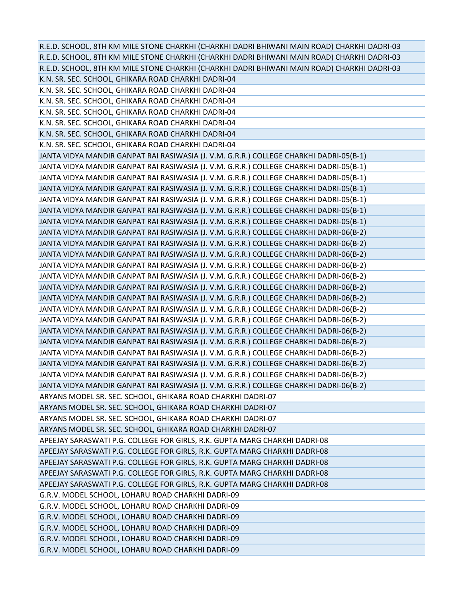R.E.D. SCHOOL, 8TH KM MILE STONE CHARKHI (CHARKHI DADRI BHIWANI MAIN ROAD) CHARKHI DADRI-03 R.E.D. SCHOOL, 8TH KM MILE STONE CHARKHI (CHARKHI DADRI BHIWANI MAIN ROAD) CHARKHI DADRI-03 R.E.D. SCHOOL, 8TH KM MILE STONE CHARKHI (CHARKHI DADRI BHIWANI MAIN ROAD) CHARKHI DADRI-03 K.N. SR. SEC. SCHOOL, GHIKARA ROAD CHARKHI DADRI-04 K.N. SR. SEC. SCHOOL, GHIKARA ROAD CHARKHI DADRI-04 K.N. SR. SEC. SCHOOL, GHIKARA ROAD CHARKHI DADRI-04 K.N. SR. SEC. SCHOOL, GHIKARA ROAD CHARKHI DADRI-04 K.N. SR. SEC. SCHOOL, GHIKARA ROAD CHARKHI DADRI-04 K.N. SR. SEC. SCHOOL, GHIKARA ROAD CHARKHI DADRI-04 K.N. SR. SEC. SCHOOL, GHIKARA ROAD CHARKHI DADRI-04 JANTA VIDYA MANDIR GANPAT RAI RASIWASIA (J. V.M. G.R.R.) COLLEGE CHARKHI DADRI-05(B-1) JANTA VIDYA MANDIR GANPAT RAI RASIWASIA (J. V.M. G.R.R.) COLLEGE CHARKHI DADRI-05(B-1) JANTA VIDYA MANDIR GANPAT RAI RASIWASIA (J. V.M. G.R.R.) COLLEGE CHARKHI DADRI-05(B-1) JANTA VIDYA MANDIR GANPAT RAI RASIWASIA (J. V.M. G.R.R.) COLLEGE CHARKHI DADRI-05(B-1) JANTA VIDYA MANDIR GANPAT RAI RASIWASIA (J. V.M. G.R.R.) COLLEGE CHARKHI DADRI-05(B-1) JANTA VIDYA MANDIR GANPAT RAI RASIWASIA (J. V.M. G.R.R.) COLLEGE CHARKHI DADRI-05(B-1) JANTA VIDYA MANDIR GANPAT RAI RASIWASIA (J. V.M. G.R.R.) COLLEGE CHARKHI DADRI-05(B-1) JANTA VIDYA MANDIR GANPAT RAI RASIWASIA (J. V.M. G.R.R.) COLLEGE CHARKHI DADRI-06(B-2) JANTA VIDYA MANDIR GANPAT RAI RASIWASIA (J. V.M. G.R.R.) COLLEGE CHARKHI DADRI-06(B-2) JANTA VIDYA MANDIR GANPAT RAI RASIWASIA (J. V.M. G.R.R.) COLLEGE CHARKHI DADRI-06(B-2) JANTA VIDYA MANDIR GANPAT RAI RASIWASIA (J. V.M. G.R.R.) COLLEGE CHARKHI DADRI-06(B-2) JANTA VIDYA MANDIR GANPAT RAI RASIWASIA (J. V.M. G.R.R.) COLLEGE CHARKHI DADRI-06(B-2) JANTA VIDYA MANDIR GANPAT RAI RASIWASIA (J. V.M. G.R.R.) COLLEGE CHARKHI DADRI-06(B-2) JANTA VIDYA MANDIR GANPAT RAI RASIWASIA (J. V.M. G.R.R.) COLLEGE CHARKHI DADRI-06(B-2) JANTA VIDYA MANDIR GANPAT RAI RASIWASIA (J. V.M. G.R.R.) COLLEGE CHARKHI DADRI-06(B-2) JANTA VIDYA MANDIR GANPAT RAI RASIWASIA (J. V.M. G.R.R.) COLLEGE CHARKHI DADRI-06(B-2) JANTA VIDYA MANDIR GANPAT RAI RASIWASIA (J. V.M. G.R.R.) COLLEGE CHARKHI DADRI-06(B-2) JANTA VIDYA MANDIR GANPAT RAI RASIWASIA (J. V.M. G.R.R.) COLLEGE CHARKHI DADRI-06(B-2) JANTA VIDYA MANDIR GANPAT RAI RASIWASIA (J. V.M. G.R.R.) COLLEGE CHARKHI DADRI-06(B-2) JANTA VIDYA MANDIR GANPAT RAI RASIWASIA (J. V.M. G.R.R.) COLLEGE CHARKHI DADRI-06(B-2) JANTA VIDYA MANDIR GANPAT RAI RASIWASIA (J. V.M. G.R.R.) COLLEGE CHARKHI DADRI-06(B-2) JANTA VIDYA MANDIR GANPAT RAI RASIWASIA (J. V.M. G.R.R.) COLLEGE CHARKHI DADRI-06(B-2) ARYANS MODEL SR. SEC. SCHOOL, GHIKARA ROAD CHARKHI DADRI-07 ARYANS MODEL SR. SEC. SCHOOL, GHIKARA ROAD CHARKHI DADRI-07 ARYANS MODEL SR. SEC. SCHOOL, GHIKARA ROAD CHARKHI DADRI-07 ARYANS MODEL SR. SEC. SCHOOL, GHIKARA ROAD CHARKHI DADRI-07 APEEJAY SARASWATI P.G. COLLEGE FOR GIRLS, R.K. GUPTA MARG CHARKHI DADRI-08 APEEJAY SARASWATI P.G. COLLEGE FOR GIRLS, R.K. GUPTA MARG CHARKHI DADRI-08 APEEJAY SARASWATI P.G. COLLEGE FOR GIRLS, R.K. GUPTA MARG CHARKHI DADRI-08 APEEJAY SARASWATI P.G. COLLEGE FOR GIRLS, R.K. GUPTA MARG CHARKHI DADRI-08 APEEJAY SARASWATI P.G. COLLEGE FOR GIRLS, R.K. GUPTA MARG CHARKHI DADRI-08 G.R.V. MODEL SCHOOL, LOHARU ROAD CHARKHI DADRI-09 G.R.V. MODEL SCHOOL, LOHARU ROAD CHARKHI DADRI-09 G.R.V. MODEL SCHOOL, LOHARU ROAD CHARKHI DADRI-09 G.R.V. MODEL SCHOOL, LOHARU ROAD CHARKHI DADRI-09 G.R.V. MODEL SCHOOL, LOHARU ROAD CHARKHI DADRI-09 G.R.V. MODEL SCHOOL, LOHARU ROAD CHARKHI DADRI-09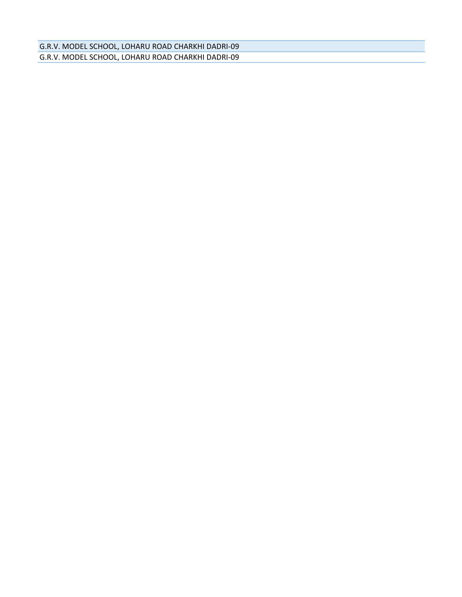| G.R.V. MODEL SCHOOL, LOHARU ROAD CHARKHI DADRI-09 |  |
|---------------------------------------------------|--|
| G.R.V. MODEL SCHOOL, LOHARU ROAD CHARKHI DADRI-09 |  |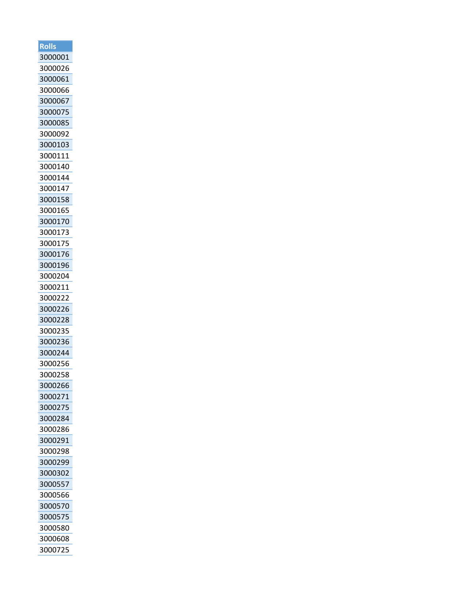| <b>Rolls</b> |
|--------------|
| 3000001      |
| 3000026      |
| 3000061      |
| 3000066      |
| 3000067      |
| 3000075      |
| 3000085      |
| 3000092      |
| 3000103      |
| 3000111      |
| 3000140      |
| 3000144      |
| 3000147      |
|              |
| 3000158      |
| 3000165      |
| 3000170      |
| 3000173      |
| 3000175      |
| 3000176      |
| 3000196      |
| 3000204      |
| 3000211      |
| 3000222      |
| 3000226      |
| 3000228      |
| 3000235      |
| 3000236      |
| 3000244      |
| 3000256      |
| 3000258      |
| 3000266      |
| 3000271      |
| 3000275      |
| 3000284      |
| 3000286      |
| 3000291      |
| 3000298      |
| 3000299      |
| 3000302      |
| 3000557      |
| 3000566      |
| 3000570      |
| 3000575      |
| 3000580      |
|              |
| 3000608      |
| 3000725      |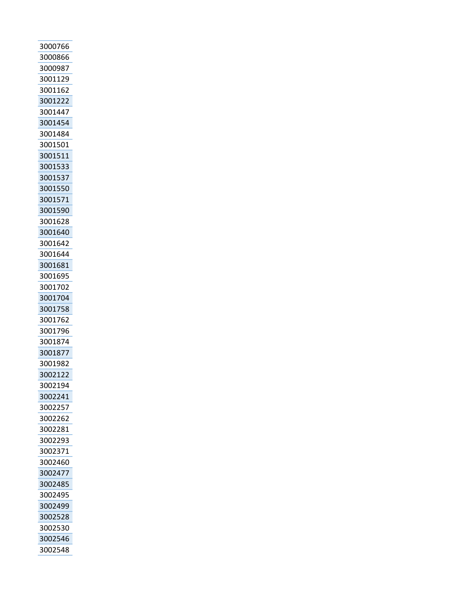| 3000766 |
|---------|
| 3000866 |
| 3000987 |
| 3001129 |
| 3001162 |
| 3001222 |
| 3001447 |
| 3001454 |
| 3001484 |
| 3001501 |
| 3001511 |
| 3001533 |
| 3001537 |
| 3001550 |
| 3001571 |
| 3001590 |
| 3001628 |
| 3001640 |
| 3001642 |
| 3001644 |
| 3001681 |
| 3001695 |
| 3001702 |
| 3001704 |
| 3001758 |
| 3001762 |
| 3001796 |
| 3001874 |
|         |
| 3001877 |
| 3001982 |
| 3002122 |
| 3002194 |
| 3002241 |
| 3002257 |
| 3002262 |
| 3002281 |
| 3002293 |
| 3002371 |
| 3002460 |
| 3002477 |
| 3002485 |
| 3002495 |
| 3002499 |
| 3002528 |
| 3002530 |
| 3002546 |
| 3002548 |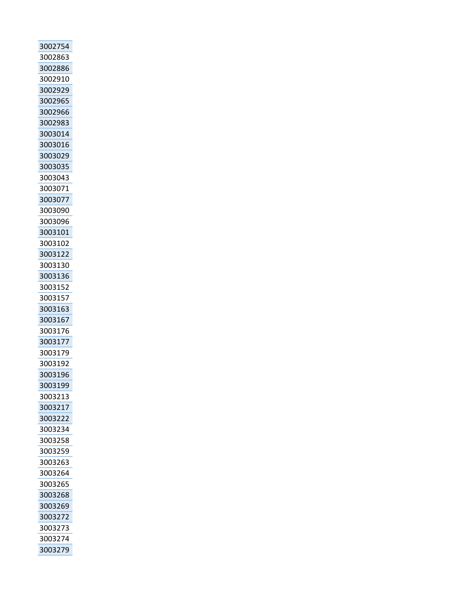| 3002754            |
|--------------------|
| 3002863            |
| 3002886            |
| 3002910            |
| 3002929            |
| 3002965            |
| 3002966            |
| 3002983            |
| 3003014            |
| 3003016            |
| 3003029            |
| 3003035            |
| 3003043            |
| 3003071            |
| 3003077            |
| 3003090            |
| 3003096            |
| 3003101            |
| 3003102            |
| 3003122            |
| 3003130            |
| 3003136            |
| 3003152            |
| 3003157            |
| 3003163            |
| 3003167            |
| 3003176            |
| 3003177            |
| 3003179            |
| 3003192            |
|                    |
| 3003196<br>3003199 |
| 3003213            |
| 3003217            |
| 3003222            |
|                    |
| 3003234            |
| 3003258            |
| 3003259            |
| 3003263            |
| 3003264            |
| 3003265            |
| 3003268            |
| 3003269            |
| 3003272            |
| 3003273            |
| 3003274            |
| 3003279            |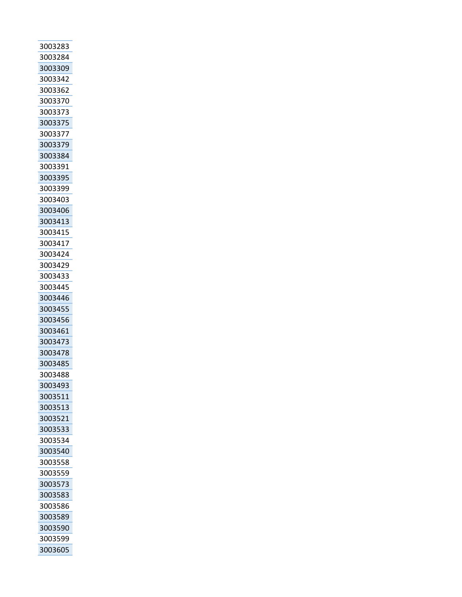| 3003283 |
|---------|
| 3003284 |
| 3003309 |
| 3003342 |
| 3003362 |
| 3003370 |
| 3003373 |
| 3003375 |
| 3003377 |
| 3003379 |
| 3003384 |
| 3003391 |
| 3003395 |
| 3003399 |
| 3003403 |
| 3003406 |
| 3003413 |
| 3003415 |
| 3003417 |
| 3003424 |
| 3003429 |
| 3003433 |
| 3003445 |
| 3003446 |
| 3003455 |
| 3003456 |
| 3003461 |
| 3003473 |
| 3003478 |
| 3003485 |
|         |
| 3003488 |
| 3003493 |
| 3003511 |
| 3003513 |
| 3003521 |
| 3003533 |
| 3003534 |
| 3003540 |
| 3003558 |
| 3003559 |
| 3003573 |
| 3003583 |
| 3003586 |
| 3003589 |
| 3003590 |
| 3003599 |
| 3003605 |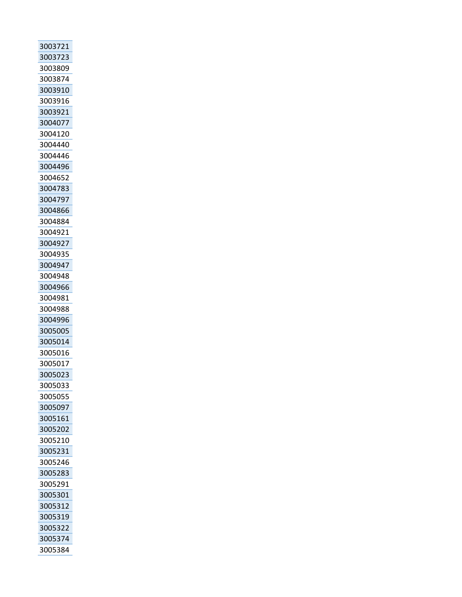| 3003721 |
|---------|
| 3003723 |
| 3003809 |
| 3003874 |
| 3003910 |
| 3003916 |
| 3003921 |
| 3004077 |
| 3004120 |
| 3004440 |
| 3004446 |
| 3004496 |
| 3004652 |
| 3004783 |
| 3004797 |
|         |
| 3004866 |
| 3004884 |
| 3004921 |
| 3004927 |
| 3004935 |
| 3004947 |
| 3004948 |
| 3004966 |
| 3004981 |
| 3004988 |
| 3004996 |
| 3005005 |
| 3005014 |
| 3005016 |
| 3005017 |
| 3005023 |
| 3005033 |
| 3005055 |
| 3005097 |
| 3005161 |
| 3005202 |
| 3005210 |
| 3005231 |
| 3005246 |
| 3005283 |
| 3005291 |
| 3005301 |
| 3005312 |
| 3005319 |
|         |
| 3005322 |
| 3005374 |
| 3005384 |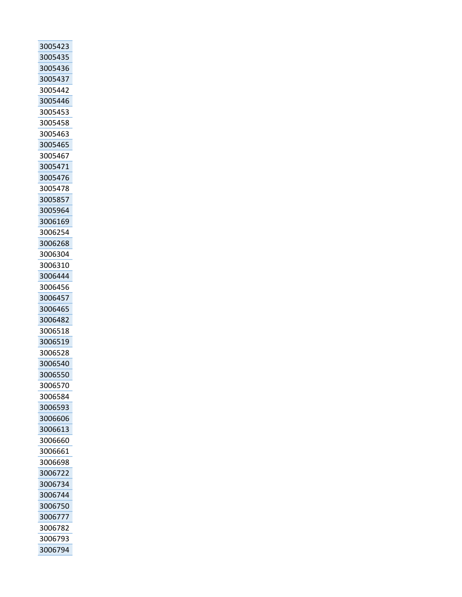| 3005423 |
|---------|
| 3005435 |
| 3005436 |
| 3005437 |
| 3005442 |
| 3005446 |
| 3005453 |
| 3005458 |
| 3005463 |
| 3005465 |
| 3005467 |
| 3005471 |
| 3005476 |
| 3005478 |
| 3005857 |
| 3005964 |
| 3006169 |
| 3006254 |
| 3006268 |
| 3006304 |
| 3006310 |
| 3006444 |
| 3006456 |
| 3006457 |
| 3006465 |
| 3006482 |
| 3006518 |
| 3006519 |
| 3006528 |
|         |
| 3006540 |
| 3006550 |
| 3006570 |
| 3006584 |
| 3006593 |
| 3006606 |
| 3006613 |
| 3006660 |
| 3006661 |
| 3006698 |
| 3006722 |
| 3006734 |
| 3006744 |
| 3006750 |
| 3006777 |
| 3006782 |
| 3006793 |
| 3006794 |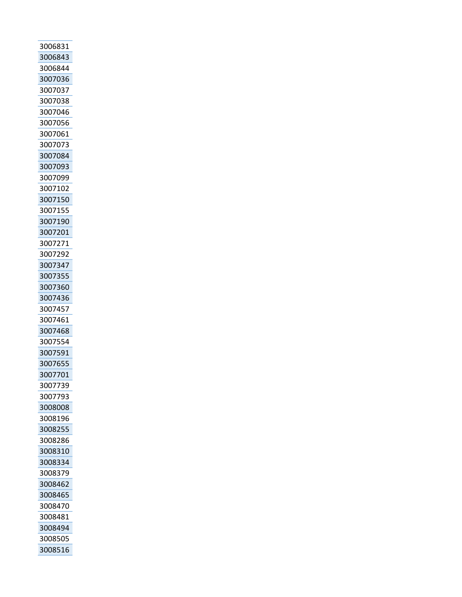| 3006831            |
|--------------------|
| 3006843            |
| 3006844            |
| 3007036            |
| 3007037            |
| 3007038            |
| 3007046            |
| 3007056            |
| 3007061            |
| 3007073            |
| 3007084            |
| 3007093            |
| 3007099            |
| 3007102            |
| 3007150            |
| 3007155            |
| 3007190            |
| 3007201            |
| 3007271            |
| 3007292            |
| 3007347            |
| 3007355            |
| 3007360            |
| 3007436            |
| 3007457            |
| 3007461            |
| 3007468            |
| 3007554            |
| 3007591            |
| 3007655            |
| 3007701            |
| 3007739            |
| 3007793            |
| 3008008            |
| 3008196            |
| 3008255            |
| 3008286            |
| 3008310            |
| 3008334            |
| 3008379            |
|                    |
| 3008462<br>3008465 |
|                    |
| 3008470            |
| 3008481            |
| 3008494            |
| 3008505            |
| 3008516            |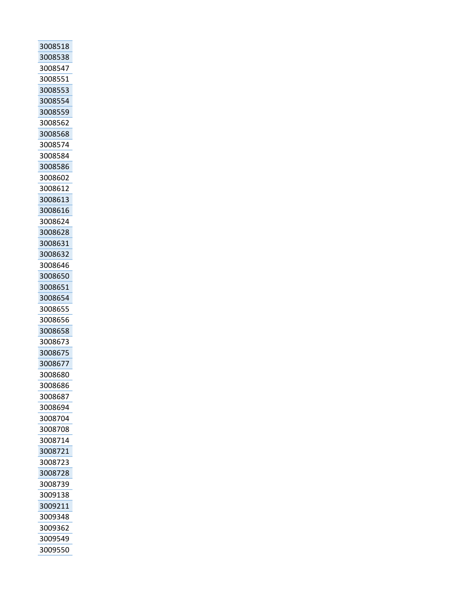| 3008518 |
|---------|
| 3008538 |
| 3008547 |
| 3008551 |
| 3008553 |
| 3008554 |
| 3008559 |
| 3008562 |
| 3008568 |
| 3008574 |
| 3008584 |
| 3008586 |
| 3008602 |
| 3008612 |
| 3008613 |
| 3008616 |
| 3008624 |
|         |
| 3008628 |
| 3008631 |
| 3008632 |
| 3008646 |
| 3008650 |
| 3008651 |
| 3008654 |
| 3008655 |
| 3008656 |
| 3008658 |
| 3008673 |
| 3008675 |
| 3008677 |
| 3008680 |
| 3008686 |
| 3008687 |
| 3008694 |
| 3008704 |
| 3008708 |
| 3008714 |
| 3008721 |
| 3008723 |
| 3008728 |
| 3008739 |
| 3009138 |
| 3009211 |
| 3009348 |
| 3009362 |
|         |
| 3009549 |
| 3009550 |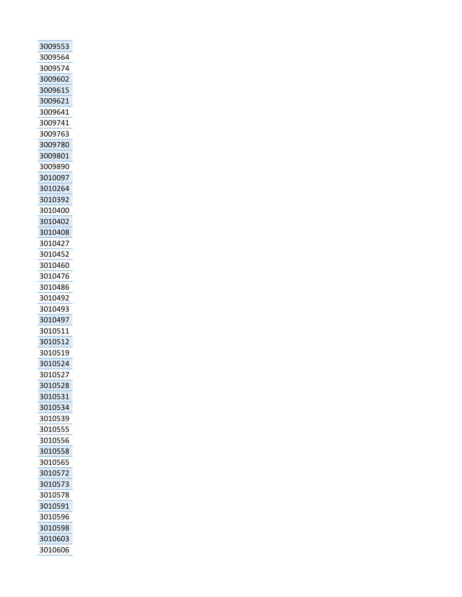| 3009553 |
|---------|
| 3009564 |
| 3009574 |
| 3009602 |
| 3009615 |
| 3009621 |
| 3009641 |
| 3009741 |
| 3009763 |
| 3009780 |
| 3009801 |
| 3009890 |
| 3010097 |
| 3010264 |
| 3010392 |
| 3010400 |
| 3010402 |
| 3010408 |
| 3010427 |
| 3010452 |
| 3010460 |
| 3010476 |
| 3010486 |
| 3010492 |
| 3010493 |
| 3010497 |
| 3010511 |
| 3010512 |
| 3010519 |
| 3010524 |
| 3010527 |
| 3010528 |
| 3010531 |
| 3010534 |
| 3010539 |
| 3010555 |
| 3010556 |
| 3010558 |
| 3010565 |
| 3010572 |
| 3010573 |
| 3010578 |
| 3010591 |
| 3010596 |
| 3010598 |
| 3010603 |
| 3010606 |
|         |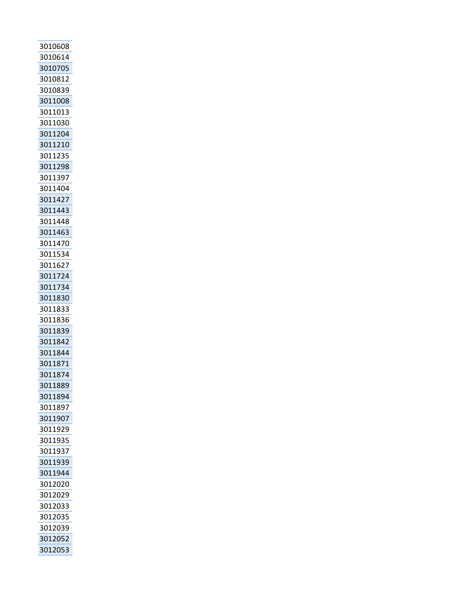| 3010608 |
|---------|
| 3010614 |
| 3010705 |
| 3010812 |
| 3010839 |
| 3011008 |
| 3011013 |
| 3011030 |
| 3011204 |
| 3011210 |
| 3011235 |
| 3011298 |
| 3011397 |
| 3011404 |
|         |
| 3011427 |
| 3011443 |
| 3011448 |
| 3011463 |
| 3011470 |
| 3011534 |
| 3011627 |
| 3011724 |
| 3011734 |
| 3011830 |
| 3011833 |
| 3011836 |
| 3011839 |
| 3011842 |
| 3011844 |
| 3011871 |
| 3011874 |
| 3011889 |
| 3011894 |
| 3011897 |
| 3011907 |
| 3011929 |
| 3011935 |
| 3011937 |
|         |
| 3011939 |
| 3011944 |
| 3012020 |
| 3012029 |
| 3012033 |
| 3012035 |
| 3012039 |
| 3012052 |
| 3012053 |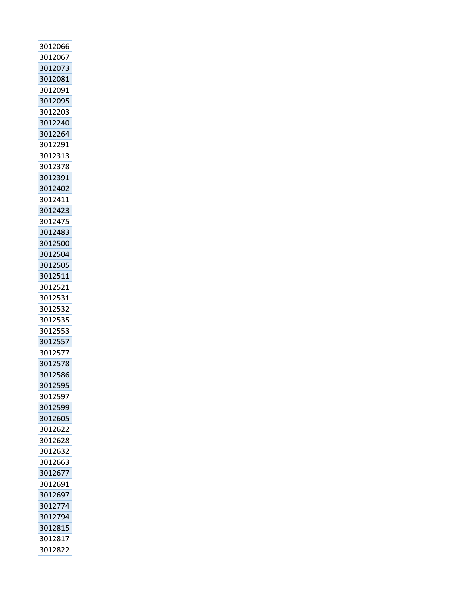| 3012066 |
|---------|
| 3012067 |
| 3012073 |
| 3012081 |
| 3012091 |
| 3012095 |
| 3012203 |
| 3012240 |
| 3012264 |
| 3012291 |
| 3012313 |
| 3012378 |
| 3012391 |
| 3012402 |
| 3012411 |
|         |
| 3012423 |
| 3012475 |
| 3012483 |
| 3012500 |
| 3012504 |
| 3012505 |
| 3012511 |
| 3012521 |
| 3012531 |
| 3012532 |
| 3012535 |
| 3012553 |
| 3012557 |
| 3012577 |
| 3012578 |
| 3012586 |
| 3012595 |
| 3012597 |
| 3012599 |
| 3012605 |
| 3012622 |
| 3012628 |
| 3012632 |
| 3012663 |
| 3012677 |
|         |
| 3012691 |
| 3012697 |
| 3012774 |
| 3012794 |
| 3012815 |
| 3012817 |
| 3012822 |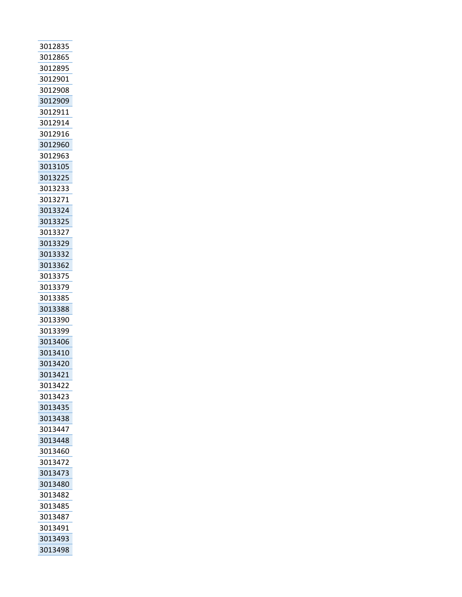| 3012835 |
|---------|
| 3012865 |
| 3012895 |
| 3012901 |
| 3012908 |
| 3012909 |
| 3012911 |
| 3012914 |
| 3012916 |
| 3012960 |
| 3012963 |
| 3013105 |
| 3013225 |
| 3013233 |
| 3013271 |
| 3013324 |
|         |
| 3013325 |
| 3013327 |
| 3013329 |
| 3013332 |
| 3013362 |
| 3013375 |
| 3013379 |
| 3013385 |
| 3013388 |
| 3013390 |
| 3013399 |
| 3013406 |
| 3013410 |
| 3013420 |
| 3013421 |
| 3013422 |
| 3013423 |
| 3013435 |
| 3013438 |
| 3013447 |
| 3013448 |
| 3013460 |
| 3013472 |
| 3013473 |
| 3013480 |
| 3013482 |
| 3013485 |
| 3013487 |
| 3013491 |
| 3013493 |
|         |
| 3013498 |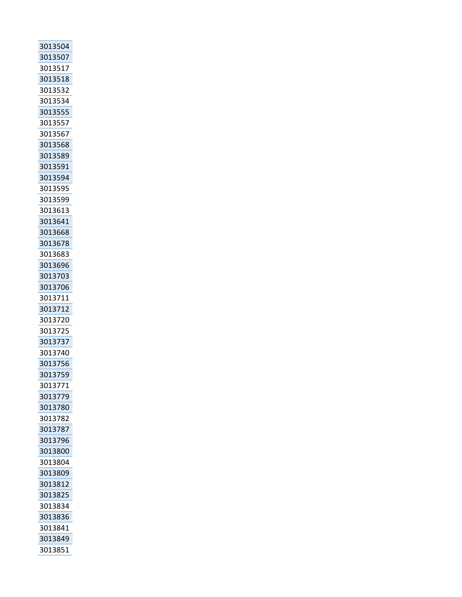| 3013504 |
|---------|
| 3013507 |
| 3013517 |
| 3013518 |
| 3013532 |
| 3013534 |
| 3013555 |
| 3013557 |
| 3013567 |
| 3013568 |
| 3013589 |
| 3013591 |
| 3013594 |
| 3013595 |
| 3013599 |
| 3013613 |
| 3013641 |
| 3013668 |
| 3013678 |
| 3013683 |
| 3013696 |
|         |
| 3013703 |
| 3013706 |
| 3013711 |
| 3013712 |
| 3013720 |
| 3013725 |
| 3013737 |
| 3013740 |
| 3013756 |
| 3013759 |
| 3013771 |
| 3013779 |
| 3013780 |
| 3013782 |
| 3013787 |
| 3013796 |
| 3013800 |
| 3013804 |
| 3013809 |
| 3013812 |
| 3013825 |
| 3013834 |
| 3013836 |
| 3013841 |
| 3013849 |
| 3013851 |
|         |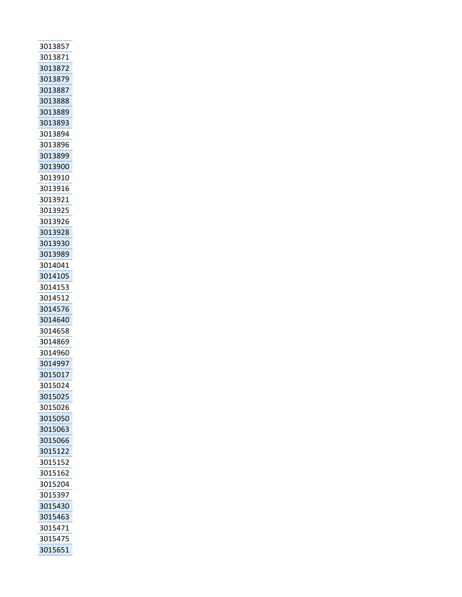| 3013857 |
|---------|
| 3013871 |
| 3013872 |
| 3013879 |
| 3013887 |
| 3013888 |
| 3013889 |
| 3013893 |
| 3013894 |
| 3013896 |
| 3013899 |
| 3013900 |
| 3013910 |
| 3013916 |
| 3013921 |
| 3013925 |
| 3013926 |
| 3013928 |
| 3013930 |
| 3013989 |
| 3014041 |
| 3014105 |
| 3014153 |
| 3014512 |
| 3014576 |
| 3014640 |
| 3014658 |
| 3014869 |
| 3014960 |
| 3014997 |
| 3015017 |
| 3015024 |
| 3015025 |
| 3015026 |
| 3015050 |
| 3015063 |
|         |
| 3015066 |
| 3015122 |
| 3015152 |
| 3015162 |
| 3015204 |
| 3015397 |
| 3015430 |
| 3015463 |
| 3015471 |
| 3015475 |
| 3015651 |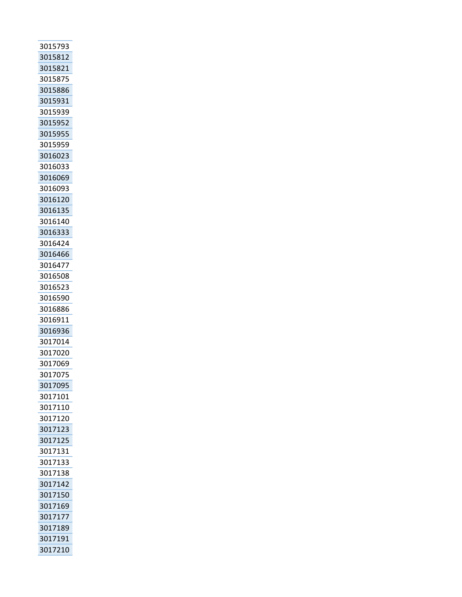| 3015793 |
|---------|
| 3015812 |
| 3015821 |
| 3015875 |
| 3015886 |
| 3015931 |
| 3015939 |
| 3015952 |
| 3015955 |
| 3015959 |
| 3016023 |
| 3016033 |
| 3016069 |
| 3016093 |
| 3016120 |
| 3016135 |
| 3016140 |
| 3016333 |
| 3016424 |
| 3016466 |
| 3016477 |
| 3016508 |
| 3016523 |
| 3016590 |
| 3016886 |
| 3016911 |
| 3016936 |
| 3017014 |
| 3017020 |
| 3017069 |
| 3017075 |
| 3017095 |
| 3017101 |
| 3017110 |
| 3017120 |
| 3017123 |
| 3017125 |
| 3017131 |
| 3017133 |
| 3017138 |
| 3017142 |
| 3017150 |
| 3017169 |
| 3017177 |
| 3017189 |
| 3017191 |
| 3017210 |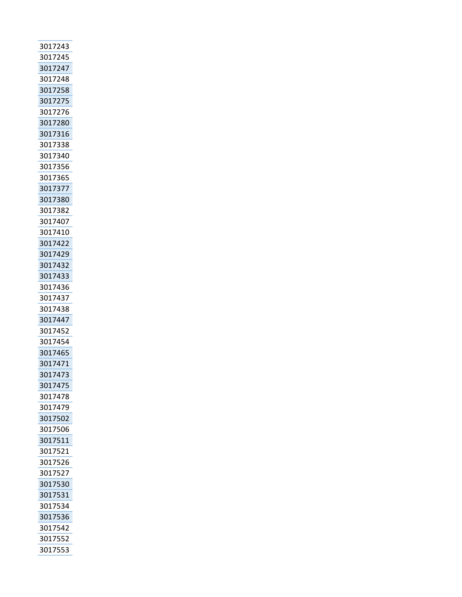| 3017243<br>3017245<br>3017247<br>3017248<br>3017258<br>3017275<br>3017280<br>3017316<br>3017340<br>3017365<br>3017377<br>3017380<br>3017382<br>3017410<br>3017422<br>3017432<br>3017433<br>3017436<br>3017438<br>3017454<br>3017465<br>3017471<br>3017473<br>3017475<br>3017478<br>3017479<br>3017502<br>3017506<br>3017526<br>3017527<br>3017530<br>3017531<br>3017534<br>3017536<br>3017542 |         |
|-----------------------------------------------------------------------------------------------------------------------------------------------------------------------------------------------------------------------------------------------------------------------------------------------------------------------------------------------------------------------------------------------|---------|
| 3017276<br>3017338<br>3017356<br>3017407<br>3017429<br>3017437<br>3017447<br>3017452<br>3017511<br>3017521<br>3017552                                                                                                                                                                                                                                                                         |         |
|                                                                                                                                                                                                                                                                                                                                                                                               |         |
|                                                                                                                                                                                                                                                                                                                                                                                               |         |
|                                                                                                                                                                                                                                                                                                                                                                                               |         |
|                                                                                                                                                                                                                                                                                                                                                                                               |         |
|                                                                                                                                                                                                                                                                                                                                                                                               |         |
|                                                                                                                                                                                                                                                                                                                                                                                               |         |
|                                                                                                                                                                                                                                                                                                                                                                                               |         |
|                                                                                                                                                                                                                                                                                                                                                                                               |         |
|                                                                                                                                                                                                                                                                                                                                                                                               |         |
|                                                                                                                                                                                                                                                                                                                                                                                               |         |
|                                                                                                                                                                                                                                                                                                                                                                                               |         |
|                                                                                                                                                                                                                                                                                                                                                                                               |         |
|                                                                                                                                                                                                                                                                                                                                                                                               |         |
|                                                                                                                                                                                                                                                                                                                                                                                               |         |
|                                                                                                                                                                                                                                                                                                                                                                                               |         |
|                                                                                                                                                                                                                                                                                                                                                                                               |         |
|                                                                                                                                                                                                                                                                                                                                                                                               |         |
|                                                                                                                                                                                                                                                                                                                                                                                               |         |
|                                                                                                                                                                                                                                                                                                                                                                                               |         |
|                                                                                                                                                                                                                                                                                                                                                                                               |         |
|                                                                                                                                                                                                                                                                                                                                                                                               |         |
|                                                                                                                                                                                                                                                                                                                                                                                               |         |
|                                                                                                                                                                                                                                                                                                                                                                                               |         |
|                                                                                                                                                                                                                                                                                                                                                                                               |         |
|                                                                                                                                                                                                                                                                                                                                                                                               |         |
|                                                                                                                                                                                                                                                                                                                                                                                               |         |
|                                                                                                                                                                                                                                                                                                                                                                                               |         |
|                                                                                                                                                                                                                                                                                                                                                                                               |         |
|                                                                                                                                                                                                                                                                                                                                                                                               |         |
|                                                                                                                                                                                                                                                                                                                                                                                               |         |
|                                                                                                                                                                                                                                                                                                                                                                                               |         |
|                                                                                                                                                                                                                                                                                                                                                                                               |         |
|                                                                                                                                                                                                                                                                                                                                                                                               |         |
|                                                                                                                                                                                                                                                                                                                                                                                               |         |
|                                                                                                                                                                                                                                                                                                                                                                                               |         |
|                                                                                                                                                                                                                                                                                                                                                                                               |         |
|                                                                                                                                                                                                                                                                                                                                                                                               |         |
|                                                                                                                                                                                                                                                                                                                                                                                               |         |
|                                                                                                                                                                                                                                                                                                                                                                                               |         |
|                                                                                                                                                                                                                                                                                                                                                                                               |         |
|                                                                                                                                                                                                                                                                                                                                                                                               |         |
|                                                                                                                                                                                                                                                                                                                                                                                               |         |
|                                                                                                                                                                                                                                                                                                                                                                                               |         |
|                                                                                                                                                                                                                                                                                                                                                                                               |         |
|                                                                                                                                                                                                                                                                                                                                                                                               |         |
|                                                                                                                                                                                                                                                                                                                                                                                               |         |
|                                                                                                                                                                                                                                                                                                                                                                                               | 3017553 |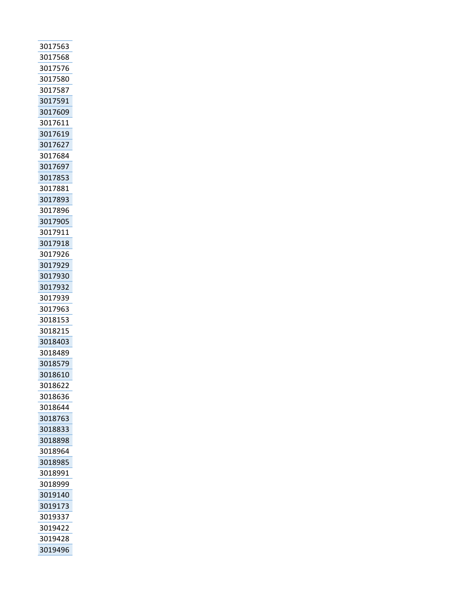| 3017563 |
|---------|
| 3017568 |
| 3017576 |
| 3017580 |
| 3017587 |
| 3017591 |
| 3017609 |
| 3017611 |
| 3017619 |
| 3017627 |
| 3017684 |
| 3017697 |
| 3017853 |
| 3017881 |
| 3017893 |
| 3017896 |
| 3017905 |
| 3017911 |
| 3017918 |
| 3017926 |
|         |
| 3017929 |
| 3017930 |
| 3017932 |
| 3017939 |
| 3017963 |
| 3018153 |
| 3018215 |
| 3018403 |
| 3018489 |
| 3018579 |
| 3018610 |
| 3018622 |
| 3018636 |
| 3018644 |
| 3018763 |
| 3018833 |
| 3018898 |
| 3018964 |
| 3018985 |
| 3018991 |
| 3018999 |
| 3019140 |
| 3019173 |
| 3019337 |
| 3019422 |
| 3019428 |
| 3019496 |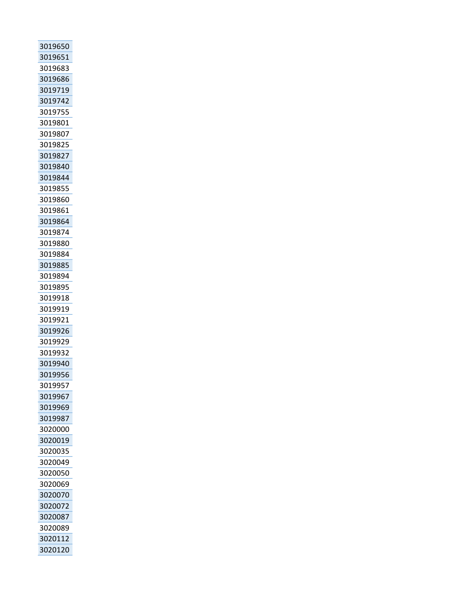| 3019650 |
|---------|
| 3019651 |
| 3019683 |
| 3019686 |
| 3019719 |
| 3019742 |
| 3019755 |
| 3019801 |
| 3019807 |
| 3019825 |
| 3019827 |
| 3019840 |
| 3019844 |
| 3019855 |
| 3019860 |
| 3019861 |
| 3019864 |
| 3019874 |
| 3019880 |
| 3019884 |
| 3019885 |
| 3019894 |
| 3019895 |
| 3019918 |
| 3019919 |
| 3019921 |
| 3019926 |
| 3019929 |
| 3019932 |
| 3019940 |
| 3019956 |
| 3019957 |
| 3019967 |
| 3019969 |
| 3019987 |
| 3020000 |
| 3020019 |
| 3020035 |
| 3020049 |
| 3020050 |
| 3020069 |
| 3020070 |
| 3020072 |
| 3020087 |
| 3020089 |
| 3020112 |
| 3020120 |
|         |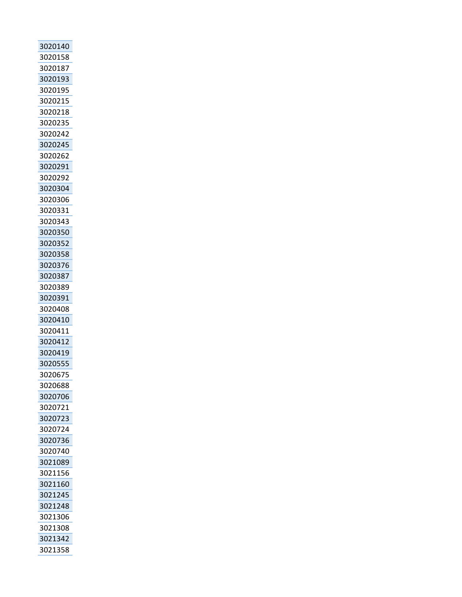| 3020140 |
|---------|
| 3020158 |
| 3020187 |
| 3020193 |
| 3020195 |
| 3020215 |
| 3020218 |
| 3020235 |
| 3020242 |
| 3020245 |
| 3020262 |
| 3020291 |
| 3020292 |
| 3020304 |
| 3020306 |
| 3020331 |
| 3020343 |
| 3020350 |
| 3020352 |
| 3020358 |
| 3020376 |
| 3020387 |
| 3020389 |
| 3020391 |
| 3020408 |
| 3020410 |
| 3020411 |
| 3020412 |
| 3020419 |
|         |
| 3020555 |
| 3020675 |
| 3020688 |
| 3020706 |
| 3020721 |
| 3020723 |
| 3020724 |
| 3020736 |
| 3020740 |
| 3021089 |
| 3021156 |
| 3021160 |
| 3021245 |
| 3021248 |
| 3021306 |
| 3021308 |
| 3021342 |
| 3021358 |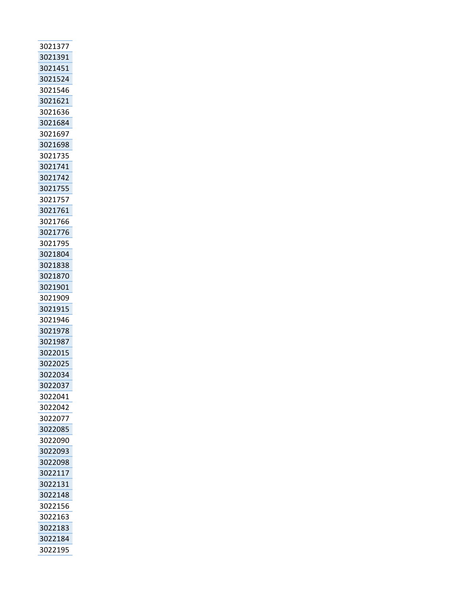| 3021377 |
|---------|
| 3021391 |
| 3021451 |
| 3021524 |
| 3021546 |
| 3021621 |
| 3021636 |
| 3021684 |
| 3021697 |
| 3021698 |
| 3021735 |
| 3021741 |
| 3021742 |
| 3021755 |
| 3021757 |
| 3021761 |
| 3021766 |
| 3021776 |
| 3021795 |
| 3021804 |
| 3021838 |
| 3021870 |
| 3021901 |
| 3021909 |
| 3021915 |
| 3021946 |
| 3021978 |
| 3021987 |
| 3022015 |
| 3022025 |
| 3022034 |
| 3022037 |
| 3022041 |
| 3022042 |
| 3022077 |
| 3022085 |
| 3022090 |
| 3022093 |
| 3022098 |
| 3022117 |
|         |
| 3022131 |
| 3022148 |
| 3022156 |
| 3022163 |
| 3022183 |
| 3022184 |
| 3022195 |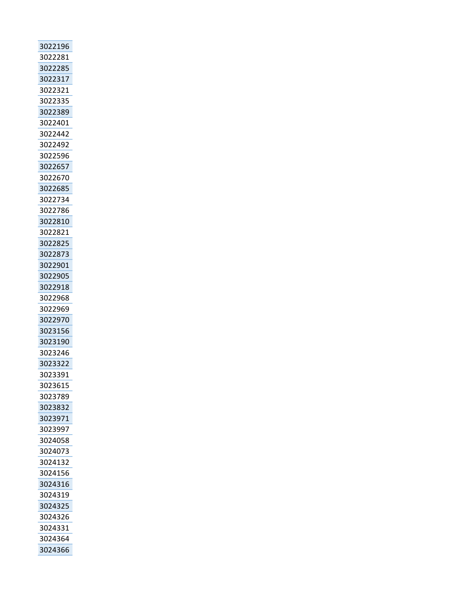| 3022196 |
|---------|
| 3022281 |
| 3022285 |
| 3022317 |
| 3022321 |
| 3022335 |
| 3022389 |
| 3022401 |
| 3022442 |
| 3022492 |
| 3022596 |
| 3022657 |
| 3022670 |
| 3022685 |
| 3022734 |
| 3022786 |
| 3022810 |
| 3022821 |
| 3022825 |
| 3022873 |
| 3022901 |
| 3022905 |
| 3022918 |
| 3022968 |
| 3022969 |
| 3022970 |
| 3023156 |
| 3023190 |
| 3023246 |
| 3023322 |
| 3023391 |
| 3023615 |
| 3023789 |
| 3023832 |
| 3023971 |
| 3023997 |
| 3024058 |
|         |
| 3024073 |
| 3024132 |
| 3024156 |
| 3024316 |
| 3024319 |
| 3024325 |
| 3024326 |
| 3024331 |
| 3024364 |
| 3024366 |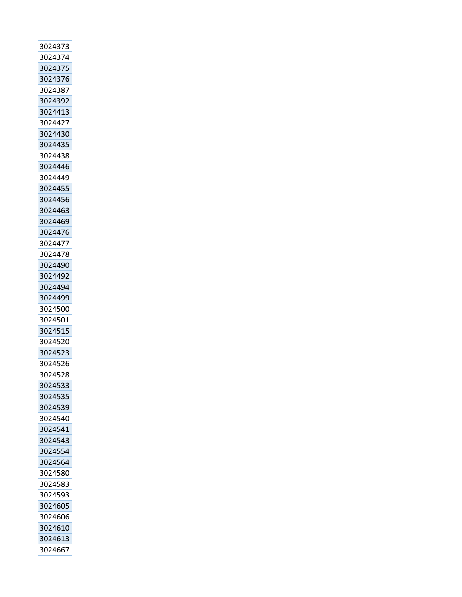| 3024373 |
|---------|
| 3024374 |
| 3024375 |
| 3024376 |
| 3024387 |
| 3024392 |
| 3024413 |
| 3024427 |
| 3024430 |
| 3024435 |
| 3024438 |
| 3024446 |
| 3024449 |
| 3024455 |
| 3024456 |
| 3024463 |
| 3024469 |
| 3024476 |
| 3024477 |
| 3024478 |
| 3024490 |
| 3024492 |
| 3024494 |
| 3024499 |
| 3024500 |
| 3024501 |
| 3024515 |
| 3024520 |
| 3024523 |
| 3024526 |
| 3024528 |
| 3024533 |
| 3024535 |
| 3024539 |
| 3024540 |
| 3024541 |
| 3024543 |
| 3024554 |
|         |
| 3024564 |
| 3024580 |
| 3024583 |
| 3024593 |
| 3024605 |
| 3024606 |
| 3024610 |
| 3024613 |
| 3024667 |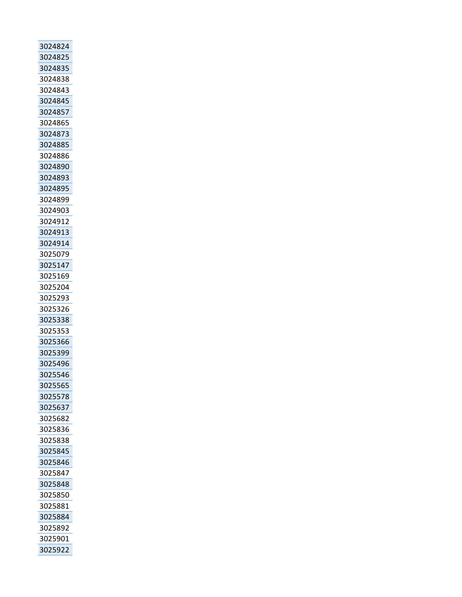| 3024824 |
|---------|
| 3024825 |
| 3024835 |
| 3024838 |
| 3024843 |
| 3024845 |
| 3024857 |
| 3024865 |
| 3024873 |
| 3024885 |
| 3024886 |
| 3024890 |
| 3024893 |
| 3024895 |
| 3024899 |
| 3024903 |
| 3024912 |
| 3024913 |
| 3024914 |
| 3025079 |
| 3025147 |
| 3025169 |
| 3025204 |
| 3025293 |
| 3025326 |
| 3025338 |
| 3025353 |
| 3025366 |
| 3025399 |
| 3025496 |
| 3025546 |
| 3025565 |
| 3025578 |
| 3025637 |
| 3025682 |
| 3025836 |
| 3025838 |
| 3025845 |
| 3025846 |
| 3025847 |
| 3025848 |
| 3025850 |
| 3025881 |
| 3025884 |
| 3025892 |
| 3025901 |
| 3025922 |
|         |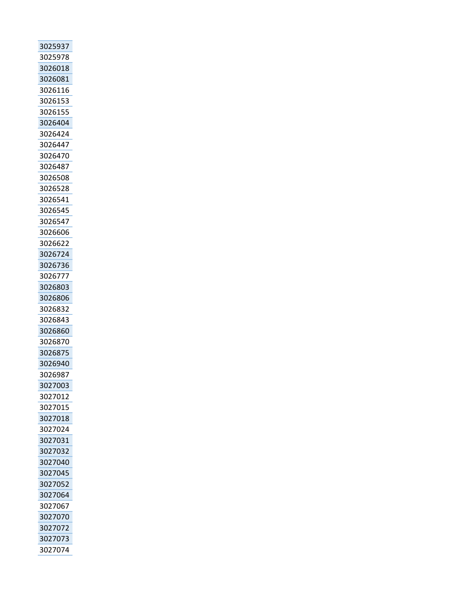| 3025937 |
|---------|
| 3025978 |
| 3026018 |
| 3026081 |
| 3026116 |
| 3026153 |
| 3026155 |
| 3026404 |
| 3026424 |
| 3026447 |
| 3026470 |
| 3026487 |
| 3026508 |
| 3026528 |
| 3026541 |
| 3026545 |
| 3026547 |
| 3026606 |
| 3026622 |
| 3026724 |
| 3026736 |
| 3026777 |
| 3026803 |
| 3026806 |
| 3026832 |
| 3026843 |
| 3026860 |
| 3026870 |
| 3026875 |
| 3026940 |
| 3026987 |
| 3027003 |
| 3027012 |
| 3027015 |
| 3027018 |
| 3027024 |
| 3027031 |
| 3027032 |
| 3027040 |
| 3027045 |
| 3027052 |
| 3027064 |
| 3027067 |
| 3027070 |
| 3027072 |
| 3027073 |
| 3027074 |
|         |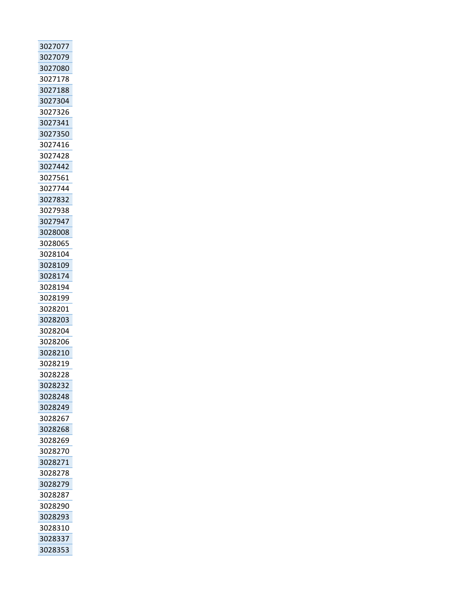| 3027077 |
|---------|
| 3027079 |
| 3027080 |
| 3027178 |
| 3027188 |
| 3027304 |
| 3027326 |
| 3027341 |
| 3027350 |
| 3027416 |
| 3027428 |
| 3027442 |
| 3027561 |
| 3027744 |
| 3027832 |
|         |
| 3027938 |
| 3027947 |
| 3028008 |
| 3028065 |
| 3028104 |
| 3028109 |
| 3028174 |
| 3028194 |
| 3028199 |
| 3028201 |
| 3028203 |
| 3028204 |
| 3028206 |
| 3028210 |
| 3028219 |
| 3028228 |
| 3028232 |
| 3028248 |
| 3028249 |
| 3028267 |
| 3028268 |
| 3028269 |
| 3028270 |
| 3028271 |
| 3028278 |
| 3028279 |
| 3028287 |
|         |
| 3028290 |
| 3028293 |
| 3028310 |
| 3028337 |
| 3028353 |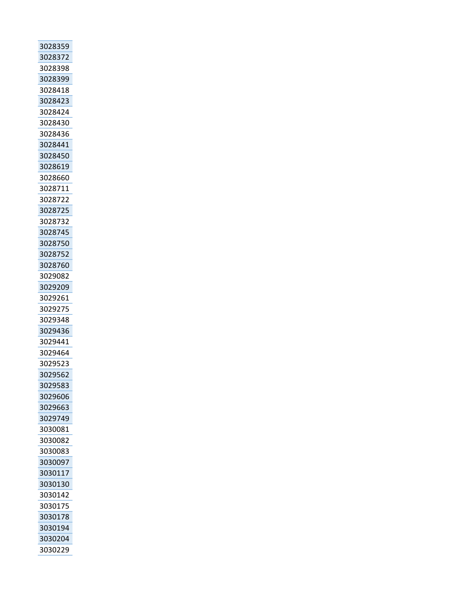| 3028359 |
|---------|
| 3028372 |
| 3028398 |
| 3028399 |
| 3028418 |
| 3028423 |
| 3028424 |
| 3028430 |
| 3028436 |
| 3028441 |
| 3028450 |
| 3028619 |
| 3028660 |
| 3028711 |
| 3028722 |
| 3028725 |
| 3028732 |
| 3028745 |
| 3028750 |
| 3028752 |
| 3028760 |
| 3029082 |
| 3029209 |
| 3029261 |
| 3029275 |
| 3029348 |
| 3029436 |
| 3029441 |
| 3029464 |
| 3029523 |
| 3029562 |
| 3029583 |
| 3029606 |
| 3029663 |
| 3029749 |
| 3030081 |
| 3030082 |
| 3030083 |
| 3030097 |
| 3030117 |
| 3030130 |
| 3030142 |
| 3030175 |
| 3030178 |
| 3030194 |
| 3030204 |
| 3030229 |
|         |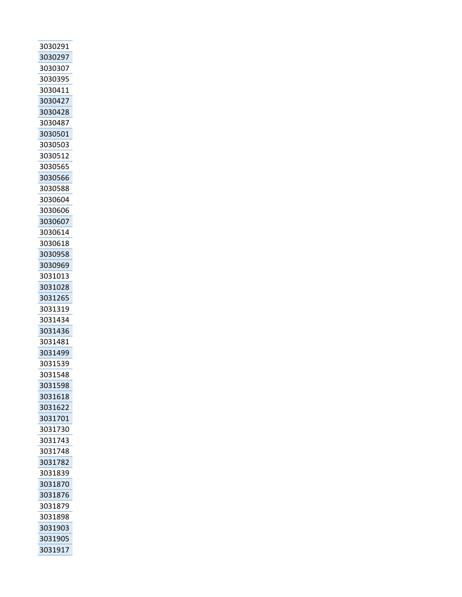| 3030291 |
|---------|
| 3030297 |
| 3030307 |
| 3030395 |
| 3030411 |
| 3030427 |
| 3030428 |
| 3030487 |
| 3030501 |
| 3030503 |
| 3030512 |
| 3030565 |
| 3030566 |
| 3030588 |
| 3030604 |
| 3030606 |
| 3030607 |
| 3030614 |
|         |
| 3030618 |
| 3030958 |
| 3030969 |
| 3031013 |
| 3031028 |
| 3031265 |
| 3031319 |
| 3031434 |
| 3031436 |
| 3031481 |
| 3031499 |
| 3031539 |
| 3031548 |
| 3031598 |
| 3031618 |
| 3031622 |
| 3031701 |
| 3031730 |
| 3031743 |
| 3031748 |
| 3031782 |
| 3031839 |
| 3031870 |
| 3031876 |
| 3031879 |
| 3031898 |
| 3031903 |
| 3031905 |
| 3031917 |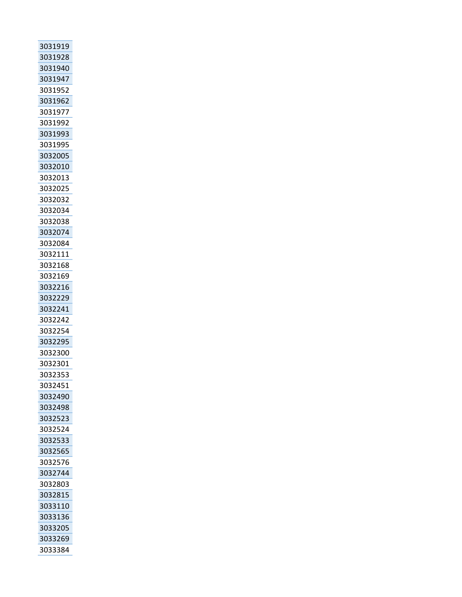| 3031919 |  |
|---------|--|
| 3031928 |  |
| 3031940 |  |
| 3031947 |  |
| 3031952 |  |
| 3031962 |  |
| 3031977 |  |
| 3031992 |  |
| 3031993 |  |
| 3031995 |  |
| 3032005 |  |
| 3032010 |  |
| 3032013 |  |
| 3032025 |  |
| 3032032 |  |
| 3032034 |  |
| 3032038 |  |
| 3032074 |  |
| 3032084 |  |
| 3032111 |  |
| 3032168 |  |
| 3032169 |  |
| 3032216 |  |
| 3032229 |  |
| 3032241 |  |
| 3032242 |  |
| 3032254 |  |
|         |  |
| 3032295 |  |
| 3032300 |  |
| 3032301 |  |
| 3032353 |  |
| 3032451 |  |
| 3032490 |  |
| 3032498 |  |
| 3032523 |  |
| 3032524 |  |
| 3032533 |  |
| 3032565 |  |
| 3032576 |  |
| 3032744 |  |
| 3032803 |  |
| 3032815 |  |
| 3033110 |  |
| 3033136 |  |
| 3033205 |  |
| 3033269 |  |
| 3033384 |  |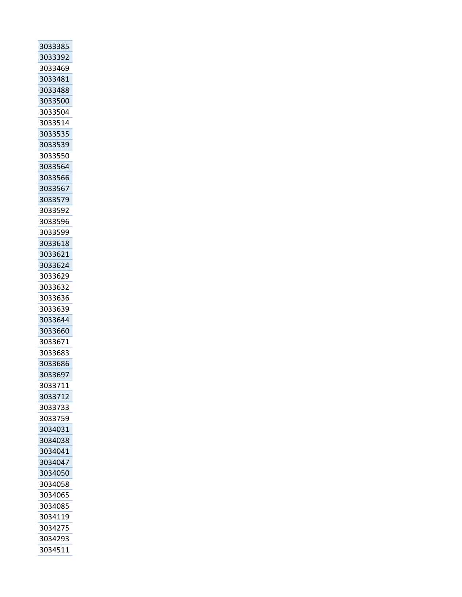| 3033385 |
|---------|
| 3033392 |
| 3033469 |
| 3033481 |
| 3033488 |
| 3033500 |
| 3033504 |
| 3033514 |
| 3033535 |
| 3033539 |
| 3033550 |
| 3033564 |
| 3033566 |
|         |
| 3033567 |
| 3033579 |
| 3033592 |
| 3033596 |
| 3033599 |
| 3033618 |
| 3033621 |
| 3033624 |
| 3033629 |
| 3033632 |
| 3033636 |
| 3033639 |
| 3033644 |
| 3033660 |
| 3033671 |
| 3033683 |
| 3033686 |
| 3033697 |
| 3033711 |
| 3033712 |
| 3033733 |
| 3033759 |
| 3034031 |
| 3034038 |
| 3034041 |
| 3034047 |
| 3034050 |
| 3034058 |
| 3034065 |
|         |
| 3034085 |
| 3034119 |
| 3034275 |
| 3034293 |
| 3034511 |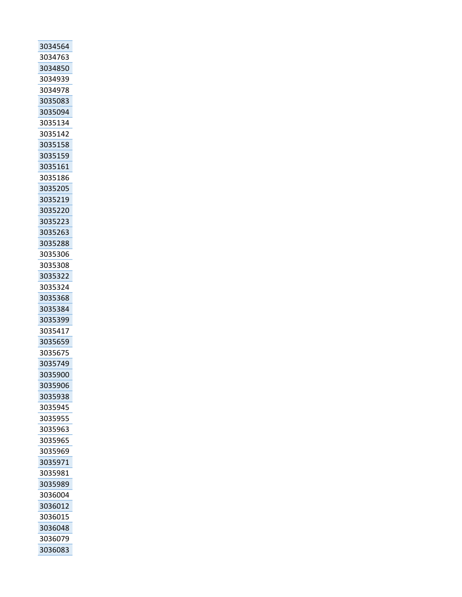| 3034564 |
|---------|
| 3034763 |
| 3034850 |
| 3034939 |
| 3034978 |
| 3035083 |
| 3035094 |
| 3035134 |
| 3035142 |
| 3035158 |
| 3035159 |
| 3035161 |
|         |
| 3035186 |
| 3035205 |
| 3035219 |
| 3035220 |
| 3035223 |
| 3035263 |
| 3035288 |
| 3035306 |
| 3035308 |
| 3035322 |
| 3035324 |
| 3035368 |
| 3035384 |
| 3035399 |
| 3035417 |
| 3035659 |
| 3035675 |
| 3035749 |
| 3035900 |
| 3035906 |
| 3035938 |
| 3035945 |
| 3035955 |
| 3035963 |
| 3035965 |
|         |
| 3035969 |
| 3035971 |
| 3035981 |
| 3035989 |
| 3036004 |
| 3036012 |
| 3036015 |
| 3036048 |
| 3036079 |
| 3036083 |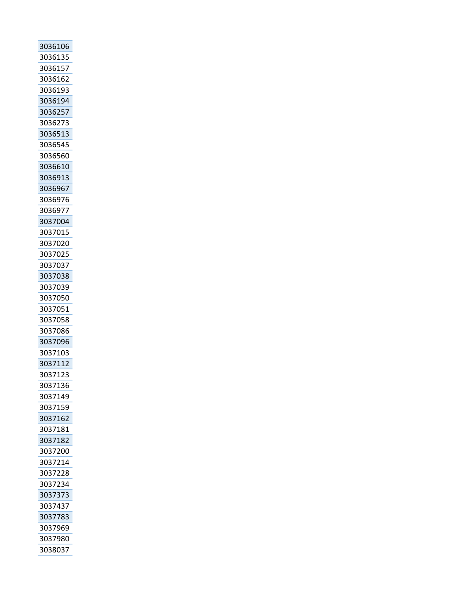| 3036106 |
|---------|
| 3036135 |
| 3036157 |
| 3036162 |
| 3036193 |
| 3036194 |
| 3036257 |
| 3036273 |
| 3036513 |
| 3036545 |
| 3036560 |
| 3036610 |
| 3036913 |
| 3036967 |
| 3036976 |
| 3036977 |
| 3037004 |
| 3037015 |
| 3037020 |
|         |
| 3037025 |
| 3037037 |
| 3037038 |
| 3037039 |
| 3037050 |
| 3037051 |
| 3037058 |
| 3037086 |
| 3037096 |
| 3037103 |
| 3037112 |
| 3037123 |
| 3037136 |
| 3037149 |
| 3037159 |
| 3037162 |
| 3037181 |
| 3037182 |
| 3037200 |
| 3037214 |
| 3037228 |
| 3037234 |
| 3037373 |
| 3037437 |
| 3037783 |
| 3037969 |
| 3037980 |
| 3038037 |
|         |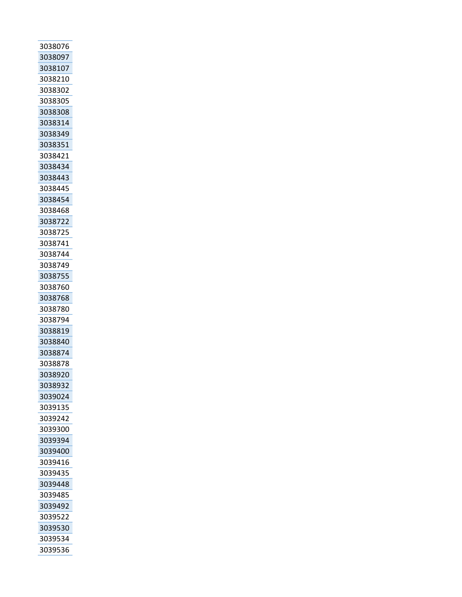| 3038076 |
|---------|
| 3038097 |
| 3038107 |
| 3038210 |
| 3038302 |
| 3038305 |
| 3038308 |
| 3038314 |
| 3038349 |
| 3038351 |
| 3038421 |
| 3038434 |
| 3038443 |
| 3038445 |
| 3038454 |
| 3038468 |
| 3038722 |
| 3038725 |
| 3038741 |
| 3038744 |
|         |
| 3038749 |
| 3038755 |
| 3038760 |
| 3038768 |
| 3038780 |
| 3038794 |
| 3038819 |
| 3038840 |
| 3038874 |
| 3038878 |
| 3038920 |
| 3038932 |
| 3039024 |
| 3039135 |
| 3039242 |
| 3039300 |
| 3039394 |
| 3039400 |
| 3039416 |
| 3039435 |
| 3039448 |
|         |
| 3039485 |
| 3039492 |
| 3039522 |
| 3039530 |
| 3039534 |
| 3039536 |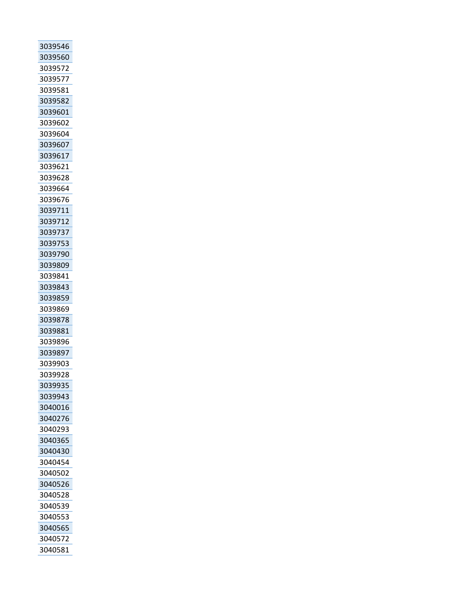| 3039546 |
|---------|
| 3039560 |
| 3039572 |
| 3039577 |
| 3039581 |
| 3039582 |
| 3039601 |
| 3039602 |
| 3039604 |
| 3039607 |
| 3039617 |
| 3039621 |
| 3039628 |
|         |
| 3039664 |
| 3039676 |
| 3039711 |
| 3039712 |
| 3039737 |
| 3039753 |
| 3039790 |
| 3039809 |
| 3039841 |
| 3039843 |
| 3039859 |
| 3039869 |
| 3039878 |
| 3039881 |
| 3039896 |
| 3039897 |
| 3039903 |
| 3039928 |
| 3039935 |
| 3039943 |
| 3040016 |
| 3040276 |
| 3040293 |
| 3040365 |
| 3040430 |
|         |
| 3040454 |
| 3040502 |
| 3040526 |
| 3040528 |
| 3040539 |
| 3040553 |
| 3040565 |
| 3040572 |
| 3040581 |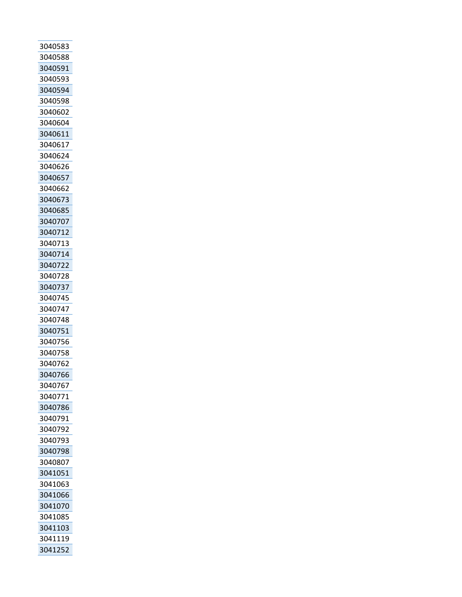| 3040583 |
|---------|
| 3040588 |
| 3040591 |
| 3040593 |
| 3040594 |
| 3040598 |
| 3040602 |
| 3040604 |
| 3040611 |
| 3040617 |
| 3040624 |
| 3040626 |
| 3040657 |
| 3040662 |
| 3040673 |
| 3040685 |
| 3040707 |
| 3040712 |
| 3040713 |
| 3040714 |
| 3040722 |
| 3040728 |
| 3040737 |
| 3040745 |
| 3040747 |
| 3040748 |
| 3040751 |
| 3040756 |
| 3040758 |
| 3040762 |
| 3040766 |
| 3040767 |
| 3040771 |
| 3040786 |
| 3040791 |
|         |
| 3040792 |
| 3040793 |
| 3040798 |
| 3040807 |
| 3041051 |
| 3041063 |
| 3041066 |
| 3041070 |
| 3041085 |
| 3041103 |
| 3041119 |
| 3041252 |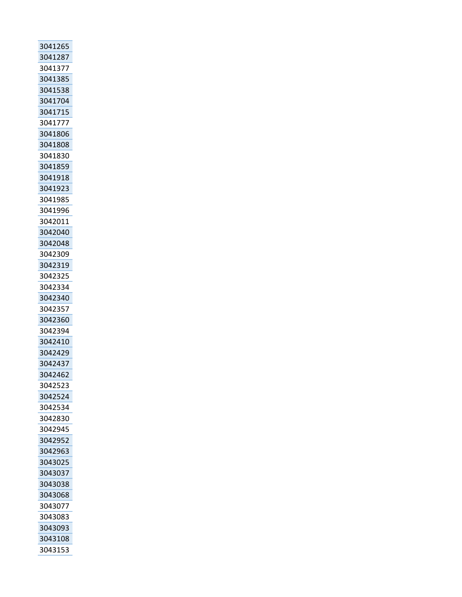| 3041265 |
|---------|
| 3041287 |
| 3041377 |
| 3041385 |
| 3041538 |
| 3041704 |
| 3041715 |
| 3041777 |
| 3041806 |
| 3041808 |
| 3041830 |
| 3041859 |
| 3041918 |
| 3041923 |
| 3041985 |
| 3041996 |
| 3042011 |
| 3042040 |
| 3042048 |
| 3042309 |
| 3042319 |
|         |
| 3042325 |
| 3042334 |
| 3042340 |
| 3042357 |
| 3042360 |
| 3042394 |
| 3042410 |
| 3042429 |
| 3042437 |
| 3042462 |
| 3042523 |
| 3042524 |
| 3042534 |
| 3042830 |
| 3042945 |
| 3042952 |
| 3042963 |
| 3043025 |
| 3043037 |
| 3043038 |
| 3043068 |
| 3043077 |
| 3043083 |
| 3043093 |
| 3043108 |
| 3043153 |
|         |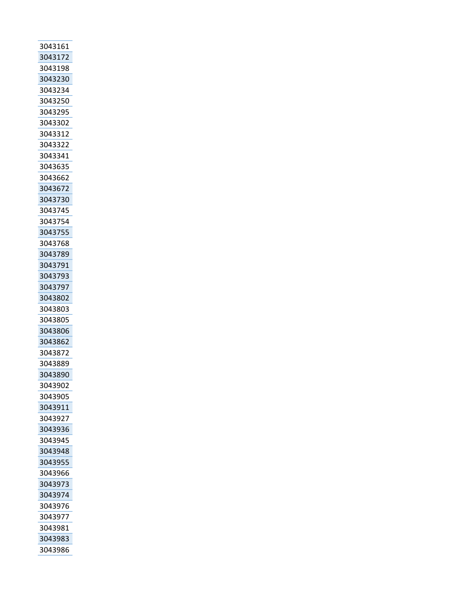| 3043161            |
|--------------------|
| 3043172            |
| 3043198            |
| 3043230            |
| 3043234            |
| 3043250            |
| 3043295            |
| 3043302            |
| 3043312            |
| 3043322            |
| 3043341            |
| 3043635            |
| 3043662            |
| 3043672            |
| 3043730            |
| 3043745            |
| 3043754            |
| 3043755            |
| 3043768            |
| 3043789            |
| 3043791            |
| 3043793            |
| 3043797            |
| 3043802            |
| 3043803            |
| 3043805            |
| 3043806            |
| 3043862            |
| 3043872            |
| 3043889            |
|                    |
| 3043890<br>3043902 |
|                    |
| 3043905            |
| 3043911            |
| 3043927            |
| 3043936            |
| 3043945            |
| 3043948            |
| 3043955            |
| 3043966            |
| 3043973            |
| 3043974            |
| 3043976            |
| 3043977            |
| 3043981            |
| 3043983            |
| 3043986            |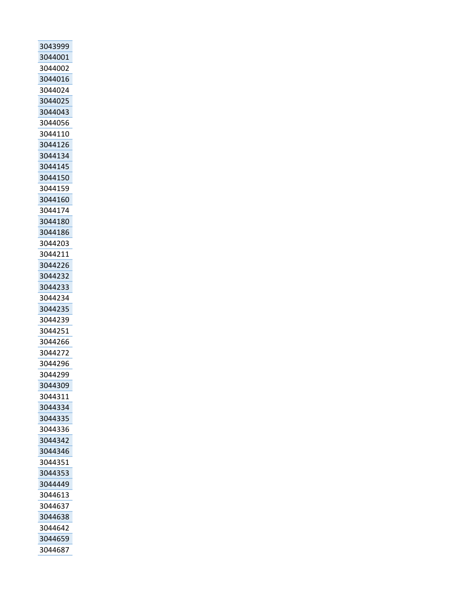| 3043999 |
|---------|
| 3044001 |
| 3044002 |
| 3044016 |
| 3044024 |
| 3044025 |
| 3044043 |
| 3044056 |
| 3044110 |
| 3044126 |
| 3044134 |
| 3044145 |
| 3044150 |
| 3044159 |
| 3044160 |
| 3044174 |
| 3044180 |
| 3044186 |
| 3044203 |
| 3044211 |
| 3044226 |
| 3044232 |
|         |
| 3044233 |
| 3044234 |
| 3044235 |
| 3044239 |
| 3044251 |
| 3044266 |
| 3044272 |
| 3044296 |
| 3044299 |
| 3044309 |
| 3044311 |
| 3044334 |
| 3044335 |
| 3044336 |
| 3044342 |
| 3044346 |
| 3044351 |
| 3044353 |
| 3044449 |
| 3044613 |
| 3044637 |
| 3044638 |
| 3044642 |
| 3044659 |
| 3044687 |
|         |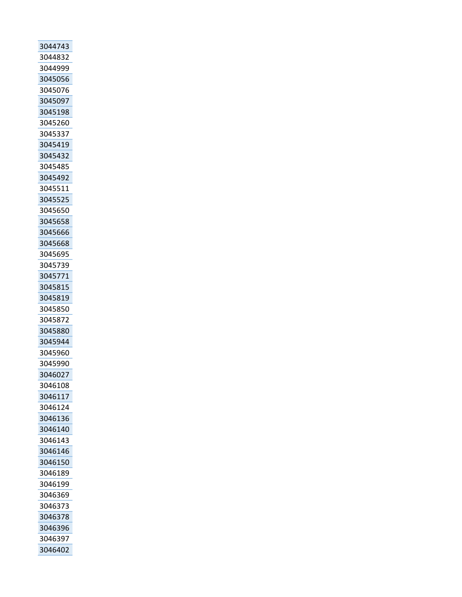| 3044743 |
|---------|
| 3044832 |
| 3044999 |
| 3045056 |
| 3045076 |
| 3045097 |
| 3045198 |
| 3045260 |
| 3045337 |
| 3045419 |
| 3045432 |
| 3045485 |
| 3045492 |
| 3045511 |
| 3045525 |
| 3045650 |
| 3045658 |
| 3045666 |
|         |
| 3045668 |
| 3045695 |
| 3045739 |
| 3045771 |
| 3045815 |
| 3045819 |
| 3045850 |
| 3045872 |
| 3045880 |
| 3045944 |
| 3045960 |
| 3045990 |
| 3046027 |
| 3046108 |
| 3046117 |
| 3046124 |
| 3046136 |
| 3046140 |
| 3046143 |
| 3046146 |
| 3046150 |
| 3046189 |
| 3046199 |
| 3046369 |
| 3046373 |
| 3046378 |
| 3046396 |
| 3046397 |
| 3046402 |
|         |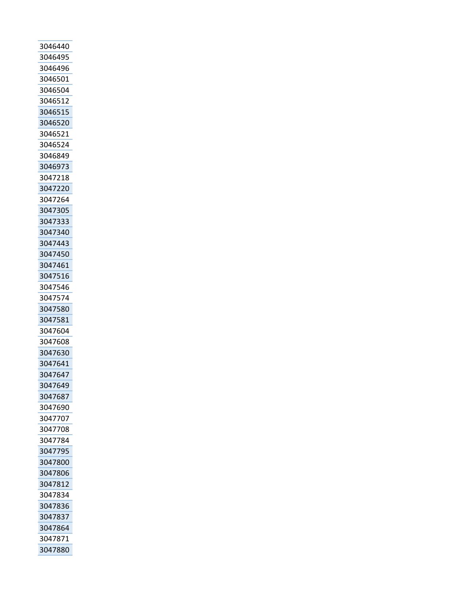| 3046440 |
|---------|
| 3046495 |
| 3046496 |
| 3046501 |
| 3046504 |
| 3046512 |
| 3046515 |
| 3046520 |
| 3046521 |
| 3046524 |
| 3046849 |
| 3046973 |
| 3047218 |
| 3047220 |
| 3047264 |
| 3047305 |
| 3047333 |
| 3047340 |
| 3047443 |
| 3047450 |
| 3047461 |
| 3047516 |
| 3047546 |
| 3047574 |
| 3047580 |
| 3047581 |
| 3047604 |
| 3047608 |
| 3047630 |
|         |
| 3047641 |
| 3047647 |
| 3047649 |
| 3047687 |
| 3047690 |
| 3047707 |
| 3047708 |
| 3047784 |
| 3047795 |
| 3047800 |
| 3047806 |
| 3047812 |
| 3047834 |
| 3047836 |
| 3047837 |
| 3047864 |
| 3047871 |
| 3047880 |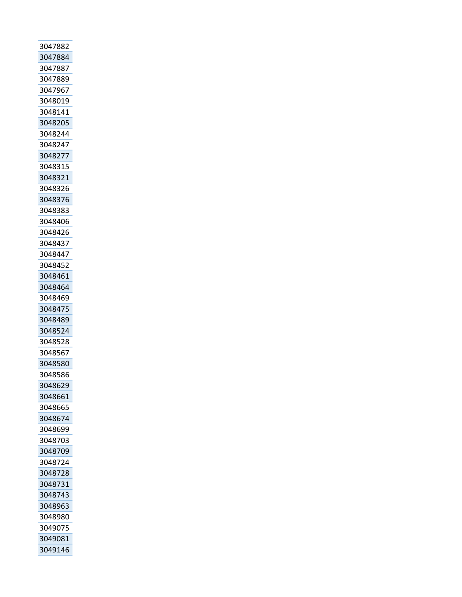| 3047882            |
|--------------------|
| 3047884            |
| 3047887            |
| 3047889            |
| 3047967            |
| 3048019            |
| 3048141            |
| 3048205            |
| 3048244            |
| 3048247            |
| 3048277            |
| 3048315            |
| 3048321            |
| 3048326            |
| 3048376            |
| 3048383            |
| 3048406            |
| 3048426            |
| 3048437            |
| 3048447            |
| 3048452            |
| 3048461            |
| 3048464            |
| 3048469            |
| 3048475            |
| 3048489            |
| 3048524            |
| 3048528            |
| 3048567            |
| 3048580            |
| 3048586            |
| 3048629            |
|                    |
| 3048661<br>3048665 |
|                    |
| 3048674            |
| 3048699            |
| 3048703            |
| 3048709            |
| 3048724            |
| 3048728            |
| 3048731            |
| 3048743            |
| 3048963            |
| 3048980            |
| 3049075            |
| 3049081            |
| 3049146            |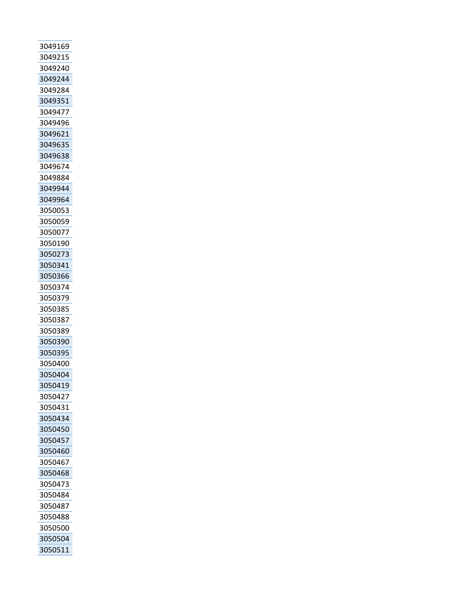| 3049169 |
|---------|
| 3049215 |
| 3049240 |
| 3049244 |
| 3049284 |
| 3049351 |
| 3049477 |
| 3049496 |
| 3049621 |
| 3049635 |
| 3049638 |
| 3049674 |
| 3049884 |
| 3049944 |
| 3049964 |
| 3050053 |
| 3050059 |
| 3050077 |
| 3050190 |
| 3050273 |
| 3050341 |
| 3050366 |
| 3050374 |
| 3050379 |
| 3050385 |
| 3050387 |
| 3050389 |
| 3050390 |
| 3050395 |
| 3050400 |
| 3050404 |
| 3050419 |
| 3050427 |
| 3050431 |
| 3050434 |
| 3050450 |
|         |
| 3050457 |
| 3050460 |
| 3050467 |
| 3050468 |
| 3050473 |
| 3050484 |
| 3050487 |
| 3050488 |
| 3050500 |
| 3050504 |
| 3050511 |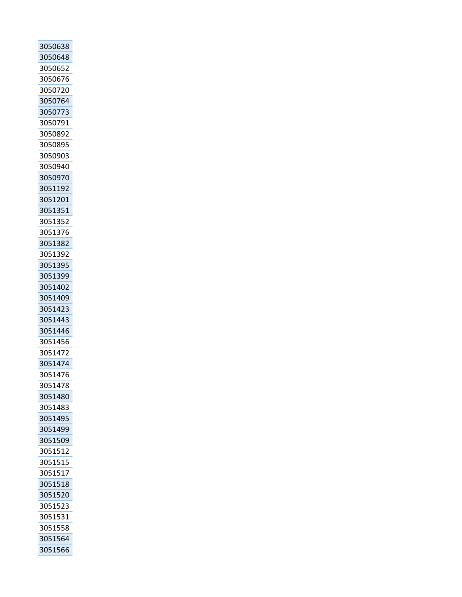| 3050638 |
|---------|
| 3050648 |
| 3050652 |
| 3050676 |
| 3050720 |
| 3050764 |
| 3050773 |
| 3050791 |
| 3050892 |
| 3050895 |
| 3050903 |
| 3050940 |
| 3050970 |
|         |
| 3051192 |
| 3051201 |
| 3051351 |
| 3051352 |
| 3051376 |
| 3051382 |
| 3051392 |
| 3051395 |
| 3051399 |
| 3051402 |
| 3051409 |
| 3051423 |
| 3051443 |
| 3051446 |
| 3051456 |
| 3051472 |
| 3051474 |
| 3051476 |
| 3051478 |
| 3051480 |
| 3051483 |
| 3051495 |
| 3051499 |
| 3051509 |
| 3051512 |
| 3051515 |
| 3051517 |
|         |
| 3051518 |
| 3051520 |
| 3051523 |
| 3051531 |
| 3051558 |
| 3051564 |
| 3051566 |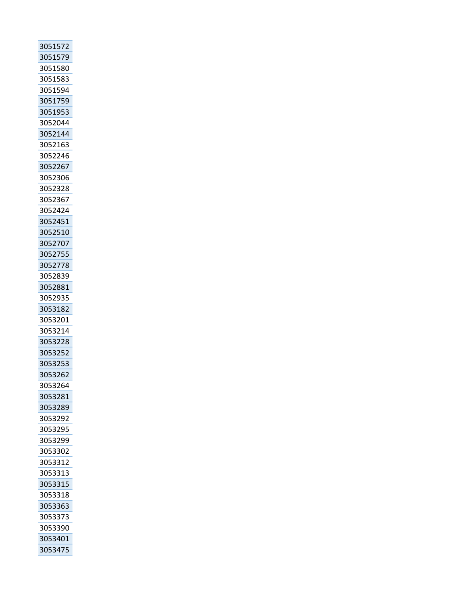| 3051572 |
|---------|
| 3051579 |
| 3051580 |
| 3051583 |
| 3051594 |
| 3051759 |
| 3051953 |
| 3052044 |
| 3052144 |
| 3052163 |
| 3052246 |
| 3052267 |
| 3052306 |
|         |
| 3052328 |
| 3052367 |
| 3052424 |
| 3052451 |
| 3052510 |
| 3052707 |
| 3052755 |
| 3052778 |
| 3052839 |
| 3052881 |
| 3052935 |
| 3053182 |
| 3053201 |
| 3053214 |
| 3053228 |
| 3053252 |
| 3053253 |
| 3053262 |
| 3053264 |
| 3053281 |
| 3053289 |
| 3053292 |
| 3053295 |
| 3053299 |
| 3053302 |
| 3053312 |
| 3053313 |
| 3053315 |
| 3053318 |
|         |
| 3053363 |
| 3053373 |
| 3053390 |
| 3053401 |
| 3053475 |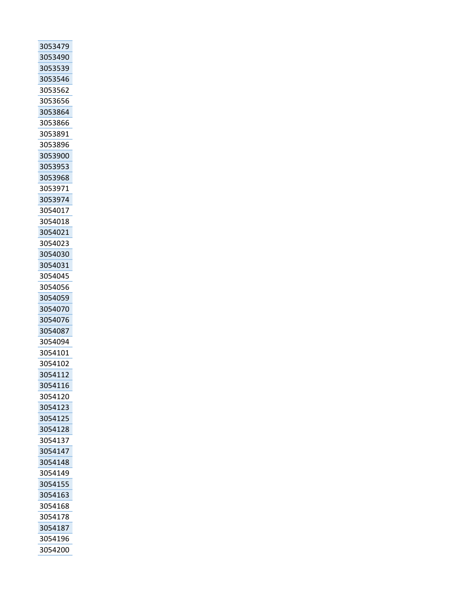| 3053479 |
|---------|
| 3053490 |
| 3053539 |
| 3053546 |
| 3053562 |
| 3053656 |
| 3053864 |
| 3053866 |
| 3053891 |
| 3053896 |
| 3053900 |
| 3053953 |
| 3053968 |
| 3053971 |
| 3053974 |
| 3054017 |
| 3054018 |
| 3054021 |
| 3054023 |
| 3054030 |
| 3054031 |
| 3054045 |
|         |
| 3054056 |
| 3054059 |
| 3054070 |
| 3054076 |
| 3054087 |
| 3054094 |
| 3054101 |
| 3054102 |
| 3054112 |
| 3054116 |
| 3054120 |
| 3054123 |
| 3054125 |
| 3054128 |
| 3054137 |
| 3054147 |
| 3054148 |
| 3054149 |
| 3054155 |
| 3054163 |
| 3054168 |
| 3054178 |
| 3054187 |
| 3054196 |
| 3054200 |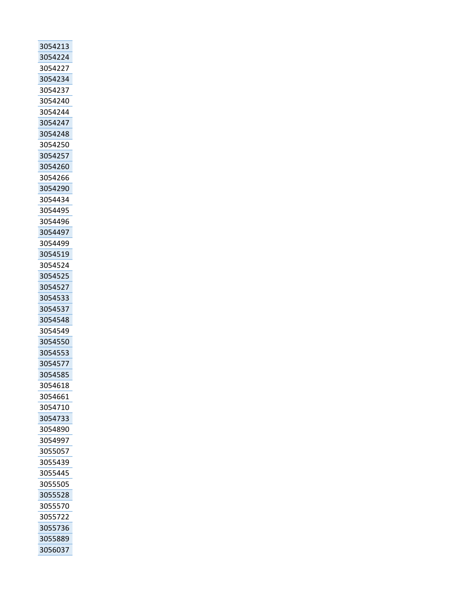| 3054213            |  |
|--------------------|--|
| 3054224            |  |
| 3054227            |  |
| 3054234            |  |
| 3054237            |  |
| 3054240            |  |
| 3054244            |  |
| 3054247            |  |
| 3054248            |  |
| 3054250            |  |
| 3054257            |  |
| 3054260            |  |
| 3054266            |  |
| 3054290            |  |
| 3054434            |  |
| 3054495            |  |
| 3054496            |  |
| 3054497            |  |
| 3054499            |  |
| 3054519            |  |
| 3054524            |  |
| 3054525            |  |
| 3054527            |  |
| 3054533            |  |
|                    |  |
| 3054537            |  |
| 3054548<br>3054549 |  |
|                    |  |
| 3054550            |  |
| 3054553            |  |
| 3054577            |  |
| 3054585            |  |
| 3054618            |  |
| 3054661            |  |
| 3054710            |  |
| 3054733            |  |
| 3054890            |  |
| 3054997            |  |
| 3055057            |  |
| 3055439            |  |
| 3055445            |  |
| 3055505            |  |
| 3055528            |  |
| 3055570            |  |
| 3055722            |  |
| 3055736            |  |
| 3055889            |  |
| 3056037            |  |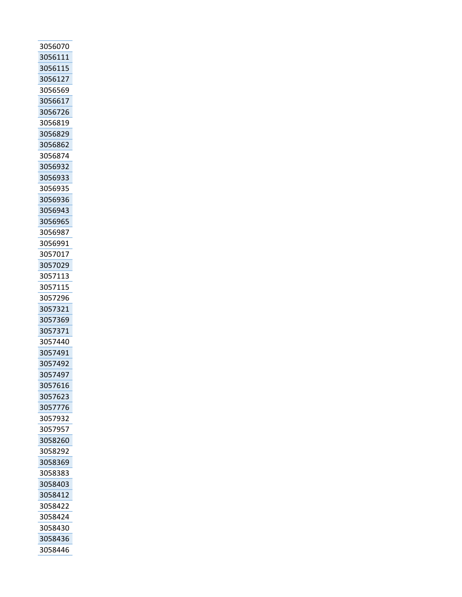| 3056070 |
|---------|
| 3056111 |
| 3056115 |
| 3056127 |
| 3056569 |
| 3056617 |
| 3056726 |
| 3056819 |
| 3056829 |
| 3056862 |
| 3056874 |
|         |
| 3056932 |
| 3056933 |
| 3056935 |
| 3056936 |
| 3056943 |
| 3056965 |
| 3056987 |
| 3056991 |
| 3057017 |
| 3057029 |
| 3057113 |
| 3057115 |
| 3057296 |
| 3057321 |
| 3057369 |
| 3057371 |
|         |
| 3057440 |
| 3057491 |
| 3057492 |
| 3057497 |
| 3057616 |
| 3057623 |
| 3057776 |
| 3057932 |
| 3057957 |
| 3058260 |
| 3058292 |
| 3058369 |
| 3058383 |
| 3058403 |
| 3058412 |
| 3058422 |
|         |
| 3058424 |
| 3058430 |
| 3058436 |
| 3058446 |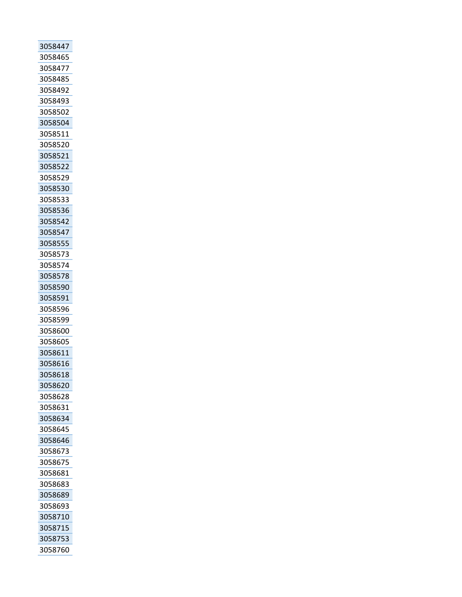| 3058447 |
|---------|
| 3058465 |
| 3058477 |
| 3058485 |
| 3058492 |
| 3058493 |
| 3058502 |
| 3058504 |
| 3058511 |
| 3058520 |
| 3058521 |
| 3058522 |
| 3058529 |
| 3058530 |
| 3058533 |
| 3058536 |
| 3058542 |
|         |
| 3058547 |
| 3058555 |
| 3058573 |
| 3058574 |
| 3058578 |
| 3058590 |
| 3058591 |
| 3058596 |
| 3058599 |
| 3058600 |
| 3058605 |
| 3058611 |
| 3058616 |
| 3058618 |
| 3058620 |
| 3058628 |
| 3058631 |
| 3058634 |
| 3058645 |
| 3058646 |
| 3058673 |
| 3058675 |
| 3058681 |
| 3058683 |
| 3058689 |
| 3058693 |
| 3058710 |
| 3058715 |
|         |
| 3058753 |
| 3058760 |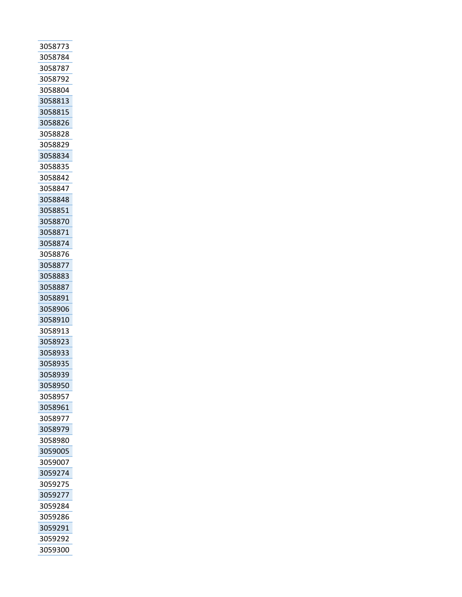| 3058773 |  |
|---------|--|
| 3058784 |  |
| 3058787 |  |
| 3058792 |  |
| 3058804 |  |
| 3058813 |  |
| 3058815 |  |
| 3058826 |  |
| 3058828 |  |
| 3058829 |  |
| 3058834 |  |
| 3058835 |  |
| 3058842 |  |
| 3058847 |  |
| 3058848 |  |
| 3058851 |  |
| 3058870 |  |
| 3058871 |  |
|         |  |
| 3058874 |  |
| 3058876 |  |
| 3058877 |  |
| 3058883 |  |
| 3058887 |  |
| 3058891 |  |
| 3058906 |  |
| 3058910 |  |
| 3058913 |  |
| 3058923 |  |
| 3058933 |  |
| 3058935 |  |
| 3058939 |  |
| 3058950 |  |
| 3058957 |  |
| 3058961 |  |
| 3058977 |  |
| 3058979 |  |
| 3058980 |  |
| 3059005 |  |
| 3059007 |  |
| 3059274 |  |
| 3059275 |  |
| 3059277 |  |
| 3059284 |  |
| 3059286 |  |
| 3059291 |  |
| 3059292 |  |
|         |  |
| 3059300 |  |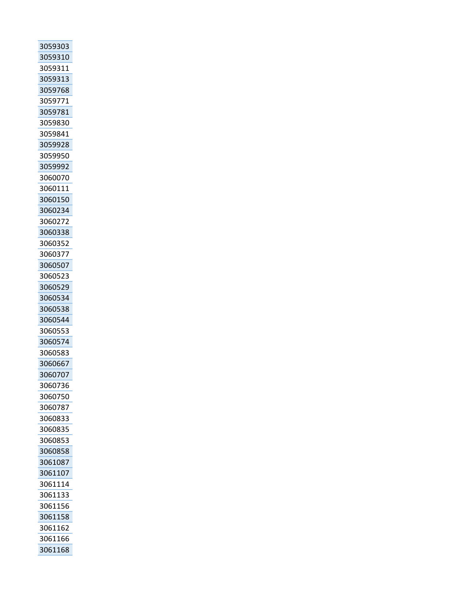| 3059303 |
|---------|
| 3059310 |
| 3059311 |
| 3059313 |
| 3059768 |
| 3059771 |
| 3059781 |
| 3059830 |
| 3059841 |
| 3059928 |
| 3059950 |
| 3059992 |
| 3060070 |
| 3060111 |
| 3060150 |
| 3060234 |
| 3060272 |
| 3060338 |
| 3060352 |
| 3060377 |
| 3060507 |
| 3060523 |
| 3060529 |
| 3060534 |
| 3060538 |
| 3060544 |
| 3060553 |
| 3060574 |
| 3060583 |
| 3060667 |
| 3060707 |
|         |
| 3060736 |
| 3060750 |
| 3060787 |
| 3060833 |
| 3060835 |
| 3060853 |
| 3060858 |
| 3061087 |
| 3061107 |
| 3061114 |
| 3061133 |
| 3061156 |
| 3061158 |
| 3061162 |
| 3061166 |
| 3061168 |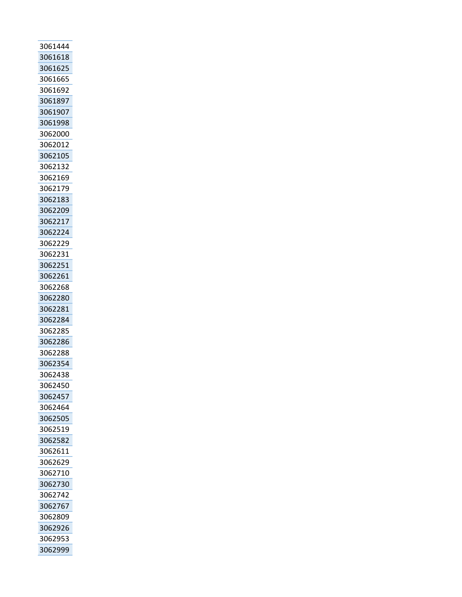| 3061444            |
|--------------------|
| 3061618            |
| 3061625            |
| 3061665            |
| 3061692            |
| 3061897            |
| 3061907            |
| 3061998            |
| 3062000            |
| 3062012            |
| 3062105            |
| 3062132            |
| 3062169            |
| 3062179            |
| 3062183            |
| 3062209            |
| 3062217            |
| 3062224            |
| 3062229            |
| 3062231            |
| 3062251            |
| 3062261            |
| 3062268            |
| 3062280            |
| 3062281            |
|                    |
| 3062284<br>3062285 |
| 3062286            |
|                    |
| 3062288            |
| 3062354            |
| 3062438            |
| 3062450            |
| 3062457            |
| 3062464            |
| 3062505            |
| 3062519            |
| 3062582            |
| 3062611            |
| 3062629            |
| 3062710            |
| 3062730            |
| 3062742            |
| 3062767            |
| 3062809            |
| 3062926            |
| 3062953            |
| 3062999            |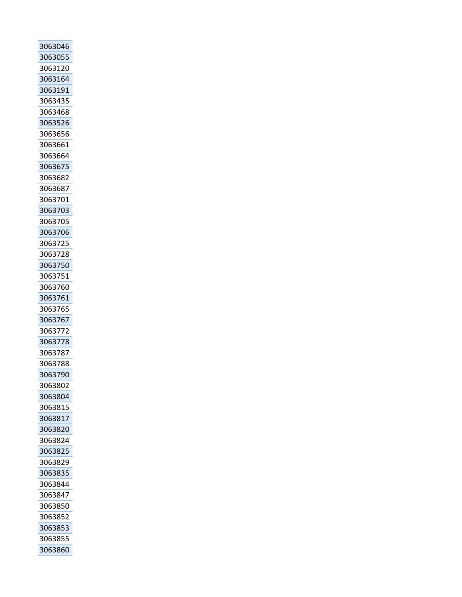| 3063046 |
|---------|
| 3063055 |
| 3063120 |
| 3063164 |
| 3063191 |
| 3063435 |
| 3063468 |
| 3063526 |
| 3063656 |
| 3063661 |
| 3063664 |
| 3063675 |
| 3063682 |
| 3063687 |
| 3063701 |
| 3063703 |
| 3063705 |
| 3063706 |
| 3063725 |
| 3063728 |
| 3063750 |
| 3063751 |
| 3063760 |
| 3063761 |
| 3063765 |
| 3063767 |
| 3063772 |
| 3063778 |
| 3063787 |
| 3063788 |
| 3063790 |
| 3063802 |
| 3063804 |
| 3063815 |
| 3063817 |
| 3063820 |
| 3063824 |
| 3063825 |
| 3063829 |
| 3063835 |
| 3063844 |
| 3063847 |
| 3063850 |
| 3063852 |
| 3063853 |
| 3063855 |
| 3063860 |
|         |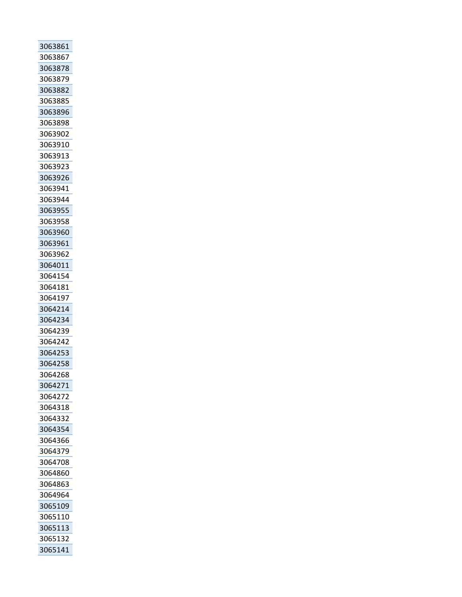| 3063861 |
|---------|
| 3063867 |
| 3063878 |
| 3063879 |
| 3063882 |
| 3063885 |
| 3063896 |
| 3063898 |
| 3063902 |
| 3063910 |
| 3063913 |
| 3063923 |
| 3063926 |
| 3063941 |
| 3063944 |
| 3063955 |
| 3063958 |
| 3063960 |
| 3063961 |
| 3063962 |
| 3064011 |
| 3064154 |
| 3064181 |
| 3064197 |
| 3064214 |
| 3064234 |
| 3064239 |
| 3064242 |
| 3064253 |
| 3064258 |
| 3064268 |
| 3064271 |
| 3064272 |
| 3064318 |
| 3064332 |
| 3064354 |
| 3064366 |
| 3064379 |
| 3064708 |
| 3064860 |
| 3064863 |
| 3064964 |
| 3065109 |
| 3065110 |
| 3065113 |
| 3065132 |
| 3065141 |
|         |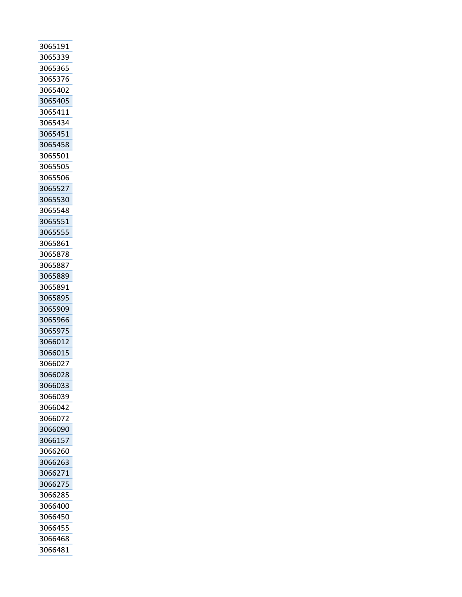| 3065191 |
|---------|
| 3065339 |
| 3065365 |
| 3065376 |
| 3065402 |
| 3065405 |
| 3065411 |
| 3065434 |
| 3065451 |
| 3065458 |
| 3065501 |
| 3065505 |
| 3065506 |
| 3065527 |
| 3065530 |
| 3065548 |
|         |
| 3065551 |
| 3065555 |
| 3065861 |
| 3065878 |
| 3065887 |
| 3065889 |
| 3065891 |
| 3065895 |
| 3065909 |
| 3065966 |
| 3065975 |
| 3066012 |
| 3066015 |
| 3066027 |
| 3066028 |
| 3066033 |
| 3066039 |
| 3066042 |
| 3066072 |
| 3066090 |
| 3066157 |
| 3066260 |
| 3066263 |
| 3066271 |
| 3066275 |
| 3066285 |
| 3066400 |
| 3066450 |
| 3066455 |
|         |
| 3066468 |
| 3066481 |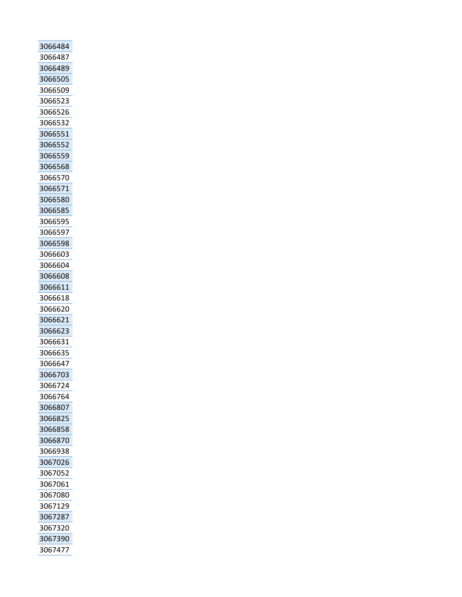| 3066484 |
|---------|
| 3066487 |
| 3066489 |
| 3066505 |
| 3066509 |
| 3066523 |
| 3066526 |
| 3066532 |
| 3066551 |
| 3066552 |
| 3066559 |
| 3066568 |
| 3066570 |
| 3066571 |
| 3066580 |
| 3066585 |
| 3066595 |
| 3066597 |
| 3066598 |
| 3066603 |
| 3066604 |
| 3066608 |
| 3066611 |
| 3066618 |
| 3066620 |
| 3066621 |
| 3066623 |
| 3066631 |
|         |
| 3066635 |
| 3066647 |
| 3066703 |
| 3066724 |
| 3066764 |
| 3066807 |
| 3066825 |
| 3066858 |
| 3066870 |
| 3066938 |
| 3067026 |
| 3067052 |
| 3067061 |
| 3067080 |
| 3067129 |
| 3067287 |
| 3067320 |
| 3067390 |
| 3067477 |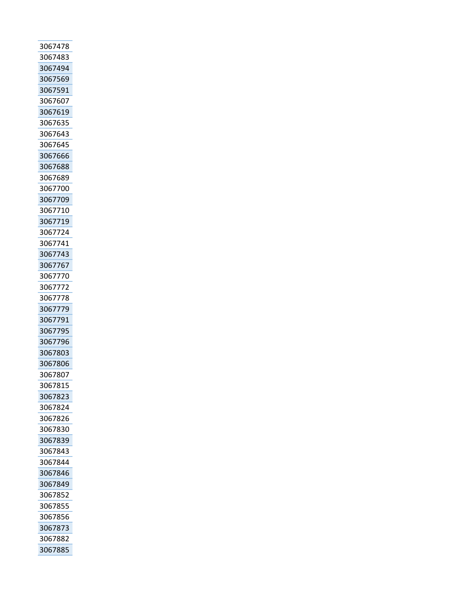| 3067478 |
|---------|
| 3067483 |
| 3067494 |
| 3067569 |
| 3067591 |
| 3067607 |
| 3067619 |
| 3067635 |
| 3067643 |
| 3067645 |
| 3067666 |
| 3067688 |
| 3067689 |
| 3067700 |
| 3067709 |
| 3067710 |
| 3067719 |
| 3067724 |
| 3067741 |
| 3067743 |
|         |
| 3067767 |
| 3067770 |
| 3067772 |
| 3067778 |
| 3067779 |
| 3067791 |
| 3067795 |
| 3067796 |
| 3067803 |
| 3067806 |
| 3067807 |
| 3067815 |
| 3067823 |
| 3067824 |
| 3067826 |
| 3067830 |
| 3067839 |
| 3067843 |
| 3067844 |
| 3067846 |
| 3067849 |
| 3067852 |
| 3067855 |
| 3067856 |
| 3067873 |
| 3067882 |
| 3067885 |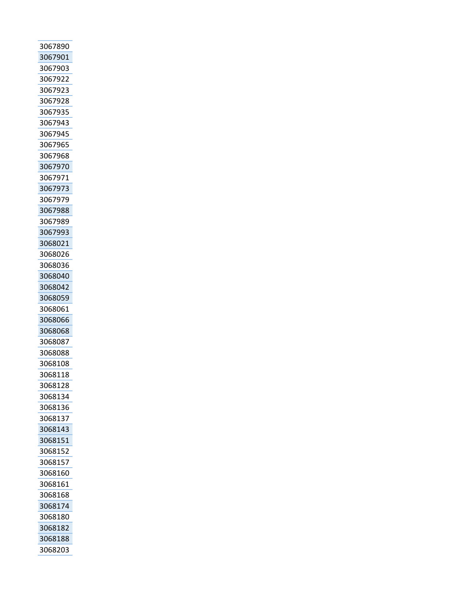| 3067890 |
|---------|
| 3067901 |
| 3067903 |
| 3067922 |
| 3067923 |
| 3067928 |
| 3067935 |
| 3067943 |
| 3067945 |
| 3067965 |
| 3067968 |
| 3067970 |
| 3067971 |
| 3067973 |
| 3067979 |
| 3067988 |
| 3067989 |
| 3067993 |
| 3068021 |
| 3068026 |
| 3068036 |
| 3068040 |
| 3068042 |
| 3068059 |
| 3068061 |
| 3068066 |
| 3068068 |
| 3068087 |
| 3068088 |
| 3068108 |
| 3068118 |
| 3068128 |
| 3068134 |
| 3068136 |
| 3068137 |
|         |
| 3068143 |
| 3068151 |
| 3068152 |
| 3068157 |
| 3068160 |
| 3068161 |
| 3068168 |
| 3068174 |
| 3068180 |
| 3068182 |
| 3068188 |
| 3068203 |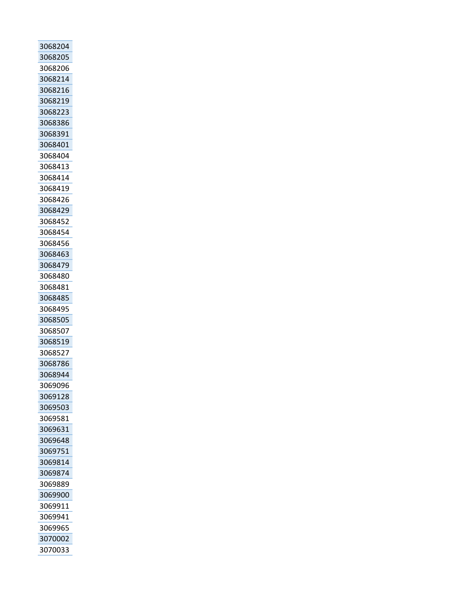| 3068204 |
|---------|
| 3068205 |
| 3068206 |
| 3068214 |
| 3068216 |
| 3068219 |
| 3068223 |
| 3068386 |
| 3068391 |
| 3068401 |
| 3068404 |
| 3068413 |
| 3068414 |
| 3068419 |
| 3068426 |
| 3068429 |
| 3068452 |
| 3068454 |
| 3068456 |
| 3068463 |
| 3068479 |
| 3068480 |
| 3068481 |
| 3068485 |
| 3068495 |
| 3068505 |
| 3068507 |
| 3068519 |
| 3068527 |
| 3068786 |
| 3068944 |
| 3069096 |
| 3069128 |
| 3069503 |
| 3069581 |
| 3069631 |
| 3069648 |
| 3069751 |
| 3069814 |
| 3069874 |
| 3069889 |
| 3069900 |
| 3069911 |
| 3069941 |
| 3069965 |
| 3070002 |
| 3070033 |
|         |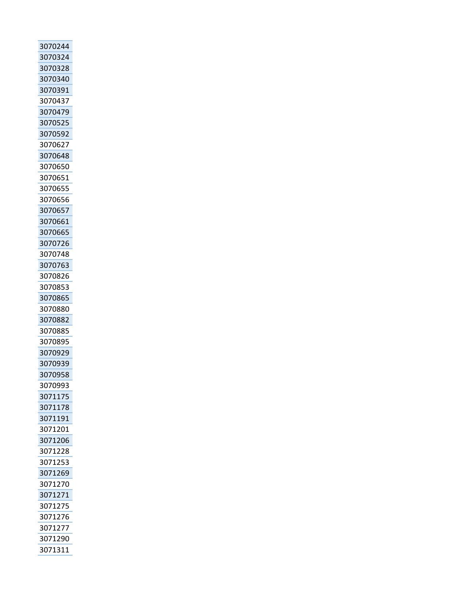| 3070244 |
|---------|
| 3070324 |
| 3070328 |
| 3070340 |
| 3070391 |
| 3070437 |
| 3070479 |
| 3070525 |
|         |
| 3070592 |
| 3070627 |
| 3070648 |
| 3070650 |
| 3070651 |
| 3070655 |
| 3070656 |
| 3070657 |
| 3070661 |
| 3070665 |
| 3070726 |
| 3070748 |
| 3070763 |
| 3070826 |
| 3070853 |
| 3070865 |
| 3070880 |
| 3070882 |
| 3070885 |
|         |
| 3070895 |
| 3070929 |
| 3070939 |
| 3070958 |
| 3070993 |
| 3071175 |
| 3071178 |
| 3071191 |
| 3071201 |
| 3071206 |
| 3071228 |
| 3071253 |
| 3071269 |
| 3071270 |
| 3071271 |
| 3071275 |
| 3071276 |
|         |
| 3071277 |
| 3071290 |
| 3071311 |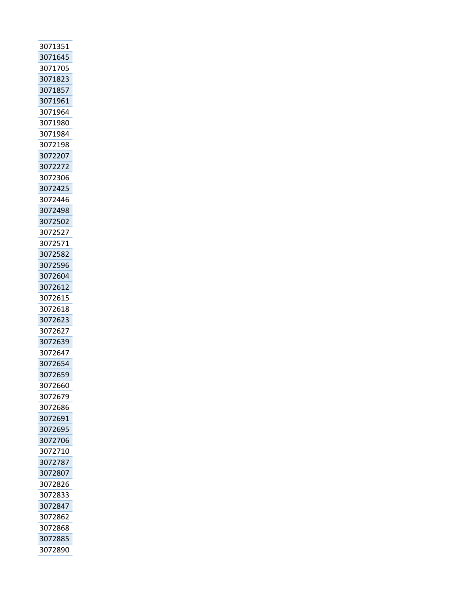| 3071351 |  |
|---------|--|
| 3071645 |  |
| 3071705 |  |
| 3071823 |  |
| 3071857 |  |
| 3071961 |  |
| 3071964 |  |
| 3071980 |  |
| 3071984 |  |
| 3072198 |  |
| 3072207 |  |
| 3072272 |  |
| 3072306 |  |
| 3072425 |  |
| 3072446 |  |
| 3072498 |  |
| 3072502 |  |
| 3072527 |  |
| 3072571 |  |
| 3072582 |  |
| 3072596 |  |
| 3072604 |  |
| 3072612 |  |
| 3072615 |  |
| 3072618 |  |
| 3072623 |  |
| 3072627 |  |
| 3072639 |  |
| 3072647 |  |
| 3072654 |  |
|         |  |
| 3072659 |  |
| 3072660 |  |
| 3072679 |  |
| 3072686 |  |
| 3072691 |  |
| 3072695 |  |
| 3072706 |  |
| 3072710 |  |
| 3072787 |  |
| 3072807 |  |
| 3072826 |  |
| 3072833 |  |
| 3072847 |  |
| 3072862 |  |
| 3072868 |  |
| 3072885 |  |
| 3072890 |  |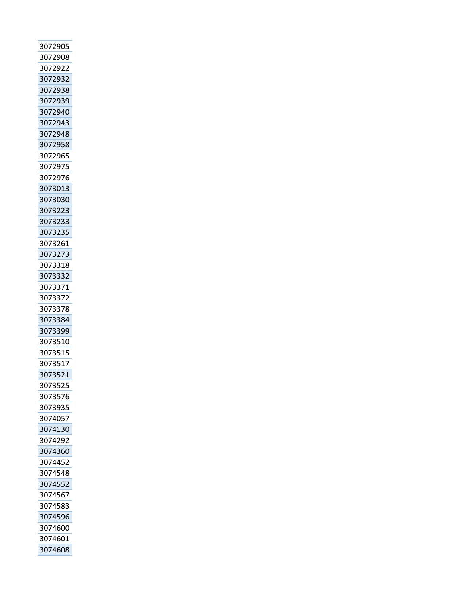| 3072905 |
|---------|
| 3072908 |
| 3072922 |
| 3072932 |
| 3072938 |
| 3072939 |
| 3072940 |
| 3072943 |
| 3072948 |
| 3072958 |
| 3072965 |
| 3072975 |
| 3072976 |
| 3073013 |
| 3073030 |
| 3073223 |
| 3073233 |
| 3073235 |
| 3073261 |
| 3073273 |
| 3073318 |
| 3073332 |
| 3073371 |
| 3073372 |
| 3073378 |
| 3073384 |
| 3073399 |
| 3073510 |
| 3073515 |
| 3073517 |
| 3073521 |
| 3073525 |
| 3073576 |
| 3073935 |
| 3074057 |
| 3074130 |
|         |
| 3074292 |
| 3074360 |
| 3074452 |
| 3074548 |
| 3074552 |
| 3074567 |
| 3074583 |
| 3074596 |
| 3074600 |
| 3074601 |
| 3074608 |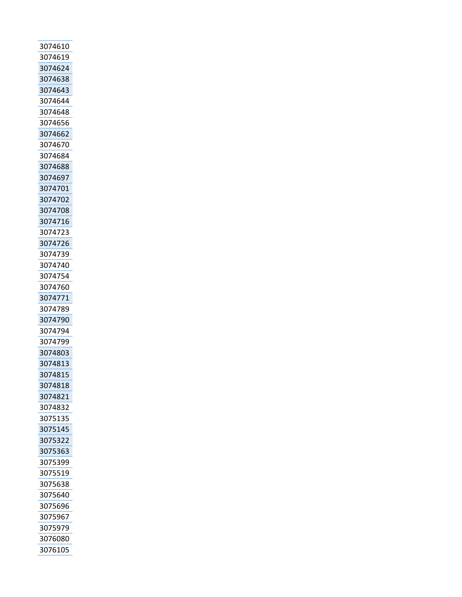| 3074610 |
|---------|
| 3074619 |
| 3074624 |
| 3074638 |
| 3074643 |
| 3074644 |
| 3074648 |
| 3074656 |
| 3074662 |
| 3074670 |
| 3074684 |
| 3074688 |
| 3074697 |
| 3074701 |
| 3074702 |
| 3074708 |
|         |
| 3074716 |
| 3074723 |
| 3074726 |
| 3074739 |
| 3074740 |
| 3074754 |
| 3074760 |
| 3074771 |
| 3074789 |
| 3074790 |
| 3074794 |
| 3074799 |
| 3074803 |
| 3074813 |
| 3074815 |
| 3074818 |
| 3074821 |
| 3074832 |
| 3075135 |
| 3075145 |
| 3075322 |
| 3075363 |
| 3075399 |
| 3075519 |
| 3075638 |
| 3075640 |
| 3075696 |
| 3075967 |
| 3075979 |
| 3076080 |
| 3076105 |
|         |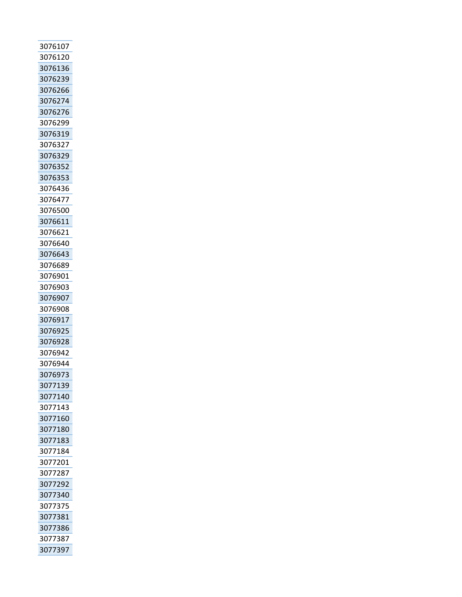| 3076107 |
|---------|
| 3076120 |
| 3076136 |
| 3076239 |
| 3076266 |
| 3076274 |
| 3076276 |
| 3076299 |
| 3076319 |
| 3076327 |
| 3076329 |
| 3076352 |
| 3076353 |
| 3076436 |
|         |
| 3076477 |
| 3076500 |
| 3076611 |
| 3076621 |
| 3076640 |
| 3076643 |
| 3076689 |
| 3076901 |
| 3076903 |
| 3076907 |
| 3076908 |
| 3076917 |
| 3076925 |
| 3076928 |
| 3076942 |
| 3076944 |
|         |
| 3076973 |
| 3077139 |
| 3077140 |
| 3077143 |
| 3077160 |
| 3077180 |
| 3077183 |
| 3077184 |
| 3077201 |
| 3077287 |
| 3077292 |
| 3077340 |
| 3077375 |
| 3077381 |
| 3077386 |
| 3077387 |
| 3077397 |
|         |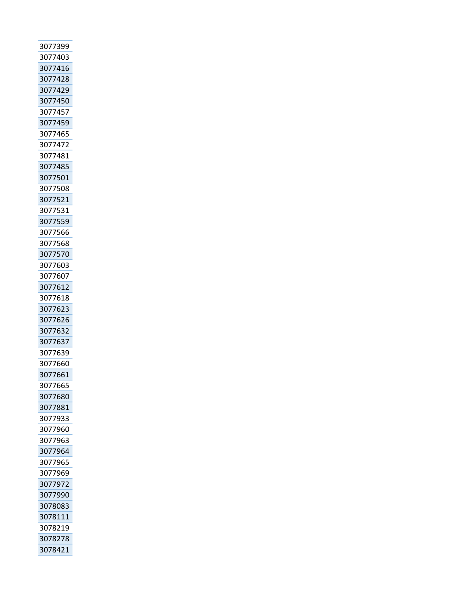| 3077399 |
|---------|
| 3077403 |
| 3077416 |
| 3077428 |
| 3077429 |
| 3077450 |
| 3077457 |
| 3077459 |
| 3077465 |
| 3077472 |
| 3077481 |
| 3077485 |
| 3077501 |
| 3077508 |
| 3077521 |
| 3077531 |
| 3077559 |
| 3077566 |
| 3077568 |
| 3077570 |
| 3077603 |
| 3077607 |
| 3077612 |
| 3077618 |
| 3077623 |
| 3077626 |
| 3077632 |
| 3077637 |
| 3077639 |
| 3077660 |
|         |
| 3077661 |
| 3077665 |
| 3077680 |
| 3077881 |
| 3077933 |
| 3077960 |
| 3077963 |
| 3077964 |
| 3077965 |
| 3077969 |
| 3077972 |
| 3077990 |
| 3078083 |
| 3078111 |
| 3078219 |
| 3078278 |
| 3078421 |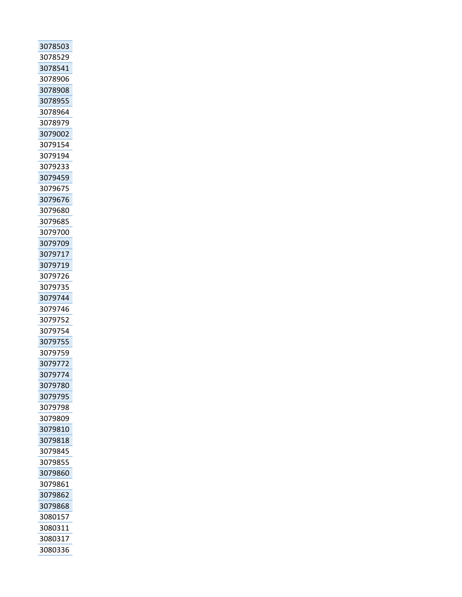| 3078503 |
|---------|
| 3078529 |
| 3078541 |
| 3078906 |
| 3078908 |
| 3078955 |
| 3078964 |
| 3078979 |
| 3079002 |
| 3079154 |
| 3079194 |
| 3079233 |
| 3079459 |
| 3079675 |
| 3079676 |
|         |
| 3079680 |
| 3079685 |
| 3079700 |
| 3079709 |
| 3079717 |
| 3079719 |
| 3079726 |
| 3079735 |
| 3079744 |
| 3079746 |
| 3079752 |
| 3079754 |
| 3079755 |
| 3079759 |
| 3079772 |
| 3079774 |
| 3079780 |
| 3079795 |
| 3079798 |
| 3079809 |
| 3079810 |
| 3079818 |
| 3079845 |
| 3079855 |
| 3079860 |
| 3079861 |
|         |
| 3079862 |
| 3079868 |
| 3080157 |
| 3080311 |
| 3080317 |
| 3080336 |